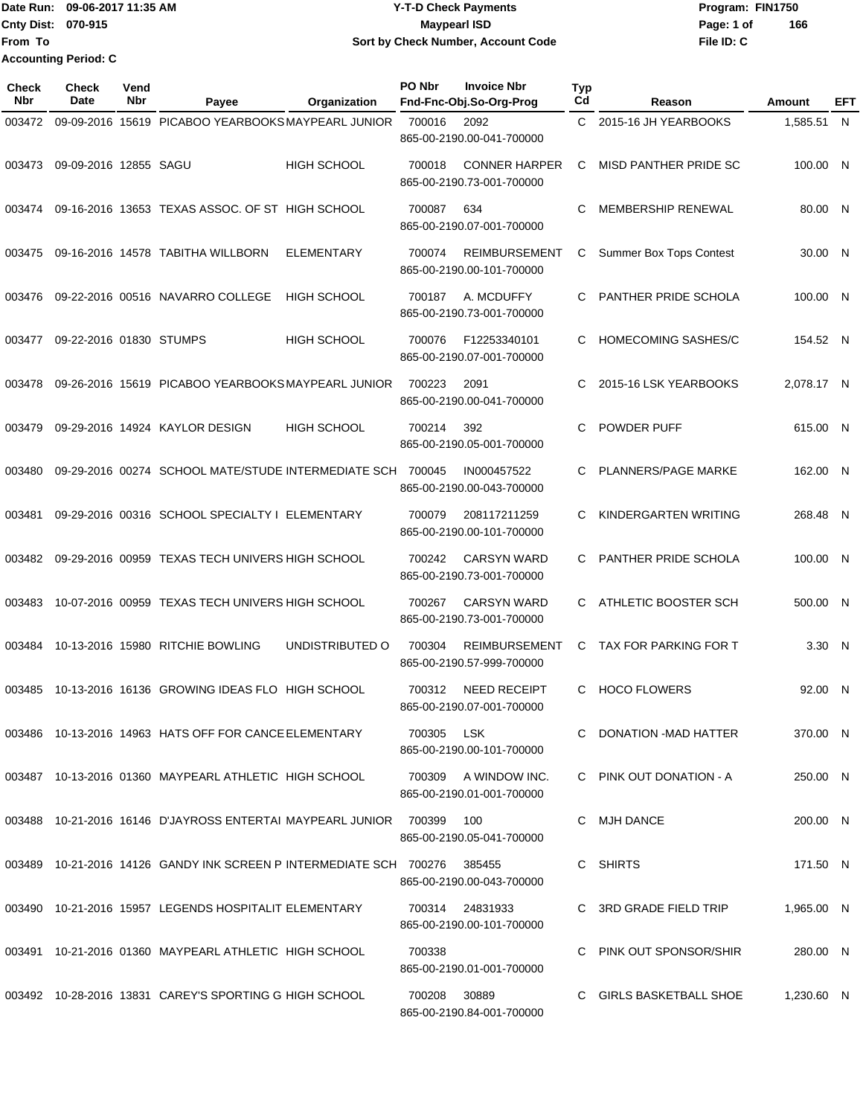Date Run: 09-06-2017 11:35 AM **CONTEX 100 CONTEX 12 T-D** Check Payments **CONTEX 12 T-D Check Payments** Program: FIN1750 **Cnty Dist:** 070-915 **Page: 1 of Page: 1 of Page: 1 of Page: 1 of Page: 1 of Page: 1 of File ID: C From To Y-T-D Check Payments 070-915 Maypearl ISD Sort by Check Number, Account Code 166 Accounting Period: C**

| Check<br><b>Nbr</b> | <b>Check</b><br>Date    | Vend<br>Nbr | Payee                                                                 | Organization       | PO Nbr | <b>Invoice Nbr</b><br>Fnd-Fnc-Obj.So-Org-Prog     | <b>Typ</b><br>Cd | Reason                         | Amount     | EFT |
|---------------------|-------------------------|-------------|-----------------------------------------------------------------------|--------------------|--------|---------------------------------------------------|------------------|--------------------------------|------------|-----|
| 003472              |                         |             | 09-09-2016 15619 PICABOO YEARBOOKS MAYPEARL JUNIOR                    |                    | 700016 | 2092<br>865-00-2190.00-041-700000                 | C.               | 2015-16 JH YEARBOOKS           | 1,585.51 N |     |
| 003473              | 09-09-2016 12855 SAGU   |             |                                                                       | <b>HIGH SCHOOL</b> | 700018 | <b>CONNER HARPER</b><br>865-00-2190.73-001-700000 | C                | MISD PANTHER PRIDE SC          | 100.00 N   |     |
| 003474              |                         |             | 09-16-2016 13653 TEXAS ASSOC. OF ST HIGH SCHOOL                       |                    | 700087 | 634<br>865-00-2190.07-001-700000                  | C                | <b>MEMBERSHIP RENEWAL</b>      | 80.00 N    |     |
| 003475              |                         |             | 09-16-2016 14578 TABITHA WILLBORN                                     | <b>ELEMENTARY</b>  | 700074 | <b>REIMBURSEMENT</b><br>865-00-2190.00-101-700000 | С                | <b>Summer Box Tops Contest</b> | 30.00 N    |     |
| 003476              |                         |             | 09-22-2016 00516 NAVARRO COLLEGE                                      | <b>HIGH SCHOOL</b> | 700187 | A. MCDUFFY<br>865-00-2190.73-001-700000           | C.               | PANTHER PRIDE SCHOLA           | 100.00 N   |     |
| 003477              | 09-22-2016 01830 STUMPS |             |                                                                       | <b>HIGH SCHOOL</b> | 700076 | F12253340101<br>865-00-2190.07-001-700000         | C                | <b>HOMECOMING SASHES/C</b>     | 154.52 N   |     |
| 003478              |                         |             | 09-26-2016 15619 PICABOO YEARBOOKS MAYPEARL JUNIOR                    |                    | 700223 | 2091<br>865-00-2190.00-041-700000                 | С                | 2015-16 LSK YEARBOOKS          | 2.078.17 N |     |
| 003479              |                         |             | 09-29-2016 14924 KAYLOR DESIGN                                        | <b>HIGH SCHOOL</b> | 700214 | 392<br>865-00-2190.05-001-700000                  | C                | POWDER PUFF                    | 615.00 N   |     |
| 003480              |                         |             | 09-29-2016 00274 SCHOOL MATE/STUDE INTERMEDIATE SCH 700045            |                    |        | IN000457522<br>865-00-2190.00-043-700000          | C                | PLANNERS/PAGE MARKE            | 162.00 N   |     |
| 003481              |                         |             | 09-29-2016 00316 SCHOOL SPECIALTY I ELEMENTARY                        |                    | 700079 | 208117211259<br>865-00-2190.00-101-700000         | С                | KINDERGARTEN WRITING           | 268.48 N   |     |
| 003482              |                         |             | 09-29-2016 00959 TEXAS TECH UNIVERS HIGH SCHOOL                       |                    | 700242 | <b>CARSYN WARD</b><br>865-00-2190.73-001-700000   | C                | PANTHER PRIDE SCHOLA           | 100.00 N   |     |
| 003483              |                         |             | 10-07-2016 00959 TEXAS TECH UNIVERS HIGH SCHOOL                       |                    | 700267 | <b>CARSYN WARD</b><br>865-00-2190.73-001-700000   | C                | ATHLETIC BOOSTER SCH           | 500.00 N   |     |
| 003484              |                         |             | 10-13-2016 15980 RITCHIE BOWLING                                      | UNDISTRIBUTED O    | 700304 | <b>REIMBURSEMENT</b><br>865-00-2190.57-999-700000 | C                | TAX FOR PARKING FOR T          | 3.30 N     |     |
| 003485              |                         |             | 10-13-2016 16136 GROWING IDEAS FLO HIGH SCHOOL                        |                    | 700312 | <b>NEED RECEIPT</b><br>865-00-2190.07-001-700000  | C.               | <b>HOCO FLOWERS</b>            | 92.00 N    |     |
|                     |                         |             | 003486 10-13-2016 14963 HATS OFF FOR CANCE ELEMENTARY                 |                    | 700305 | <b>LSK</b><br>865-00-2190.00-101-700000           |                  | C DONATION - MAD HATTER        | 370.00 N   |     |
|                     |                         |             | 003487 10-13-2016 01360 MAYPEARL ATHLETIC HIGH SCHOOL                 |                    | 700309 | A WINDOW INC.<br>865-00-2190.01-001-700000        |                  | C PINK OUT DONATION - A        | 250.00 N   |     |
|                     |                         |             | 003488  10-21-2016  16146  D'JAYROSS ENTERTAI MAYPEARL JUNIOR  700399 |                    |        | 100<br>865-00-2190.05-041-700000                  |                  | C MJH DANCE                    | 200.00 N   |     |
|                     |                         |             | 003489 10-21-2016 14126 GANDY INK SCREEN P INTERMEDIATE SCH 700276    |                    |        | 385455<br>865-00-2190.00-043-700000               | C.               | SHIRTS                         | 171.50 N   |     |
| 003490              |                         |             | 10-21-2016 15957 LEGENDS HOSPITALIT ELEMENTARY                        |                    | 700314 | 24831933<br>865-00-2190.00-101-700000             |                  | 3RD GRADE FIELD TRIP           | 1,965.00 N |     |
|                     |                         |             | 003491 10-21-2016 01360 MAYPEARL ATHLETIC HIGH SCHOOL                 |                    | 700338 | 865-00-2190.01-001-700000                         | C.               | PINK OUT SPONSOR/SHIR          | 280.00 N   |     |
|                     |                         |             | 003492 10-28-2016 13831 CAREY'S SPORTING G HIGH SCHOOL                |                    | 700208 | 30889<br>865-00-2190.84-001-700000                |                  | C GIRLS BASKETBALL SHOE        | 1,230.60 N |     |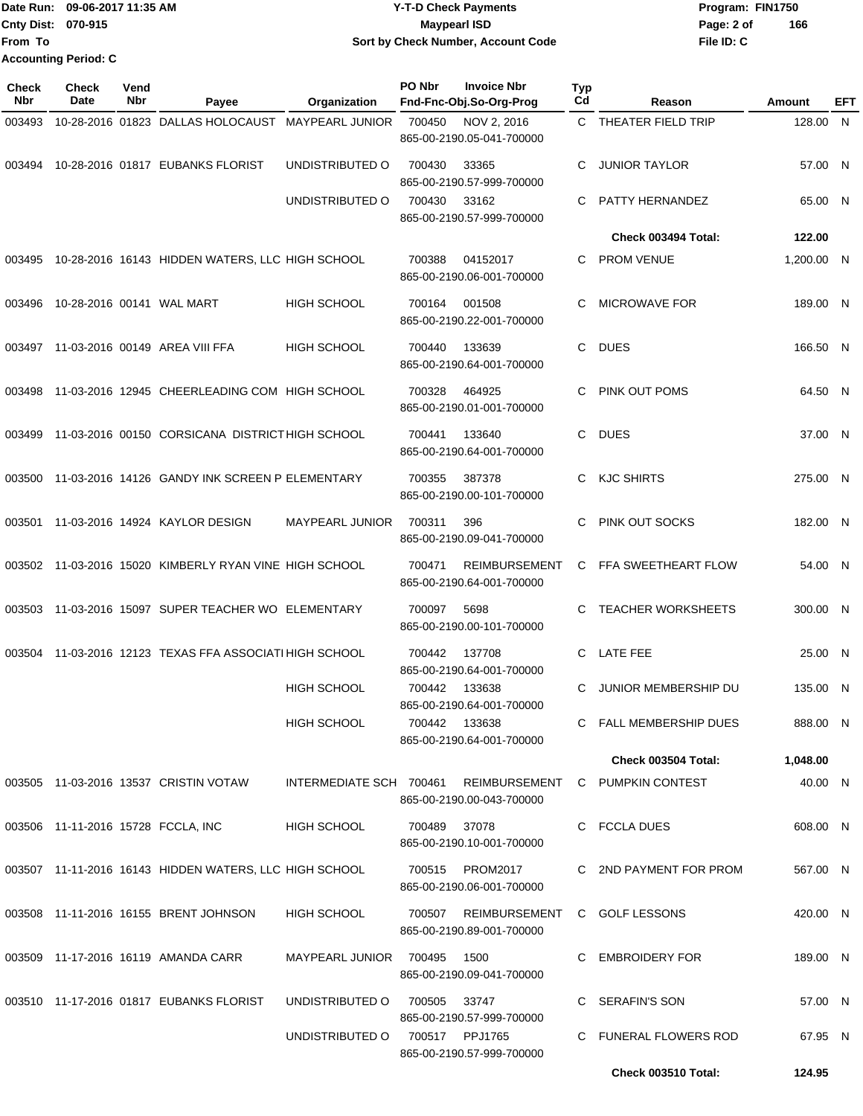Date Run: 09-06-2017 11:35 AM **CONTEX 100 CONTEX 12 T-D** Check Payments **CONTEX 12 T-D Check Payments** Program: FIN1750 **Cnty Dist:** 070-915 **Page: 2 of Page: 2 of Page: 2 of Page: 2 of Page: 2 of File ID: C From To 09-06-2017 11:35 AM Y-T-D Check Payments 070-915 Maypearl ISD Sort by Check Number, Account Code 166 Accounting Period: C**

| <b>Check</b><br>Nbr | Check<br>Date | Vend<br>Nbr | Payee                                                  | Organization           | PO Nbr | <b>Invoice Nbr</b><br>Fnd-Fnc-Obj.So-Org-Prog     | <b>Typ</b><br>Cd | Reason                                                  | Amount     | EFT |
|---------------------|---------------|-------------|--------------------------------------------------------|------------------------|--------|---------------------------------------------------|------------------|---------------------------------------------------------|------------|-----|
| 003493              |               |             | 10-28-2016 01823 DALLAS HOLOCAUST MAYPEARL JUNIOR      |                        | 700450 | NOV 2, 2016<br>865-00-2190.05-041-700000          |                  | C THEATER FIELD TRIP                                    | 128.00 N   |     |
| 003494              |               |             | 10-28-2016 01817 EUBANKS FLORIST                       | UNDISTRIBUTED O        | 700430 | 33365<br>865-00-2190.57-999-700000                | C                | <b>JUNIOR TAYLOR</b>                                    | 57.00 N    |     |
|                     |               |             |                                                        | UNDISTRIBUTED O        | 700430 | 33162<br>865-00-2190.57-999-700000                | C                | PATTY HERNANDEZ                                         | 65.00 N    |     |
|                     |               |             |                                                        |                        |        |                                                   |                  | Check 003494 Total:                                     | 122.00     |     |
| 003495              |               |             | 10-28-2016 16143 HIDDEN WATERS, LLC HIGH SCHOOL        |                        | 700388 | 04152017<br>865-00-2190.06-001-700000             | C.               | <b>PROM VENUE</b>                                       | 1,200.00 N |     |
| 003496              |               |             | 10-28-2016 00141 WAL MART                              | <b>HIGH SCHOOL</b>     | 700164 | 001508<br>865-00-2190.22-001-700000               | C                | MICROWAVE FOR                                           | 189.00 N   |     |
| 003497              |               |             | 11-03-2016 00149 AREA VIII FFA                         | <b>HIGH SCHOOL</b>     | 700440 | 133639<br>865-00-2190.64-001-700000               | C                | <b>DUES</b>                                             | 166.50 N   |     |
| 003498              |               |             | 11-03-2016 12945 CHEERLEADING COM HIGH SCHOOL          |                        | 700328 | 464925<br>865-00-2190.01-001-700000               | C                | PINK OUT POMS                                           | 64.50 N    |     |
| 003499              |               |             | 11-03-2016 00150 CORSICANA DISTRICT HIGH SCHOOL        |                        | 700441 | 133640<br>865-00-2190.64-001-700000               | C                | <b>DUES</b>                                             | 37.00 N    |     |
| 003500              |               |             | 11-03-2016 14126 GANDY INK SCREEN P ELEMENTARY         |                        | 700355 | 387378<br>865-00-2190.00-101-700000               | C.               | <b>KJC SHIRTS</b>                                       | 275.00 N   |     |
| 003501              |               |             | 11-03-2016 14924 KAYLOR DESIGN                         | <b>MAYPEARL JUNIOR</b> | 700311 | 396<br>865-00-2190.09-041-700000                  | C                | PINK OUT SOCKS                                          | 182.00 N   |     |
| 003502              |               |             | 11-03-2016 15020 KIMBERLY RYAN VINE HIGH SCHOOL        |                        | 700471 | <b>REIMBURSEMENT</b><br>865-00-2190.64-001-700000 |                  | C FFA SWEETHEART FLOW                                   | 54.00 N    |     |
|                     |               |             | 003503 11-03-2016 15097 SUPER TEACHER WO ELEMENTARY    |                        | 700097 | 5698<br>865-00-2190.00-101-700000                 | C                | <b>TEACHER WORKSHEETS</b>                               | 300.00 N   |     |
| 003504              |               |             | 11-03-2016 12123 TEXAS FFA ASSOCIATI HIGH SCHOOL       |                        | 700442 | 137708<br>865-00-2190.64-001-700000               | C                | LATE FEE                                                | 25.00 N    |     |
|                     |               |             |                                                        | <b>HIGH SCHOOL</b>     | 700442 | 133638<br>865-00-2190.64-001-700000               | C.               | JUNIOR MEMBERSHIP DU                                    | 135.00 N   |     |
|                     |               |             |                                                        | <b>HIGH SCHOOL</b>     |        | 700442 133638<br>865-00-2190.64-001-700000        |                  | C FALL MEMBERSHIP DUES                                  | 888.00 N   |     |
|                     |               |             |                                                        |                        |        |                                                   |                  | <b>Check 003504 Total:</b>                              | 1,048.00   |     |
|                     |               |             | 003505 11-03-2016 13537 CRISTIN VOTAW                  |                        |        | 865-00-2190.00-043-700000                         |                  | INTERMEDIATE SCH 700461 REIMBURSEMENT C PUMPKIN CONTEST | 40.00 N    |     |
|                     |               |             | 003506 11-11-2016 15728 FCCLA, INC                     | <b>HIGH SCHOOL</b>     | 700489 | 37078<br>865-00-2190.10-001-700000                |                  | C FCCLA DUES                                            | 608.00 N   |     |
|                     |               |             | 003507 11-11-2016 16143 HIDDEN WATERS, LLC HIGH SCHOOL |                        | 700515 | <b>PROM2017</b><br>865-00-2190.06-001-700000      |                  | C 2ND PAYMENT FOR PROM                                  | 567.00 N   |     |
|                     |               |             | 003508 11-11-2016 16155 BRENT JOHNSON                  | <b>HIGH SCHOOL</b>     | 700507 | REIMBURSEMENT<br>865-00-2190.89-001-700000        |                  | C GOLF LESSONS                                          | 420.00 N   |     |
|                     |               |             | 003509 11-17-2016 16119 AMANDA CARR                    | MAYPEARL JUNIOR 700495 |        | 1500<br>865-00-2190.09-041-700000                 |                  | C EMBROIDERY FOR                                        | 189.00 N   |     |
|                     |               |             | 003510 11-17-2016 01817 EUBANKS FLORIST                | UNDISTRIBUTED O        | 700505 | 33747<br>865-00-2190.57-999-700000                |                  | C SERAFIN'S SON                                         | 57.00 N    |     |
|                     |               |             |                                                        | UNDISTRIBUTED O        |        | 700517 PPJ1765<br>865-00-2190.57-999-700000       |                  | C FUNERAL FLOWERS ROD                                   | 67.95 N    |     |
|                     |               |             |                                                        |                        |        |                                                   |                  | Check 003510 Total:                                     | 124.95     |     |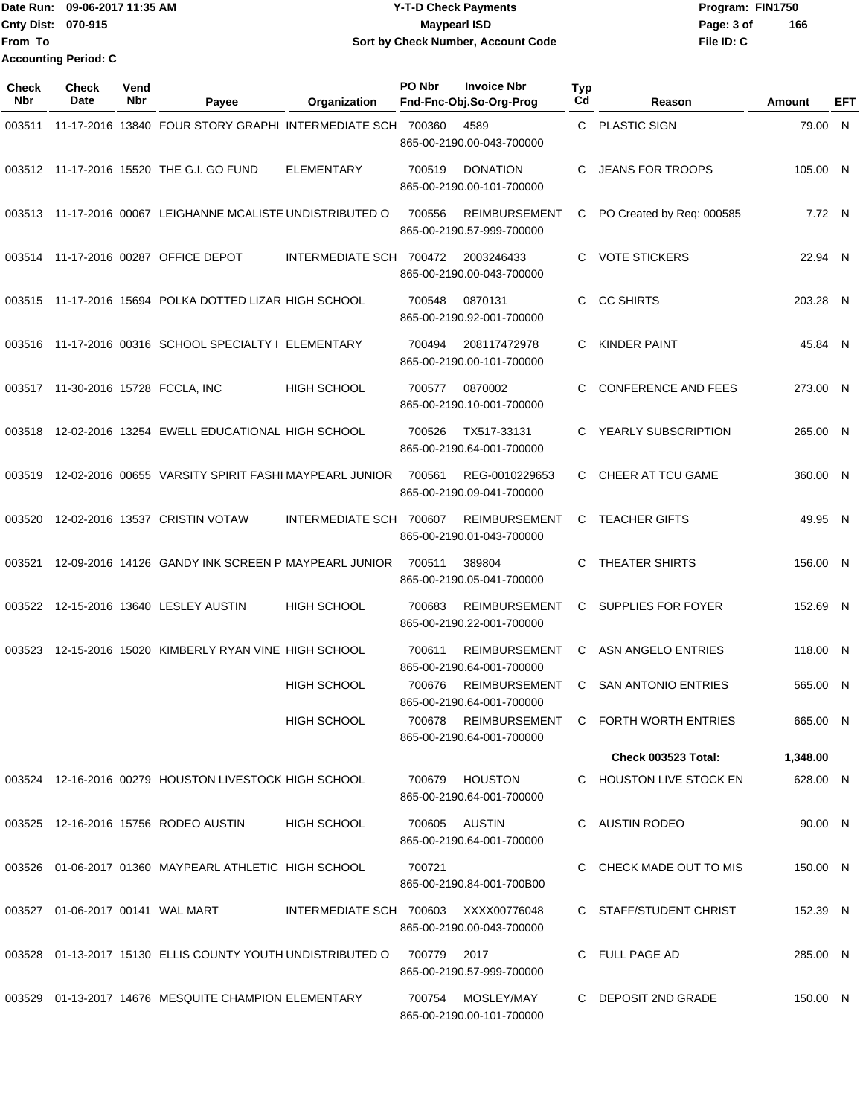Date Run: 09-06-2017 11:35 AM **CONTEX 100 CONTEX 12 T-D** Check Payments **CONTEX 12 T-D Check Payments** Program: FIN1750 **Cnty Dist:** 070-915 **Page: 3 of Page: 3 of Page: 3 of Page: 3 of File ID: C From To Y-T-D Check Payments 070-915 Maypearl ISD Sort by Check Number, Account Code 166 Accounting Period: C**

| <b>Check</b><br>Nbr | <b>Check</b><br>Date             | Vend<br>Nbr | Payee                                                      | Organization                         | PO Nbr       | <b>Invoice Nbr</b><br>Fnd-Fnc-Obj.So-Org-Prog     | <b>Typ</b><br>Cd | Reason                              | Amount   | EFT |
|---------------------|----------------------------------|-------------|------------------------------------------------------------|--------------------------------------|--------------|---------------------------------------------------|------------------|-------------------------------------|----------|-----|
| 003511              |                                  |             | 11-17-2016 13840 FOUR STORY GRAPHI INTERMEDIATE SCH 700360 |                                      |              | 4589<br>865-00-2190.00-043-700000                 | C                | <b>PLASTIC SIGN</b>                 | 79.00 N  |     |
|                     |                                  |             | 003512 11-17-2016 15520 THE G.I. GO FUND                   | <b>ELEMENTARY</b>                    | 700519       | <b>DONATION</b><br>865-00-2190.00-101-700000      | C                | <b>JEANS FOR TROOPS</b>             | 105.00 N |     |
|                     |                                  |             | 003513 11-17-2016 00067 LEIGHANNE MCALISTE UNDISTRIBUTED O |                                      | 700556       | <b>REIMBURSEMENT</b><br>865-00-2190.57-999-700000 | C                | PO Created by Req: 000585           | 7.72 N   |     |
|                     |                                  |             | 003514 11-17-2016 00287 OFFICE DEPOT                       | INTERMEDIATE SCH 700472              |              | 2003246433<br>865-00-2190.00-043-700000           | C                | <b>VOTE STICKERS</b>                | 22.94 N  |     |
| 003515              |                                  |             | 11-17-2016 15694 POLKA DOTTED LIZAR HIGH SCHOOL            |                                      | 700548       | 0870131<br>865-00-2190.92-001-700000              | C                | <b>CC SHIRTS</b>                    | 203.28 N |     |
| 003516              |                                  |             | 11-17-2016 00316 SCHOOL SPECIALTY I ELEMENTARY             |                                      | 700494       | 208117472978<br>865-00-2190.00-101-700000         | C.               | <b>KINDER PAINT</b>                 | 45.84 N  |     |
| 003517              |                                  |             | 11-30-2016 15728 FCCLA. INC                                | <b>HIGH SCHOOL</b>                   | 700577       | 0870002<br>865-00-2190.10-001-700000              | C                | <b>CONFERENCE AND FEES</b>          | 273.00 N |     |
| 003518              |                                  |             | 12-02-2016 13254 EWELL EDUCATIONAL HIGH SCHOOL             |                                      | 700526       | TX517-33131<br>865-00-2190.64-001-700000          | C                | YEARLY SUBSCRIPTION                 | 265.00 N |     |
| 003519              |                                  |             | 12-02-2016 00655 VARSITY SPIRIT FASHI MAYPEARL JUNIOR      |                                      | 700561       | REG-0010229653<br>865-00-2190.09-041-700000       | C.               | CHEER AT TCU GAME                   | 360.00 N |     |
| 003520              |                                  |             | 12-02-2016 13537 CRISTIN VOTAW                             | INTERMEDIATE SCH 700607              |              | <b>REIMBURSEMENT</b><br>865-00-2190.01-043-700000 | С                | <b>TEACHER GIFTS</b>                | 49.95 N  |     |
| 003521              |                                  |             | 12-09-2016 14126 GANDY INK SCREEN P MAYPEARL JUNIOR        |                                      | 700511       | 389804<br>865-00-2190.05-041-700000               | C                | THEATER SHIRTS                      | 156.00 N |     |
| 003522              |                                  |             | 12-15-2016 13640 LESLEY AUSTIN                             | <b>HIGH SCHOOL</b>                   | 700683       | REIMBURSEMENT<br>865-00-2190.22-001-700000        | C                | SUPPLIES FOR FOYER                  | 152.69 N |     |
| 003523              |                                  |             | 12-15-2016 15020 KIMBERLY RYAN VINE HIGH SCHOOL            |                                      | 700611       | REIMBURSEMENT<br>865-00-2190.64-001-700000        | С                | ASN ANGELO ENTRIES                  | 118.00 N |     |
|                     |                                  |             |                                                            | <b>HIGH SCHOOL</b>                   | 700676       | REIMBURSEMENT<br>865-00-2190.64-001-700000        | C                | <b>SAN ANTONIO ENTRIES</b>          | 565.00 N |     |
|                     |                                  |             |                                                            | HIGH SCHOOL                          | 700678       | 865-00-2190.64-001-700000                         |                  | REIMBURSEMENT C FORTH WORTH ENTRIES | 665.00 N |     |
|                     |                                  |             |                                                            |                                      |              |                                                   |                  | Check 003523 Total:                 | 1,348.00 |     |
|                     |                                  |             | 003524 12-16-2016 00279 HOUSTON LIVESTOCK HIGH SCHOOL      |                                      |              | 700679 HOUSTON<br>865-00-2190.64-001-700000       |                  | C HOUSTON LIVE STOCK EN             | 628.00 N |     |
|                     |                                  |             | 003525 12-16-2016 15756 RODEO AUSTIN                       | <b>HIGH SCHOOL</b>                   |              | 700605 AUSTIN<br>865-00-2190.64-001-700000        |                  | C AUSTIN RODEO                      | 90.00 N  |     |
|                     |                                  |             | 003526 01-06-2017 01360 MAYPEARL ATHLETIC HIGH SCHOOL      |                                      | 700721       | 865-00-2190.84-001-700B00                         |                  | C CHECK MADE OUT TO MIS             | 150.00 N |     |
|                     | 003527 01-06-2017 00141 WAL MART |             |                                                            | INTERMEDIATE SCH 700603 XXXX00776048 |              | 865-00-2190.00-043-700000                         |                  | C STAFF/STUDENT CHRIST              | 152.39 N |     |
|                     |                                  |             | 003528 01-13-2017 15130 ELLIS COUNTY YOUTH UNDISTRIBUTED O |                                      | 700779  2017 | 865-00-2190.57-999-700000                         |                  | C FULL PAGE AD                      | 285.00 N |     |
|                     |                                  |             | 003529 01-13-2017 14676 MESQUITE CHAMPION ELEMENTARY       |                                      |              | 700754 MOSLEY/MAY<br>865-00-2190.00-101-700000    |                  | C DEPOSIT 2ND GRADE                 | 150.00 N |     |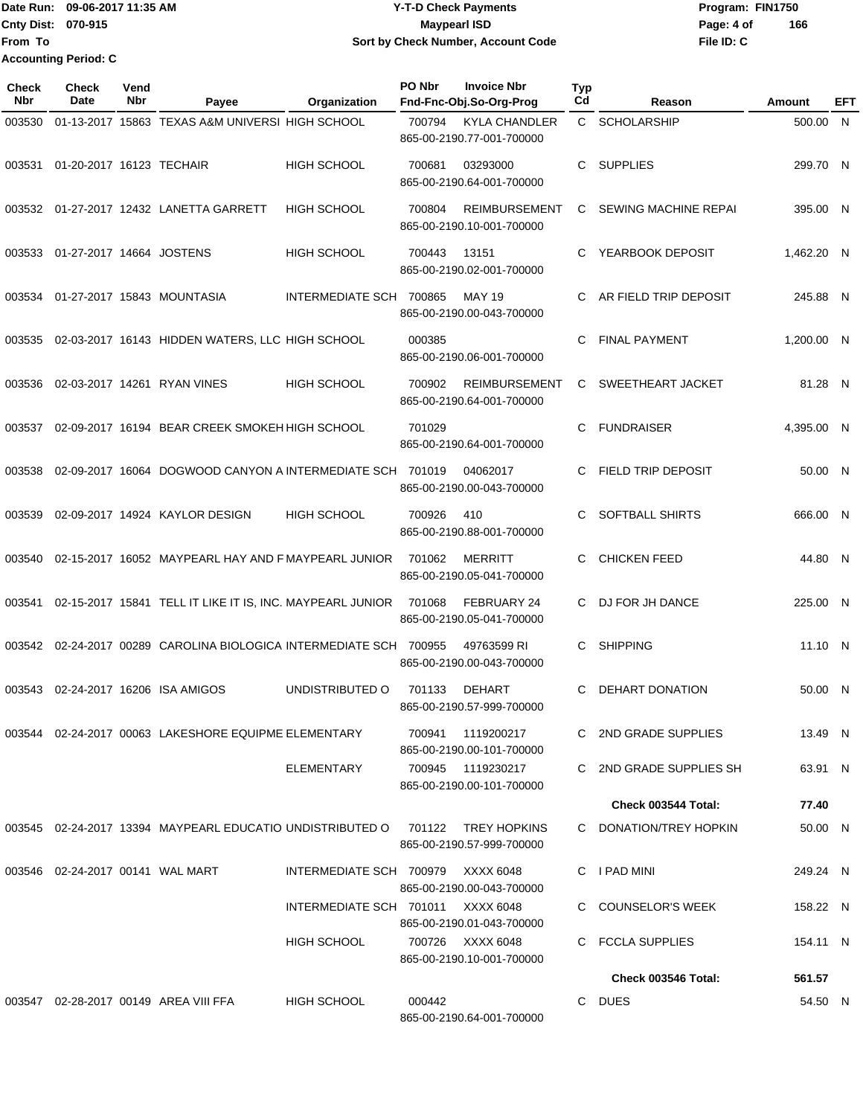|                           | Date Run: 09-06-2017 11:35 AM | <b>Y-T-D Check Payments</b>        | Program: FIN1750  |  |  |  |
|---------------------------|-------------------------------|------------------------------------|-------------------|--|--|--|
| <b>Cnty Dist: 070-915</b> |                               | <b>Mavpearl ISD</b>                | 166<br>Page: 4 of |  |  |  |
| lFrom To                  |                               | Sort by Check Number, Account Code | File ID: C        |  |  |  |
|                           | <b>Accounting Period: C</b>   |                                    |                   |  |  |  |

| <b>Check</b><br><b>Nbr</b> | <b>Check</b><br>Date             | Vend<br>Nbr | Payee                                                              | Organization                      | PO Nbr | <b>Invoice Nbr</b><br>Fnd-Fnc-Obj.So-Org-Prog     | Typ<br>Cd    | Reason                     | Amount     | EFT |
|----------------------------|----------------------------------|-------------|--------------------------------------------------------------------|-----------------------------------|--------|---------------------------------------------------|--------------|----------------------------|------------|-----|
| 003530                     |                                  |             | 01-13-2017 15863 TEXAS A&M UNIVERSI HIGH SCHOOL                    |                                   | 700794 | <b>KYLA CHANDLER</b><br>865-00-2190.77-001-700000 | $\mathsf{C}$ | <b>SCHOLARSHIP</b>         | 500.00 N   |     |
| 003531                     | 01-20-2017 16123 TECHAIR         |             |                                                                    | <b>HIGH SCHOOL</b>                | 700681 | 03293000<br>865-00-2190.64-001-700000             | C            | <b>SUPPLIES</b>            | 299.70 N   |     |
| 003532                     |                                  |             | 01-27-2017 12432 LANETTA GARRETT                                   | <b>HIGH SCHOOL</b>                | 700804 | <b>REIMBURSEMENT</b><br>865-00-2190.10-001-700000 | C            | SEWING MACHINE REPAI       | 395.00 N   |     |
| 003533                     | 01-27-2017 14664 JOSTENS         |             |                                                                    | <b>HIGH SCHOOL</b>                | 700443 | 13151<br>865-00-2190.02-001-700000                | C            | YEARBOOK DEPOSIT           | 1.462.20 N |     |
| 003534                     |                                  |             | 01-27-2017 15843 MOUNTASIA                                         | INTERMEDIATE SCH 700865           |        | <b>MAY 19</b><br>865-00-2190.00-043-700000        | C            | AR FIELD TRIP DEPOSIT      | 245.88 N   |     |
| 003535                     |                                  |             | 02-03-2017 16143 HIDDEN WATERS, LLC HIGH SCHOOL                    |                                   | 000385 | 865-00-2190.06-001-700000                         | C            | <b>FINAL PAYMENT</b>       | 1,200.00 N |     |
| 003536                     |                                  |             | 02-03-2017 14261 RYAN VINES                                        | <b>HIGH SCHOOL</b>                | 700902 | <b>REIMBURSEMENT</b><br>865-00-2190.64-001-700000 | C            | SWEETHEART JACKET          | 81.28 N    |     |
| 003537                     |                                  |             | 02-09-2017 16194 BEAR CREEK SMOKEH HIGH SCHOOL                     |                                   | 701029 | 865-00-2190.64-001-700000                         | С            | <b>FUNDRAISER</b>          | 4,395.00 N |     |
| 003538                     |                                  |             | 02-09-2017 16064 DOGWOOD CANYON A INTERMEDIATE SCH 701019          |                                   |        | 04062017<br>865-00-2190.00-043-700000             | C            | <b>FIELD TRIP DEPOSIT</b>  | 50.00 N    |     |
| 003539                     |                                  |             | 02-09-2017 14924 KAYLOR DESIGN                                     | <b>HIGH SCHOOL</b>                | 700926 | 410<br>865-00-2190.88-001-700000                  | C.           | <b>SOFTBALL SHIRTS</b>     | 666.00 N   |     |
| 003540                     |                                  |             | 02-15-2017 16052 MAYPEARL HAY AND F MAYPEARL JUNIOR                |                                   | 701062 | MERRITT<br>865-00-2190.05-041-700000              | C            | <b>CHICKEN FEED</b>        | 44.80 N    |     |
| 003541                     |                                  |             | 02-15-2017 15841 TELL IT LIKE IT IS, INC. MAYPEARL JUNIOR          |                                   | 701068 | FEBRUARY 24<br>865-00-2190.05-041-700000          | C.           | DJ FOR JH DANCE            | 225.00 N   |     |
|                            |                                  |             | 003542 02-24-2017 00289 CAROLINA BIOLOGICA INTERMEDIATE SCH 700955 |                                   |        | 49763599 RI<br>865-00-2190.00-043-700000          | С            | <b>SHIPPING</b>            | 11.10 N    |     |
| 003543                     |                                  |             | 02-24-2017 16206 ISA AMIGOS                                        | UNDISTRIBUTED O                   | 701133 | DEHART<br>865-00-2190.57-999-700000               | C            | DEHART DONATION            | 50.00 N    |     |
|                            |                                  |             | 003544 02-24-2017 00063 LAKESHORE EQUIPME ELEMENTARY               |                                   | 700941 | 1119200217<br>865-00-2190.00-101-700000           |              | C 2ND GRADE SUPPLIES       | 13.49 N    |     |
|                            |                                  |             |                                                                    | ELEMENTARY                        |        | 700945 1119230217<br>865-00-2190.00-101-700000    |              | C 2ND GRADE SUPPLIES SH    | 63.91 N    |     |
|                            |                                  |             |                                                                    |                                   |        |                                                   |              | Check 003544 Total:        | 77.40      |     |
|                            |                                  |             | 003545 02-24-2017 13394 MAYPEARL EDUCATIO UNDISTRIBUTED O 701122   |                                   |        | TREY HOPKINS<br>865-00-2190.57-999-700000         |              | C DONATION/TREY HOPKIN     | 50.00 N    |     |
|                            | 003546 02-24-2017 00141 WAL MART |             |                                                                    | INTERMEDIATE SCH 700979           |        | XXXX 6048<br>865-00-2190.00-043-700000            |              | C I PAD MINI               | 249.24 N   |     |
|                            |                                  |             |                                                                    | INTERMEDIATE SCH 701011 XXXX 6048 |        | 865-00-2190.01-043-700000                         |              | C COUNSELOR'S WEEK         | 158.22 N   |     |
|                            |                                  |             |                                                                    | HIGH SCHOOL                       |        | 700726 XXXX 6048<br>865-00-2190.10-001-700000     |              | C FCCLA SUPPLIES           | 154.11 N   |     |
|                            |                                  |             |                                                                    |                                   |        |                                                   |              | <b>Check 003546 Total:</b> | 561.57     |     |
|                            |                                  |             | 003547 02-28-2017 00149 AREA VIII FFA                              | <b>HIGH SCHOOL</b>                | 000442 | 865-00-2190.64-001-700000                         |              | C DUES                     | 54.50 N    |     |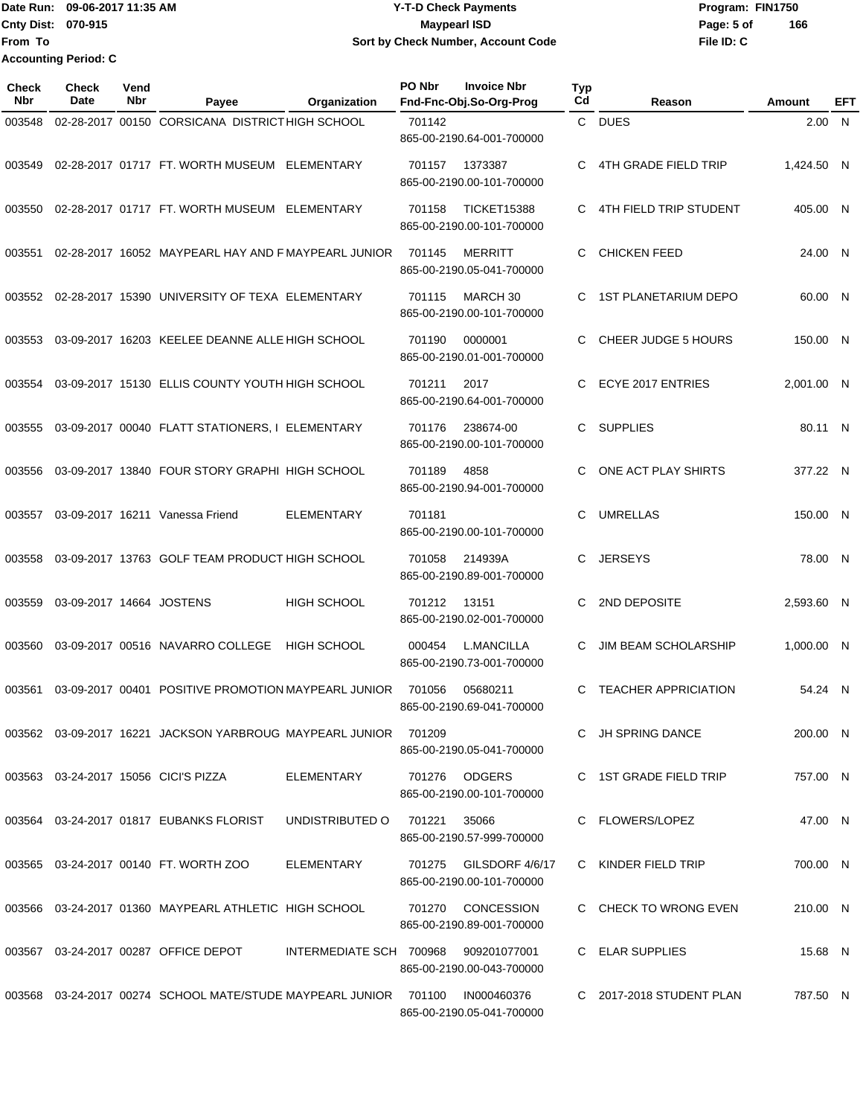Date Run: 09-06-2017 11:35 AM **CONTEX 100 CONTEX 12 T-D** Check Payments **CONTEX 12 T-D Check Payments** Program: FIN1750 **Cnty Dist:** 070-915 **Page:** 5 of **From To 09-06-2017 11:35 AM Y-T-D Check Payments 070-915 Maypearl ISD Sort by Check Number, Account Code Accounting Period: C**

| <b>Check</b><br>Nbr | Check<br><b>Date</b>     | Vend<br>Nbr | Payee                                                                | Organization            | PO Nbr | <b>Invoice Nbr</b><br>Fnd-Fnc-Obj.So-Org-Prog   | <b>Typ</b><br>Cd | Reason                      | Amount     | EFT |
|---------------------|--------------------------|-------------|----------------------------------------------------------------------|-------------------------|--------|-------------------------------------------------|------------------|-----------------------------|------------|-----|
| 003548              |                          |             | 02-28-2017 00150 CORSICANA DISTRICTHIGH SCHOOL                       |                         | 701142 | 865-00-2190.64-001-700000                       |                  | C DUES                      | 2.00 N     |     |
| 003549              |                          |             | 02-28-2017 01717 FT. WORTH MUSEUM                                    | ELEMENTARY              | 701157 | 1373387<br>865-00-2190.00-101-700000            | C                | 4TH GRADE FIELD TRIP        | 1,424.50 N |     |
| 003550              |                          |             | 02-28-2017 01717 FT. WORTH MUSEUM ELEMENTARY                         |                         | 701158 | <b>TICKET15388</b><br>865-00-2190.00-101-700000 | С                | 4TH FIELD TRIP STUDENT      | 405.00 N   |     |
| 003551              |                          |             | 02-28-2017 16052 MAYPEARL HAY AND F MAYPEARL JUNIOR                  |                         | 701145 | <b>MERRITT</b><br>865-00-2190.05-041-700000     | С                | <b>CHICKEN FEED</b>         | 24.00 N    |     |
| 003552              |                          |             | 02-28-2017 15390 UNIVERSITY OF TEXA ELEMENTARY                       |                         | 701115 | MARCH 30<br>865-00-2190.00-101-700000           | C                | <b>1ST PLANETARIUM DEPO</b> | 60.00 N    |     |
| 003553              |                          |             | 03-09-2017 16203 KEELEE DEANNE ALLE HIGH SCHOOL                      |                         | 701190 | 0000001<br>865-00-2190.01-001-700000            |                  | CHEER JUDGE 5 HOURS         | 150.00 N   |     |
| 003554              |                          |             | 03-09-2017 15130 ELLIS COUNTY YOUTH HIGH SCHOOL                      |                         | 701211 | 2017<br>865-00-2190.64-001-700000               | С                | ECYE 2017 ENTRIES           | 2.001.00 N |     |
| 003555              |                          |             | 03-09-2017 00040 FLATT STATIONERS, I ELEMENTARY                      |                         | 701176 | 238674-00<br>865-00-2190.00-101-700000          | C                | <b>SUPPLIES</b>             | 80.11 N    |     |
| 003556              |                          |             | 03-09-2017 13840 FOUR STORY GRAPHI HIGH SCHOOL                       |                         | 701189 | 4858<br>865-00-2190.94-001-700000               | С                | ONE ACT PLAY SHIRTS         | 377.22 N   |     |
| 003557              |                          |             | 03-09-2017 16211 Vanessa Friend                                      | <b>ELEMENTARY</b>       | 701181 | 865-00-2190.00-101-700000                       | С                | <b>UMRELLAS</b>             | 150.00 N   |     |
| 003558              |                          |             | 03-09-2017 13763 GOLF TEAM PRODUCT HIGH SCHOOL                       |                         | 701058 | 214939A<br>865-00-2190.89-001-700000            | С                | <b>JERSEYS</b>              | 78.00 N    |     |
| 003559              | 03-09-2017 14664 JOSTENS |             |                                                                      | <b>HIGH SCHOOL</b>      | 701212 | 13151<br>865-00-2190.02-001-700000              | С                | 2ND DEPOSITE                | 2,593.60 N |     |
| 003560              |                          |             | 03-09-2017 00516 NAVARRO COLLEGE                                     | <b>HIGH SCHOOL</b>      | 000454 | <b>L.MANCILLA</b><br>865-00-2190.73-001-700000  | С                | <b>JIM BEAM SCHOLARSHIP</b> | 1,000.00 N |     |
| 003561              |                          |             | 03-09-2017 00401 POSITIVE PROMOTION MAYPEARL JUNIOR                  |                         | 701056 | 05680211<br>865-00-2190.69-041-700000           | C                | <b>TEACHER APPRICIATION</b> | 54.24 N    |     |
|                     |                          |             | 003562 03-09-2017 16221 JACKSON YARBROUG MAYPEARL JUNIOR             |                         | 701209 | 865-00-2190.05-041-700000                       |                  | C JH SPRING DANCE           | 200.00 N   |     |
|                     |                          |             | 003563 03-24-2017 15056 CICI'S PIZZA                                 | ELEMENTARY              |        | 701276 ODGERS<br>865-00-2190.00-101-700000      |                  | C 1ST GRADE FIELD TRIP      | 757.00 N   |     |
|                     |                          |             | 003564 03-24-2017 01817 EUBANKS FLORIST                              | UNDISTRIBUTED O         | 701221 | 35066<br>865-00-2190.57-999-700000              |                  | C FLOWERS/LOPEZ             | 47.00 N    |     |
|                     |                          |             | 003565 03-24-2017 00140 FT. WORTH ZOO                                | <b>ELEMENTARY</b>       | 701275 | GILSDORF 4/6/17<br>865-00-2190.00-101-700000    |                  | C KINDER FIELD TRIP         | 700.00 N   |     |
|                     |                          |             | 003566 03-24-2017 01360 MAYPEARL ATHLETIC HIGH SCHOOL                |                         |        | 701270 CONCESSION<br>865-00-2190.89-001-700000  |                  | C CHECK TO WRONG EVEN       | 210.00 N   |     |
|                     |                          |             | 003567 03-24-2017 00287 OFFICE DEPOT                                 | INTERMEDIATE SCH 700968 |        | 909201077001<br>865-00-2190.00-043-700000       |                  | C ELAR SUPPLIES             | 15.68 N    |     |
|                     |                          |             | 003568  03-24-2017  00274  SCHOOL MATE/STUDE MAYPEARL JUNIOR  701100 |                         |        | IN000460376<br>865-00-2190.05-041-700000        |                  | C 2017-2018 STUDENT PLAN    | 787.50 N   |     |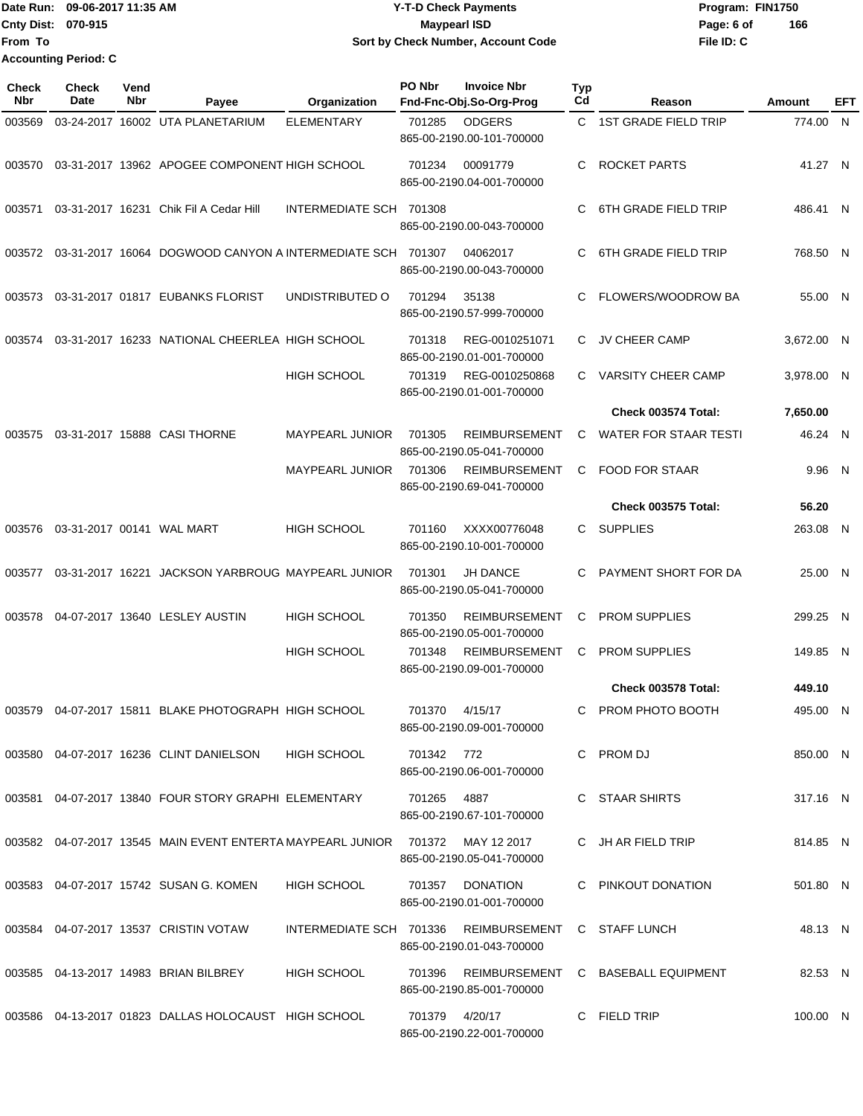|                             | Date Run: 09-06-2017 11:35 AM | Y-T-D Check Payments               | Program: FIN1750 |     |
|-----------------------------|-------------------------------|------------------------------------|------------------|-----|
| <b>Cnty Dist: 070-915</b>   |                               | Maypearl ISD                       | Page: 6 of       | 166 |
| lFrom To                    |                               | Sort by Check Number, Account Code | File ID: C       |     |
| <b>Accounting Period: C</b> |                               |                                    |                  |     |

| Check<br>Nbr | <b>Check</b><br>Date | Vend<br>Nbr | Payee                                                                         | Organization            | PO Nbr         | <b>Invoice Nbr</b><br>Fnd-Fnc-Obj.So-Org-Prog                                    | Typ<br>Cd | Reason                             | Amount     | EFT |
|--------------|----------------------|-------------|-------------------------------------------------------------------------------|-------------------------|----------------|----------------------------------------------------------------------------------|-----------|------------------------------------|------------|-----|
| 003569       |                      |             | 03-24-2017 16002 UTA PLANETARIUM                                              | <b>ELEMENTARY</b>       | 701285         | <b>ODGERS</b><br>865-00-2190.00-101-700000                                       | C.        | <b>1ST GRADE FIELD TRIP</b>        | 774.00 N   |     |
| 003570       |                      |             | 03-31-2017 13962 APOGEE COMPONENT HIGH SCHOOL                                 |                         | 701234         | 00091779<br>865-00-2190.04-001-700000                                            | C         | ROCKET PARTS                       | 41.27 N    |     |
| 003571       |                      |             | 03-31-2017 16231 Chik Fil A Cedar Hill                                        | INTERMEDIATE SCH 701308 |                | 865-00-2190.00-043-700000                                                        | C.        | <b>6TH GRADE FIELD TRIP</b>        | 486.41 N   |     |
| 003572       |                      |             | 03-31-2017 16064 DOGWOOD CANYON A INTERMEDIATE SCH 701307                     |                         |                | 04062017<br>865-00-2190.00-043-700000                                            | C.        | <b>6TH GRADE FIELD TRIP</b>        | 768.50 N   |     |
| 003573       |                      |             | 03-31-2017 01817 EUBANKS FLORIST                                              | UNDISTRIBUTED O         | 701294         | 35138<br>865-00-2190.57-999-700000                                               | C         | FLOWERS/WOODROW BA                 | 55.00 N    |     |
| 003574       |                      |             | 03-31-2017 16233 NATIONAL CHEERLEA HIGH SCHOOL                                |                         | 701318         | REG-0010251071<br>865-00-2190.01-001-700000                                      | C         | <b>JV CHEER CAMP</b>               | 3,672.00 N |     |
|              |                      |             |                                                                               | HIGH SCHOOL             | 701319         | REG-0010250868<br>865-00-2190.01-001-700000                                      | C.        | <b>VARSITY CHEER CAMP</b>          | 3,978.00 N |     |
|              |                      |             |                                                                               |                         |                |                                                                                  |           | Check 003574 Total:                | 7,650.00   |     |
| 003575       |                      |             | 03-31-2017 15888 CASI THORNE                                                  | <b>MAYPEARL JUNIOR</b>  | 701305         | <b>REIMBURSEMENT</b><br>865-00-2190.05-041-700000                                | C         | <b>WATER FOR STAAR TESTI</b>       | 46.24 N    |     |
|              |                      |             |                                                                               | MAYPEARL JUNIOR         | 701306         | <b>REIMBURSEMENT</b><br>865-00-2190.69-041-700000                                | C         | <b>FOOD FOR STAAR</b>              | 9.96 N     |     |
|              |                      |             |                                                                               |                         |                |                                                                                  |           | <b>Check 003575 Total:</b>         | 56.20      |     |
| 003576       |                      |             | 03-31-2017 00141 WAL MART                                                     | HIGH SCHOOL             | 701160         | XXXX00776048<br>865-00-2190.10-001-700000                                        |           | C SUPPLIES                         | 263.08 N   |     |
| 003577       |                      |             | 03-31-2017 16221 JACKSON YARBROUG MAYPEARL JUNIOR                             |                         | 701301         | <b>JH DANCE</b><br>865-00-2190.05-041-700000                                     | C         | PAYMENT SHORT FOR DA               | 25.00 N    |     |
| 003578       |                      |             | 04-07-2017 13640 LESLEY AUSTIN                                                | HIGH SCHOOL             | 701350         | <b>REIMBURSEMENT</b><br>865-00-2190.05-001-700000                                | C         | <b>PROM SUPPLIES</b>               | 299.25 N   |     |
|              |                      |             |                                                                               | HIGH SCHOOL             | 701348         | <b>REIMBURSEMENT</b><br>865-00-2190.09-001-700000                                | C         | <b>PROM SUPPLIES</b>               | 149.85 N   |     |
|              |                      |             |                                                                               |                         |                |                                                                                  |           | Check 003578 Total:                | 449.10     |     |
| 003579       |                      |             | 04-07-2017 15811 BLAKE PHOTOGRAPH HIGH SCHOOL                                 |                         | 701370         | 4/15/17<br>865-00-2190.09-001-700000                                             | C.        | PROM PHOTO BOOTH                   | 495.00 N   |     |
|              |                      |             | 003580 04-07-2017 16236 CLINT DANIELSON                                       | <b>HIGH SCHOOL</b>      | 701342 772     | 865-00-2190.06-001-700000                                                        |           | C PROM DJ                          | 850.00 N   |     |
|              |                      |             | 003581  04-07-2017  13840  FOUR STORY GRAPHI ELEMENTARY                       |                         | 701265 4887    | 865-00-2190.67-101-700000                                                        |           | C STAAR SHIRTS                     | 317.16 N   |     |
|              |                      |             | 003582 04-07-2017 13545 MAIN EVENT ENTERTA MAYPEARL JUNIOR 701372 MAY 12 2017 |                         |                | 865-00-2190.05-041-700000                                                        |           | C JH AR FIELD TRIP                 | 814.85 N   |     |
|              |                      |             | 003583 04-07-2017 15742 SUSAN G. KOMEN                                        | <b>HIGH SCHOOL</b>      |                | 701357 DONATION<br>865-00-2190.01-001-700000                                     |           | C PINKOUT DONATION                 | 501.80 N   |     |
|              |                      |             | 003584 04-07-2017 13537 CRISTIN VOTAW                                         |                         |                | INTERMEDIATE SCH 701336 REIMBURSEMENT C STAFF LUNCH<br>865-00-2190.01-043-700000 |           |                                    | 48.13 N    |     |
|              |                      |             | 003585 04-13-2017 14983 BRIAN BILBREY                                         | HIGH SCHOOL             | 701396         | 865-00-2190.85-001-700000                                                        |           | REIMBURSEMENT C BASEBALL EQUIPMENT | 82.53 N    |     |
|              |                      |             | 003586 04-13-2017 01823 DALLAS HOLOCAUST HIGH SCHOOL                          |                         | 701379 4/20/17 | 865-00-2190.22-001-700000                                                        |           | C FIELD TRIP                       | 100.00 N   |     |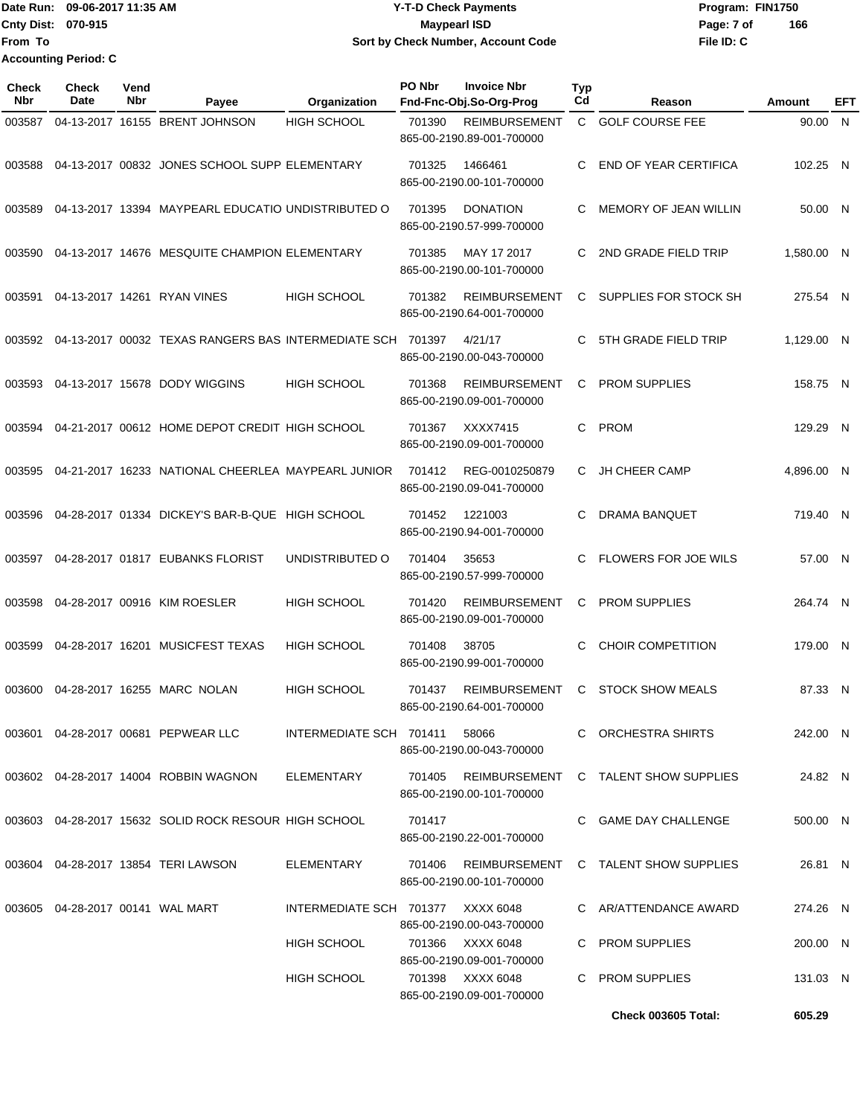Date Run: 09-06-2017 11:35 AM **CONTEX 100 CONTEX 12 T-D** Check Payments **CONTEX 12 T-D Check Payments** Program: FIN1750 **Cnty Dist:** 070-915 **Page: 7 of Page: 7 of MaypearI ISD File ID: C From To 09-06-2017 11:35 AM Y-T-D Check Payments 070-915 Maypearl ISD Sort by Check Number, Account Code Accounting Period: C**

**166**

| <b>Check</b><br><b>Nbr</b> | Check<br>Date                       | Vend<br>Nbr | Payee                                                                 | Organization                      | PO Nbr | <b>Invoice Nbr</b><br>Fnd-Fnc-Obj.So-Org-Prog                              | <b>Typ</b><br>Cd | Reason                               | Amount     | EFT |
|----------------------------|-------------------------------------|-------------|-----------------------------------------------------------------------|-----------------------------------|--------|----------------------------------------------------------------------------|------------------|--------------------------------------|------------|-----|
| 003587                     |                                     |             | 04-13-2017 16155 BRENT JOHNSON                                        | <b>HIGH SCHOOL</b>                | 701390 | <b>REIMBURSEMENT</b><br>865-00-2190.89-001-700000                          |                  | C GOLF COURSE FEE                    | 90.00 N    |     |
| 003588                     |                                     |             | 04-13-2017 00832 JONES SCHOOL SUPP ELEMENTARY                         |                                   | 701325 | 1466461<br>865-00-2190.00-101-700000                                       | C                | <b>END OF YEAR CERTIFICA</b>         | 102.25 N   |     |
| 003589                     |                                     |             | 04-13-2017 13394 MAYPEARL EDUCATIO UNDISTRIBUTED O                    |                                   | 701395 | <b>DONATION</b><br>865-00-2190.57-999-700000                               |                  | MEMORY OF JEAN WILLIN                | 50.00 N    |     |
| 003590                     |                                     |             | 04-13-2017 14676 MESQUITE CHAMPION ELEMENTARY                         |                                   | 701385 | MAY 17 2017<br>865-00-2190.00-101-700000                                   | C                | 2ND GRADE FIELD TRIP                 | 1,580.00 N |     |
| 003591                     |                                     |             | 04-13-2017 14261 RYAN VINES                                           | HIGH SCHOOL                       | 701382 | <b>REIMBURSEMENT</b><br>865-00-2190.64-001-700000                          | C.               | SUPPLIES FOR STOCK SH                | 275.54 N   |     |
|                            |                                     |             | 003592  04-13-2017  00032  TEXAS RANGERS BAS INTERMEDIATE SCH  701397 |                                   |        | 4/21/17<br>865-00-2190.00-043-700000                                       |                  | 5TH GRADE FIELD TRIP                 | 1,129.00 N |     |
| 003593                     |                                     |             | 04-13-2017 15678 DODY WIGGINS                                         | <b>HIGH SCHOOL</b>                | 701368 | <b>REIMBURSEMENT</b><br>865-00-2190.09-001-700000                          | C                | <b>PROM SUPPLIES</b>                 | 158.75 N   |     |
|                            |                                     |             | 003594 04-21-2017 00612 HOME DEPOT CREDIT HIGH SCHOOL                 |                                   | 701367 | XXXX7415<br>865-00-2190.09-001-700000                                      | C                | <b>PROM</b>                          | 129.29 N   |     |
|                            |                                     |             | 003595 04-21-2017 16233 NATIONAL CHEERLEA MAYPEARL JUNIOR             |                                   | 701412 | REG-0010250879<br>865-00-2190.09-041-700000                                | C.               | <b>JH CHEER CAMP</b>                 | 4,896.00 N |     |
| 003596                     |                                     |             | 04-28-2017 01334 DICKEY'S BAR-B-QUE HIGH SCHOOL                       |                                   | 701452 | 1221003<br>865-00-2190.94-001-700000                                       | C                | DRAMA BANQUET                        | 719.40 N   |     |
| 003597                     |                                     |             | 04-28-2017 01817 EUBANKS FLORIST                                      | UNDISTRIBUTED O                   | 701404 | 35653<br>865-00-2190.57-999-700000                                         | C                | <b>FLOWERS FOR JOE WILS</b>          | 57.00 N    |     |
| 003598                     |                                     |             | 04-28-2017 00916 KIM ROESLER                                          | HIGH SCHOOL                       | 701420 | <b>REIMBURSEMENT</b><br>865-00-2190.09-001-700000                          | C                | <b>PROM SUPPLIES</b>                 | 264.74 N   |     |
| 003599                     |                                     |             | 04-28-2017 16201 MUSICFEST TEXAS                                      | HIGH SCHOOL                       | 701408 | 38705<br>865-00-2190.99-001-700000                                         | C                | <b>CHOIR COMPETITION</b>             | 179.00 N   |     |
| 003600                     |                                     |             | 04-28-2017 16255 MARC NOLAN                                           | <b>HIGH SCHOOL</b>                | 701437 | <b>REIMBURSEMENT</b><br>865-00-2190.64-001-700000                          | C                | <b>STOCK SHOW MEALS</b>              | 87.33 N    |     |
|                            |                                     |             | 003601 04-28-2017 00681 PEPWEAR LLC                                   | INTERMEDIATE SCH 701411           |        | 58066<br>865-00-2190.00-043-700000                                         |                  | C ORCHESTRA SHIRTS                   | 242.00 N   |     |
|                            |                                     |             | 003602 04-28-2017 14004 ROBBIN WAGNON                                 | ELEMENTARY                        | 701405 | 865-00-2190.00-101-700000                                                  |                  | REIMBURSEMENT C TALENT SHOW SUPPLIES | 24.82 N    |     |
|                            |                                     |             | 003603 04-28-2017 15632 SOLID ROCK RESOUR HIGH SCHOOL                 |                                   | 701417 | 865-00-2190.22-001-700000                                                  |                  | C GAME DAY CHALLENGE                 | 500.00 N   |     |
|                            |                                     |             | 003604 04-28-2017 13854 TERI LAWSON                                   | ELEMENTARY                        | 701406 | REIMBURSEMENT<br>865-00-2190.00-101-700000                                 |                  | C TALENT SHOW SUPPLIES               | 26.81 N    |     |
|                            | 003605  04-28-2017  00141  WAL MART |             |                                                                       | INTERMEDIATE SCH 701377 XXXX 6048 |        |                                                                            |                  | C AR/ATTENDANCE AWARD                | 274.26 N   |     |
|                            |                                     |             |                                                                       | HIGH SCHOOL                       |        | 865-00-2190.00-043-700000<br>701366 XXXX 6048                              |                  | C PROM SUPPLIES                      | 200.00 N   |     |
|                            |                                     |             |                                                                       | HIGH SCHOOL                       |        | 865-00-2190.09-001-700000<br>701398 XXXX 6048<br>865-00-2190.09-001-700000 |                  | C PROM SUPPLIES                      | 131.03 N   |     |
|                            |                                     |             |                                                                       |                                   |        |                                                                            |                  | <b>Check 003605 Total:</b>           | 605.29     |     |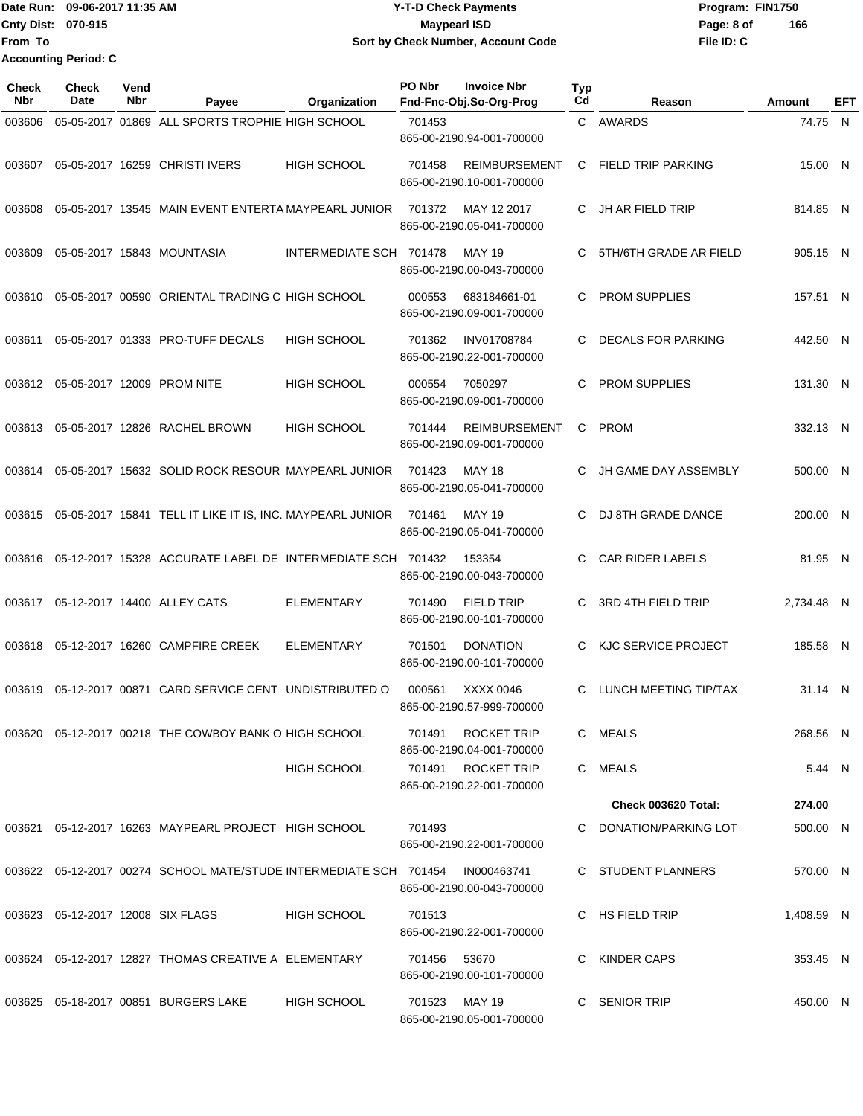|                             | Date Run: 09-06-2017 11:35 AM | <b>Y-T-D Check Payments</b>        | Program: FIN1750  |  |  |  |
|-----------------------------|-------------------------------|------------------------------------|-------------------|--|--|--|
| <b>Cnty Dist: 070-915</b>   |                               | <b>Maypearl ISD</b>                | 166<br>Page: 8 of |  |  |  |
| lFrom To                    |                               | Sort by Check Number, Account Code | File ID: C        |  |  |  |
| <b>Accounting Period: C</b> |                               |                                    |                   |  |  |  |

| <b>Check</b><br><b>Nbr</b> | Check<br>Date                     | Vend<br>Nbr | Payee                                                                         | Organization            | PO Nbr | <b>Invoice Nbr</b><br>Fnd-Fnc-Obj.So-Org-Prog     | <b>Typ</b><br>Cd | Reason                    | Amount     | EFT |
|----------------------------|-----------------------------------|-------------|-------------------------------------------------------------------------------|-------------------------|--------|---------------------------------------------------|------------------|---------------------------|------------|-----|
| 003606                     |                                   |             | 05-05-2017 01869 ALL SPORTS TROPHIE HIGH SCHOOL                               |                         | 701453 | 865-00-2190.94-001-700000                         |                  | C AWARDS                  | 74.75 N    |     |
| 003607                     |                                   |             | 05-05-2017 16259 CHRISTI IVERS                                                | <b>HIGH SCHOOL</b>      | 701458 | <b>REIMBURSEMENT</b><br>865-00-2190.10-001-700000 | C.               | <b>FIELD TRIP PARKING</b> | 15.00 N    |     |
| 003608                     |                                   |             | 05-05-2017 13545 MAIN EVENT ENTERTA MAYPEARL JUNIOR                           |                         | 701372 | MAY 12 2017<br>865-00-2190.05-041-700000          | C                | <b>JH AR FIELD TRIP</b>   | 814.85 N   |     |
| 003609                     |                                   |             | 05-05-2017 15843 MOUNTASIA                                                    | INTERMEDIATE SCH 701478 |        | MAY 19<br>865-00-2190.00-043-700000               | C                | 5TH/6TH GRADE AR FIELD    | 905.15 N   |     |
| 003610                     |                                   |             | 05-05-2017 00590 ORIENTAL TRADING C HIGH SCHOOL                               |                         | 000553 | 683184661-01<br>865-00-2190.09-001-700000         | C                | <b>PROM SUPPLIES</b>      | 157.51 N   |     |
| 003611                     |                                   |             | 05-05-2017 01333 PRO-TUFF DECALS                                              | <b>HIGH SCHOOL</b>      | 701362 | <b>INV01708784</b><br>865-00-2190.22-001-700000   | C.               | <b>DECALS FOR PARKING</b> | 442.50 N   |     |
| 003612                     |                                   |             | 05-05-2017 12009 PROM NITE                                                    | <b>HIGH SCHOOL</b>      | 000554 | 7050297<br>865-00-2190.09-001-700000              | C                | <b>PROM SUPPLIES</b>      | 131.30 N   |     |
| 003613                     |                                   |             | 05-05-2017 12826 RACHEL BROWN                                                 | <b>HIGH SCHOOL</b>      | 701444 | <b>REIMBURSEMENT</b><br>865-00-2190.09-001-700000 | C                | <b>PROM</b>               | 332.13 N   |     |
| 003614                     |                                   |             | 05-05-2017 15632 SOLID ROCK RESOUR MAYPEARL JUNIOR                            |                         | 701423 | <b>MAY 18</b><br>865-00-2190.05-041-700000        | C.               | JH GAME DAY ASSEMBLY      | 500.00 N   |     |
| 003615                     |                                   |             | 05-05-2017 15841 TELL IT LIKE IT IS, INC. MAYPEARL JUNIOR                     |                         | 701461 | <b>MAY 19</b><br>865-00-2190.05-041-700000        | C                | DJ 8TH GRADE DANCE        | 200.00 N   |     |
| 003616                     |                                   |             | 05-12-2017 15328 ACCURATE LABEL DE INTERMEDIATE SCH 701432                    |                         |        | 153354<br>865-00-2190.00-043-700000               | C.               | <b>CAR RIDER LABELS</b>   | 81.95 N    |     |
| 003617                     |                                   |             | 05-12-2017 14400 ALLEY CATS                                                   | <b>ELEMENTARY</b>       | 701490 | <b>FIELD TRIP</b><br>865-00-2190.00-101-700000    | C                | 3RD 4TH FIELD TRIP        | 2,734.48 N |     |
| 003618                     |                                   |             | 05-12-2017 16260 CAMPFIRE CREEK                                               | <b>ELEMENTARY</b>       | 701501 | <b>DONATION</b><br>865-00-2190.00-101-700000      | C                | KJC SERVICE PROJECT       | 185.58 N   |     |
| 003619                     |                                   |             | 05-12-2017 00871 CARD SERVICE CENT UNDISTRIBUTED O                            |                         | 000561 | XXXX 0046<br>865-00-2190.57-999-700000            | C                | LUNCH MEETING TIP/TAX     | 31.14 N    |     |
|                            |                                   |             | 003620 05-12-2017 00218 THE COWBOY BANK O HIGH SCHOOL                         |                         | 701491 | <b>ROCKET TRIP</b><br>865-00-2190.04-001-700000   |                  | C MEALS                   | 268.56 N   |     |
|                            |                                   |             |                                                                               | <b>HIGH SCHOOL</b>      |        | 701491 ROCKET TRIP<br>865-00-2190.22-001-700000   |                  | C MEALS                   | 5.44 N     |     |
|                            |                                   |             |                                                                               |                         |        |                                                   |                  | Check 003620 Total:       | 274.00     |     |
|                            |                                   |             | 003621  05-12-2017  16263  MAYPEARL PROJECT  HIGH SCHOOL                      |                         | 701493 | 865-00-2190.22-001-700000                         |                  | C DONATION/PARKING LOT    | 500.00 N   |     |
|                            |                                   |             | 003622 05-12-2017 00274 SCHOOL MATE/STUDE INTERMEDIATE SCH 701454 IN000463741 |                         |        | 865-00-2190.00-043-700000                         |                  | C STUDENT PLANNERS        | 570.00 N   |     |
|                            | 003623 05-12-2017 12008 SIX FLAGS |             |                                                                               | <b>HIGH SCHOOL</b>      | 701513 | 865-00-2190.22-001-700000                         |                  | C HS FIELD TRIP           | 1,408.59 N |     |
|                            |                                   |             | 003624 05-12-2017 12827 THOMAS CREATIVE A ELEMENTARY                          |                         | 701456 | 53670<br>865-00-2190.00-101-700000                |                  | C KINDER CAPS             | 353.45 N   |     |
|                            |                                   |             | 003625 05-18-2017 00851 BURGERS LAKE                                          | <b>HIGH SCHOOL</b>      |        | 701523 MAY 19<br>865-00-2190.05-001-700000        |                  | C SENIOR TRIP             | 450.00 N   |     |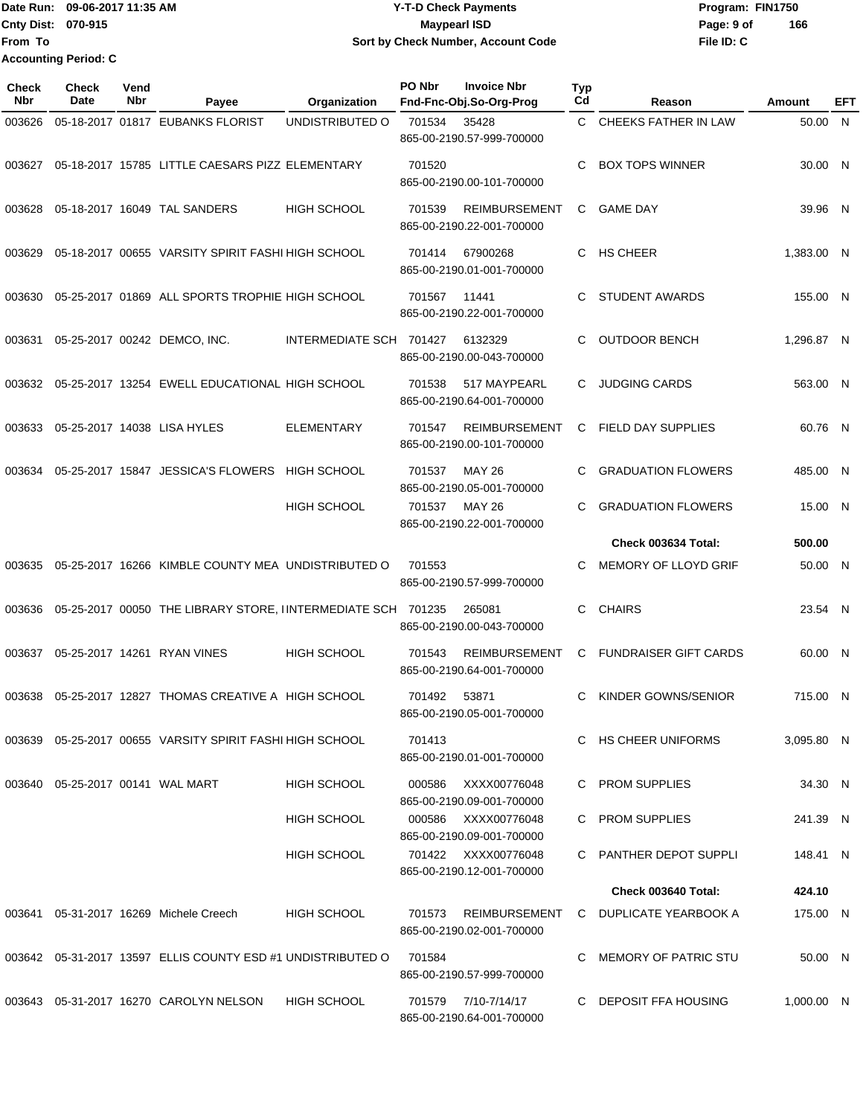**Date Run: Program: FIN1750 Cnty Dist: Page: 9 of File ID: C From To 09-06-2017 11:35 AM Y-T-D Check Payments 070-915 Maypearl ISD Sort by Check Number, Account Code Accounting Period: C**

**166**

1,000.00 N

**Check Nbr Check Date Reason Fnd-Fnc-Obj.So-Org-Prog Typ Reason Amount Vend Payee Organization PO Nbr Invoice Nbr EFT** 003626 05-18-2017 01817 EUBANKS FLORIST UNDISTRIBUTED O 701534 35428 C CHEEKS FATHER IN LAW 50.00 865-00-2190.57-999-700000 N 003627 05-18-2017 15785 LITTLE CAESARS PIZZ ELEMENTARY 701520 C BOX TOPS WINNER 865-00-2190.00-101-700000  $30,00$  N 003628 05-18-2017 16049 TAL SANDERS HIGH SCHOOL 701539 REIMBURSEMENT C GAME DAY 39.96 865-00-2190.22-001-700000 N 003629 05-18-2017 00655 VARSITY SPIRIT FASHI HIGH SCHOOL 701414 67900268 C HS CHEER 16-1,383.00 865-00-2190.01-001-700000 N 003630 05-25-2017 01869 ALL SPORTS TROPHIE HIGH SCHOOL 701567 11441 C STUDENT AWARDS 155.00 865-00-2190.22-001-700000 N 003631 05-25-2017 00242 DEMCO, INC. INTERMEDIATE SCH 701427 6132329 C OUTDOOR BENCH 1,296.87 865-00-2190.00-043-700000 N 003632 05-25-2017 13254 EWELL EDUCATIONAL HIGH SCHOOL 701538 517 MAYPEARL C JUDGING CARDS 563.00 865-00-2190.64-001-700000 N 003633 05-25-2017 14038 LISA HYLES ELEMENTARY 701547 REIMBURSEMENT C FIELD DAY SUPPLIES 865-00-2190.00-101-700000 60.76 N 003634 05-25-2017 15847 JESSICA'S FLOWERS HIGH SCHOOL 701537 MAY 26 C GRADUATION FLOWERS 485.00 865-00-2190.05-001-700000 N HIGH SCHOOL 701537 MAY 26 C GRADUATION FLOWERS 15.00 865-00-2190.22-001-700000 N **Check 003634 Total: 500.00** 003635 05-25-2017 16266 KIMBLE COUNTY MEA UNDISTRIBUTED O 701553 C MEMORY OF LLOYD GRIF 50.00 865-00-2190.57-999-700000 N 003636 05-25-2017 00050 THE LIBRARY STORE, IINTERMEDIATE SCH 701235 265081 C CHAIRS 23.54 865-00-2190.00-043-700000 N 003637 05-25-2017 14261 RYAN VINES HIGH SCHOOL 701543 REIMBURSEMENT C FUNDRAISER GIFT CARDS 60.00 865-00-2190.64-001-700000 N 003638 05-25-2017 12827 THOMAS CREATIVE A HIGH SCHOOL 701492 53871 C KINDER GOWNS/SENIOR 715.00 865-00-2190.05-001-700000 N 003639 05-25-2017 00655 VARSITY SPIRIT FASHI HIGH SCHOOL 701413 C HS CHEER UNIFORMS 3,095.80 865-00-2190.01-001-700000 N 003640 05-25-2017 00141 WAL MART HIGH SCHOOL 000586 XXXX00776048 C PROM SUPPLIES 34.30 865-00-2190.09-001-700000 N HIGH SCHOOL 000586 XXXX00776048 C PROM SUPPLIES 241.39 865-00-2190.09-001-700000 N HIGH SCHOOL 701422 XXXX00776048 C PANTHER DEPOT SUPPLI 865-00-2190.12-001-700000 148.41 N **Check 003640 Total: 424.10** 003641 05-31-2017 16269 Michele Creech HIGH SCHOOL 701573 REIMBURSEMENT C DUPLICATE YEARBOOK A 865-00-2190.02-001-700000 175.00 N N

003642 05-31-2017 13597 ELLIS COUNTY ESD #1 UNDISTRIBUTED O 701584 C MEMORY OF PATRIC STU 50.00 865-00-2190.57-999-700000

003643 05-31-2017 16270 CAROLYN NELSON HIGH SCHOOL 701579 7/10-7/14/17 C DEPOSIT FFA HOUSING 865-00-2190.64-001-700000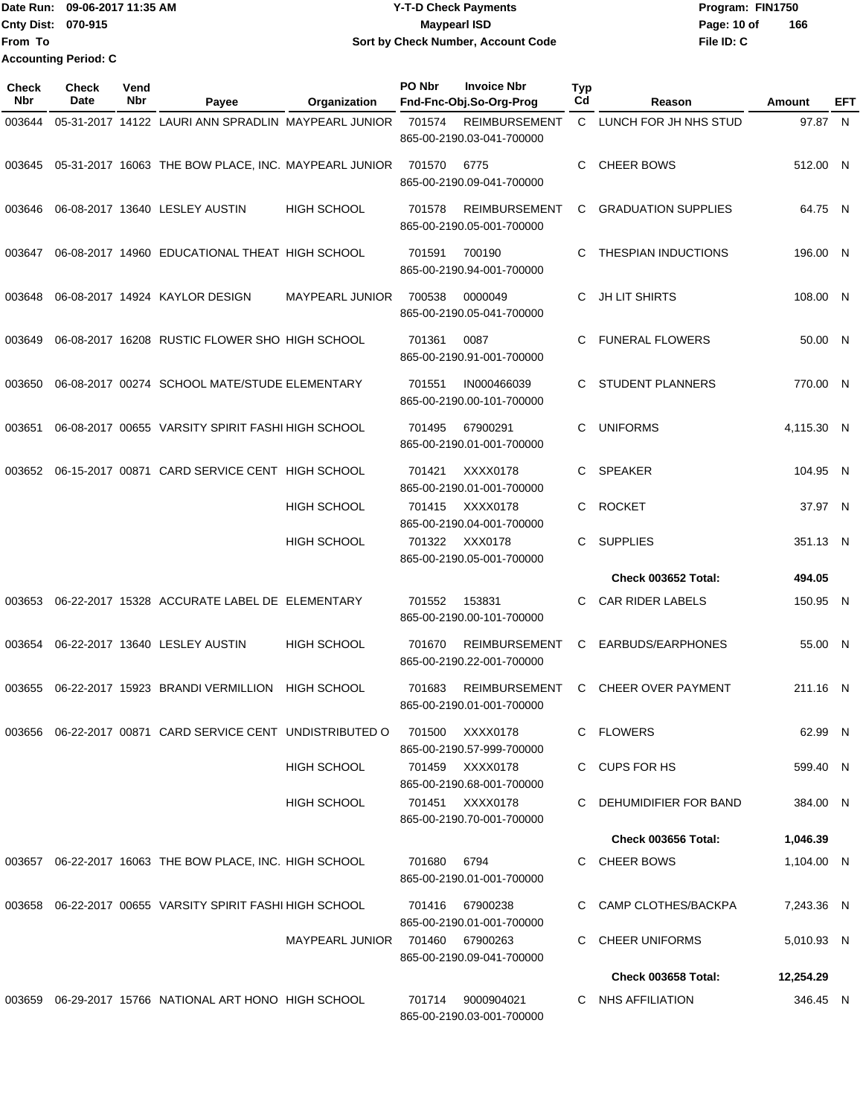Date Run: 09-06-2017 11:35 AM **CONTEX 100 CONTEX 11:35 AM** Y-T-D Check Payments **CONTEX 12:35 AM** Program: FIN1750 **Cnty Dist:** 070-915 **Page: 10 of** Maypearl ISD **CONTEX Page: 10 of** Maypearl ISD **File ID: C From To 09-06-2017 11:35 AM Y-T-D Check Payments 070-915 Maypearl ISD Sort by Check Number, Account Code 166 Accounting Period: C**

| <b>Check</b><br><b>Nbr</b> | <b>Check</b><br>Date | Vend<br>Nbr | Payee                                                            | Organization       | PO Nbr | <b>Invoice Nbr</b><br>Fnd-Fnc-Obj.So-Org-Prog     | <b>Typ</b><br>Cd | Reason                     | Amount     | EFT |
|----------------------------|----------------------|-------------|------------------------------------------------------------------|--------------------|--------|---------------------------------------------------|------------------|----------------------------|------------|-----|
| 003644                     |                      |             | 05-31-2017 14122 LAURI ANN SPRADLIN MAYPEARL JUNIOR              |                    | 701574 | <b>REIMBURSEMENT</b><br>865-00-2190.03-041-700000 | C.               | LUNCH FOR JH NHS STUD      | 97.87 N    |     |
| 003645                     |                      |             | 05-31-2017 16063 THE BOW PLACE, INC. MAYPEARL JUNIOR             |                    | 701570 | 6775<br>865-00-2190.09-041-700000                 | C                | <b>CHEER BOWS</b>          | 512.00 N   |     |
| 003646                     |                      |             | 06-08-2017 13640 LESLEY AUSTIN                                   | <b>HIGH SCHOOL</b> | 701578 | <b>REIMBURSEMENT</b><br>865-00-2190.05-001-700000 | C                | <b>GRADUATION SUPPLIES</b> | 64.75 N    |     |
| 003647                     |                      |             | 06-08-2017 14960 EDUCATIONAL THEAT HIGH SCHOOL                   |                    | 701591 | 700190<br>865-00-2190.94-001-700000               | C                | THESPIAN INDUCTIONS        | 196.00 N   |     |
| 003648                     |                      |             | 06-08-2017 14924 KAYLOR DESIGN                                   | MAYPEARL JUNIOR    | 700538 | 0000049<br>865-00-2190.05-041-700000              | C                | <b>JH LIT SHIRTS</b>       | 108.00 N   |     |
| 003649                     |                      |             | 06-08-2017 16208 RUSTIC FLOWER SHO HIGH SCHOOL                   |                    | 701361 | 0087<br>865-00-2190.91-001-700000                 | C.               | <b>FUNERAL FLOWERS</b>     | 50.00 N    |     |
| 003650                     |                      |             | 06-08-2017 00274 SCHOOL MATE/STUDE ELEMENTARY                    |                    | 701551 | IN000466039<br>865-00-2190.00-101-700000          | C.               | <b>STUDENT PLANNERS</b>    | 770.00 N   |     |
| 003651                     |                      |             | 06-08-2017 00655 VARSITY SPIRIT FASHI HIGH SCHOOL                |                    | 701495 | 67900291<br>865-00-2190.01-001-700000             | C                | <b>UNIFORMS</b>            | 4,115.30 N |     |
| 003652                     |                      |             | 06-15-2017 00871 CARD SERVICE CENT HIGH SCHOOL                   |                    | 701421 | XXXX0178<br>865-00-2190.01-001-700000             | C                | <b>SPEAKER</b>             | 104.95 N   |     |
|                            |                      |             |                                                                  | <b>HIGH SCHOOL</b> | 701415 | XXXX0178<br>865-00-2190.04-001-700000             | C                | <b>ROCKET</b>              | 37.97 N    |     |
|                            |                      |             |                                                                  | <b>HIGH SCHOOL</b> | 701322 | XXX0178<br>865-00-2190.05-001-700000              | C.               | <b>SUPPLIES</b>            | 351.13 N   |     |
|                            |                      |             |                                                                  |                    |        |                                                   |                  | Check 003652 Total:        | 494.05     |     |
| 003653                     |                      |             | 06-22-2017 15328 ACCURATE LABEL DE ELEMENTARY                    |                    | 701552 | 153831<br>865-00-2190.00-101-700000               | C.               | <b>CAR RIDER LABELS</b>    | 150.95 N   |     |
| 003654                     |                      |             | 06-22-2017 13640 LESLEY AUSTIN                                   | <b>HIGH SCHOOL</b> | 701670 | <b>REIMBURSEMENT</b><br>865-00-2190.22-001-700000 | C                | EARBUDS/EARPHONES          | 55.00 N    |     |
| 003655                     |                      |             | 06-22-2017 15923 BRANDI VERMILLION                               | <b>HIGH SCHOOL</b> | 701683 | <b>REIMBURSEMENT</b><br>865-00-2190.01-001-700000 | C.               | <b>CHEER OVER PAYMENT</b>  | 211.16 N   |     |
|                            |                      |             | 003656  06-22-2017  00871  CARD SERVICE CENT  UNDISTRIBUTED    O |                    | 701500 | XXXX0178<br>865-00-2190.57-999-700000             |                  | C FLOWERS                  | 62.99 N    |     |
|                            |                      |             |                                                                  | HIGH SCHOOL        |        | 701459 XXXX0178<br>865-00-2190.68-001-700000      |                  | C CUPS FOR HS              | 599.40 N   |     |
|                            |                      |             |                                                                  | <b>HIGH SCHOOL</b> |        | 701451 XXXX0178<br>865-00-2190.70-001-700000      |                  | C DEHUMIDIFIER FOR BAND    | 384.00 N   |     |
|                            |                      |             |                                                                  |                    |        |                                                   |                  | Check 003656 Total:        | 1,046.39   |     |
|                            |                      |             | 003657  06-22-2017  16063  THE BOW PLACE, INC. HIGH SCHOOL       |                    | 701680 | 6794<br>865-00-2190.01-001-700000                 |                  | C CHEER BOWS               | 1,104.00 N |     |
|                            |                      |             | 003658 06-22-2017 00655 VARSITY SPIRIT FASHI HIGH SCHOOL         |                    | 701416 | 67900238<br>865-00-2190.01-001-700000             |                  | C CAMP CLOTHES/BACKPA      | 7,243.36 N |     |
|                            |                      |             |                                                                  | MAYPEARL JUNIOR    | 701460 | 67900263<br>865-00-2190.09-041-700000             |                  | C CHEER UNIFORMS           | 5,010.93 N |     |
|                            |                      |             |                                                                  |                    |        |                                                   |                  | <b>Check 003658 Total:</b> | 12,254.29  |     |
|                            |                      |             |                                                                  |                    | 701714 | 9000904021<br>865-00-2190.03-001-700000           |                  | C NHS AFFILIATION          | 346.45 N   |     |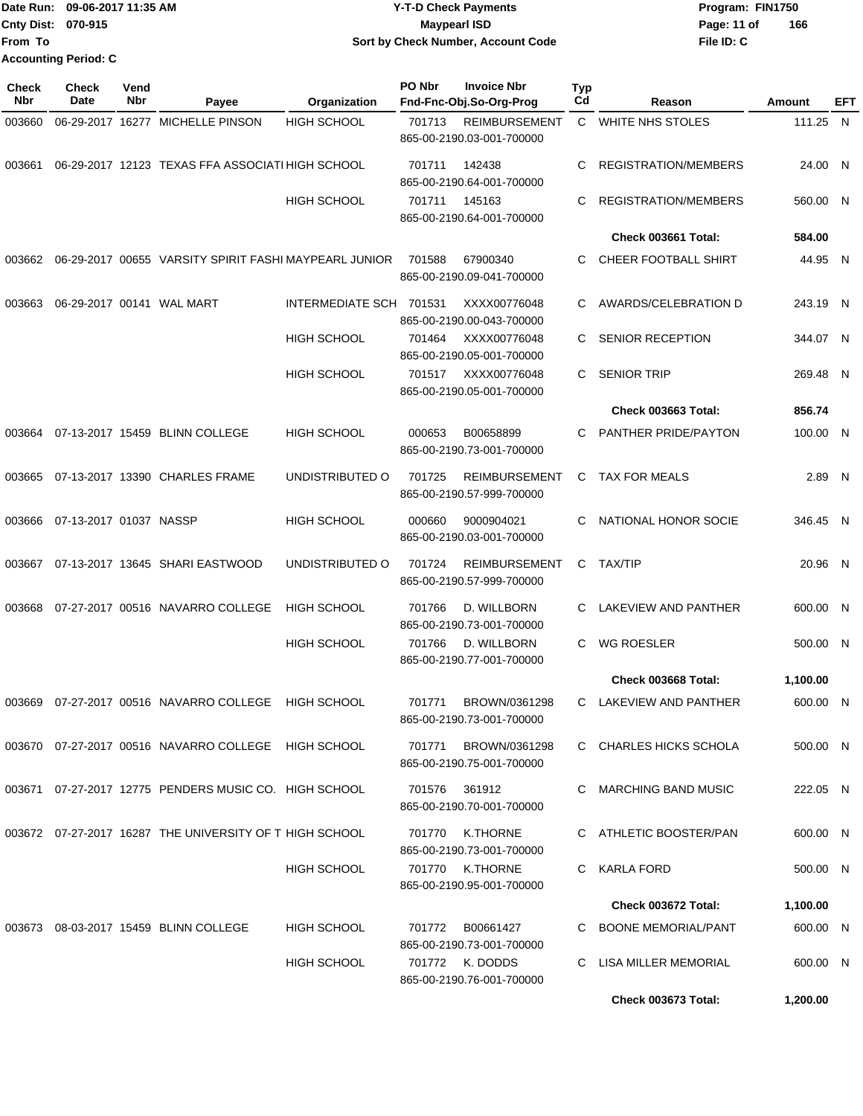| Date Run:                 | 09-06-2017 11:35 AM         | <b>Y-T-D Check Payments</b>        | Program: FIN1750   |
|---------------------------|-----------------------------|------------------------------------|--------------------|
| <b>Cnty Dist: 070-915</b> |                             | <b>Mavpearl ISD</b>                | 166<br>Page: 11 of |
| lFrom To                  |                             | Sort by Check Number, Account Code | File ID: C         |
|                           | <b>Accounting Period: C</b> |                                    |                    |

| <b>Check</b><br>Nbr | Check<br>Date          | Vend<br>Nbr | Payee                                                  | Organization            | PO Nbr | <b>Invoice Nbr</b><br>Fnd-Fnc-Obj.So-Org-Prog     | <b>Typ</b><br>Cd | Reason                     | Amount   | EFT |
|---------------------|------------------------|-------------|--------------------------------------------------------|-------------------------|--------|---------------------------------------------------|------------------|----------------------------|----------|-----|
| 003660              |                        |             | 06-29-2017 16277 MICHELLE PINSON                       | HIGH SCHOOL             | 701713 | <b>REIMBURSEMENT</b><br>865-00-2190.03-001-700000 | $\mathsf{C}$     | <b>WHITE NHS STOLES</b>    | 111.25 N |     |
| 003661              |                        |             | 06-29-2017 12123 TEXAS FFA ASSOCIATI HIGH SCHOOL       |                         | 701711 | 142438<br>865-00-2190.64-001-700000               | C                | REGISTRATION/MEMBERS       | 24.00 N  |     |
|                     |                        |             |                                                        | HIGH SCHOOL             | 701711 | 145163<br>865-00-2190.64-001-700000               | C                | REGISTRATION/MEMBERS       | 560.00 N |     |
|                     |                        |             |                                                        |                         |        |                                                   |                  | Check 003661 Total:        | 584.00   |     |
| 003662              |                        |             | 06-29-2017 00655 VARSITY SPIRIT FASHI MAYPEARL JUNIOR  |                         | 701588 | 67900340<br>865-00-2190.09-041-700000             | С                | CHEER FOOTBALL SHIRT       | 44.95 N  |     |
| 003663              |                        |             | 06-29-2017 00141 WAL MART                              | <b>INTERMEDIATE SCH</b> | 701531 | XXXX00776048<br>865-00-2190.00-043-700000         | C                | AWARDS/CELEBRATION D       | 243.19 N |     |
|                     |                        |             |                                                        | HIGH SCHOOL             | 701464 | XXXX00776048<br>865-00-2190.05-001-700000         | C                | SENIOR RECEPTION           | 344.07 N |     |
|                     |                        |             |                                                        | HIGH SCHOOL             | 701517 | XXXX00776048<br>865-00-2190.05-001-700000         | C                | <b>SENIOR TRIP</b>         | 269.48 N |     |
|                     |                        |             |                                                        |                         |        |                                                   |                  | Check 003663 Total:        | 856.74   |     |
|                     |                        |             | 003664 07-13-2017 15459 BLINN COLLEGE                  | HIGH SCHOOL             | 000653 | B00658899<br>865-00-2190.73-001-700000            | C                | PANTHER PRIDE/PAYTON       | 100.00 N |     |
| 003665              |                        |             | 07-13-2017 13390 CHARLES FRAME                         | UNDISTRIBUTED O         | 701725 | <b>REIMBURSEMENT</b><br>865-00-2190.57-999-700000 | C.               | <b>TAX FOR MEALS</b>       | 2.89 N   |     |
| 003666              | 07-13-2017 01037 NASSP |             |                                                        | HIGH SCHOOL             | 000660 | 9000904021<br>865-00-2190.03-001-700000           | C                | NATIONAL HONOR SOCIE       | 346.45 N |     |
| 003667              |                        |             | 07-13-2017 13645 SHARI EASTWOOD                        | UNDISTRIBUTED O         | 701724 | <b>REIMBURSEMENT</b><br>865-00-2190.57-999-700000 | C.               | <b>TAX/TIP</b>             | 20.96 N  |     |
| 003668              |                        |             | 07-27-2017 00516 NAVARRO COLLEGE                       | <b>HIGH SCHOOL</b>      | 701766 | D. WILLBORN<br>865-00-2190.73-001-700000          | C                | LAKEVIEW AND PANTHER       | 600.00 N |     |
|                     |                        |             |                                                        | HIGH SCHOOL             | 701766 | D. WILLBORN<br>865-00-2190.77-001-700000          | C                | <b>WG ROESLER</b>          | 500.00 N |     |
|                     |                        |             |                                                        |                         |        |                                                   |                  | Check 003668 Total:        | 1,100.00 |     |
| 003669              |                        |             | 07-27-2017 00516 NAVARRO COLLEGE                       | <b>HIGH SCHOOL</b>      | 701771 | BROWN/0361298<br>865-00-2190.73-001-700000        | C                | LAKEVIEW AND PANTHER       | 600.00 N |     |
|                     |                        |             | 003670 07-27-2017 00516 NAVARRO COLLEGE HIGH SCHOOL    |                         | 701771 | BROWN/0361298<br>865-00-2190.75-001-700000        |                  | C CHARLES HICKS SCHOLA     | 500.00 N |     |
|                     |                        |             | 003671 07-27-2017 12775 PENDERS MUSIC CO. HIGH SCHOOL  |                         | 701576 | 361912<br>865-00-2190.70-001-700000               |                  | C MARCHING BAND MUSIC      | 222.05 N |     |
|                     |                        |             | 003672 07-27-2017 16287 THE UNIVERSITY OF THIGH SCHOOL |                         | 701770 | K.THORNE<br>865-00-2190.73-001-700000             |                  | C ATHLETIC BOOSTER/PAN     | 600.00 N |     |
|                     |                        |             |                                                        | HIGH SCHOOL             |        | 701770 K.THORNE<br>865-00-2190.95-001-700000      |                  | C KARLA FORD               | 500.00 N |     |
|                     |                        |             |                                                        |                         |        |                                                   |                  | Check 003672 Total:        | 1,100.00 |     |
|                     |                        |             | 003673 08-03-2017 15459 BLINN COLLEGE                  | <b>HIGH SCHOOL</b>      | 701772 | B00661427<br>865-00-2190.73-001-700000            |                  | C BOONE MEMORIAL/PANT      | 600.00 N |     |
|                     |                        |             |                                                        | HIGH SCHOOL             |        | 701772 K. DODDS<br>865-00-2190.76-001-700000      | C.               | LISA MILLER MEMORIAL       | 600.00 N |     |
|                     |                        |             |                                                        |                         |        |                                                   |                  | <b>Check 003673 Total:</b> | 1,200.00 |     |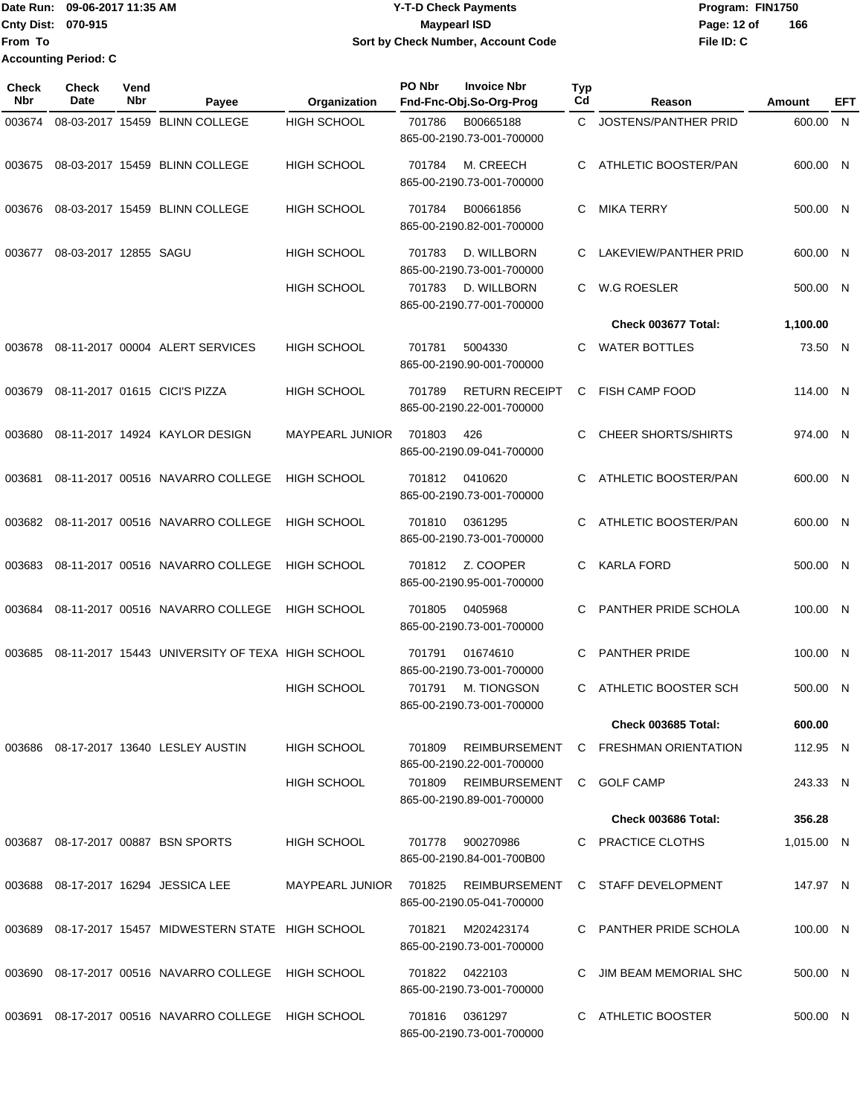**From To Accounting Period: C**

#### Date Run: 09-06-2017 11:35 AM **CONTEX 100 CONTEX 12 T-D** Check Payments **CONTEX 12 T-D Check Payments** Program: FIN1750 **Cnty Dist:** 070-915 **Page: 12 of** Maypearl ISD **CONTEX 12 of** Maypearl ISD **09-06-2017 11:35 AM Y-T-D Check Payments 070-915 Maypearl ISD Sort by Check Number, Account Code**

| Check<br><b>Nbr</b> | <b>Check</b><br>Date  | Vend<br>Nbr | Payee                                           | Organization           | PO Nbr         | <b>Invoice Nbr</b><br>Fnd-Fnc-Obj.So-Org-Prog      | Typ<br>Cd | Reason                      | <b>Amount</b> | EFT |
|---------------------|-----------------------|-------------|-------------------------------------------------|------------------------|----------------|----------------------------------------------------|-----------|-----------------------------|---------------|-----|
| 003674              |                       |             | 08-03-2017 15459 BLINN COLLEGE                  | <b>HIGH SCHOOL</b>     | 701786         | B00665188<br>865-00-2190.73-001-700000             | C         | <b>JOSTENS/PANTHER PRID</b> | 600.00 N      |     |
| 003675              |                       |             | 08-03-2017 15459 BLINN COLLEGE                  | <b>HIGH SCHOOL</b>     | 701784         | M. CREECH<br>865-00-2190.73-001-700000             | C         | ATHLETIC BOOSTER/PAN        | 600.00 N      |     |
| 003676              |                       |             | 08-03-2017 15459 BLINN COLLEGE                  | HIGH SCHOOL            | 701784         | B00661856<br>865-00-2190.82-001-700000             | C         | <b>MIKA TERRY</b>           | 500.00 N      |     |
| 003677              | 08-03-2017 12855 SAGU |             |                                                 | <b>HIGH SCHOOL</b>     | 701783         | D. WILLBORN<br>865-00-2190.73-001-700000           | C         | LAKEVIEW/PANTHER PRID       | 600.00 N      |     |
|                     |                       |             |                                                 | <b>HIGH SCHOOL</b>     | 701783         | D. WILLBORN<br>865-00-2190.77-001-700000           | C.        | <b>W.G ROESLER</b>          | 500.00 N      |     |
|                     |                       |             |                                                 |                        |                |                                                    |           | Check 003677 Total:         | 1,100.00      |     |
| 003678              |                       |             | 08-11-2017 00004 ALERT SERVICES                 | <b>HIGH SCHOOL</b>     | 701781         | 5004330<br>865-00-2190.90-001-700000               | C         | <b>WATER BOTTLES</b>        | 73.50 N       |     |
| 003679              |                       |             | 08-11-2017 01615 CICI'S PIZZA                   | <b>HIGH SCHOOL</b>     | 701789         | <b>RETURN RECEIPT</b><br>865-00-2190.22-001-700000 | C         | <b>FISH CAMP FOOD</b>       | 114.00 N      |     |
| 003680              |                       |             | 08-11-2017 14924 KAYLOR DESIGN                  | MAYPEARL JUNIOR        | 701803         | 426<br>865-00-2190.09-041-700000                   | C         | <b>CHEER SHORTS/SHIRTS</b>  | 974.00 N      |     |
| 003681              |                       |             | 08-11-2017 00516 NAVARRO COLLEGE                | <b>HIGH SCHOOL</b>     | 701812         | 0410620<br>865-00-2190.73-001-700000               | C         | ATHLETIC BOOSTER/PAN        | 600.00 N      |     |
| 003682              |                       |             | 08-11-2017 00516 NAVARRO COLLEGE                | <b>HIGH SCHOOL</b>     | 701810         | 0361295<br>865-00-2190.73-001-700000               |           | ATHLETIC BOOSTER/PAN        | 600.00 N      |     |
| 003683              |                       |             | 08-11-2017 00516 NAVARRO COLLEGE                | <b>HIGH SCHOOL</b>     | 701812         | Z. COOPER<br>865-00-2190.95-001-700000             | C         | <b>KARLA FORD</b>           | 500.00 N      |     |
| 003684              |                       |             | 08-11-2017 00516 NAVARRO COLLEGE                | <b>HIGH SCHOOL</b>     | 701805         | 0405968<br>865-00-2190.73-001-700000               | C         | PANTHER PRIDE SCHOLA        | 100.00 N      |     |
| 003685              |                       |             | 08-11-2017 15443 UNIVERSITY OF TEXA HIGH SCHOOL |                        | 701791         | 01674610<br>865-00-2190.73-001-700000              | C         | <b>PANTHER PRIDE</b>        | 100.00 N      |     |
|                     |                       |             |                                                 | <b>HIGH SCHOOL</b>     | 701791         | M. TIONGSON<br>865-00-2190.73-001-700000           | C         | ATHLETIC BOOSTER SCH        | 500.00 N      |     |
|                     |                       |             |                                                 |                        |                |                                                    |           | <b>Check 003685 Total:</b>  | 600.00        |     |
| 003686              |                       |             | 08-17-2017 13640 LESLEY AUSTIN                  | <b>HIGH SCHOOL</b>     | 701809         | REIMBURSEMENT<br>865-00-2190.22-001-700000         |           | C FRESHMAN ORIENTATION      | 112.95 N      |     |
|                     |                       |             |                                                 | <b>HIGH SCHOOL</b>     |                | 701809 REIMBURSEMENT<br>865-00-2190.89-001-700000  |           | C GOLF CAMP                 | 243.33 N      |     |
|                     |                       |             |                                                 |                        |                |                                                    |           | Check 003686 Total:         | 356.28        |     |
|                     |                       |             | 003687 08-17-2017 00887 BSN SPORTS              | <b>HIGH SCHOOL</b>     |                | 701778 900270986<br>865-00-2190.84-001-700B00      |           | C PRACTICE CLOTHS           | 1,015.00 N    |     |
| 003688              |                       |             | 08-17-2017 16294 JESSICA LEE                    | MAYPEARL JUNIOR 701825 |                | REIMBURSEMENT<br>865-00-2190.05-041-700000         |           | C STAFF DEVELOPMENT         | 147.97 N      |     |
| 003689              |                       |             | 08-17-2017 15457 MIDWESTERN STATE HIGH SCHOOL   |                        | 701821         | M202423174<br>865-00-2190.73-001-700000            |           | C PANTHER PRIDE SCHOLA      | 100.00 N      |     |
| 003690              |                       |             | 08-17-2017 00516 NAVARRO COLLEGE HIGH SCHOOL    |                        | 701822 0422103 | 865-00-2190.73-001-700000                          | C         | JIM BEAM MEMORIAL SHC       | 500.00 N      |     |
| 003691              |                       |             | 08-17-2017 00516 NAVARRO COLLEGE HIGH SCHOOL    |                        | 701816         | 0361297<br>865-00-2190.73-001-700000               |           | C ATHLETIC BOOSTER          | 500.00 N      |     |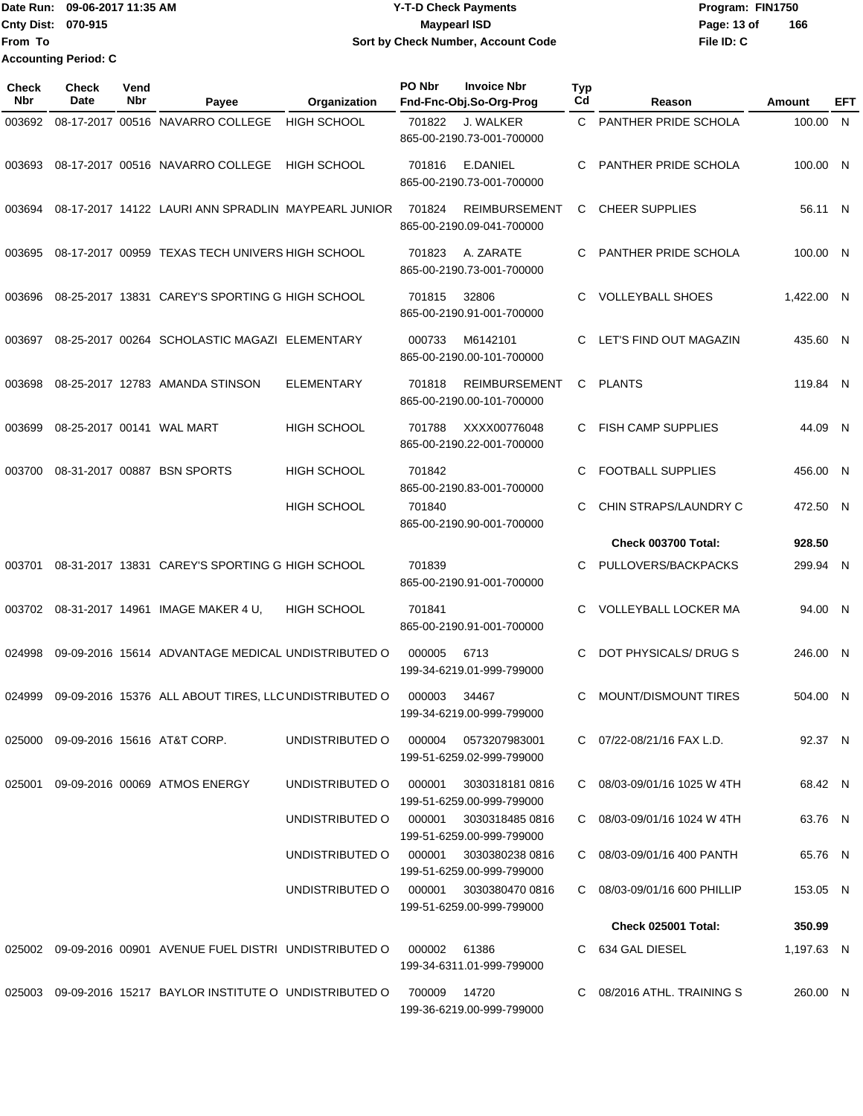Date Run: 09-06-2017 11:35 AM **CONTEX 100 CONTEX 12 T-D** Check Payments **CONTEX 12 T-D Check Payments** Program: FIN1750 **Cnty Dist:** 070-915 **Page: 13 of Page: 13 of From To 09-06-2017 11:35 AM Y-T-D Check Payments 070-915 Maypearl ISD Sort by Check Number, Account Code Accounting Period: C**

| <b>Check</b><br>Nbr | <b>Check</b><br>Date | Vend<br>Nbr | Payee                                                      | Organization       | PO Nbr | <b>Invoice Nbr</b><br>Fnd-Fnc-Obj.So-Org-Prog                             | <b>Typ</b><br>Cd | Reason                       | Amount     | <b>EFT</b> |
|---------------------|----------------------|-------------|------------------------------------------------------------|--------------------|--------|---------------------------------------------------------------------------|------------------|------------------------------|------------|------------|
| 003692              |                      |             | 08-17-2017 00516 NAVARRO COLLEGE                           | <b>HIGH SCHOOL</b> | 701822 | J. WALKER<br>865-00-2190.73-001-700000                                    | C.               | PANTHER PRIDE SCHOLA         | 100.00     | - N        |
| 003693              |                      |             | 08-17-2017 00516 NAVARRO COLLEGE                           | <b>HIGH SCHOOL</b> | 701816 | E.DANIEL<br>865-00-2190.73-001-700000                                     | C                | PANTHER PRIDE SCHOLA         | 100.00 N   |            |
| 003694              |                      |             | 08-17-2017 14122 LAURI ANN SPRADLIN MAYPEARL JUNIOR        |                    | 701824 | <b>REIMBURSEMENT</b><br>865-00-2190.09-041-700000                         | С                | <b>CHEER SUPPLIES</b>        | 56.11 N    |            |
| 003695              |                      |             | 08-17-2017 00959 TEXAS TECH UNIVERS HIGH SCHOOL            |                    | 701823 | A. ZARATE<br>865-00-2190.73-001-700000                                    | C                | PANTHER PRIDE SCHOLA         | 100.00 N   |            |
| 003696              |                      |             | 08-25-2017 13831 CAREY'S SPORTING G HIGH SCHOOL            |                    | 701815 | 32806<br>865-00-2190.91-001-700000                                        | C                | <b>VOLLEYBALL SHOES</b>      | 1,422.00 N |            |
| 003697              |                      |             | 08-25-2017 00264 SCHOLASTIC MAGAZI ELEMENTARY              |                    | 000733 | M6142101<br>865-00-2190.00-101-700000                                     | C                | LET'S FIND OUT MAGAZIN       | 435.60 N   |            |
| 003698              |                      |             | 08-25-2017 12783 AMANDA STINSON                            | <b>ELEMENTARY</b>  | 701818 | <b>REIMBURSEMENT</b><br>865-00-2190.00-101-700000                         | C.               | PLANTS                       | 119.84 N   |            |
| 003699              |                      |             | 08-25-2017 00141 WAL MART                                  | <b>HIGH SCHOOL</b> | 701788 | XXXX00776048<br>865-00-2190.22-001-700000                                 | C                | <b>FISH CAMP SUPPLIES</b>    | 44.09 N    |            |
| 003700              |                      |             | 08-31-2017 00887 BSN SPORTS                                | <b>HIGH SCHOOL</b> | 701842 |                                                                           | C                | <b>FOOTBALL SUPPLIES</b>     | 456.00 N   |            |
|                     |                      |             |                                                            | <b>HIGH SCHOOL</b> | 701840 | 865-00-2190.83-001-700000<br>865-00-2190.90-001-700000                    | C                | CHIN STRAPS/LAUNDRY C        | 472.50 N   |            |
|                     |                      |             |                                                            |                    |        |                                                                           |                  | Check 003700 Total:          | 928.50     |            |
| 003701              |                      |             | 08-31-2017 13831 CAREY'S SPORTING G HIGH SCHOOL            |                    | 701839 | 865-00-2190.91-001-700000                                                 | C                | PULLOVERS/BACKPACKS          | 299.94 N   |            |
| 003702              |                      |             | 08-31-2017 14961 IMAGE MAKER 4 U,                          | <b>HIGH SCHOOL</b> | 701841 | 865-00-2190.91-001-700000                                                 | C                | <b>VOLLEYBALL LOCKER MA</b>  | 94.00 N    |            |
| 024998              |                      |             | 09-09-2016 15614 ADVANTAGE MEDICAL UNDISTRIBUTED O         |                    | 000005 | 6713<br>199-34-6219.01-999-799000                                         | C                | DOT PHYSICALS/ DRUG S        | 246.00 N   |            |
| 024999              |                      |             | 09-09-2016 15376 ALL ABOUT TIRES, LLC UNDISTRIBUTED O      |                    | 000003 | 34467<br>199-34-6219.00-999-799000                                        | C                | <b>MOUNT/DISMOUNT TIRES</b>  | 504.00 N   |            |
|                     |                      |             | 025000 09-09-2016 15616 AT&T CORP.                         | UNDISTRIBUTED O    |        | 000004 0573207983001<br>199-51-6259.02-999-799000                         |                  | C 07/22-08/21/16 FAX L.D.    | 92.37 N    |            |
| 025001              |                      |             | 09-09-2016 00069 ATMOS ENERGY                              | UNDISTRIBUTED O    | 000001 | 30303181810816<br>199-51-6259.00-999-799000                               |                  | C 08/03-09/01/16 1025 W 4TH  | 68.42 N    |            |
|                     |                      |             |                                                            | UNDISTRIBUTED O    | 000001 | 3030318485 0816                                                           |                  | C 08/03-09/01/16 1024 W 4TH  | 63.76 N    |            |
|                     |                      |             |                                                            | UNDISTRIBUTED O    | 000001 | 199-51-6259.00-999-799000<br>3030380238 0816<br>199-51-6259.00-999-799000 |                  | C 08/03-09/01/16 400 PANTH   | 65.76 N    |            |
|                     |                      |             |                                                            | UNDISTRIBUTED O    | 000001 | 3030380470 0816<br>199-51-6259.00-999-799000                              |                  | C 08/03-09/01/16 600 PHILLIP | 153.05 N   |            |
|                     |                      |             |                                                            |                    |        |                                                                           |                  | <b>Check 025001 Total:</b>   | 350.99     |            |
|                     |                      |             | 025002 09-09-2016 00901 AVENUE FUEL DISTRI UNDISTRIBUTED O |                    | 000002 | 61386<br>199-34-6311.01-999-799000                                        |                  | C 634 GAL DIESEL             | 1,197.63 N |            |
|                     |                      |             | 025003 09-09-2016 15217 BAYLOR INSTITUTE O UNDISTRIBUTED O |                    | 700009 | 14720<br>199-36-6219.00-999-799000                                        |                  | C 08/2016 ATHL. TRAINING S   | 260.00 N   |            |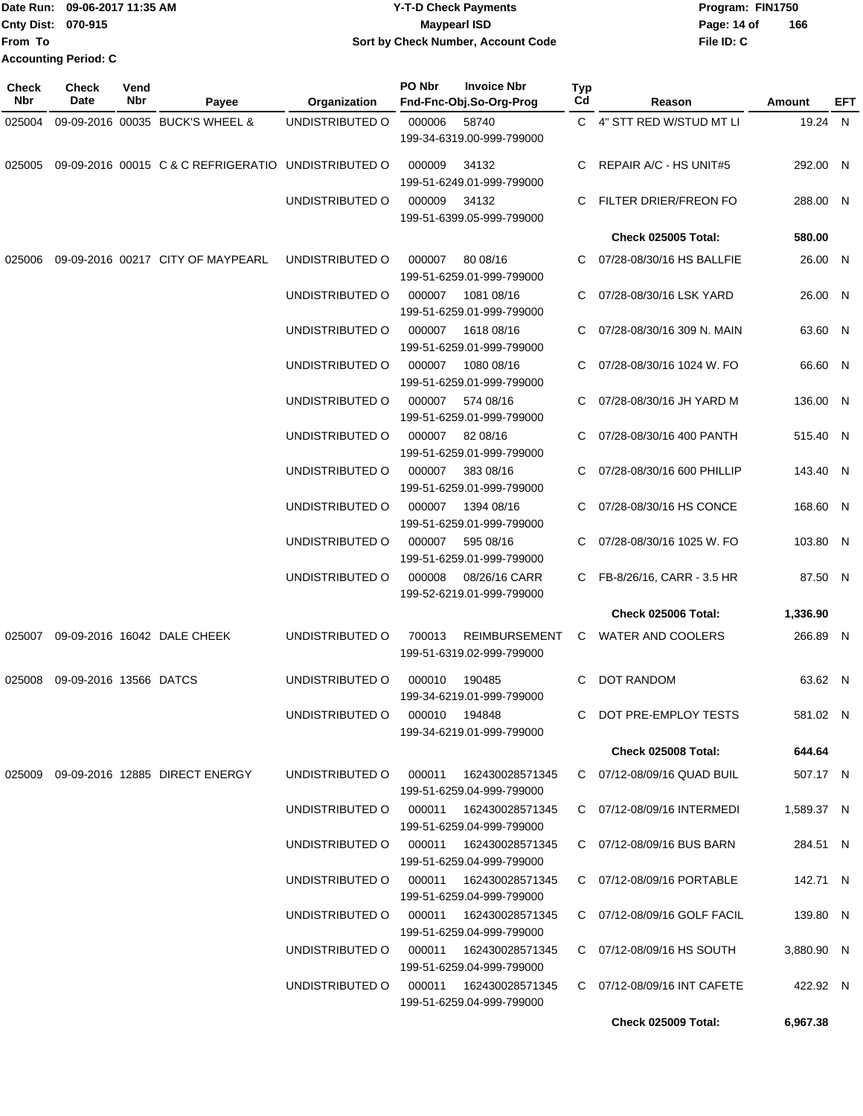**From To Accounting Period: C**

#### Date Run: 09-06-2017 11:35 AM **CONTEX 100 CONTEX 12 T-D** Check Payments **CONTEX 12 T-D Check Payments** Program: FIN1750 **Cnty Dist:** 070-915 **Page: 14 of** Maypearl ISD **CONTEX 150 Page: 14 of 09-06-2017 11:35 AM Y-T-D Check Payments 070-915 Maypearl ISD Sort by Check Number, Account Code**

**File ID: C 166**

| <b>Check</b><br>Nbr | <b>Check</b><br><b>Date</b> | Vend<br>Nbr | Payee                                               | Organization                           | PO Nbr        | <b>Invoice Nbr</b><br>Fnd-Fnc-Obj.So-Org-Prog     | Typ<br>Cd | Reason                                             | Amount     | EFT |
|---------------------|-----------------------------|-------------|-----------------------------------------------------|----------------------------------------|---------------|---------------------------------------------------|-----------|----------------------------------------------------|------------|-----|
| 025004              |                             |             | 09-09-2016 00035 BUCK'S WHEEL &                     | UNDISTRIBUTED O                        | 000006        | 58740<br>199-34-6319.00-999-799000                |           | C 4" STT RED W/STUD MT LI                          | 19.24 N    |     |
| 025005              |                             |             | 09-09-2016 00015 C & C REFRIGERATIO UNDISTRIBUTED O |                                        | 000009        | 34132<br>199-51-6249.01-999-799000                | C         | REPAIR A/C - HS UNIT#5                             | 292.00 N   |     |
|                     |                             |             |                                                     | UNDISTRIBUTED O                        | 000009        | 34132<br>199-51-6399.05-999-799000                | C         | FILTER DRIER/FREON FO                              | 288.00 N   |     |
|                     |                             |             |                                                     |                                        |               |                                                   |           | <b>Check 025005 Total:</b>                         | 580.00     |     |
| 025006              |                             |             | 09-09-2016 00217 CITY OF MAYPEARL                   | UNDISTRIBUTED O                        | 000007        | 80 08/16<br>199-51-6259.01-999-799000             |           | 07/28-08/30/16 HS BALLFIE                          | 26.00 N    |     |
|                     |                             |             |                                                     | UNDISTRIBUTED O                        | 000007        | 1081 08/16<br>199-51-6259.01-999-799000           | С         | 07/28-08/30/16 LSK YARD                            | 26.00 N    |     |
|                     |                             |             |                                                     | UNDISTRIBUTED O                        | 000007        | 1618 08/16<br>199-51-6259.01-999-799000           | С         | 07/28-08/30/16 309 N. MAIN                         | 63.60 N    |     |
|                     |                             |             |                                                     | UNDISTRIBUTED O                        | 000007        | 1080 08/16<br>199-51-6259.01-999-799000           |           | C 07/28-08/30/16 1024 W. FO                        | 66.60 N    |     |
|                     |                             |             |                                                     | UNDISTRIBUTED O                        | 000007        | 574 08/16<br>199-51-6259.01-999-799000            | C.        | 07/28-08/30/16 JH YARD M                           | 136.00 N   |     |
|                     |                             |             |                                                     | UNDISTRIBUTED O                        | 000007        | 82 08/16<br>199-51-6259.01-999-799000             | C         | 07/28-08/30/16 400 PANTH                           | 515.40 N   |     |
|                     |                             |             |                                                     | UNDISTRIBUTED O                        | 000007        | 383 08/16<br>199-51-6259.01-999-799000            | C         | 07/28-08/30/16 600 PHILLIP                         | 143.40 N   |     |
|                     |                             |             |                                                     | UNDISTRIBUTED O                        | 000007        | 1394 08/16<br>199-51-6259.01-999-799000           | C         | 07/28-08/30/16 HS CONCE                            | 168.60 N   |     |
|                     |                             |             |                                                     | UNDISTRIBUTED O<br>UNDISTRIBUTED O     | 000007        | 595 08/16<br>199-51-6259.01-999-799000            | C.        | 07/28-08/30/16 1025 W. FO                          | 103.80 N   |     |
|                     |                             |             |                                                     |                                        | 000008        | 08/26/16 CARR<br>199-52-6219.01-999-799000        |           | C FB-8/26/16, CARR - 3.5 HR<br>Check 025006 Total: | 87.50 N    |     |
|                     |                             |             |                                                     |                                        |               |                                                   |           |                                                    | 1,336.90   |     |
| 025007              |                             |             | 09-09-2016 16042 DALE CHEEK                         | UNDISTRIBUTED O                        | 700013        | <b>REIMBURSEMENT</b><br>199-51-6319.02-999-799000 |           | C WATER AND COOLERS                                | 266.89 N   |     |
| 025008              | 09-09-2016 13566 DATCS      |             |                                                     | UNDISTRIBUTED O                        | 000010        | 190485<br>199-34-6219.01-999-799000               | C         | DOT RANDOM                                         | 63.62 N    |     |
|                     |                             |             |                                                     | UNDISTRIBUTED O                        | 000010 194848 | 199-34-6219.01-999-799000                         |           | C DOT PRE-EMPLOY TESTS                             | 581.02 N   |     |
|                     |                             |             |                                                     |                                        |               |                                                   |           | Check 025008 Total:                                | 644.64     |     |
|                     |                             |             |                                                     | UNDISTRIBUTED O 000011 162430028571345 |               | 199-51-6259.04-999-799000                         |           | C 07/12-08/09/16 QUAD BUIL                         | 507.17 N   |     |
|                     |                             |             |                                                     | UNDISTRIBUTED O 000011 162430028571345 |               | 199-51-6259.04-999-799000                         |           | C 07/12-08/09/16 INTERMEDI                         | 1,589.37 N |     |
|                     |                             |             |                                                     | UNDISTRIBUTED O 000011 162430028571345 |               | 199-51-6259.04-999-799000                         |           | C 07/12-08/09/16 BUS BARN                          | 284.51 N   |     |
|                     |                             |             |                                                     | UNDISTRIBUTED O 000011 162430028571345 |               | 199-51-6259.04-999-799000                         |           | C 07/12-08/09/16 PORTABLE                          | 142.71 N   |     |
|                     |                             |             |                                                     | UNDISTRIBUTED O 000011 162430028571345 |               | 199-51-6259.04-999-799000                         |           | C 07/12-08/09/16 GOLF FACIL                        | 139.80 N   |     |
|                     |                             |             |                                                     | UNDISTRIBUTED O 000011 162430028571345 |               | 199-51-6259.04-999-799000                         |           | C 07/12-08/09/16 HS SOUTH                          | 3,880.90 N |     |
|                     |                             |             |                                                     | UNDISTRIBUTED O                        |               | 199-51-6259.04-999-799000                         |           | C 07/12-08/09/16 INT CAFETE                        | 422.92 N   |     |

**Check 025009 Total: 6,967.38**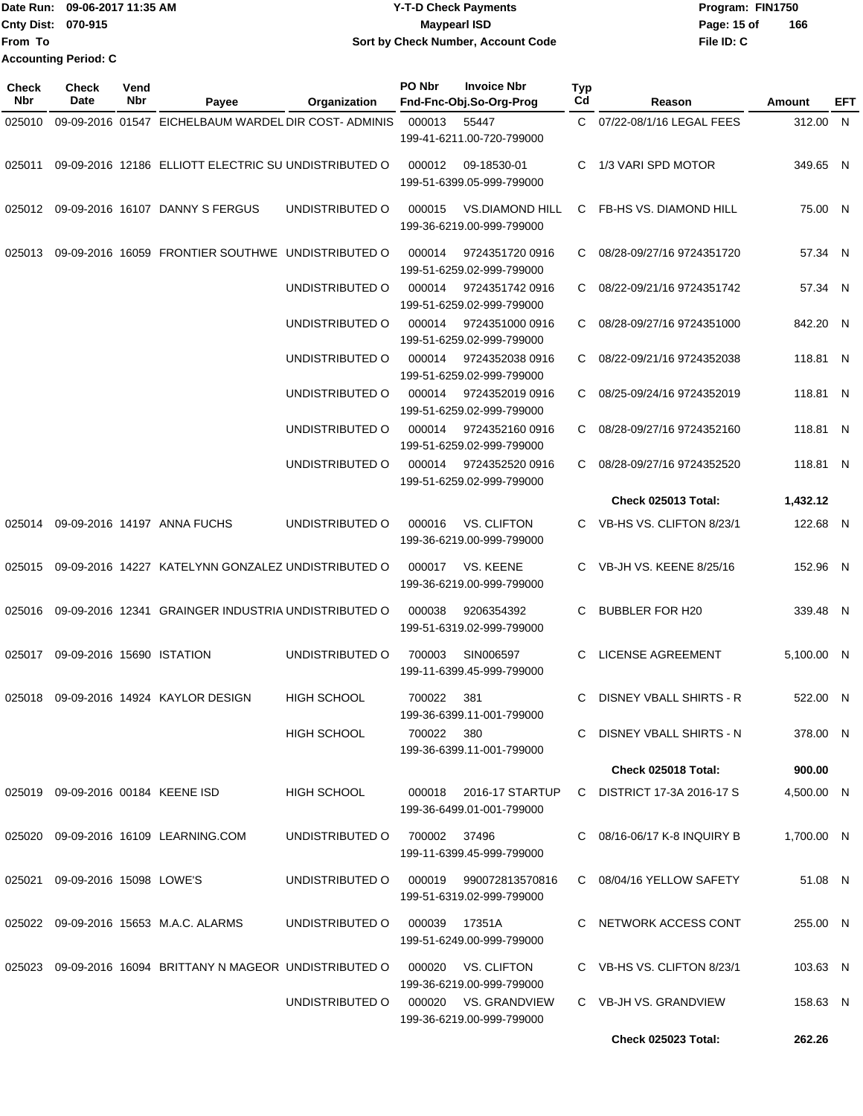|                    | Date Run: 09-06-2017 11:35 AM | <b>Y-T-D Check Payments</b>        | Program: FIN1750   |
|--------------------|-------------------------------|------------------------------------|--------------------|
| Cnty Dist: 070-915 |                               | <b>Mavpearl ISD</b>                | 166<br>Page: 15 of |
| <b>IFrom To</b>    |                               | Sort by Check Number, Account Code | File ID: C         |
|                    | <b>Accounting Period: C</b>   |                                    |                    |

| Check<br><b>Nbr</b> | <b>Check</b><br>Date              | Vend<br>Nbr | Payee                                                     | Organization       | PO Nbr | <b>Invoice Nbr</b><br>Fnd-Fnc-Obj.So-Org-Prog       | <b>Typ</b><br>Cd | Reason                            | Amount     | EFT |
|---------------------|-----------------------------------|-------------|-----------------------------------------------------------|--------------------|--------|-----------------------------------------------------|------------------|-----------------------------------|------------|-----|
| 025010              |                                   |             | 09-09-2016 01547 EICHELBAUM WARDEL DIR COST-ADMINIS       |                    | 000013 | 55447                                               | C.               | 07/22-08/1/16 LEGAL FEES          | 312.00 N   |     |
|                     |                                   |             |                                                           |                    |        | 199-41-6211.00-720-799000                           |                  |                                   |            |     |
| 025011              |                                   |             | 09-09-2016 12186 ELLIOTT ELECTRIC SU UNDISTRIBUTED O      |                    | 000012 | 09-18530-01<br>199-51-6399.05-999-799000            | C.               | 1/3 VARI SPD MOTOR                | 349.65 N   |     |
|                     |                                   |             | 025012 09-09-2016 16107 DANNY S FERGUS                    | UNDISTRIBUTED O    | 000015 | <b>VS.DIAMOND HILL</b><br>199-36-6219.00-999-799000 | C                | FB-HS VS. DIAMOND HILL            | 75.00 N    |     |
| 025013              |                                   |             | 09-09-2016 16059 FRONTIER SOUTHWE UNDISTRIBUTED O         |                    | 000014 | 9724351720 0916<br>199-51-6259.02-999-799000        | C                | 08/28-09/27/16 9724351720         | 57.34 N    |     |
|                     |                                   |             |                                                           | UNDISTRIBUTED O    | 000014 | 9724351742 0916<br>199-51-6259.02-999-799000        | C                | 08/22-09/21/16 9724351742         | 57.34 N    |     |
|                     |                                   |             |                                                           | UNDISTRIBUTED O    | 000014 | 9724351000 0916<br>199-51-6259.02-999-799000        | C                | 08/28-09/27/16 9724351000         | 842.20 N   |     |
|                     |                                   |             |                                                           | UNDISTRIBUTED O    | 000014 | 9724352038 0916<br>199-51-6259.02-999-799000        | C.               | 08/22-09/21/16 9724352038         | 118.81 N   |     |
|                     |                                   |             |                                                           | UNDISTRIBUTED O    | 000014 | 9724352019 0916<br>199-51-6259.02-999-799000        | C.               | 08/25-09/24/16 9724352019         | 118.81 N   |     |
|                     |                                   |             |                                                           | UNDISTRIBUTED O    | 000014 | 9724352160 0916<br>199-51-6259.02-999-799000        | C                | 08/28-09/27/16 9724352160         | 118.81 N   |     |
|                     |                                   |             |                                                           | UNDISTRIBUTED O    | 000014 | 9724352520 0916<br>199-51-6259.02-999-799000        | C                | 08/28-09/27/16 9724352520         | 118.81 N   |     |
|                     |                                   |             |                                                           |                    |        |                                                     |                  | Check 025013 Total:               | 1,432.12   |     |
| 025014              |                                   |             | 09-09-2016 14197 ANNA FUCHS                               | UNDISTRIBUTED O    | 000016 | <b>VS. CLIFTON</b><br>199-36-6219.00-999-799000     | C.               | VB-HS VS. CLIFTON 8/23/1          | 122.68 N   |     |
| 025015              |                                   |             | 09-09-2016 14227 KATELYNN GONZALEZ UNDISTRIBUTED O        |                    | 000017 | VS. KEENE<br>199-36-6219.00-999-799000              | C.               | VB-JH VS. KEENE 8/25/16           | 152.96 N   |     |
| 025016              |                                   |             | 09-09-2016 12341 GRAINGER INDUSTRIA UNDISTRIBUTED O       |                    | 000038 | 9206354392<br>199-51-6319.02-999-799000             | C                | <b>BUBBLER FOR H20</b>            | 339.48 N   |     |
| 025017              | 09-09-2016 15690 ISTATION         |             |                                                           | UNDISTRIBUTED O    | 700003 | SIN006597<br>199-11-6399.45-999-799000              | C                | <b>LICENSE AGREEMENT</b>          | 5,100.00 N |     |
| 025018              |                                   |             | 09-09-2016 14924 KAYLOR DESIGN                            | <b>HIGH SCHOOL</b> | 700022 | 381<br>199-36-6399.11-001-799000                    | C                | <b>DISNEY VBALL SHIRTS - R</b>    | 522.00 N   |     |
|                     |                                   |             |                                                           | <b>HIGH SCHOOL</b> | 700022 | 380<br>199-36-6399.11-001-799000                    |                  | C DISNEY VBALL SHIRTS - N         | 378.00 N   |     |
|                     |                                   |             |                                                           |                    |        |                                                     |                  | Check 025018 Total:               | 900.00     |     |
|                     | 025019 09-09-2016 00184 KEENE ISD |             |                                                           | <b>HIGH SCHOOL</b> | 000018 | 2016-17 STARTUP<br>199-36-6499.01-001-799000        |                  | C DISTRICT 17-3A 2016-17 S        | 4,500.00 N |     |
|                     |                                   |             | 025020 09-09-2016 16109 LEARNING.COM                      | UNDISTRIBUTED O    | 700002 | 37496<br>199-11-6399.45-999-799000                  |                  | $C = 08/16 - 06/17$ K-8 INQUIRY B | 1,700.00 N |     |
|                     | 025021 09-09-2016 15098 LOWE'S    |             |                                                           | UNDISTRIBUTED O    |        | 000019 990072813570816<br>199-51-6319.02-999-799000 |                  | C 08/04/16 YELLOW SAFETY          | 51.08 N    |     |
|                     |                                   |             | 025022 09-09-2016 15653 M.A.C. ALARMS                     | UNDISTRIBUTED O    | 000039 | 17351A<br>199-51-6249.00-999-799000                 |                  | C NETWORK ACCESS CONT             | 255.00 N   |     |
|                     |                                   |             | 025023 09-09-2016 16094 BRITTANY N MAGEOR UNDISTRIBUTED O |                    | 000020 | VS. CLIFTON<br>199-36-6219.00-999-799000            |                  | C VB-HS VS. CLIFTON 8/23/1        | 103.63 N   |     |
|                     |                                   |             |                                                           | UNDISTRIBUTED O    |        | 000020 VS. GRANDVIEW<br>199-36-6219.00-999-799000   |                  | C VB-JH VS. GRANDVIEW             | 158.63 N   |     |
|                     |                                   |             |                                                           |                    |        |                                                     |                  | <b>Check 025023 Total:</b>        | 262.26     |     |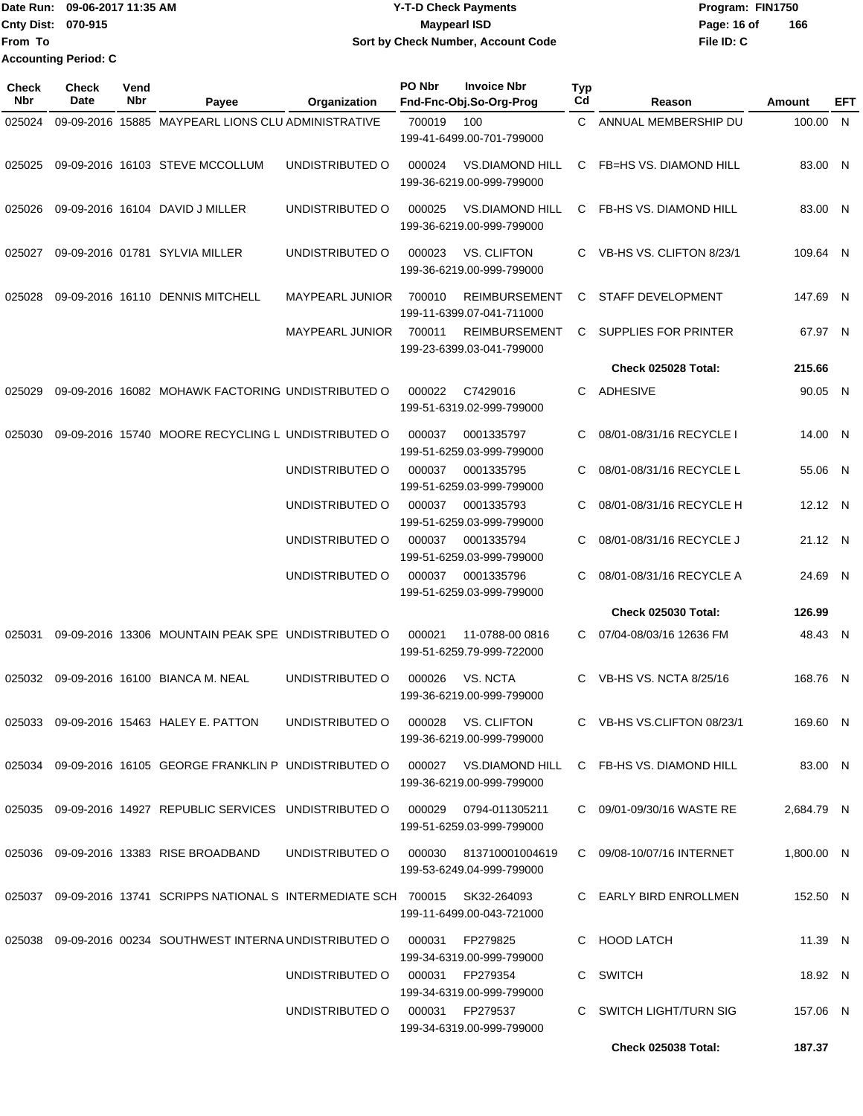| <b>IDate Run:</b>         | 09-06-2017 11:35 AM         | <b>Y-T-D Check Payments</b>        | Program: FIN1750   |
|---------------------------|-----------------------------|------------------------------------|--------------------|
| <b>Cnty Dist: 070-915</b> |                             | <b>Maypearl ISD</b>                | 166<br>Page: 16 of |
| lFrom To                  |                             | Sort by Check Number, Account Code | File ID: C         |
|                           | <b>Accounting Period: C</b> |                                    |                    |

| Check<br>Nbr | <b>Check</b><br>Date | Vend<br>Nbr | Payee                                                                            | Organization                           | PO Nbr | <b>Invoice Nbr</b><br>Fnd-Fnc-Obj.So-Org-Prog       | <b>Typ</b><br>Cd | Reason                        | Amount     | EFT |
|--------------|----------------------|-------------|----------------------------------------------------------------------------------|----------------------------------------|--------|-----------------------------------------------------|------------------|-------------------------------|------------|-----|
| 025024       |                      |             | 09-09-2016 15885 MAYPEARL LIONS CLU ADMINISTRATIVE                               |                                        | 700019 | 100<br>199-41-6499.00-701-799000                    | C.               | ANNUAL MEMBERSHIP DU          | 100.00 N   |     |
| 025025       |                      |             | 09-09-2016 16103 STEVE MCCOLLUM                                                  | UNDISTRIBUTED O                        | 000024 | <b>VS.DIAMOND HILL</b><br>199-36-6219.00-999-799000 | C.               | <b>FB=HS VS. DIAMOND HILL</b> | 83.00 N    |     |
| 025026       |                      |             | 09-09-2016 16104 DAVID J MILLER                                                  | UNDISTRIBUTED O                        | 000025 | <b>VS.DIAMOND HILL</b><br>199-36-6219.00-999-799000 | C.               | FB-HS VS. DIAMOND HILL        | 83.00 N    |     |
| 025027       |                      |             | 09-09-2016 01781 SYLVIA MILLER                                                   | UNDISTRIBUTED O                        | 000023 | <b>VS. CLIFTON</b><br>199-36-6219.00-999-799000     | C.               | VB-HS VS. CLIFTON 8/23/1      | 109.64 N   |     |
| 025028       |                      |             | 09-09-2016 16110 DENNIS MITCHELL                                                 | <b>MAYPEARL JUNIOR</b>                 | 700010 | <b>REIMBURSEMENT</b><br>199-11-6399.07-041-711000   | C                | <b>STAFF DEVELOPMENT</b>      | 147.69 N   |     |
|              |                      |             |                                                                                  | <b>MAYPEARL JUNIOR</b>                 | 700011 | <b>REIMBURSEMENT</b><br>199-23-6399.03-041-799000   | C                | SUPPLIES FOR PRINTER          | 67.97 N    |     |
|              |                      |             |                                                                                  |                                        |        |                                                     |                  | Check 025028 Total:           | 215.66     |     |
| 025029       |                      |             | 09-09-2016 16082 MOHAWK FACTORING UNDISTRIBUTED O                                |                                        | 000022 | C7429016<br>199-51-6319.02-999-799000               | C.               | ADHESIVE                      | 90.05 N    |     |
| 025030       |                      |             | 09-09-2016 15740 MOORE RECYCLING L UNDISTRIBUTED O                               |                                        | 000037 | 0001335797<br>199-51-6259.03-999-799000             | C                | 08/01-08/31/16 RECYCLE I      | 14.00 N    |     |
|              |                      |             |                                                                                  | UNDISTRIBUTED O                        | 000037 | 0001335795<br>199-51-6259.03-999-799000             | C.               | 08/01-08/31/16 RECYCLE L      | 55.06 N    |     |
|              |                      |             |                                                                                  | UNDISTRIBUTED O                        | 000037 | 0001335793<br>199-51-6259.03-999-799000             | C                | 08/01-08/31/16 RECYCLE H      | 12.12 N    |     |
|              |                      |             |                                                                                  | UNDISTRIBUTED O                        | 000037 | 0001335794<br>199-51-6259.03-999-799000             | C                | 08/01-08/31/16 RECYCLE J      | 21.12 N    |     |
|              |                      |             |                                                                                  | UNDISTRIBUTED O                        | 000037 | 0001335796<br>199-51-6259.03-999-799000             | C                | 08/01-08/31/16 RECYCLE A      | 24.69 N    |     |
|              |                      |             |                                                                                  |                                        |        |                                                     |                  | <b>Check 025030 Total:</b>    | 126.99     |     |
| 025031       |                      |             | 09-09-2016 13306 MOUNTAIN PEAK SPE UNDISTRIBUTED O                               |                                        | 000021 | 11-0788-00 0816<br>199-51-6259.79-999-722000        | C.               | 07/04-08/03/16 12636 FM       | 48.43 N    |     |
| 025032       |                      |             | 09-09-2016 16100 BIANCA M. NEAL                                                  | UNDISTRIBUTED O                        | 000026 | VS. NCTA<br>199-36-6219.00-999-799000               | C                | VB-HS VS, NCTA 8/25/16        | 168.76 N   |     |
|              |                      |             | 025033 09-09-2016 15463 HALEY E. PATTON                                          | UNDISTRIBUTED O                        | 000028 | VS. CLIFTON<br>199-36-6219.00-999-799000            |                  | C VB-HS VS.CLIFTON 08/23/1    | 169.60 N   |     |
|              |                      |             | 025034 09-09-2016 16105 GEORGE FRANKLIN P UNDISTRIBUTED O 000027 VS.DIAMOND HILL |                                        |        | 199-36-6219.00-999-799000                           |                  | C FB-HS VS. DIAMOND HILL      | 83.00 N    |     |
|              |                      |             | 025035 09-09-2016 14927 REPUBLIC SERVICES UNDISTRIBUTED O 000029 0794-011305211  |                                        |        | 199-51-6259.03-999-799000                           |                  | C 09/01-09/30/16 WASTE RE     | 2,684.79 N |     |
|              |                      |             | 025036 09-09-2016 13383 RISE BROADBAND                                           | UNDISTRIBUTED O 000030 813710001004619 |        | 199-53-6249.04-999-799000                           |                  | C 09/08-10/07/16 INTERNET     | 1,800.00 N |     |
|              |                      |             | 025037 09-09-2016 13741 SCRIPPS NATIONAL S INTERMEDIATE SCH 700015 SK32-264093   |                                        |        | 199-11-6499.00-043-721000                           |                  | C EARLY BIRD ENROLLMEN        | 152.50 N   |     |
| 025038       |                      |             | 09-09-2016 00234 SOUTHWEST INTERNA UNDISTRIBUTED O                               |                                        | 000031 | FP279825<br>199-34-6319.00-999-799000               |                  | C HOOD LATCH                  | 11.39 N    |     |
|              |                      |             |                                                                                  | UNDISTRIBUTED O                        |        | 000031 FP279354<br>199-34-6319.00-999-799000        |                  | C SWITCH                      | 18.92 N    |     |
|              |                      |             |                                                                                  | UNDISTRIBUTED O                        |        | 000031 FP279537<br>199-34-6319.00-999-799000        |                  | C SWITCH LIGHT/TURN SIG       | 157.06 N   |     |
|              |                      |             |                                                                                  |                                        |        |                                                     |                  | <b>Check 025038 Total:</b>    | 187.37     |     |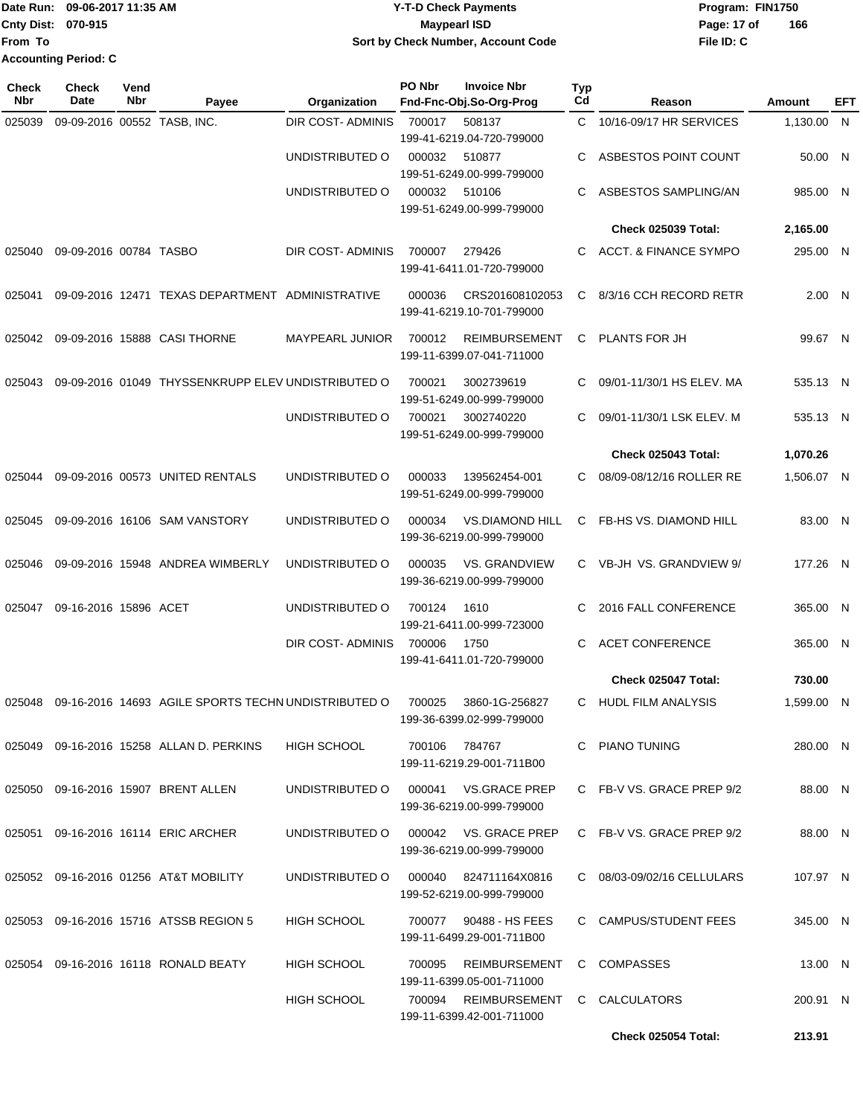**From To Accounting Period: C**

### Date Run: 09-06-2017 11:35 AM **CONTEX 100 CONTEX 12 T-D** Check Payments **CONTEX 12 T-D Check Payments** Program: FIN1750 **Cnty Dist:** 070-915 **Page: 17 of** Maypearl ISD **CONTEX ISO Y-T-D Check Payments 070-915 Maypearl ISD Sort by Check Number, Account Code**

| <b>Check</b><br><b>Nbr</b> | <b>Check</b><br>Date        | Vend<br>Nbr | Payee                                               | Organization                          | PO Nbr        | <b>Invoice Nbr</b><br>Fnd-Fnc-Obj.So-Org-Prog       | Typ<br>Cd | Reason                     | <b>Amount</b> | EFT |
|----------------------------|-----------------------------|-------------|-----------------------------------------------------|---------------------------------------|---------------|-----------------------------------------------------|-----------|----------------------------|---------------|-----|
| 025039                     | 09-09-2016 00552 TASB, INC. |             |                                                     | <b>DIR COST- ADMINIS</b>              | 700017        | 508137<br>199-41-6219.04-720-799000                 |           | C 10/16-09/17 HR SERVICES  | 1,130.00 N    |     |
|                            |                             |             |                                                     | UNDISTRIBUTED O                       | 000032        | 510877<br>199-51-6249.00-999-799000                 | C.        | ASBESTOS POINT COUNT       | 50.00 N       |     |
|                            |                             |             |                                                     | UNDISTRIBUTED O                       | 000032        | 510106<br>199-51-6249.00-999-799000                 | С         | ASBESTOS SAMPLING/AN       | 985.00 N      |     |
|                            |                             |             |                                                     |                                       |               |                                                     |           | <b>Check 025039 Total:</b> | 2,165.00      |     |
| 025040                     | 09-09-2016 00784 TASBO      |             |                                                     | DIR COST-ADMINIS                      | 700007        | 279426<br>199-41-6411.01-720-799000                 | C.        | ACCT. & FINANCE SYMPO      | 295.00 N      |     |
| 025041                     |                             |             | 09-09-2016 12471 TEXAS DEPARTMENT ADMINISTRATIVE    |                                       | 000036        | CRS201608102053<br>199-41-6219.10-701-799000        |           | C 8/3/16 CCH RECORD RETR   | 2.00 N        |     |
| 025042                     |                             |             | 09-09-2016 15888 CASI THORNE                        | <b>MAYPEARL JUNIOR</b>                | 700012        | <b>REIMBURSEMENT</b><br>199-11-6399.07-041-711000   |           | C PLANTS FOR JH            | 99.67 N       |     |
| 025043                     |                             |             | 09-09-2016 01049 THYSSENKRUPP ELEV UNDISTRIBUTED O  |                                       | 700021        | 3002739619<br>199-51-6249.00-999-799000             | C.        | 09/01-11/30/1 HS ELEV. MA  | 535.13 N      |     |
|                            |                             |             |                                                     | UNDISTRIBUTED O                       | 700021        | 3002740220<br>199-51-6249.00-999-799000             | C         | 09/01-11/30/1 LSK ELEV. M  | 535.13 N      |     |
|                            |                             |             |                                                     |                                       |               |                                                     |           | <b>Check 025043 Total:</b> | 1,070.26      |     |
| 025044                     |                             |             | 09-09-2016 00573 UNITED RENTALS                     | UNDISTRIBUTED O                       | 000033        | 139562454-001<br>199-51-6249.00-999-799000          | C         | 08/09-08/12/16 ROLLER RE   | 1.506.07 N    |     |
| 025045                     |                             |             | 09-09-2016 16106 SAM VANSTORY                       | UNDISTRIBUTED O                       | 000034        | <b>VS.DIAMOND HILL</b><br>199-36-6219.00-999-799000 |           | C FB-HS VS. DIAMOND HILL   | 83.00 N       |     |
| 025046                     |                             |             | 09-09-2016 15948 ANDREA WIMBERLY                    | UNDISTRIBUTED O                       | 000035        | VS. GRANDVIEW<br>199-36-6219.00-999-799000          |           | C VB-JH VS. GRANDVIEW 9/   | 177.26 N      |     |
| 025047                     | 09-16-2016 15896 ACET       |             |                                                     | UNDISTRIBUTED O                       | 700124        | 1610<br>199-21-6411.00-999-723000                   | C         | 2016 FALL CONFERENCE       | 365.00 N      |     |
|                            |                             |             |                                                     | DIR COST- ADMINIS                     | 700006        | 1750<br>199-41-6411.01-720-799000                   | C         | <b>ACET CONFERENCE</b>     | 365.00 N      |     |
|                            |                             |             |                                                     |                                       |               |                                                     |           | Check 025047 Total:        | 730.00        |     |
| 025048                     |                             |             | 09-16-2016 14693 AGILE SPORTS TECHN UNDISTRIBUTED O |                                       | 700025        | 3860-1G-256827<br>199-36-6399.02-999-799000         | C.        | <b>HUDL FILM ANALYSIS</b>  | 1,599.00 N    |     |
|                            |                             |             | 025049 09-16-2016 15258 ALLAN D. PERKINS            | <b>HIGH SCHOOL</b>                    | 700106 784767 | 199-11-6219.29-001-711B00                           |           | C PIANO TUNING             | 280.00 N      |     |
|                            |                             |             | 025050 09-16-2016 15907 BRENT ALLEN                 | UNDISTRIBUTED O                       |               | 000041 VS.GRACE PREP<br>199-36-6219.00-999-799000   |           | C FB-V VS. GRACE PREP 9/2  | 88.00 N       |     |
|                            |                             |             | 025051 09-16-2016 16114 ERIC ARCHER                 | UNDISTRIBUTED O 000042 VS. GRACE PREP |               | 199-36-6219.00-999-799000                           |           | C FB-V VS. GRACE PREP 9/2  | 88.00 N       |     |
|                            |                             |             | 025052 09-16-2016 01256 AT&T MOBILITY               | UNDISTRIBUTED O                       |               | 000040 824711164X0816<br>199-52-6219.00-999-799000  |           | C 08/03-09/02/16 CELLULARS | 107.97 N      |     |
|                            |                             |             | 025053 09-16-2016 15716 ATSSB REGION 5              | HIGH SCHOOL                           |               | 700077 90488 - HS FEES<br>199-11-6499.29-001-711B00 |           | C CAMPUS/STUDENT FEES      | 345.00 N      |     |
| 025054                     |                             |             | 09-16-2016 16118 RONALD BEATY                       | HIGH SCHOOL                           | 700095        | REIMBURSEMENT<br>199-11-6399.05-001-711000          |           | C COMPASSES                | 13.00 N       |     |
|                            |                             |             |                                                     | <b>HIGH SCHOOL</b>                    |               | 700094 REIMBURSEMENT<br>199-11-6399.42-001-711000   |           | C CALCULATORS              | 200.91 N      |     |
|                            |                             |             |                                                     |                                       |               |                                                     |           | Check 025054 Total:        | 213.91        |     |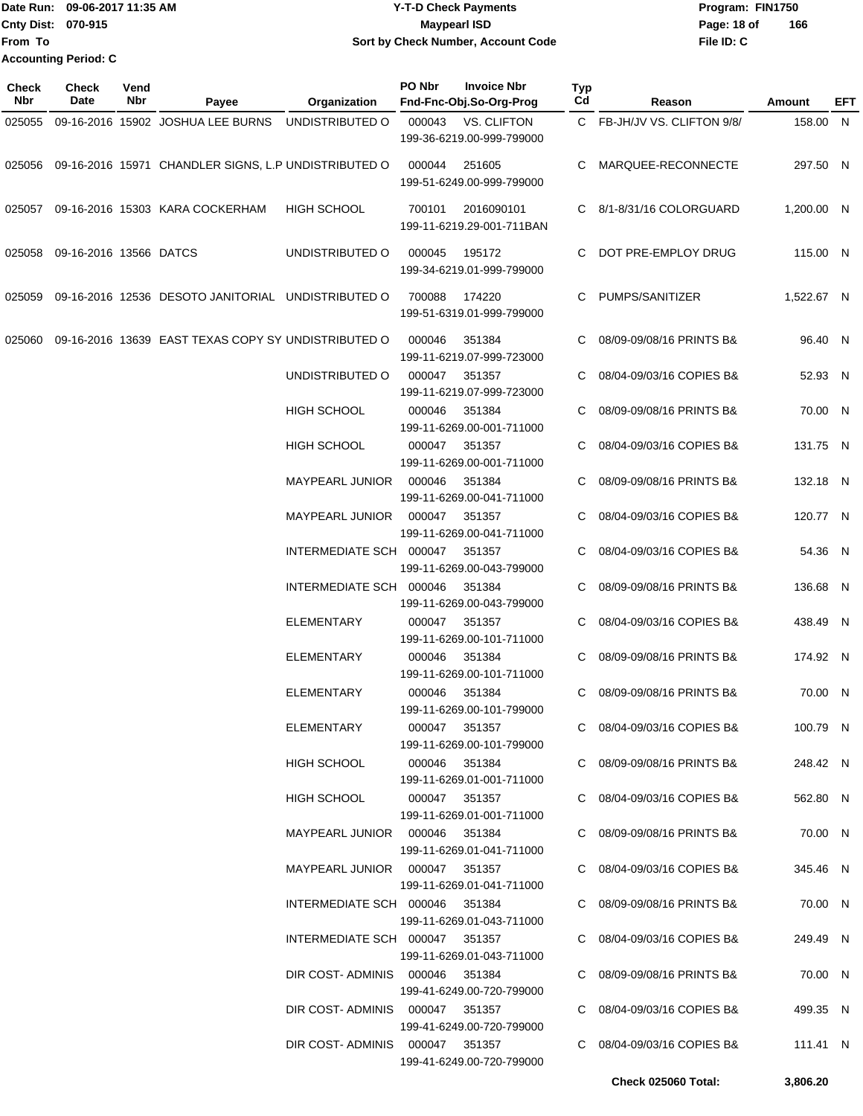Date Run: 09-06-2017 11:35 AM **CONTEX 100 CONTEX 11:35 AM** Y-T-D Check Payments **CONTEX 12:35 AM** Program: FIN1750 **Cnty Dist:** 070-915 **Page: 18 of** Maypearl ISD Maypearl ISD **File ID: C From To 09-06-2017 11:35 AM Y-T-D Check Payments 070-915 Maypearl ISD Sort by Check Number, Account Code 166 Accounting Period: C**

| Check<br>Nbr | <b>Check</b><br>Date   | Vend<br><b>Nbr</b> | Payee                                                | Organization                    | PO Nbr        | <b>Invoice Nbr</b><br>Fnd-Fnc-Obj.So-Org-Prog   | <b>Typ</b><br>Cd | Reason                      | Amount     | EFT |
|--------------|------------------------|--------------------|------------------------------------------------------|---------------------------------|---------------|-------------------------------------------------|------------------|-----------------------------|------------|-----|
| 025055       |                        |                    | 09-16-2016 15902 JOSHUA LEE BURNS                    | UNDISTRIBUTED O                 | 000043        | <b>VS. CLIFTON</b><br>199-36-6219.00-999-799000 |                  | C FB-JH/JV VS. CLIFTON 9/8/ | 158.00 N   |     |
| 025056       |                        |                    | 09-16-2016 15971 CHANDLER SIGNS, L.P UNDISTRIBUTED O |                                 | 000044        | 251605<br>199-51-6249.00-999-799000             | C                | MARQUEE-RECONNECTE          | 297.50 N   |     |
|              |                        |                    | 025057 09-16-2016 15303 KARA COCKERHAM               | HIGH SCHOOL                     | 700101        | 2016090101<br>199-11-6219.29-001-711BAN         |                  | C 8/1-8/31/16 COLORGUARD    | 1,200.00 N |     |
| 025058       | 09-16-2016 13566 DATCS |                    |                                                      | UNDISTRIBUTED O                 | 000045        | 195172<br>199-34-6219.01-999-799000             | C.               | DOT PRE-EMPLOY DRUG         | 115.00 N   |     |
| 025059       |                        |                    | 09-16-2016 12536 DESOTO JANITORIAL UNDISTRIBUTED O   |                                 | 700088        | 174220<br>199-51-6319.01-999-799000             | C                | PUMPS/SANITIZER             | 1,522.67 N |     |
| 025060       |                        |                    | 09-16-2016 13639 EAST TEXAS COPY SY UNDISTRIBUTED O  |                                 | 000046        | 351384<br>199-11-6219.07-999-723000             |                  | 08/09-09/08/16 PRINTS B&    | 96.40 N    |     |
|              |                        |                    |                                                      | UNDISTRIBUTED O                 | 000047        | 351357<br>199-11-6219.07-999-723000             |                  | 08/04-09/03/16 COPIES B&    | 52.93 N    |     |
|              |                        |                    |                                                      | HIGH SCHOOL                     | 000046        | 351384<br>199-11-6269.00-001-711000             |                  | 08/09-09/08/16 PRINTS B&    | 70.00 N    |     |
|              |                        |                    |                                                      | HIGH SCHOOL                     | 000047        | 351357<br>199-11-6269.00-001-711000             |                  | 08/04-09/03/16 COPIES B&    | 131.75 N   |     |
|              |                        |                    |                                                      | MAYPEARL JUNIOR                 | 000046        | 351384<br>199-11-6269.00-041-711000             | C                | 08/09-09/08/16 PRINTS B&    | 132.18 N   |     |
|              |                        |                    |                                                      | MAYPEARL JUNIOR                 | 000047        | 351357<br>199-11-6269.00-041-711000             |                  | 08/04-09/03/16 COPIES B&    | 120.77 N   |     |
|              |                        |                    |                                                      | INTERMEDIATE SCH 000047         |               | 351357<br>199-11-6269.00-043-799000             |                  | 08/04-09/03/16 COPIES B&    | 54.36 N    |     |
|              |                        |                    |                                                      | INTERMEDIATE SCH 000046         |               | 351384<br>199-11-6269.00-043-799000             | C                | 08/09-09/08/16 PRINTS B&    | 136.68 N   |     |
|              |                        |                    |                                                      | ELEMENTARY                      | 000047        | 351357<br>199-11-6269.00-101-711000             | C                | 08/04-09/03/16 COPIES B&    | 438.49 N   |     |
|              |                        |                    |                                                      | ELEMENTARY                      | 000046        | 351384<br>199-11-6269.00-101-711000             | C                | 08/09-09/08/16 PRINTS B&    | 174.92 N   |     |
|              |                        |                    |                                                      | ELEMENTARY                      | 000046        | 351384<br>199-11-6269.00-101-799000             |                  | C 08/09-09/08/16 PRINTS B&  | 70.00 N    |     |
|              |                        |                    |                                                      | ELEMENTARY                      | 000047 351357 | 199-11-6269.00-101-799000                       |                  | C 08/04-09/03/16 COPIES B&  | 100.79 N   |     |
|              |                        |                    |                                                      | HIGH SCHOOL                     | 000046 351384 | 199-11-6269.01-001-711000                       |                  | C 08/09-09/08/16 PRINTS B&  | 248.42 N   |     |
|              |                        |                    |                                                      | HIGH SCHOOL                     | 000047 351357 | 199-11-6269.01-001-711000                       |                  | C 08/04-09/03/16 COPIES B&  | 562.80 N   |     |
|              |                        |                    |                                                      | MAYPEARL JUNIOR  000046  351384 |               | 199-11-6269.01-041-711000                       |                  | C 08/09-09/08/16 PRINTS B&  | 70.00 N    |     |
|              |                        |                    |                                                      | MAYPEARL JUNIOR 000047 351357   |               | 199-11-6269.01-041-711000                       |                  | C 08/04-09/03/16 COPIES B&  | 345.46 N   |     |
|              |                        |                    |                                                      | INTERMEDIATE SCH 000046 351384  |               | 199-11-6269.01-043-711000                       |                  | C 08/09-09/08/16 PRINTS B&  | 70.00 N    |     |
|              |                        |                    |                                                      | INTERMEDIATE SCH 000047 351357  |               | 199-11-6269.01-043-711000                       |                  | C 08/04-09/03/16 COPIES B&  | 249.49 N   |     |
|              |                        |                    |                                                      | DIR COST-ADMINIS 000046 351384  |               | 199-41-6249.00-720-799000                       |                  | C 08/09-09/08/16 PRINTS B&  | 70.00 N    |     |
|              |                        |                    |                                                      | DIR COST-ADMINIS 000047 351357  |               | 199-41-6249.00-720-799000                       |                  | C 08/04-09/03/16 COPIES B&  | 499.35 N   |     |
|              |                        |                    |                                                      | DIR COST-ADMINIS 000047 351357  |               | 199-41-6249.00-720-799000                       |                  | C 08/04-09/03/16 COPIES B&  | 111.41 N   |     |
|              |                        |                    |                                                      |                                 |               |                                                 |                  | Check 025060 Total:         | 3,806.20   |     |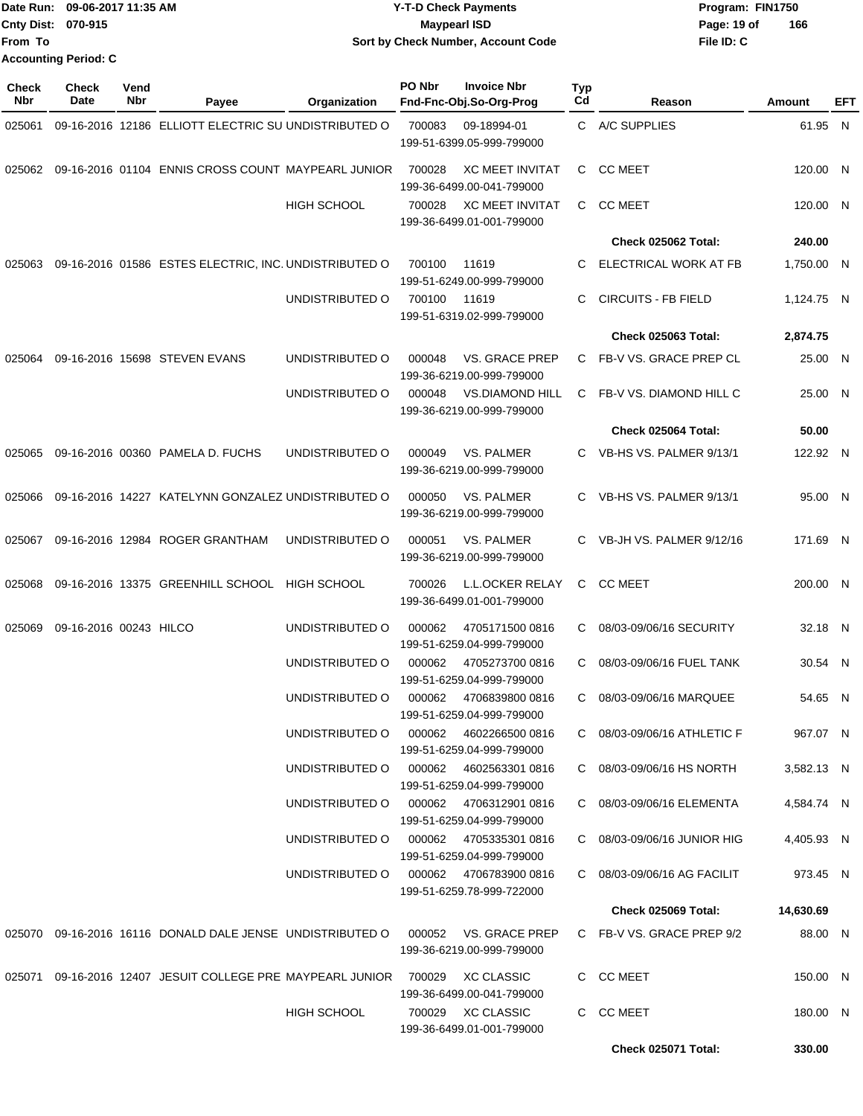|                           | Date Run: 09-06-2017 11:35 AM | <b>Y-T-D Check Payments</b>        | Program: FIN1750   |
|---------------------------|-------------------------------|------------------------------------|--------------------|
| <b>Cnty Dist: 070-915</b> |                               | Maypearl ISD                       | 166<br>Page: 19 of |
| <b>From To</b>            |                               | Sort by Check Number, Account Code | File ID: C         |
|                           | <b>Accounting Period: C</b>   |                                    |                    |

**PO Nbr Invoice Nbr**

| Check<br><b>Nbr</b> | <b>Check</b><br>Date   | Vend<br>Nbr | Payee                                                      | Organization       | PO Nbr | <b>Invoice Nbr</b><br>Fnd-Fnc-Obj.So-Org-Prog       | <b>Typ</b><br>Cd | Reason                      | <b>Amount</b> | EFT |
|---------------------|------------------------|-------------|------------------------------------------------------------|--------------------|--------|-----------------------------------------------------|------------------|-----------------------------|---------------|-----|
| 025061              |                        |             | 09-16-2016 12186 ELLIOTT ELECTRIC SU UNDISTRIBUTED O       |                    | 700083 | 09-18994-01<br>199-51-6399.05-999-799000            |                  | C A/C SUPPLIES              | 61.95 N       |     |
| 025062              |                        |             | 09-16-2016 01104 ENNIS CROSS COUNT MAYPEARL JUNIOR         |                    | 700028 | <b>XC MEET INVITAT</b><br>199-36-6499.00-041-799000 | C                | <b>CC MEET</b>              | 120.00 N      |     |
|                     |                        |             |                                                            | <b>HIGH SCHOOL</b> | 700028 | <b>XC MEET INVITAT</b><br>199-36-6499.01-001-799000 | C.               | <b>CC MEET</b>              | 120.00 N      |     |
|                     |                        |             |                                                            |                    |        |                                                     |                  | Check 025062 Total:         | 240.00        |     |
| 025063              |                        |             | 09-16-2016 01586 ESTES ELECTRIC, INC. UNDISTRIBUTED O      |                    | 700100 | 11619<br>199-51-6249.00-999-799000                  | C.               | ELECTRICAL WORK AT FB       | 1,750.00 N    |     |
|                     |                        |             |                                                            | UNDISTRIBUTED O    | 700100 | 11619<br>199-51-6319.02-999-799000                  | C                | <b>CIRCUITS - FB FIELD</b>  | 1,124.75 N    |     |
|                     |                        |             |                                                            |                    |        |                                                     |                  | Check 025063 Total:         | 2,874.75      |     |
| 025064              |                        |             | 09-16-2016 15698 STEVEN EVANS                              | UNDISTRIBUTED O    | 000048 | <b>VS. GRACE PREP</b><br>199-36-6219.00-999-799000  | C                | FB-V VS. GRACE PREP CL      | 25.00 N       |     |
|                     |                        |             |                                                            | UNDISTRIBUTED O    | 000048 | <b>VS.DIAMOND HILL</b><br>199-36-6219.00-999-799000 | C                | FB-V VS. DIAMOND HILL C     | 25.00 N       |     |
|                     |                        |             |                                                            |                    |        |                                                     |                  | Check 025064 Total:         | 50.00         |     |
| 025065              |                        |             | 09-16-2016 00360 PAMELA D. FUCHS                           | UNDISTRIBUTED O    | 000049 | <b>VS. PALMER</b><br>199-36-6219.00-999-799000      | C.               | VB-HS VS, PALMER 9/13/1     | 122.92 N      |     |
| 025066              |                        |             | 09-16-2016 14227 KATELYNN GONZALEZ UNDISTRIBUTED O         |                    | 000050 | VS. PALMER<br>199-36-6219.00-999-799000             | C.               | VB-HS VS. PALMER 9/13/1     | 95.00 N       |     |
| 025067              |                        |             | 09-16-2016 12984 ROGER GRANTHAM                            | UNDISTRIBUTED O    | 000051 | VS. PALMER<br>199-36-6219.00-999-799000             | C                | VB-JH VS. PALMER 9/12/16    | 171.69 N      |     |
| 025068              |                        |             | 09-16-2016 13375 GREENHILL SCHOOL                          | <b>HIGH SCHOOL</b> | 700026 | <b>L.L.OCKER RELAY</b><br>199-36-6499.01-001-799000 | C                | <b>CC MEET</b>              | 200.00 N      |     |
| 025069              | 09-16-2016 00243 HILCO |             |                                                            | UNDISTRIBUTED O    | 000062 | 4705171500 0816<br>199-51-6259.04-999-799000        | C                | 08/03-09/06/16 SECURITY     | 32.18 N       |     |
|                     |                        |             |                                                            | UNDISTRIBUTED O    | 000062 | 4705273700 0816<br>199-51-6259.04-999-799000        | C                | 08/03-09/06/16 FUEL TANK    | 30.54 N       |     |
|                     |                        |             |                                                            | UNDISTRIBUTED O    | 000062 | 4706839800 0816<br>199-51-6259.04-999-799000        | C                | 08/03-09/06/16 MARQUEE      | 54.65 N       |     |
|                     |                        |             |                                                            | UNDISTRIBUTED O    | 000062 | 4602266500 0816<br>199-51-6259.04-999-799000        |                  | C 08/03-09/06/16 ATHLETIC F | 967.07 N      |     |
|                     |                        |             |                                                            | UNDISTRIBUTED O    |        | 000062 4602563301 0816<br>199-51-6259.04-999-799000 |                  | C 08/03-09/06/16 HS NORTH   | 3,582.13 N    |     |
|                     |                        |             |                                                            | UNDISTRIBUTED O    |        | 000062 4706312901 0816<br>199-51-6259.04-999-799000 |                  | C 08/03-09/06/16 ELEMENTA   | 4,584.74 N    |     |
|                     |                        |             |                                                            | UNDISTRIBUTED O    |        | 000062 4705335301 0816<br>199-51-6259.04-999-799000 |                  | C 08/03-09/06/16 JUNIOR HIG | 4,405.93 N    |     |
|                     |                        |             |                                                            | UNDISTRIBUTED O    |        | 000062 4706783900 0816<br>199-51-6259.78-999-722000 |                  | C 08/03-09/06/16 AG FACILIT | 973.45 N      |     |
|                     |                        |             |                                                            |                    |        |                                                     |                  | Check 025069 Total:         | 14,630.69     |     |
|                     |                        |             | 025070 09-16-2016 16116 DONALD DALE JENSE UNDISTRIBUTED O  |                    |        | 000052 VS. GRACE PREP<br>199-36-6219.00-999-799000  |                  | C FB-V VS. GRACE PREP 9/2   | 88.00 N       |     |
| 025071              |                        |             | 09-16-2016 12407 JESUIT COLLEGE PRE MAYPEARL JUNIOR 700029 |                    |        | <b>XC CLASSIC</b><br>199-36-6499.00-041-799000      |                  | C CC MEET                   | 150.00 N      |     |
|                     |                        |             |                                                            | <b>HIGH SCHOOL</b> |        | 700029 XC CLASSIC<br>199-36-6499.01-001-799000      |                  | C CC MEET                   | 180.00 N      |     |
|                     |                        |             |                                                            |                    |        |                                                     |                  | <b>Check 025071 Total:</b>  | 330.00        |     |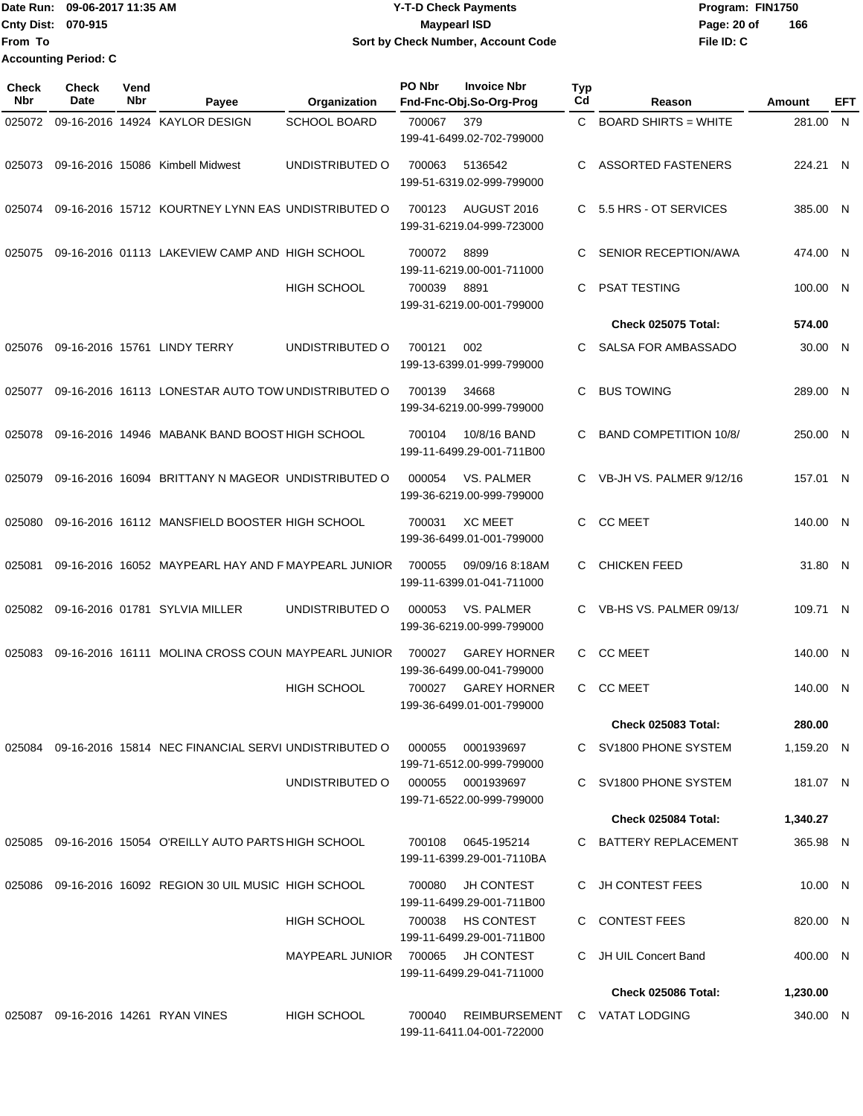Date Run: 09-06-2017 11:35 AM **CONTEX 100 CONTEX 12 T-D** Check Payments **CONTEX 12 T-D Check Payments** Program: FIN1750 **Cnty Dist:** 070-915 **Page: 20 of** Maypearl ISD **CONTEX 150 Page: 20 of From To Accounting Period: C**

# **Y-T-D Check Payments 070-915 Maypearl ISD Sort by Check Number, Account Code**

| Check<br>Nbr | Check<br>Date | Vend<br>Nbr | Payee                                                       | Organization           | PO Nbr | <b>Invoice Nbr</b><br>Fnd-Fnc-Obj.So-Org-Prog              | Typ<br>Cd | Reason                        | Amount     | EFT |
|--------------|---------------|-------------|-------------------------------------------------------------|------------------------|--------|------------------------------------------------------------|-----------|-------------------------------|------------|-----|
| 025072       |               |             | 09-16-2016 14924 KAYLOR DESIGN                              | <b>SCHOOL BOARD</b>    | 700067 | 379<br>199-41-6499.02-702-799000                           |           | C BOARD SHIRTS = WHITE        | 281.00 N   |     |
| 025073       |               |             | 09-16-2016 15086 Kimbell Midwest                            | UNDISTRIBUTED O        | 700063 | 5136542<br>199-51-6319.02-999-799000                       | C         | <b>ASSORTED FASTENERS</b>     | 224.21 N   |     |
| 025074       |               |             | 09-16-2016 15712 KOURTNEY LYNN EAS UNDISTRIBUTED O          |                        | 700123 | AUGUST 2016<br>199-31-6219.04-999-723000                   | C.        | 5.5 HRS - OT SERVICES         | 385.00 N   |     |
| 025075       |               |             | 09-16-2016 01113 LAKEVIEW CAMP AND HIGH SCHOOL              |                        | 700072 | 8899<br>199-11-6219.00-001-711000                          | C         | SENIOR RECEPTION/AWA          | 474.00 N   |     |
|              |               |             |                                                             | <b>HIGH SCHOOL</b>     | 700039 | 8891<br>199-31-6219.00-001-799000                          | C         | PSAT TESTING                  | 100.00 N   |     |
|              |               |             |                                                             |                        |        |                                                            |           | <b>Check 025075 Total:</b>    | 574.00     |     |
| 025076       |               |             | 09-16-2016 15761 LINDY TERRY                                | UNDISTRIBUTED O        | 700121 | 002<br>199-13-6399.01-999-799000                           | C         | SALSA FOR AMBASSADO           | 30.00 N    |     |
| 025077       |               |             | 09-16-2016 16113 LONESTAR AUTO TOW UNDISTRIBUTED O          |                        | 700139 | 34668<br>199-34-6219.00-999-799000                         | C         | <b>BUS TOWING</b>             | 289.00 N   |     |
| 025078       |               |             | 09-16-2016 14946 MABANK BAND BOOST HIGH SCHOOL              |                        | 700104 | 10/8/16 BAND<br>199-11-6499.29-001-711B00                  | C         | <b>BAND COMPETITION 10/8/</b> | 250.00 N   |     |
| 025079       |               |             | 09-16-2016 16094 BRITTANY N MAGEOR UNDISTRIBUTED O          |                        | 000054 | VS. PALMER<br>199-36-6219.00-999-799000                    |           | VB-JH VS. PALMER 9/12/16      | 157.01 N   |     |
| 025080       |               |             | 09-16-2016 16112 MANSFIELD BOOSTER HIGH SCHOOL              |                        | 700031 | <b>XC MEET</b><br>199-36-6499.01-001-799000                | C.        | <b>CC MEET</b>                | 140.00 N   |     |
| 025081       |               |             | 09-16-2016 16052 MAYPEARL HAY AND F MAYPEARL JUNIOR         |                        | 700055 | 09/09/16 8:18AM<br>199-11-6399.01-041-711000               | C         | <b>CHICKEN FEED</b>           | 31.80 N    |     |
| 025082       |               |             | 09-16-2016 01781 SYLVIA MILLER                              | UNDISTRIBUTED O        | 000053 | VS. PALMER<br>199-36-6219.00-999-799000                    | C.        | VB-HS VS. PALMER 09/13/       | 109.71 N   |     |
| 025083       |               |             | 09-16-2016 16111 MOLINA CROSS COUN MAYPEARL JUNIOR          |                        | 700027 | <b>GAREY HORNER</b><br>199-36-6499.00-041-799000           | C         | <b>CC MEET</b>                | 140.00 N   |     |
|              |               |             |                                                             | <b>HIGH SCHOOL</b>     | 700027 | <b>GAREY HORNER</b><br>199-36-6499.01-001-799000           | C.        | <b>CC MEET</b>                | 140.00 N   |     |
|              |               |             |                                                             |                        |        |                                                            |           | <b>Check 025083 Total:</b>    | 280.00     |     |
|              |               |             | 025084 09-16-2016 15814 NEC FINANCIAL SERVI UNDISTRIBUTED O |                        | 000055 | 0001939697<br>199-71-6512.00-999-799000                    |           | C SV1800 PHONE SYSTEM         | 1,159.20 N |     |
|              |               |             |                                                             | UNDISTRIBUTED O        | 000055 | 0001939697<br>199-71-6522.00-999-799000                    |           | C SV1800 PHONE SYSTEM         | 181.07 N   |     |
|              |               |             |                                                             |                        |        |                                                            |           | Check 025084 Total:           | 1,340.27   |     |
|              |               |             | 025085 09-16-2016 15054 O'REILLY AUTO PARTS HIGH SCHOOL     |                        |        | 700108 0645-195214<br>199-11-6399.29-001-7110BA            |           | C BATTERY REPLACEMENT         | 365.98 N   |     |
| 025086       |               |             | 09-16-2016 16092 REGION 30 UIL MUSIC HIGH SCHOOL            |                        | 700080 | <b>JH CONTEST</b><br>199-11-6499.29-001-711B00             |           | C JH CONTEST FEES             | 10.00 N    |     |
|              |               |             |                                                             | <b>HIGH SCHOOL</b>     | 700038 | HS CONTEST<br>199-11-6499.29-001-711B00                    |           | C CONTEST FEES                | 820.00 N   |     |
|              |               |             |                                                             | <b>MAYPEARL JUNIOR</b> | 700065 | <b>JH CONTEST</b><br>199-11-6499.29-041-711000             |           | C JH UIL Concert Band         | 400.00 N   |     |
|              |               |             |                                                             |                        |        |                                                            |           | <b>Check 025086 Total:</b>    | 1,230.00   |     |
|              |               |             | 025087 09-16-2016 14261 RYAN VINES                          | <b>HIGH SCHOOL</b>     | 700040 | REIMBURSEMENT C VATAT LODGING<br>199-11-6411.04-001-722000 |           |                               | 340.00 N   |     |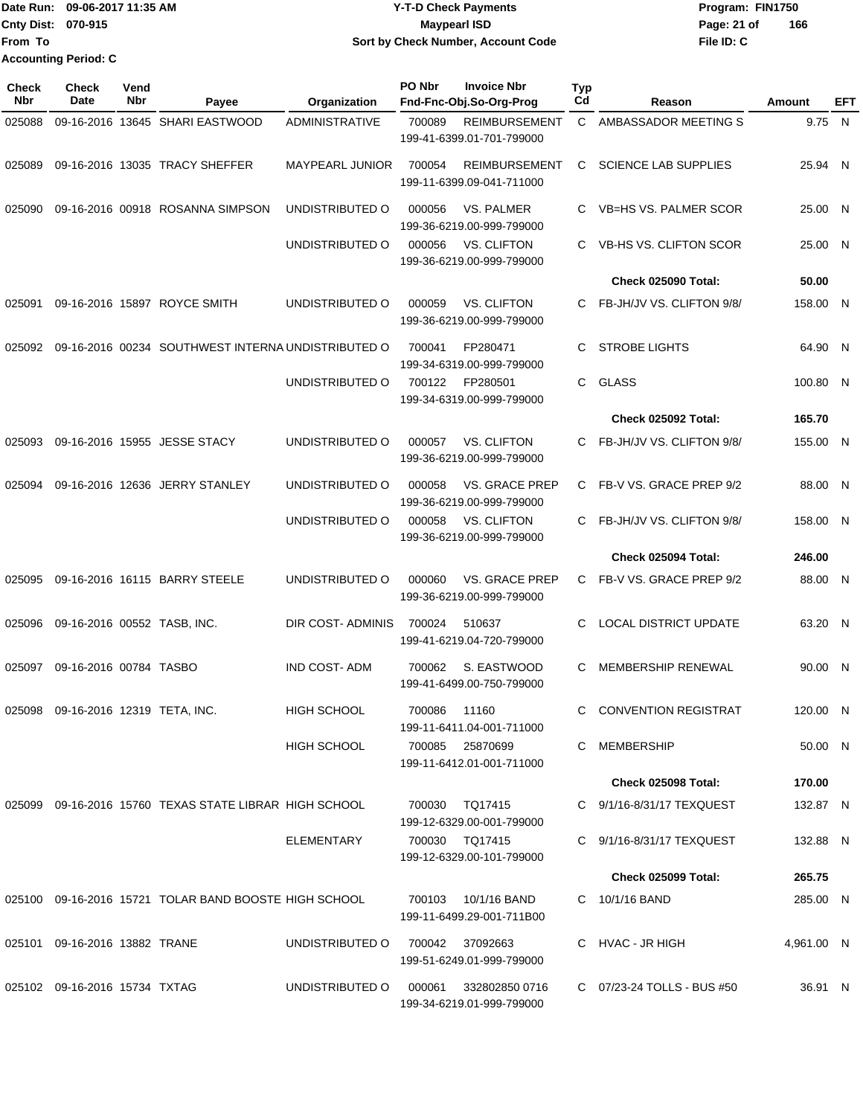|                    | Date Run: 09-06-2017 11:35 AM | <b>Y-T-D Check Payments</b>        | Program: FIN1750   |
|--------------------|-------------------------------|------------------------------------|--------------------|
| Cnty Dist: 070-915 |                               | <b>Mavpearl ISD</b>                | 166<br>Page: 21 of |
| lFrom To           |                               | Sort by Check Number, Account Code | File ID: C         |
|                    | <b>Accounting Period: C</b>   |                                    |                    |

| Check<br><b>Nbr</b> | <b>Check</b><br>Date               | Vend<br>Nbr | Payee                                                  | Organization           | PO Nbr       | <b>Invoice Nbr</b><br>Fnd-Fnc-Obj.So-Org-Prog      | Typ<br>Cd    | Reason                                                  | Amount             | EFT |
|---------------------|------------------------------------|-------------|--------------------------------------------------------|------------------------|--------------|----------------------------------------------------|--------------|---------------------------------------------------------|--------------------|-----|
| 025088              |                                    |             | 09-16-2016 13645 SHARI EASTWOOD                        | <b>ADMINISTRATIVE</b>  | 700089       | <b>REIMBURSEMENT</b><br>199-41-6399.01-701-799000  | $\mathsf{C}$ | AMBASSADOR MEETING S                                    | 9.75 N             |     |
| 025089              |                                    |             | 09-16-2016 13035 TRACY SHEFFER                         | <b>MAYPEARL JUNIOR</b> | 700054       | <b>REIMBURSEMENT</b><br>199-11-6399.09-041-711000  | C.           | <b>SCIENCE LAB SUPPLIES</b>                             | 25.94 N            |     |
| 025090              |                                    |             | 09-16-2016 00918 ROSANNA SIMPSON                       | UNDISTRIBUTED O        | 000056       | <b>VS. PALMER</b><br>199-36-6219.00-999-799000     | C.           | <b>VB=HS VS. PALMER SCOR</b>                            | 25.00 N            |     |
|                     |                                    |             |                                                        | UNDISTRIBUTED O        | 000056       | <b>VS. CLIFTON</b><br>199-36-6219.00-999-799000    | C.           | VB-HS VS. CLIFTON SCOR                                  | 25.00 N            |     |
|                     |                                    |             |                                                        |                        |              |                                                    |              | Check 025090 Total:                                     | 50.00              |     |
| 025091              |                                    |             | 09-16-2016 15897 ROYCE SMITH                           | UNDISTRIBUTED O        | 000059       | VS. CLIFTON<br>199-36-6219.00-999-799000           | C.           | FB-JH/JV VS. CLIFTON 9/8/                               | 158.00 N           |     |
| 025092              |                                    |             | 09-16-2016 00234 SOUTHWEST INTERNA UNDISTRIBUTED O     |                        | 700041       | FP280471<br>199-34-6319.00-999-799000              | C            | <b>STROBE LIGHTS</b>                                    | 64.90 N            |     |
|                     |                                    |             |                                                        | UNDISTRIBUTED O        | 700122       | FP280501<br>199-34-6319.00-999-799000              | C.           | <b>GLASS</b>                                            | 100.80 N           |     |
|                     |                                    |             |                                                        |                        |              |                                                    |              | Check 025092 Total:                                     | 165.70             |     |
| 025093              |                                    |             | 09-16-2016 15955 JESSE STACY                           | UNDISTRIBUTED O        | 000057       | VS. CLIFTON<br>199-36-6219.00-999-799000           |              | C FB-JH/JV VS. CLIFTON 9/8/                             | 155.00 N           |     |
| 025094              |                                    |             | 09-16-2016 12636 JERRY STANLEY                         | UNDISTRIBUTED O        | 000058       | <b>VS. GRACE PREP</b><br>199-36-6219.00-999-799000 |              | C FB-V VS. GRACE PREP 9/2                               | 88.00 N            |     |
|                     |                                    |             |                                                        | UNDISTRIBUTED O        | 000058       | <b>VS. CLIFTON</b><br>199-36-6219.00-999-799000    | C.           | FB-JH/JV VS. CLIFTON 9/8/                               | 158.00 N           |     |
|                     |                                    |             |                                                        |                        |              |                                                    |              | Check 025094 Total:                                     | 246.00             |     |
| 025095              |                                    |             | 09-16-2016 16115 BARRY STEELE                          | UNDISTRIBUTED O        | 000060       | <b>VS. GRACE PREP</b><br>199-36-6219.00-999-799000 |              | C FB-V VS. GRACE PREP 9/2                               | 88.00 N            |     |
| 025096              | 09-16-2016 00552 TASB, INC.        |             |                                                        | DIR COST-ADMINIS       | 700024       | 510637<br>199-41-6219.04-720-799000                | C.           | <b>LOCAL DISTRICT UPDATE</b>                            | 63.20 N            |     |
| 025097              | 09-16-2016 00784 TASBO             |             |                                                        | <b>IND COST-ADM</b>    | 700062       | S. EASTWOOD<br>199-41-6499.00-750-799000           | C            | <b>MEMBERSHIP RENEWAL</b>                               | 90.00 N            |     |
|                     | 025098 09-16-2016 12319 TETA, INC. |             |                                                        | HIGH SCHOOL            | 700086 11160 | 199-11-6411.04-001-711000                          |              | <b>CONVENTION REGISTRAT</b>                             | 120.00 N           |     |
|                     |                                    |             |                                                        | <b>HIGH SCHOOL</b>     |              | 700085 25870699<br>199-11-6412.01-001-711000       |              | C MEMBERSHIP                                            | 50.00 N            |     |
|                     |                                    |             |                                                        |                        |              |                                                    |              | <b>Check 025098 Total:</b>                              | 170.00             |     |
|                     |                                    |             | 025099 09-16-2016 15760 TEXAS STATE LIBRAR HIGH SCHOOL |                        | 700030       | TQ17415<br>199-12-6329.00-001-799000               |              | C 9/1/16-8/31/17 TEXQUEST                               | 132.87 N           |     |
|                     |                                    |             |                                                        | ELEMENTARY             |              | 700030 TQ17415<br>199-12-6329.00-101-799000        |              | C 9/1/16-8/31/17 TEXQUEST<br><b>Check 025099 Total:</b> | 132.88 N<br>265.75 |     |
|                     |                                    |             |                                                        |                        |              |                                                    |              |                                                         |                    |     |
|                     |                                    |             | 025100 09-16-2016 15721 TOLAR BAND BOOSTE HIGH SCHOOL  |                        |              | 700103 10/1/16 BAND<br>199-11-6499.29-001-711B00   |              | C 10/1/16 BAND                                          | 285.00 N           |     |
|                     | 025101 09-16-2016 13882 TRANE      |             |                                                        | UNDISTRIBUTED O        |              | 700042 37092663<br>199-51-6249.01-999-799000       |              | C HVAC - JR HIGH                                        | 4,961.00 N         |     |
|                     | 025102 09-16-2016 15734 TXTAG      |             |                                                        | UNDISTRIBUTED O        | 000061       | 332802850 0716<br>199-34-6219.01-999-799000        |              | C 07/23-24 TOLLS - BUS #50                              | 36.91 N            |     |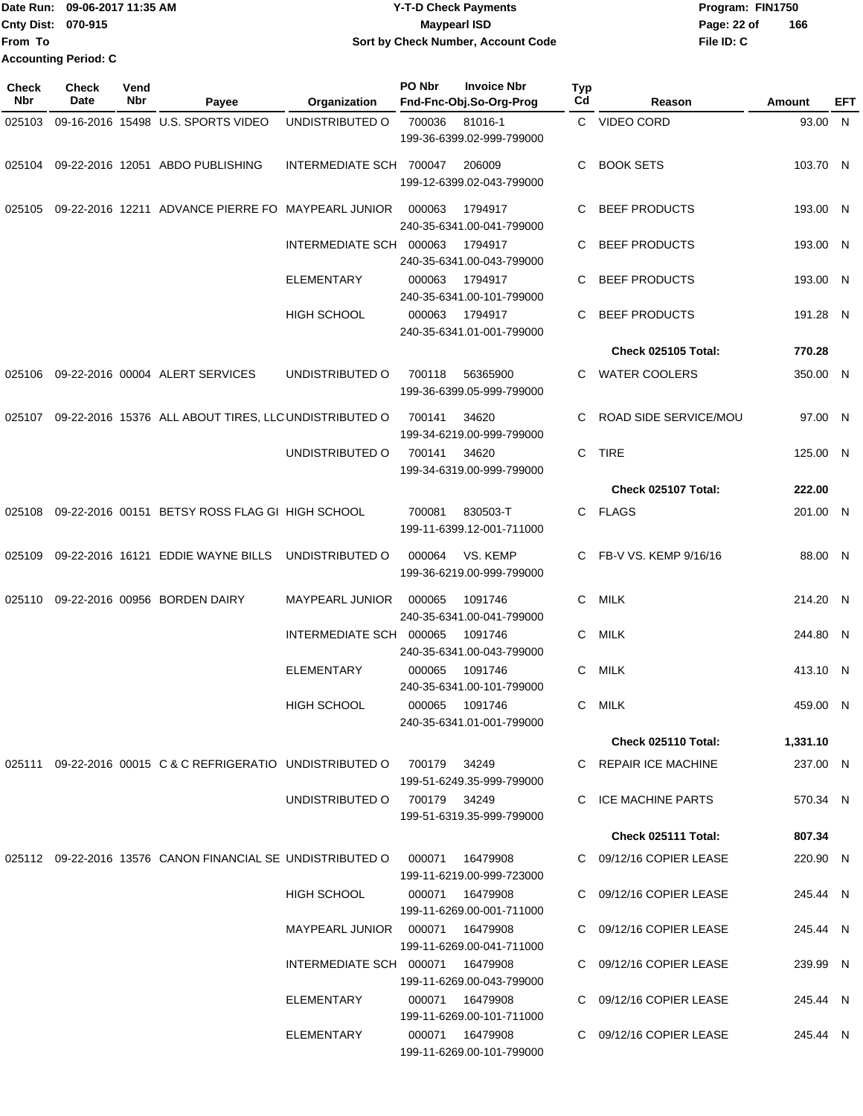|                             | Date Run: 09-06-2017 11:35 AM | Y-T-D Check Payments               | Program: FIN1750   |
|-----------------------------|-------------------------------|------------------------------------|--------------------|
| <b>Cnty Dist: 070-915</b>   |                               | <b>Mavpearl ISD</b>                | 166<br>Page: 22 of |
| lFrom To                    |                               | Sort by Check Number, Account Code | File ID: C         |
| <b>Accounting Period: C</b> |                               |                                    |                    |

| <b>Check</b><br>Nbr | <b>Check</b><br>Date | Vend<br>Nbr | Payee                                                      | Organization            | PO Nbr       | <b>Invoice Nbr</b><br>Fnd-Fnc-Obj.So-Org-Prog | Typ<br>Cd | Reason                       | Amount   | EFT |
|---------------------|----------------------|-------------|------------------------------------------------------------|-------------------------|--------------|-----------------------------------------------|-----------|------------------------------|----------|-----|
| 025103              |                      |             | 09-16-2016 15498 U.S. SPORTS VIDEO                         | UNDISTRIBUTED O         | 700036       | 81016-1<br>199-36-6399.02-999-799000          |           | C VIDEO CORD                 | 93.00 N  |     |
| 025104              |                      |             | 09-22-2016 12051 ABDO PUBLISHING                           | INTERMEDIATE SCH 700047 |              | 206009<br>199-12-6399.02-043-799000           | C.        | <b>BOOK SETS</b>             | 103.70 N |     |
| 025105              |                      |             | 09-22-2016 12211 ADVANCE PIERRE FO MAYPEARL JUNIOR         |                         | 000063       | 1794917<br>240-35-6341.00-041-799000          | C.        | <b>BEEF PRODUCTS</b>         | 193.00 N |     |
|                     |                      |             |                                                            | INTERMEDIATE SCH 000063 |              | 1794917<br>240-35-6341.00-043-799000          | C         | <b>BEEF PRODUCTS</b>         | 193.00 N |     |
|                     |                      |             |                                                            | <b>ELEMENTARY</b>       | 000063       | 1794917<br>240-35-6341.00-101-799000          | C         | <b>BEEF PRODUCTS</b>         | 193.00 N |     |
|                     |                      |             |                                                            | <b>HIGH SCHOOL</b>      | 000063       | 1794917<br>240-35-6341.01-001-799000          | C         | <b>BEEF PRODUCTS</b>         | 191.28 N |     |
|                     |                      |             |                                                            |                         |              |                                               |           | <b>Check 025105 Total:</b>   | 770.28   |     |
| 025106              |                      |             | 09-22-2016 00004 ALERT SERVICES                            | UNDISTRIBUTED O         | 700118       | 56365900<br>199-36-6399.05-999-799000         | C.        | <b>WATER COOLERS</b>         | 350.00 N |     |
| 025107              |                      |             | 09-22-2016 15376 ALL ABOUT TIRES, LLC UNDISTRIBUTED O      |                         | 700141       | 34620<br>199-34-6219.00-999-799000            |           | <b>ROAD SIDE SERVICE/MOU</b> | 97.00 N  |     |
|                     |                      |             |                                                            | UNDISTRIBUTED O         | 700141       | 34620<br>199-34-6319.00-999-799000            | C.        | <b>TIRE</b>                  | 125.00 N |     |
|                     |                      |             |                                                            |                         |              |                                               |           | Check 025107 Total:          | 222.00   |     |
| 025108              |                      |             | 09-22-2016 00151 BETSY ROSS FLAG GI HIGH SCHOOL            |                         | 700081       | 830503-T<br>199-11-6399.12-001-711000         |           | C FLAGS                      | 201.00 N |     |
| 025109              |                      |             | 09-22-2016 16121 EDDIE WAYNE BILLS                         | UNDISTRIBUTED O         | 000064       | VS. KEMP<br>199-36-6219.00-999-799000         |           | C FB-V VS. KEMP 9/16/16      | 88.00 N  |     |
| 025110              |                      |             | 09-22-2016 00956 BORDEN DAIRY                              | MAYPEARL JUNIOR         | 000065       | 1091746<br>240-35-6341.00-041-799000          | C.        | MILK                         | 214.20 N |     |
|                     |                      |             |                                                            | INTERMEDIATE SCH        | 000065       | 1091746<br>240-35-6341.00-043-799000          | C.        | MILK                         | 244.80 N |     |
|                     |                      |             |                                                            | <b>ELEMENTARY</b>       | 000065       | 1091746<br>240-35-6341.00-101-799000          | C         | <b>MILK</b>                  | 413.10 N |     |
|                     |                      |             |                                                            | <b>HIGH SCHOOL</b>      | 000065       | 1091746<br>240-35-6341.01-001-799000          | C         | MILK                         | 459.00 N |     |
|                     |                      |             |                                                            |                         |              |                                               |           | Check 025110 Total:          | 1,331.10 |     |
|                     |                      |             | 025111 09-22-2016 00015 C & C REFRIGERATIO UNDISTRIBUTED O |                         | 700179       | 34249<br>199-51-6249.35-999-799000            |           | C REPAIR ICE MACHINE         | 237.00 N |     |
|                     |                      |             |                                                            | UNDISTRIBUTED O         | 700179 34249 | 199-51-6319.35-999-799000                     |           | C ICE MACHINE PARTS          | 570.34 N |     |
|                     |                      |             |                                                            |                         |              |                                               |           | Check 025111 Total:          | 807.34   |     |
|                     |                      |             | 025112 09-22-2016 13576 CANON FINANCIAL SE UNDISTRIBUTED O |                         | 000071       | 16479908<br>199-11-6219.00-999-723000         |           | C 09/12/16 COPIER LEASE      | 220.90 N |     |
|                     |                      |             |                                                            | <b>HIGH SCHOOL</b>      | 000071       | 16479908<br>199-11-6269.00-001-711000         |           | C 09/12/16 COPIER LEASE      | 245.44 N |     |
|                     |                      |             |                                                            | MAYPEARL JUNIOR 000071  |              | 16479908<br>199-11-6269.00-041-711000         |           | C 09/12/16 COPIER LEASE      | 245.44 N |     |
|                     |                      |             |                                                            | INTERMEDIATE SCH 000071 |              | 16479908<br>199-11-6269.00-043-799000         | C         | 09/12/16 COPIER LEASE        | 239.99 N |     |
|                     |                      |             |                                                            | ELEMENTARY              | 000071       | 16479908<br>199-11-6269.00-101-711000         | C.        | 09/12/16 COPIER LEASE        | 245.44 N |     |
|                     |                      |             |                                                            | ELEMENTARY              |              | 000071 16479908<br>199-11-6269.00-101-799000  |           | C 09/12/16 COPIER LEASE      | 245.44 N |     |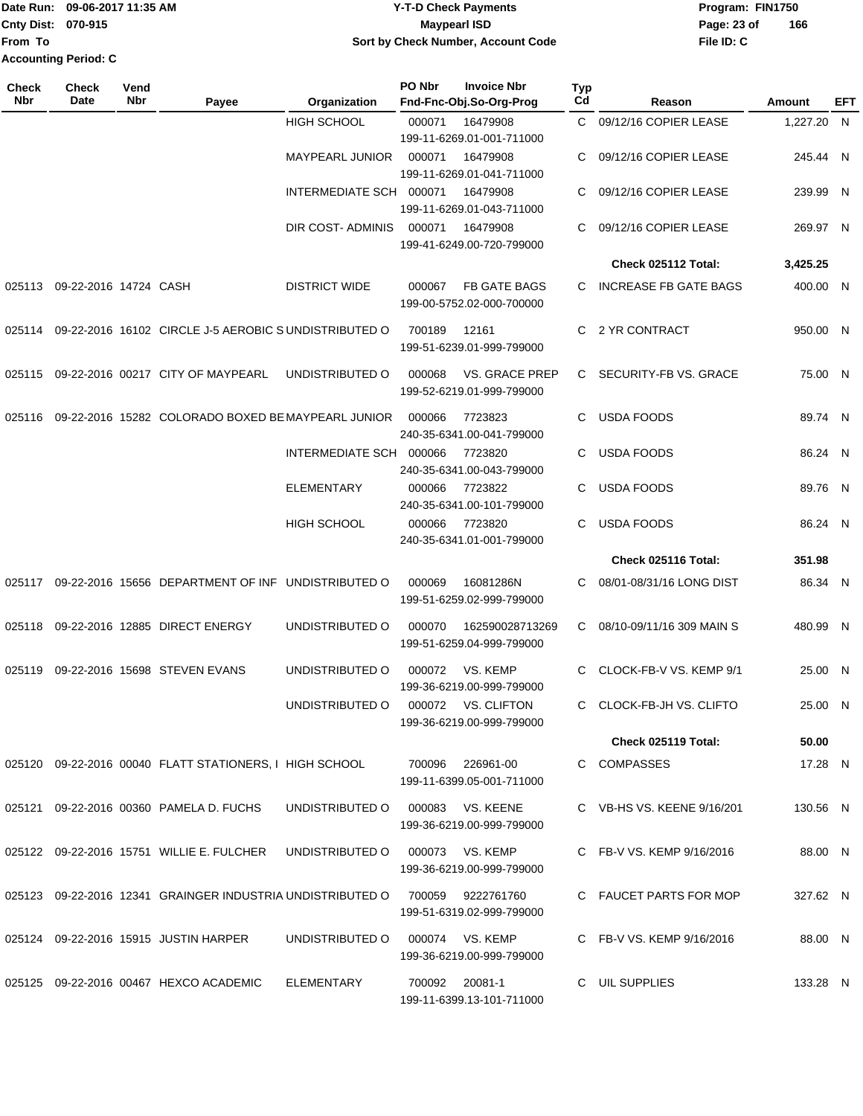|                             | Date Run: 09-06-2017 11:35 AM | Y-T-D Check Payments               | Program: FIN1750 |     |
|-----------------------------|-------------------------------|------------------------------------|------------------|-----|
| <b>Cnty Dist: 070-915</b>   |                               | Maypearl ISD                       | Page: 23 of      | 166 |
| <b>IFrom To</b>             |                               | Sort by Check Number, Account Code | File ID: C       |     |
| <b>Accounting Period: C</b> |                               |                                    |                  |     |

| Check<br>Nbr | <b>Check</b><br>Date  | Vend<br>Nbr | Payee                                                      | Organization            | PO Nbr         | <b>Invoice Nbr</b><br>Fnd-Fnc-Obj.So-Org-Prog      | <b>Typ</b><br>Cd | Reason                       | Amount     | EFT |
|--------------|-----------------------|-------------|------------------------------------------------------------|-------------------------|----------------|----------------------------------------------------|------------------|------------------------------|------------|-----|
|              |                       |             |                                                            | HIGH SCHOOL             | 000071         | 16479908<br>199-11-6269.01-001-711000              | C.               | 09/12/16 COPIER LEASE        | 1,227.20 N |     |
|              |                       |             |                                                            | MAYPEARL JUNIOR         | 000071         | 16479908<br>199-11-6269.01-041-711000              | C                | 09/12/16 COPIER LEASE        | 245.44 N   |     |
|              |                       |             |                                                            | INTERMEDIATE SCH 000071 |                | 16479908<br>199-11-6269.01-043-711000              | C                | 09/12/16 COPIER LEASE        | 239.99 N   |     |
|              |                       |             |                                                            | DIR COST- ADMINIS       | 000071         | 16479908<br>199-41-6249.00-720-799000              | C                | 09/12/16 COPIER LEASE        | 269.97 N   |     |
|              |                       |             |                                                            |                         |                |                                                    |                  | Check 025112 Total:          | 3,425.25   |     |
| 025113       | 09-22-2016 14724 CASH |             |                                                            | <b>DISTRICT WIDE</b>    | 000067         | FB GATE BAGS<br>199-00-5752.02-000-700000          | C.               | <b>INCREASE FB GATE BAGS</b> | 400.00 N   |     |
| 025114       |                       |             | 09-22-2016 16102 CIRCLE J-5 AEROBIC SUNDISTRIBUTED O       |                         | 700189         | 12161<br>199-51-6239.01-999-799000                 | C.               | 2 YR CONTRACT                | 950.00 N   |     |
| 025115       |                       |             | 09-22-2016 00217 CITY OF MAYPEARL                          | UNDISTRIBUTED O         | 000068         | <b>VS. GRACE PREP</b><br>199-52-6219.01-999-799000 | C.               | SECURITY-FB VS. GRACE        | 75.00 N    |     |
| 025116       |                       |             | 09-22-2016 15282 COLORADO BOXED BE MAYPEARL JUNIOR         |                         | 000066         | 7723823<br>240-35-6341.00-041-799000               | C.               | <b>USDA FOODS</b>            | 89.74 N    |     |
|              |                       |             |                                                            | INTERMEDIATE SCH        | 000066         | 7723820<br>240-35-6341.00-043-799000               | C.               | <b>USDA FOODS</b>            | 86.24 N    |     |
|              |                       |             |                                                            | ELEMENTARY              | 000066         | 7723822<br>240-35-6341.00-101-799000               | C                | <b>USDA FOODS</b>            | 89.76 N    |     |
|              |                       |             |                                                            | <b>HIGH SCHOOL</b>      | 000066         | 7723820<br>240-35-6341.01-001-799000               | C.               | <b>USDA FOODS</b>            | 86.24 N    |     |
|              |                       |             |                                                            |                         |                |                                                    |                  | Check 025116 Total:          | 351.98     |     |
| 025117       |                       |             | 09-22-2016 15656 DEPARTMENT OF INF UNDISTRIBUTED O         |                         | 000069         | 16081286N<br>199-51-6259.02-999-799000             | C                | 08/01-08/31/16 LONG DIST     | 86.34 N    |     |
| 025118       |                       |             | 09-22-2016 12885 DIRECT ENERGY                             | UNDISTRIBUTED O         | 000070         | 162590028713269<br>199-51-6259.04-999-799000       | C                | 08/10-09/11/16 309 MAIN S    | 480.99 N   |     |
| 025119       |                       |             | 09-22-2016 15698 STEVEN EVANS                              | UNDISTRIBUTED O         | 000072         | VS. KEMP<br>199-36-6219.00-999-799000              | C.               | CLOCK-FB-V VS. KEMP 9/1      | 25.00 N    |     |
|              |                       |             |                                                            | UNDISTRIBUTED O         | 000072         | <b>VS. CLIFTON</b><br>199-36-6219.00-999-799000    | C.               | CLOCK-FB-JH VS. CLIFTO       | 25.00 N    |     |
|              |                       |             |                                                            |                         |                |                                                    |                  | Check 025119 Total:          | 50.00      |     |
|              |                       |             | 025120 09-22-2016 00040 FLATT STATIONERS, I HIGH SCHOOL    |                         | 700096         | 226961-00<br>199-11-6399.05-001-711000             |                  | C COMPASSES                  | 17.28 N    |     |
|              |                       |             | 025121 09-22-2016 00360 PAMELA D. FUCHS                    | UNDISTRIBUTED O         | 000083         | VS. KEENE<br>199-36-6219.00-999-799000             |                  | C VB-HS VS. KEENE 9/16/201   | 130.56 N   |     |
|              |                       |             | 025122 09-22-2016 15751 WILLIE E. FULCHER                  | UNDISTRIBUTED O         |                | 000073 VS. KEMP<br>199-36-6219.00-999-799000       |                  | C FB-V VS. KEMP 9/16/2016    | 88.00 N    |     |
|              |                       |             | 025123 09-22-2016 12341 GRAINGER INDUSTRIA UNDISTRIBUTED O |                         |                | 700059 9222761760<br>199-51-6319.02-999-799000     |                  | C FAUCET PARTS FOR MOP       | 327.62 N   |     |
|              |                       |             | 025124 09-22-2016 15915 JUSTIN HARPER                      | UNDISTRIBUTED O         |                | 000074 VS. KEMP<br>199-36-6219.00-999-799000       |                  | C FB-V VS. KEMP 9/16/2016    | 88.00 N    |     |
|              |                       |             | 025125 09-22-2016 00467 HEXCO ACADEMIC                     | ELEMENTARY              | 700092 20081-1 | 199-11-6399.13-101-711000                          |                  | C UIL SUPPLIES               | 133.28 N   |     |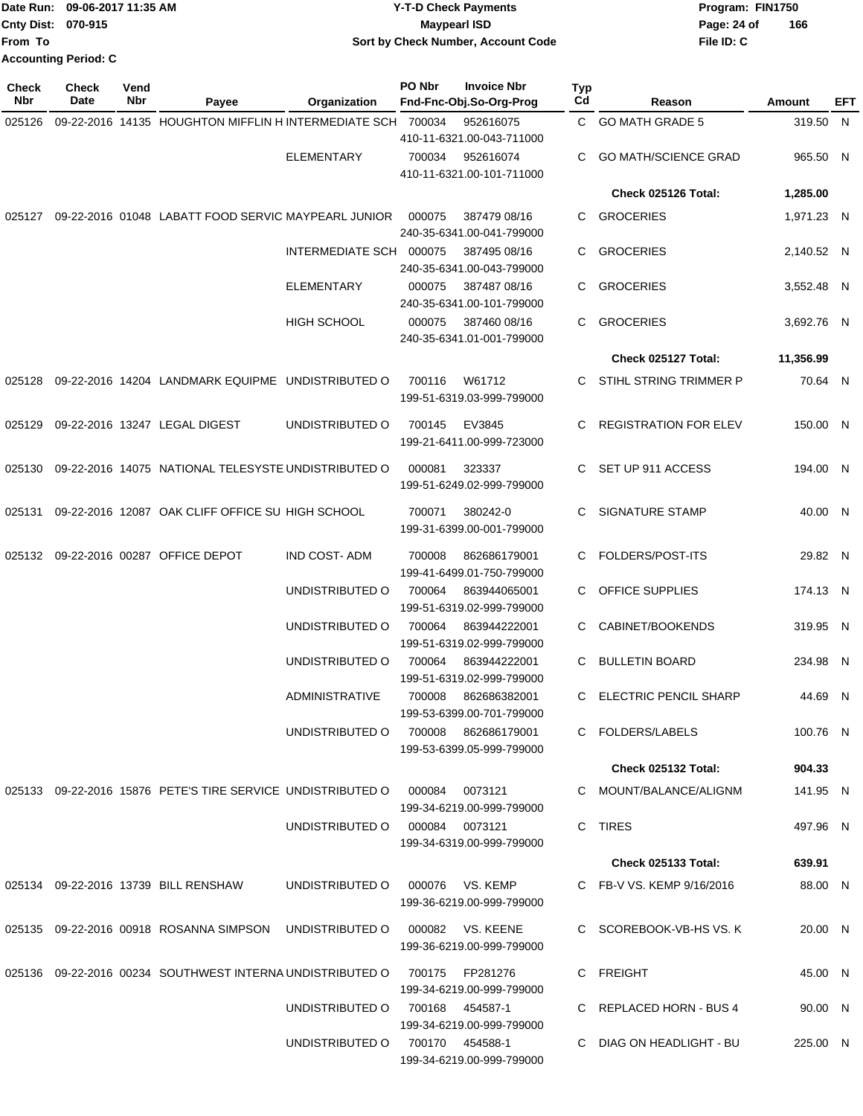|                    | Date Run: 09-06-2017 11:35 AM | <b>Y-T-D Check Payments</b>        | Program: FIN1750   |
|--------------------|-------------------------------|------------------------------------|--------------------|
| Cnty Dist: 070-915 |                               | Maypearl ISD                       | 166<br>Page: 24 of |
| From To            |                               | Sort by Check Number, Account Code | File ID: C         |
|                    | <b>Accounting Period: C</b>   |                                    |                    |

| <b>Check</b><br>Nbr | Check<br>Date | Vend<br>Nbr | Payee                                                       | Organization            | PO Nbr | <b>Invoice Nbr</b><br>Fnd-Fnc-Obj.So-Org-Prog | Typ<br>Cd | Reason                       | Amount     | EFT |
|---------------------|---------------|-------------|-------------------------------------------------------------|-------------------------|--------|-----------------------------------------------|-----------|------------------------------|------------|-----|
| 025126              |               |             | 09-22-2016 14135 HOUGHTON MIFFLIN H INTERMEDIATE SCH 700034 |                         |        | 952616075                                     | C.        | <b>GO MATH GRADE 5</b>       | 319.50 N   |     |
|                     |               |             |                                                             |                         |        | 410-11-6321.00-043-711000                     |           |                              |            |     |
|                     |               |             |                                                             | <b>ELEMENTARY</b>       | 700034 | 952616074                                     | С         | <b>GO MATH/SCIENCE GRAD</b>  | 965.50 N   |     |
|                     |               |             |                                                             |                         |        | 410-11-6321.00-101-711000                     |           |                              |            |     |
|                     |               |             |                                                             |                         |        |                                               |           | Check 025126 Total:          | 1,285.00   |     |
| 025127              |               |             | 09-22-2016 01048 LABATT FOOD SERVIC MAYPEARL JUNIOR         |                         | 000075 | 387479 08/16<br>240-35-6341.00-041-799000     | C.        | <b>GROCERIES</b>             | 1,971.23 N |     |
|                     |               |             |                                                             | <b>INTERMEDIATE SCH</b> | 000075 | 387495 08/16<br>240-35-6341.00-043-799000     | C         | <b>GROCERIES</b>             | 2,140.52 N |     |
|                     |               |             |                                                             | <b>ELEMENTARY</b>       | 000075 | 387487 08/16<br>240-35-6341.00-101-799000     | C         | <b>GROCERIES</b>             | 3,552.48 N |     |
|                     |               |             |                                                             | <b>HIGH SCHOOL</b>      | 000075 | 387460 08/16<br>240-35-6341.01-001-799000     | C.        | <b>GROCERIES</b>             | 3,692.76 N |     |
|                     |               |             |                                                             |                         |        |                                               |           | Check 025127 Total:          | 11,356.99  |     |
| 025128              |               |             | 09-22-2016 14204 LANDMARK EQUIPME UNDISTRIBUTED O           |                         | 700116 | W61712                                        | C.        | STIHL STRING TRIMMER P       | 70.64 N    |     |
|                     |               |             |                                                             |                         |        | 199-51-6319.03-999-799000                     |           |                              |            |     |
| 025129              |               |             | 09-22-2016 13247 LEGAL DIGEST                               | UNDISTRIBUTED O         | 700145 | EV3845<br>199-21-6411.00-999-723000           | С         | <b>REGISTRATION FOR ELEV</b> | 150.00 N   |     |
| 025130              |               |             | 09-22-2016 14075 NATIONAL TELESYSTE UNDISTRIBUTED O         |                         | 000081 | 323337<br>199-51-6249.02-999-799000           | C.        | SET UP 911 ACCESS            | 194.00 N   |     |
| 025131              |               |             | 09-22-2016 12087 OAK CLIFF OFFICE SU HIGH SCHOOL            |                         | 700071 | 380242-0<br>199-31-6399.00-001-799000         | С         | SIGNATURE STAMP              | 40.00 N    |     |
| 025132              |               |             | 09-22-2016 00287 OFFICE DEPOT                               | IND COST-ADM            | 700008 | 862686179001<br>199-41-6499.01-750-799000     | C         | FOLDERS/POST-ITS             | 29.82 N    |     |
|                     |               |             |                                                             | UNDISTRIBUTED O         | 700064 | 863944065001<br>199-51-6319.02-999-799000     | C         | <b>OFFICE SUPPLIES</b>       | 174.13 N   |     |
|                     |               |             |                                                             | UNDISTRIBUTED O         | 700064 | 863944222001<br>199-51-6319.02-999-799000     | С         | CABINET/BOOKENDS             | 319.95 N   |     |
|                     |               |             |                                                             | UNDISTRIBUTED O         | 700064 | 863944222001<br>199-51-6319.02-999-799000     | С         | <b>BULLETIN BOARD</b>        | 234.98 N   |     |
|                     |               |             |                                                             | <b>ADMINISTRATIVE</b>   | 700008 | 862686382001<br>199-53-6399.00-701-799000     | C         | <b>ELECTRIC PENCIL SHARP</b> | 44.69 N    |     |
|                     |               |             |                                                             | UNDISTRIBUTED O         | 700008 | 862686179001<br>199-53-6399.05-999-799000     |           | C FOLDERS/LABELS             | 100.76 N   |     |
|                     |               |             |                                                             |                         |        |                                               |           | Check 025132 Total:          | 904.33     |     |
|                     |               |             | 025133 09-22-2016 15876 PETE'S TIRE SERVICE UNDISTRIBUTED O |                         | 000084 | 0073121<br>199-34-6219.00-999-799000          |           | C MOUNT/BALANCE/ALIGNM       | 141.95 N   |     |
|                     |               |             |                                                             | UNDISTRIBUTED O         |        | 000084 0073121<br>199-34-6319.00-999-799000   |           | C TIRES                      | 497.96 N   |     |
|                     |               |             |                                                             |                         |        |                                               |           | <b>Check 025133 Total:</b>   | 639.91     |     |
|                     |               |             | 025134 09-22-2016 13739 BILL RENSHAW                        | UNDISTRIBUTED O         |        | 000076 VS. KEMP                               |           | C FB-V VS. KEMP 9/16/2016    | 88.00 N    |     |
|                     |               |             |                                                             |                         |        | 199-36-6219.00-999-799000                     |           |                              |            |     |
|                     |               |             | 025135 09-22-2016 00918 ROSANNA SIMPSON                     | UNDISTRIBUTED O         |        | 000082 VS. KEENE<br>199-36-6219.00-999-799000 |           | C SCOREBOOK-VB-HS VS. K      | 20.00 N    |     |
|                     |               |             | 025136 09-22-2016 00234 SOUTHWEST INTERNA UNDISTRIBUTED O   |                         |        | 700175 FP281276<br>199-34-6219.00-999-799000  |           | C FREIGHT                    | 45.00 N    |     |
|                     |               |             |                                                             | UNDISTRIBUTED O         |        | 700168 454587-1<br>199-34-6219.00-999-799000  |           | C REPLACED HORN - BUS 4      | 90.00 N    |     |
|                     |               |             |                                                             | UNDISTRIBUTED O         |        | 700170 454588-1<br>199-34-6219.00-999-799000  |           | C DIAG ON HEADLIGHT - BU     | 225.00 N   |     |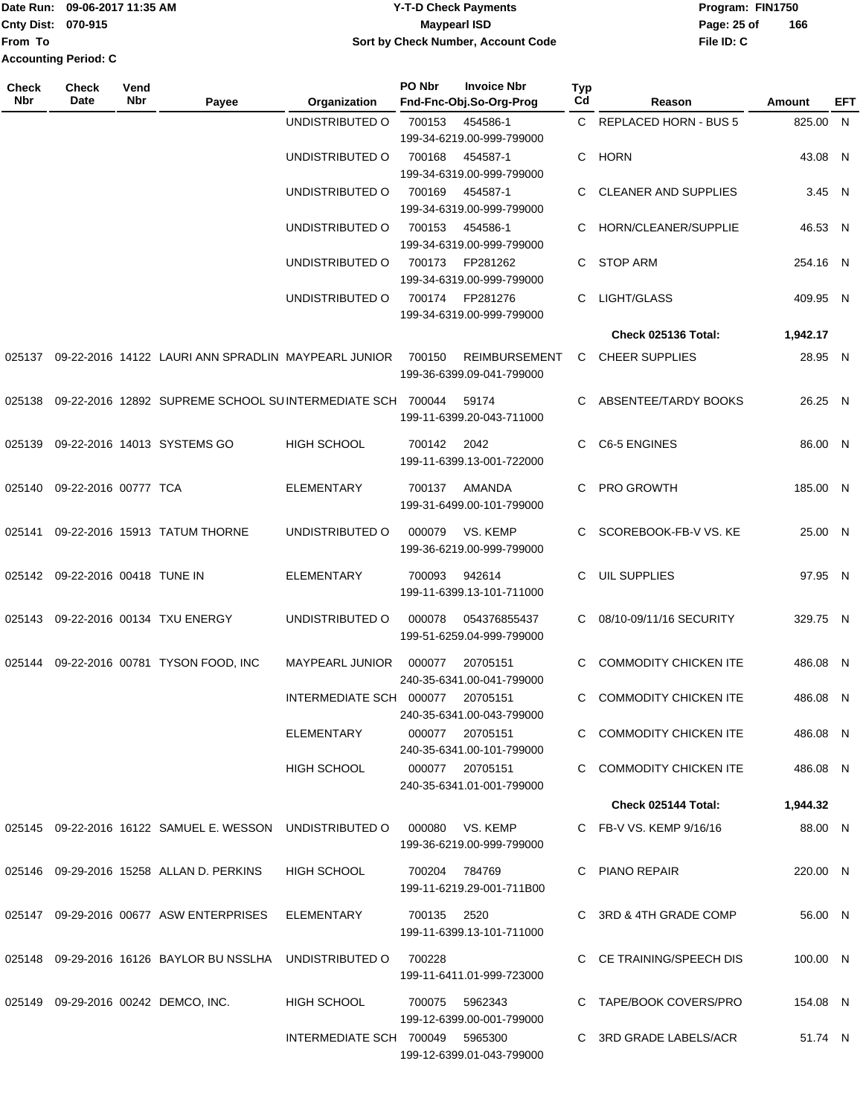Date Run: 09-06-2017 11:35 AM **CONTEX 100 CONTEX 12 T-D** Check Payments **CONTEX 12 T-D Check Payments** Program: FIN1750 **Cnty Dist:** 070-915 **Page: 25 of Page:** 25 of **From To Accounting Period: C**

### **09-06-2017 11:35 AM Y-T-D Check Payments 070-915 Maypearl ISD Sort by Check Number, Account Code**

| <b>Check</b><br><b>Nbr</b> | <b>Check</b><br><b>Date</b>     | Vend<br>Nbr | Payee                                                     | Organization                    | PO Nbr          | <b>Invoice Nbr</b><br>Fnd-Fnc-Obj.So-Org-Prog     | <b>Typ</b><br>Cd | Reason                       | Amount   | EFT |
|----------------------------|---------------------------------|-------------|-----------------------------------------------------------|---------------------------------|-----------------|---------------------------------------------------|------------------|------------------------------|----------|-----|
|                            |                                 |             |                                                           | UNDISTRIBUTED O                 | 700153          | 454586-1<br>199-34-6219.00-999-799000             |                  | C REPLACED HORN - BUS 5      | 825.00 N |     |
|                            |                                 |             |                                                           | UNDISTRIBUTED O                 | 700168          | 454587-1<br>199-34-6319.00-999-799000             |                  | C HORN                       | 43.08 N  |     |
|                            |                                 |             |                                                           | UNDISTRIBUTED O                 | 700169          | 454587-1<br>199-34-6319.00-999-799000             | C.               | <b>CLEANER AND SUPPLIES</b>  | 3.45 N   |     |
|                            |                                 |             |                                                           | UNDISTRIBUTED O                 | 700153          | 454586-1<br>199-34-6319.00-999-799000             | C.               | HORN/CLEANER/SUPPLIE         | 46.53 N  |     |
|                            |                                 |             |                                                           | UNDISTRIBUTED O                 | 700173          | FP281262<br>199-34-6319.00-999-799000             | C.               | <b>STOP ARM</b>              | 254.16 N |     |
|                            |                                 |             |                                                           | UNDISTRIBUTED O                 | 700174          | FP281276<br>199-34-6319.00-999-799000             | C.               | LIGHT/GLASS                  | 409.95 N |     |
|                            |                                 |             |                                                           |                                 |                 |                                                   |                  | Check 025136 Total:          | 1,942.17 |     |
| 025137                     |                                 |             | 09-22-2016 14122 LAURI ANN SPRADLIN MAYPEARL JUNIOR       |                                 | 700150          | <b>REIMBURSEMENT</b><br>199-36-6399.09-041-799000 |                  | C CHEER SUPPLIES             | 28.95 N  |     |
| 025138                     |                                 |             | 09-22-2016 12892 SUPREME SCHOOL SUINTERMEDIATE SCH 700044 |                                 |                 | 59174<br>199-11-6399.20-043-711000                |                  | C ABSENTEE/TARDY BOOKS       | 26.25 N  |     |
|                            |                                 |             | 025139 09-22-2016 14013 SYSTEMS GO                        | <b>HIGH SCHOOL</b>              | 700142          | 2042<br>199-11-6399.13-001-722000                 |                  | C C6-5 ENGINES               | 86.00 N  |     |
|                            | 025140 09-22-2016 00777 TCA     |             |                                                           | <b>ELEMENTARY</b>               | 700137          | AMANDA<br>199-31-6499.00-101-799000               | C.               | PRO GROWTH                   | 185.00 N |     |
| 025141                     |                                 |             | 09-22-2016 15913 TATUM THORNE                             | UNDISTRIBUTED O                 | 000079          | VS. KEMP<br>199-36-6219.00-999-799000             |                  | C SCOREBOOK-FB-V VS. KE      | 25.00 N  |     |
|                            | 025142 09-22-2016 00418 TUNE IN |             |                                                           | <b>ELEMENTARY</b>               | 700093          | 942614<br>199-11-6399.13-101-711000               | C.               | UIL SUPPLIES                 | 97.95 N  |     |
|                            |                                 |             | 025143 09-22-2016 00134 TXU ENERGY                        | UNDISTRIBUTED O                 | 000078          | 054376855437<br>199-51-6259.04-999-799000         | C.               | 08/10-09/11/16 SECURITY      | 329.75 N |     |
|                            |                                 |             | 025144 09-22-2016 00781 TYSON FOOD, INC                   | MAYPEARL JUNIOR                 | 000077          | 20705151<br>240-35-6341.00-041-799000             | C.               | <b>COMMODITY CHICKEN ITE</b> | 486.08 N |     |
|                            |                                 |             |                                                           | INTERMEDIATE SCH 000077         |                 | 20705151<br>240-35-6341.00-043-799000             | C.               | <b>COMMODITY CHICKEN ITE</b> | 486.08 N |     |
|                            |                                 |             |                                                           | ELEMENTARY                      | 000077 20705151 | 240-35-6341.00-101-799000                         |                  | C COMMODITY CHICKEN ITE      | 486.08 N |     |
|                            |                                 |             |                                                           | <b>HIGH SCHOOL</b>              | 000077 20705151 | 240-35-6341.01-001-799000                         |                  | C COMMODITY CHICKEN ITE      | 486.08 N |     |
|                            |                                 |             |                                                           |                                 |                 |                                                   |                  | Check 025144 Total:          | 1,944.32 |     |
|                            |                                 |             | 025145 09-22-2016 16122 SAMUEL E. WESSON UNDISTRIBUTED O  |                                 | 000080          | VS. KEMP<br>199-36-6219.00-999-799000             |                  | C FB-V VS. KEMP 9/16/16      | 88.00 N  |     |
|                            |                                 |             | 025146 09-29-2016 15258 ALLAN D. PERKINS                  | <b>HIGH SCHOOL</b>              | 700204          | 784769<br>199-11-6219.29-001-711B00               |                  | PIANO REPAIR                 | 220.00 N |     |
|                            |                                 |             | 025147 09-29-2016 00677 ASW ENTERPRISES                   | ELEMENTARY                      | 700135 2520     | 199-11-6399.13-101-711000                         |                  | C 3RD & 4TH GRADE COMP       | 56.00 N  |     |
|                            |                                 |             | 025148 09-29-2016 16126 BAYLOR BU NSSLHA UNDISTRIBUTED O  |                                 | 700228          | 199-11-6411.01-999-723000                         |                  | C CE TRAINING/SPEECH DIS     | 100.00 N |     |
|                            |                                 |             | 025149 09-29-2016 00242 DEMCO, INC.                       | HIGH SCHOOL                     | 700075 5962343  | 199-12-6399.00-001-799000                         |                  | C TAPE/BOOK COVERS/PRO       | 154.08 N |     |
|                            |                                 |             |                                                           | INTERMEDIATE SCH 700049 5965300 |                 | 199-12-6399.01-043-799000                         |                  | C 3RD GRADE LABELS/ACR       | 51.74 N  |     |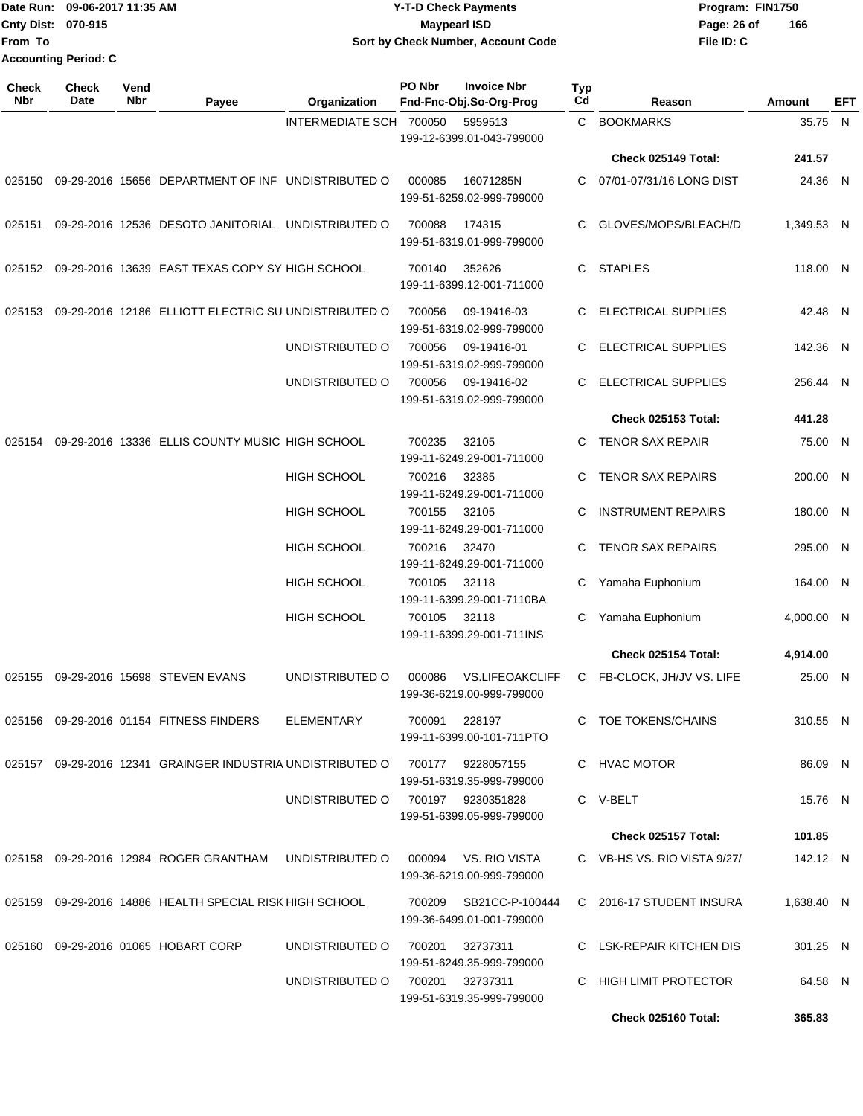|                             | Date Run: 09-06-2017 11:35 AM | Y-T-D Check Payments               | Program: FIN1750 |     |
|-----------------------------|-------------------------------|------------------------------------|------------------|-----|
| <b>Cnty Dist: 070-915</b>   |                               | <b>Mavpearl ISD</b>                | Page: 26 of      | 166 |
| <b>From To</b>              |                               | Sort by Check Number, Account Code | File ID: C       |     |
| <b>Accounting Period: C</b> |                               |                                    |                  |     |

| Check<br>Nbr | <b>Check</b><br>Date | Vend<br>Nbr | Payee                                                      | Organization            | PO Nbr | <b>Invoice Nbr</b><br>Fnd-Fnc-Obj.So-Org-Prog       | <b>Typ</b><br>Cd | Reason                      | Amount     | EFT |
|--------------|----------------------|-------------|------------------------------------------------------------|-------------------------|--------|-----------------------------------------------------|------------------|-----------------------------|------------|-----|
|              |                      |             |                                                            | INTERMEDIATE SCH 700050 |        | 5959513<br>199-12-6399.01-043-799000                | C.               | <b>BOOKMARKS</b>            | 35.75 N    |     |
|              |                      |             |                                                            |                         |        |                                                     |                  | <b>Check 025149 Total:</b>  | 241.57     |     |
| 025150       |                      |             | 09-29-2016 15656 DEPARTMENT OF INF UNDISTRIBUTED O         |                         | 000085 | 16071285N<br>199-51-6259.02-999-799000              | C                | 07/01-07/31/16 LONG DIST    | 24.36 N    |     |
| 025151       |                      |             | 09-29-2016 12536 DESOTO JANITORIAL UNDISTRIBUTED O         |                         | 700088 | 174315<br>199-51-6319.01-999-799000                 | C                | GLOVES/MOPS/BLEACH/D        | 1,349.53 N |     |
|              |                      |             | 025152  09-29-2016  13639  EAST TEXAS COPY SY HIGH SCHOOL  |                         | 700140 | 352626<br>199-11-6399.12-001-711000                 | C                | <b>STAPLES</b>              | 118.00 N   |     |
| 025153       |                      |             | 09-29-2016 12186 ELLIOTT ELECTRIC SU UNDISTRIBUTED O       |                         | 700056 | 09-19416-03<br>199-51-6319.02-999-799000            | C                | <b>ELECTRICAL SUPPLIES</b>  | 42.48 N    |     |
|              |                      |             |                                                            | UNDISTRIBUTED O         | 700056 | 09-19416-01<br>199-51-6319.02-999-799000            | C                | ELECTRICAL SUPPLIES         | 142.36 N   |     |
|              |                      |             |                                                            | UNDISTRIBUTED O         | 700056 | 09-19416-02<br>199-51-6319.02-999-799000            | C                | <b>ELECTRICAL SUPPLIES</b>  | 256.44 N   |     |
|              |                      |             |                                                            |                         |        |                                                     |                  | <b>Check 025153 Total:</b>  | 441.28     |     |
| 025154       |                      |             | 09-29-2016 13336 ELLIS COUNTY MUSIC HIGH SCHOOL            |                         | 700235 | 32105<br>199-11-6249.29-001-711000                  | C                | <b>TENOR SAX REPAIR</b>     | 75.00 N    |     |
|              |                      |             |                                                            | <b>HIGH SCHOOL</b>      | 700216 | 32385<br>199-11-6249.29-001-711000                  | C                | TENOR SAX REPAIRS           | 200.00 N   |     |
|              |                      |             |                                                            | <b>HIGH SCHOOL</b>      | 700155 | 32105<br>199-11-6249.29-001-711000                  | C                | <b>INSTRUMENT REPAIRS</b>   | 180.00 N   |     |
|              |                      |             |                                                            | <b>HIGH SCHOOL</b>      | 700216 | 32470<br>199-11-6249.29-001-711000                  | C                | <b>TENOR SAX REPAIRS</b>    | 295.00 N   |     |
|              |                      |             |                                                            | <b>HIGH SCHOOL</b>      | 700105 | 32118<br>199-11-6399.29-001-7110BA                  | С                | Yamaha Euphonium            | 164.00 N   |     |
|              |                      |             |                                                            | <b>HIGH SCHOOL</b>      | 700105 | 32118<br>199-11-6399.29-001-711INS                  | C                | Yamaha Euphonium            | 4,000.00 N |     |
|              |                      |             |                                                            |                         |        |                                                     |                  | Check 025154 Total:         | 4,914.00   |     |
| 025155       |                      |             | 09-29-2016 15698 STEVEN EVANS                              | UNDISTRIBUTED O         | 000086 | <b>VS.LIFEOAKCLIFF</b><br>199-36-6219.00-999-799000 | C                | FB-CLOCK, JH/JV VS. LIFE    | 25.00 N    |     |
|              |                      |             | 025156 09-29-2016 01154 FITNESS FINDERS                    | ELEMENTARY              |        | 700091 228197<br>199-11-6399.00-101-711PTO          |                  | C TOE TOKENS/CHAINS         | 310.55 N   |     |
|              |                      |             | 025157 09-29-2016 12341 GRAINGER INDUSTRIA UNDISTRIBUTED O |                         |        | 700177 9228057155<br>199-51-6319.35-999-799000      |                  | C HVAC MOTOR                | 86.09 N    |     |
|              |                      |             |                                                            | UNDISTRIBUTED O         |        | 700197 9230351828<br>199-51-6399.05-999-799000      |                  | C V-BELT                    | 15.76 N    |     |
|              |                      |             |                                                            |                         |        |                                                     |                  | Check 025157 Total:         | 101.85     |     |
|              |                      |             | 025158 09-29-2016 12984 ROGER GRANTHAM UNDISTRIBUTED O     |                         | 000094 | VS. RIO VISTA<br>199-36-6219.00-999-799000          |                  | C VB-HS VS. RIO VISTA 9/27/ | 142.12 N   |     |
|              |                      |             | 025159 09-29-2016 14886 HEALTH SPECIAL RISK HIGH SCHOOL    |                         |        | 700209 SB21CC-P-100444<br>199-36-6499.01-001-799000 |                  | C 2016-17 STUDENT INSURA    | 1,638.40 N |     |
|              |                      |             | 025160 09-29-2016 01065 HOBART CORP                        | UNDISTRIBUTED O         | 700201 | 32737311<br>199-51-6249.35-999-799000               |                  | C LSK-REPAIR KITCHEN DIS    | 301.25 N   |     |
|              |                      |             |                                                            | UNDISTRIBUTED O         |        | 700201 32737311<br>199-51-6319.35-999-799000        |                  | C HIGH LIMIT PROTECTOR      | 64.58 N    |     |
|              |                      |             |                                                            |                         |        |                                                     |                  | Check 025160 Total:         | 365.83     |     |
|              |                      |             |                                                            |                         |        |                                                     |                  |                             |            |     |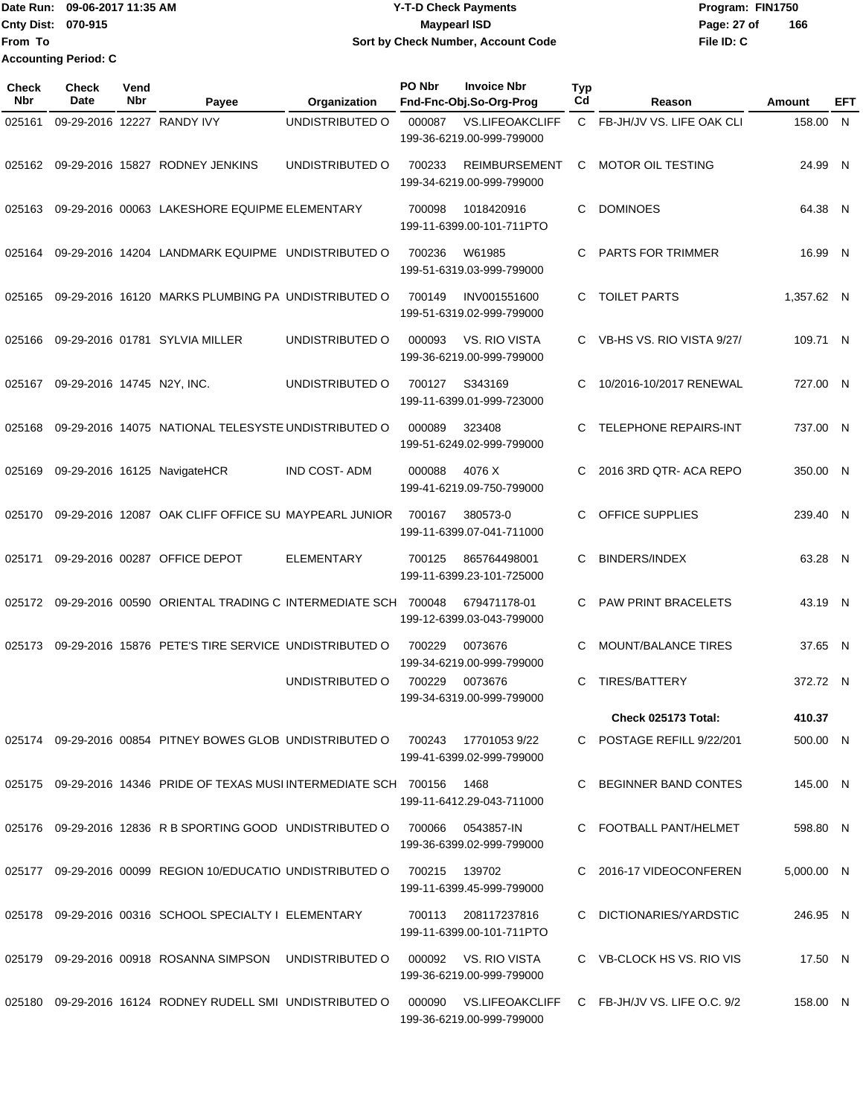Date Run: 09-06-2017 11:35 AM **CONTEX 100 CONTEX 12 T-D** Check Payments **CONTEX 12 T-D Check Payments** Program: FIN1750 **Cnty Dist:** 070-915 **Page: 27 of MaypearI ISD Page: 27 of From To 09-06-2017 11:35 AM Y-T-D Check Payments 070-915 Maypearl ISD Sort by Check Number, Account Code Accounting Period: C**

| Check<br><b>Nbr</b> | <b>Check</b><br>Date       | Vend<br>Nbr | Payee                                                                  | Organization        | PO Nbr | <b>Invoice Nbr</b><br>Fnd-Fnc-Obj.So-Org-Prog       | <b>Typ</b><br>Cd | Reason                                              | <b>Amount</b> | EFT |
|---------------------|----------------------------|-------------|------------------------------------------------------------------------|---------------------|--------|-----------------------------------------------------|------------------|-----------------------------------------------------|---------------|-----|
| 025161              |                            |             | 09-29-2016 12227 RANDY IVY                                             | UNDISTRIBUTED O     | 000087 | <b>VS.LIFEOAKCLIFF</b><br>199-36-6219.00-999-799000 |                  | C FB-JH/JV VS. LIFE OAK CLI                         | 158.00        | N   |
| 025162              |                            |             | 09-29-2016 15827 RODNEY JENKINS                                        | UNDISTRIBUTED O     | 700233 | <b>REIMBURSEMENT</b><br>199-34-6219.00-999-799000   | C                | <b>MOTOR OIL TESTING</b>                            | 24.99 N       |     |
| 025163              |                            |             | 09-29-2016 00063 LAKESHORE EQUIPME ELEMENTARY                          |                     | 700098 | 1018420916<br>199-11-6399.00-101-711PTO             | C.               | <b>DOMINOES</b>                                     | 64.38 N       |     |
| 025164              |                            |             | 09-29-2016 14204 LANDMARK EQUIPME UNDISTRIBUTED O                      |                     | 700236 | W61985<br>199-51-6319.03-999-799000                 | C                | PARTS FOR TRIMMER                                   | 16.99 N       |     |
| 025165              |                            |             | 09-29-2016 16120 MARKS PLUMBING PA UNDISTRIBUTED O                     |                     | 700149 | INV001551600<br>199-51-6319.02-999-799000           | C.               | <b>TOILET PARTS</b>                                 | 1,357.62 N    |     |
| 025166              |                            |             | 09-29-2016 01781 SYLVIA MILLER                                         | UNDISTRIBUTED O     | 000093 | VS. RIO VISTA<br>199-36-6219.00-999-799000          | C.               | VB-HS VS. RIO VISTA 9/27/                           | 109.71 N      |     |
| 025167              | 09-29-2016 14745 N2Y, INC. |             |                                                                        | UNDISTRIBUTED O     | 700127 | S343169<br>199-11-6399.01-999-723000                | C                | 10/2016-10/2017 RENEWAL                             | 727.00 N      |     |
| 025168              |                            |             | 09-29-2016 14075 NATIONAL TELESYSTE UNDISTRIBUTED O                    |                     | 000089 | 323408<br>199-51-6249.02-999-799000                 | С                | <b>TELEPHONE REPAIRS-INT</b>                        | 737.00 N      |     |
| 025169              |                            |             | 09-29-2016 16125 NavigateHCR                                           | <b>IND COST-ADM</b> | 000088 | 4076 X<br>199-41-6219.09-750-799000                 | C                | 2016 3RD QTR- ACA REPO                              | 350.00 N      |     |
| 025170              |                            |             | 09-29-2016 12087 OAK CLIFF OFFICE SU MAYPEARL JUNIOR                   |                     | 700167 | 380573-0<br>199-11-6399.07-041-711000               |                  | OFFICE SUPPLIES                                     | 239.40 N      |     |
| 025171              |                            |             | 09-29-2016 00287 OFFICE DEPOT                                          | <b>ELEMENTARY</b>   | 700125 | 865764498001<br>199-11-6399.23-101-725000           | С                | <b>BINDERS/INDEX</b>                                | 63.28 N       |     |
| 025172              |                            |             | 09-29-2016 00590 ORIENTAL TRADING C INTERMEDIATE SCH                   |                     | 700048 | 679471178-01<br>199-12-6399.03-043-799000           | C                | <b>PAW PRINT BRACELETS</b>                          | 43.19 N       |     |
| 025173              |                            |             | 09-29-2016 15876 PETE'S TIRE SERVICE UNDISTRIBUTED O                   |                     | 700229 | 0073676<br>199-34-6219.00-999-799000                | C                | <b>MOUNT/BALANCE TIRES</b>                          | 37.65 N       |     |
|                     |                            |             |                                                                        | UNDISTRIBUTED O     | 700229 | 0073676<br>199-34-6319.00-999-799000                | C                | <b>TIRES/BATTERY</b>                                | 372.72 N      |     |
|                     |                            |             |                                                                        |                     |        |                                                     |                  | Check 025173 Total:                                 | 410.37        |     |
|                     |                            |             | 025174 09-29-2016 00854 PITNEY BOWES GLOB UNDISTRIBUTED O              |                     | 700243 | 177010539/22<br>199-41-6399.02-999-799000           |                  | C POSTAGE REFILL 9/22/201                           | 500.00 N      |     |
|                     |                            |             | 025175 09-29-2016 14346 PRIDE OF TEXAS MUSI INTERMEDIATE SCH    700156 |                     |        | 1468<br>199-11-6412.29-043-711000                   | C.               | BEGINNER BAND CONTES                                | 145.00 N      |     |
|                     |                            |             | 025176 09-29-2016 12836 R B SPORTING GOOD UNDISTRIBUTED O              |                     | 700066 | 0543857-IN<br>199-36-6399.02-999-799000             |                  | C FOOTBALL PANT/HELMET                              | 598.80 N      |     |
|                     |                            |             | 025177 09-29-2016 00099 REGION 10/EDUCATIO UNDISTRIBUTED O             |                     | 700215 | 139702<br>199-11-6399.45-999-799000                 |                  | C 2016-17 VIDEOCONFEREN                             | 5,000.00 N    |     |
|                     |                            |             | 025178 09-29-2016 00316 SCHOOL SPECIALTY I ELEMENTARY                  |                     | 700113 | 208117237816<br>199-11-6399.00-101-711PTO           |                  | C DICTIONARIES/YARDSTIC                             | 246.95 N      |     |
|                     |                            |             | 025179 09-29-2016 00918 ROSANNA SIMPSON UNDISTRIBUTED O                |                     |        | 000092 VS. RIO VISTA<br>199-36-6219.00-999-799000   |                  | C VB-CLOCK HS VS. RIO VIS                           | 17.50 N       |     |
|                     |                            |             | 025180 09-29-2016 16124 RODNEY RUDELL SMI UNDISTRIBUTED O              |                     |        | 199-36-6219.00-999-799000                           |                  | 000090 VS.LIFEOAKCLIFF C FB-JH/JV VS. LIFE O.C. 9/2 | 158.00 N      |     |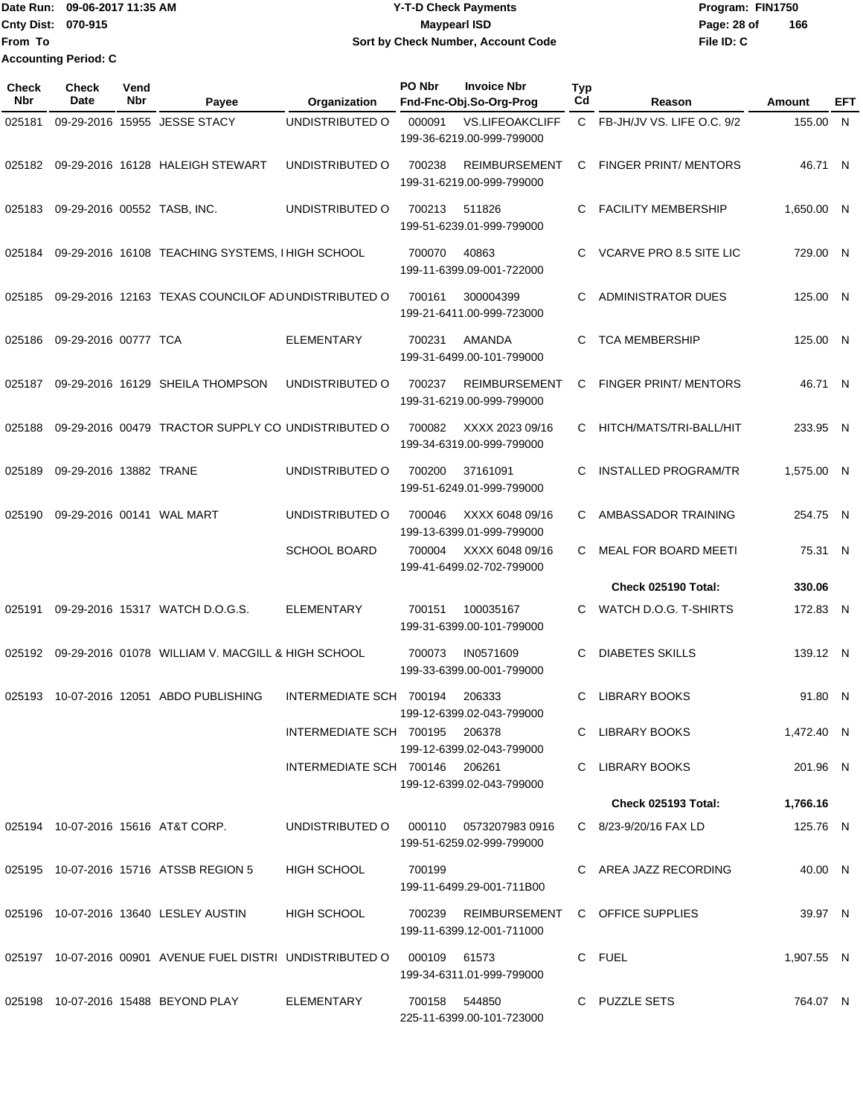Date Run: 09-06-2017 11:35 AM **CONTEX 100 CONTEX 12 T-D** Check Payments **CONTEX 12 T-D Check Payments** Program: FIN1750 **Cnty Dist:** 070-915 **Page: 28 of MaypearI ISD Page: 28 of From To Accounting Period: C**

# **09-06-2017 11:35 AM Y-T-D Check Payments 070-915 Maypearl ISD Sort by Check Number, Account Code**

| <b>Check</b><br><b>Nbr</b> | Check<br>Date               | Vend<br>Nbr | Payee                                                      | Organization                           | PO Nbr        | <b>Invoice Nbr</b><br>Fnd-Fnc-Obj.So-Org-Prog                       | Typ<br>Cd | Reason                       | Amount     | EFT |
|----------------------------|-----------------------------|-------------|------------------------------------------------------------|----------------------------------------|---------------|---------------------------------------------------------------------|-----------|------------------------------|------------|-----|
| 025181                     |                             |             | 09-29-2016 15955 JESSE STACY                               | UNDISTRIBUTED O                        | 000091        | <b>VS.LIFEOAKCLIFF</b><br>199-36-6219.00-999-799000                 |           | C FB-JH/JV VS. LIFE O.C. 9/2 | 155.00 N   |     |
| 025182                     |                             |             | 09-29-2016 16128 HALEIGH STEWART                           | UNDISTRIBUTED O                        | 700238        | <b>REIMBURSEMENT</b><br>199-31-6219.00-999-799000                   | C         | <b>FINGER PRINT/ MENTORS</b> | 46.71 N    |     |
| 025183                     | 09-29-2016 00552 TASB, INC. |             |                                                            | UNDISTRIBUTED O                        | 700213        | 511826<br>199-51-6239.01-999-799000                                 | C         | <b>FACILITY MEMBERSHIP</b>   | 1,650.00 N |     |
| 025184                     |                             |             | 09-29-2016 16108 TEACHING SYSTEMS, I HIGH SCHOOL           |                                        | 700070        | 40863<br>199-11-6399.09-001-722000                                  | C         | VCARVE PRO 8.5 SITE LIC      | 729.00 N   |     |
| 025185                     |                             |             | 09-29-2016 12163 TEXAS COUNCILOF AD UNDISTRIBUTED O        |                                        | 700161        | 300004399<br>199-21-6411.00-999-723000                              | C         | <b>ADMINISTRATOR DUES</b>    | 125.00 N   |     |
| 025186                     | 09-29-2016 00777 TCA        |             |                                                            | <b>ELEMENTARY</b>                      | 700231        | <b>AMANDA</b><br>199-31-6499.00-101-799000                          | C         | <b>TCA MEMBERSHIP</b>        | 125.00 N   |     |
| 025187                     |                             |             | 09-29-2016 16129 SHEILA THOMPSON                           | UNDISTRIBUTED O                        | 700237        | <b>REIMBURSEMENT</b><br>199-31-6219.00-999-799000                   | C         | <b>FINGER PRINT/ MENTORS</b> | 46.71 N    |     |
| 025188                     |                             |             | 09-29-2016 00479 TRACTOR SUPPLY CO UNDISTRIBUTED O         |                                        | 700082        | XXXX 2023 09/16<br>199-34-6319.00-999-799000                        | C.        | HITCH/MATS/TRI-BALL/HIT      | 233.95 N   |     |
| 025189                     | 09-29-2016 13882 TRANE      |             |                                                            | UNDISTRIBUTED O                        | 700200        | 37161091<br>199-51-6249.01-999-799000                               | C         | <b>INSTALLED PROGRAM/TR</b>  | 1.575.00 N |     |
| 025190                     |                             |             | 09-29-2016 00141 WAL MART                                  | UNDISTRIBUTED O                        | 700046        | XXXX 6048 09/16<br>199-13-6399.01-999-799000                        | C         | AMBASSADOR TRAINING          | 254.75 N   |     |
|                            |                             |             |                                                            | <b>SCHOOL BOARD</b>                    | 700004        | XXXX 6048 09/16<br>199-41-6499.02-702-799000                        | C.        | MEAL FOR BOARD MEETI         | 75.31 N    |     |
|                            |                             |             |                                                            |                                        |               |                                                                     |           | Check 025190 Total:          | 330.06     |     |
| 025191                     |                             |             | 09-29-2016 15317 WATCH D.O.G.S.                            | <b>ELEMENTARY</b>                      | 700151        | 100035167<br>199-31-6399.00-101-799000                              | C         | WATCH D.O.G. T-SHIRTS        | 172.83 N   |     |
| 025192                     |                             |             | 09-29-2016 01078 WILLIAM V. MACGILL & HIGH SCHOOL          |                                        | 700073        | IN0571609<br>199-33-6399.00-001-799000                              | C         | <b>DIABETES SKILLS</b>       | 139.12 N   |     |
|                            |                             |             | 025193 10-07-2016 12051 ABDO PUBLISHING                    | INTERMEDIATE SCH 700194                |               | 206333<br>199-12-6399.02-043-799000                                 | C         | <b>LIBRARY BOOKS</b>         | 91.80 N    |     |
|                            |                             |             |                                                            | INTERMEDIATE SCH 700195 206378         |               | 199-12-6399.02-043-799000                                           |           | C LIBRARY BOOKS              | 1.472.40 N |     |
|                            |                             |             |                                                            | INTERMEDIATE SCH 700146 206261         |               | 199-12-6399.02-043-799000                                           |           | C LIBRARY BOOKS              | 201.96 N   |     |
|                            |                             |             |                                                            |                                        |               |                                                                     |           | <b>Check 025193 Total:</b>   | 1,766.16   |     |
|                            |                             |             | 025194 10-07-2016 15616 AT&T CORP.                         | UNDISTRIBUTED O 000110 0573207983 0916 |               | 199-51-6259.02-999-799000                                           |           | C 8/23-9/20/16 FAX LD        | 125.76 N   |     |
|                            |                             |             | 025195 10-07-2016 15716 ATSSB REGION 5                     | HIGH SCHOOL                            | 700199        | 199-11-6499.29-001-711B00                                           |           | C AREA JAZZ RECORDING        | 40.00 N    |     |
|                            |                             |             | 025196 10-07-2016 13640 LESLEY AUSTIN                      | <b>HIGH SCHOOL</b>                     |               | 700239 REIMBURSEMENT C OFFICE SUPPLIES<br>199-11-6399.12-001-711000 |           |                              | 39.97 N    |     |
|                            |                             |             | 025197 10-07-2016 00901 AVENUE FUEL DISTRI UNDISTRIBUTED O |                                        | 000109 61573  | 199-34-6311.01-999-799000                                           |           | C FUEL                       | 1,907.55 N |     |
|                            |                             |             | 025198 10-07-2016 15488 BEYOND PLAY                        | ELEMENTARY                             | 700158 544850 | 225-11-6399.00-101-723000                                           |           | C PUZZLE SETS                | 764.07 N   |     |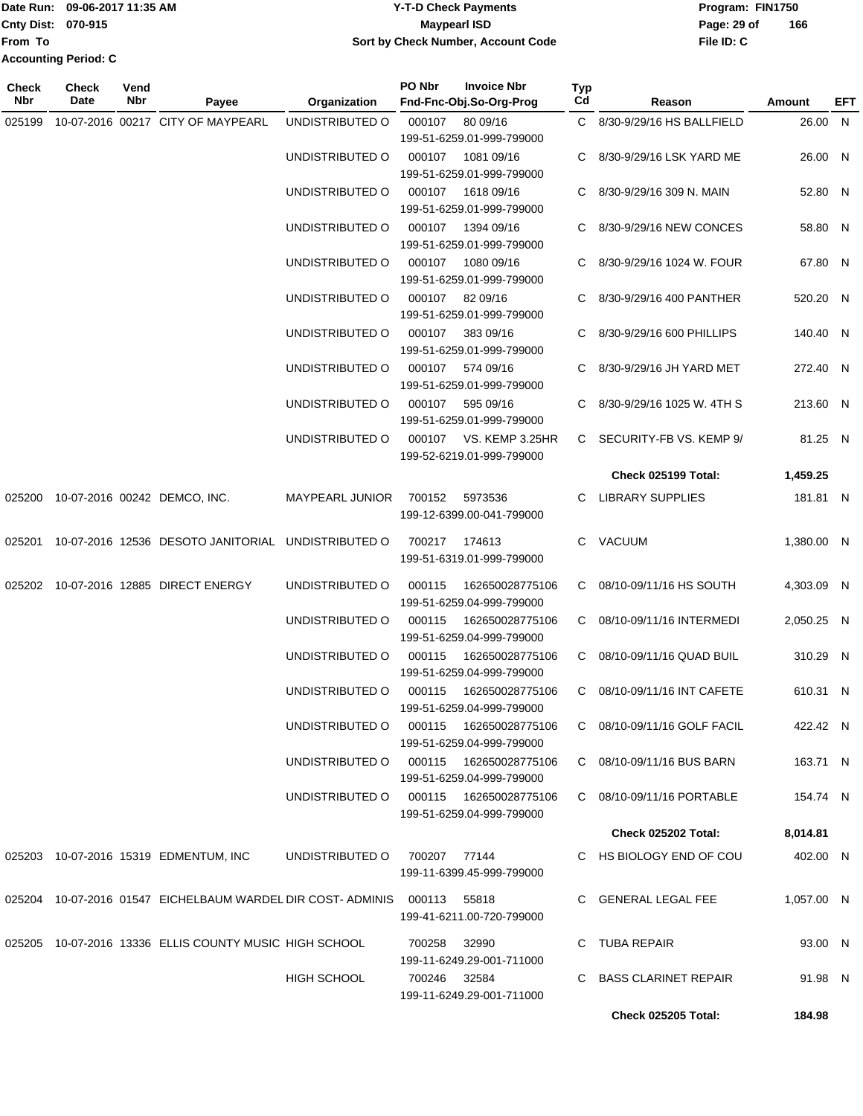|                             | Date Run: 09-06-2017 11:35 AM | <b>Y-T-D Check Payments</b>        | Program: FIN1750 |     |
|-----------------------------|-------------------------------|------------------------------------|------------------|-----|
| <b>Cnty Dist: 070-915</b>   |                               | Maypearl ISD                       | Page: 29 of      | 166 |
| From To                     |                               | Sort by Check Number, Account Code | File ID: C       |     |
| <b>Accounting Period: C</b> |                               |                                    |                  |     |

| <b>Check</b><br>Nbr | <b>Check</b><br>Date | Vend<br>Nbr | Payee                                                      | Organization                           | PO Nbr        | <b>Invoice Nbr</b><br>Fnd-Fnc-Obj.So-Org-Prog       | Typ<br>Cd | Reason                       | Amount     | <b>EFT</b> |
|---------------------|----------------------|-------------|------------------------------------------------------------|----------------------------------------|---------------|-----------------------------------------------------|-----------|------------------------------|------------|------------|
| 025199              |                      |             | 10-07-2016 00217 CITY OF MAYPEARL                          | UNDISTRIBUTED O                        | 000107        | 80 09/16                                            |           | C 8/30-9/29/16 HS BALLFIELD  | 26.00 N    |            |
|                     |                      |             |                                                            |                                        |               | 199-51-6259.01-999-799000                           |           |                              |            |            |
|                     |                      |             |                                                            | UNDISTRIBUTED O                        | 000107        | 1081 09/16                                          |           | 8/30-9/29/16 LSK YARD ME     | 26.00 N    |            |
|                     |                      |             |                                                            |                                        |               | 199-51-6259.01-999-799000                           |           |                              |            |            |
|                     |                      |             |                                                            | UNDISTRIBUTED O                        | 000107        | 1618 09/16                                          |           | 8/30-9/29/16 309 N. MAIN     | 52.80 N    |            |
|                     |                      |             |                                                            |                                        |               | 199-51-6259.01-999-799000                           |           |                              |            |            |
|                     |                      |             |                                                            | UNDISTRIBUTED O                        | 000107        | 1394 09/16                                          |           | 8/30-9/29/16 NEW CONCES      | 58.80 N    |            |
|                     |                      |             |                                                            | UNDISTRIBUTED O                        | 000107        | 199-51-6259.01-999-799000<br>1080 09/16             |           | 8/30-9/29/16 1024 W. FOUR    | 67.80 N    |            |
|                     |                      |             |                                                            |                                        |               | 199-51-6259.01-999-799000                           |           |                              |            |            |
|                     |                      |             |                                                            | UNDISTRIBUTED O                        |               | 000107 82 09/16                                     | C.        | 8/30-9/29/16 400 PANTHER     | 520.20 N   |            |
|                     |                      |             |                                                            |                                        |               | 199-51-6259.01-999-799000                           |           |                              |            |            |
|                     |                      |             |                                                            | UNDISTRIBUTED O                        |               | 000107 383 09/16                                    |           | C 8/30-9/29/16 600 PHILLIPS  | 140.40 N   |            |
|                     |                      |             |                                                            |                                        |               | 199-51-6259.01-999-799000                           |           |                              |            |            |
|                     |                      |             |                                                            | UNDISTRIBUTED O                        |               | 000107 574 09/16                                    |           | C 8/30-9/29/16 JH YARD MET   | 272.40 N   |            |
|                     |                      |             |                                                            |                                        |               | 199-51-6259.01-999-799000                           |           |                              |            |            |
|                     |                      |             |                                                            | UNDISTRIBUTED O                        | 000107        | 595 09/16                                           |           | C 8/30-9/29/16 1025 W. 4TH S | 213.60 N   |            |
|                     |                      |             |                                                            |                                        |               | 199-51-6259.01-999-799000                           |           |                              |            |            |
|                     |                      |             |                                                            | UNDISTRIBUTED O                        |               | 000107 VS. KEMP 3.25HR<br>199-52-6219.01-999-799000 |           | C SECURITY-FB VS. KEMP 9/    | 81.25 N    |            |
|                     |                      |             |                                                            |                                        |               |                                                     |           |                              |            |            |
|                     |                      |             |                                                            |                                        |               |                                                     |           | Check 025199 Total:          | 1,459.25   |            |
|                     |                      |             | 025200 10-07-2016 00242 DEMCO, INC.                        | <b>MAYPEARL JUNIOR</b>                 | 700152        | 5973536<br>199-12-6399.00-041-799000                |           | C LIBRARY SUPPLIES           | 181.81 N   |            |
|                     |                      |             | 025201 10-07-2016 12536 DESOTO JANITORIAL UNDISTRIBUTED O  |                                        | 700217 174613 |                                                     |           | C VACUUM                     | 1,380.00 N |            |
|                     |                      |             |                                                            |                                        |               | 199-51-6319.01-999-799000                           |           |                              |            |            |
|                     |                      |             |                                                            |                                        |               |                                                     |           |                              |            |            |
|                     |                      |             | 025202 10-07-2016 12885 DIRECT ENERGY                      | UNDISTRIBUTED O                        | 000115        | 162650028775106                                     |           | C 08/10-09/11/16 HS SOUTH    | 4,303.09 N |            |
|                     |                      |             |                                                            |                                        |               | 199-51-6259.04-999-799000                           |           |                              |            |            |
|                     |                      |             |                                                            | UNDISTRIBUTED O                        | 000115        | 162650028775106<br>199-51-6259.04-999-799000        |           | C 08/10-09/11/16 INTERMEDI   | 2,050.25 N |            |
|                     |                      |             |                                                            | UNDISTRIBUTED O                        | 000115        | 162650028775106                                     |           | C 08/10-09/11/16 QUAD BUIL   | 310.29 N   |            |
|                     |                      |             |                                                            |                                        |               | 199-51-6259.04-999-799000                           |           |                              |            |            |
|                     |                      |             |                                                            | UNDISTRIBUTED O                        | 000115        | 162650028775106                                     |           | C 08/10-09/11/16 INT CAFETE  | 610.31 N   |            |
|                     |                      |             |                                                            |                                        |               | 199-51-6259.04-999-799000                           |           |                              |            |            |
|                     |                      |             |                                                            | UNDISTRIBUTED O 000115 162650028775106 |               |                                                     |           | C 08/10-09/11/16 GOLF FACIL  | 422.42 N   |            |
|                     |                      |             |                                                            |                                        |               | 199-51-6259.04-999-799000                           |           |                              |            |            |
|                     |                      |             |                                                            | UNDISTRIBUTED O 000115 162650028775106 |               |                                                     |           | C 08/10-09/11/16 BUS BARN    | 163.71 N   |            |
|                     |                      |             |                                                            |                                        |               | 199-51-6259.04-999-799000                           |           |                              |            |            |
|                     |                      |             |                                                            | UNDISTRIBUTED O 000115 162650028775106 |               | 199-51-6259.04-999-799000                           |           | C 08/10-09/11/16 PORTABLE    | 154.74 N   |            |
|                     |                      |             |                                                            |                                        |               |                                                     |           | Check 025202 Total:          | 8,014.81   |            |
|                     |                      |             | 025203 10-07-2016 15319 EDMENTUM, INC                      | UNDISTRIBUTED O                        | 700207 77144  |                                                     |           | C HS BIOLOGY END OF COU      | 402.00 N   |            |
|                     |                      |             |                                                            |                                        |               | 199-11-6399.45-999-799000                           |           |                              |            |            |
|                     |                      |             | 025204 10-07-2016 01547 EICHELBAUM WARDEL DIR COST-ADMINIS |                                        | 000113 55818  |                                                     |           | C GENERAL LEGAL FEE          | 1,057.00 N |            |
|                     |                      |             |                                                            |                                        |               | 199-41-6211.00-720-799000                           |           |                              |            |            |
|                     |                      |             | 025205 10-07-2016 13336 ELLIS COUNTY MUSIC HIGH SCHOOL     |                                        | 700258        | 32990                                               |           | C TUBA REPAIR                | 93.00 N    |            |
|                     |                      |             |                                                            |                                        |               | 199-11-6249.29-001-711000                           |           |                              |            |            |
|                     |                      |             |                                                            | HIGH SCHOOL                            | 700246 32584  |                                                     |           | C BASS CLARINET REPAIR       | 91.98 N    |            |
|                     |                      |             |                                                            |                                        |               | 199-11-6249.29-001-711000                           |           |                              |            |            |
|                     |                      |             |                                                            |                                        |               |                                                     |           | <b>Check 025205 Total:</b>   | 184.98     |            |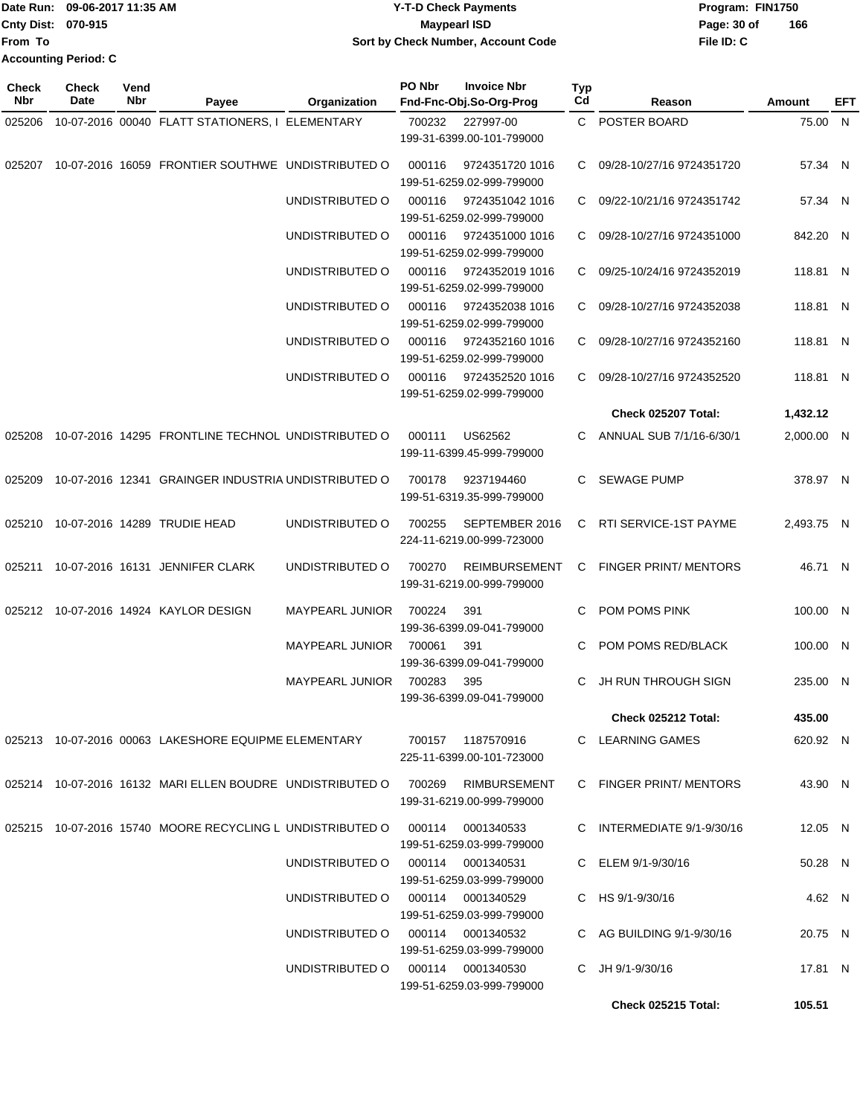| Date Run:                 | 09-06-2017 11:35 AM         | <b>Y-T-D Check Payments</b>        | Program: FIN1750   |
|---------------------------|-----------------------------|------------------------------------|--------------------|
| <b>Cnty Dist: 070-915</b> |                             | <b>Maypearl ISD</b>                | 166<br>Page: 30 of |
| <b>IFrom To</b>           |                             | Sort by Check Number, Account Code | File ID: C         |
|                           | <b>Accounting Period: C</b> |                                    |                    |

**PO Nbr Invoice Nbr**

**Typ**

**Check**

**Check**

**Vend**

| Nbr    | Date | Nbr | Payee                                                      | Organization    | Fnd-Fnc-Obj.So-Org-Prog                                                                                      | Cd | Reason                      | <b>Amount</b> | EFT |
|--------|------|-----|------------------------------------------------------------|-----------------|--------------------------------------------------------------------------------------------------------------|----|-----------------------------|---------------|-----|
| 025206 |      |     | 10-07-2016 00040 FLATT STATIONERS, I ELEMENTARY            |                 | 700232 227997-00<br>199-31-6399.00-101-799000                                                                |    | C POSTER BOARD              | 75.00 N       |     |
| 025207 |      |     | 10-07-2016 16059 FRONTIER SOUTHWE UNDISTRIBUTED O          |                 | 000116<br>9724351720 1016<br>199-51-6259.02-999-799000                                                       |    | C 09/28-10/27/16 9724351720 | 57.34 N       |     |
|        |      |     |                                                            | UNDISTRIBUTED O | 000116<br>9724351042 1016<br>199-51-6259.02-999-799000                                                       |    | C 09/22-10/21/16 9724351742 | 57.34 N       |     |
|        |      |     |                                                            | UNDISTRIBUTED O | 000116<br>9724351000 1016<br>199-51-6259.02-999-799000                                                       |    | C 09/28-10/27/16 9724351000 | 842.20 N      |     |
|        |      |     |                                                            | UNDISTRIBUTED O | 000116<br>9724352019 1016<br>199-51-6259.02-999-799000                                                       |    | C 09/25-10/24/16 9724352019 | 118.81 N      |     |
|        |      |     |                                                            | UNDISTRIBUTED O | 000116<br>9724352038 1016<br>199-51-6259.02-999-799000                                                       | C. | 09/28-10/27/16 9724352038   | 118.81 N      |     |
|        |      |     |                                                            | UNDISTRIBUTED O | 9724352160 1016<br>000116<br>199-51-6259.02-999-799000                                                       | C. | 09/28-10/27/16 9724352160   | 118.81 N      |     |
|        |      |     |                                                            | UNDISTRIBUTED O | 000116<br>9724352520 1016<br>199-51-6259.02-999-799000                                                       |    | C 09/28-10/27/16 9724352520 | 118.81 N      |     |
|        |      |     |                                                            |                 |                                                                                                              |    | <b>Check 025207 Total:</b>  | 1,432.12      |     |
|        |      |     | 025208 10-07-2016 14295 FRONTLINE TECHNOL UNDISTRIBUTED O  |                 | US62562<br>000111<br>199-11-6399.45-999-799000                                                               |    | C ANNUAL SUB 7/1/16-6/30/1  | 2,000.00 N    |     |
|        |      |     | 025209 10-07-2016 12341 GRAINGER INDUSTRIA UNDISTRIBUTED O |                 | 700178<br>9237194460<br>199-51-6319.35-999-799000                                                            |    | C SEWAGE PUMP               | 378.97 N      |     |
|        |      |     | 025210 10-07-2016 14289 TRUDIE HEAD                        | UNDISTRIBUTED O | 700255<br>SEPTEMBER 2016<br>224-11-6219.00-999-723000                                                        |    | C RTI SERVICE-1ST PAYME     | 2,493.75 N    |     |
|        |      |     | 025211 10-07-2016 16131 JENNIFER CLARK                     | UNDISTRIBUTED O | 700270<br>REIMBURSEMENT<br>199-31-6219.00-999-799000                                                         |    | C FINGER PRINT/ MENTORS     | 46.71 N       |     |
|        |      |     | 025212 10-07-2016 14924 KAYLOR DESIGN                      | MAYPEARL JUNIOR | 700224<br>391<br>199-36-6399.09-041-799000                                                                   | C  | POM POMS PINK               | 100.00 N      |     |
|        |      |     |                                                            | MAYPEARL JUNIOR | 700061<br>391<br>199-36-6399.09-041-799000                                                                   | C. | POM POMS RED/BLACK          | 100.00 N      |     |
|        |      |     |                                                            | MAYPEARL JUNIOR | 700283<br>395<br>199-36-6399.09-041-799000                                                                   | C  | JH RUN THROUGH SIGN         | 235.00 N      |     |
|        |      |     |                                                            |                 |                                                                                                              |    | Check 025212 Total:         | 435.00        |     |
|        |      |     | 025213 10-07-2016 00063 LAKESHORE EQUIPME ELEMENTARY       |                 | 700157 1187570916<br>225-11-6399.00-101-723000                                                               |    | C LEARNING GAMES            | 620.92 N      |     |
|        |      |     | 025214 10-07-2016 16132 MARI ELLEN BOUDRE UNDISTRIBUTED O  |                 | 700269<br>RIMBURSEMENT<br>199-31-6219.00-999-799000                                                          |    | C FINGER PRINT/ MENTORS     | 43.90 N       |     |
|        |      |     |                                                            |                 | 025215  10-07-2016  15740  MOORE RECYCLING L UNDISTRIBUTED   000114  0001340533<br>199-51-6259.03-999-799000 |    | C INTERMEDIATE 9/1-9/30/16  | 12.05 N       |     |
|        |      |     |                                                            |                 | UNDISTRIBUTED O 000114 0001340531<br>199-51-6259.03-999-799000                                               |    | C ELEM 9/1-9/30/16          | 50.28 N       |     |
|        |      |     |                                                            |                 | UNDISTRIBUTED O 000114 0001340529<br>199-51-6259.03-999-799000                                               |    | C HS 9/1-9/30/16            | 4.62 N        |     |
|        |      |     |                                                            |                 | UNDISTRIBUTED O 000114 0001340532<br>199-51-6259.03-999-799000                                               |    | C AG BUILDING 9/1-9/30/16   | 20.75 N       |     |
|        |      |     |                                                            |                 | UNDISTRIBUTED O 000114 0001340530<br>199-51-6259.03-999-799000                                               |    | C JH 9/1-9/30/16            | 17.81 N       |     |
|        |      |     |                                                            |                 |                                                                                                              |    | Check 025215 Total:         | 105.51        |     |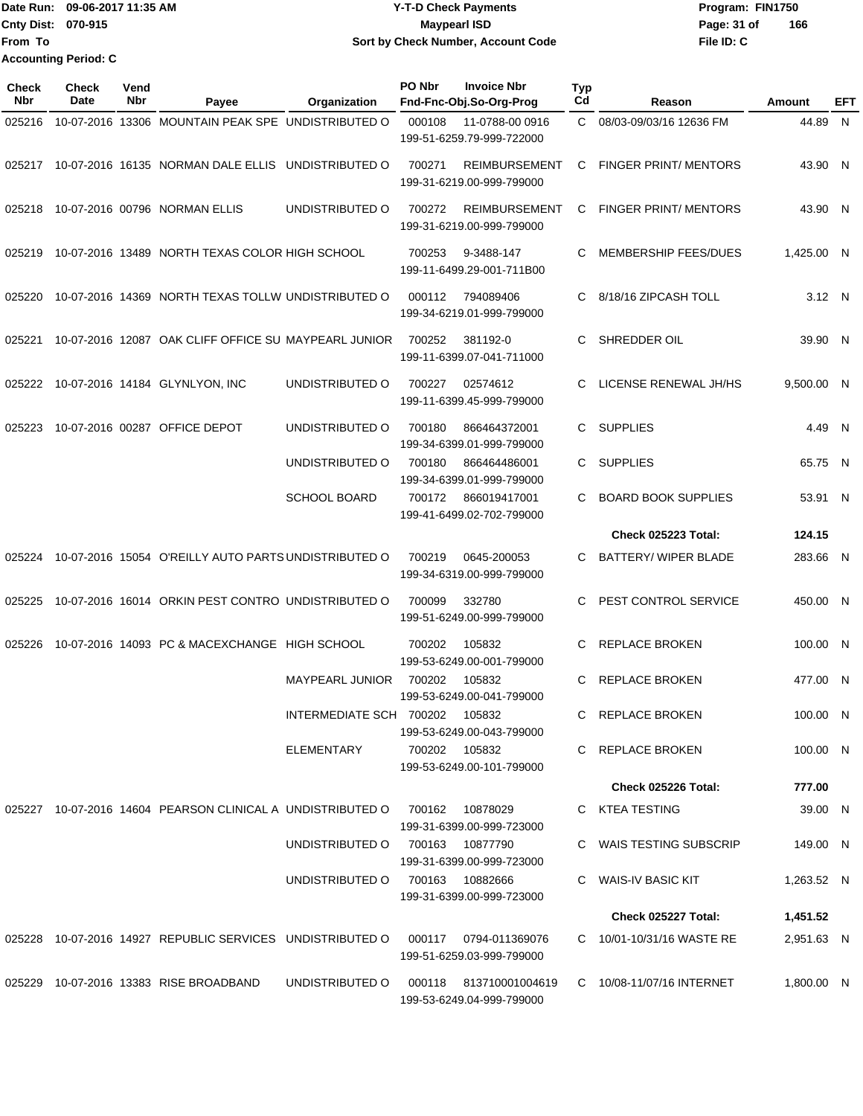| lDate Run:                  | 09-06-2017 11:35 AM | <b>Y-T-D Check Payments</b>        | Program: FIN1750 |     |
|-----------------------------|---------------------|------------------------------------|------------------|-----|
| <b>Cnty Dist: 070-915</b>   |                     | Maypearl ISD                       | Page: 31 of      | 166 |
| From To                     |                     | Sort by Check Number, Account Code | File ID: C       |     |
| <b>Accounting Period: C</b> |                     |                                    |                  |     |

| Check<br>Nbr | <b>Check</b><br>Date | Vend<br>Nbr | Payee                                                      | Organization                   | PO Nbr | <b>Invoice Nbr</b><br>Fnd-Fnc-Obj.So-Org-Prog       | <b>Typ</b><br>Cd | Reason                       | Amount     | EFT |
|--------------|----------------------|-------------|------------------------------------------------------------|--------------------------------|--------|-----------------------------------------------------|------------------|------------------------------|------------|-----|
| 025216       |                      |             | 10-07-2016 13306 MOUNTAIN PEAK SPE UNDISTRIBUTED O         |                                | 000108 | 11-0788-00 0916<br>199-51-6259.79-999-722000        | C.               | 08/03-09/03/16 12636 FM      | 44.89 N    |     |
|              |                      |             | 025217 10-07-2016 16135 NORMAN DALE ELLIS UNDISTRIBUTED O  |                                | 700271 | <b>REIMBURSEMENT</b><br>199-31-6219.00-999-799000   | C                | <b>FINGER PRINT/ MENTORS</b> | 43.90 N    |     |
| 025218       |                      |             | 10-07-2016 00796 NORMAN ELLIS                              | UNDISTRIBUTED O                | 700272 | REIMBURSEMENT<br>199-31-6219.00-999-799000          | C                | <b>FINGER PRINT/ MENTORS</b> | 43.90 N    |     |
| 025219       |                      |             | 10-07-2016 13489 NORTH TEXAS COLOR HIGH SCHOOL             |                                | 700253 | 9-3488-147<br>199-11-6499.29-001-711B00             | C                | MEMBERSHIP FEES/DUES         | 1,425.00 N |     |
| 025220       |                      |             | 10-07-2016 14369 NORTH TEXAS TOLLW UNDISTRIBUTED O         |                                | 000112 | 794089406<br>199-34-6219.01-999-799000              | C                | 8/18/16 ZIPCASH TOLL         | 3.12 N     |     |
| 025221       |                      |             | 10-07-2016 12087 OAK CLIFF OFFICE SU MAYPEARL JUNIOR       |                                | 700252 | 381192-0<br>199-11-6399.07-041-711000               | C                | SHREDDER OIL                 | 39.90 N    |     |
| 025222       |                      |             | 10-07-2016 14184 GLYNLYON, INC                             | UNDISTRIBUTED O                | 700227 | 02574612<br>199-11-6399.45-999-799000               | C                | LICENSE RENEWAL JH/HS        | 9,500.00 N |     |
| 025223       |                      |             | 10-07-2016 00287 OFFICE DEPOT                              | UNDISTRIBUTED O                | 700180 | 866464372001<br>199-34-6399.01-999-799000           | C                | <b>SUPPLIES</b>              | 4.49 N     |     |
|              |                      |             |                                                            | UNDISTRIBUTED O                | 700180 | 866464486001<br>199-34-6399.01-999-799000           | C                | <b>SUPPLIES</b>              | 65.75      | - N |
|              |                      |             |                                                            | <b>SCHOOL BOARD</b>            | 700172 | 866019417001<br>199-41-6499.02-702-799000           | C                | <b>BOARD BOOK SUPPLIES</b>   | 53.91 N    |     |
|              |                      |             |                                                            |                                |        |                                                     |                  | <b>Check 025223 Total:</b>   | 124.15     |     |
| 025224       |                      |             | 10-07-2016 15054 O'REILLY AUTO PARTS UNDISTRIBUTED O       |                                | 700219 | 0645-200053<br>199-34-6319.00-999-799000            | C                | BATTERY/ WIPER BLADE         | 283.66 N   |     |
| 025225       |                      |             | 10-07-2016 16014 ORKIN PEST CONTRO UNDISTRIBUTED O         |                                | 700099 | 332780<br>199-51-6249.00-999-799000                 | C                | PEST CONTROL SERVICE         | 450.00 N   |     |
| 025226       |                      |             | 10-07-2016 14093 PC & MACEXCHANGE HIGH SCHOOL              |                                | 700202 | 105832<br>199-53-6249.00-001-799000                 | C                | <b>REPLACE BROKEN</b>        | 100.00 N   |     |
|              |                      |             |                                                            | <b>MAYPEARL JUNIOR</b>         | 700202 | 105832<br>199-53-6249.00-041-799000                 | C                | <b>REPLACE BROKEN</b>        | 477.00 N   |     |
|              |                      |             |                                                            | INTERMEDIATE SCH 700202 105832 |        | 199-53-6249.00-043-799000                           |                  | C REPLACE BROKEN             | 100.00 N   |     |
|              |                      |             |                                                            | ELEMENTARY                     |        | 700202 105832<br>199-53-6249.00-101-799000          |                  | C REPLACE BROKEN             | 100.00 N   |     |
|              |                      |             |                                                            |                                |        |                                                     |                  | Check 025226 Total:          | 777.00     |     |
|              |                      |             | 025227 10-07-2016 14604 PEARSON CLINICAL A UNDISTRIBUTED O |                                | 700162 | 10878029<br>199-31-6399.00-999-723000               |                  | C KTEA TESTING               | 39.00 N    |     |
|              |                      |             |                                                            | UNDISTRIBUTED O                |        | 700163 10877790<br>199-31-6399.00-999-723000        |                  | C WAIS TESTING SUBSCRIP      | 149.00 N   |     |
|              |                      |             |                                                            | UNDISTRIBUTED O                |        | 700163 10882666<br>199-31-6399.00-999-723000        |                  | WAIS-IV BASIC KIT            | 1,263.52 N |     |
|              |                      |             |                                                            |                                |        |                                                     |                  | Check 025227 Total:          | 1,451.52   |     |
|              |                      |             | 025228 10-07-2016 14927 REPUBLIC SERVICES UNDISTRIBUTED O  |                                |        | 000117 0794-011369076<br>199-51-6259.03-999-799000  |                  | C 10/01-10/31/16 WASTE RE    | 2,951.63 N |     |
|              |                      |             | 025229 10-07-2016 13383 RISE BROADBAND                     | UNDISTRIBUTED O                |        | 000118 813710001004619<br>199-53-6249.04-999-799000 |                  | C 10/08-11/07/16 INTERNET    | 1,800.00 N |     |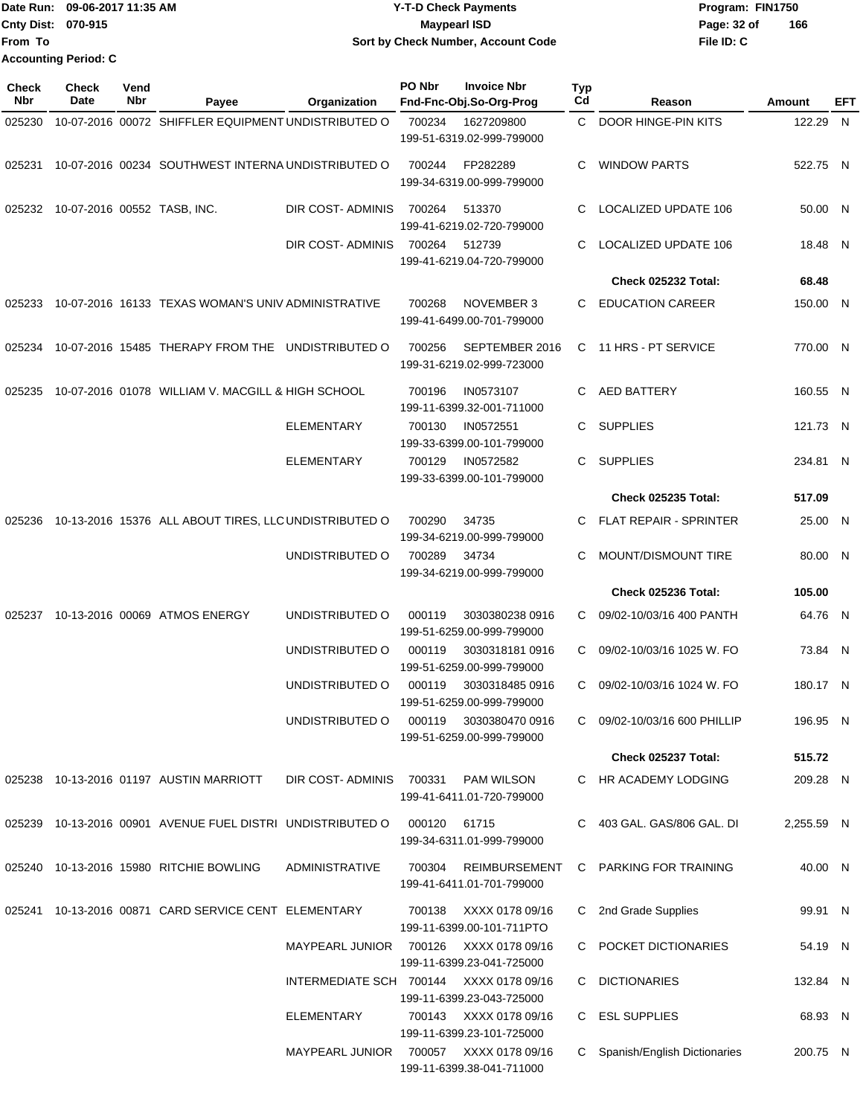|                           | Date Run: 09-06-2017 11:35 AM | <b>Y-T-D Check Payments</b>        | Program: FIN1750   |
|---------------------------|-------------------------------|------------------------------------|--------------------|
| <b>Cnty Dist: 070-915</b> |                               | <b>Mavpearl ISD</b>                | Page: 32 of<br>166 |
| lFrom To                  |                               | Sort by Check Number, Account Code | File ID: C         |
|                           | <b>Accounting Period: C</b>   |                                    |                    |

| <b>Check</b><br>Nbr | Check<br>Date               | Vend<br>Nbr | Payee                                                      | Organization                            | PO Nbr | <b>Invoice Nbr</b><br>Fnd-Fnc-Obj.So-Org-Prog       | <b>Typ</b><br>Cd | Reason                         | Amount     | EFT |
|---------------------|-----------------------------|-------------|------------------------------------------------------------|-----------------------------------------|--------|-----------------------------------------------------|------------------|--------------------------------|------------|-----|
| 025230              |                             |             | 10-07-2016 00072 SHIFFLER EQUIPMENT UNDISTRIBUTED O        |                                         | 700234 | 1627209800<br>199-51-6319.02-999-799000             | C.               | DOOR HINGE-PIN KITS            | 122.29 N   |     |
| 025231              |                             |             | 10-07-2016 00234 SOUTHWEST INTERNA UNDISTRIBUTED O         |                                         | 700244 | FP282289<br>199-34-6319.00-999-799000               | C                | <b>WINDOW PARTS</b>            | 522.75 N   |     |
| 025232              | 10-07-2016 00552 TASB, INC. |             |                                                            | DIR COST- ADMINIS                       | 700264 | 513370<br>199-41-6219.02-720-799000                 | C                | LOCALIZED UPDATE 106           | 50.00 N    |     |
|                     |                             |             |                                                            | DIR COST- ADMINIS                       | 700264 | 512739<br>199-41-6219.04-720-799000                 | C                | LOCALIZED UPDATE 106           | 18.48 N    |     |
|                     |                             |             |                                                            |                                         |        |                                                     |                  | Check 025232 Total:            | 68.48      |     |
| 025233              |                             |             | 10-07-2016 16133 TEXAS WOMAN'S UNIV ADMINISTRATIVE         |                                         | 700268 | NOVEMBER 3<br>199-41-6499.00-701-799000             | C.               | <b>EDUCATION CAREER</b>        | 150.00 N   |     |
| 025234              |                             |             | 10-07-2016 15485 THERAPY FROM THE UNDISTRIBUTED O          |                                         | 700256 | SEPTEMBER 2016<br>199-31-6219.02-999-723000         |                  | C 11 HRS - PT SERVICE          | 770.00 N   |     |
| 025235              |                             |             | 10-07-2016 01078 WILLIAM V. MACGILL & HIGH SCHOOL          |                                         | 700196 | IN0573107<br>199-11-6399.32-001-711000              | C.               | AED BATTERY                    | 160.55 N   |     |
|                     |                             |             |                                                            | <b>ELEMENTARY</b>                       | 700130 | IN0572551<br>199-33-6399.00-101-799000              | C.               | <b>SUPPLIES</b>                | 121.73 N   |     |
|                     |                             |             |                                                            | <b>ELEMENTARY</b>                       | 700129 | IN0572582<br>199-33-6399.00-101-799000              | C.               | <b>SUPPLIES</b>                | 234.81 N   |     |
|                     |                             |             |                                                            |                                         |        |                                                     |                  | Check 025235 Total:            | 517.09     |     |
| 025236              |                             |             | 10-13-2016 15376 ALL ABOUT TIRES, LLC UNDISTRIBUTED O      |                                         | 700290 | 34735<br>199-34-6219.00-999-799000                  | C                | <b>FLAT REPAIR - SPRINTER</b>  | 25.00 N    |     |
|                     |                             |             |                                                            | UNDISTRIBUTED O                         | 700289 | 34734<br>199-34-6219.00-999-799000                  | C                | MOUNT/DISMOUNT TIRE            | 80.00 N    |     |
|                     |                             |             |                                                            |                                         |        |                                                     |                  | Check 025236 Total:            | 105.00     |     |
| 025237              |                             |             | 10-13-2016 00069 ATMOS ENERGY                              | UNDISTRIBUTED O                         | 000119 | 3030380238 0916<br>199-51-6259.00-999-799000        | C                | 09/02-10/03/16 400 PANTH       | 64.76 N    |     |
|                     |                             |             |                                                            | UNDISTRIBUTED O                         | 000119 | 30303181810916<br>199-51-6259.00-999-799000         | C                | 09/02-10/03/16 1025 W. FO      | 73.84 N    |     |
|                     |                             |             |                                                            | UNDISTRIBUTED O                         | 000119 | 3030318485 0916<br>199-51-6259.00-999-799000        | C.               | 09/02-10/03/16 1024 W. FO      | 180.17 N   |     |
|                     |                             |             |                                                            | UNDISTRIBUTED O                         | 000119 | 3030380470 0916<br>199-51-6259.00-999-799000        |                  | C 09/02-10/03/16 600 PHILLIP   | 196.95 N   |     |
|                     |                             |             |                                                            |                                         |        |                                                     |                  | <b>Check 025237 Total:</b>     | 515.72     |     |
|                     |                             |             | 025238 10-13-2016 01197 AUSTIN MARRIOTT                    | DIR COST-ADMINIS 700331                 |        | PAM WILSON<br>199-41-6411.01-720-799000             |                  | C HR ACADEMY LODGING           | 209.28 N   |     |
|                     |                             |             | 025239 10-13-2016 00901 AVENUE FUEL DISTRI UNDISTRIBUTED O |                                         | 000120 | 61715<br>199-34-6311.01-999-799000                  |                  | C 403 GAL. GAS/806 GAL. DI     | 2,255.59 N |     |
|                     |                             |             | 025240 10-13-2016 15980 RITCHIE BOWLING                    | <b>ADMINISTRATIVE</b>                   | 700304 | REIMBURSEMENT<br>199-41-6411.01-701-799000          |                  | C PARKING FOR TRAINING         | 40.00 N    |     |
|                     |                             |             | 025241 10-13-2016 00871 CARD SERVICE CENT ELEMENTARY       |                                         | 700138 | XXXX 0178 09/16<br>199-11-6399.00-101-711PTO        |                  | C 2nd Grade Supplies           | 99.91 N    |     |
|                     |                             |             |                                                            | MAYPEARL JUNIOR                         |        | 700126 XXXX 0178 09/16<br>199-11-6399.23-041-725000 |                  | C POCKET DICTIONARIES          | 54.19 N    |     |
|                     |                             |             |                                                            | INTERMEDIATE SCH 700144 XXXX 0178 09/16 |        | 199-11-6399.23-043-725000                           |                  | C DICTIONARIES                 | 132.84 N   |     |
|                     |                             |             |                                                            | ELEMENTARY                              |        | 700143 XXXX 0178 09/16<br>199-11-6399.23-101-725000 |                  | C ESL SUPPLIES                 | 68.93 N    |     |
|                     |                             |             |                                                            | <b>MAYPEARL JUNIOR</b>                  |        | 700057 XXXX 0178 09/16<br>199-11-6399.38-041-711000 |                  | C Spanish/English Dictionaries | 200.75 N   |     |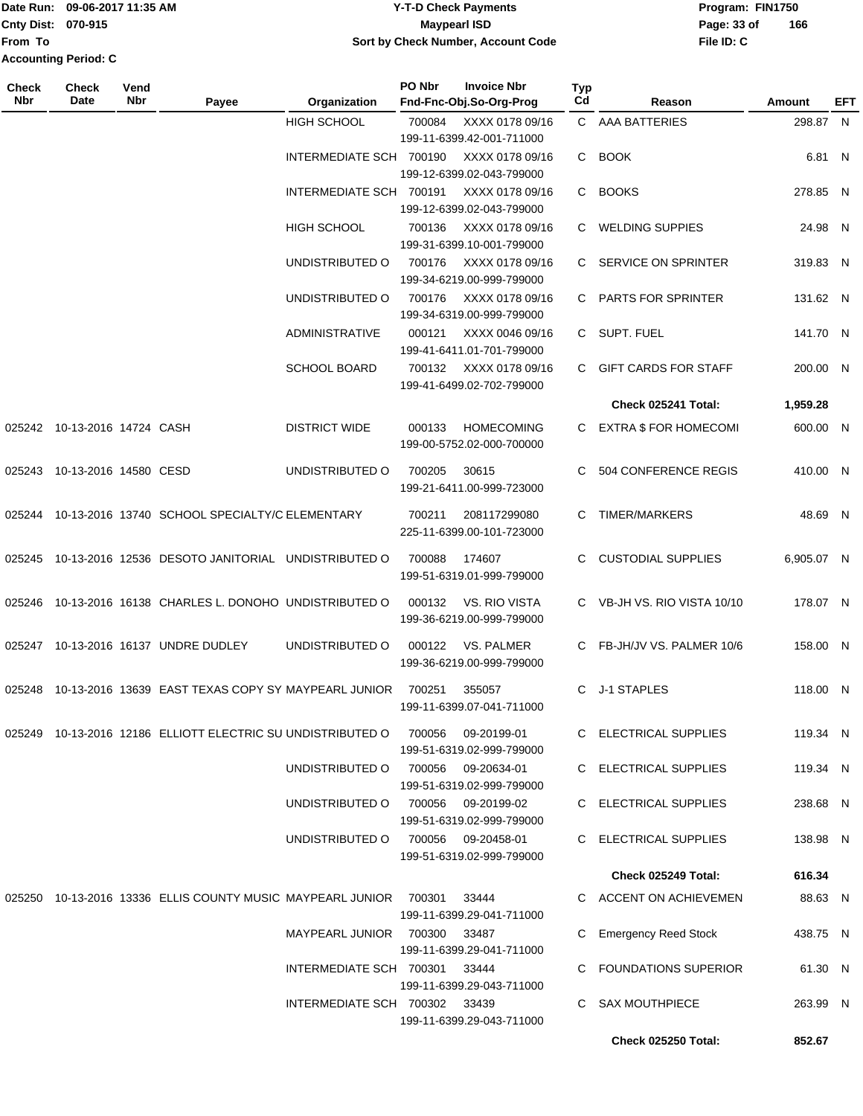|                           | TDate Run: 09-06-2017 11:35 AM | <b>Y-T-D Check Payments</b>        | Program: FIN1750 |     |
|---------------------------|--------------------------------|------------------------------------|------------------|-----|
| <b>Cnty Dist: 070-915</b> |                                | <b>Mavpearl ISD</b>                | Page: 33 of      | 166 |
| <b>IFrom To</b>           |                                | Sort by Check Number, Account Code | File ID: C       |     |
| Accounting Period: C      |                                |                                    |                  |     |

| Check<br>Nbr | <b>Check</b><br>Date         | Vend<br>Nbr | Payee                                                             | Organization                       | PO Nbr | <b>Invoice Nbr</b><br>Fnd-Fnc-Obj.So-Org-Prog     | Typ<br>Cd    | Reason                      | Amount     | EFT |
|--------------|------------------------------|-------------|-------------------------------------------------------------------|------------------------------------|--------|---------------------------------------------------|--------------|-----------------------------|------------|-----|
|              |                              |             |                                                                   | HIGH SCHOOL                        | 700084 | XXXX 0178 09/16<br>199-11-6399.42-001-711000      |              | C AAA BATTERIES             | 298.87 N   |     |
|              |                              |             |                                                                   | INTERMEDIATE SCH 700190            |        | XXXX 0178 09/16<br>199-12-6399.02-043-799000      |              | C BOOK                      | 6.81 N     |     |
|              |                              |             |                                                                   | INTERMEDIATE SCH 700191            |        | XXXX 0178 09/16<br>199-12-6399.02-043-799000      |              | C BOOKS                     | 278.85 N   |     |
|              |                              |             |                                                                   | <b>HIGH SCHOOL</b>                 | 700136 | XXXX 0178 09/16<br>199-31-6399.10-001-799000      | C.           | <b>WELDING SUPPIES</b>      | 24.98 N    |     |
|              |                              |             |                                                                   | UNDISTRIBUTED O                    | 700176 | XXXX 0178 09/16<br>199-34-6219.00-999-799000      | C.           | SERVICE ON SPRINTER         | 319.83 N   |     |
|              |                              |             |                                                                   | UNDISTRIBUTED O                    | 700176 | XXXX 0178 09/16<br>199-34-6319.00-999-799000      |              | C PARTS FOR SPRINTER        | 131.62 N   |     |
|              |                              |             |                                                                   | <b>ADMINISTRATIVE</b>              | 000121 | XXXX 0046 09/16<br>199-41-6411.01-701-799000      |              | C SUPT. FUEL                | 141.70 N   |     |
|              |                              |             |                                                                   | <b>SCHOOL BOARD</b>                | 700132 | XXXX 0178 09/16<br>199-41-6499.02-702-799000      | C            | <b>GIFT CARDS FOR STAFF</b> | 200.00 N   |     |
|              |                              |             |                                                                   |                                    |        |                                                   |              | Check 025241 Total:         | 1,959.28   |     |
|              | 025242 10-13-2016 14724 CASH |             |                                                                   | <b>DISTRICT WIDE</b>               | 000133 | <b>HOMECOMING</b><br>199-00-5752.02-000-700000    |              | C EXTRA \$ FOR HOMECOMI     | 600.00 N   |     |
|              | 025243 10-13-2016 14580 CESD |             |                                                                   | UNDISTRIBUTED O                    | 700205 | 30615<br>199-21-6411.00-999-723000                | C            | 504 CONFERENCE REGIS        | 410.00 N   |     |
|              |                              |             | 025244 10-13-2016 13740 SCHOOL SPECIALTY/C ELEMENTARY             |                                    | 700211 | 208117299080<br>225-11-6399.00-101-723000         | C            | <b>TIMER/MARKERS</b>        | 48.69 N    |     |
| 025245       |                              |             | 10-13-2016 12536 DESOTO JANITORIAL UNDISTRIBUTED O                |                                    | 700088 | 174607<br>199-51-6319.01-999-799000               |              | <b>CUSTODIAL SUPPLIES</b>   | 6,905.07 N |     |
| 025246       |                              |             | 10-13-2016 16138 CHARLES L. DONOHO UNDISTRIBUTED O                |                                    | 000132 | VS. RIO VISTA<br>199-36-6219.00-999-799000        |              | C VB-JH VS. RIO VISTA 10/10 | 178.07 N   |     |
|              |                              |             | 025247 10-13-2016 16137 UNDRE DUDLEY                              | UNDISTRIBUTED O                    | 000122 | VS. PALMER<br>199-36-6219.00-999-799000           |              | C FB-JH/JV VS. PALMER 10/6  | 158.00 N   |     |
| 025248       |                              |             | 10-13-2016 13639 EAST TEXAS COPY SY MAYPEARL JUNIOR               |                                    | 700251 | 355057<br>199-11-6399.07-041-711000               | C.           | J-1 STAPLES                 | 118.00 N   |     |
|              |                              |             | 025249 10-13-2016 12186 ELLIOTT ELECTRIC SU UNDISTRIBUTED O       |                                    | 700056 | 09-20199-01<br>199-51-6319.02-999-799000          |              | C ELECTRICAL SUPPLIES       | 119.34 N   |     |
|              |                              |             |                                                                   | UNDISTRIBUTED O                    |        | 700056   09-20634-01<br>199-51-6319.02-999-799000 |              | C ELECTRICAL SUPPLIES       | 119.34 N   |     |
|              |                              |             |                                                                   | UNDISTRIBUTED O 700056 09-20199-02 |        | 199-51-6319.02-999-799000                         |              | C ELECTRICAL SUPPLIES       | 238.68 N   |     |
|              |                              |             |                                                                   | UNDISTRIBUTED O                    |        | 700056 09-20458-01<br>199-51-6319.02-999-799000   |              | C ELECTRICAL SUPPLIES       | 138.98 N   |     |
|              |                              |             |                                                                   |                                    |        |                                                   |              | Check 025249 Total:         | 616.34     |     |
|              |                              |             | 025250 10-13-2016 13336 ELLIS COUNTY MUSIC MAYPEARL JUNIOR 700301 |                                    |        | 33444<br>199-11-6399.29-041-711000                |              | C ACCENT ON ACHIEVEMEN      | 88.63 N    |     |
|              |                              |             |                                                                   | MAYPEARL JUNIOR 700300             |        | 33487<br>199-11-6399.29-041-711000                | C            | <b>Emergency Reed Stock</b> | 438.75 N   |     |
|              |                              |             |                                                                   | INTERMEDIATE SCH 700301            |        | 33444<br>199-11-6399.29-043-711000                | $\mathbf{C}$ | <b>FOUNDATIONS SUPERIOR</b> | 61.30 N    |     |
|              |                              |             |                                                                   | INTERMEDIATE SCH 700302            |        | 33439<br>199-11-6399.29-043-711000                | C.           | <b>SAX MOUTHPIECE</b>       | 263.99 N   |     |
|              |                              |             |                                                                   |                                    |        |                                                   |              | <b>Check 025250 Total:</b>  | 852.67     |     |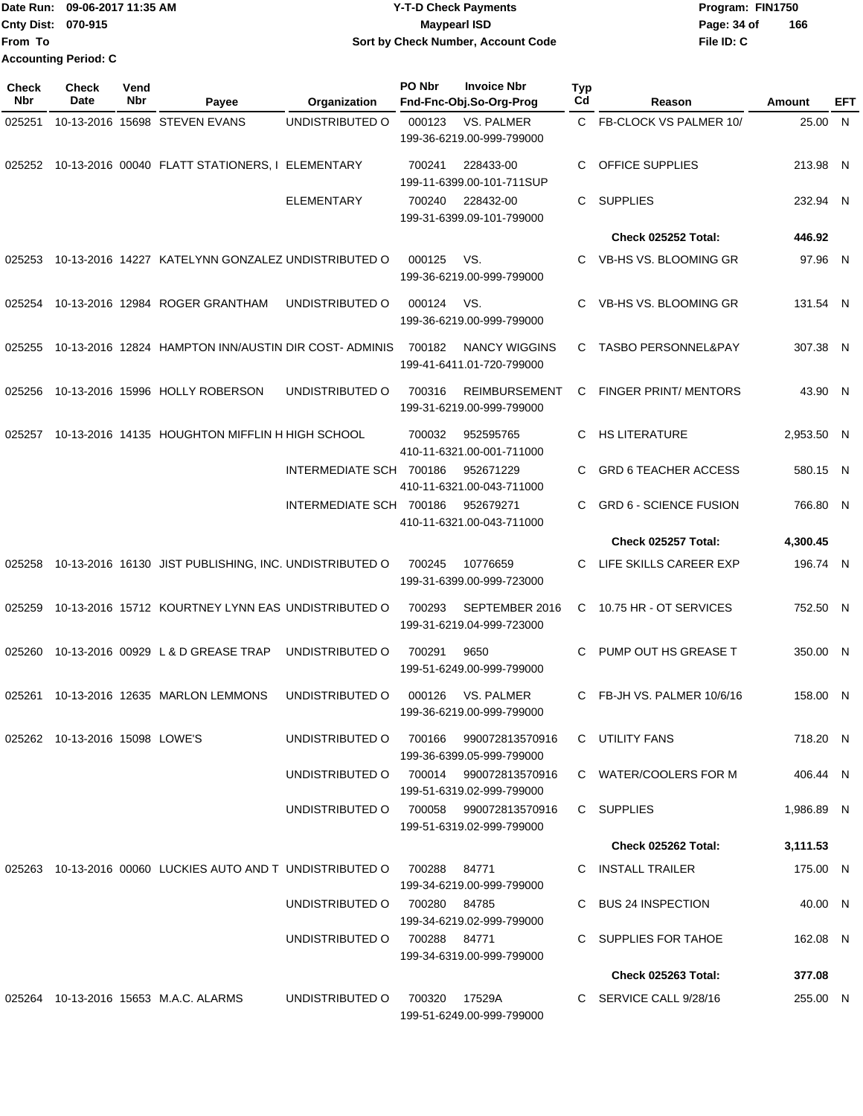Date Run: 09-06-2017 11:35 AM **CONTEX 100 CONTEX 12 T-D** Check Payments **CONTEX 12 T-D Check Payments** Program: FIN1750 **Cnty Dist:** 070-915 **Page: 34 of** Maypearl ISD Maypearl ISD **From To Y-T-D Check Payments 070-915 Maypearl ISD Sort by Check Number, Account Code Accounting Period: C**

| <b>Check</b><br><b>Nbr</b> | <b>Check</b><br>Date           | Vend<br>Nbr | Payee                                                      | Organization            | PO Nbr        | <b>Invoice Nbr</b><br>Fnd-Fnc-Obj.So-Org-Prog       | Typ<br>Cd | Reason                         | Amount     | EFT |
|----------------------------|--------------------------------|-------------|------------------------------------------------------------|-------------------------|---------------|-----------------------------------------------------|-----------|--------------------------------|------------|-----|
| 025251                     |                                |             | 10-13-2016 15698 STEVEN EVANS                              | UNDISTRIBUTED O         | 000123        | <b>VS. PALMER</b><br>199-36-6219.00-999-799000      | C.        | FB-CLOCK VS PALMER 10/         | 25.00 N    |     |
| 025252                     |                                |             | 10-13-2016 00040 FLATT STATIONERS, I ELEMENTARY            |                         | 700241        | 228433-00<br>199-11-6399.00-101-711SUP              | С         | OFFICE SUPPLIES                | 213.98 N   |     |
|                            |                                |             |                                                            | <b>ELEMENTARY</b>       | 700240        | 228432-00<br>199-31-6399.09-101-799000              | С         | <b>SUPPLIES</b>                | 232.94 N   |     |
|                            |                                |             |                                                            |                         |               |                                                     |           | Check 025252 Total:            | 446.92     |     |
| 025253                     |                                |             | 10-13-2016 14227 KATELYNN GONZALEZ UNDISTRIBUTED O         |                         | 000125        | VS.<br>199-36-6219.00-999-799000                    | C         | <b>VB-HS VS. BLOOMING GR</b>   | 97.96 N    |     |
| 025254                     |                                |             | 10-13-2016 12984 ROGER GRANTHAM                            | UNDISTRIBUTED O         | 000124        | VS.<br>199-36-6219.00-999-799000                    | С         | VB-HS VS. BLOOMING GR          | 131.54 N   |     |
| 025255                     |                                |             | 10-13-2016 12824 HAMPTON INN/AUSTIN DIR COST-ADMINIS       |                         | 700182        | NANCY WIGGINS<br>199-41-6411.01-720-799000          | С         | <b>TASBO PERSONNEL&amp;PAY</b> | 307.38 N   |     |
| 025256                     |                                |             | 10-13-2016 15996 HOLLY ROBERSON                            | UNDISTRIBUTED O         | 700316        | <b>REIMBURSEMENT</b><br>199-31-6219.00-999-799000   | С         | <b>FINGER PRINT/ MENTORS</b>   | 43.90 N    |     |
| 025257                     |                                |             | 10-13-2016 14135 HOUGHTON MIFFLIN H HIGH SCHOOL            |                         | 700032        | 952595765<br>410-11-6321.00-001-711000              | С         | <b>HS LITERATURE</b>           | 2.953.50 N |     |
|                            |                                |             |                                                            | INTERMEDIATE SCH 700186 |               | 952671229<br>410-11-6321.00-043-711000              | С         | <b>GRD 6 TEACHER ACCESS</b>    | 580.15 N   |     |
|                            |                                |             |                                                            | INTERMEDIATE SCH 700186 |               | 952679271<br>410-11-6321.00-043-711000              | С         | <b>GRD 6 - SCIENCE FUSION</b>  | 766.80 N   |     |
|                            |                                |             |                                                            |                         |               |                                                     |           | <b>Check 025257 Total:</b>     | 4,300.45   |     |
| 025258                     |                                |             | 10-13-2016 16130 JIST PUBLISHING, INC. UNDISTRIBUTED O     |                         | 700245        | 10776659<br>199-31-6399.00-999-723000               | С         | LIFE SKILLS CAREER EXP         | 196.74 N   |     |
| 025259                     |                                |             | 10-13-2016 15712 KOURTNEY LYNN EAS UNDISTRIBUTED O         |                         | 700293        | SEPTEMBER 2016<br>199-31-6219.04-999-723000         | C         | 10.75 HR - OT SERVICES         | 752.50 N   |     |
| 025260                     |                                |             | 10-13-2016 00929 L & D GREASE TRAP                         | UNDISTRIBUTED O         | 700291        | 9650<br>199-51-6249.00-999-799000                   |           | PUMP OUT HS GREASE T           | 350.00 N   |     |
| 025261                     |                                |             | 10-13-2016 12635 MARLON LEMMONS                            | UNDISTRIBUTED O         | 000126        | VS. PALMER<br>199-36-6219.00-999-799000             | С         | FB-JH VS. PALMER 10/6/16       | 158.00 N   |     |
|                            | 025262 10-13-2016 15098 LOWE'S |             |                                                            | UNDISTRIBUTED O         | 700166        | 990072813570916<br>199-36-6399.05-999-799000        |           | C UTILITY FANS                 | 718.20 N   |     |
|                            |                                |             |                                                            | UNDISTRIBUTED O         |               | 700014 990072813570916<br>199-51-6319.02-999-799000 |           | C WATER/COOLERS FOR M          | 406.44 N   |     |
|                            |                                |             |                                                            | UNDISTRIBUTED O         |               | 700058 990072813570916<br>199-51-6319.02-999-799000 |           | C SUPPLIES                     | 1,986.89 N |     |
|                            |                                |             |                                                            |                         |               |                                                     |           | <b>Check 025262 Total:</b>     | 3,111.53   |     |
|                            |                                |             | 025263 10-13-2016 00060 LUCKIES AUTO AND T UNDISTRIBUTED O |                         | 700288        | 84771<br>199-34-6219.00-999-799000                  |           | C INSTALL TRAILER              | 175.00 N   |     |
|                            |                                |             |                                                            | UNDISTRIBUTED O         | 700280 84785  | 199-34-6219.02-999-799000                           |           | C BUS 24 INSPECTION            | 40.00 N    |     |
|                            |                                |             |                                                            | UNDISTRIBUTED O         | 700288 84771  | 199-34-6319.00-999-799000                           |           | C SUPPLIES FOR TAHOE           | 162.08 N   |     |
|                            |                                |             |                                                            |                         |               |                                                     |           | <b>Check 025263 Total:</b>     | 377.08     |     |
|                            |                                |             | 025264 10-13-2016 15653 M.A.C. ALARMS                      | UNDISTRIBUTED O         | 700320 17529A | 199-51-6249.00-999-799000                           |           | C SERVICE CALL 9/28/16         | 255.00 N   |     |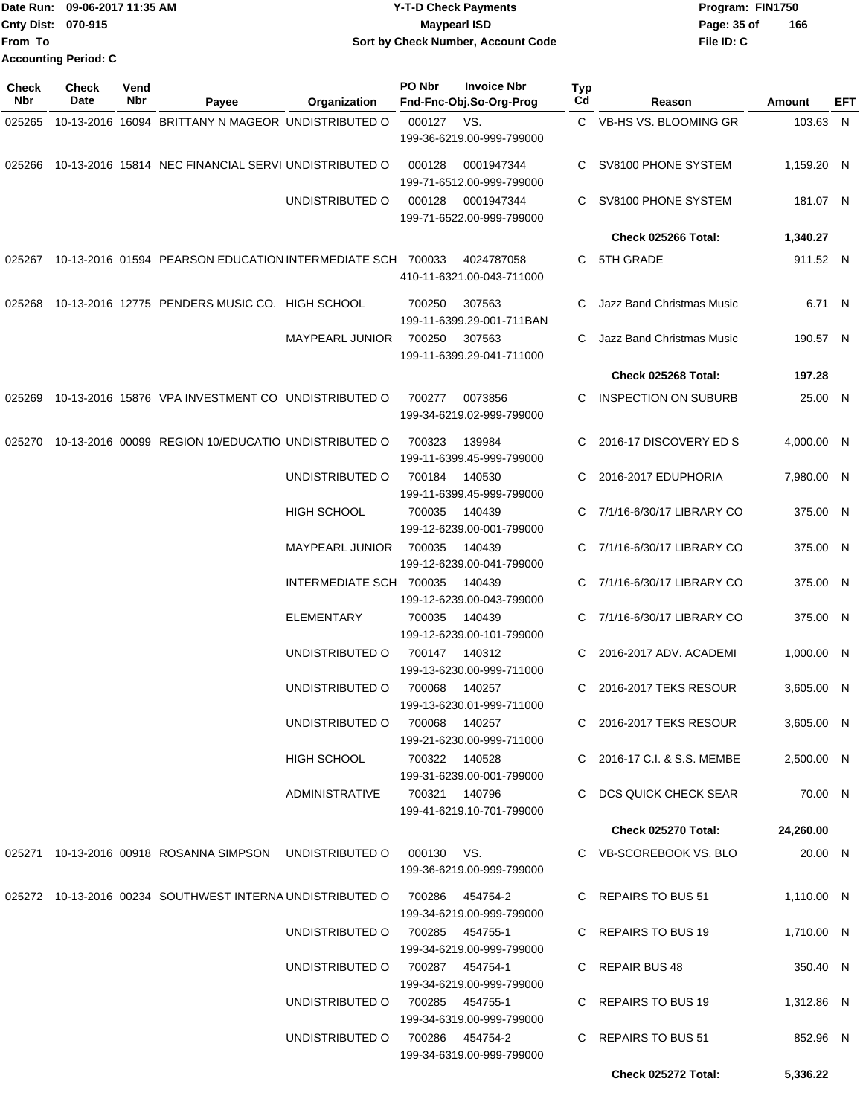|                           | Date Run: 09-06-2017 11:35 AM | <b>Y-T-D Check Payments</b>               | Program: FIN1750   |  |  |  |
|---------------------------|-------------------------------|-------------------------------------------|--------------------|--|--|--|
| <b>Cnty Dist: 070-915</b> |                               | <b>Mavpearl ISD</b>                       | 166<br>Page: 35 of |  |  |  |
| <b>From To</b>            |                               | <b>Sort by Check Number, Account Code</b> | File ID: C         |  |  |  |
|                           | <b>Accounting Period: C</b>   |                                           |                    |  |  |  |

**PO Nbr Invoice Nbr**

| <b>Check</b><br><b>Nbr</b> | Check<br>Date | Vend<br>Nbr | Payee                                                             | Organization                                 | PO Nbr           | <b>Invoice Nbr</b><br>Fnd-Fnc-Obj.So-Org-Prog | Typ<br>Cd | Reason                                                 | <b>Amount</b>          | EFT |
|----------------------------|---------------|-------------|-------------------------------------------------------------------|----------------------------------------------|------------------|-----------------------------------------------|-----------|--------------------------------------------------------|------------------------|-----|
| 025265                     |               |             | 10-13-2016 16094 BRITTANY N MAGEOR UNDISTRIBUTED O                |                                              | 000127           | VS.<br>199-36-6219.00-999-799000              |           | C VB-HS VS. BLOOMING GR                                | 103.63 N               |     |
| 025266                     |               |             | 10-13-2016 15814 NEC FINANCIAL SERVI UNDISTRIBUTED O              |                                              | 000128           | 0001947344<br>199-71-6512.00-999-799000       | C.        | SV8100 PHONE SYSTEM                                    | 1,159.20 N             |     |
|                            |               |             |                                                                   | UNDISTRIBUTED O                              | 000128           | 0001947344<br>199-71-6522.00-999-799000       | C.        | SV8100 PHONE SYSTEM                                    | 181.07 N               |     |
|                            |               |             |                                                                   |                                              |                  |                                               |           | Check 025266 Total:                                    | 1,340.27               |     |
|                            |               |             | 025267 10-13-2016 01594 PEARSON EDUCATION INTERMEDIATE SCH 700033 |                                              |                  | 4024787058<br>410-11-6321.00-043-711000       | C.        | 5TH GRADE                                              | 911.52 N               |     |
| 025268                     |               |             | 10-13-2016 12775 PENDERS MUSIC CO. HIGH SCHOOL                    |                                              | 700250           | 307563<br>199-11-6399.29-001-711BAN           | C.        | Jazz Band Christmas Music                              | 6.71 N                 |     |
|                            |               |             |                                                                   | <b>MAYPEARL JUNIOR</b>                       | 700250           | 307563<br>199-11-6399.29-041-711000           | C.        | Jazz Band Christmas Music                              | 190.57 N               |     |
|                            |               |             |                                                                   |                                              |                  |                                               |           | Check 025268 Total:                                    | 197.28                 |     |
| 025269                     |               |             | 10-13-2016 15876 VPA INVESTMENT CO UNDISTRIBUTED O                |                                              | 700277           | 0073856<br>199-34-6219.02-999-799000          | C.        | <b>INSPECTION ON SUBURB</b>                            | 25.00 N                |     |
| 025270                     |               |             | 10-13-2016 00099 REGION 10/EDUCATIO UNDISTRIBUTED O               |                                              | 700323           | 139984<br>199-11-6399.45-999-799000           | C         | 2016-17 DISCOVERY ED S                                 | 4,000.00 N             |     |
|                            |               |             |                                                                   | UNDISTRIBUTED O                              | 700184           | 140530<br>199-11-6399.45-999-799000           | C         | 2016-2017 EDUPHORIA                                    | 7,980.00 N             |     |
|                            |               |             |                                                                   | <b>HIGH SCHOOL</b>                           | 700035           | 140439<br>199-12-6239.00-001-799000           | C.        | 7/1/16-6/30/17 LIBRARY CO                              | 375.00 N               |     |
|                            |               |             |                                                                   | <b>MAYPEARL JUNIOR</b>                       | 700035           | 140439<br>199-12-6239.00-041-799000           |           | 7/1/16-6/30/17 LIBRARY CO                              | 375.00 N               |     |
|                            |               |             |                                                                   | INTERMEDIATE SCH 700035<br><b>ELEMENTARY</b> |                  | 140439<br>199-12-6239.00-043-799000           | C.<br>C.  | 7/1/16-6/30/17 LIBRARY CO<br>7/1/16-6/30/17 LIBRARY CO | 375.00 N               |     |
|                            |               |             |                                                                   | UNDISTRIBUTED O                              | 700035<br>700147 | 140439<br>199-12-6239.00-101-799000<br>140312 |           | 2016-2017 ADV. ACADEMI                                 | 375.00 N<br>1,000.00 N |     |
|                            |               |             |                                                                   | UNDISTRIBUTED O                              | 700068           | 199-13-6230.00-999-711000<br>140257           | C.        | 2016-2017 TEKS RESOUR                                  | 3,605.00 N             |     |
|                            |               |             |                                                                   | UNDISTRIBUTED O                              | 700068           | 199-13-6230.01-999-711000<br>140257           |           | C 2016-2017 TEKS RESOUR                                | 3,605.00 N             |     |
|                            |               |             |                                                                   |                                              |                  | 199-21-6230.00-999-711000                     |           |                                                        |                        |     |
|                            |               |             |                                                                   | HIGH SCHOOL                                  | 700322 140528    | 199-31-6239.00-001-799000                     |           | C 2016-17 C.I. & S.S. MEMBE                            | 2,500.00 N             |     |
|                            |               |             |                                                                   | ADMINISTRATIVE                               | 700321 140796    | 199-41-6219.10-701-799000                     |           | C DCS QUICK CHECK SEAR                                 | 70.00 N                |     |
|                            |               |             |                                                                   |                                              |                  |                                               |           | Check 025270 Total:                                    | 24,260.00              |     |
|                            |               |             | 025271 10-13-2016 00918 ROSANNA SIMPSON UNDISTRIBUTED O           |                                              | 000130 VS.       | 199-36-6219.00-999-799000                     |           | C VB-SCOREBOOK VS. BLO                                 | 20.00 N                |     |
|                            |               |             | 025272 10-13-2016 00234 SOUTHWEST INTERNA UNDISTRIBUTED O         |                                              | 700286  454754-2 | 199-34-6219.00-999-799000                     |           | C REPAIRS TO BUS 51                                    | 1,110.00 N             |     |
|                            |               |             |                                                                   | UNDISTRIBUTED O                              | 700285  454755-1 | 199-34-6219.00-999-799000                     |           | C REPAIRS TO BUS 19                                    | 1,710.00 N             |     |
|                            |               |             |                                                                   | UNDISTRIBUTED O                              | 700287  454754-1 | 199-34-6219.00-999-799000                     |           | C REPAIR BUS 48                                        | 350.40 N               |     |
|                            |               |             |                                                                   | UNDISTRIBUTED O                              | 700285  454755-1 | 199-34-6319.00-999-799000                     |           | C REPAIRS TO BUS 19                                    | 1,312.86 N             |     |
|                            |               |             |                                                                   | UNDISTRIBUTED O                              | 700286  454754-2 | 199-34-6319.00-999-799000                     |           | C REPAIRS TO BUS 51                                    | 852.96 N               |     |
|                            |               |             |                                                                   |                                              |                  |                                               |           | Check 025272 Total:                                    | 5,336.22               |     |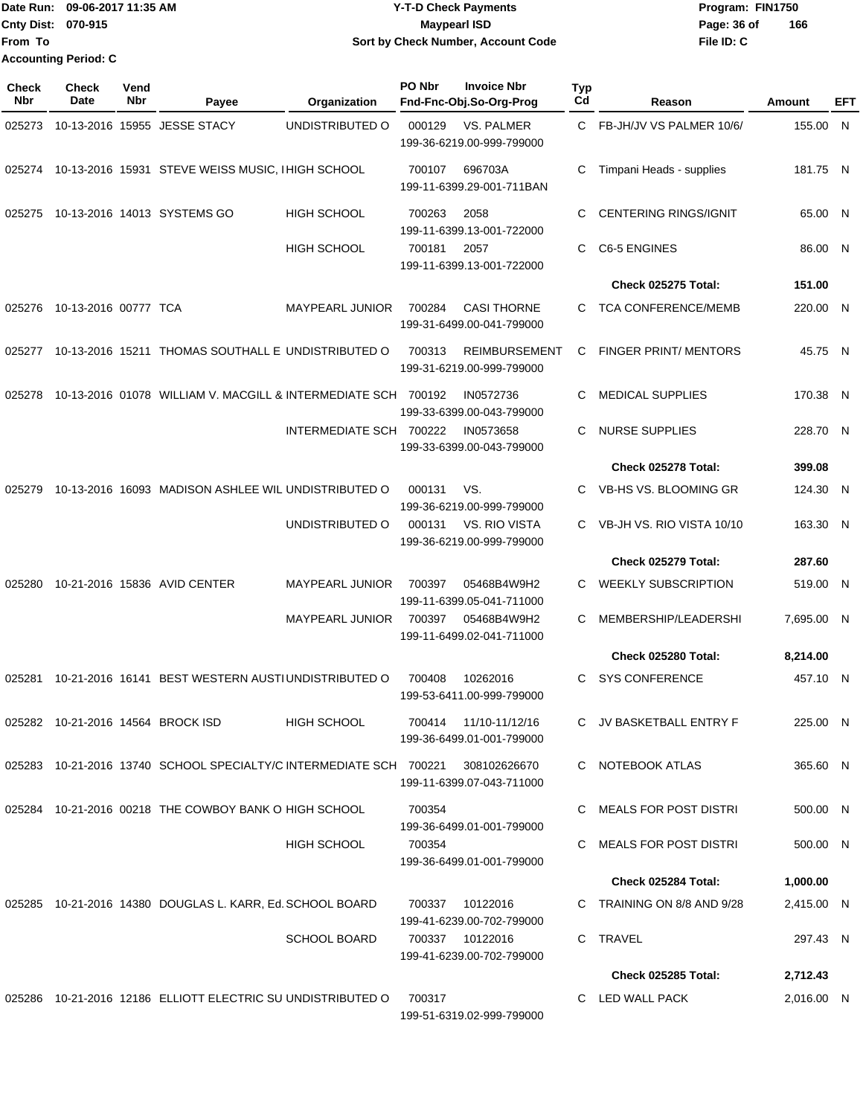|                             | Date Run: 09-06-2017 11:35 AM | <b>Y-T-D Check Payments</b>        | Program: FIN1750   |  |  |
|-----------------------------|-------------------------------|------------------------------------|--------------------|--|--|
| <b>Cnty Dist: 070-915</b>   |                               | <b>Mavpearl ISD</b>                | 166<br>Page: 36 of |  |  |
| <b>From To</b>              |                               | Sort by Check Number, Account Code | File ID: C         |  |  |
| <b>Accounting Period: C</b> |                               |                                    |                    |  |  |

| <b>Check</b><br><b>Nbr</b> | <b>Check</b><br><b>Date</b> | Vend<br>Nbr | Payee                                                              | Organization            | PO Nbr | <b>Invoice Nbr</b><br>Fnd-Fnc-Obj.So-Org-Prog       | Typ<br>Cd | Reason                       | Amount     | EFT |
|----------------------------|-----------------------------|-------------|--------------------------------------------------------------------|-------------------------|--------|-----------------------------------------------------|-----------|------------------------------|------------|-----|
| 025273                     |                             |             | 10-13-2016 15955 JESSE STACY                                       | UNDISTRIBUTED O         | 000129 | <b>VS. PALMER</b><br>199-36-6219.00-999-799000      |           | C FB-JH/JV VS PALMER 10/6/   | 155.00 N   |     |
|                            |                             |             | 025274 10-13-2016 15931 STEVE WEISS MUSIC, I HIGH SCHOOL           |                         | 700107 | 696703A<br>199-11-6399.29-001-711BAN                | C         | Timpani Heads - supplies     | 181.75 N   |     |
| 025275                     |                             |             | 10-13-2016 14013 SYSTEMS GO                                        | <b>HIGH SCHOOL</b>      | 700263 | 2058<br>199-11-6399.13-001-722000                   | C         | <b>CENTERING RINGS/IGNIT</b> | 65.00 N    |     |
|                            |                             |             |                                                                    | <b>HIGH SCHOOL</b>      | 700181 | 2057<br>199-11-6399.13-001-722000                   | C.        | C6-5 ENGINES                 | 86.00 N    |     |
|                            |                             |             |                                                                    |                         |        |                                                     |           | Check 025275 Total:          | 151.00     |     |
|                            | 025276 10-13-2016 00777 TCA |             |                                                                    | <b>MAYPEARL JUNIOR</b>  | 700284 | <b>CASI THORNE</b><br>199-31-6499.00-041-799000     |           | C TCA CONFERENCE/MEMB        | 220.00 N   |     |
| 025277                     |                             |             | 10-13-2016 15211 THOMAS SOUTHALL E UNDISTRIBUTED O                 |                         | 700313 | <b>REIMBURSEMENT</b><br>199-31-6219.00-999-799000   | C         | <b>FINGER PRINT/ MENTORS</b> | 45.75 N    |     |
| 025278                     |                             |             | 10-13-2016 01078 WILLIAM V. MACGILL & INTERMEDIATE SCH 700192      |                         |        | IN0572736<br>199-33-6399.00-043-799000              | C.        | <b>MEDICAL SUPPLIES</b>      | 170.38 N   |     |
|                            |                             |             |                                                                    | INTERMEDIATE SCH 700222 |        | IN0573658<br>199-33-6399.00-043-799000              | C.        | <b>NURSE SUPPLIES</b>        | 228.70 N   |     |
|                            |                             |             |                                                                    |                         |        |                                                     |           | Check 025278 Total:          | 399.08     |     |
| 025279                     |                             |             | 10-13-2016 16093 MADISON ASHLEE WIL UNDISTRIBUTED O                |                         | 000131 | VS.<br>199-36-6219.00-999-799000                    | C.        | VB-HS VS. BLOOMING GR        | 124.30 N   |     |
|                            |                             |             |                                                                    | UNDISTRIBUTED O         | 000131 | VS. RIO VISTA<br>199-36-6219.00-999-799000          |           | VB-JH VS. RIO VISTA 10/10    | 163.30 N   |     |
|                            |                             |             |                                                                    |                         |        |                                                     |           | Check 025279 Total:          | 287.60     |     |
| 025280                     |                             |             | 10-21-2016 15836 AVID CENTER                                       | <b>MAYPEARL JUNIOR</b>  | 700397 | 05468B4W9H2<br>199-11-6399.05-041-711000            | C         | <b>WEEKLY SUBSCRIPTION</b>   | 519.00 N   |     |
|                            |                             |             |                                                                    | <b>MAYPEARL JUNIOR</b>  | 700397 | 05468B4W9H2<br>199-11-6499.02-041-711000            | C.        | MEMBERSHIP/LEADERSHI         | 7,695.00 N |     |
|                            |                             |             |                                                                    |                         |        |                                                     |           | Check 025280 Total:          | 8,214.00   |     |
| 025281                     |                             |             | 10-21-2016 16141 BEST WESTERN AUSTIUNDISTRIBUTED O                 |                         | 700408 | 10262016<br>199-53-6411.00-999-799000               | C.        | <b>SYS CONFERENCE</b>        | 457.10 N   |     |
|                            |                             |             | 025282 10-21-2016 14564 BROCK ISD                                  | HIGH SCHOOL             |        | 700414  11/10-11/12/16<br>199-36-6499.01-001-799000 |           | C JV BASKETBALL ENTRY F      | 225.00 N   |     |
|                            |                             |             | 025283 10-21-2016 13740 SCHOOL SPECIALTY/C INTERMEDIATE SCH 700221 |                         |        | 308102626670<br>199-11-6399.07-043-711000           |           | C NOTEBOOK ATLAS             | 365.60 N   |     |
|                            |                             |             | 025284 10-21-2016 00218 THE COWBOY BANK O HIGH SCHOOL              |                         | 700354 | 199-36-6499.01-001-799000                           |           | C MEALS FOR POST DISTRI      | 500.00 N   |     |
|                            |                             |             |                                                                    | HIGH SCHOOL             | 700354 | 199-36-6499.01-001-799000                           |           | C MEALS FOR POST DISTRI      | 500.00 N   |     |
|                            |                             |             |                                                                    |                         |        |                                                     |           | Check 025284 Total:          | 1,000.00   |     |
|                            |                             |             | 025285 10-21-2016 14380 DOUGLAS L. KARR, Ed. SCHOOL BOARD          |                         | 700337 | 10122016<br>199-41-6239.00-702-799000               |           | C TRAINING ON 8/8 AND 9/28   | 2,415.00 N |     |
|                            |                             |             |                                                                    | <b>SCHOOL BOARD</b>     |        | 700337 10122016<br>199-41-6239.00-702-799000        |           | C TRAVEL                     | 297.43 N   |     |
|                            |                             |             |                                                                    |                         |        |                                                     |           | Check 025285 Total:          | 2,712.43   |     |
|                            |                             |             | 025286 10-21-2016 12186 ELLIOTT ELECTRIC SU UNDISTRIBUTED O        |                         | 700317 | 199-51-6319.02-999-799000                           |           | C LED WALL PACK              | 2,016.00 N |     |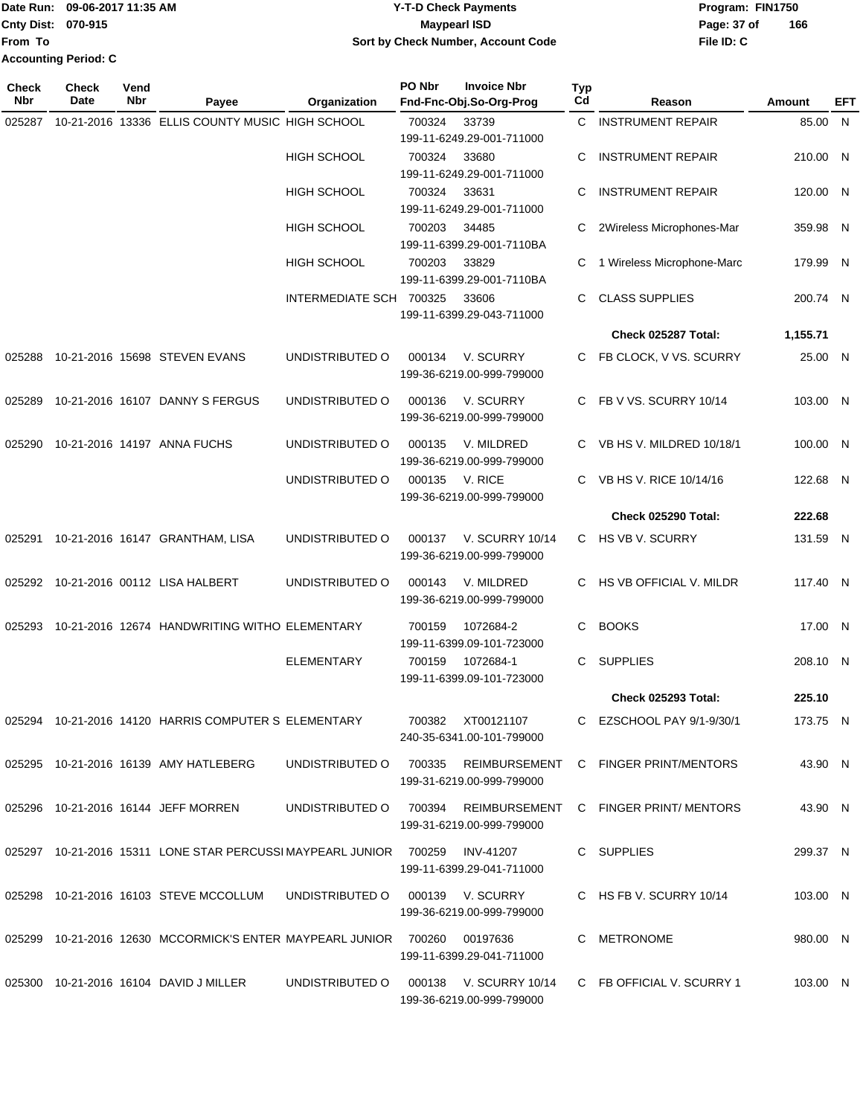Date Run: 09-06-2017 11:35 AM **CONTEX 100 CONTEX 12 T-D** Check Payments **CONTEX 12 T-D Check Payments** Program: FIN1750 **Cnty Dist:** 070-915 **Page: 37 of Maypearl ISD Cnty Dist:** 070-915 **From To**

# **09-06-2017 11:35 AM Y-T-D Check Payments 070-915 Maypearl ISD Sort by Check Number, Account Code**

**PO Nbr Invoice Nbr**

**Typ**

| .            | <b>Accounting Period: C</b> |      |  |
|--------------|-----------------------------|------|--|
| <b>Check</b> | Check                       | Vend |  |
| Nhr          | Date                        | Nhr  |  |

| Nbr    | Date | Nbr | Payee                                                                                 | Organization            |        | Fnd-Fnc-Obj.So-Org-Prog                             | Cd | Reason                                                      | <b>Amount</b> | EFT |
|--------|------|-----|---------------------------------------------------------------------------------------|-------------------------|--------|-----------------------------------------------------|----|-------------------------------------------------------------|---------------|-----|
| 025287 |      |     | 10-21-2016 13336 ELLIS COUNTY MUSIC HIGH SCHOOL                                       |                         | 700324 | 33739<br>199-11-6249.29-001-711000                  |    | C INSTRUMENT REPAIR                                         | 85.00 N       |     |
|        |      |     |                                                                                       | <b>HIGH SCHOOL</b>      | 700324 | 33680<br>199-11-6249.29-001-711000                  | C  | <b>INSTRUMENT REPAIR</b>                                    | 210.00 N      |     |
|        |      |     |                                                                                       | HIGH SCHOOL             | 700324 | 33631<br>199-11-6249.29-001-711000                  | C  | <b>INSTRUMENT REPAIR</b>                                    | 120.00 N      |     |
|        |      |     |                                                                                       | HIGH SCHOOL             | 700203 | 34485<br>199-11-6399.29-001-7110BA                  |    | 2Wireless Microphones-Mar                                   | 359.98 N      |     |
|        |      |     |                                                                                       | <b>HIGH SCHOOL</b>      | 700203 | 33829<br>199-11-6399.29-001-7110BA                  | С  | 1 Wireless Microphone-Marc                                  | 179.99 N      |     |
|        |      |     |                                                                                       | INTERMEDIATE SCH 700325 |        | 33606<br>199-11-6399.29-043-711000                  | C  | <b>CLASS SUPPLIES</b>                                       | 200.74 N      |     |
|        |      |     |                                                                                       |                         |        |                                                     |    | Check 025287 Total:                                         | 1,155.71      |     |
|        |      |     |                                                                                       | UNDISTRIBUTED O         | 000134 | V. SCURRY<br>199-36-6219.00-999-799000              |    | FB CLOCK, V VS. SCURRY                                      | 25.00 N       |     |
| 025289 |      |     | 10-21-2016 16107 DANNY S FERGUS                                                       | UNDISTRIBUTED O         | 000136 | V. SCURRY<br>199-36-6219.00-999-799000              | C  | FB V VS. SCURRY 10/14                                       | 103.00 N      |     |
| 025290 |      |     | 10-21-2016 14197 ANNA FUCHS                                                           | UNDISTRIBUTED O         | 000135 | V. MILDRED<br>199-36-6219.00-999-799000             | C  | VB HS V. MILDRED 10/18/1                                    | 100.00 N      |     |
|        |      |     |                                                                                       | UNDISTRIBUTED O         | 000135 | V. RICE<br>199-36-6219.00-999-799000                | C  | VB HS V. RICE 10/14/16                                      | 122.68 N      |     |
|        |      |     |                                                                                       |                         |        |                                                     |    | Check 025290 Total:                                         | 222.68        |     |
|        |      |     | 025291 10-21-2016 16147 GRANTHAM, LISA                                                | UNDISTRIBUTED O         | 000137 | <b>V. SCURRY 10/14</b><br>199-36-6219.00-999-799000 | C  | HS VB V. SCURRY                                             | 131.59 N      |     |
|        |      |     |                                                                                       | UNDISTRIBUTED O         | 000143 | V. MILDRED<br>199-36-6219.00-999-799000             |    | HS VB OFFICIAL V. MILDR                                     | 117.40 N      |     |
|        |      |     | 025293 10-21-2016 12674 HANDWRITING WITHO ELEMENTARY                                  |                         | 700159 | 1072684-2<br>199-11-6399.09-101-723000              | C  | <b>BOOKS</b>                                                | 17.00 N       |     |
|        |      |     |                                                                                       | <b>ELEMENTARY</b>       | 700159 | 1072684-1<br>199-11-6399.09-101-723000              | C  | <b>SUPPLIES</b>                                             | 208.10 N      |     |
|        |      |     |                                                                                       |                         |        |                                                     |    | <b>Check 025293 Total:</b>                                  | 225.10        |     |
|        |      |     | 025294 10-21-2016  14120  HARRIS COMPUTER S  ELEMENTARY                               |                         | 700382 | XT00121107<br>240-35-6341.00-101-799000             | C  | EZSCHOOL PAY 9/1-9/30/1                                     | 173.75 N      |     |
|        |      |     | 025295 10-21-2016  16139  AMY HATLEBERG                                               |                         |        | 199-31-6219.00-999-799000                           |    | UNDISTRIBUTED O 700335 REIMBURSEMENT C FINGER PRINT/MENTORS | 43.90 N       |     |
|        |      |     | 025296 10-21-2016 16144 JEFF MORREN                                                   | UNDISTRIBUTED O         |        | 199-31-6219.00-999-799000                           |    | 700394 REIMBURSEMENT C FINGER PRINT/ MENTORS                | 43.90 N       |     |
|        |      |     |                                                                                       |                         |        | INV-41207<br>199-11-6399.29-041-711000              |    | C SUPPLIES                                                  | 299.37 N      |     |
|        |      |     | 025298 10-21-2016  16103  STEVE MCCOLLUM  UNDISTRIBUTED O  000139  V. SCURRY          |                         |        | 199-36-6219.00-999-799000                           |    | C HS FB V. SCURRY 10/14                                     | 103.00 N      |     |
|        |      |     | 025299 10-21-2016  12630  MCCORMICK'S ENTER  MAYPEARL JUNIOR     700260      00197636 |                         |        | 199-11-6399.29-041-711000                           |    | C METRONOME                                                 | 980.00 N      |     |
|        |      |     | 025300 10-21-2016  16104  DAVID J MILLER                                              | UNDISTRIBUTED O         |        | 000138 V. SCURRY 10/14<br>199-36-6219.00-999-799000 |    | C FB OFFICIAL V. SCURRY 1                                   | 103.00 N      |     |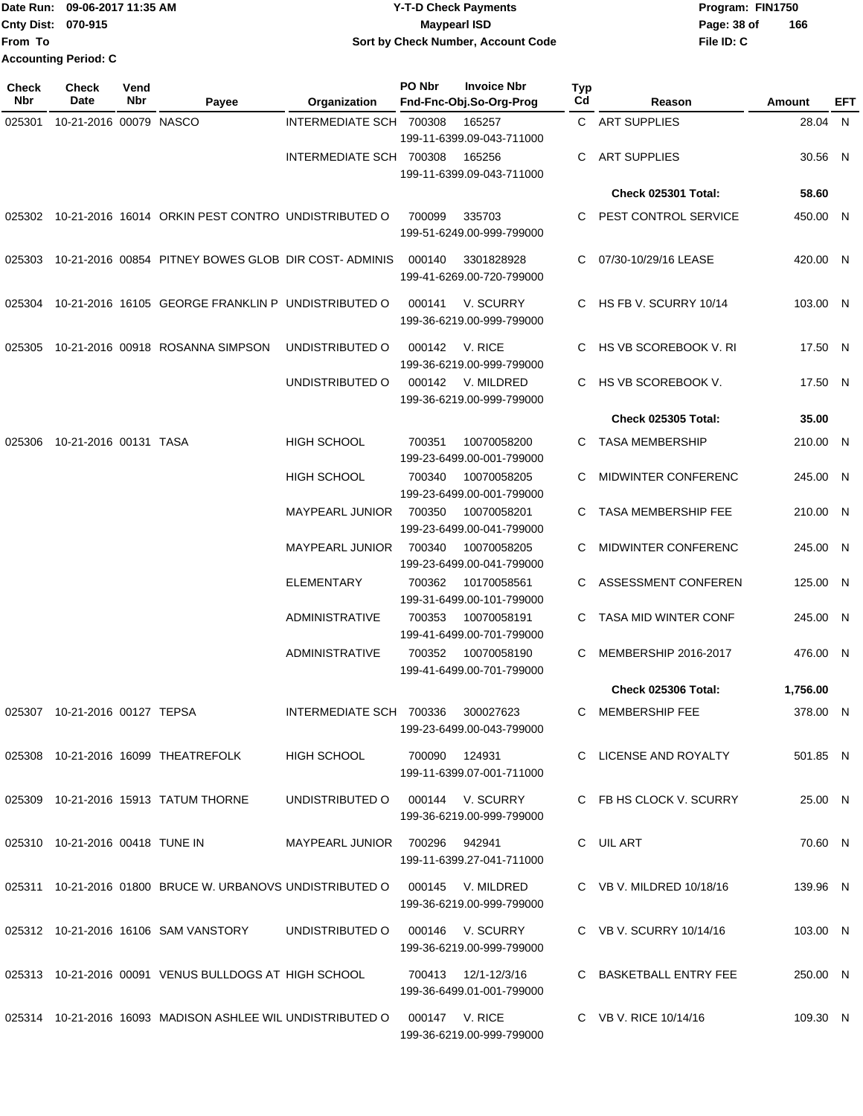### Date Run: 09-06-2017 11:35 AM **CONTEX 100 CONTEX 12 T-D** Check Payments **CONTEX 12 T-D Check Payments** Program: FIN1750 **Cnty Dist:** 070-915 **Page: 38 of Page:** 38 of **09-06-2017 11:35 AM Y-T-D Check Payments 070-915 Maypearl ISD Sort by Check Number, Account Code**

| <b>Check</b><br>Nbr | <b>Check</b><br>Date            | Vend<br>Nbr | Payee                                                                       | Organization                      | PO Nbr         | <b>Invoice Nbr</b><br>Fnd-Fnc-Obj.So-Org-Prog | <b>Typ</b><br>Cd | Reason                     | Amount   | EFT |
|---------------------|---------------------------------|-------------|-----------------------------------------------------------------------------|-----------------------------------|----------------|-----------------------------------------------|------------------|----------------------------|----------|-----|
| 025301              | 10-21-2016 00079 NASCO          |             |                                                                             | INTERMEDIATE SCH 700308           |                | 165257<br>199-11-6399.09-043-711000           |                  | C ART SUPPLIES             | 28.04 N  |     |
|                     |                                 |             |                                                                             | INTERMEDIATE SCH 700308           |                | 165256<br>199-11-6399.09-043-711000           | C                | <b>ART SUPPLIES</b>        | 30.56 N  |     |
|                     |                                 |             |                                                                             |                                   |                |                                               |                  | <b>Check 025301 Total:</b> | 58.60    |     |
|                     |                                 |             | 025302 10-21-2016 16014 ORKIN PEST CONTRO UNDISTRIBUTED O                   |                                   | 700099         | 335703<br>199-51-6249.00-999-799000           | C                | PEST CONTROL SERVICE       | 450.00 N |     |
| 025303              |                                 |             | 10-21-2016 00854 PITNEY BOWES GLOB DIR COST-ADMINIS                         |                                   | 000140         | 3301828928<br>199-41-6269.00-720-799000       |                  | 07/30-10/29/16 LEASE       | 420.00 N |     |
| 025304              |                                 |             | 10-21-2016 16105 GEORGE FRANKLIN P UNDISTRIBUTED O                          |                                   | 000141         | V. SCURRY<br>199-36-6219.00-999-799000        | C.               | HS FB V. SCURRY 10/14      | 103.00 N |     |
| 025305              |                                 |             | 10-21-2016 00918 ROSANNA SIMPSON                                            | UNDISTRIBUTED O                   | 000142         | V. RICE<br>199-36-6219.00-999-799000          | С                | HS VB SCOREBOOK V. RI      | 17.50 N  |     |
|                     |                                 |             |                                                                             | UNDISTRIBUTED O                   | 000142         | V. MILDRED<br>199-36-6219.00-999-799000       | C.               | HS VB SCOREBOOK V.         | 17.50 N  |     |
|                     |                                 |             |                                                                             |                                   |                |                                               |                  | <b>Check 025305 Total:</b> | 35.00    |     |
| 025306              | 10-21-2016 00131 TASA           |             |                                                                             | <b>HIGH SCHOOL</b>                | 700351         | 10070058200<br>199-23-6499.00-001-799000      |                  | C TASA MEMBERSHIP          | 210.00 N |     |
|                     |                                 |             |                                                                             | <b>HIGH SCHOOL</b>                | 700340         | 10070058205<br>199-23-6499.00-001-799000      | С                | MIDWINTER CONFERENC        | 245.00 N |     |
|                     |                                 |             |                                                                             | <b>MAYPEARL JUNIOR</b>            | 700350         | 10070058201<br>199-23-6499.00-041-799000      | С                | <b>TASA MEMBERSHIP FEE</b> | 210.00 N |     |
|                     |                                 |             |                                                                             | <b>MAYPEARL JUNIOR</b>            | 700340         | 10070058205<br>199-23-6499.00-041-799000      | С                | <b>MIDWINTER CONFERENC</b> | 245.00 N |     |
|                     |                                 |             |                                                                             | <b>ELEMENTARY</b>                 | 700362         | 10170058561<br>199-31-6499.00-101-799000      |                  | ASSESSMENT CONFEREN        | 125.00 N |     |
|                     |                                 |             |                                                                             | <b>ADMINISTRATIVE</b>             | 700353         | 10070058191<br>199-41-6499.00-701-799000      | C                | TASA MID WINTER CONF       | 245.00 N |     |
|                     |                                 |             |                                                                             | ADMINISTRATIVE                    | 700352         | 10070058190<br>199-41-6499.00-701-799000      | С                | MEMBERSHIP 2016-2017       | 476.00 N |     |
|                     |                                 |             |                                                                             |                                   |                |                                               |                  | <b>Check 025306 Total:</b> | 1,756.00 |     |
|                     | 025307 10-21-2016 00127 TEPSA   |             |                                                                             | INTERMEDIATE SCH 700336 300027623 |                | 199-23-6499.00-043-799000                     |                  | C MEMBERSHIP FEE           | 378.00 N |     |
|                     |                                 |             | 025308 10-21-2016 16099 THEATREFOLK                                         | <b>HIGH SCHOOL</b>                | 700090 124931  | 199-11-6399.07-001-711000                     |                  | C LICENSE AND ROYALTY      | 501.85 N |     |
|                     |                                 |             | 025309 10-21-2016 15913 TATUM THORNE                                        | UNDISTRIBUTED O                   |                | 000144 V. SCURRY<br>199-36-6219.00-999-799000 |                  | C FB HS CLOCK V. SCURRY    | 25.00 N  |     |
|                     | 025310 10-21-2016 00418 TUNE IN |             |                                                                             | MAYPEARL JUNIOR 700296 942941     |                | 199-11-6399.27-041-711000                     |                  | C UIL ART                  | 70.60 N  |     |
|                     |                                 |             | 025311 10-21-2016 01800 BRUCE W. URBANOVS UNDISTRIBUTED O 000145 V. MILDRED |                                   |                | 199-36-6219.00-999-799000                     |                  | C VB V. MILDRED 10/18/16   | 139.96 N |     |
|                     |                                 |             | 025312 10-21-2016 16106 SAM VANSTORY                                        | UNDISTRIBUTED O                   |                | 000146 V. SCURRY<br>199-36-6219.00-999-799000 |                  | C VB V. SCURRY 10/14/16    | 103.00 N |     |
|                     |                                 |             | 025313 10-21-2016 00091 VENUS BULLDOGS AT HIGH SCHOOL                       |                                   |                | 199-36-6499.01-001-799000                     |                  | C BASKETBALL ENTRY FEE     | 250.00 N |     |
|                     |                                 |             | 025314 10-21-2016 16093 MADISON ASHLEE WIL UNDISTRIBUTED O                  |                                   | 000147 V. RICE | 199-36-6219.00-999-799000                     |                  | C VB V. RICE 10/14/16      | 109.30 N |     |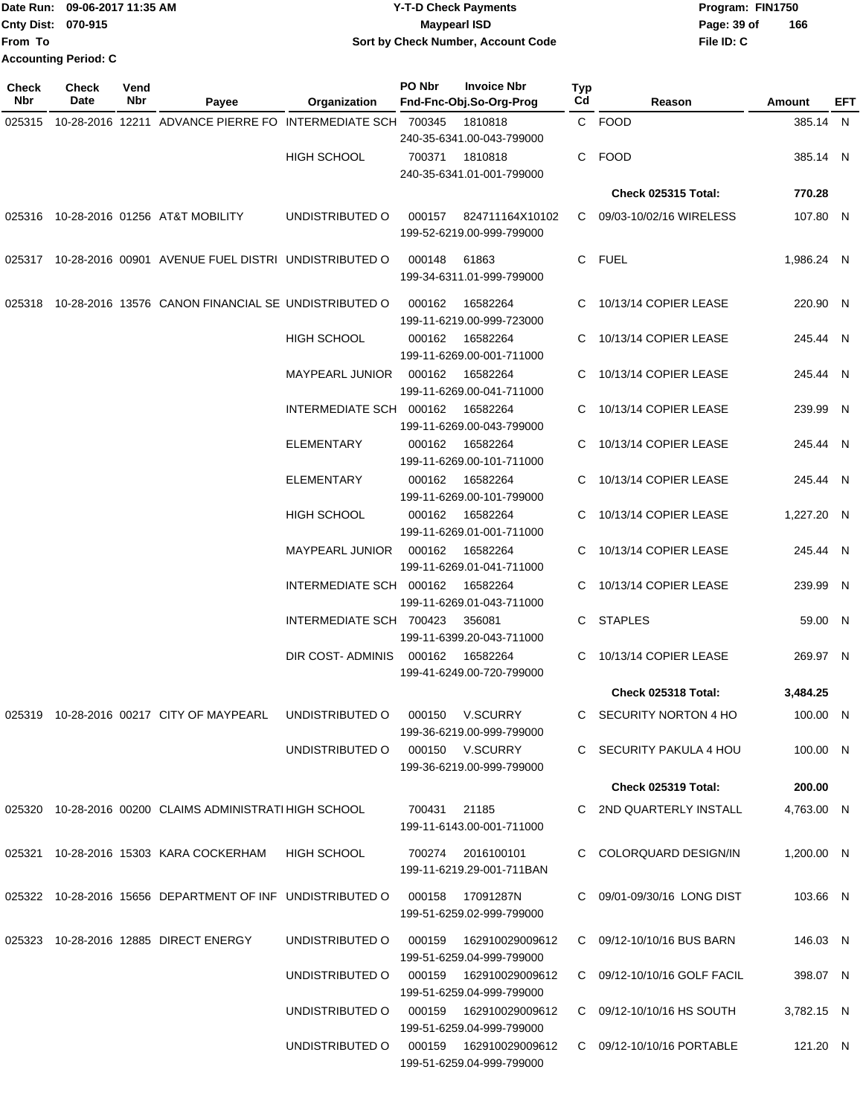|                           | Date Run: 09-06-2017 11:35 AM | <b>Y-T-D Check Payments</b>        | Program: FIN1750   |
|---------------------------|-------------------------------|------------------------------------|--------------------|
| <b>Cnty Dist: 070-915</b> |                               | <b>Mavpearl ISD</b>                | 166<br>Page: 39 of |
| <b>IFrom To</b>           |                               | Sort by Check Number, Account Code | File ID: C         |
|                           | Accounting Period: C          |                                    |                    |

| <b>Check</b><br>Nbr | Check<br>Date | Vend<br>Nbr | Payee                                                                      | Organization                           | PO Nbr       | <b>Invoice Nbr</b><br>Fnd-Fnc-Obj.So-Org-Prog        | <b>Typ</b><br>Cd | Reason                      | <b>Amount</b> | EFT |
|---------------------|---------------|-------------|----------------------------------------------------------------------------|----------------------------------------|--------------|------------------------------------------------------|------------------|-----------------------------|---------------|-----|
| 025315              |               |             | 10-28-2016 12211 ADVANCE PIERRE FO INTERMEDIATE SCH 700345                 |                                        |              | 1810818                                              |                  | C FOOD                      | 385.14 N      |     |
|                     |               |             |                                                                            |                                        |              | 240-35-6341.00-043-799000                            |                  |                             |               |     |
|                     |               |             |                                                                            | <b>HIGH SCHOOL</b>                     | 700371       | 1810818                                              |                  | C FOOD                      | 385.14 N      |     |
|                     |               |             |                                                                            |                                        |              | 240-35-6341.01-001-799000                            |                  |                             |               |     |
|                     |               |             |                                                                            |                                        |              |                                                      |                  | <b>Check 025315 Total:</b>  | 770.28        |     |
|                     |               |             | 025316 10-28-2016 01256 AT&T MOBILITY                                      | UNDISTRIBUTED O                        | 000157       | 824711164X10102<br>199-52-6219.00-999-799000         | C.               | 09/03-10/02/16 WIRELESS     | 107.80 N      |     |
|                     |               |             | 025317 10-28-2016 00901 AVENUE FUEL DISTRI UNDISTRIBUTED O                 |                                        | 000148       | 61863<br>199-34-6311.01-999-799000                   |                  | C FUEL                      | 1.986.24 N    |     |
| 025318              |               |             | 10-28-2016 13576 CANON FINANCIAL SE UNDISTRIBUTED O                        |                                        | 000162       | 16582264<br>199-11-6219.00-999-723000                | C                | 10/13/14 COPIER LEASE       | 220.90 N      |     |
|                     |               |             |                                                                            | <b>HIGH SCHOOL</b>                     | 000162       | 16582264<br>199-11-6269.00-001-711000                | C                | 10/13/14 COPIER LEASE       | 245.44 N      |     |
|                     |               |             |                                                                            | <b>MAYPEARL JUNIOR</b>                 | 000162       | 16582264<br>199-11-6269.00-041-711000                | C                | 10/13/14 COPIER LEASE       | 245.44 N      |     |
|                     |               |             |                                                                            | INTERMEDIATE SCH 000162                |              | 16582264<br>199-11-6269.00-043-799000                |                  | 10/13/14 COPIER LEASE       | 239.99 N      |     |
|                     |               |             |                                                                            | ELEMENTARY                             | 000162       | 16582264<br>199-11-6269.00-101-711000                | C                | 10/13/14 COPIER LEASE       | 245.44 N      |     |
|                     |               |             |                                                                            | <b>ELEMENTARY</b>                      | 000162       | 16582264<br>199-11-6269.00-101-799000                | C                | 10/13/14 COPIER LEASE       | 245.44 N      |     |
|                     |               |             |                                                                            | <b>HIGH SCHOOL</b>                     | 000162       | 16582264<br>199-11-6269.01-001-711000                |                  | 10/13/14 COPIER LEASE       | 1,227.20 N    |     |
|                     |               |             |                                                                            | MAYPEARL JUNIOR                        | 000162       | 16582264<br>199-11-6269.01-041-711000                | C                | 10/13/14 COPIER LEASE       | 245.44 N      |     |
|                     |               |             |                                                                            | INTERMEDIATE SCH 000162                |              | 16582264<br>199-11-6269.01-043-711000                |                  | C 10/13/14 COPIER LEASE     | 239.99 N      |     |
|                     |               |             |                                                                            | INTERMEDIATE SCH 700423                |              | 356081<br>199-11-6399.20-043-711000                  |                  | C STAPLES                   | 59.00 N       |     |
|                     |               |             |                                                                            | DIR COST- ADMINIS                      | 000162       | 16582264<br>199-41-6249.00-720-799000                | C                | 10/13/14 COPIER LEASE       | 269.97 N      |     |
|                     |               |             |                                                                            |                                        |              |                                                      |                  | Check 025318 Total:         | 3,484.25      |     |
|                     |               |             | 025319  10-28-2016  00217  CITY OF MAYPEARL  UNDISTRIBUTED O               |                                        |              | 000150 V.SCURRY<br>199-36-6219.00-999-799000         |                  | C SECURITY NORTON 4 HO      | 100.00 N      |     |
|                     |               |             |                                                                            | UNDISTRIBUTED O 000150 V.SCURRY        |              | 199-36-6219.00-999-799000                            |                  | C SECURITY PAKULA 4 HOU     | 100.00 N      |     |
|                     |               |             |                                                                            |                                        |              |                                                      |                  | Check 025319 Total:         | 200.00        |     |
|                     |               |             | 025320 10-28-2016 00200 CLAIMS ADMINISTRATI HIGH SCHOOL                    |                                        | 700431 21185 | 199-11-6143.00-001-711000                            |                  | C 2ND QUARTERLY INSTALL     | 4,763.00 N    |     |
|                     |               |             | 025321 10-28-2016 15303 KARA COCKERHAM                                     | HIGH SCHOOL                            |              | 700274 2016100101<br>199-11-6219.29-001-711BAN       |                  | C COLORQUARD DESIGN/IN      | 1,200.00 N    |     |
|                     |               |             | 025322 10-28-2016 15656 DEPARTMENT OF INF UNDISTRIBUTED O 000158 17091287N |                                        |              | 199-51-6259.02-999-799000                            |                  | C 09/01-09/30/16 LONG DIST  | 103.66 N      |     |
|                     |               |             | 025323 10-28-2016 12885 DIRECT ENERGY                                      | UNDISTRIBUTED O 000159 162910029009612 |              | 199-51-6259.04-999-799000                            |                  | C 09/12-10/10/16 BUS BARN   | 146.03 N      |     |
|                     |               |             |                                                                            | UNDISTRIBUTED O                        |              | 000159  162910029009612<br>199-51-6259.04-999-799000 |                  | C 09/12-10/10/16 GOLF FACIL | 398.07 N      |     |
|                     |               |             |                                                                            | UNDISTRIBUTED O                        |              | 000159  162910029009612<br>199-51-6259.04-999-799000 |                  | C 09/12-10/10/16 HS SOUTH   | 3,782.15 N    |     |
|                     |               |             |                                                                            | UNDISTRIBUTED O 000159 162910029009612 |              | 199-51-6259.04-999-799000                            |                  | C 09/12-10/10/16 PORTABLE   | 121.20 N      |     |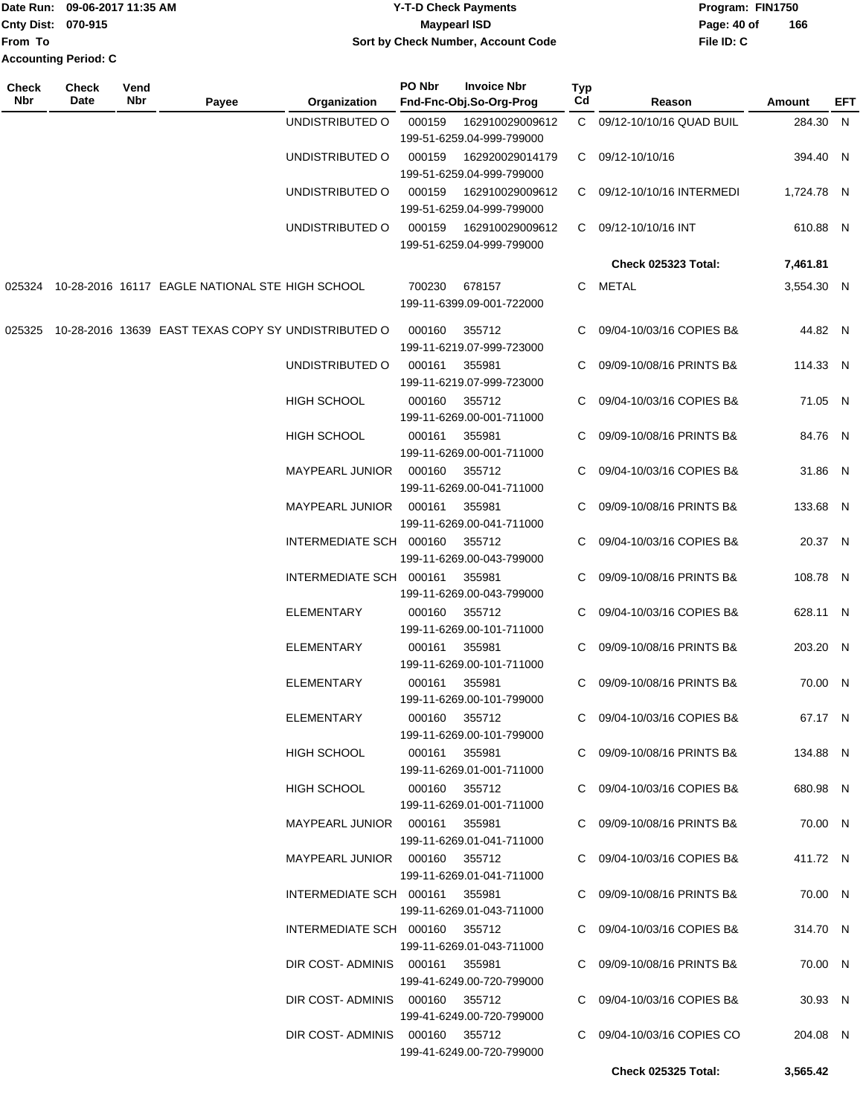|                             | TDate Run: 09-06-2017 11:35 AM | <b>Y-T-D Check Payments</b>        | Program: FIN1750   |  |  |  |
|-----------------------------|--------------------------------|------------------------------------|--------------------|--|--|--|
| <b>Cnty Dist: 070-915</b>   |                                | <b>Mavpearl ISD</b>                | 166<br>Page: 40 of |  |  |  |
| <b>IFrom To</b>             |                                | Sort by Check Number, Account Code | File ID: C         |  |  |  |
| <b>Accounting Period: C</b> |                                |                                    |                    |  |  |  |

| <b>Check</b><br>Nbr | <b>Check</b><br>Date | Vend<br>Nbr | Payee                                                      | Organization                    | PO Nbr                              | <b>Invoice Nbr</b><br>Fnd-Fnc-Obj.So-Org-Prog | Typ<br>Cd                  | Reason                     | <b>Amount</b> | EFT |
|---------------------|----------------------|-------------|------------------------------------------------------------|---------------------------------|-------------------------------------|-----------------------------------------------|----------------------------|----------------------------|---------------|-----|
|                     |                      |             |                                                            | UNDISTRIBUTED O                 | 000159                              | 162910029009612                               |                            | C 09/12-10/10/16 QUAD BUIL | 284.30 N      |     |
|                     |                      |             |                                                            |                                 |                                     | 199-51-6259.04-999-799000                     |                            |                            |               |     |
|                     |                      |             |                                                            | UNDISTRIBUTED O                 | 000159                              | 162920029014179<br>199-51-6259.04-999-799000  |                            | C 09/12-10/10/16           | 394.40 N      |     |
|                     |                      |             |                                                            | UNDISTRIBUTED O                 | 000159                              | 162910029009612<br>199-51-6259.04-999-799000  |                            | C 09/12-10/10/16 INTERMEDI | 1,724.78 N    |     |
|                     |                      |             |                                                            | UNDISTRIBUTED O                 | 000159                              | 162910029009612                               |                            | C 09/12-10/10/16 INT       | 610.88 N      |     |
|                     |                      |             |                                                            |                                 |                                     | 199-51-6259.04-999-799000                     |                            |                            |               |     |
|                     |                      |             |                                                            |                                 |                                     |                                               |                            | <b>Check 025323 Total:</b> | 7,461.81      |     |
|                     |                      |             | 025324 10-28-2016 16117 EAGLE NATIONAL STE HIGH SCHOOL     |                                 | 700230                              | 678157<br>199-11-6399.09-001-722000           | C                          | METAL                      | 3,554.30 N    |     |
|                     |                      |             | 025325 10-28-2016 13639 EAST TEXAS COPY SY UNDISTRIBUTED O |                                 | 000160                              | 355712<br>199-11-6219.07-999-723000           |                            | 09/04-10/03/16 COPIES B&   | 44.82 N       |     |
|                     |                      |             |                                                            | UNDISTRIBUTED O                 | 000161                              | 355981<br>199-11-6219.07-999-723000           |                            | C 09/09-10/08/16 PRINTS B& | 114.33 N      |     |
|                     |                      |             |                                                            | HIGH SCHOOL                     | 000160                              | 355712                                        | C.                         | 09/04-10/03/16 COPIES B&   | 71.05 N       |     |
|                     |                      |             |                                                            | <b>HIGH SCHOOL</b>              | 000161                              | 199-11-6269.00-001-711000<br>355981           | C.                         | 09/09-10/08/16 PRINTS B&   | 84.76 N       |     |
|                     |                      |             |                                                            |                                 |                                     | 199-11-6269.00-001-711000                     |                            |                            |               |     |
|                     |                      |             |                                                            | <b>MAYPEARL JUNIOR</b>          | 000160                              | 355712<br>199-11-6269.00-041-711000           |                            | C 09/04-10/03/16 COPIES B& | 31.86 N       |     |
|                     |                      |             | <b>MAYPEARL JUNIOR</b>                                     | 000161                          | 355981<br>199-11-6269.00-041-711000 |                                               | C 09/09-10/08/16 PRINTS B& | 133.68 N                   |               |     |
|                     |                      |             | INTERMEDIATE SCH 000160                                    |                                 | 355712<br>199-11-6269.00-043-799000 |                                               | C 09/04-10/03/16 COPIES B& | 20.37 N                    |               |     |
|                     |                      |             |                                                            | INTERMEDIATE SCH 000161         |                                     | 355981                                        |                            | C 09/09-10/08/16 PRINTS B& | 108.78 N      |     |
|                     |                      |             |                                                            | ELEMENTARY                      | 000160                              | 199-11-6269.00-043-799000<br>355712           |                            | C 09/04-10/03/16 COPIES B& | 628.11 N      |     |
|                     |                      |             |                                                            | <b>ELEMENTARY</b>               | 000161                              | 199-11-6269.00-101-711000<br>355981           | C.                         | 09/09-10/08/16 PRINTS B&   | 203.20 N      |     |
|                     |                      |             |                                                            |                                 |                                     | 199-11-6269.00-101-711000                     |                            |                            |               |     |
|                     |                      |             |                                                            | <b>ELEMENTARY</b>               | 000161                              | 355981<br>199-11-6269.00-101-799000           |                            | C 09/09-10/08/16 PRINTS B& | 70.00 N       |     |
|                     |                      |             |                                                            | <b>ELEMENTARY</b>               |                                     | 000160 355712<br>199-11-6269.00-101-799000    |                            | C 09/04-10/03/16 COPIES B& | 67.17 N       |     |
|                     |                      |             |                                                            | <b>HIGH SCHOOL</b>              |                                     | 000161 355981                                 |                            | C 09/09-10/08/16 PRINTS B& | 134.88 N      |     |
|                     |                      |             |                                                            | HIGH SCHOOL                     |                                     | 199-11-6269.01-001-711000<br>000160 355712    |                            | C 09/04-10/03/16 COPIES B& | 680.98 N      |     |
|                     |                      |             |                                                            | MAYPEARL JUNIOR  000161  355981 |                                     | 199-11-6269.01-001-711000                     |                            | C 09/09-10/08/16 PRINTS B& | 70.00 N       |     |
|                     |                      |             |                                                            |                                 |                                     | 199-11-6269.01-041-711000                     |                            |                            |               |     |
|                     |                      |             |                                                            | MAYPEARL JUNIOR 000160 355712   |                                     | 199-11-6269.01-041-711000                     |                            | C 09/04-10/03/16 COPIES B& | 411.72 N      |     |
|                     |                      |             |                                                            | INTERMEDIATE SCH 000161 355981  |                                     | 199-11-6269.01-043-711000                     |                            | C 09/09-10/08/16 PRINTS B& | 70.00 N       |     |
|                     |                      |             |                                                            | INTERMEDIATE SCH 000160 355712  |                                     | 199-11-6269.01-043-711000                     |                            | C 09/04-10/03/16 COPIES B& | 314.70 N      |     |
|                     |                      |             |                                                            | DIR COST-ADMINIS 000161 355981  |                                     | 199-41-6249.00-720-799000                     |                            | C 09/09-10/08/16 PRINTS B& | 70.00 N       |     |
|                     |                      |             |                                                            | DIR COST-ADMINIS 000160 355712  |                                     |                                               |                            | C 09/04-10/03/16 COPIES B& | 30.93 N       |     |
|                     |                      |             |                                                            | DIR COST-ADMINIS 000160 355712  |                                     | 199-41-6249.00-720-799000                     |                            | C 09/04-10/03/16 COPIES CO | 204.08 N      |     |
|                     |                      |             |                                                            |                                 |                                     | 199-41-6249.00-720-799000                     |                            |                            |               |     |
|                     |                      |             |                                                            |                                 |                                     |                                               |                            | Check 025325 Total:        | 3,565.42      |     |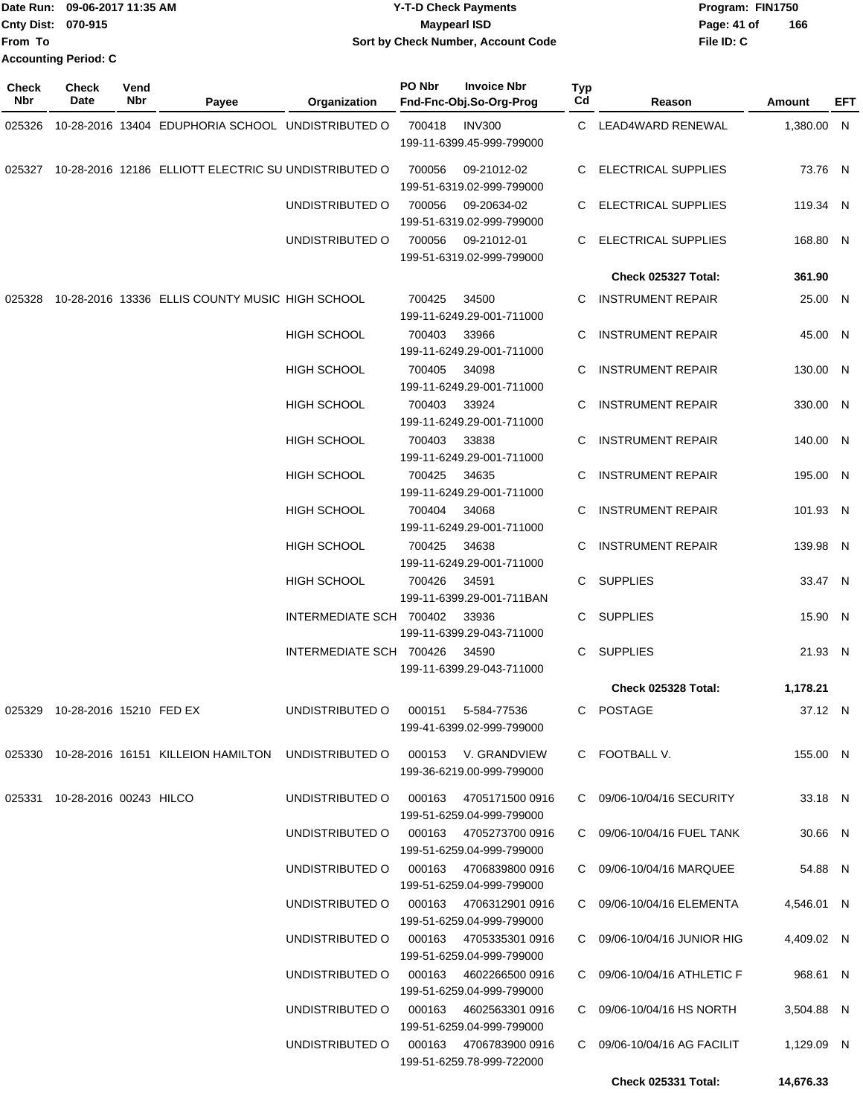|                           | Date Run: 09-06-2017 11:35 AM | Y-T-D Check Payments                      | Program: FIN1750   |  |  |  |
|---------------------------|-------------------------------|-------------------------------------------|--------------------|--|--|--|
| <b>Cnty Dist: 070-915</b> |                               | <b>Mavpearl ISD</b>                       | 166<br>Page: 41 of |  |  |  |
| <b>IFrom To</b>           |                               | <b>Sort by Check Number, Account Code</b> | File ID: C         |  |  |  |
|                           | <b>Accounting Period: C</b>   |                                           |                    |  |  |  |

| <b>Check</b><br>Nbr | <b>Check</b><br>Date           | Vend<br>Nbr | Payee                                                                         | Organization                           | PO Nbr | <b>Invoice Nbr</b><br>Fnd-Fnc-Obj.So-Org-Prog       | Typ<br>Cd | Reason                      | Amount     | EFT |
|---------------------|--------------------------------|-------------|-------------------------------------------------------------------------------|----------------------------------------|--------|-----------------------------------------------------|-----------|-----------------------------|------------|-----|
|                     |                                |             | 025326 10-28-2016 13404 EDUPHORIA SCHOOL UNDISTRIBUTED O                      |                                        | 700418 | <b>INV300</b><br>199-11-6399.45-999-799000          |           | C LEAD4WARD RENEWAL         | 1,380.00 N |     |
|                     |                                |             | 025327 10-28-2016 12186 ELLIOTT ELECTRIC SU UNDISTRIBUTED O                   |                                        | 700056 | 09-21012-02<br>199-51-6319.02-999-799000            |           | C ELECTRICAL SUPPLIES       | 73.76 N    |     |
|                     |                                |             |                                                                               | UNDISTRIBUTED O                        | 700056 | 09-20634-02<br>199-51-6319.02-999-799000            |           | C ELECTRICAL SUPPLIES       | 119.34 N   |     |
|                     |                                |             |                                                                               | UNDISTRIBUTED O                        | 700056 | 09-21012-01<br>199-51-6319.02-999-799000            | C.        | <b>ELECTRICAL SUPPLIES</b>  | 168.80 N   |     |
|                     |                                |             |                                                                               |                                        |        |                                                     |           | Check 025327 Total:         | 361.90     |     |
|                     |                                |             | 025328 10-28-2016 13336 ELLIS COUNTY MUSIC HIGH SCHOOL                        |                                        | 700425 | 34500<br>199-11-6249.29-001-711000                  | C         | <b>INSTRUMENT REPAIR</b>    | 25.00 N    |     |
|                     |                                |             |                                                                               | <b>HIGH SCHOOL</b>                     | 700403 | 33966<br>199-11-6249.29-001-711000                  | С         | <b>INSTRUMENT REPAIR</b>    | 45.00 N    |     |
|                     |                                |             |                                                                               | <b>HIGH SCHOOL</b>                     | 700405 | 34098<br>199-11-6249.29-001-711000                  | C         | <b>INSTRUMENT REPAIR</b>    | 130.00 N   |     |
|                     |                                |             |                                                                               | <b>HIGH SCHOOL</b>                     | 700403 | 33924<br>199-11-6249.29-001-711000                  | C.        | <b>INSTRUMENT REPAIR</b>    | 330.00 N   |     |
|                     |                                |             |                                                                               | <b>HIGH SCHOOL</b>                     | 700403 | 33838<br>199-11-6249.29-001-711000                  | С         | <b>INSTRUMENT REPAIR</b>    | 140.00 N   |     |
|                     |                                |             |                                                                               | <b>HIGH SCHOOL</b>                     | 700425 | 34635<br>199-11-6249.29-001-711000                  | С         | <b>INSTRUMENT REPAIR</b>    | 195.00 N   |     |
|                     |                                |             |                                                                               | <b>HIGH SCHOOL</b>                     | 700404 | 34068<br>199-11-6249.29-001-711000                  | C.        | <b>INSTRUMENT REPAIR</b>    | 101.93 N   |     |
|                     |                                |             |                                                                               | <b>HIGH SCHOOL</b>                     | 700425 | 34638<br>199-11-6249.29-001-711000                  | C         | <b>INSTRUMENT REPAIR</b>    | 139.98 N   |     |
|                     |                                |             |                                                                               | HIGH SCHOOL                            | 700426 | 34591<br>199-11-6399.29-001-711BAN                  |           | C SUPPLIES                  | 33.47 N    |     |
|                     |                                |             |                                                                               | INTERMEDIATE SCH 700402                |        | 33936<br>199-11-6399.29-043-711000                  |           | C SUPPLIES                  | 15.90 N    |     |
|                     |                                |             |                                                                               | INTERMEDIATE SCH 700426                |        | 34590<br>199-11-6399.29-043-711000                  |           | C SUPPLIES                  | 21.93 N    |     |
|                     |                                |             |                                                                               |                                        |        |                                                     |           | Check 025328 Total:         | 1,178.21   |     |
|                     | 025329 10-28-2016 15210 FED EX |             |                                                                               | UNDISTRIBUTED O                        | 000151 | 5-584-77536<br>199-41-6399.02-999-799000            | C         | <b>POSTAGE</b>              | 37.12 N    |     |
|                     |                                |             | 025330 10-28-2016 16151 KILLEION HAMILTON UNDISTRIBUTED O 000153 V. GRANDVIEW |                                        |        | 199-36-6219.00-999-799000                           |           | C FOOTBALL V.               | 155.00 N   |     |
|                     | 025331 10-28-2016 00243 HILCO  |             |                                                                               | UNDISTRIBUTED O                        |        | 000163 4705171500 0916<br>199-51-6259.04-999-799000 |           | C 09/06-10/04/16 SECURITY   | 33.18 N    |     |
|                     |                                |             |                                                                               | UNDISTRIBUTED O 000163 4705273700 0916 |        | 199-51-6259.04-999-799000                           |           | C 09/06-10/04/16 FUEL TANK  | 30.66 N    |     |
|                     |                                |             |                                                                               | UNDISTRIBUTED O 000163 4706839800 0916 |        | 199-51-6259.04-999-799000                           |           | C 09/06-10/04/16 MARQUEE    | 54.88 N    |     |
|                     |                                |             |                                                                               | UNDISTRIBUTED O                        |        | 000163 4706312901 0916<br>199-51-6259.04-999-799000 |           | C 09/06-10/04/16 ELEMENTA   | 4,546.01 N |     |
|                     |                                |             |                                                                               | UNDISTRIBUTED O 000163 4705335301 0916 |        | 199-51-6259.04-999-799000                           |           | C 09/06-10/04/16 JUNIOR HIG | 4,409.02 N |     |
|                     |                                |             |                                                                               | UNDISTRIBUTED O 000163 4602266500 0916 |        | 199-51-6259.04-999-799000                           |           | C 09/06-10/04/16 ATHLETIC F | 968.61 N   |     |
|                     |                                |             |                                                                               | UNDISTRIBUTED O 000163 4602563301 0916 |        | 199-51-6259.04-999-799000                           |           | C 09/06-10/04/16 HS NORTH   | 3,504.88 N |     |
|                     |                                |             |                                                                               |                                        |        | 199-51-6259.78-999-722000                           |           | C 09/06-10/04/16 AG FACILIT | 1,129.09 N |     |
|                     |                                |             |                                                                               |                                        |        |                                                     |           | <b>Check 025331 Total:</b>  | 14,676.33  |     |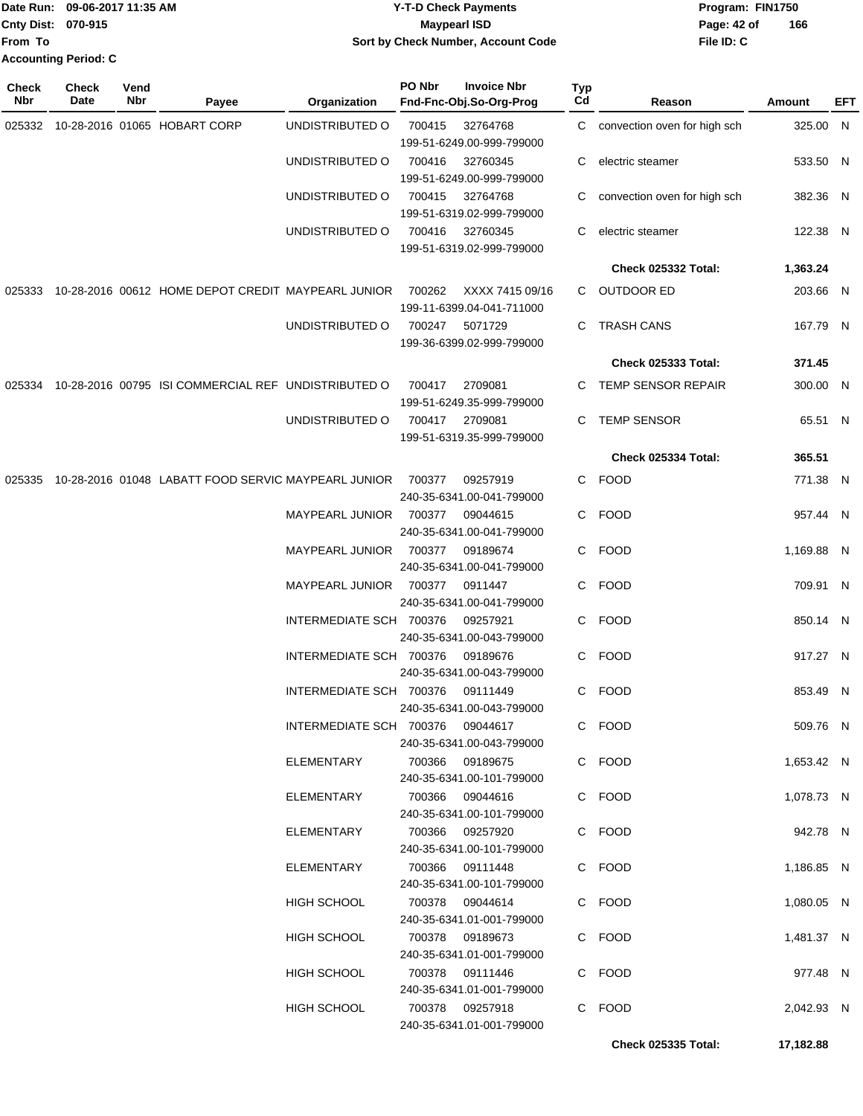|                           | Date Run: 09-06-2017 11:35 AM | <b>Y-T-D Check Payments</b>         | Program: FIN1750   |
|---------------------------|-------------------------------|-------------------------------------|--------------------|
| <b>Cnty Dist: 070-915</b> |                               | <b>Maypearl ISD</b>                 | 166<br>Page: 42 of |
| lFrom To                  |                               | Sort by Check Number, Account Code  | File ID: C         |
|                           | <b>Accounting Period: C</b>   |                                     |                    |
| Check                     | <b>Check</b><br>Vend          | PO Nbr<br><b>Invoice Nbr</b><br>Тур |                    |

| Nbr    | Date | Nbr | Payee                                                      | Organization            | Fnd-Fnc-Obj.So-Org-Prog                                       | Cd | Reason                         | Amount     | <b>EFT</b> |
|--------|------|-----|------------------------------------------------------------|-------------------------|---------------------------------------------------------------|----|--------------------------------|------------|------------|
|        |      |     | 025332 10-28-2016 01065 HOBART CORP                        | UNDISTRIBUTED O         | 700415<br>32764768<br>199-51-6249.00-999-799000               |    | C convection oven for high sch | 325.00 N   |            |
|        |      |     |                                                            | UNDISTRIBUTED O         | 700416<br>32760345<br>199-51-6249.00-999-799000               | C  | electric steamer               | 533.50 N   |            |
|        |      |     |                                                            | UNDISTRIBUTED O         | 700415<br>32764768<br>199-51-6319.02-999-799000               |    | convection oven for high sch   | 382.36 N   |            |
|        |      |     |                                                            | UNDISTRIBUTED O         | 700416 32760345<br>199-51-6319.02-999-799000                  | C  | electric steamer               | 122.38 N   |            |
|        |      |     |                                                            |                         |                                                               |    | Check 025332 Total:            | 1,363.24   |            |
| 025333 |      |     | 10-28-2016 00612 HOME DEPOT CREDIT MAYPEARL JUNIOR 700262  |                         | XXXX 7415 09/16<br>199-11-6399.04-041-711000                  |    | C OUTDOOR ED                   | 203.66 N   |            |
|        |      |     |                                                            | UNDISTRIBUTED O         | 700247<br>5071729<br>199-36-6399.02-999-799000                |    | C TRASH CANS                   | 167.79 N   |            |
|        |      |     |                                                            |                         |                                                               |    | <b>Check 025333 Total:</b>     | 371.45     |            |
|        |      |     | 025334 10-28-2016 00795 ISI COMMERCIAL REF UNDISTRIBUTED O |                         | 2709081<br>700417<br>199-51-6249.35-999-799000                |    | C TEMP SENSOR REPAIR           | 300.00 N   |            |
|        |      |     |                                                            | UNDISTRIBUTED O         | 700417 2709081<br>199-51-6319.35-999-799000                   |    | C TEMP SENSOR                  | 65.51 N    |            |
|        |      |     |                                                            |                         |                                                               |    | Check 025334 Total:            | 365.51     |            |
| 025335 |      |     | 10-28-2016 01048 LABATT FOOD SERVIC MAYPEARL JUNIOR        |                         | 700377<br>09257919                                            |    | C FOOD                         | 771.38 N   |            |
|        |      |     |                                                            |                         | 240-35-6341.00-041-799000                                     |    |                                |            |            |
|        |      |     |                                                            | MAYPEARL JUNIOR         | 700377<br>09044615<br>240-35-6341.00-041-799000               |    | C FOOD                         | 957.44 N   |            |
|        |      |     |                                                            | MAYPEARL JUNIOR 700377  | 09189674<br>240-35-6341.00-041-799000                         |    | C FOOD                         | 1,169.88 N |            |
|        |      |     |                                                            | MAYPEARL JUNIOR 700377  | 0911447<br>240-35-6341.00-041-799000                          |    | C FOOD                         | 709.91 N   |            |
|        |      |     |                                                            | INTERMEDIATE SCH 700376 | 09257921<br>240-35-6341.00-043-799000                         |    | C FOOD                         | 850.14 N   |            |
|        |      |     |                                                            | INTERMEDIATE SCH 700376 | 09189676<br>240-35-6341.00-043-799000                         |    | C FOOD                         | 917.27 N   |            |
|        |      |     |                                                            | INTERMEDIATE SCH 700376 | 09111449<br>240-35-6341.00-043-799000                         |    | C FOOD                         | 853.49 N   |            |
|        |      |     |                                                            |                         | INTERMEDIATE SCH 700376 09044617<br>240-35-6341.00-043-799000 |    | C FOOD                         | 509.76 N   |            |
|        |      |     |                                                            | ELEMENTARY              | 700366 09189675<br>240-35-6341.00-101-799000                  |    | C FOOD                         | 1,653.42 N |            |
|        |      |     |                                                            | ELEMENTARY              | 700366 09044616<br>240-35-6341.00-101-799000                  |    | C FOOD                         | 1,078.73 N |            |
|        |      |     |                                                            | ELEMENTARY              | 700366 09257920<br>240-35-6341.00-101-799000                  |    | C FOOD                         | 942.78 N   |            |
|        |      |     |                                                            | ELEMENTARY              | 700366 09111448<br>240-35-6341.00-101-799000                  |    | C FOOD                         | 1,186.85 N |            |
|        |      |     |                                                            | HIGH SCHOOL             | 700378 09044614<br>240-35-6341.01-001-799000                  |    | C FOOD                         | 1,080.05 N |            |
|        |      |     |                                                            | HIGH SCHOOL             | 700378 09189673<br>240-35-6341.01-001-799000                  |    | C FOOD                         | 1,481.37 N |            |
|        |      |     |                                                            | HIGH SCHOOL             | 700378 09111446<br>240-35-6341.01-001-799000                  |    | C FOOD                         | 977.48 N   |            |
|        |      |     |                                                            | HIGH SCHOOL             | 700378 09257918<br>240-35-6341.01-001-799000                  |    | C FOOD                         | 2,042.93 N |            |
|        |      |     |                                                            |                         |                                                               |    | <b>Check 025335 Total:</b>     | 17,182.88  |            |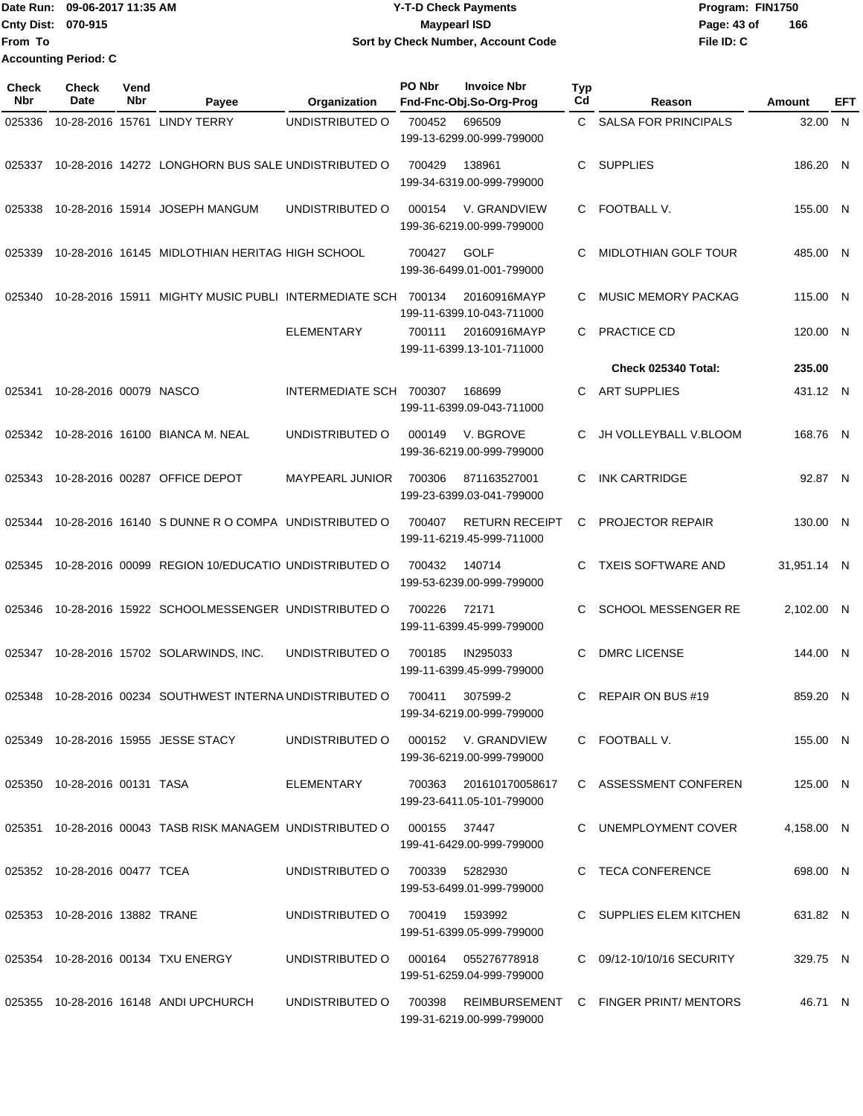Date Run: 09-06-2017 11:35 AM **CONTEX 100 CONTEX 12 T-D** Check Payments **CONTEX 12 T-D Check Payments** Program: FIN1750 **Cnty Dist:** 070-915 **Page: 43 of MaypearI ISD Page: 43 of From To Y-T-D Check Payments 070-915 Maypearl ISD Sort by Check Number, Account Code Accounting Period: C**

**File ID: C 166**

| <b>Check</b><br>Nbr | <b>Check</b><br>Date          | Vend<br>Nbr | Payee                                                                      | Organization                        | PO Nbr         | <b>Invoice Nbr</b><br>Fnd-Fnc-Obj.So-Org-Prog      | <b>Typ</b><br>Cd | Reason                                                       | Amount      | EFT |
|---------------------|-------------------------------|-------------|----------------------------------------------------------------------------|-------------------------------------|----------------|----------------------------------------------------|------------------|--------------------------------------------------------------|-------------|-----|
| 025336              |                               |             | 10-28-2016 15761 LINDY TERRY                                               | UNDISTRIBUTED O                     | 700452         | 696509<br>199-13-6299.00-999-799000                | C.               | <b>SALSA FOR PRINCIPALS</b>                                  | 32.00 N     |     |
| 025337              |                               |             | 10-28-2016 14272 LONGHORN BUS SALE UNDISTRIBUTED O                         |                                     | 700429         | 138961<br>199-34-6319.00-999-799000                | C                | <b>SUPPLIES</b>                                              | 186.20 N    |     |
| 025338              |                               |             | 10-28-2016 15914 JOSEPH MANGUM                                             | UNDISTRIBUTED O                     | 000154         | V. GRANDVIEW<br>199-36-6219.00-999-799000          | $\mathbf{C}$     | FOOTBALL V.                                                  | 155.00 N    |     |
| 025339              |                               |             | 10-28-2016 16145 MIDLOTHIAN HERITAG HIGH SCHOOL                            |                                     | 700427         | <b>GOLF</b><br>199-36-6499.01-001-799000           | C                | <b>MIDLOTHIAN GOLF TOUR</b>                                  | 485.00 N    |     |
| 025340              |                               |             | 10-28-2016 15911 MIGHTY MUSIC PUBLI INTERMEDIATE SCH 700134                |                                     |                | 20160916MAYP<br>199-11-6399.10-043-711000          | C.               | MUSIC MEMORY PACKAG                                          | 115.00 N    |     |
|                     |                               |             |                                                                            | <b>ELEMENTARY</b>                   | 700111         | 20160916MAYP<br>199-11-6399.13-101-711000          | C.               | PRACTICE CD                                                  | 120.00 N    |     |
|                     |                               |             |                                                                            |                                     |                |                                                    |                  | Check 025340 Total:                                          | 235.00      |     |
| 025341              | 10-28-2016 00079 NASCO        |             |                                                                            | INTERMEDIATE SCH 700307             |                | 168699<br>199-11-6399.09-043-711000                | C                | <b>ART SUPPLIES</b>                                          | 431.12 N    |     |
| 025342              |                               |             | 10-28-2016 16100 BIANCA M. NEAL                                            | UNDISTRIBUTED O                     | 000149         | V. BGROVE<br>199-36-6219.00-999-799000             | C                | JH VOLLEYBALL V.BLOOM                                        | 168.76 N    |     |
| 025343              |                               |             | 10-28-2016 00287 OFFICE DEPOT                                              | <b>MAYPEARL JUNIOR</b>              | 700306         | 871163527001<br>199-23-6399.03-041-799000          | C                | <b>INK CARTRIDGE</b>                                         | 92.87 N     |     |
| 025344              |                               |             | 10-28-2016 16140 S DUNNE R O COMPA UNDISTRIBUTED O                         |                                     | 700407         | <b>RETURN RECEIPT</b><br>199-11-6219.45-999-711000 | C                | <b>PROJECTOR REPAIR</b>                                      | 130.00 N    |     |
| 025345              |                               |             | 10-28-2016 00099 REGION 10/EDUCATIO UNDISTRIBUTED O                        |                                     | 700432         | 140714<br>199-53-6239.00-999-799000                | C.               | <b>TXEIS SOFTWARE AND</b>                                    | 31,951.14 N |     |
| 025346              |                               |             | 10-28-2016 15922 SCHOOLMESSENGER UNDISTRIBUTED O                           |                                     | 700226         | 72171<br>199-11-6399.45-999-799000                 | C                | SCHOOL MESSENGER RE                                          | 2,102.00 N  |     |
| 025347              |                               |             | 10-28-2016 15702 SOLARWINDS, INC.                                          | UNDISTRIBUTED O                     | 700185         | IN295033<br>199-11-6399.45-999-799000              | C                | <b>DMRC LICENSE</b>                                          | 144.00 N    |     |
|                     |                               |             | 025348 10-28-2016 00234 SOUTHWEST INTERNA UNDISTRIBUTED O                  |                                     | 700411         | 307599-2<br>199-34-6219.00-999-799000              | C                | REPAIR ON BUS #19                                            | 859.20 N    |     |
|                     |                               |             | 025349 10-28-2016 15955 JESSE STACY                                        | UNDISTRIBUTED O 000152 V. GRANDVIEW |                | 199-36-6219.00-999-799000                          |                  | C FOOTBALL V.                                                | 155.00 N    |     |
|                     | 025350 10-28-2016 00131 TASA  |             |                                                                            | ELEMENTARY 700363 201610170058617   |                | 199-23-6411.05-101-799000                          |                  | C ASSESSMENT CONFEREN                                        | 125.00 N    |     |
|                     |                               |             | 025351  10-28-2016  00043  TASB RISK MANAGEM UNDISTRIBUTED   000155  37447 |                                     |                | 199-41-6429.00-999-799000                          |                  | C UNEMPLOYMENT COVER                                         | 4.158.00 N  |     |
|                     | 025352 10-28-2016 00477 TCEA  |             |                                                                            | UNDISTRIBUTED O                     | 700339 5282930 | 199-53-6499.01-999-799000                          |                  | C TECA CONFERENCE                                            | 698.00 N    |     |
|                     | 025353 10-28-2016 13882 TRANE |             |                                                                            | UNDISTRIBUTED O 700419 1593992      |                | 199-51-6399.05-999-799000                          |                  | C SUPPLIES ELEM KITCHEN                                      | 631.82 N    |     |
|                     |                               |             | 025354 10-28-2016 00134 TXU ENERGY                                         | UNDISTRIBUTED O 000164 055276778918 |                | 199-51-6259.04-999-799000                          |                  | C 09/12-10/10/16 SECURITY                                    | 329.75 N    |     |
|                     |                               |             | 025355 10-28-2016 16148 ANDI UPCHURCH                                      |                                     |                |                                                    |                  | UNDISTRIBUTED O 700398 REIMBURSEMENT C FINGER PRINT/ MENTORS | 46.71 N     |     |

199-31-6219.00-999-799000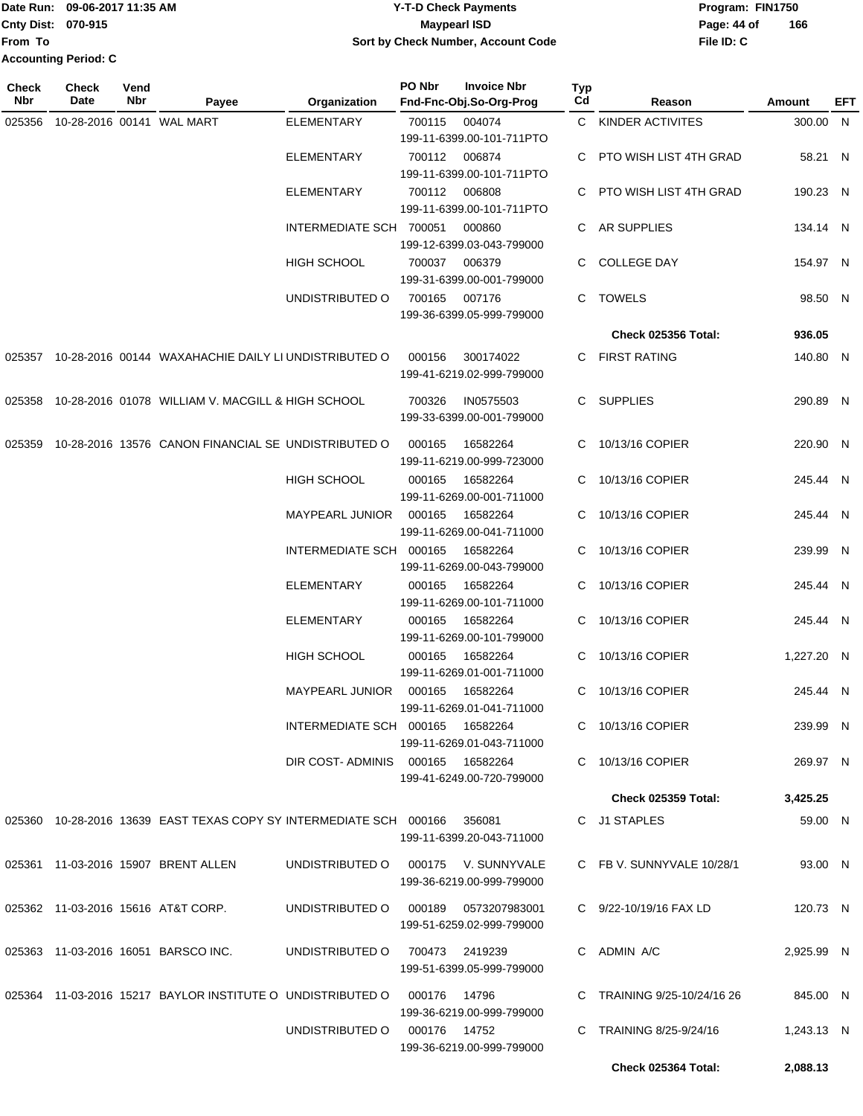### Date Run: 09-06-2017 11:35 AM **CONTEX 100 CONTEX 12 T-D** Check Payments **CONTEX 12 T-D Check Payments** Program: FIN1750 **Cnty Dist:** 070-915 **Page: 44 of Page: 44 of Page: 44 of 09-06-2017 11:35 AM Y-T-D Check Payments 070-915 Maypearl ISD Sort by Check Number, Account Code**

| <b>Check</b><br>Nbr | Check<br>Date | Vend<br>Nbr | Payee                                                                     | Organization                     | PO Nbr          | <b>Invoice Nbr</b><br>Fnd-Fnc-Obj.So-Org-Prog | <b>Typ</b><br>Cd | Reason                      | Amount     | EFT |
|---------------------|---------------|-------------|---------------------------------------------------------------------------|----------------------------------|-----------------|-----------------------------------------------|------------------|-----------------------------|------------|-----|
| 025356              |               |             | 10-28-2016 00141 WAL MART                                                 | <b>ELEMENTARY</b>                | 700115          | 004074                                        |                  | C KINDER ACTIVITES          | 300.00 N   |     |
|                     |               |             |                                                                           |                                  |                 | 199-11-6399.00-101-711PTO                     |                  |                             |            |     |
|                     |               |             |                                                                           | <b>ELEMENTARY</b>                |                 | 700112 006874                                 |                  | PTO WISH LIST 4TH GRAD      | 58.21 N    |     |
|                     |               |             |                                                                           |                                  |                 | 199-11-6399.00-101-711PTO                     |                  |                             |            |     |
|                     |               |             |                                                                           | <b>ELEMENTARY</b>                | 700112          | 006808                                        |                  | C PTO WISH LIST 4TH GRAD    | 190.23 N   |     |
|                     |               |             |                                                                           |                                  |                 | 199-11-6399.00-101-711PTO                     |                  |                             |            |     |
|                     |               |             |                                                                           | INTERMEDIATE SCH 700051          |                 | 000860                                        |                  | C AR SUPPLIES               | 134.14 N   |     |
|                     |               |             |                                                                           |                                  |                 | 199-12-6399.03-043-799000                     |                  |                             |            |     |
|                     |               |             |                                                                           | HIGH SCHOOL                      |                 | 700037 006379                                 | C.               | <b>COLLEGE DAY</b>          | 154.97 N   |     |
|                     |               |             |                                                                           |                                  |                 | 199-31-6399.00-001-799000                     |                  |                             |            |     |
|                     |               |             |                                                                           | UNDISTRIBUTED O                  | 700165          | 007176<br>199-36-6399.05-999-799000           |                  | C TOWELS                    | 98.50 N    |     |
|                     |               |             |                                                                           |                                  |                 |                                               |                  | <b>Check 025356 Total:</b>  | 936.05     |     |
|                     |               |             |                                                                           |                                  |                 |                                               |                  |                             |            |     |
|                     |               |             | 025357 10-28-2016 00144 WAXAHACHIE DAILY LI UNDISTRIBUTED O               |                                  | 000156          | 300174022<br>199-41-6219.02-999-799000        |                  | C FIRST RATING              | 140.80 N   |     |
|                     |               |             | 025358 10-28-2016 01078 WILLIAM V. MACGILL & HIGH SCHOOL                  |                                  | 700326          | IN0575503                                     |                  | C SUPPLIES                  | 290.89 N   |     |
|                     |               |             |                                                                           |                                  |                 | 199-33-6399.00-001-799000                     |                  |                             |            |     |
|                     |               |             | 025359 10-28-2016 13576 CANON FINANCIAL SE UNDISTRIBUTED O                |                                  | 000165          | 16582264                                      |                  | 10/13/16 COPIER             | 220.90 N   |     |
|                     |               |             |                                                                           |                                  |                 | 199-11-6219.00-999-723000                     |                  |                             |            |     |
|                     |               |             |                                                                           | <b>HIGH SCHOOL</b>               | 000165          | 16582264                                      | C.               | 10/13/16 COPIER             | 245.44 N   |     |
|                     |               |             |                                                                           |                                  |                 | 199-11-6269.00-001-711000                     |                  |                             |            |     |
|                     |               |             |                                                                           | MAYPEARL JUNIOR                  | 000165          | 16582264                                      | C.               | 10/13/16 COPIER             | 245.44 N   |     |
|                     |               |             |                                                                           |                                  |                 | 199-11-6269.00-041-711000                     |                  |                             |            |     |
|                     |               |             |                                                                           | INTERMEDIATE SCH 000165          |                 | 16582264                                      |                  | C 10/13/16 COPIER           | 239.99 N   |     |
|                     |               |             |                                                                           |                                  |                 | 199-11-6269.00-043-799000                     |                  |                             |            |     |
|                     |               |             |                                                                           | <b>ELEMENTARY</b>                | 000165          | 16582264                                      |                  | C 10/13/16 COPIER           | 245.44 N   |     |
|                     |               |             |                                                                           |                                  |                 | 199-11-6269.00-101-711000                     |                  |                             |            |     |
|                     |               |             |                                                                           | <b>ELEMENTARY</b>                | 000165          | 16582264                                      | C.               | 10/13/16 COPIER             | 245.44 N   |     |
|                     |               |             |                                                                           |                                  |                 | 199-11-6269.00-101-799000                     |                  |                             |            |     |
|                     |               |             |                                                                           | <b>HIGH SCHOOL</b>               | 000165          | 16582264                                      | C.               | 10/13/16 COPIER             | 1,227.20 N |     |
|                     |               |             |                                                                           |                                  |                 | 199-11-6269.01-001-711000                     |                  |                             |            |     |
|                     |               |             |                                                                           | <b>MAYPEARL JUNIOR</b>           | 000165          | 16582264<br>199-11-6269.01-041-711000         |                  | C 10/13/16 COPIER           | 245.44 N   |     |
|                     |               |             |                                                                           | INTERMEDIATE SCH 000165 16582264 |                 |                                               |                  | C 10/13/16 COPIER           | 239.99 N   |     |
|                     |               |             |                                                                           |                                  |                 | 199-11-6269.01-043-711000                     |                  |                             |            |     |
|                     |               |             |                                                                           | DIR COST-ADMINIS 000165 16582264 |                 |                                               |                  | C 10/13/16 COPIER           | 269.97 N   |     |
|                     |               |             |                                                                           |                                  |                 | 199-41-6249.00-720-799000                     |                  |                             |            |     |
|                     |               |             |                                                                           |                                  |                 |                                               |                  | <b>Check 025359 Total:</b>  | 3,425.25   |     |
|                     |               |             | 025360 10-28-2016 13639 EAST TEXAS COPY SY INTERMEDIATE SCH 000166 356081 |                                  |                 |                                               |                  | C J1 STAPLES                | 59.00 N    |     |
|                     |               |             |                                                                           |                                  |                 | 199-11-6399.20-043-711000                     |                  |                             |            |     |
|                     |               |             |                                                                           |                                  |                 |                                               |                  |                             |            |     |
|                     |               |             | 025361 11-03-2016 15907 BRENT ALLEN                                       | UNDISTRIBUTED O                  |                 | 000175 V. SUNNYVALE                           |                  | C FB V. SUNNYVALE 10/28/1   | 93.00 N    |     |
|                     |               |             |                                                                           |                                  |                 | 199-36-6219.00-999-799000                     |                  |                             |            |     |
|                     |               |             | 025362 11-03-2016 15616 AT&T CORP.                                        | UNDISTRIBUTED O                  |                 |                                               |                  | C 9/22-10/19/16 FAX LD      | 120.73 N   |     |
|                     |               |             |                                                                           |                                  |                 | 199-51-6259.02-999-799000                     |                  |                             |            |     |
|                     |               |             | 025363 11-03-2016 16051 BARSCO INC.                                       | UNDISTRIBUTED O                  | 700473  2419239 |                                               |                  | C ADMIN A/C                 | 2,925.99 N |     |
|                     |               |             |                                                                           |                                  |                 | 199-51-6399.05-999-799000                     |                  |                             |            |     |
|                     |               |             |                                                                           |                                  |                 |                                               |                  |                             |            |     |
|                     |               |             | 025364 11-03-2016 15217 BAYLOR INSTITUTE O UNDISTRIBUTED O 000176 14796   |                                  |                 |                                               |                  | C TRAINING 9/25-10/24/16 26 | 845.00 N   |     |
|                     |               |             |                                                                           |                                  |                 | 199-36-6219.00-999-799000                     |                  |                             |            |     |
|                     |               |             |                                                                           | UNDISTRIBUTED O 000176 14752     |                 |                                               |                  | C TRAINING 8/25-9/24/16     | 1,243.13 N |     |
|                     |               |             |                                                                           |                                  |                 | 199-36-6219.00-999-799000                     |                  |                             |            |     |
|                     |               |             |                                                                           |                                  |                 |                                               |                  | Check 025364 Total:         | 2,088.13   |     |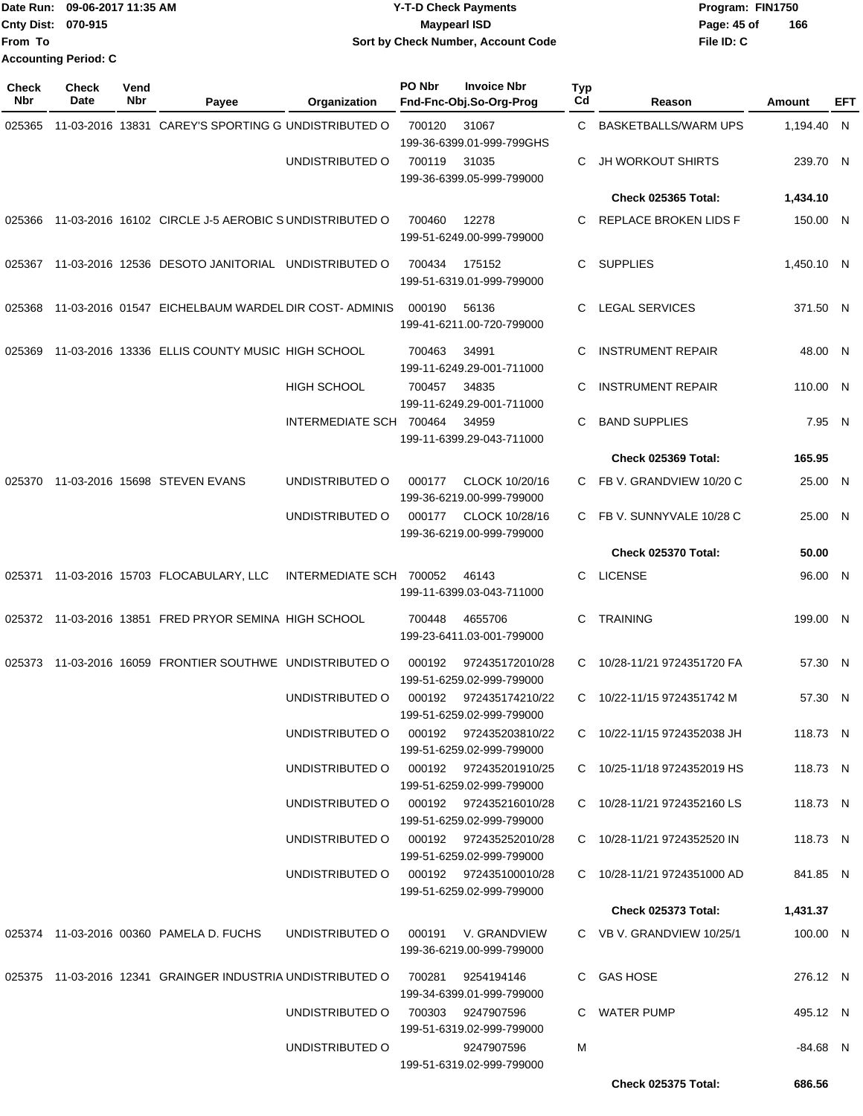|                           | Date Run: 09-06-2017 11:35 AM | <b>Y-T-D Check Payments</b>        | Program: FIN1750   |
|---------------------------|-------------------------------|------------------------------------|--------------------|
| <b>Cnty Dist: 070-915</b> |                               | Maypearl ISD                       | 166<br>Page: 45 of |
| <b>From To</b>            |                               | Sort by Check Number, Account Code | File ID: C         |
|                           | <b>Accounting Period: C</b>   |                                    |                    |

| <b>Check</b><br>Nbr | <b>Check</b><br>Date | Vend<br>Nbr | Payee                                                      | Organization            | PO Nbr | <b>Invoice Nbr</b><br>Fnd-Fnc-Obj.So-Org-Prog       | Typ<br>Cd | Reason                       | Amount     | EFT |
|---------------------|----------------------|-------------|------------------------------------------------------------|-------------------------|--------|-----------------------------------------------------|-----------|------------------------------|------------|-----|
| 025365              |                      |             | 11-03-2016 13831 CAREY'S SPORTING G UNDISTRIBUTED O        |                         | 700120 | 31067<br>199-36-6399.01-999-799GHS                  | C         | <b>BASKETBALLS/WARM UPS</b>  | 1,194.40 N |     |
|                     |                      |             |                                                            | UNDISTRIBUTED O         | 700119 | 31035<br>199-36-6399.05-999-799000                  | С         | <b>JH WORKOUT SHIRTS</b>     | 239.70 N   |     |
|                     |                      |             |                                                            |                         |        |                                                     |           | <b>Check 025365 Total:</b>   | 1,434.10   |     |
| 025366              |                      |             | 11-03-2016 16102 CIRCLE J-5 AEROBIC SUNDISTRIBUTED O       |                         | 700460 | 12278<br>199-51-6249.00-999-799000                  | C.        | <b>REPLACE BROKEN LIDS F</b> | 150.00 N   |     |
| 025367              |                      |             | 11-03-2016 12536 DESOTO JANITORIAL UNDISTRIBUTED O         |                         | 700434 | 175152<br>199-51-6319.01-999-799000                 | C.        | <b>SUPPLIES</b>              | 1,450.10 N |     |
| 025368              |                      |             | 11-03-2016 01547 EICHELBAUM WARDEL DIR COST-ADMINIS        |                         | 000190 | 56136<br>199-41-6211.00-720-799000                  | C         | <b>LEGAL SERVICES</b>        | 371.50 N   |     |
| 025369              |                      |             | 11-03-2016 13336 ELLIS COUNTY MUSIC HIGH SCHOOL            |                         | 700463 | 34991<br>199-11-6249.29-001-711000                  | С         | <b>INSTRUMENT REPAIR</b>     | 48.00 N    |     |
|                     |                      |             |                                                            | <b>HIGH SCHOOL</b>      | 700457 | 34835<br>199-11-6249.29-001-711000                  | C         | <b>INSTRUMENT REPAIR</b>     | 110.00 N   |     |
|                     |                      |             |                                                            | INTERMEDIATE SCH 700464 |        | 34959<br>199-11-6399.29-043-711000                  | C         | <b>BAND SUPPLIES</b>         | 7.95 N     |     |
|                     |                      |             |                                                            |                         |        |                                                     |           | Check 025369 Total:          | 165.95     |     |
| 025370              |                      |             | 11-03-2016 15698 STEVEN EVANS                              | UNDISTRIBUTED O         | 000177 | CLOCK 10/20/16<br>199-36-6219.00-999-799000         | C.        | FB V. GRANDVIEW 10/20 C      | 25.00 N    |     |
|                     |                      |             |                                                            | UNDISTRIBUTED O         | 000177 | CLOCK 10/28/16<br>199-36-6219.00-999-799000         | C.        | FB V. SUNNYVALE 10/28 C      | 25.00 N    |     |
|                     |                      |             |                                                            |                         |        |                                                     |           | <b>Check 025370 Total:</b>   | 50.00      |     |
| 025371              |                      |             | 11-03-2016 15703 FLOCABULARY, LLC                          | INTERMEDIATE SCH 700052 |        | 46143<br>199-11-6399.03-043-711000                  | C         | <b>LICENSE</b>               | 96.00 N    |     |
|                     |                      |             | 025372 11-03-2016 13851 FRED PRYOR SEMINA HIGH SCHOOL      |                         | 700448 | 4655706<br>199-23-6411.03-001-799000                | C         | <b>TRAINING</b>              | 199.00 N   |     |
| 025373              |                      |             | 11-03-2016 16059 FRONTIER SOUTHWE UNDISTRIBUTED O          |                         | 000192 | 972435172010/28<br>199-51-6259.02-999-799000        | C.        | 10/28-11/21 9724351720 FA    | 57.30 N    |     |
|                     |                      |             |                                                            | UNDISTRIBUTED O         | 000192 | 972435174210/22<br>199-51-6259.02-999-799000        | C.        | 10/22-11/15 9724351742 M     | 57.30 N    |     |
|                     |                      |             |                                                            | UNDISTRIBUTED O         |        | 000192 972435203810/22<br>199-51-6259.02-999-799000 |           | C 10/22-11/15 9724352038 JH  | 118.73 N   |     |
|                     |                      |             |                                                            | UNDISTRIBUTED O         |        | 000192 972435201910/25<br>199-51-6259.02-999-799000 |           | C 10/25-11/18 9724352019 HS  | 118.73 N   |     |
|                     |                      |             |                                                            | UNDISTRIBUTED O         |        | 000192 972435216010/28<br>199-51-6259.02-999-799000 |           | C 10/28-11/21 9724352160 LS  | 118.73 N   |     |
|                     |                      |             |                                                            | UNDISTRIBUTED O         |        | 000192 972435252010/28<br>199-51-6259.02-999-799000 |           | C 10/28-11/21 9724352520 IN  | 118.73 N   |     |
|                     |                      |             |                                                            | UNDISTRIBUTED O         |        | 000192 972435100010/28<br>199-51-6259.02-999-799000 |           | C 10/28-11/21 9724351000 AD  | 841.85 N   |     |
|                     |                      |             |                                                            |                         |        |                                                     |           | <b>Check 025373 Total:</b>   | 1,431.37   |     |
|                     |                      |             | 025374 11-03-2016 00360 PAMELA D. FUCHS                    | UNDISTRIBUTED O         |        | 000191 V. GRANDVIEW<br>199-36-6219.00-999-799000    |           | C VB V. GRANDVIEW 10/25/1    | 100.00 N   |     |
|                     |                      |             | 025375 11-03-2016 12341 GRAINGER INDUSTRIA UNDISTRIBUTED O |                         | 700281 | 9254194146<br>199-34-6399.01-999-799000             |           | C GAS HOSE                   | 276.12 N   |     |
|                     |                      |             |                                                            | UNDISTRIBUTED O         |        | 700303 9247907596<br>199-51-6319.02-999-799000      |           | C WATER PUMP                 | 495.12 N   |     |
|                     |                      |             |                                                            | UNDISTRIBUTED O         |        | 9247907596<br>199-51-6319.02-999-799000             | м         |                              | -84.68 N   |     |
|                     |                      |             |                                                            |                         |        |                                                     |           | <b>Check 025375 Total:</b>   | 686.56     |     |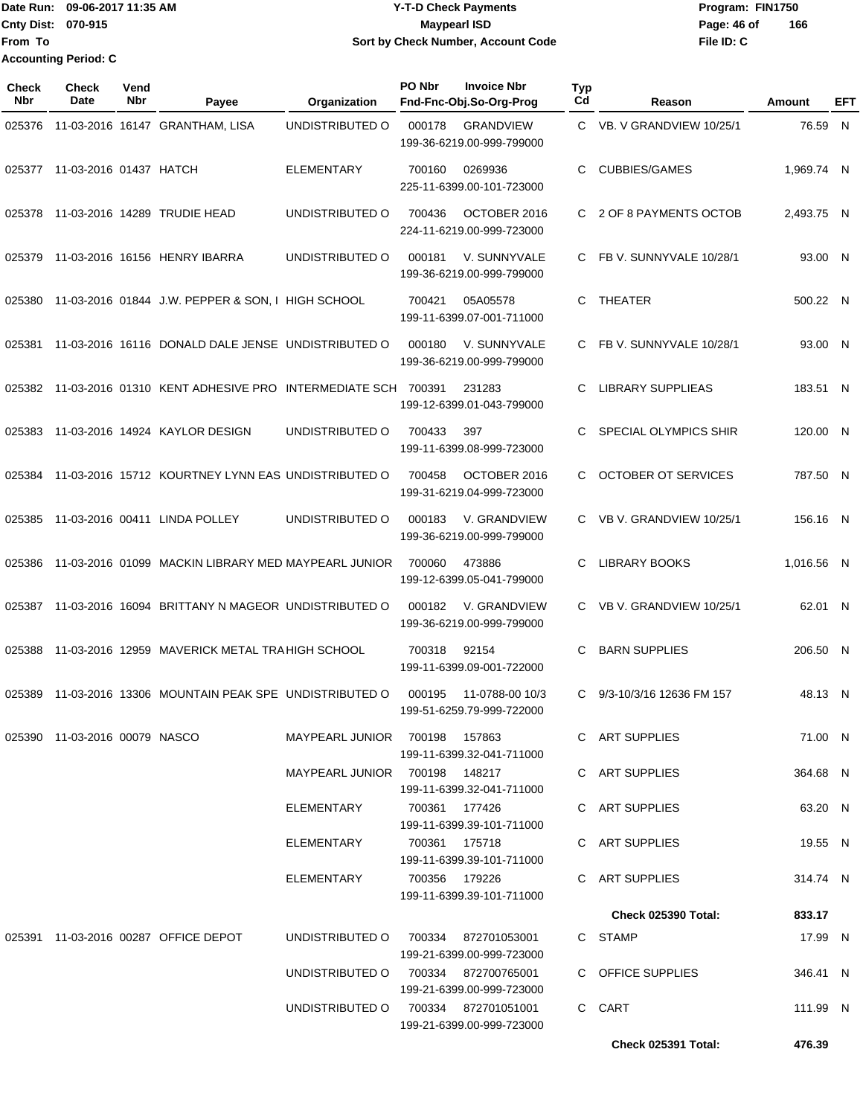#### Date Run: 09-06-2017 11:35 AM **CONTEX 100 CONTEX 12 T-D** Check Payments **CONTEX 12 T-D Check Payments** Program: FIN1750 **Cnty Dist:** 070-915 **Page: 46 of MaypearI ISD Page: 46 of Y-T-D Check Payments 070-915 Maypearl ISD Sort by Check Number, Account Code**

| Check<br>Nbr | <b>Check</b><br><b>Date</b>   | Vend<br>Nbr | Payee                                                      | Organization                        | PO Nbr         | <b>Invoice Nbr</b><br>Fnd-Fnc-Obj.So-Org-Prog          | <b>Typ</b><br>Cd | Reason                     | Amount     | EFT          |
|--------------|-------------------------------|-------------|------------------------------------------------------------|-------------------------------------|----------------|--------------------------------------------------------|------------------|----------------------------|------------|--------------|
| 025376       |                               |             | 11-03-2016 16147 GRANTHAM, LISA                            | UNDISTRIBUTED O                     | 000178         | <b>GRANDVIEW</b><br>199-36-6219.00-999-799000          |                  | C VB. V GRANDVIEW 10/25/1  | 76.59      | N            |
| 025377       | 11-03-2016 01437 HATCH        |             |                                                            | <b>ELEMENTARY</b>                   | 700160         | 0269936<br>225-11-6399.00-101-723000                   | С                | <b>CUBBIES/GAMES</b>       | 1,969.74 N |              |
| 025378       |                               |             | 11-03-2016 14289 TRUDIE HEAD                               | UNDISTRIBUTED O                     | 700436         | OCTOBER 2016<br>224-11-6219.00-999-723000              | C.               | 2 OF 8 PAYMENTS OCTOB      | 2,493.75 N |              |
| 025379       |                               |             | 11-03-2016 16156 HENRY IBARRA                              | UNDISTRIBUTED O                     | 000181         | V. SUNNYVALE<br>199-36-6219.00-999-799000              | C                | FB V. SUNNYVALE 10/28/1    | 93.00 N    |              |
| 025380       |                               |             | 11-03-2016 01844 J.W. PEPPER & SON, I HIGH SCHOOL          |                                     | 700421         | 05A05578<br>199-11-6399.07-001-711000                  | C                | <b>THEATER</b>             | 500.22 N   |              |
| 025381       |                               |             | 11-03-2016 16116 DONALD DALE JENSE UNDISTRIBUTED O         |                                     | 000180         | V. SUNNYVALE<br>199-36-6219.00-999-799000              | C                | FB V. SUNNYVALE 10/28/1    | 93.00 N    |              |
| 025382       |                               |             | 11-03-2016 01310 KENT ADHESIVE PRO INTERMEDIATE SCH 700391 |                                     |                | 231283<br>199-12-6399.01-043-799000                    | С                | <b>LIBRARY SUPPLIEAS</b>   | 183.51     | $\mathsf{N}$ |
| 025383       |                               |             | 11-03-2016 14924 KAYLOR DESIGN                             | UNDISTRIBUTED O                     | 700433         | 397<br>199-11-6399.08-999-723000                       | C                | SPECIAL OLYMPICS SHIR      | 120.00 N   |              |
| 025384       |                               |             | 11-03-2016 15712 KOURTNEY LYNN EAS UNDISTRIBUTED O         |                                     | 700458         | OCTOBER 2016<br>199-31-6219.04-999-723000              | C                | <b>OCTOBER OT SERVICES</b> | 787.50 N   |              |
| 025385       |                               |             | 11-03-2016 00411 LINDA POLLEY                              | UNDISTRIBUTED O                     | 000183         | V. GRANDVIEW<br>199-36-6219.00-999-799000              | C                | VB V. GRANDVIEW 10/25/1    | 156.16 N   |              |
| 025386       |                               |             | 11-03-2016 01099 MACKIN LIBRARY MED MAYPEARL JUNIOR        |                                     | 700060         | 473886<br>199-12-6399.05-041-799000                    | С                | <b>LIBRARY BOOKS</b>       | 1,016.56 N |              |
| 025387       |                               |             | 11-03-2016 16094 BRITTANY N MAGEOR UNDISTRIBUTED O         |                                     | 000182         | V. GRANDVIEW<br>199-36-6219.00-999-799000              | C                | VB V. GRANDVIEW 10/25/1    | 62.01 N    |              |
| 025388       |                               |             | 11-03-2016 12959 MAVERICK METAL TRA HIGH SCHOOL            |                                     | 700318         | 92154<br>199-11-6399.09-001-722000                     |                  | <b>BARN SUPPLIES</b>       | 206.50 N   |              |
| 025389       |                               |             | 11-03-2016 13306 MOUNTAIN PEAK SPE UNDISTRIBUTED O         |                                     | 000195         | 11-0788-00 10/3<br>199-51-6259.79-999-722000           | C                | 9/3-10/3/16 12636 FM 157   | 48.13 N    |              |
|              | 025390 11-03-2016 00079 NASCO |             |                                                            | MAYPEARL JUNIOR 700198 157863       |                | 199-11-6399.32-041-711000                              |                  | C ART SUPPLIES             | 71.00 N    |              |
|              |                               |             |                                                            | MAYPEARL JUNIOR 700198 148217       |                | 199-11-6399.32-041-711000                              |                  | C ART SUPPLIES             | 364.68 N   |              |
|              |                               |             |                                                            | ELEMENTARY                          | 700361  177426 |                                                        |                  | C ART SUPPLIES             | 63.20 N    |              |
|              |                               |             |                                                            | ELEMENTARY                          | 700361 175718  | 199-11-6399.39-101-711000                              |                  | C ART SUPPLIES             | 19.55 N    |              |
|              |                               |             |                                                            | ELEMENTARY                          | 700356  179226 | 199-11-6399.39-101-711000<br>199-11-6399.39-101-711000 |                  | C ART SUPPLIES             | 314.74 N   |              |
|              |                               |             |                                                            |                                     |                |                                                        |                  | <b>Check 025390 Total:</b> | 833.17     |              |
|              |                               |             | 025391 11-03-2016 00287 OFFICE DEPOT                       | UNDISTRIBUTED O 700334 872701053001 |                | 199-21-6399.00-999-723000                              |                  | C STAMP                    | 17.99 N    |              |
|              |                               |             |                                                            | UNDISTRIBUTED O                     |                | 700334  872700765001<br>199-21-6399.00-999-723000      |                  | C OFFICE SUPPLIES          | 346.41 N   |              |
|              |                               |             |                                                            | UNDISTRIBUTED O                     |                | 700334 872701051001<br>199-21-6399.00-999-723000       |                  | C CART                     | 111.99 N   |              |
|              |                               |             |                                                            |                                     |                |                                                        |                  | <b>Check 025391 Total:</b> | 476.39     |              |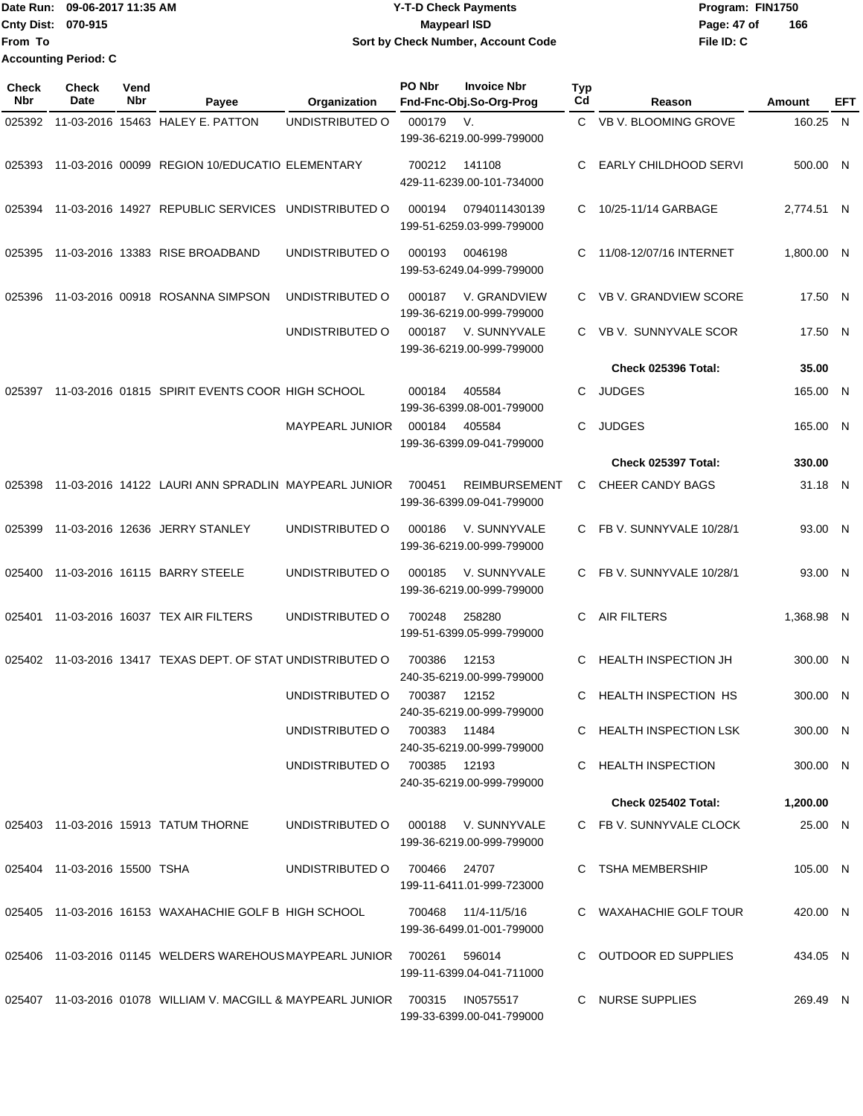| lDate Run:                  | 09-06-2017 11:35 AM | <b>Y-T-D Check Payments</b>        | Program: FIN1750 |     |
|-----------------------------|---------------------|------------------------------------|------------------|-----|
| <b>Cnty Dist: 070-915</b>   |                     | <b>Mavpearl ISD</b>                | Page: 47 of      | 166 |
| <b>From To</b>              |                     | Sort by Check Number, Account Code | File ID: C       |     |
| <b>Accounting Period: C</b> |                     |                                    |                  |     |

**Typ**

**Check**

**Check**

**Vend**

| Nbr    | Date                         | Nbr | Payee                                                                         | Organization           | Fnd-Fnc-Obj.So-Org-Prog                                     | $_{\rm Cd}$ | Reason                                            | <b>Amount</b> | EFT |
|--------|------------------------------|-----|-------------------------------------------------------------------------------|------------------------|-------------------------------------------------------------|-------------|---------------------------------------------------|---------------|-----|
| 025392 |                              |     | 11-03-2016 15463 HALEY E. PATTON                                              | UNDISTRIBUTED O        | 000179<br>V.<br>199-36-6219.00-999-799000                   |             | C VB V. BLOOMING GROVE                            | 160.25 N      |     |
| 025393 |                              |     | 11-03-2016 00099 REGION 10/EDUCATIO ELEMENTARY                                |                        | 141108<br>700212<br>429-11-6239.00-101-734000               | C.          | EARLY CHILDHOOD SERVI                             | 500.00 N      |     |
|        |                              |     | 025394 11-03-2016 14927 REPUBLIC SERVICES UNDISTRIBUTED O                     |                        | 000194<br>0794011430139<br>199-51-6259.03-999-799000        |             | C 10/25-11/14 GARBAGE                             | 2,774.51 N    |     |
| 025395 |                              |     | 11-03-2016 13383 RISE BROADBAND                                               | UNDISTRIBUTED O        | 000193<br>0046198<br>199-53-6249.04-999-799000              | C.          | 11/08-12/07/16 INTERNET                           | 1,800.00 N    |     |
| 025396 |                              |     | 11-03-2016 00918 ROSANNA SIMPSON                                              | UNDISTRIBUTED O        | V. GRANDVIEW<br>000187<br>199-36-6219.00-999-799000         |             | C VB V. GRANDVIEW SCORE                           | 17.50 N       |     |
|        |                              |     |                                                                               | UNDISTRIBUTED O        | 000187 V. SUNNYVALE<br>199-36-6219.00-999-799000            |             | C VB V. SUNNYVALE SCOR                            | 17.50 N       |     |
|        |                              |     |                                                                               |                        |                                                             |             | <b>Check 025396 Total:</b>                        | 35.00         |     |
| 025397 |                              |     | 11-03-2016 01815 SPIRIT EVENTS COOR HIGH SCHOOL                               |                        | 000184<br>405584<br>199-36-6399.08-001-799000               | C           | <b>JUDGES</b>                                     | 165.00 N      |     |
|        |                              |     |                                                                               | <b>MAYPEARL JUNIOR</b> | 000184<br>405584<br>199-36-6399.09-041-799000               | C.          | <b>JUDGES</b>                                     | 165.00 N      |     |
|        |                              |     |                                                                               |                        |                                                             |             | Check 025397 Total:                               | 330.00        |     |
| 025398 |                              |     | 11-03-2016 14122 LAURI ANN SPRADLIN MAYPEARL JUNIOR                           |                        | <b>REIMBURSEMENT</b><br>700451<br>199-36-6399.09-041-799000 |             | C CHEER CANDY BAGS                                | 31.18 N       |     |
| 025399 |                              |     | 11-03-2016 12636 JERRY STANLEY                                                | UNDISTRIBUTED O        | V. SUNNYVALE<br>000186<br>199-36-6219.00-999-799000         |             | C FB V. SUNNYVALE 10/28/1                         | 93.00 N       |     |
| 025400 |                              |     | 11-03-2016 16115 BARRY STEELE                                                 | UNDISTRIBUTED O        | 000185<br>V. SUNNYVALE<br>199-36-6219.00-999-799000         |             | C FB V. SUNNYVALE 10/28/1                         | 93.00 N       |     |
| 025401 |                              |     | 11-03-2016 16037 TEX AIR FILTERS                                              | UNDISTRIBUTED O        | 700248<br>258280<br>199-51-6399.05-999-799000               | C           | <b>AIR FILTERS</b>                                | 1,368.98 N    |     |
| 025402 |                              |     | 11-03-2016 13417 TEXAS DEPT. OF STAT UNDISTRIBUTED O                          |                        | 700386<br>12153<br>240-35-6219.00-999-799000                | C           | <b>HEALTH INSPECTION JH</b>                       | 300.00 N      |     |
|        |                              |     |                                                                               | UNDISTRIBUTED O        | 700387<br>12152<br>240-35-6219.00-999-799000                | C.          | <b>HEALTH INSPECTION HS</b>                       | 300.00 N      |     |
|        |                              |     |                                                                               | UNDISTRIBUTED O        | 700383 11484<br>240-35-6219.00-999-799000                   |             | C HEALTH INSPECTION LSK                           | 300.00 N      |     |
|        |                              |     |                                                                               | UNDISTRIBUTED O        | 700385  12193<br>240-35-6219.00-999-799000                  |             | C HEALTH INSPECTION<br><b>Check 025402 Total:</b> | 300.00 N      |     |
|        |                              |     |                                                                               |                        |                                                             |             |                                                   | 1,200.00      |     |
|        |                              |     | 025403 11-03-2016 15913 TATUM THORNE                                          | UNDISTRIBUTED O        | 000188 V. SUNNYVALE<br>199-36-6219.00-999-799000            |             | C FB V. SUNNYVALE CLOCK                           | 25.00 N       |     |
|        | 025404 11-03-2016 15500 TSHA |     |                                                                               | UNDISTRIBUTED O        | 700466 24707<br>199-11-6411.01-999-723000                   |             | C TSHA MEMBERSHIP                                 | 105.00 N      |     |
|        |                              |     | 025405 11-03-2016 16153 WAXAHACHIE GOLF B HIGH SCHOOL                         |                        | 700468<br>11/4-11/5/16<br>199-36-6499.01-001-799000         |             | C WAXAHACHIE GOLF TOUR                            | 420.00 N      |     |
|        |                              |     | 025406  11-03-2016  01145  WELDERS  WAREHOUS  MAYPEARL  JUNIOR  700261        |                        | 596014<br>199-11-6399.04-041-711000                         |             | C OUTDOOR ED SUPPLIES                             | 434.05 N      |     |
|        |                              |     | 025407 11-03-2016 01078 WILLIAM V. MACGILL & MAYPEARL JUNIOR 700315 IN0575517 |                        | 199-33-6399.00-041-799000                                   |             | C NURSE SUPPLIES                                  | 269.49 N      |     |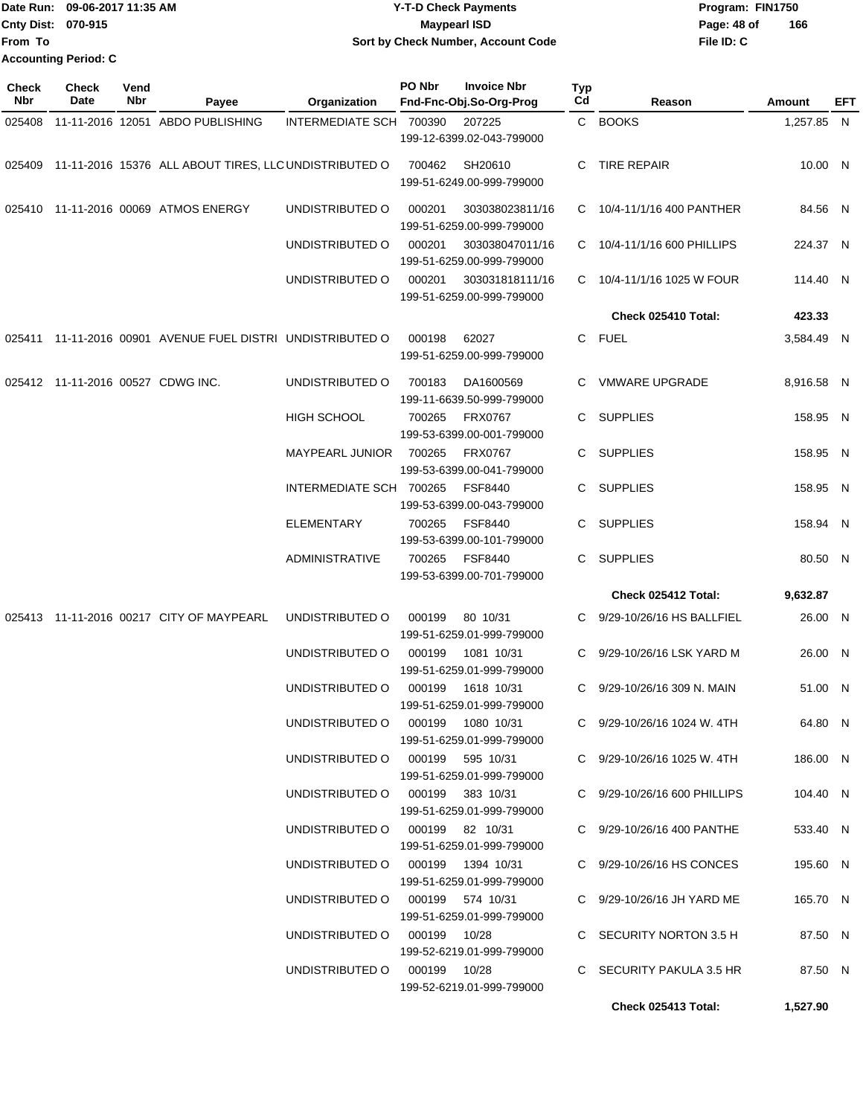| <b>"Date Run:</b>           | 09-06-2017 11:35 AM | <b>Y-T-D Check Payments</b>        | Program: FIN1750   |
|-----------------------------|---------------------|------------------------------------|--------------------|
| <b>Cnty Dist: 070-915</b>   |                     | Maypearl ISD                       | 166<br>Page: 48 of |
| lFrom To                    |                     | Sort by Check Number, Account Code | File ID: C         |
| <b>Accounting Period: C</b> |                     |                                    |                    |

| <b>Check</b><br>Nbr | <b>Check</b><br>Date              | Vend<br>Nbr | Payee                                                        | Organization                      | PO Nbr | <b>Invoice Nbr</b><br>Fnd-Fnc-Obj.So-Org-Prog | Typ<br>Cd | Reason                          | Amount     | EFT |
|---------------------|-----------------------------------|-------------|--------------------------------------------------------------|-----------------------------------|--------|-----------------------------------------------|-----------|---------------------------------|------------|-----|
| 025408              |                                   |             | 11-11-2016 12051 ABDO PUBLISHING                             | INTERMEDIATE SCH 700390           |        | 207225                                        |           | C BOOKS                         | 1,257.85 N |     |
|                     |                                   |             |                                                              |                                   |        | 199-12-6399.02-043-799000                     |           |                                 |            |     |
|                     |                                   |             | 025409 11-11-2016 15376 ALL ABOUT TIRES, LLC UNDISTRIBUTED O |                                   | 700462 | SH20610<br>199-51-6249.00-999-799000          | C         | TIRE REPAIR                     | 10.00 N    |     |
| 025410              |                                   |             | 11-11-2016 00069 ATMOS ENERGY                                | UNDISTRIBUTED O                   | 000201 | 303038023811/16<br>199-51-6259.00-999-799000  |           | C 10/4-11/1/16 400 PANTHER      | 84.56 N    |     |
|                     |                                   |             |                                                              | UNDISTRIBUTED O                   | 000201 | 303038047011/16<br>199-51-6259.00-999-799000  |           | C 10/4-11/1/16 600 PHILLIPS     | 224.37 N   |     |
|                     |                                   |             |                                                              | UNDISTRIBUTED O                   | 000201 | 303031818111/16<br>199-51-6259.00-999-799000  | C.        | 10/4-11/1/16 1025 W FOUR        | 114.40 N   |     |
|                     |                                   |             |                                                              |                                   |        |                                               |           | Check 025410 Total:             | 423.33     |     |
|                     |                                   |             | 025411 11-11-2016 00901 AVENUE FUEL DISTRI UNDISTRIBUTED O   |                                   | 000198 | 62027<br>199-51-6259.00-999-799000            | C.        | <b>FUEL</b>                     | 3,584.49 N |     |
|                     | 025412 11-11-2016 00527 CDWG INC. |             |                                                              | UNDISTRIBUTED O                   | 700183 | DA1600569<br>199-11-6639.50-999-799000        | C.        | <b>VMWARE UPGRADE</b>           | 8,916.58 N |     |
|                     |                                   |             |                                                              | <b>HIGH SCHOOL</b>                | 700265 | <b>FRX0767</b><br>199-53-6399.00-001-799000   | C         | <b>SUPPLIES</b>                 | 158.95 N   |     |
|                     |                                   |             |                                                              | MAYPEARL JUNIOR                   | 700265 | <b>FRX0767</b><br>199-53-6399.00-041-799000   | C.        | <b>SUPPLIES</b>                 | 158.95 N   |     |
|                     |                                   |             |                                                              | INTERMEDIATE SCH 700265           |        | <b>FSF8440</b><br>199-53-6399.00-043-799000   | C.        | <b>SUPPLIES</b>                 | 158.95 N   |     |
|                     |                                   |             |                                                              | <b>ELEMENTARY</b>                 | 700265 | <b>FSF8440</b><br>199-53-6399.00-101-799000   | C.        | <b>SUPPLIES</b>                 | 158.94 N   |     |
|                     |                                   |             |                                                              | <b>ADMINISTRATIVE</b>             | 700265 | <b>FSF8440</b><br>199-53-6399.00-701-799000   | C.        | <b>SUPPLIES</b>                 | 80.50 N    |     |
|                     |                                   |             |                                                              |                                   |        |                                               |           | Check 025412 Total:             | 9,632.87   |     |
|                     |                                   |             | 025413 11-11-2016 00217 CITY OF MAYPEARL                     | UNDISTRIBUTED O                   | 000199 | 80 10/31<br>199-51-6259.01-999-799000         | C         | 9/29-10/26/16 HS BALLFIEL       | 26.00 N    |     |
|                     |                                   |             |                                                              | UNDISTRIBUTED O                   | 000199 | 1081 10/31<br>199-51-6259.01-999-799000       | C.        | 9/29-10/26/16 LSK YARD M        | 26.00 N    |     |
|                     |                                   |             |                                                              | UNDISTRIBUTED O                   | 000199 | 1618 10/31<br>199-51-6259.01-999-799000       | C         | 9/29-10/26/16 309 N. MAIN       | 51.00 N    |     |
|                     |                                   |             |                                                              | UNDISTRIBUTED O 000199 1080 10/31 |        | 199-51-6259.01-999-799000                     |           | C $9/29 - 10/26/16$ 1024 W. 4TH | 64.80 N    |     |
|                     |                                   |             |                                                              | UNDISTRIBUTED O 000199 595 10/31  |        | 199-51-6259.01-999-799000                     |           | C $9/29 - 10/26/16$ 1025 W. 4TH | 186.00 N   |     |
|                     |                                   |             |                                                              | UNDISTRIBUTED O 000199 383 10/31  |        | 199-51-6259.01-999-799000                     |           | C 9/29-10/26/16 600 PHILLIPS    | 104.40 N   |     |
|                     |                                   |             |                                                              | UNDISTRIBUTED O 000199 82 10/31   |        | 199-51-6259.01-999-799000                     |           | C 9/29-10/26/16 400 PANTHE      | 533.40 N   |     |
|                     |                                   |             |                                                              | UNDISTRIBUTED O 000199 1394 10/31 |        | 199-51-6259.01-999-799000                     |           | C 9/29-10/26/16 HS CONCES       | 195.60 N   |     |
|                     |                                   |             |                                                              | UNDISTRIBUTED O 000199 574 10/31  |        | 199-51-6259.01-999-799000                     |           | C 9/29-10/26/16 JH YARD ME      | 165.70 N   |     |
|                     |                                   |             |                                                              | UNDISTRIBUTED O 000199 10/28      |        | 199-52-6219.01-999-799000                     |           | C SECURITY NORTON 3.5 H         | 87.50 N    |     |
|                     |                                   |             |                                                              | UNDISTRIBUTED O 000199 10/28      |        | 199-52-6219.01-999-799000                     |           | C SECURITY PAKULA 3.5 HR        | 87.50 N    |     |
|                     |                                   |             |                                                              |                                   |        |                                               |           | Check 025413 Total:             | 1,527.90   |     |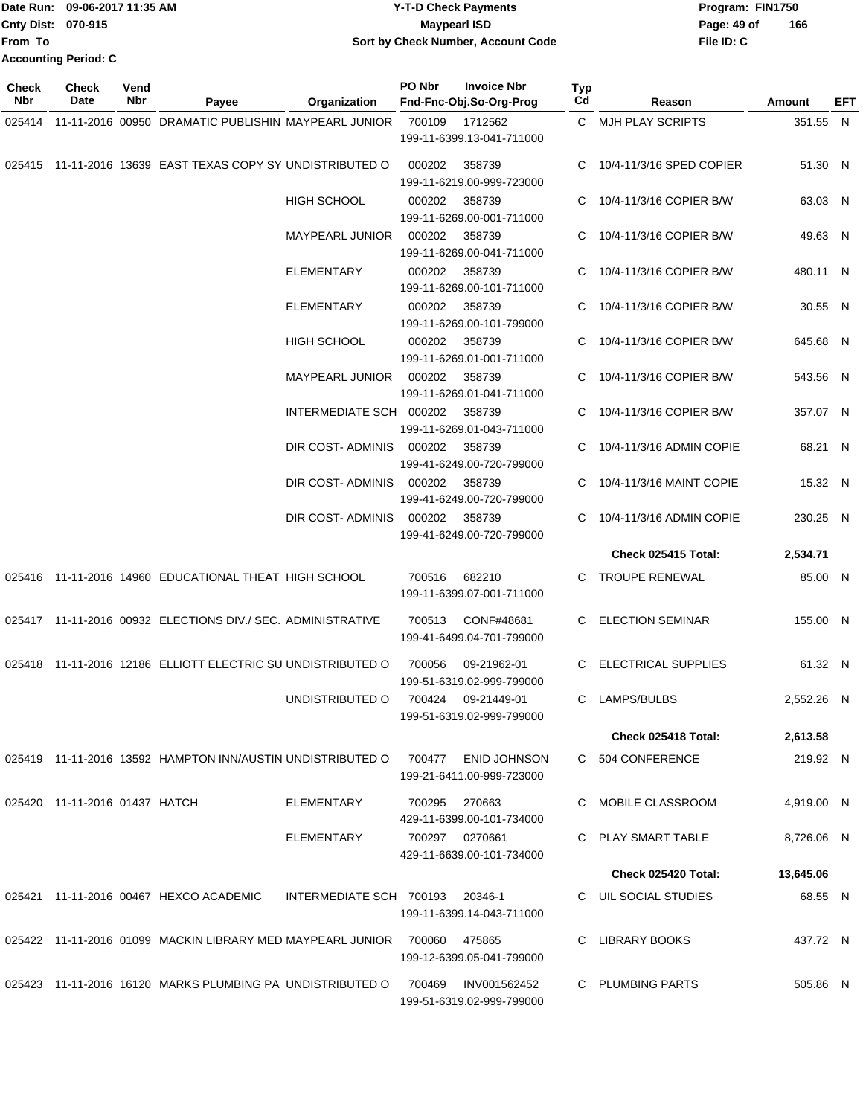|                             | Date Run: 09-06-2017 11:35 AM | <b>Y-T-D Check Payments</b>        | Program: FIN1750 |     |  |  |
|-----------------------------|-------------------------------|------------------------------------|------------------|-----|--|--|
| <b>Cnty Dist: 070-915</b>   |                               | <b>Mavpearl ISD</b>                | Page: 49 of      | 166 |  |  |
| <b>IFrom To</b>             |                               | Sort by Check Number, Account Code | File ID: C       |     |  |  |
| <b>Accounting Period: C</b> |                               |                                    |                  |     |  |  |

| <b>Check</b><br>Nbr | <b>Check</b><br>Date          | Vend<br>Nbr | Payee                                                             | Organization            | PO Nbr | <b>Invoice Nbr</b><br>Fnd-Fnc-Obj.So-Org-Prog   | <b>Typ</b><br>Cd | Reason                     | Amount     | EFT |
|---------------------|-------------------------------|-------------|-------------------------------------------------------------------|-------------------------|--------|-------------------------------------------------|------------------|----------------------------|------------|-----|
|                     |                               |             | 025414 11-11-2016 00950 DRAMATIC PUBLISHIN MAYPEARL JUNIOR        |                         | 700109 | 1712562                                         |                  | C MJH PLAY SCRIPTS         | 351.55 N   |     |
|                     |                               |             |                                                                   |                         |        | 199-11-6399.13-041-711000                       |                  |                            |            |     |
|                     |                               |             | 025415 11-11-2016 13639 EAST TEXAS COPY SY UNDISTRIBUTED O        |                         | 000202 | 358739<br>199-11-6219.00-999-723000             |                  | 10/4-11/3/16 SPED COPIER   | 51.30 N    |     |
|                     |                               |             |                                                                   | <b>HIGH SCHOOL</b>      | 000202 | 358739<br>199-11-6269.00-001-711000             | C                | 10/4-11/3/16 COPIER B/W    | 63.03 N    |     |
|                     |                               |             |                                                                   |                         | 000202 | 358739                                          |                  | C 10/4-11/3/16 COPIER B/W  |            |     |
|                     |                               |             |                                                                   | <b>MAYPEARL JUNIOR</b>  |        | 199-11-6269.00-041-711000                       |                  |                            | 49.63 N    |     |
|                     |                               |             |                                                                   | <b>ELEMENTARY</b>       | 000202 | 358739                                          |                  | C 10/4-11/3/16 COPIER B/W  | 480.11 N   |     |
|                     |                               |             |                                                                   |                         |        | 199-11-6269.00-101-711000                       |                  |                            |            |     |
|                     |                               |             |                                                                   | <b>ELEMENTARY</b>       | 000202 | 358739                                          |                  | C 10/4-11/3/16 COPIER B/W  | 30.55 N    |     |
|                     |                               |             |                                                                   |                         |        | 199-11-6269.00-101-799000                       |                  |                            |            |     |
|                     |                               |             |                                                                   | <b>HIGH SCHOOL</b>      | 000202 | 358739                                          | C.               | 10/4-11/3/16 COPIER B/W    | 645.68 N   |     |
|                     |                               |             |                                                                   |                         |        | 199-11-6269.01-001-711000                       |                  |                            |            |     |
|                     |                               |             |                                                                   | MAYPEARL JUNIOR         | 000202 | 358739                                          |                  | 10/4-11/3/16 COPIER B/W    | 543.56 N   |     |
|                     |                               |             |                                                                   |                         |        | 199-11-6269.01-041-711000                       |                  |                            |            |     |
|                     |                               |             |                                                                   | INTERMEDIATE SCH 000202 |        | 358739<br>199-11-6269.01-043-711000             | C                | 10/4-11/3/16 COPIER B/W    | 357.07 N   |     |
|                     |                               |             |                                                                   | DIR COST-ADMINIS        | 000202 | 358739                                          |                  | 10/4-11/3/16 ADMIN COPIE   | 68.21 N    |     |
|                     |                               |             |                                                                   |                         |        | 199-41-6249.00-720-799000                       |                  |                            |            |     |
|                     |                               |             |                                                                   | DIR COST-ADMINIS        | 000202 | 358739<br>199-41-6249.00-720-799000             |                  | 10/4-11/3/16 MAINT COPIE   | 15.32 N    |     |
|                     |                               |             |                                                                   | DIR COST-ADMINIS        | 000202 | 358739                                          | C                | 10/4-11/3/16 ADMIN COPIE   | 230.25 N   |     |
|                     |                               |             |                                                                   |                         |        | 199-41-6249.00-720-799000                       |                  |                            |            |     |
|                     |                               |             |                                                                   |                         |        |                                                 |                  | Check 025415 Total:        | 2,534.71   |     |
|                     |                               |             | 025416 11-11-2016 14960 EDUCATIONAL THEAT HIGH SCHOOL             |                         | 700516 | 682210<br>199-11-6399.07-001-711000             | C.               | <b>TROUPE RENEWAL</b>      | 85.00 N    |     |
|                     |                               |             | 025417 11-11-2016 00932 ELECTIONS DIV./ SEC. ADMINISTRATIVE       |                         | 700513 | CONF#48681<br>199-41-6499.04-701-799000         |                  | C ELECTION SEMINAR         | 155.00 N   |     |
|                     |                               |             | 025418 11-11-2016 12186 ELLIOTT ELECTRIC SU UNDISTRIBUTED O       |                         | 700056 | 09-21962-01<br>199-51-6319.02-999-799000        |                  | <b>ELECTRICAL SUPPLIES</b> | 61.32 N    |     |
|                     |                               |             |                                                                   | UNDISTRIBUTED O         |        | 700424 09-21449-01<br>199-51-6319.02-999-799000 |                  | C LAMPS/BULBS              | 2,552.26 N |     |
|                     |                               |             |                                                                   |                         |        |                                                 |                  | Check 025418 Total:        | 2,613.58   |     |
|                     |                               |             | 025419 11-11-2016 13592 HAMPTON INN/AUSTIN UNDISTRIBUTED O        |                         | 700477 | <b>ENID JOHNSON</b>                             |                  | C 504 CONFERENCE           | 219.92 N   |     |
|                     |                               |             |                                                                   |                         |        | 199-21-6411.00-999-723000                       |                  |                            |            |     |
|                     | 025420 11-11-2016 01437 HATCH |             |                                                                   | ELEMENTARY              | 700295 | 270663<br>429-11-6399.00-101-734000             |                  | C MOBILE CLASSROOM         | 4,919.00 N |     |
|                     |                               |             |                                                                   | <b>ELEMENTARY</b>       |        | 700297 0270661<br>429-11-6639.00-101-734000     |                  | C PLAY SMART TABLE         | 8,726.06 N |     |
|                     |                               |             |                                                                   |                         |        |                                                 |                  | <b>Check 025420 Total:</b> | 13,645.06  |     |
|                     |                               |             | 025421 11-11-2016 00467 HEXCO ACADEMIC                            | INTERMEDIATE SCH 700193 |        | 20346-1                                         |                  | C UIL SOCIAL STUDIES       | 68.55 N    |     |
|                     |                               |             |                                                                   |                         |        | 199-11-6399.14-043-711000                       |                  |                            |            |     |
|                     |                               |             | 025422 11-11-2016 01099 MACKIN LIBRARY MED MAYPEARL JUNIOR 700060 |                         |        | 475865<br>199-12-6399.05-041-799000             |                  | C LIBRARY BOOKS            | 437.72 N   |     |
|                     |                               |             | 025423 11-11-2016 16120 MARKS PLUMBING PA UNDISTRIBUTED O         |                         | 700469 | INV001562452                                    |                  | C PLUMBING PARTS           | 505.86 N   |     |
|                     |                               |             |                                                                   |                         |        | 199-51-6319.02-999-799000                       |                  |                            |            |     |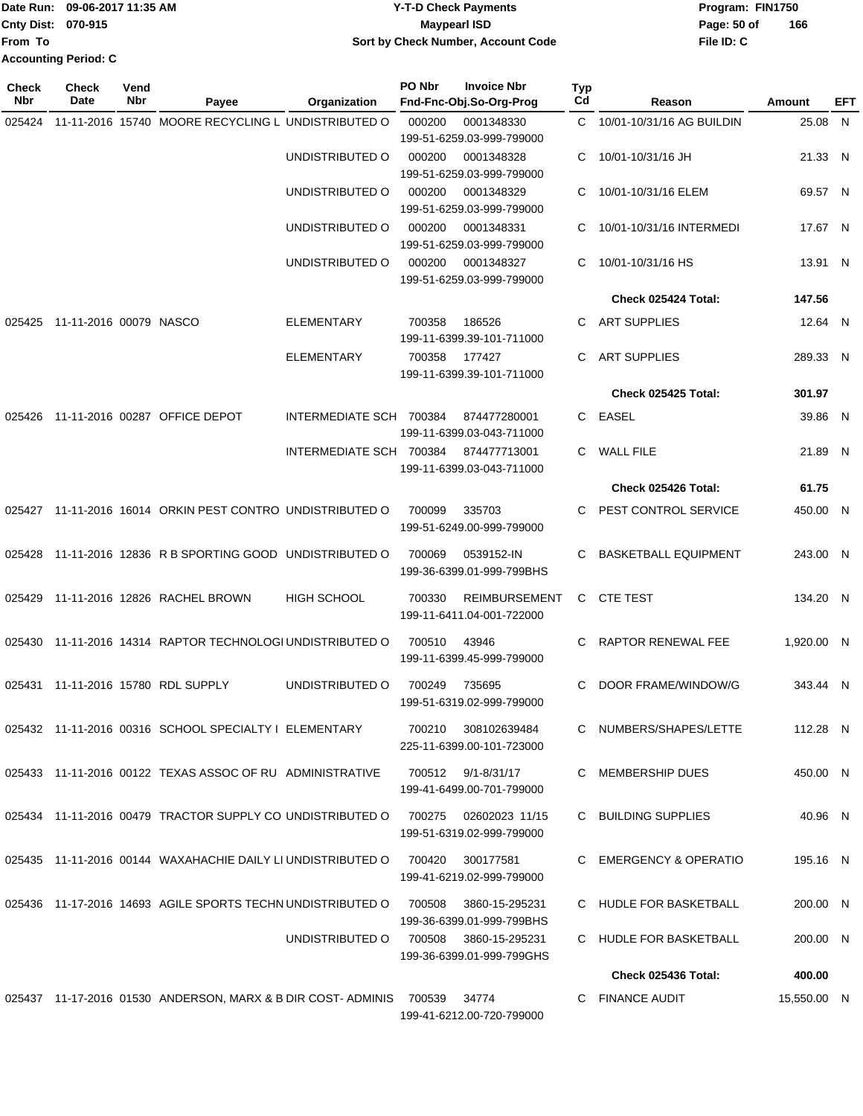|                             | 1Date Run: 09-06-2017 11:35 AM | <b>Y-T-D Check Payments</b>        | Program: FIN1750 |     |
|-----------------------------|--------------------------------|------------------------------------|------------------|-----|
| <b>Cnty Dist: 070-915</b>   |                                | Maypearl ISD                       | Page: 50 of      | 166 |
| From To                     |                                | Sort by Check Number, Account Code | File ID: C       |     |
| <b>Accounting Period: C</b> |                                |                                    |                  |     |

| <b>Check</b><br>Nbr | <b>Check</b><br>Date   | Vend<br>Nbr | Payee                                                               | Organization            | PO Nbr | <b>Invoice Nbr</b><br>Fnd-Fnc-Obj.So-Org-Prog | <b>Typ</b><br>Cd | Reason                      | Amount      | EFT |
|---------------------|------------------------|-------------|---------------------------------------------------------------------|-------------------------|--------|-----------------------------------------------|------------------|-----------------------------|-------------|-----|
| 025424              |                        |             | 11-11-2016 15740 MOORE RECYCLING L UNDISTRIBUTED O                  |                         | 000200 | 0001348330                                    | C.               | 10/01-10/31/16 AG BUILDIN   | 25.08 N     |     |
|                     |                        |             |                                                                     |                         |        | 199-51-6259.03-999-799000                     |                  |                             |             |     |
|                     |                        |             |                                                                     | UNDISTRIBUTED O         | 000200 | 0001348328                                    | C                | 10/01-10/31/16 JH           | 21.33 N     |     |
|                     |                        |             |                                                                     |                         |        | 199-51-6259.03-999-799000                     |                  |                             |             |     |
|                     |                        |             |                                                                     | UNDISTRIBUTED O         | 000200 | 0001348329                                    | C                | 10/01-10/31/16 ELEM         | 69.57 N     |     |
|                     |                        |             |                                                                     |                         |        | 199-51-6259.03-999-799000                     |                  |                             |             |     |
|                     |                        |             |                                                                     | UNDISTRIBUTED O         | 000200 | 0001348331<br>199-51-6259.03-999-799000       | C                | 10/01-10/31/16 INTERMEDI    | 17.67 N     |     |
|                     |                        |             |                                                                     | UNDISTRIBUTED O         | 000200 | 0001348327                                    | C                | 10/01-10/31/16 HS           | 13.91 N     |     |
|                     |                        |             |                                                                     |                         |        | 199-51-6259.03-999-799000                     |                  |                             |             |     |
|                     |                        |             |                                                                     |                         |        |                                               |                  | Check 025424 Total:         | 147.56      |     |
| 025425              | 11-11-2016 00079 NASCO |             |                                                                     | <b>ELEMENTARY</b>       | 700358 | 186526                                        | C                | <b>ART SUPPLIES</b>         | 12.64 N     |     |
|                     |                        |             |                                                                     |                         |        | 199-11-6399.39-101-711000                     |                  |                             |             |     |
|                     |                        |             |                                                                     | <b>ELEMENTARY</b>       | 700358 | 177427                                        | C                | <b>ART SUPPLIES</b>         | 289.33 N    |     |
|                     |                        |             |                                                                     |                         |        | 199-11-6399.39-101-711000                     |                  |                             |             |     |
|                     |                        |             |                                                                     |                         |        |                                               |                  | Check 025425 Total:         | 301.97      |     |
| 025426              |                        |             | 11-11-2016 00287 OFFICE DEPOT                                       | INTERMEDIATE SCH 700384 |        | 874477280001                                  |                  | C EASEL                     | 39.86 N     |     |
|                     |                        |             |                                                                     |                         |        | 199-11-6399.03-043-711000                     |                  |                             |             |     |
|                     |                        |             |                                                                     | INTERMEDIATE SCH 700384 |        | 874477713001                                  | C.               | <b>WALL FILE</b>            | 21.89 N     |     |
|                     |                        |             |                                                                     |                         |        | 199-11-6399.03-043-711000                     |                  |                             |             |     |
|                     |                        |             |                                                                     |                         |        |                                               |                  | Check 025426 Total:         | 61.75       |     |
| 025427              |                        |             | 11-11-2016 16014 ORKIN PEST CONTRO UNDISTRIBUTED O                  |                         | 700099 | 335703                                        |                  | PEST CONTROL SERVICE        | 450.00 N    |     |
|                     |                        |             |                                                                     |                         |        | 199-51-6249.00-999-799000                     |                  |                             |             |     |
|                     |                        |             |                                                                     |                         |        |                                               |                  |                             |             |     |
|                     |                        |             | 025428 11-11-2016 12836 R B SPORTING GOOD UNDISTRIBUTED O           |                         | 700069 | 0539152-IN<br>199-36-6399.01-999-799BHS       | C                | <b>BASKETBALL EQUIPMENT</b> | 243.00 N    |     |
|                     |                        |             |                                                                     |                         |        |                                               |                  |                             |             |     |
| 025429              |                        |             | 11-11-2016 12826 RACHEL BROWN                                       | <b>HIGH SCHOOL</b>      | 700330 | <b>REIMBURSEMENT</b>                          | C.               | CTE TEST                    | 134.20 N    |     |
|                     |                        |             |                                                                     |                         |        | 199-11-6411.04-001-722000                     |                  |                             |             |     |
| 025430              |                        |             | 11-11-2016 14314 RAPTOR TECHNOLOGI UNDISTRIBUTED O                  |                         | 700510 | 43946                                         |                  | <b>RAPTOR RENEWAL FEE</b>   | 1,920.00 N  |     |
|                     |                        |             |                                                                     |                         |        | 199-11-6399.45-999-799000                     |                  |                             |             |     |
|                     |                        |             | 025431 11-11-2016 15780 RDL SUPPLY                                  | UNDISTRIBUTED O         | 700249 | 735695                                        | C                | DOOR FRAME/WINDOW/G         | 343.44 N    |     |
|                     |                        |             |                                                                     |                         |        | 199-51-6319.02-999-799000                     |                  |                             |             |     |
|                     |                        |             |                                                                     |                         |        |                                               |                  |                             |             |     |
|                     |                        |             | 025432 11-11-2016 00316 SCHOOL SPECIALTY I ELEMENTARY               |                         | 700210 | 308102639484                                  |                  | C NUMBERS/SHAPES/LETTE      | 112.28 N    |     |
|                     |                        |             |                                                                     |                         |        | 225-11-6399.00-101-723000                     |                  |                             |             |     |
|                     |                        |             | 025433 11-11-2016 00122 TEXAS ASSOC OF RU ADMINISTRATIVE            |                         |        | 700512 9/1-8/31/17                            |                  | C MEMBERSHIP DUES           | 450.00 N    |     |
|                     |                        |             |                                                                     |                         |        | 199-41-6499.00-701-799000                     |                  |                             |             |     |
|                     |                        |             | 025434 11-11-2016 00479 TRACTOR SUPPLY CO UNDISTRIBUTED O           |                         |        | 700275   02602023   11/15                     |                  | C BUILDING SUPPLIES         | 40.96 N     |     |
|                     |                        |             |                                                                     |                         |        | 199-51-6319.02-999-799000                     |                  |                             |             |     |
|                     |                        |             |                                                                     |                         |        |                                               |                  |                             |             |     |
|                     |                        |             | 025435 11-11-2016 00144 WAXAHACHIE DAILY LI UNDISTRIBUTED O         |                         | 700420 | 300177581<br>199-41-6219.02-999-799000        |                  | C EMERGENCY & OPERATIO      | 195.16 N    |     |
|                     |                        |             |                                                                     |                         |        |                                               |                  |                             |             |     |
|                     |                        |             | 025436 11-17-2016 14693 AGILE SPORTS TECHN UNDISTRIBUTED O          |                         | 700508 | 3860-15-295231                                |                  | C HUDLE FOR BASKETBALL      | 200.00 N    |     |
|                     |                        |             |                                                                     |                         |        | 199-36-6399.01-999-799BHS                     |                  |                             |             |     |
|                     |                        |             |                                                                     | UNDISTRIBUTED O         | 700508 | 3860-15-295231                                |                  | C HUDLE FOR BASKETBALL      | 200.00 N    |     |
|                     |                        |             |                                                                     |                         |        | 199-36-6399.01-999-799GHS                     |                  |                             |             |     |
|                     |                        |             |                                                                     |                         |        |                                               |                  | Check 025436 Total:         | 400.00      |     |
|                     |                        |             | 025437 11-17-2016 01530 ANDERSON, MARX & B DIR COST- ADMINIS 700539 |                         |        | 34774                                         |                  | C FINANCE AUDIT             | 15,550.00 N |     |
|                     |                        |             |                                                                     |                         |        | 199-41-6212.00-720-799000                     |                  |                             |             |     |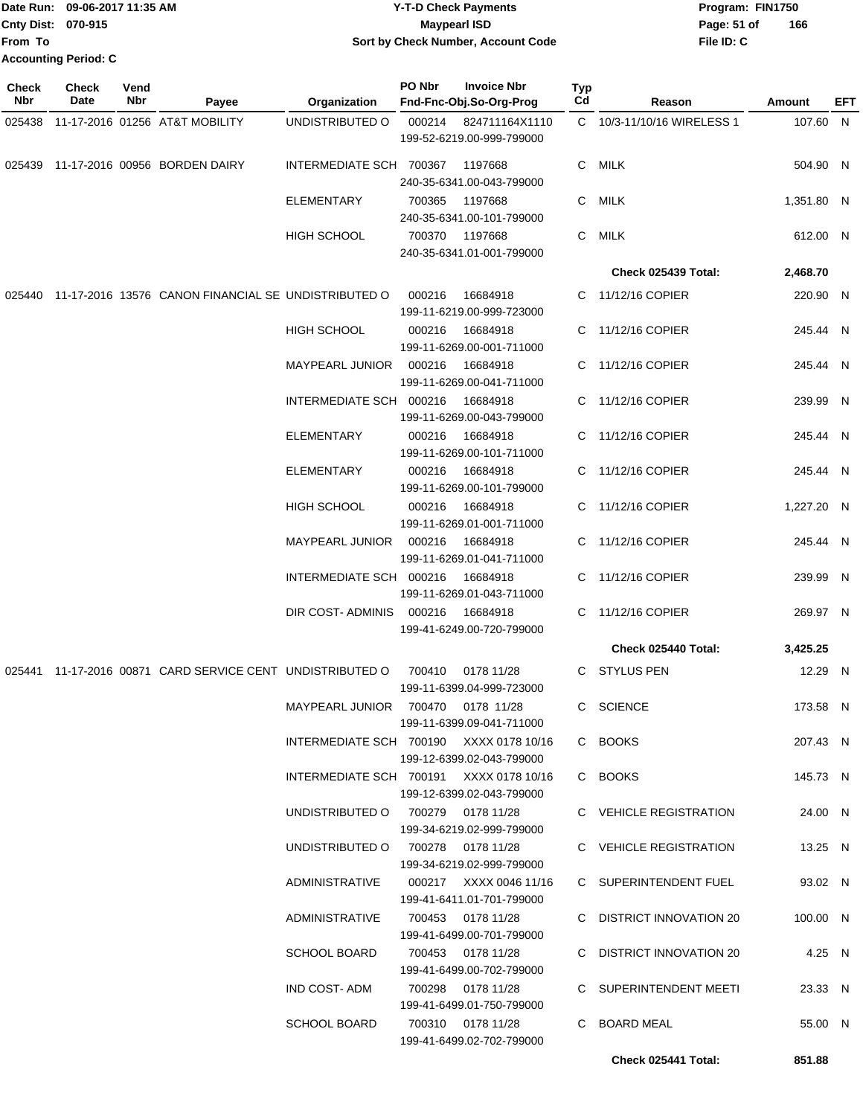|              | Date Run: 09-06-2017 11:35 AM<br>Cnty Dist: 070-915 |             |                                                                             |                                         |        | <b>Y-T-D Check Payments</b>                               |           |                            | Program: FIN1750 |     |
|--------------|-----------------------------------------------------|-------------|-----------------------------------------------------------------------------|-----------------------------------------|--------|-----------------------------------------------------------|-----------|----------------------------|------------------|-----|
| From To      |                                                     |             |                                                                             |                                         |        | <b>Maypearl ISD</b><br>Sort by Check Number, Account Code |           | Page: 51 of<br>File ID: C  | 166              |     |
|              | <b>Accounting Period: C</b>                         |             |                                                                             |                                         |        |                                                           |           |                            |                  |     |
| Check<br>Nbr | <b>Check</b><br>Date                                | Vend<br>Nbr | Payee                                                                       | Organization                            | PO Nbr | <b>Invoice Nbr</b><br>Fnd-Fnc-Obj.So-Org-Prog             | Typ<br>Cd | Reason                     | Amount           | EFT |
| 025438       |                                                     |             | 11-17-2016 01256 AT&T MOBILITY                                              | UNDISTRIBUTED O                         | 000214 | 824711164X1110                                            |           | C 10/3-11/10/16 WIRELESS 1 | 107.60 N         |     |
|              |                                                     |             |                                                                             |                                         |        | 199-52-6219.00-999-799000                                 |           |                            |                  |     |
| 025439       |                                                     |             | 11-17-2016 00956 BORDEN DAIRY                                               | INTERMEDIATE SCH 700367                 |        | 1197668<br>240-35-6341.00-043-799000                      | C         | MILK                       | 504.90 N         |     |
|              |                                                     |             |                                                                             | ELEMENTARY                              | 700365 | 1197668<br>240-35-6341.00-101-799000                      | C         | <b>MILK</b>                | 1,351.80 N       |     |
|              |                                                     |             |                                                                             | <b>HIGH SCHOOL</b>                      | 700370 | 1197668                                                   | C         | <b>MILK</b>                | 612.00 N         |     |
|              |                                                     |             |                                                                             |                                         |        | 240-35-6341.01-001-799000                                 |           |                            |                  |     |
|              |                                                     |             |                                                                             |                                         |        |                                                           |           | Check 025439 Total:        | 2,468.70         |     |
| 025440       |                                                     |             | 11-17-2016 13576 CANON FINANCIAL SE UNDISTRIBUTED O                         |                                         | 000216 | 16684918<br>199-11-6219.00-999-723000                     | C         | 11/12/16 COPIER            | 220.90 N         |     |
|              |                                                     |             |                                                                             | <b>HIGH SCHOOL</b>                      | 000216 | 16684918<br>199-11-6269.00-001-711000                     | C         | 11/12/16 COPIER            | 245.44 N         |     |
|              |                                                     |             |                                                                             | <b>MAYPEARL JUNIOR</b>                  | 000216 | 16684918<br>199-11-6269.00-041-711000                     | C         | 11/12/16 COPIER            | 245.44 N         |     |
|              |                                                     |             |                                                                             | INTERMEDIATE SCH 000216                 |        | 16684918<br>199-11-6269.00-043-799000                     | C.        | 11/12/16 COPIER            | 239.99 N         |     |
|              |                                                     |             |                                                                             | <b>ELEMENTARY</b>                       | 000216 | 16684918<br>199-11-6269.00-101-711000                     | C.        | 11/12/16 COPIER            | 245.44 N         |     |
|              |                                                     |             |                                                                             | ELEMENTARY                              | 000216 | 16684918<br>199-11-6269.00-101-799000                     | C         | 11/12/16 COPIER            | 245.44 N         |     |
|              |                                                     |             |                                                                             | <b>HIGH SCHOOL</b>                      | 000216 | 16684918<br>199-11-6269.01-001-711000                     | C         | 11/12/16 COPIER            | 1,227.20 N       |     |
|              |                                                     |             |                                                                             | MAYPEARL JUNIOR                         | 000216 | 16684918<br>199-11-6269.01-041-711000                     | C         | 11/12/16 COPIER            | 245.44 N         |     |
|              |                                                     |             |                                                                             | INTERMEDIATE SCH 000216                 |        | 16684918<br>199-11-6269.01-043-711000                     | C.        | 11/12/16 COPIER            | 239.99 N         |     |
|              |                                                     |             |                                                                             | DIR COST- ADMINIS  000216  16684918     |        | 199-41-6249.00-720-799000                                 |           | C 11/12/16 COPIER          | 269.97 N         |     |
|              |                                                     |             |                                                                             |                                         |        |                                                           |           | Check 025440 Total:        | 3,425.25         |     |
|              |                                                     |             | 025441 11-17-2016 00871 CARD SERVICE CENT UNDISTRIBUTED O 700410 0178 11/28 |                                         |        | 199-11-6399.04-999-723000                                 |           | C STYLUS PEN               | 12.29 N          |     |
|              |                                                     |             |                                                                             | MAYPEARL JUNIOR 700470 0178 11/28       |        | 199-11-6399.09-041-711000                                 |           | C SCIENCE                  | 173.58 N         |     |
|              |                                                     |             |                                                                             | INTERMEDIATE SCH 700190 XXXX 0178 10/16 |        | 199-12-6399.02-043-799000                                 |           | C BOOKS                    | 207.43 N         |     |
|              |                                                     |             |                                                                             | INTERMEDIATE SCH 700191 XXXX 0178 10/16 |        | 199-12-6399.02-043-799000                                 |           | C BOOKS                    | 145.73 N         |     |
|              |                                                     |             |                                                                             | UNDISTRIBUTED 0 700279 0178 11/28       |        | 199-34-6219.02-999-799000                                 |           | C VEHICLE REGISTRATION     | 24.00 N          |     |
|              |                                                     |             |                                                                             | UNDISTRIBUTED 0 700278 0178 11/28       |        | 199-34-6219.02-999-799000                                 |           | C VEHICLE REGISTRATION     | 13.25 N          |     |
|              |                                                     |             |                                                                             | ADMINISTRATIVE                          |        | 000217     XXXX 0046 11/16<br>199-41-6411.01-701-799000   |           | C SUPERINTENDENT FUEL      | 93.02 N          |     |
|              |                                                     |             |                                                                             | ADMINISTRATIVE 700453 0178 11/28        |        |                                                           |           | C DISTRICT INNOVATION 20   | 100.00 N         |     |

199-41-6499.00-701-799000

199-41-6499.01-750-799000

199-41-6499.02-702-799000

100.00 N SCHOOL BOARD 700453 0178 11/28 C DISTRICT INNOVATION 20 199-41-6499.00-702-799000 4.25 N IND COST- ADM 700298 0178 11/28 C SUPERINTENDENT MEETI 23.33 N SCHOOL BOARD 700310 0178 11/28 C BOARD MEAL 55.00 N

**Check 025441 Total: 851.88**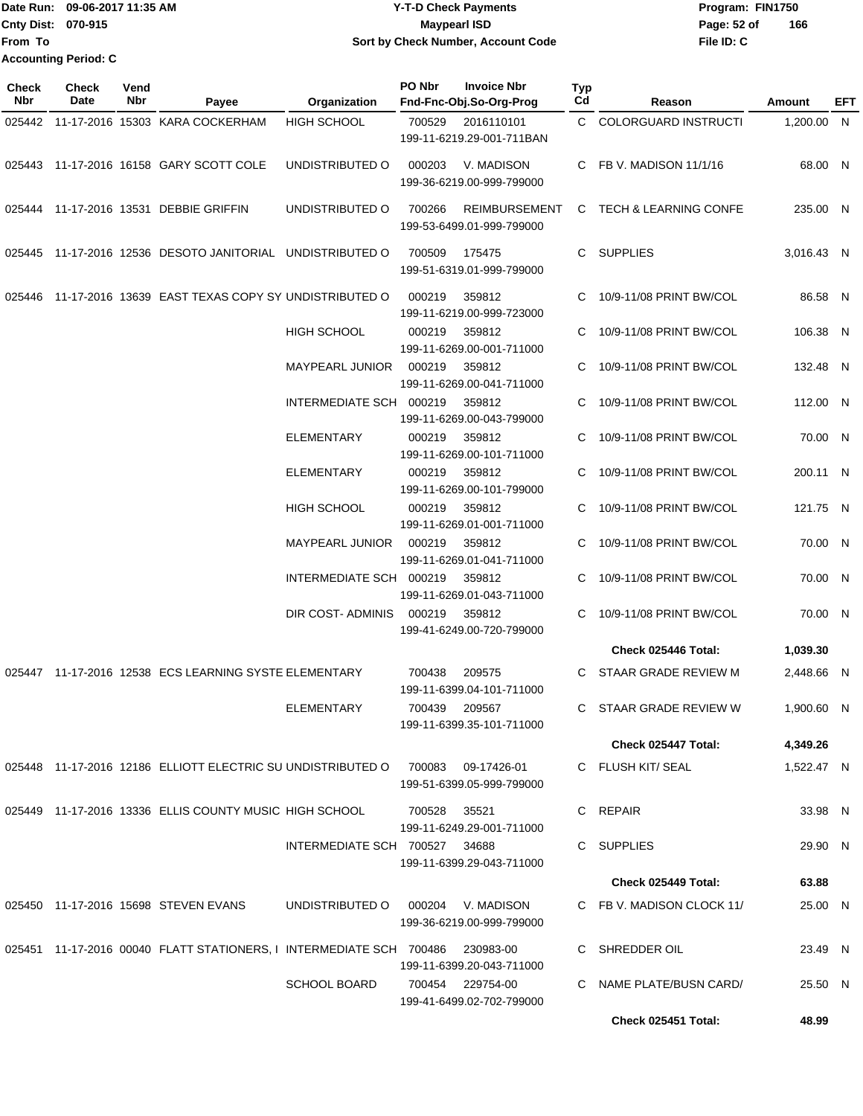|                    | Date Run: 09-06-2017 11:35 AM | Y-T-D Check Payments               | Program: FIN1750 |     |
|--------------------|-------------------------------|------------------------------------|------------------|-----|
| Cnty Dist: 070-915 |                               | <b>Mavpearl ISD</b>                | Page: 52 of      | 166 |
| <b>From To</b>     |                               | Sort by Check Number, Account Code | File ID: C       |     |
|                    | <b>Accounting Period: C</b>   |                                    |                  |     |

| Check<br><b>Nbr</b> | Check<br>Date | Vend<br>Nbr | Payee                                                                   | Organization                  | PO Nbr<br>Fnd-Fnc-Obj.So-Org-Prog             | <b>Invoice Nbr</b>   | Typ<br>Cd | Reason                    | Amount     | EFT |
|---------------------|---------------|-------------|-------------------------------------------------------------------------|-------------------------------|-----------------------------------------------|----------------------|-----------|---------------------------|------------|-----|
| 025442              |               |             | 11-17-2016 15303 KARA COCKERHAM                                         | <b>HIGH SCHOOL</b>            | 700529<br>199-11-6219.29-001-711BAN           | 2016110101           |           | C COLORGUARD INSTRUCTI    | 1,200.00 N |     |
|                     |               |             | 025443 11-17-2016 16158 GARY SCOTT COLE                                 | UNDISTRIBUTED O               | 000203<br>199-36-6219.00-999-799000           | V. MADISON           | C.        | FB V. MADISON 11/1/16     | 68.00 N    |     |
|                     |               |             | 025444 11-17-2016 13531 DEBBIE GRIFFIN                                  | UNDISTRIBUTED O               | 700266<br>199-53-6499.01-999-799000           | <b>REIMBURSEMENT</b> | C         | TECH & LEARNING CONFE     | 235.00 N   |     |
|                     |               |             | 025445 11-17-2016 12536 DESOTO JANITORIAL UNDISTRIBUTED O               |                               | 700509<br>199-51-6319.01-999-799000           | 175475               | C.        | <b>SUPPLIES</b>           | 3,016.43 N |     |
| 025446              |               |             | 11-17-2016 13639 EAST TEXAS COPY SY UNDISTRIBUTED O                     |                               | 000219<br>199-11-6219.00-999-723000           | 359812               | C.        | 10/9-11/08 PRINT BW/COL   | 86.58 N    |     |
|                     |               |             |                                                                         | <b>HIGH SCHOOL</b>            | 000219<br>199-11-6269.00-001-711000           | 359812               | C.        | 10/9-11/08 PRINT BW/COL   | 106.38 N   |     |
|                     |               |             |                                                                         | MAYPEARL JUNIOR               | 000219<br>199-11-6269.00-041-711000           | 359812               | C         | 10/9-11/08 PRINT BW/COL   | 132.48 N   |     |
|                     |               |             |                                                                         | INTERMEDIATE SCH 000219       | 199-11-6269.00-043-799000                     | 359812               | C         | 10/9-11/08 PRINT BW/COL   | 112.00 N   |     |
|                     |               |             |                                                                         | <b>ELEMENTARY</b>             | 000219<br>199-11-6269.00-101-711000           | 359812               | C.        | 10/9-11/08 PRINT BW/COL   | 70.00 N    |     |
|                     |               |             |                                                                         | <b>ELEMENTARY</b>             | 000219<br>199-11-6269.00-101-799000           | 359812               | C         | 10/9-11/08 PRINT BW/COL   | 200.11 N   |     |
|                     |               |             |                                                                         | <b>HIGH SCHOOL</b>            | 000219<br>199-11-6269.01-001-711000           | 359812               | C         | 10/9-11/08 PRINT BW/COL   | 121.75 N   |     |
|                     |               |             |                                                                         | <b>MAYPEARL JUNIOR</b>        | 000219<br>199-11-6269.01-041-711000           | 359812               | C         | 10/9-11/08 PRINT BW/COL   | 70.00 N    |     |
|                     |               |             |                                                                         | INTERMEDIATE SCH 000219       | 199-11-6269.01-043-711000                     | 359812               | C         | 10/9-11/08 PRINT BW/COL   | 70.00 N    |     |
|                     |               |             |                                                                         | DIR COST-ADMINIS              | 000219<br>199-41-6249.00-720-799000           | 359812               | C         | 10/9-11/08 PRINT BW/COL   | 70.00 N    |     |
|                     |               |             |                                                                         |                               |                                               |                      |           | Check 025446 Total:       | 1,039.30   |     |
|                     |               |             | 025447 11-17-2016 12538 ECS LEARNING SYSTE ELEMENTARY                   |                               | 700438<br>199-11-6399.04-101-711000           | 209575               | C.        | STAAR GRADE REVIEW M      | 2,448.66 N |     |
|                     |               |             |                                                                         | ELEMENTARY                    | 700439<br>199-11-6399.35-101-711000           | 209567               | C.        | STAAR GRADE REVIEW W      | 1,900.60 N |     |
|                     |               |             |                                                                         |                               |                                               |                      |           | Check 025447 Total:       | 4,349.26   |     |
|                     |               |             | 025448 11-17-2016 12186 ELLIOTT ELECTRIC SU UNDISTRIBUTED O             |                               | 700083<br>199-51-6399.05-999-799000           | 09-17426-01          |           | C FLUSH KIT/SEAL          | 1,522.47 N |     |
|                     |               |             | 025449 11-17-2016 13336 ELLIS COUNTY MUSIC HIGH SCHOOL                  |                               | 700528<br>199-11-6249.29-001-711000           | 35521                | C.        | REPAIR                    | 33.98 N    |     |
|                     |               |             |                                                                         | INTERMEDIATE SCH 700527 34688 | 199-11-6399.29-043-711000                     |                      | C.        | SUPPLIES                  | 29.90 N    |     |
|                     |               |             |                                                                         |                               |                                               |                      |           | Check 025449 Total:       | 63.88      |     |
|                     |               |             | 025450 11-17-2016 15698 STEVEN EVANS                                    | UNDISTRIBUTED O               | 000204<br>199-36-6219.00-999-799000           | V. MADISON           |           | C FB V. MADISON CLOCK 11/ | 25.00 N    |     |
|                     |               |             | 025451  11-17-2016  00040  FLATT STATIONERS, I INTERMEDIATE SCH  700486 |                               | 199-11-6399.20-043-711000                     | 230983-00            | C         | SHREDDER OIL              | 23.49 N    |     |
|                     |               |             |                                                                         | <b>SCHOOL BOARD</b>           | 700454 229754-00<br>199-41-6499.02-702-799000 |                      | C         | NAME PLATE/BUSN CARD/     | 25.50 N    |     |
|                     |               |             |                                                                         |                               |                                               |                      |           | Check 025451 Total:       | 48.99      |     |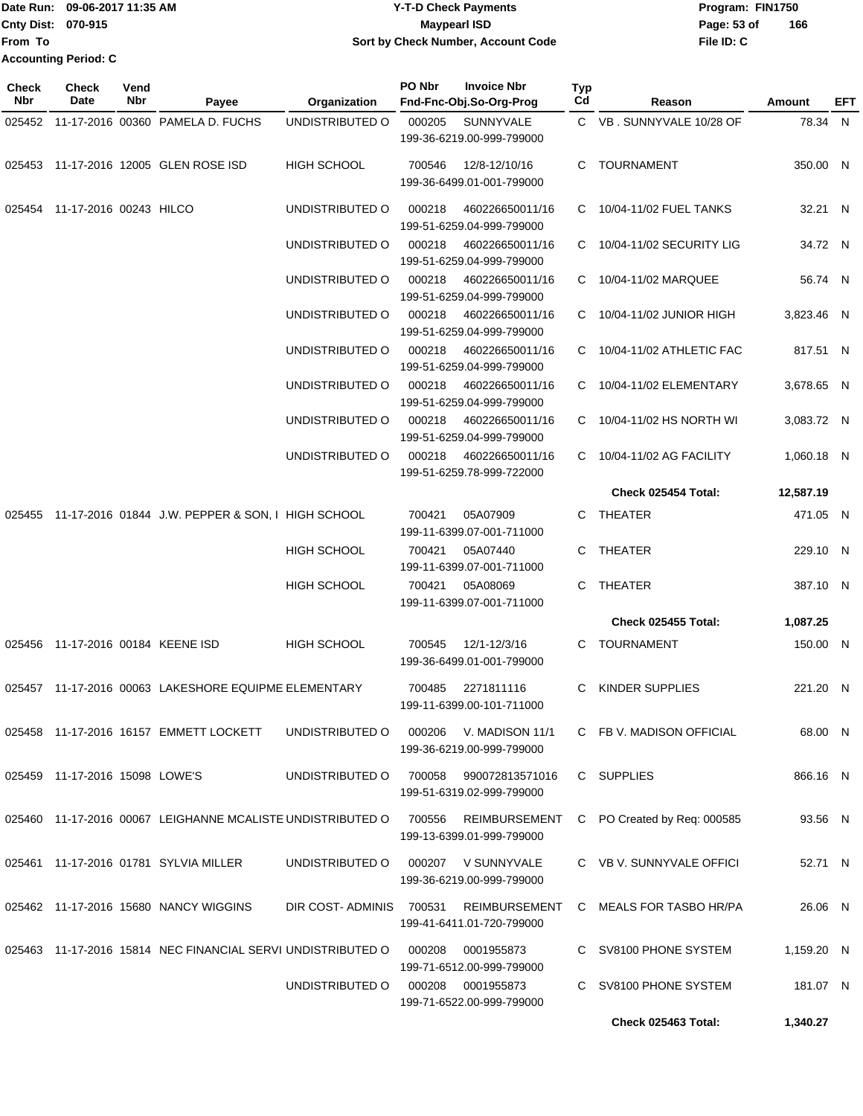| <b>Date Run:</b>          | 09-06-2017 11:35 AM  | <b>Y-T-D Check Payments</b>        | Program: FIN1750 |     |
|---------------------------|----------------------|------------------------------------|------------------|-----|
| <b>Cnty Dist: 070-915</b> |                      | Maypearl ISD                       | Page: 53 of      | 166 |
| lFrom To                  |                      | Sort by Check Number, Account Code | File ID: C       |     |
|                           | Accounting Period: C |                                    |                  |     |

| Check<br><b>Nbr</b> | <b>Check</b><br>Date              | Vend<br>Nbr | Payee                                                       | Organization            | PO Nbr | <b>Invoice Nbr</b><br>Fnd-Fnc-Obj.So-Org-Prog     | Typ<br>Cd | Reason                      | <b>Amount</b> | EFT |
|---------------------|-----------------------------------|-------------|-------------------------------------------------------------|-------------------------|--------|---------------------------------------------------|-----------|-----------------------------|---------------|-----|
|                     |                                   |             | 025452 11-17-2016 00360 PAMELA D. FUCHS                     | UNDISTRIBUTED O         | 000205 | <b>SUNNYVALE</b><br>199-36-6219.00-999-799000     |           | C VB. SUNNYVALE 10/28 OF    | 78.34 N       |     |
|                     |                                   |             | 025453 11-17-2016 12005 GLEN ROSE ISD                       | <b>HIGH SCHOOL</b>      | 700546 | 12/8-12/10/16<br>199-36-6499.01-001-799000        | C.        | TOURNAMENT                  | 350.00 N      |     |
|                     | 025454 11-17-2016 00243 HILCO     |             |                                                             | UNDISTRIBUTED O         | 000218 | 460226650011/16<br>199-51-6259.04-999-799000      | C.        | 10/04-11/02 FUEL TANKS      | 32.21 N       |     |
|                     |                                   |             |                                                             | UNDISTRIBUTED O         | 000218 | 460226650011/16<br>199-51-6259.04-999-799000      | C.        | 10/04-11/02 SECURITY LIG    | 34.72 N       |     |
|                     |                                   |             |                                                             | UNDISTRIBUTED O         | 000218 | 460226650011/16<br>199-51-6259.04-999-799000      | C         | 10/04-11/02 MARQUEE         | 56.74 N       |     |
|                     |                                   |             |                                                             | UNDISTRIBUTED O         | 000218 | 460226650011/16<br>199-51-6259.04-999-799000      |           | C 10/04-11/02 JUNIOR HIGH   | 3,823.46 N    |     |
|                     |                                   |             |                                                             | UNDISTRIBUTED O         | 000218 | 460226650011/16<br>199-51-6259.04-999-799000      | C.        | 10/04-11/02 ATHLETIC FAC    | 817.51 N      |     |
|                     |                                   |             |                                                             | UNDISTRIBUTED O         | 000218 | 460226650011/16<br>199-51-6259.04-999-799000      |           | C 10/04-11/02 ELEMENTARY    | 3,678.65 N    |     |
|                     |                                   |             |                                                             | UNDISTRIBUTED O         | 000218 | 460226650011/16<br>199-51-6259.04-999-799000      |           | C 10/04-11/02 HS NORTH WI   | 3,083.72 N    |     |
|                     |                                   |             |                                                             | UNDISTRIBUTED O         | 000218 | 460226650011/16<br>199-51-6259.78-999-722000      | C.        | 10/04-11/02 AG FACILITY     | 1,060.18 N    |     |
|                     |                                   |             |                                                             |                         |        |                                                   |           | Check 025454 Total:         | 12,587.19     |     |
|                     |                                   |             | 025455 11-17-2016 01844 J.W. PEPPER & SON, I HIGH SCHOOL    |                         | 700421 | 05A07909<br>199-11-6399.07-001-711000             |           | C THEATER                   | 471.05 N      |     |
|                     |                                   |             |                                                             | <b>HIGH SCHOOL</b>      | 700421 | 05A07440<br>199-11-6399.07-001-711000             | C         | <b>THEATER</b>              | 229.10 N      |     |
|                     |                                   |             |                                                             | <b>HIGH SCHOOL</b>      | 700421 | 05A08069<br>199-11-6399.07-001-711000             | C.        | THEATER                     | 387.10 N      |     |
|                     |                                   |             |                                                             |                         |        |                                                   |           | Check 025455 Total:         | 1,087.25      |     |
|                     | 025456 11-17-2016 00184 KEENE ISD |             |                                                             | <b>HIGH SCHOOL</b>      | 700545 | 12/1-12/3/16<br>199-36-6499.01-001-799000         |           | C TOURNAMENT                | 150.00 N      |     |
|                     |                                   |             | 025457 11-17-2016 00063 LAKESHORE EQUIPME ELEMENTARY        |                         | 700485 | 2271811116<br>199-11-6399.00-101-711000           | C.        | KINDER SUPPLIES             | 221.20 N      |     |
|                     |                                   |             | 025458 11-17-2016 16157 EMMETT LOCKETT                      | UNDISTRIBUTED O         | 000206 | V. MADISON 11/1<br>199-36-6219.00-999-799000      |           | C FB V. MADISON OFFICIAL    | 68.00 N       |     |
|                     | 025459 11-17-2016 15098 LOWE'S    |             |                                                             | UNDISTRIBUTED O         | 700058 | 990072813571016<br>199-51-6319.02-999-799000      |           | C SUPPLIES                  | 866.16 N      |     |
|                     |                                   |             | 025460 11-17-2016 00067 LEIGHANNE MCALISTE UNDISTRIBUTED O  |                         | 700556 | <b>REIMBURSEMENT</b><br>199-13-6399.01-999-799000 |           | C PO Created by Req: 000585 | 93.56 N       |     |
|                     |                                   |             | 025461 11-17-2016 01781 SYLVIA MILLER                       | UNDISTRIBUTED O         |        | 000207 V SUNNYVALE<br>199-36-6219.00-999-799000   |           | C VB V. SUNNYVALE OFFICI    | 52.71 N       |     |
|                     |                                   |             | 025462 11-17-2016 15680 NANCY WIGGINS                       | DIR COST-ADMINIS 700531 |        | REIMBURSEMENT<br>199-41-6411.01-720-799000        |           | C MEALS FOR TASBO HR/PA     | 26.06 N       |     |
|                     |                                   |             | 025463 11-17-2016 15814 NEC FINANCIAL SERVI UNDISTRIBUTED O |                         | 000208 | 0001955873<br>199-71-6512.00-999-799000           |           | C SV8100 PHONE SYSTEM       | 1,159.20 N    |     |
|                     |                                   |             |                                                             | UNDISTRIBUTED O         | 000208 | 0001955873<br>199-71-6522.00-999-799000           |           | C SV8100 PHONE SYSTEM       | 181.07 N      |     |
|                     |                                   |             |                                                             |                         |        |                                                   |           | Check 025463 Total:         | 1,340.27      |     |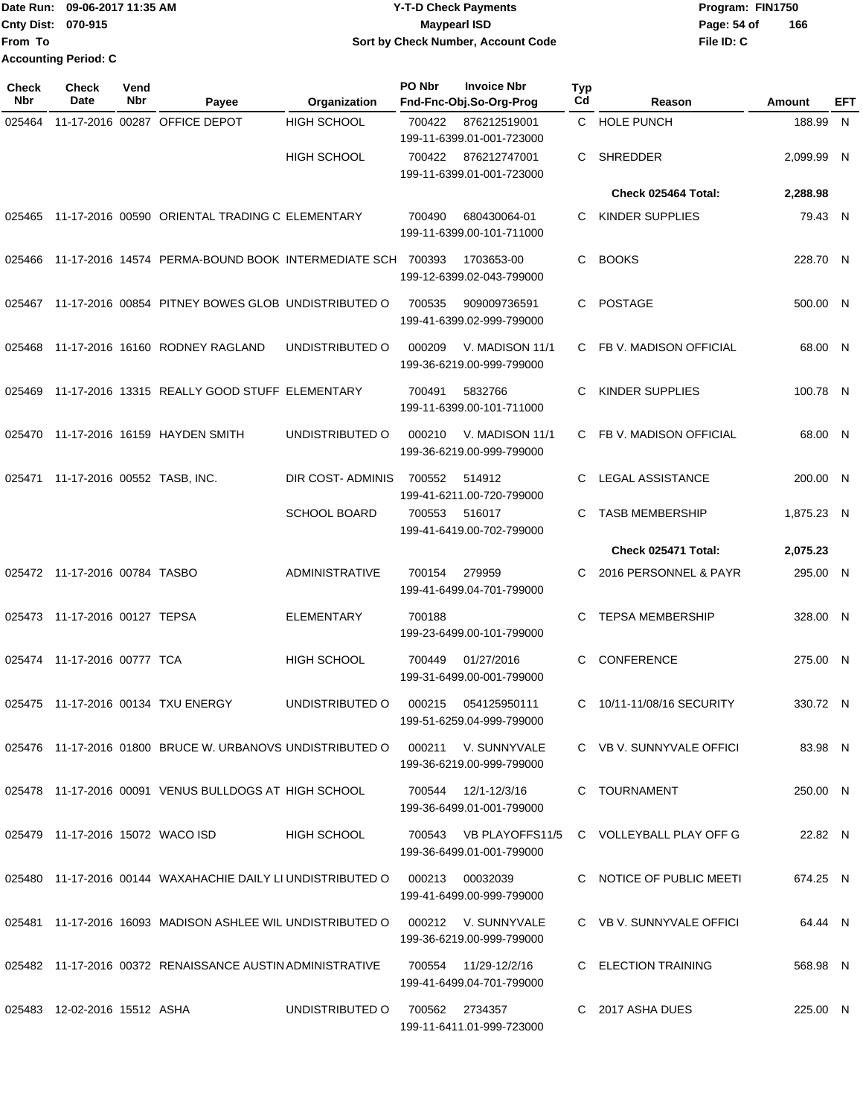#### Date Run: 09-06-2017 11:35 AM **CONTEX 100 CONTEX 12 T-D** Check Payments **CONTEX 12 T-D Check Payments** Program: FIN1750 **Cnty Dist: Page: 54 of Y-T-D Check Payments 070-915 Maypearl ISD Sort by Check Number, Account Code**

**File ID: C 166**

| <b>Check</b><br>Nbr | <b>Check</b><br>Date             | Vend<br>Nbr | Payee                                                       | Organization          | PO Nbr | <b>Invoice Nbr</b><br>Fnd-Fnc-Obj.So-Org-Prog     | Typ<br>C <sub>d</sub> | Reason                   | <b>Amount</b> | EFT |
|---------------------|----------------------------------|-------------|-------------------------------------------------------------|-----------------------|--------|---------------------------------------------------|-----------------------|--------------------------|---------------|-----|
| 025464              |                                  |             | 11-17-2016 00287 OFFICE DEPOT                               | <b>HIGH SCHOOL</b>    | 700422 | 876212519001<br>199-11-6399.01-001-723000         |                       | C HOLE PUNCH             | 188.99        | N   |
|                     |                                  |             |                                                             | <b>HIGH SCHOOL</b>    | 700422 | 876212747001<br>199-11-6399.01-001-723000         | C.                    | <b>SHREDDER</b>          | 2,099.99 N    |     |
|                     |                                  |             |                                                             |                       |        |                                                   |                       | Check 025464 Total:      | 2,288.98      |     |
| 025465              |                                  |             | 11-17-2016 00590 ORIENTAL TRADING C ELEMENTARY              |                       | 700490 | 680430064-01<br>199-11-6399.00-101-711000         | C.                    | <b>KINDER SUPPLIES</b>   | 79.43 N       |     |
| 025466              |                                  |             | 11-17-2016 14574 PERMA-BOUND BOOK INTERMEDIATE SCH 700393   |                       |        | 1703653-00<br>199-12-6399.02-043-799000           | C                     | <b>BOOKS</b>             | 228.70 N      |     |
| 025467              |                                  |             | 11-17-2016 00854 PITNEY BOWES GLOB UNDISTRIBUTED O          |                       | 700535 | 909009736591<br>199-41-6399.02-999-799000         | C                     | <b>POSTAGE</b>           | 500.00 N      |     |
| 025468              |                                  |             | 11-17-2016 16160 RODNEY RAGLAND                             | UNDISTRIBUTED O       | 000209 | V. MADISON 11/1<br>199-36-6219.00-999-799000      | C.                    | FB V. MADISON OFFICIAL   | 68.00 N       |     |
| 025469              |                                  |             | 11-17-2016 13315 REALLY GOOD STUFF ELEMENTARY               |                       | 700491 | 5832766<br>199-11-6399.00-101-711000              | C                     | KINDER SUPPLIES          | 100.78 N      |     |
|                     |                                  |             | 025470 11-17-2016 16159 HAYDEN SMITH                        | UNDISTRIBUTED O       | 000210 | V. MADISON 11/1<br>199-36-6219.00-999-799000      | C.                    | FB V. MADISON OFFICIAL   | 68.00 N       |     |
| 025471              |                                  |             | 11-17-2016 00552 TASB, INC.                                 | DIR COST-ADMINIS      | 700552 | 514912<br>199-41-6211.00-720-799000               | C                     | <b>LEGAL ASSISTANCE</b>  | 200.00 N      |     |
|                     |                                  |             |                                                             | <b>SCHOOL BOARD</b>   | 700553 | 516017<br>199-41-6419.00-702-799000               | C                     | <b>TASB MEMBERSHIP</b>   | 1,875.23 N    |     |
|                     |                                  |             |                                                             |                       |        |                                                   |                       | Check 025471 Total:      | 2,075.23      |     |
|                     | 025472 11-17-2016 00784 TASBO    |             |                                                             | <b>ADMINISTRATIVE</b> | 700154 | 279959<br>199-41-6499.04-701-799000               | C                     | 2016 PERSONNEL & PAYR    | 295.00 N      |     |
|                     | 025473 11-17-2016 00127 TEPSA    |             |                                                             | <b>ELEMENTARY</b>     | 700188 | 199-23-6499.00-101-799000                         | C                     | <b>TEPSA MEMBERSHIP</b>  | 328.00 N      |     |
|                     | 025474 11-17-2016 00777 TCA      |             |                                                             | <b>HIGH SCHOOL</b>    | 700449 | 01/27/2016<br>199-31-6499.00-001-799000           | C                     | CONFERENCE               | 275.00 N      |     |
|                     |                                  |             | 025475  11-17-2016  00134  TXU ENERGY                       | UNDISTRIBUTED O       | 000215 | 054125950111<br>199-51-6259.04-999-799000         | C.                    | 10/11-11/08/16 SECURITY  | 330.72 N      |     |
|                     |                                  |             | 025476 11-17-2016 01800 BRUCE W. URBANOVS UNDISTRIBUTED O   |                       |        | 000211 V. SUNNYVALE<br>199-36-6219.00-999-799000  |                       | C VB V. SUNNYVALE OFFICI | 83.98 N       |     |
|                     |                                  |             | 025478 11-17-2016 00091 VENUS BULLDOGS AT HIGH SCHOOL       |                       | 700544 | 12/1-12/3/16<br>199-36-6499.01-001-799000         |                       | C TOURNAMENT             | 250.00 N      |     |
|                     | 025479 11-17-2016 15072 WACO ISD |             |                                                             | <b>HIGH SCHOOL</b>    | 700543 | VB PLAYOFFS11/5<br>199-36-6499.01-001-799000      |                       | C VOLLEYBALL PLAY OFF G  | 22.82 N       |     |
|                     |                                  |             | 025480 11-17-2016 00144 WAXAHACHIE DAILY LI UNDISTRIBUTED O |                       |        | 000213 00032039<br>199-41-6499.00-999-799000      |                       | C NOTICE OF PUBLIC MEETI | 674.25 N      |     |
|                     |                                  |             | 025481 11-17-2016 16093 MADISON ASHLEE WIL UNDISTRIBUTED O  |                       |        | 000212 V. SUNNYVALE<br>199-36-6219.00-999-799000  |                       | C VB V. SUNNYVALE OFFICI | 64.44 N       |     |
|                     |                                  |             | 025482 11-17-2016 00372 RENAISSANCE AUSTIN ADMINISTRATIVE   |                       |        | 700554 11/29-12/2/16<br>199-41-6499.04-701-799000 |                       | C ELECTION TRAINING      | 568.98 N      |     |
|                     | 025483 12-02-2016 15512 ASHA     |             |                                                             | UNDISTRIBUTED O       |        | 700562 2734357                                    |                       | C 2017 ASHA DUES         | 225.00 N      |     |

199-11-6411.01-999-723000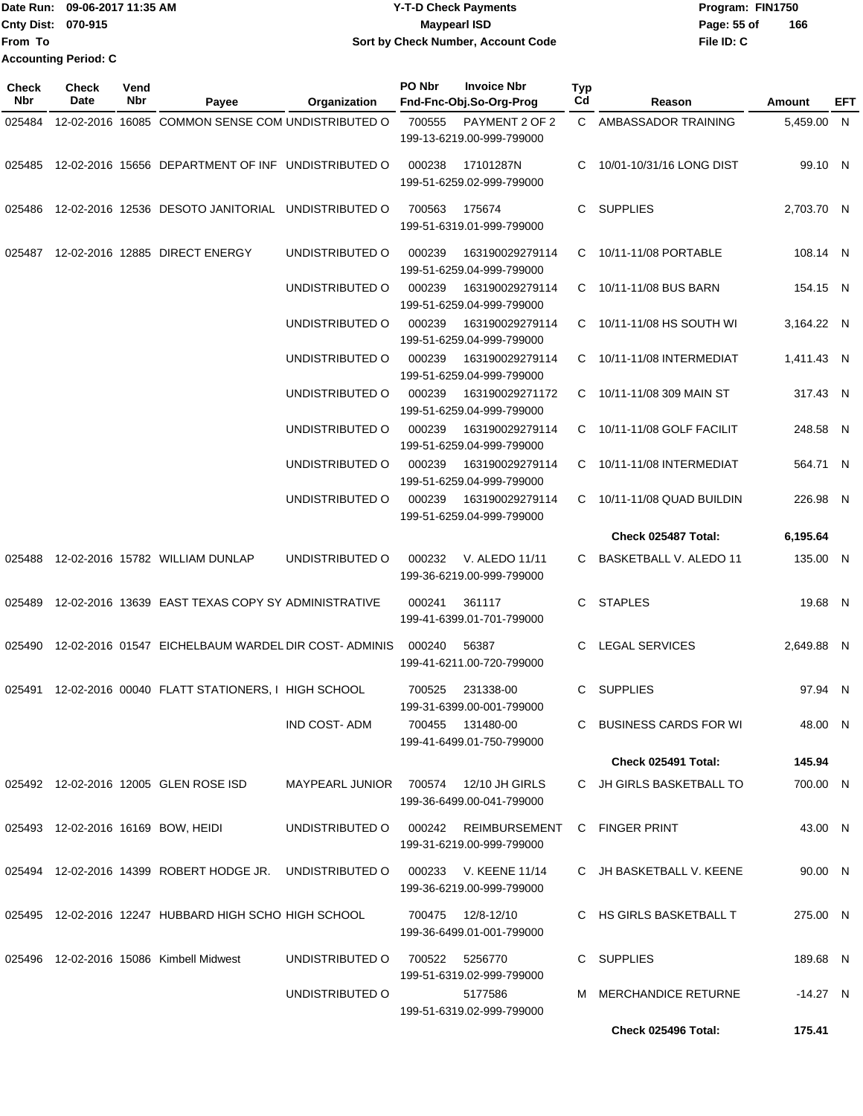| <b>IDate Run:</b>         | 09-06-2017 11:35 AM         | <b>Y-T-D Check Payments</b>        | Program: FIN1750   |
|---------------------------|-----------------------------|------------------------------------|--------------------|
| <b>Cnty Dist: 070-915</b> |                             | <b>Maypearl ISD</b>                | 166<br>Page: 55 of |
| lFrom To                  |                             | Sort by Check Number, Account Code | File ID: C         |
|                           | <b>Accounting Period: C</b> |                                    |                    |

**Typ**

**Check**

**Check**

**Vend**

| Nbr    | Date | Nbr | Payee                                                      | Organization        | Fnd-Fnc-Obj.So-Org-Prog                                     | Cd | Reason                     | Amount     | <b>EFT</b> |
|--------|------|-----|------------------------------------------------------------|---------------------|-------------------------------------------------------------|----|----------------------------|------------|------------|
| 025484 |      |     | 12-02-2016 16085 COMMON SENSE COM UNDISTRIBUTED O          |                     | 700555<br>PAYMENT 2 OF 2<br>199-13-6219.00-999-799000       |    | C AMBASSADOR TRAINING      | 5,459.00 N |            |
|        |      |     | 025485 12-02-2016 15656 DEPARTMENT OF INF UNDISTRIBUTED O  |                     | 000238<br>17101287N<br>199-51-6259.02-999-799000            |    | C 10/01-10/31/16 LONG DIST | 99.10 N    |            |
|        |      |     | 025486 12-02-2016 12536 DESOTO JANITORIAL UNDISTRIBUTED O  |                     | 700563<br>175674<br>199-51-6319.01-999-799000               |    | C SUPPLIES                 | 2,703.70 N |            |
| 025487 |      |     | 12-02-2016 12885 DIRECT ENERGY                             | UNDISTRIBUTED O     | 000239<br>163190029279114<br>199-51-6259.04-999-799000      |    | C 10/11-11/08 PORTABLE     | 108.14 N   |            |
|        |      |     |                                                            | UNDISTRIBUTED O     | 000239<br>163190029279114<br>199-51-6259.04-999-799000      |    | C 10/11-11/08 BUS BARN     | 154.15 N   |            |
|        |      |     |                                                            | UNDISTRIBUTED O     | 000239<br>163190029279114<br>199-51-6259.04-999-799000      |    | C 10/11-11/08 HS SOUTH WI  | 3,164.22 N |            |
|        |      |     |                                                            | UNDISTRIBUTED O     | 163190029279114<br>000239<br>199-51-6259.04-999-799000      |    | C 10/11-11/08 INTERMEDIAT  | 1,411.43 N |            |
|        |      |     |                                                            | UNDISTRIBUTED O     | 000239<br>163190029271172<br>199-51-6259.04-999-799000      |    | C 10/11-11/08 309 MAIN ST  | 317.43 N   |            |
|        |      |     |                                                            | UNDISTRIBUTED O     | 163190029279114<br>000239<br>199-51-6259.04-999-799000      |    | C 10/11-11/08 GOLF FACILIT | 248.58 N   |            |
|        |      |     |                                                            | UNDISTRIBUTED O     | 000239<br>163190029279114<br>199-51-6259.04-999-799000      |    | C 10/11-11/08 INTERMEDIAT  | 564.71 N   |            |
|        |      |     |                                                            | UNDISTRIBUTED O     | 000239<br>163190029279114<br>199-51-6259.04-999-799000      |    | C 10/11-11/08 QUAD BUILDIN | 226.98 N   |            |
|        |      |     |                                                            |                     |                                                             |    | Check 025487 Total:        | 6,195.64   |            |
|        |      |     | 025488 12-02-2016 15782 WILLIAM DUNLAP                     | UNDISTRIBUTED O     | 000232<br>V. ALEDO 11/11<br>199-36-6219.00-999-799000       |    | C BASKETBALL V. ALEDO 11   | 135.00 N   |            |
|        |      |     | 025489 12-02-2016 13639 EAST TEXAS COPY SY ADMINISTRATIVE  |                     | 000241<br>361117<br>199-41-6399.01-701-799000               |    | C STAPLES                  | 19.68 N    |            |
|        |      |     | 025490 12-02-2016 01547 EICHELBAUM WARDEL DIR COST-ADMINIS |                     | 000240<br>56387<br>199-41-6211.00-720-799000                |    | C LEGAL SERVICES           | 2,649.88 N |            |
| 025491 |      |     | 12-02-2016 00040 FLATT STATIONERS, I HIGH SCHOOL           |                     | 231338-00<br>700525<br>199-31-6399.00-001-799000            |    | C SUPPLIES                 | 97.94 N    |            |
|        |      |     |                                                            | <b>IND COST-ADM</b> | 700455 131480-00<br>199-41-6499.01-750-799000               |    | C BUSINESS CARDS FOR WI    | 48.00 N    |            |
|        |      |     |                                                            |                     |                                                             |    | Check 025491 Total:        | 145.94     |            |
|        |      |     | 025492 12-02-2016 12005 GLEN ROSE ISD                      | MAYPEARL JUNIOR     | 12/10 JH GIRLS<br>700574<br>199-36-6499.00-041-799000       |    | C JH GIRLS BASKETBALL TO   | 700.00 N   |            |
|        |      |     | 025493 12-02-2016 16169 BOW, HEIDI                         | UNDISTRIBUTED O     | <b>REIMBURSEMENT</b><br>000242<br>199-31-6219.00-999-799000 |    | C FINGER PRINT             | 43.00 N    |            |
|        |      |     | 025494 12-02-2016 14399 ROBERT HODGE JR.                   | UNDISTRIBUTED O     | 000233 V. KEENE 11/14<br>199-36-6219.00-999-799000          |    | C JH BASKETBALL V. KEENE   | 90.00 N    |            |
|        |      |     | 025495 12-02-2016 12247 HUBBARD HIGH SCHO HIGH SCHOOL      |                     | 700475  12/8-12/10<br>199-36-6499.01-001-799000             |    | C HS GIRLS BASKETBALL T    | 275.00 N   |            |
|        |      |     | 025496 12-02-2016 15086 Kimbell Midwest                    | UNDISTRIBUTED O     | 700522<br>5256770<br>199-51-6319.02-999-799000              |    | C SUPPLIES                 | 189.68 N   |            |
|        |      |     |                                                            | UNDISTRIBUTED O     | 5177586<br>199-51-6319.02-999-799000                        |    | M MERCHANDICE RETURNE      | -14.27 N   |            |
|        |      |     |                                                            |                     |                                                             |    | Check 025496 Total:        | 175.41     |            |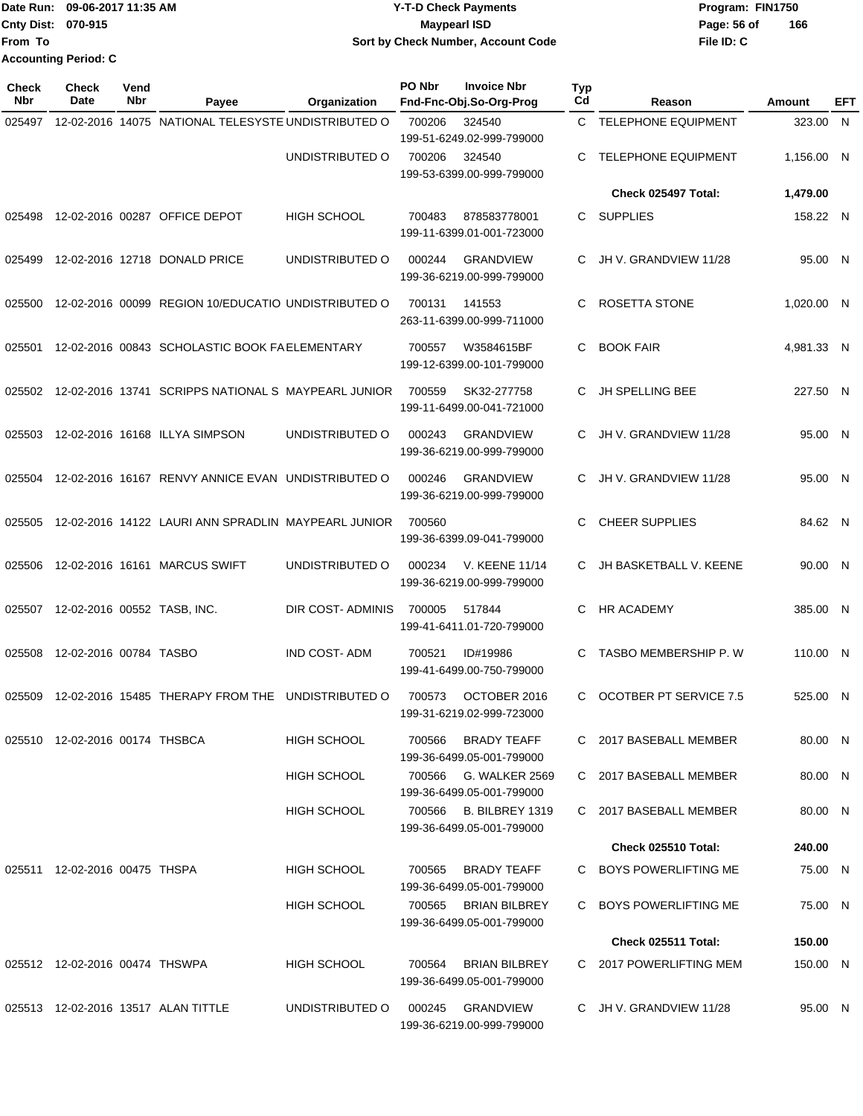Date Run: 09-06-2017 11:35 AM **CONTEX 100 CONTEX 11:35 AM** Y-T-D Check Payments **CONTEX 12:35 AM** Program: FIN1750 **Cnty Dist:** 070-915 **Page: 56 of MaypearI ISD Page: 56 of File ID: C From To 09-06-2017 11:35 AM Y-T-D Check Payments 070-915 Maypearl ISD Sort by Check Number, Account Code 166 Accounting Period: C**

| Check<br><b>Nbr</b> | Check<br><b>Date</b>           | Vend<br>Nbr | Payee                                               | Organization        | PO Nbr | <b>Invoice Nbr</b><br>Fnd-Fnc-Obj.So-Org-Prog      | <b>Typ</b><br>Cd | Reason                        | Amount     | EFT |
|---------------------|--------------------------------|-------------|-----------------------------------------------------|---------------------|--------|----------------------------------------------------|------------------|-------------------------------|------------|-----|
| 025497              |                                |             | 12-02-2016 14075 NATIONAL TELESYSTE UNDISTRIBUTED O |                     | 700206 | 324540<br>199-51-6249.02-999-799000                | C.               | <b>TELEPHONE EQUIPMENT</b>    | 323.00     | N.  |
|                     |                                |             |                                                     | UNDISTRIBUTED O     | 700206 | 324540<br>199-53-6399.00-999-799000                | C                | <b>TELEPHONE EQUIPMENT</b>    | 1,156.00 N |     |
|                     |                                |             |                                                     |                     |        |                                                    |                  | Check 025497 Total:           | 1,479.00   |     |
| 025498              |                                |             | 12-02-2016 00287 OFFICE DEPOT                       | <b>HIGH SCHOOL</b>  | 700483 | 878583778001<br>199-11-6399.01-001-723000          | C.               | <b>SUPPLIES</b>               | 158.22 N   |     |
| 025499              |                                |             | 12-02-2016 12718 DONALD PRICE                       | UNDISTRIBUTED O     | 000244 | <b>GRANDVIEW</b><br>199-36-6219.00-999-799000      | C                | JH V. GRANDVIEW 11/28         | 95.00 N    |     |
| 025500              |                                |             | 12-02-2016 00099 REGION 10/EDUCATIO UNDISTRIBUTED O |                     | 700131 | 141553<br>263-11-6399.00-999-711000                | C                | ROSETTA STONE                 | 1,020.00 N |     |
| 025501              |                                |             | 12-02-2016 00843 SCHOLASTIC BOOK FAELEMENTARY       |                     | 700557 | W3584615BF<br>199-12-6399.00-101-799000            | C                | <b>BOOK FAIR</b>              | 4,981.33 N |     |
| 025502              |                                |             | 12-02-2016 13741 SCRIPPS NATIONAL S MAYPEARL JUNIOR |                     | 700559 | SK32-277758<br>199-11-6499.00-041-721000           | C                | <b>JH SPELLING BEE</b>        | 227.50 N   |     |
| 025503              |                                |             | 12-02-2016 16168 ILLYA SIMPSON                      | UNDISTRIBUTED O     | 000243 | <b>GRANDVIEW</b><br>199-36-6219.00-999-799000      | C.               | JH V. GRANDVIEW 11/28         | 95.00 N    |     |
| 025504              |                                |             | 12-02-2016 16167 RENVY ANNICE EVAN UNDISTRIBUTED O  |                     | 000246 | <b>GRANDVIEW</b><br>199-36-6219.00-999-799000      | C                | JH V. GRANDVIEW 11/28         | 95.00 N    |     |
| 025505              |                                |             | 12-02-2016 14122 LAURI ANN SPRADLIN MAYPEARL JUNIOR |                     | 700560 | 199-36-6399.09-041-799000                          | С                | <b>CHEER SUPPLIES</b>         | 84.62 N    |     |
| 025506              |                                |             | 12-02-2016 16161 MARCUS SWIFT                       | UNDISTRIBUTED O     | 000234 | <b>V. KEENE 11/14</b><br>199-36-6219.00-999-799000 | C                | JH BASKETBALL V. KEENE        | 90.00 N    |     |
| 025507              | 12-02-2016 00552 TASB, INC.    |             |                                                     | DIR COST-ADMINIS    | 700005 | 517844<br>199-41-6411.01-720-799000                | C                | HR ACADEMY                    | 385.00 N   |     |
| 025508              | 12-02-2016 00784 TASBO         |             |                                                     | <b>IND COST-ADM</b> | 700521 | ID#19986<br>199-41-6499.00-750-799000              | C                | <b>TASBO MEMBERSHIP P. W</b>  | 110.00 N   |     |
| 025509              |                                |             | 12-02-2016 15485 THERAPY FROM THE                   | UNDISTRIBUTED O     | 700573 | OCTOBER 2016<br>199-31-6219.02-999-723000          | C                | <b>OCOTBER PT SERVICE 7.5</b> | 525.00 N   |     |
|                     | 025510 12-02-2016 00174 THSBCA |             |                                                     | HIGH SCHOOL         | 700566 | <b>BRADY TEAFF</b><br>199-36-6499.05-001-799000    |                  | C 2017 BASEBALL MEMBER        | 80.00 N    |     |
|                     |                                |             |                                                     | HIGH SCHOOL         | 700566 | G. WALKER 2569<br>199-36-6499.05-001-799000        |                  | C 2017 BASEBALL MEMBER        | 80.00 N    |     |
|                     |                                |             |                                                     | <b>HIGH SCHOOL</b>  | 700566 | B. BILBREY 1319<br>199-36-6499.05-001-799000       |                  | C 2017 BASEBALL MEMBER        | 80.00 N    |     |
|                     |                                |             |                                                     |                     |        |                                                    |                  | Check 025510 Total:           | 240.00     |     |
| 025511              | 12-02-2016 00475 THSPA         |             |                                                     | HIGH SCHOOL         | 700565 | <b>BRADY TEAFF</b><br>199-36-6499.05-001-799000    |                  | C BOYS POWERLIFTING ME        | 75.00 N    |     |
|                     |                                |             |                                                     | <b>HIGH SCHOOL</b>  |        | 700565 BRIAN BILBREY<br>199-36-6499.05-001-799000  |                  | C BOYS POWERLIFTING ME        | 75.00 N    |     |
|                     |                                |             |                                                     |                     |        |                                                    |                  | Check 025511 Total:           | 150.00     |     |
|                     | 025512 12-02-2016 00474 THSWPA |             |                                                     | HIGH SCHOOL         | 700564 | <b>BRIAN BILBREY</b><br>199-36-6499.05-001-799000  |                  | C 2017 POWERLIFTING MEM       | 150.00 N   |     |
|                     |                                |             | 025513 12-02-2016 13517 ALAN TITTLE                 | UNDISTRIBUTED O     | 000245 | GRANDVIEW<br>199-36-6219.00-999-799000             |                  | C JH V. GRANDVIEW 11/28       | 95.00 N    |     |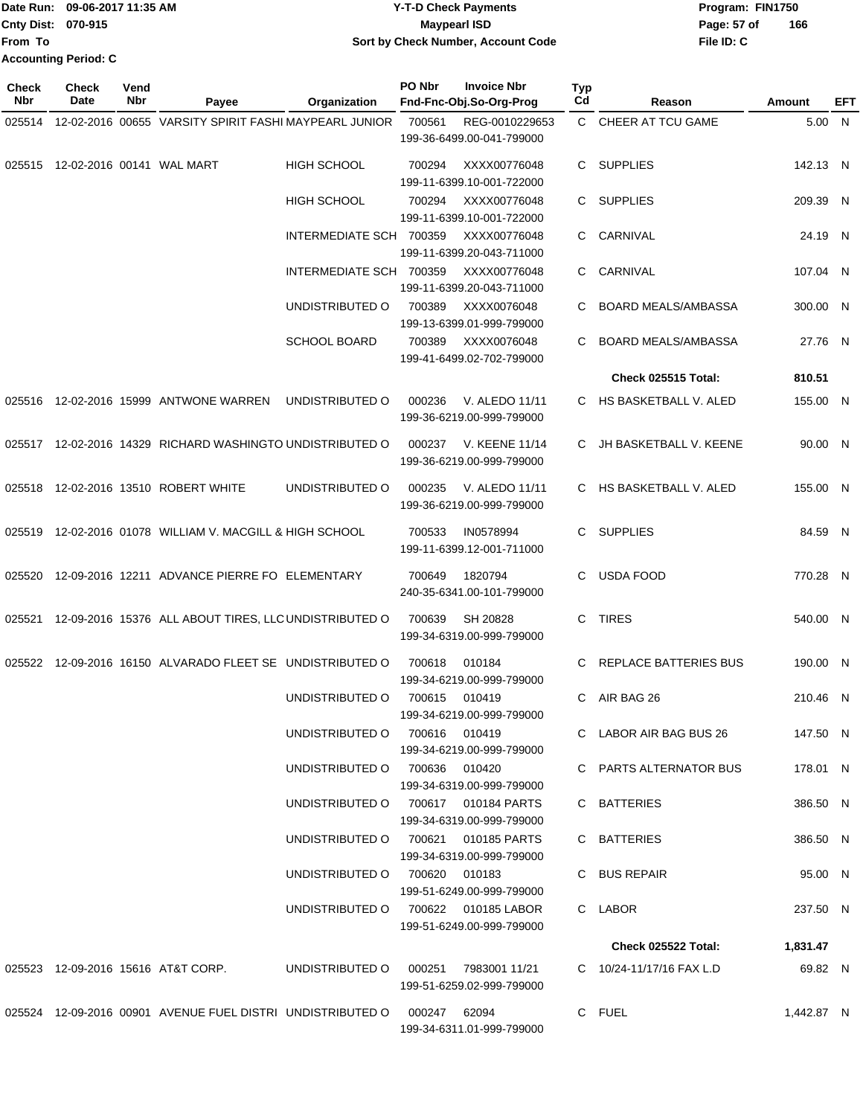| <b>Date Run:</b>            | 09-06-2017 11:35 AM | <b>Y-T-D Check Payments</b>        | Program: FIN1750   |
|-----------------------------|---------------------|------------------------------------|--------------------|
| <b>Cnty Dist: 070-915</b>   |                     | Maypearl ISD                       | 166<br>Page: 57 of |
| <b>IFrom To</b>             |                     | Sort by Check Number, Account Code | File ID: C         |
| <b>Accounting Period: C</b> |                     |                                    |                    |

| Check<br><b>Nbr</b> | Check<br>Date | Vend<br>Nbr | Payee                                                                   | Organization                        | PO Nbr | <b>Invoice Nbr</b><br>Fnd-Fnc-Obj.So-Org-Prog | <b>Typ</b><br>Cd | Reason                     | Amount     | EFT |
|---------------------|---------------|-------------|-------------------------------------------------------------------------|-------------------------------------|--------|-----------------------------------------------|------------------|----------------------------|------------|-----|
| 025514              |               |             | 12-02-2016 00655 VARSITY SPIRIT FASHI MAYPEARL JUNIOR                   |                                     | 700561 | REG-0010229653<br>199-36-6499.00-041-799000   |                  | C CHEER AT TCU GAME        | 5.00 N     |     |
| 025515              |               |             | 12-02-2016 00141 WAL MART                                               | <b>HIGH SCHOOL</b>                  | 700294 | XXXX00776048<br>199-11-6399.10-001-722000     | C.               | <b>SUPPLIES</b>            | 142.13 N   |     |
|                     |               |             |                                                                         | <b>HIGH SCHOOL</b>                  | 700294 | XXXX00776048<br>199-11-6399.10-001-722000     | C.               | <b>SUPPLIES</b>            | 209.39 N   |     |
|                     |               |             |                                                                         | INTERMEDIATE SCH 700359             |        | XXXX00776048<br>199-11-6399.20-043-711000     | C                | CARNIVAL                   | 24.19 N    |     |
|                     |               |             |                                                                         | INTERMEDIATE SCH 700359             |        | XXXX00776048<br>199-11-6399.20-043-711000     | C                | CARNIVAL                   | 107.04 N   |     |
|                     |               |             |                                                                         | UNDISTRIBUTED O                     | 700389 | XXXX0076048<br>199-13-6399.01-999-799000      | C                | <b>BOARD MEALS/AMBASSA</b> | 300.00 N   |     |
|                     |               |             |                                                                         | <b>SCHOOL BOARD</b>                 | 700389 | XXXX0076048<br>199-41-6499.02-702-799000      | C                | <b>BOARD MEALS/AMBASSA</b> | 27.76 N    |     |
|                     |               |             |                                                                         |                                     |        |                                               |                  | <b>Check 025515 Total:</b> | 810.51     |     |
| 025516              |               |             | 12-02-2016 15999 ANTWONE WARREN                                         | UNDISTRIBUTED O                     | 000236 | V. ALEDO 11/11<br>199-36-6219.00-999-799000   |                  | C HS BASKETBALL V. ALED    | 155.00 N   |     |
|                     |               |             | 025517 12-02-2016 14329 RICHARD WASHINGTO UNDISTRIBUTED O               |                                     | 000237 | V. KEENE 11/14<br>199-36-6219.00-999-799000   | C                | JH BASKETBALL V. KEENE     | 90.00 N    |     |
| 025518              |               |             | 12-02-2016 13510 ROBERT WHITE                                           | UNDISTRIBUTED O                     | 000235 | V. ALEDO 11/11<br>199-36-6219.00-999-799000   | C                | HS BASKETBALL V. ALED      | 155.00 N   |     |
| 025519              |               |             | 12-02-2016 01078 WILLIAM V. MACGILL & HIGH SCHOOL                       |                                     | 700533 | IN0578994<br>199-11-6399.12-001-711000        | C                | <b>SUPPLIES</b>            | 84.59 N    |     |
| 025520              |               |             | 12-09-2016 12211 ADVANCE PIERRE FO ELEMENTARY                           |                                     | 700649 | 1820794<br>240-35-6341.00-101-799000          | C                | <b>USDA FOOD</b>           | 770.28 N   |     |
| 025521              |               |             | 12-09-2016 15376 ALL ABOUT TIRES, LLC UNDISTRIBUTED O                   |                                     | 700639 | SH 20828<br>199-34-6319.00-999-799000         | C                | <b>TIRES</b>               | 540.00 N   |     |
| 025522              |               |             | 12-09-2016 16150 ALVARADO FLEET SE UNDISTRIBUTED O                      |                                     | 700618 | 010184<br>199-34-6219.00-999-799000           | C.               | REPLACE BATTERIES BUS      | 190.00 N   |     |
|                     |               |             |                                                                         | UNDISTRIBUTED O                     | 700615 | 010419<br>199-34-6219.00-999-799000           | C                | AIR BAG 26                 | 210.46 N   |     |
|                     |               |             |                                                                         | UNDISTRIBUTED O                     | 700616 | 010419<br>199-34-6219.00-999-799000           |                  | C LABOR AIR BAG BUS 26     | 147.50 N   |     |
|                     |               |             |                                                                         | UNDISTRIBUTED O 700636 010420       |        | 199-34-6319.00-999-799000                     |                  | C PARTS ALTERNATOR BUS     | 178.01 N   |     |
|                     |               |             |                                                                         | UNDISTRIBUTED O 700617 010184 PARTS |        | 199-34-6319.00-999-799000                     |                  | C BATTERIES                | 386.50 N   |     |
|                     |               |             |                                                                         | UNDISTRIBUTED O 700621 010185 PARTS |        | 199-34-6319.00-999-799000                     |                  | C BATTERIES                | 386.50 N   |     |
|                     |               |             |                                                                         | UNDISTRIBUTED O 700620              |        | 010183<br>199-51-6249.00-999-799000           |                  | C BUS REPAIR               | 95.00 N    |     |
|                     |               |             |                                                                         | UNDISTRIBUTED O 700622 010185 LABOR |        | 199-51-6249.00-999-799000                     |                  | C LABOR                    | 237.50 N   |     |
|                     |               |             |                                                                         |                                     |        |                                               |                  | <b>Check 025522 Total:</b> | 1,831.47   |     |
|                     |               |             | 025523 12-09-2016 15616 AT&T CORP.                                      | UNDISTRIBUTED O                     | 000251 | 7983001 11/21<br>199-51-6259.02-999-799000    |                  | C 10/24-11/17/16 FAX L.D   | 69.82 N    |     |
|                     |               |             | 025524 12-09-2016 00901 AVENUE FUEL DISTRI UNDISTRIBUTED O 000247 62094 |                                     |        | 199-34-6311.01-999-799000                     |                  | C FUEL                     | 1,442.87 N |     |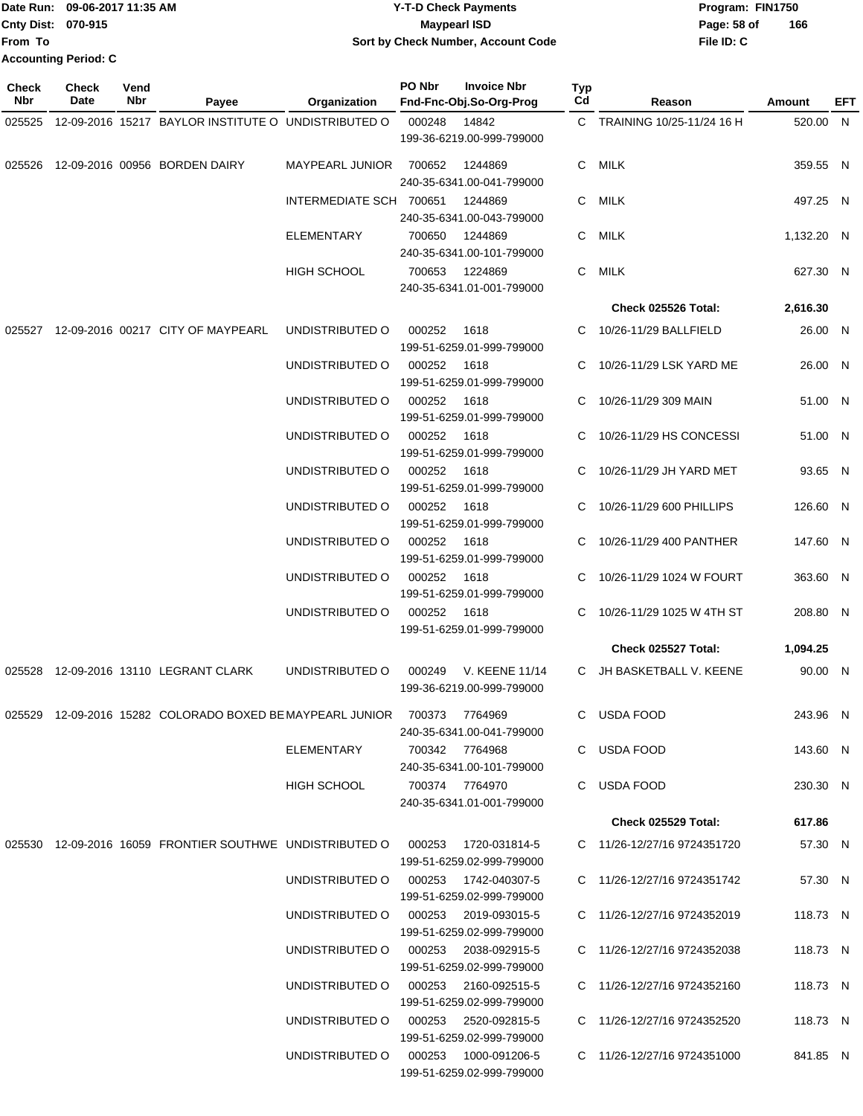|                             | Date Run: 09-06-2017 11:35 AM | <b>Y-T-D Check Payments</b>        | Program: FIN1750 |     |
|-----------------------------|-------------------------------|------------------------------------|------------------|-----|
| Cnty Dist: 070-915          |                               | <b>Mavpearl ISD</b>                | Page: 58 of      | 166 |
| lFrom To                    |                               | Sort by Check Number, Account Code | File ID: C       |     |
| <b>Accounting Period: C</b> |                               |                                    |                  |     |

| <b>Check</b><br><b>Nbr</b> | <b>Check</b><br>Date | Vend<br>Nbr | Payee                                                                         | Organization                         | PO Nbr         | <b>Invoice Nbr</b><br>Fnd-Fnc-Obj.So-Org-Prog      | Typ<br>Cd | Reason                      | Amount     | EFT |
|----------------------------|----------------------|-------------|-------------------------------------------------------------------------------|--------------------------------------|----------------|----------------------------------------------------|-----------|-----------------------------|------------|-----|
| 025525                     |                      |             | 12-09-2016 15217 BAYLOR INSTITUTE O UNDISTRIBUTED O                           |                                      | 000248         | 14842<br>199-36-6219.00-999-799000                 |           | C TRAINING 10/25-11/24 16 H | 520.00 N   |     |
| 025526                     |                      |             | 12-09-2016 00956 BORDEN DAIRY                                                 | MAYPEARL JUNIOR                      | 700652         | 1244869<br>240-35-6341.00-041-799000               |           | C MILK                      | 359.55 N   |     |
|                            |                      |             |                                                                               | INTERMEDIATE SCH 700651              |                | 1244869<br>240-35-6341.00-043-799000               |           | C MILK                      | 497.25 N   |     |
|                            |                      |             |                                                                               | <b>ELEMENTARY</b>                    | 700650         | 1244869<br>240-35-6341.00-101-799000               |           | C MILK                      | 1,132.20 N |     |
|                            |                      |             |                                                                               | <b>HIGH SCHOOL</b>                   | 700653         | 1224869<br>240-35-6341.01-001-799000               | C.        | MILK                        | 627.30 N   |     |
|                            |                      |             |                                                                               |                                      |                |                                                    |           | Check 025526 Total:         | 2,616.30   |     |
|                            |                      |             | 025527 12-09-2016 00217 CITY OF MAYPEARL                                      | UNDISTRIBUTED O                      | 000252         | 1618<br>199-51-6259.01-999-799000                  | C.        | 10/26-11/29 BALLFIELD       | 26.00 N    |     |
|                            |                      |             |                                                                               | UNDISTRIBUTED O                      | 000252         | 1618<br>199-51-6259.01-999-799000                  | C         | 10/26-11/29 LSK YARD ME     | 26.00 N    |     |
|                            |                      |             |                                                                               | UNDISTRIBUTED O                      | 000252         | 1618<br>199-51-6259.01-999-799000                  | C         | 10/26-11/29 309 MAIN        | 51.00 N    |     |
|                            |                      |             |                                                                               | UNDISTRIBUTED O                      | 000252         | 1618<br>199-51-6259.01-999-799000                  | C         | 10/26-11/29 HS CONCESSI     | 51.00 N    |     |
|                            |                      |             |                                                                               | UNDISTRIBUTED O                      | 000252         | 1618<br>199-51-6259.01-999-799000                  | C.        | 10/26-11/29 JH YARD MET     | 93.65 N    |     |
|                            |                      |             |                                                                               | UNDISTRIBUTED O                      | 000252         | 1618<br>199-51-6259.01-999-799000                  |           | 10/26-11/29 600 PHILLIPS    | 126.60 N   |     |
|                            |                      |             |                                                                               | UNDISTRIBUTED O                      | 000252         | 1618<br>199-51-6259.01-999-799000                  | C         | 10/26-11/29 400 PANTHER     | 147.60 N   |     |
|                            |                      |             |                                                                               | UNDISTRIBUTED O                      | 000252         | 1618<br>199-51-6259.01-999-799000                  | C         | 10/26-11/29 1024 W FOURT    | 363.60 N   |     |
|                            |                      |             |                                                                               | UNDISTRIBUTED O                      | 000252         | 1618<br>199-51-6259.01-999-799000                  | C         | 10/26-11/29 1025 W 4TH ST   | 208.80 N   |     |
|                            |                      |             |                                                                               |                                      |                |                                                    |           | Check 025527 Total:         | 1,094.25   |     |
| 025528                     |                      |             | 12-09-2016 13110 LEGRANT CLARK                                                | UNDISTRIBUTED O                      | 000249         | V. KEENE 11/14<br>199-36-6219.00-999-799000        |           | C JH BASKETBALL V. KEENE    | 90.00 N    |     |
|                            |                      |             | 025529 12-09-2016 15282 COLORADO BOXED BE MAYPEARL JUNIOR 700373 7764969      |                                      |                | 240-35-6341.00-041-799000                          |           | C USDA FOOD                 | 243.96 N   |     |
|                            |                      |             |                                                                               | <b>ELEMENTARY</b>                    | 700342 7764968 | 240-35-6341.00-101-799000                          |           | C USDA FOOD                 | 143.60 N   |     |
|                            |                      |             |                                                                               | HIGH SCHOOL                          | 700374 7764970 | 240-35-6341.01-001-799000                          |           | C USDA FOOD                 | 230.30 N   |     |
|                            |                      |             |                                                                               |                                      |                |                                                    |           | Check 025529 Total:         | 617.86     |     |
|                            |                      |             | 025530 12-09-2016 16059 FRONTIER SOUTHWE UNDISTRIBUTED O 000253 1720-031814-5 |                                      |                | 199-51-6259.02-999-799000                          |           | C 11/26-12/27/16 9724351720 | 57.30 N    |     |
|                            |                      |             |                                                                               | UNDISTRIBUTED O                      |                | 000253 1742-040307-5<br>199-51-6259.02-999-799000  |           | C 11/26-12/27/16 9724351742 | 57.30 N    |     |
|                            |                      |             |                                                                               | UNDISTRIBUTED O 000253 2019-093015-5 |                | 199-51-6259.02-999-799000                          |           | C 11/26-12/27/16 9724352019 | 118.73 N   |     |
|                            |                      |             |                                                                               | UNDISTRIBUTED O 000253 2038-092915-5 |                | 199-51-6259.02-999-799000                          |           | C 11/26-12/27/16 9724352038 | 118.73 N   |     |
|                            |                      |             |                                                                               | UNDISTRIBUTED O 000253 2160-092515-5 |                | 199-51-6259.02-999-799000                          |           | C 11/26-12/27/16 9724352160 | 118.73 N   |     |
|                            |                      |             |                                                                               | UNDISTRIBUTED O                      |                | 000253 2520-092815-5<br>199-51-6259.02-999-799000  |           | C 11/26-12/27/16 9724352520 | 118.73 N   |     |
|                            |                      |             |                                                                               | UNDISTRIBUTED O                      |                | 000253  1000-091206-5<br>199-51-6259.02-999-799000 |           | C 11/26-12/27/16 9724351000 | 841.85 N   |     |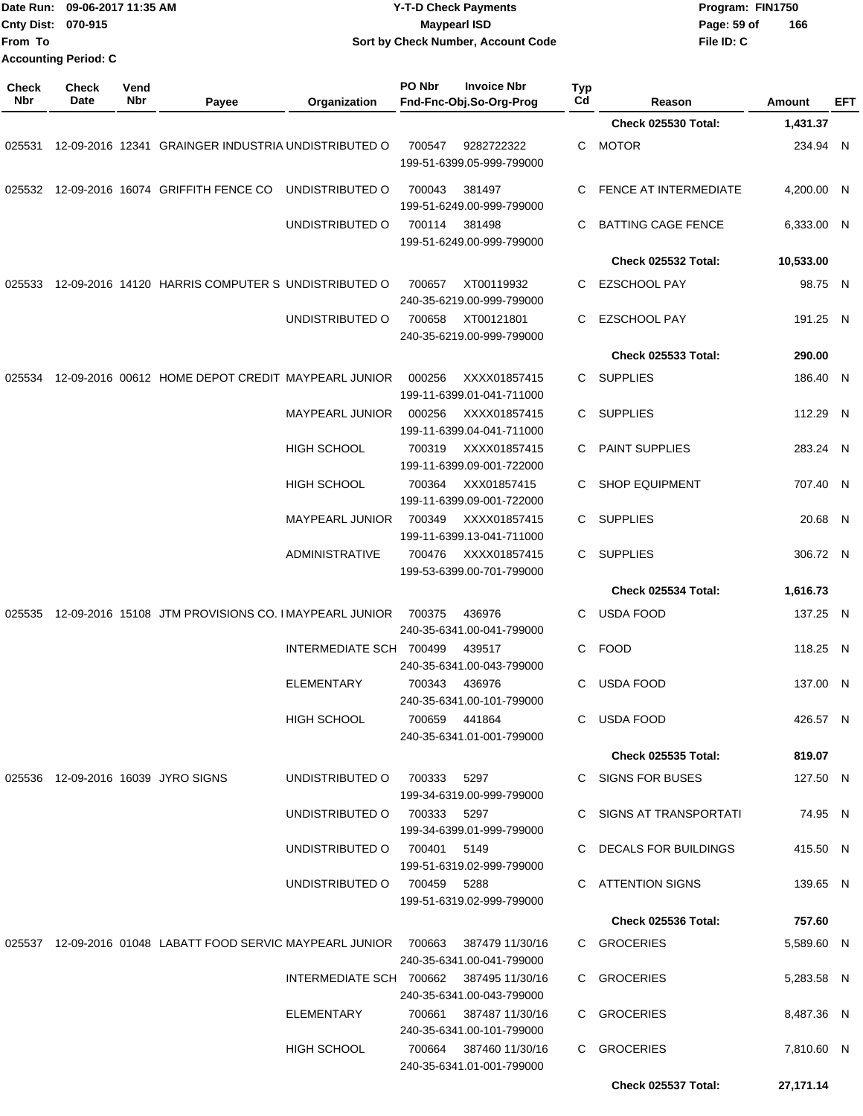| From To             | Date Run: 09-06-2017 11:35 AM<br>Cnty Dist: 070-915<br><b>Accounting Period: C</b> |                    |                                                                   |                                         | <b>Y-T-D Check Payments</b><br><b>Maypearl ISD</b><br>Sort by Check Number, Account Code |                                                     |           |                                              | Program: FIN1750<br>Page: 59 of<br>166<br>File ID: C |                     |            |  |
|---------------------|------------------------------------------------------------------------------------|--------------------|-------------------------------------------------------------------|-----------------------------------------|------------------------------------------------------------------------------------------|-----------------------------------------------------|-----------|----------------------------------------------|------------------------------------------------------|---------------------|------------|--|
| <b>Check</b><br>Nbr | <b>Check</b><br>Date                                                               | Vend<br><b>Nbr</b> | Payee                                                             | Organization                            | PO Nbr                                                                                   | <b>Invoice Nbr</b><br>Fnd-Fnc-Obj.So-Org-Prog       | Typ<br>Cd | Reason                                       |                                                      | Amount              | <b>EFT</b> |  |
|                     |                                                                                    |                    |                                                                   |                                         |                                                                                          |                                                     |           | <b>Check 025530 Total:</b>                   |                                                      | 1,431.37            |            |  |
| 025531              |                                                                                    |                    | 12-09-2016 12341 GRAINGER INDUSTRIA UNDISTRIBUTED O               |                                         | 700547                                                                                   | 9282722322<br>199-51-6399.05-999-799000             | С         | <b>MOTOR</b>                                 |                                                      | 234.94 N            |            |  |
| 025532              |                                                                                    |                    | 12-09-2016 16074 GRIFFITH FENCE CO                                | UNDISTRIBUTED O                         | 700043                                                                                   | 381497<br>199-51-6249.00-999-799000                 | C         | <b>FENCE AT INTERMEDIATE</b>                 |                                                      | 4.200.00 N          |            |  |
|                     |                                                                                    |                    |                                                                   | UNDISTRIBUTED O                         | 700114                                                                                   | 381498<br>199-51-6249.00-999-799000                 | C         | <b>BATTING CAGE FENCE</b>                    |                                                      | 6,333.00 N          |            |  |
|                     |                                                                                    |                    |                                                                   |                                         |                                                                                          |                                                     |           | Check 025532 Total:                          |                                                      | 10,533.00           |            |  |
| 025533              |                                                                                    |                    | 12-09-2016 14120 HARRIS COMPUTER S UNDISTRIBUTED O                |                                         | 700657                                                                                   | XT00119932<br>240-35-6219.00-999-799000             | C         | <b>EZSCHOOL PAY</b>                          |                                                      | 98.75 N             |            |  |
|                     |                                                                                    |                    |                                                                   | UNDISTRIBUTED O                         | 700658                                                                                   | XT00121801<br>240-35-6219.00-999-799000             | C         | <b>EZSCHOOL PAY</b>                          |                                                      | 191.25 N            |            |  |
|                     |                                                                                    |                    |                                                                   |                                         |                                                                                          |                                                     |           | <b>Check 025533 Total:</b>                   |                                                      | 290.00              |            |  |
| 025534              |                                                                                    |                    | 12-09-2016 00612 HOME DEPOT CREDIT MAYPEARL JUNIOR                |                                         | 000256                                                                                   | XXXX01857415<br>199-11-6399.01-041-711000           | C         | <b>SUPPLIES</b>                              |                                                      | 186.40              | N          |  |
|                     |                                                                                    |                    |                                                                   | <b>MAYPEARL JUNIOR</b>                  | 000256                                                                                   | XXXX01857415<br>199-11-6399.04-041-711000           | С         | <b>SUPPLIES</b>                              |                                                      | 112.29 N            |            |  |
|                     |                                                                                    |                    |                                                                   | HIGH SCHOOL                             | 700319                                                                                   | XXXX01857415<br>199-11-6399.09-001-722000           | C         | PAINT SUPPLIES                               |                                                      | 283.24 N            |            |  |
|                     |                                                                                    |                    |                                                                   | <b>HIGH SCHOOL</b>                      | 700364                                                                                   | XXX01857415<br>199-11-6399.09-001-722000            | C         | <b>SHOP EQUIPMENT</b>                        |                                                      | 707.40 N            |            |  |
|                     |                                                                                    |                    |                                                                   | <b>MAYPEARL JUNIOR</b>                  | 700349                                                                                   | XXXX01857415<br>199-11-6399.13-041-711000           | C         | <b>SUPPLIES</b>                              |                                                      | 20.68 N             |            |  |
|                     |                                                                                    |                    |                                                                   | <b>ADMINISTRATIVE</b>                   | 700476                                                                                   | XXXX01857415<br>199-53-6399.00-701-799000           | C         | <b>SUPPLIES</b>                              |                                                      | 306.72 N            |            |  |
|                     |                                                                                    |                    |                                                                   |                                         |                                                                                          |                                                     |           | <b>Check 025534 Total:</b>                   |                                                      | 1,616.73            |            |  |
| 025535              |                                                                                    |                    | 12-09-2016 15108 JTM PROVISIONS CO. I MAYPEARL JUNIOR             |                                         | 700375                                                                                   | 436976<br>240-35-6341.00-041-799000                 | C         | <b>USDA FOOD</b>                             |                                                      | 137.25 N            |            |  |
|                     |                                                                                    |                    |                                                                   | INTERMEDIATE SCH 700499 439517          |                                                                                          | 240-35-6341.00-043-799000                           |           | C FOOD                                       |                                                      | 118.25 N            |            |  |
|                     |                                                                                    |                    |                                                                   | ELEMENTARY                              |                                                                                          | 700343 436976<br>240-35-6341.00-101-799000          |           | C USDA FOOD                                  |                                                      | 137.00 N            |            |  |
|                     |                                                                                    |                    |                                                                   | HIGH SCHOOL                             |                                                                                          | 700659 441864<br>240-35-6341.01-001-799000          |           | C USDA FOOD                                  |                                                      | 426.57 N            |            |  |
|                     |                                                                                    |                    |                                                                   |                                         |                                                                                          |                                                     |           | <b>Check 025535 Total:</b>                   |                                                      | 819.07              |            |  |
|                     |                                                                                    |                    | 025536 12-09-2016 16039 JYRO SIGNS                                | UNDISTRIBUTED O<br>UNDISTRIBUTED O      | 700333<br>700333 5297                                                                    | 5297<br>199-34-6319.00-999-799000                   |           | C SIGNS FOR BUSES<br>C SIGNS AT TRANSPORTATI |                                                      | 127.50 N            |            |  |
|                     |                                                                                    |                    |                                                                   | UNDISTRIBUTED O                         | 700401 5149                                                                              | 199-34-6399.01-999-799000                           |           | C DECALS FOR BUILDINGS                       |                                                      | 74.95 N<br>415.50 N |            |  |
|                     |                                                                                    |                    |                                                                   | UNDISTRIBUTED O                         | 700459 5288                                                                              | 199-51-6319.02-999-799000                           |           | C ATTENTION SIGNS                            |                                                      | 139.65 N            |            |  |
|                     |                                                                                    |                    |                                                                   |                                         |                                                                                          | 199-51-6319.02-999-799000                           |           | <b>Check 025536 Total:</b>                   |                                                      | 757.60              |            |  |
|                     |                                                                                    |                    | 025537 12-09-2016 01048 LABATT FOOD SERVIC MAYPEARL JUNIOR 700663 |                                         |                                                                                          | 387479 11/30/16                                     |           | C GROCERIES                                  |                                                      | 5,589.60 N          |            |  |
|                     |                                                                                    |                    |                                                                   | INTERMEDIATE SCH 700662 387495 11/30/16 |                                                                                          | 240-35-6341.00-041-799000                           |           | C GROCERIES                                  |                                                      | 5,283.58 N          |            |  |
|                     |                                                                                    |                    |                                                                   | ELEMENTARY                              |                                                                                          | 240-35-6341.00-043-799000<br>700661 387487 11/30/16 |           | C GROCERIES                                  |                                                      | 8,487.36 N          |            |  |
|                     |                                                                                    |                    |                                                                   | HIGH SCHOOL                             |                                                                                          | 240-35-6341.00-101-799000<br>700664 387460 11/30/16 |           | C GROCERIES                                  |                                                      | 7,810.60 N          |            |  |
|                     |                                                                                    |                    |                                                                   |                                         |                                                                                          | 240-35-6341.01-001-799000                           |           | <b>Check 025537 Total:</b>                   |                                                      | 27,171.14           |            |  |
|                     |                                                                                    |                    |                                                                   |                                         |                                                                                          |                                                     |           |                                              |                                                      |                     |            |  |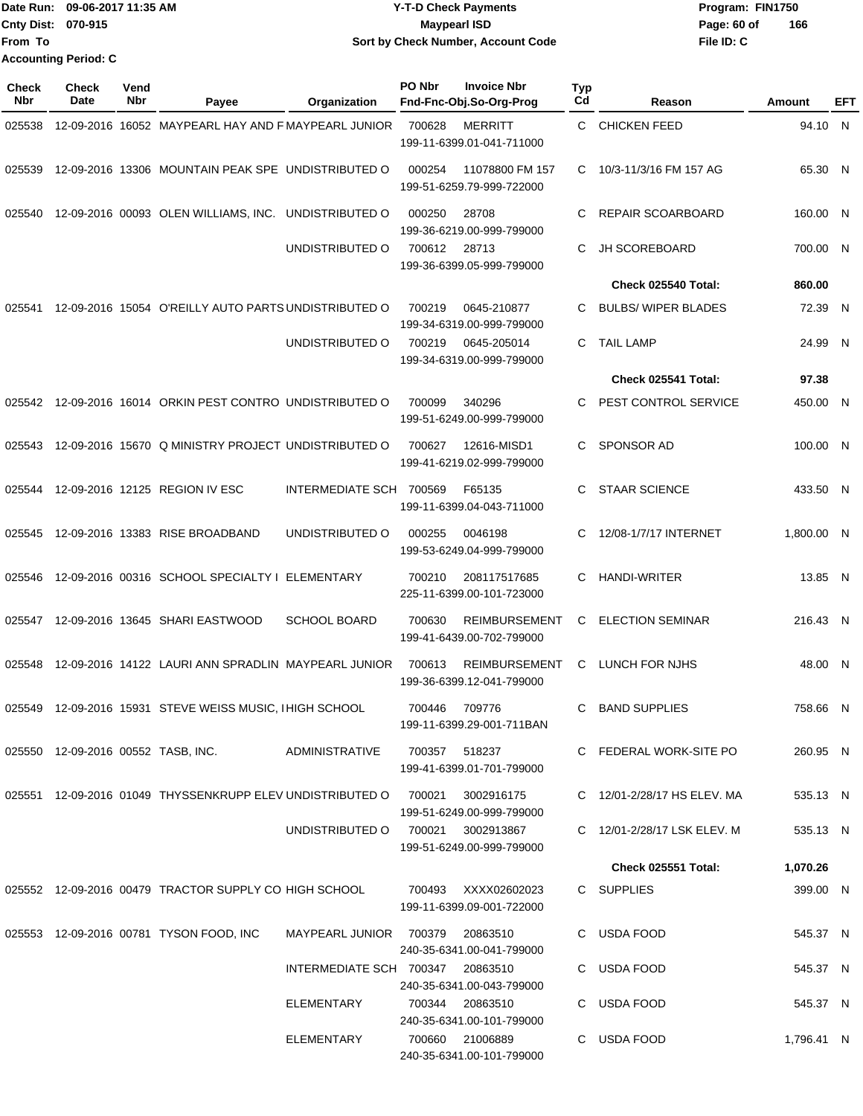|                             | Date Run: 09-06-2017 11:35 AM | <b>Y-T-D Check Payments</b>        | Program: FIN1750   |  |  |
|-----------------------------|-------------------------------|------------------------------------|--------------------|--|--|
| Cnty Dist: 070-915          |                               | <b>Mavpearl ISD</b>                | 166<br>Page: 60 of |  |  |
| lFrom To                    |                               | Sort by Check Number, Account Code | File ID: C         |  |  |
| <b>Accounting Period: C</b> |                               |                                    |                    |  |  |

| <b>Check</b><br><b>Nbr</b> | Check<br><b>Date</b> | Vend<br>Nbr | Payee                                                                       | Organization                      | PO Nbr        | <b>Invoice Nbr</b><br>Fnd-Fnc-Obj.So-Org-Prog     | Typ<br>Cd | Reason                      | Amount     | EFT |
|----------------------------|----------------------|-------------|-----------------------------------------------------------------------------|-----------------------------------|---------------|---------------------------------------------------|-----------|-----------------------------|------------|-----|
| 025538                     |                      |             | 12-09-2016 16052 MAYPEARL HAY AND F MAYPEARL JUNIOR                         |                                   | 700628        | <b>MERRITT</b><br>199-11-6399.01-041-711000       | C.        | <b>CHICKEN FEED</b>         | 94.10 N    |     |
| 025539                     |                      |             | 12-09-2016 13306 MOUNTAIN PEAK SPE UNDISTRIBUTED O                          |                                   | 000254        | 11078800 FM 157<br>199-51-6259.79-999-722000      | C         | 10/3-11/3/16 FM 157 AG      | 65.30 N    |     |
| 025540                     |                      |             | 12-09-2016 00093 OLEN WILLIAMS, INC. UNDISTRIBUTED O                        |                                   | 000250        | 28708<br>199-36-6219.00-999-799000                | C         | REPAIR SCOARBOARD           | 160.00 N   |     |
|                            |                      |             |                                                                             | UNDISTRIBUTED O                   | 700612        | 28713<br>199-36-6399.05-999-799000                | C         | JH SCOREBOARD               | 700.00 N   |     |
|                            |                      |             |                                                                             |                                   |               |                                                   |           | Check 025540 Total:         | 860.00     |     |
| 025541                     |                      |             | 12-09-2016 15054 O'REILLY AUTO PARTS UNDISTRIBUTED O                        |                                   | 700219        | 0645-210877<br>199-34-6319.00-999-799000          | C.        | <b>BULBS/ WIPER BLADES</b>  | 72.39 N    |     |
|                            |                      |             |                                                                             | UNDISTRIBUTED O                   | 700219        | 0645-205014<br>199-34-6319.00-999-799000          | C.        | <b>TAIL LAMP</b>            | 24.99 N    |     |
|                            |                      |             |                                                                             |                                   |               |                                                   |           | Check 025541 Total:         | 97.38      |     |
| 025542                     |                      |             | 12-09-2016 16014 ORKIN PEST CONTRO UNDISTRIBUTED O                          |                                   | 700099        | 340296<br>199-51-6249.00-999-799000               | C         | PEST CONTROL SERVICE        | 450.00 N   |     |
| 025543                     |                      |             | 12-09-2016 15670 Q MINISTRY PROJECT UNDISTRIBUTED O                         |                                   | 700627        | 12616-MISD1<br>199-41-6219.02-999-799000          | C         | <b>SPONSOR AD</b>           | 100.00 N   |     |
| 025544                     |                      |             | 12-09-2016 12125 REGION IV ESC                                              | INTERMEDIATE SCH 700569           |               | F65135<br>199-11-6399.04-043-711000               | C         | <b>STAAR SCIENCE</b>        | 433.50 N   |     |
| 025545                     |                      |             | 12-09-2016 13383 RISE BROADBAND                                             | UNDISTRIBUTED O                   | 000255        | 0046198<br>199-53-6249.04-999-799000              | C         | 12/08-1/7/17 INTERNET       | 1,800.00 N |     |
| 025546                     |                      |             | 12-09-2016 00316 SCHOOL SPECIALTY I ELEMENTARY                              |                                   | 700210        | 208117517685<br>225-11-6399.00-101-723000         | C         | <b>HANDI-WRITER</b>         | 13.85 N    |     |
| 025547                     |                      |             | 12-09-2016 13645 SHARI EASTWOOD                                             | <b>SCHOOL BOARD</b>               | 700630        | <b>REIMBURSEMENT</b><br>199-41-6439.00-702-799000 | C         | <b>ELECTION SEMINAR</b>     | 216.43 N   |     |
| 025548                     |                      |             | 12-09-2016 14122 LAURI ANN SPRADLIN MAYPEARL JUNIOR                         |                                   | 700613        | <b>REIMBURSEMENT</b><br>199-36-6399.12-041-799000 | C         | <b>LUNCH FOR NJHS</b>       | 48.00 N    |     |
| 025549                     |                      |             | 12-09-2016 15931 STEVE WEISS MUSIC, I HIGH SCHOOL                           |                                   | 700446        | 709776<br>199-11-6399.29-001-711BAN               | C.        | <b>BAND SUPPLIES</b>        | 758.66 N   |     |
|                            |                      |             | 025550 12-09-2016 00552 TASB, INC.                                          | ADMINISTRATIVE                    | 700357 518237 | 199-41-6399.01-701-799000                         |           | C FEDERAL WORK-SITE PO      | 260.95 N   |     |
|                            |                      |             | 025551 12-09-2016 01049 THYSSENKRUPP ELEV UNDISTRIBUTED O 700021 3002916175 |                                   |               | 199-51-6249.00-999-799000                         |           | C 12/01-2/28/17 HS ELEV. MA | 535.13 N   |     |
|                            |                      |             |                                                                             | UNDISTRIBUTED O 700021 3002913867 |               | 199-51-6249.00-999-799000                         |           | C 12/01-2/28/17 LSK ELEV, M | 535.13 N   |     |
|                            |                      |             |                                                                             |                                   |               |                                                   |           | Check 025551 Total:         | 1,070.26   |     |
|                            |                      |             | 025552 12-09-2016 00479 TRACTOR SUPPLY CO HIGH SCHOOL                       |                                   |               | 700493 XXXX02602023<br>199-11-6399.09-001-722000  |           | C SUPPLIES                  | 399.00 N   |     |
|                            |                      |             | 025553 12-09-2016 00781 TYSON FOOD, INC                                     | MAYPEARL JUNIOR 700379            |               | 20863510<br>240-35-6341.00-041-799000             |           | C USDA FOOD                 | 545.37 N   |     |
|                            |                      |             |                                                                             | INTERMEDIATE SCH 700347 20863510  |               | 240-35-6341.00-043-799000                         |           | C USDA FOOD                 | 545.37 N   |     |
|                            |                      |             |                                                                             | ELEMENTARY                        |               | 700344 20863510<br>240-35-6341.00-101-799000      |           | C USDA FOOD                 | 545.37 N   |     |
|                            |                      |             |                                                                             | ELEMENTARY                        |               | 700660 21006889<br>240-35-6341.00-101-799000      |           | C USDA FOOD                 | 1,796.41 N |     |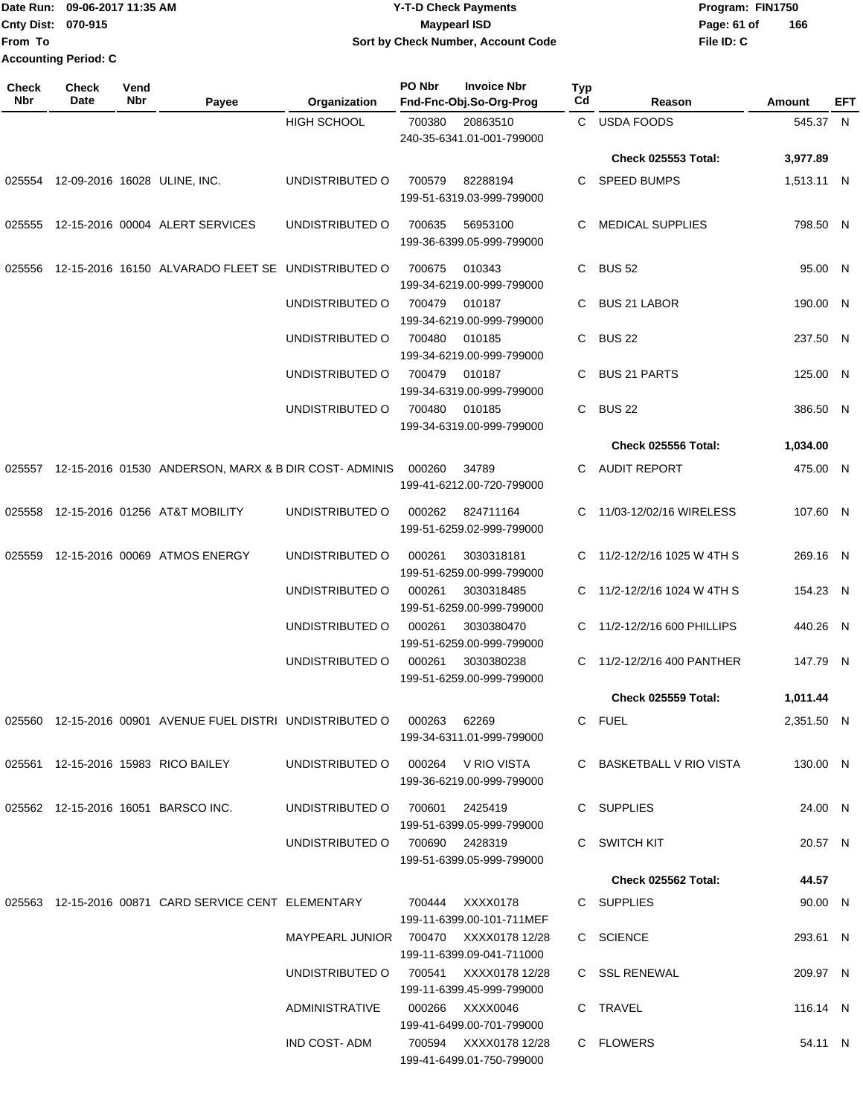|                             | Date Run: 09-06-2017 11:35 AM | Y-T-D Check Payments               | Program: FIN1750   |  |  |  |
|-----------------------------|-------------------------------|------------------------------------|--------------------|--|--|--|
| <b>Cnty Dist: 070-915</b>   |                               | <b>Mavpearl ISD</b>                | 166<br>Page: 61 of |  |  |  |
| From To                     |                               | Sort by Check Number, Account Code | File ID: C         |  |  |  |
| <b>Accounting Period: C</b> |                               |                                    |                    |  |  |  |

| <b>Check</b><br>Nbr | <b>Check</b><br>Date                | Vend<br>Nbr | Payee                                                                   | Organization                          | PO Nbr | <b>Invoice Nbr</b><br>Fnd-Fnc-Obj.So-Org-Prog      | Typ<br>Cd | Reason                      | Amount     | EFT |
|---------------------|-------------------------------------|-------------|-------------------------------------------------------------------------|---------------------------------------|--------|----------------------------------------------------|-----------|-----------------------------|------------|-----|
|                     |                                     |             |                                                                         | <b>HIGH SCHOOL</b>                    | 700380 | 20863510<br>240-35-6341.01-001-799000              |           | C USDA FOODS                | 545.37 N   |     |
|                     |                                     |             |                                                                         |                                       |        |                                                    |           | <b>Check 025553 Total:</b>  | 3,977.89   |     |
|                     | 025554 12-09-2016 16028 ULINE, INC. |             |                                                                         | UNDISTRIBUTED O                       | 700579 | 82288194<br>199-51-6319.03-999-799000              |           | C SPEED BUMPS               | 1,513.11 N |     |
|                     |                                     |             | 025555 12-15-2016 00004 ALERT SERVICES                                  | UNDISTRIBUTED O                       | 700635 | 56953100<br>199-36-6399.05-999-799000              | C.        | MEDICAL SUPPLIES            | 798.50 N   |     |
|                     |                                     |             | 025556 12-15-2016 16150 ALVARADO FLEET SE UNDISTRIBUTED O               |                                       | 700675 | 010343<br>199-34-6219.00-999-799000                |           | C BUS 52                    | 95.00 N    |     |
|                     |                                     |             |                                                                         | UNDISTRIBUTED O                       | 700479 | 010187<br>199-34-6219.00-999-799000                |           | C BUS 21 LABOR              | 190.00 N   |     |
|                     |                                     |             |                                                                         | UNDISTRIBUTED O                       | 700480 | 010185<br>199-34-6219.00-999-799000                |           | C BUS 22                    | 237.50 N   |     |
|                     |                                     |             |                                                                         | UNDISTRIBUTED O                       | 700479 | 010187<br>199-34-6319.00-999-799000                |           | C BUS 21 PARTS              | 125.00 N   |     |
|                     |                                     |             |                                                                         | UNDISTRIBUTED O                       | 700480 | 010185<br>199-34-6319.00-999-799000                |           | C BUS 22                    | 386.50 N   |     |
|                     |                                     |             |                                                                         |                                       |        |                                                    |           | <b>Check 025556 Total:</b>  | 1,034.00   |     |
|                     |                                     |             | 025557 12-15-2016 01530 ANDERSON, MARX & B DIR COST-ADMINIS             |                                       | 000260 | 34789<br>199-41-6212.00-720-799000                 |           | C AUDIT REPORT              | 475.00 N   |     |
|                     |                                     |             | 025558 12-15-2016 01256 AT&T MOBILITY                                   | UNDISTRIBUTED O                       | 000262 | 824711164<br>199-51-6259.02-999-799000             |           | C 11/03-12/02/16 WIRELESS   | 107.60 N   |     |
| 025559              |                                     |             | 12-15-2016 00069 ATMOS ENERGY                                           | UNDISTRIBUTED O                       | 000261 | 3030318181<br>199-51-6259.00-999-799000            |           | C 11/2-12/2/16 1025 W 4TH S | 269.16 N   |     |
|                     |                                     |             |                                                                         | UNDISTRIBUTED O                       | 000261 | 3030318485<br>199-51-6259.00-999-799000            |           | C 11/2-12/2/16 1024 W 4TH S | 154.23 N   |     |
|                     |                                     |             |                                                                         | UNDISTRIBUTED O                       | 000261 | 3030380470<br>199-51-6259.00-999-799000            |           | C 11/2-12/2/16 600 PHILLIPS | 440.26 N   |     |
|                     |                                     |             |                                                                         | UNDISTRIBUTED O                       | 000261 | 3030380238<br>199-51-6259.00-999-799000            |           | C 11/2-12/2/16 400 PANTHER  | 147.79 N   |     |
|                     |                                     |             |                                                                         |                                       |        |                                                    |           | <b>Check 025559 Total:</b>  | 1,011.44   |     |
|                     |                                     |             | 025560 12-15-2016 00901 AVENUE FUEL DISTRI UNDISTRIBUTED O 000263 62269 |                                       |        | 199-34-6311.01-999-799000                          |           | C FUEL                      | 2,351.50 N |     |
|                     |                                     |             | 025561 12-15-2016 15983 RICO BAILEY                                     | UNDISTRIBUTED O 000264 V RIO VISTA    |        | 199-36-6219.00-999-799000                          |           | C BASKETBALL V RIO VISTA    | 130.00 N   |     |
|                     |                                     |             | 025562 12-15-2016 16051 BARSCO INC.                                     | UNDISTRIBUTED O 700601 2425419        |        | 199-51-6399.05-999-799000                          |           | C SUPPLIES                  | 24.00 N    |     |
|                     |                                     |             |                                                                         | UNDISTRIBUTED O 700690 2428319        |        | 199-51-6399.05-999-799000                          |           | C SWITCH KIT                | 20.57 N    |     |
|                     |                                     |             |                                                                         |                                       |        |                                                    |           | Check 025562 Total:         | 44.57      |     |
|                     |                                     |             | 025563 12-15-2016 00871 CARD SERVICE CENT ELEMENTARY 700444 XXXX0178    |                                       |        | 199-11-6399.00-101-711MEF                          |           | C SUPPLIES                  | 90.00 N    |     |
|                     |                                     |             |                                                                         | MAYPEARL JUNIOR 700470 XXXX0178 12/28 |        | 199-11-6399.09-041-711000                          |           | C SCIENCE                   | 293.61 N   |     |
|                     |                                     |             |                                                                         | UNDISTRIBUTED O 700541 XXXX0178 12/28 |        | 199-11-6399.45-999-799000                          |           | C SSL RENEWAL               | 209.97 N   |     |
|                     |                                     |             |                                                                         | ADMINISTRATIVE                        |        | 000266 XXXX0046<br>199-41-6499.00-701-799000       |           | C TRAVEL                    | 116.14 N   |     |
|                     |                                     |             |                                                                         | IND COST- ADM                         |        | 700594 XXXX0178 12/28<br>199-41-6499.01-750-799000 |           | C FLOWERS                   | 54.11 N    |     |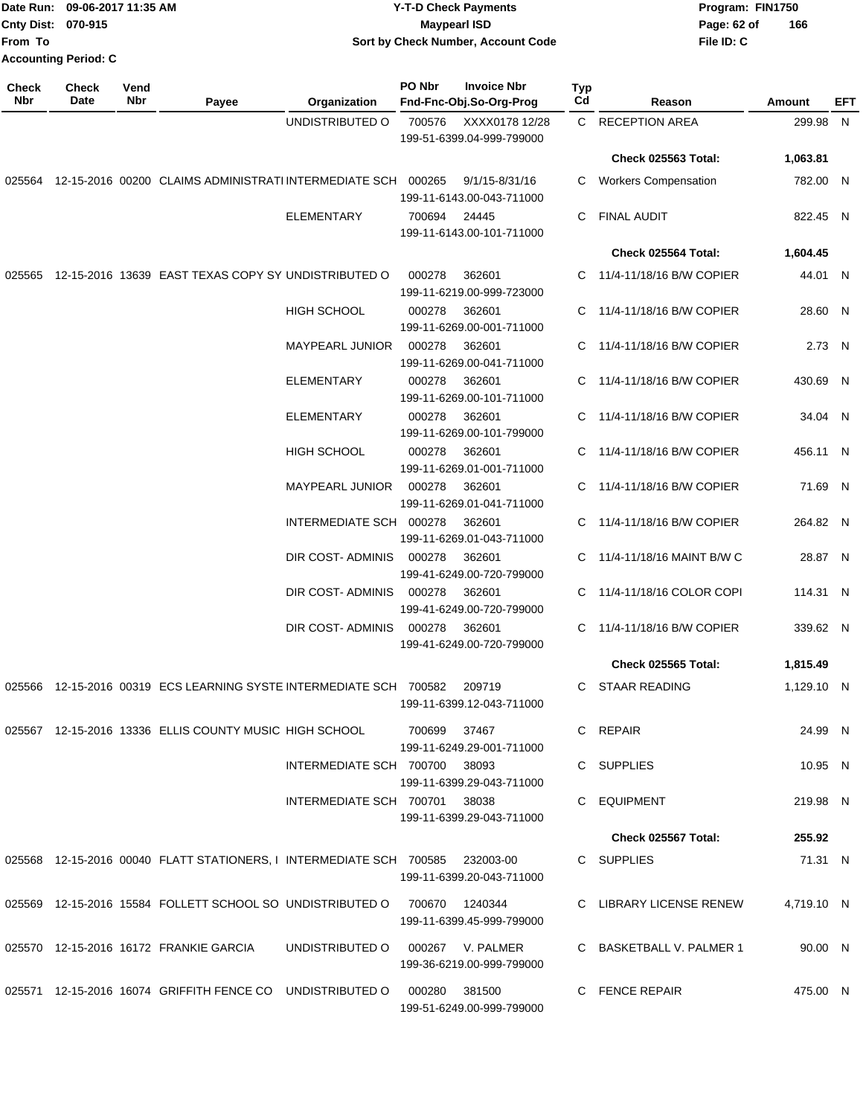| From To      | Date Run: 09-06-2017 11:35 AM<br>Cnty Dist: 070-915<br><b>Accounting Period: C</b> |             |                                                                           |                               |               | <b>Y-T-D Check Payments</b><br><b>Maypearl ISD</b><br>Sort by Check Number, Account Code |           |                            | Program: FIN1750<br>Page: 62 of<br>File ID: C | 166        |     |
|--------------|------------------------------------------------------------------------------------|-------------|---------------------------------------------------------------------------|-------------------------------|---------------|------------------------------------------------------------------------------------------|-----------|----------------------------|-----------------------------------------------|------------|-----|
| Check<br>Nbr | <b>Check</b><br>Date                                                               | Vend<br>Nbr | Payee                                                                     | Organization                  | PO Nbr        | <b>Invoice Nbr</b><br>Fnd-Fnc-Obj.So-Org-Prog                                            | Typ<br>Cd | Reason                     |                                               | Amount     | EFT |
|              |                                                                                    |             |                                                                           | UNDISTRIBUTED O               | 700576        | XXXX0178 12/28<br>199-51-6399.04-999-799000                                              |           | C RECEPTION AREA           |                                               | 299.98 N   |     |
|              |                                                                                    |             |                                                                           |                               |               |                                                                                          |           | <b>Check 025563 Total:</b> |                                               | 1,063.81   |     |
| 025564       |                                                                                    |             | 12-15-2016 00200 CLAIMS ADMINISTRATI INTERMEDIATE SCH                     |                               | 000265        | 9/1/15-8/31/16<br>199-11-6143.00-043-711000                                              | C.        | Workers Compensation       |                                               | 782.00 N   |     |
|              |                                                                                    |             |                                                                           | <b>ELEMENTARY</b>             | 700694        | 24445<br>199-11-6143.00-101-711000                                                       | C         | FINAL AUDIT                |                                               | 822.45 N   |     |
|              |                                                                                    |             |                                                                           |                               |               |                                                                                          |           | <b>Check 025564 Total:</b> |                                               | 1,604.45   |     |
|              |                                                                                    |             | 025565 12-15-2016 13639 EAST TEXAS COPY SY UNDISTRIBUTED O                |                               | 000278        | 362601<br>199-11-6219.00-999-723000                                                      | C.        | 11/4-11/18/16 B/W COPIER   |                                               | 44.01 N    |     |
|              |                                                                                    |             |                                                                           | <b>HIGH SCHOOL</b>            | 000278        | 362601<br>199-11-6269.00-001-711000                                                      | C         | 11/4-11/18/16 B/W COPIER   |                                               | 28.60 N    |     |
|              |                                                                                    |             |                                                                           | <b>MAYPEARL JUNIOR</b>        | 000278        | 362601<br>199-11-6269.00-041-711000                                                      |           | C 11/4-11/18/16 B/W COPIER |                                               | 2.73 N     |     |
|              |                                                                                    |             |                                                                           | <b>ELEMENTARY</b>             | 000278        | 362601<br>199-11-6269.00-101-711000                                                      | C         | 11/4-11/18/16 B/W COPIER   |                                               | 430.69 N   |     |
|              |                                                                                    |             |                                                                           | ELEMENTARY                    | 000278        | 362601<br>199-11-6269.00-101-799000                                                      | С         | 11/4-11/18/16 B/W COPIER   |                                               | 34.04 N    |     |
|              |                                                                                    |             |                                                                           | HIGH SCHOOL                   | 000278        | 362601<br>199-11-6269.01-001-711000                                                      | C.        | 11/4-11/18/16 B/W COPIER   |                                               | 456.11 N   |     |
|              |                                                                                    |             |                                                                           | <b>MAYPEARL JUNIOR</b>        | 000278        | 362601<br>199-11-6269.01-041-711000                                                      |           | 11/4-11/18/16 B/W COPIER   |                                               | 71.69 N    |     |
|              |                                                                                    |             |                                                                           | INTERMEDIATE SCH              | 000278        | 362601<br>199-11-6269.01-043-711000                                                      |           | 11/4-11/18/16 B/W COPIER   |                                               | 264.82 N   |     |
|              |                                                                                    |             |                                                                           | DIR COST-ADMINIS              | 000278        | 362601<br>199-41-6249.00-720-799000                                                      |           | 11/4-11/18/16 MAINT B/W C  |                                               | 28.87 N    |     |
|              |                                                                                    |             |                                                                           | DIR COST-ADMINIS              | 000278        | 362601<br>199-41-6249.00-720-799000                                                      | C         | 11/4-11/18/16 COLOR COPI   |                                               | 114.31 N   |     |
|              |                                                                                    |             |                                                                           | DIR COST-ADMINIS              | 000278        | 362601<br>199-41-6249.00-720-799000                                                      | C         | 11/4-11/18/16 B/W COPIER   |                                               | 339.62 N   |     |
|              |                                                                                    |             |                                                                           |                               |               |                                                                                          |           | <b>Check 025565 Total:</b> |                                               | 1,815.49   |     |
|              |                                                                                    |             | 025566 12-15-2016 00319 ECS LEARNING SYSTE INTERMEDIATE SCH 700582 209719 |                               |               | 199-11-6399.12-043-711000                                                                |           | C STAAR READING            |                                               | 1,129.10 N |     |
|              |                                                                                    |             | 025567 12-15-2016 13336 ELLIS COUNTY MUSIC HIGH SCHOOL                    |                               | 700699        | 37467<br>199-11-6249.29-001-711000                                                       |           | C REPAIR                   |                                               | 24.99 N    |     |
|              |                                                                                    |             |                                                                           | INTERMEDIATE SCH 700700 38093 |               | 199-11-6399.29-043-711000                                                                |           | C SUPPLIES                 |                                               | 10.95 N    |     |
|              |                                                                                    |             |                                                                           | INTERMEDIATE SCH 700701 38038 |               | 199-11-6399.29-043-711000                                                                |           | C EQUIPMENT                |                                               | 219.98 N   |     |
|              |                                                                                    |             |                                                                           |                               |               |                                                                                          |           | Check 025567 Total:        |                                               | 255.92     |     |
|              |                                                                                    |             | 025568  12-15-2016  00040  FLATT STATIONERS, I INTERMEDIATE SCH  700585   |                               |               | 232003-00<br>199-11-6399.20-043-711000                                                   |           | C SUPPLIES                 |                                               | 71.31 N    |     |
|              |                                                                                    |             | 025569 12-15-2016 15584 FOLLETT SCHOOL SO UNDISTRIBUTED O 700670 1240344  |                               |               | 199-11-6399.45-999-799000                                                                |           | C LIBRARY LICENSE RENEW    |                                               | 4,719.10 N |     |
|              |                                                                                    |             | 025570 12-15-2016 16172 FRANKIE GARCIA                                    | UNDISTRIBUTED O               |               | 000267 V. PALMER<br>199-36-6219.00-999-799000                                            |           | C BASKETBALL V. PALMER 1   |                                               | 90.00 N    |     |
|              |                                                                                    |             | 025571 12-15-2016 16074 GRIFFITH FENCE CO UNDISTRIBUTED O                 |                               | 000280 381500 | 199-51-6249.00-999-799000                                                                |           | C FENCE REPAIR             |                                               | 475.00 N   |     |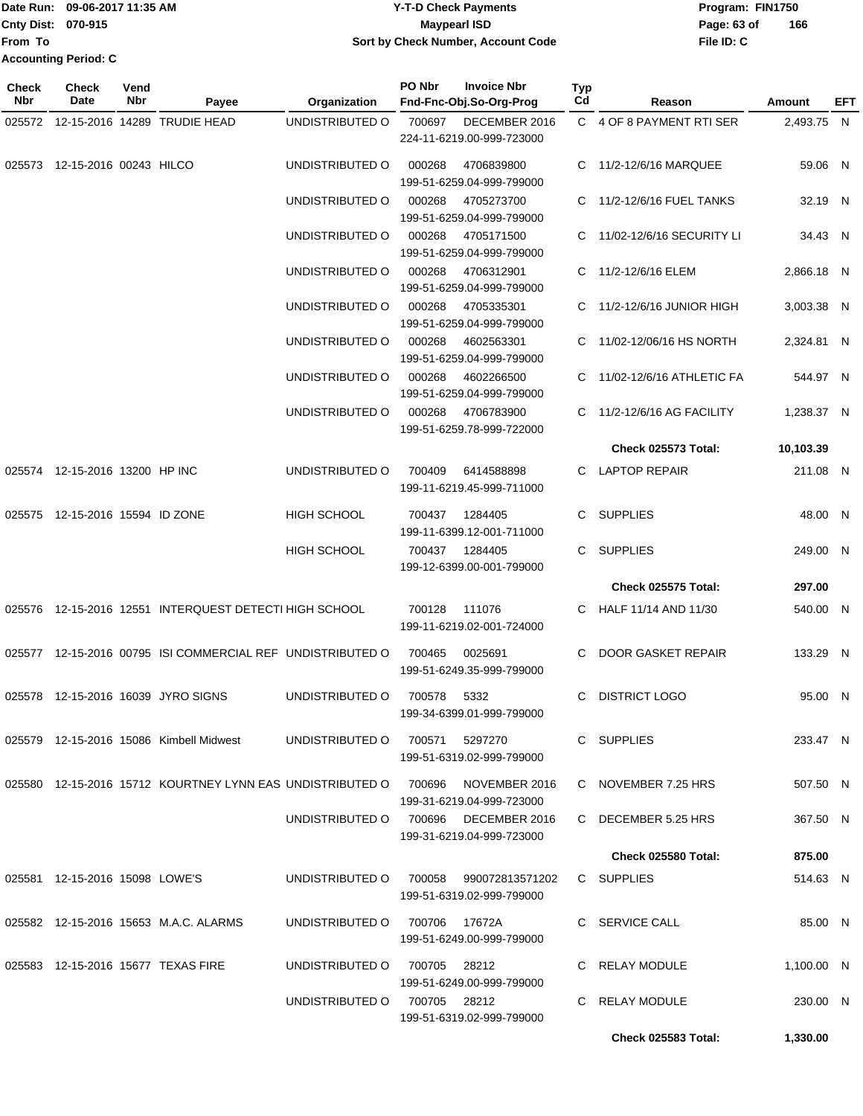|                             | Date Run: 09-06-2017 11:35 AM                    | <b>Y-T-D Check Payments</b>        | Program: FIN1750   |  |  |  |
|-----------------------------|--------------------------------------------------|------------------------------------|--------------------|--|--|--|
|                             | <b>Cnty Dist: 070-915</b><br><b>Maypearl ISD</b> |                                    | 166<br>Page: 63 of |  |  |  |
| lFrom To                    |                                                  | Sort by Check Number, Account Code | File ID: C         |  |  |  |
| <b>Accounting Period: C</b> |                                                  |                                    |                    |  |  |  |

| <b>Check</b><br><b>Nbr</b> | <b>Check</b><br>Date            | Vend<br>Nbr | Payee                                                                | Organization                         | PO Nbr         | <b>Invoice Nbr</b><br>Fnd-Fnc-Obj.So-Org-Prog       | Typ<br>Cd | Reason                      | Amount     | EFT |
|----------------------------|---------------------------------|-------------|----------------------------------------------------------------------|--------------------------------------|----------------|-----------------------------------------------------|-----------|-----------------------------|------------|-----|
| 025572                     |                                 |             | 12-15-2016 14289 TRUDIE HEAD                                         | UNDISTRIBUTED O                      | 700697         | DECEMBER 2016<br>224-11-6219.00-999-723000          |           | C 4 OF 8 PAYMENT RTI SER    | 2,493.75 N |     |
| 025573                     | 12-15-2016 00243 HILCO          |             |                                                                      | UNDISTRIBUTED O                      | 000268         | 4706839800<br>199-51-6259.04-999-799000             |           | C 11/2-12/6/16 MARQUEE      | 59.06 N    |     |
|                            |                                 |             |                                                                      | UNDISTRIBUTED O                      | 000268         | 4705273700<br>199-51-6259.04-999-799000             | C.        | 11/2-12/6/16 FUEL TANKS     | 32.19 N    |     |
|                            |                                 |             |                                                                      | UNDISTRIBUTED O                      | 000268         | 4705171500<br>199-51-6259.04-999-799000             |           | C 11/02-12/6/16 SECURITY LI | 34.43 N    |     |
|                            |                                 |             |                                                                      | UNDISTRIBUTED O                      | 000268         | 4706312901<br>199-51-6259.04-999-799000             | C         | 11/2-12/6/16 ELEM           | 2,866.18 N |     |
|                            |                                 |             |                                                                      | UNDISTRIBUTED O                      | 000268         | 4705335301<br>199-51-6259.04-999-799000             |           | 11/2-12/6/16 JUNIOR HIGH    | 3,003.38 N |     |
|                            |                                 |             |                                                                      | UNDISTRIBUTED O                      | 000268         | 4602563301<br>199-51-6259.04-999-799000             | C.        | 11/02-12/06/16 HS NORTH     | 2,324.81 N |     |
|                            |                                 |             |                                                                      | UNDISTRIBUTED O                      | 000268         | 4602266500<br>199-51-6259.04-999-799000             | C.        | 11/02-12/6/16 ATHLETIC FA   | 544.97 N   |     |
|                            |                                 |             |                                                                      | UNDISTRIBUTED O                      | 000268         | 4706783900<br>199-51-6259.78-999-722000             |           | 11/2-12/6/16 AG FACILITY    | 1,238.37 N |     |
|                            |                                 |             |                                                                      |                                      |                |                                                     |           | Check 025573 Total:         | 10,103.39  |     |
|                            | 025574 12-15-2016 13200 HP INC  |             |                                                                      | UNDISTRIBUTED O                      | 700409         | 6414588898<br>199-11-6219.45-999-711000             | C.        | <b>LAPTOP REPAIR</b>        | 211.08 N   |     |
|                            | 025575 12-15-2016 15594 ID ZONE |             |                                                                      | <b>HIGH SCHOOL</b>                   | 700437         | 1284405<br>199-11-6399.12-001-711000                | C.        | <b>SUPPLIES</b>             | 48.00 N    |     |
|                            |                                 |             |                                                                      | <b>HIGH SCHOOL</b>                   | 700437         | 1284405<br>199-12-6399.00-001-799000                | C.        | <b>SUPPLIES</b>             | 249.00 N   |     |
|                            |                                 |             |                                                                      |                                      |                |                                                     |           | <b>Check 025575 Total:</b>  | 297.00     |     |
|                            |                                 |             | 025576 12-15-2016 12551 INTERQUEST DETECTI HIGH SCHOOL               |                                      | 700128         | 111076<br>199-11-6219.02-001-724000                 | C.        | HALF 11/14 AND 11/30        | 540.00 N   |     |
|                            |                                 |             | 025577 12-15-2016 00795 ISI COMMERCIAL REF UNDISTRIBUTED O           |                                      | 700465         | 0025691<br>199-51-6249.35-999-799000                | C.        | DOOR GASKET REPAIR          | 133.29 N   |     |
|                            |                                 |             | 025578 12-15-2016 16039 JYRO SIGNS                                   | UNDISTRIBUTED O                      | 700578         | 5332<br>199-34-6399.01-999-799000                   | C         | <b>DISTRICT LOGO</b>        | 95.00 N    |     |
|                            |                                 |             | 025579 12-15-2016 15086 Kimbell Midwest                              | UNDISTRIBUTED O                      | 700571         | 5297270<br>199-51-6319.02-999-799000                |           | C SUPPLIES                  | 233.47 N   |     |
|                            |                                 |             | 025580  12-15-2016  15712  KOURTNEY LYNN EAS UNDISTRIBUTED O  700696 |                                      |                | NOVEMBER 2016<br>199-31-6219.04-999-723000          |           | C NOVEMBER 7.25 HRS         | 507.50 N   |     |
|                            |                                 |             |                                                                      | UNDISTRIBUTED O 700696 DECEMBER 2016 |                | 199-31-6219.04-999-723000                           |           | C DECEMBER 5.25 HRS         | 367.50 N   |     |
|                            |                                 |             |                                                                      |                                      |                |                                                     |           | Check 025580 Total:         | 875.00     |     |
|                            | 025581 12-15-2016 15098 LOWE'S  |             |                                                                      | UNDISTRIBUTED O                      |                | 700058 990072813571202<br>199-51-6319.02-999-799000 |           | C SUPPLIES                  | 514.63 N   |     |
|                            |                                 |             | 025582 12-15-2016 15653 M.A.C. ALARMS                                | UNDISTRIBUTED O                      | 700706  17672A | 199-51-6249.00-999-799000                           |           | C SERVICE CALL              | 85.00 N    |     |
|                            |                                 |             | 025583 12-15-2016 15677 TEXAS FIRE                                   | UNDISTRIBUTED O                      | 700705 28212   | 199-51-6249.00-999-799000                           |           | C RELAY MODULE              | 1,100.00 N |     |
|                            |                                 |             |                                                                      | UNDISTRIBUTED O                      | 700705  28212  | 199-51-6319.02-999-799000                           |           | C RELAY MODULE              | 230.00 N   |     |
|                            |                                 |             |                                                                      |                                      |                |                                                     |           | <b>Check 025583 Total:</b>  | 1,330.00   |     |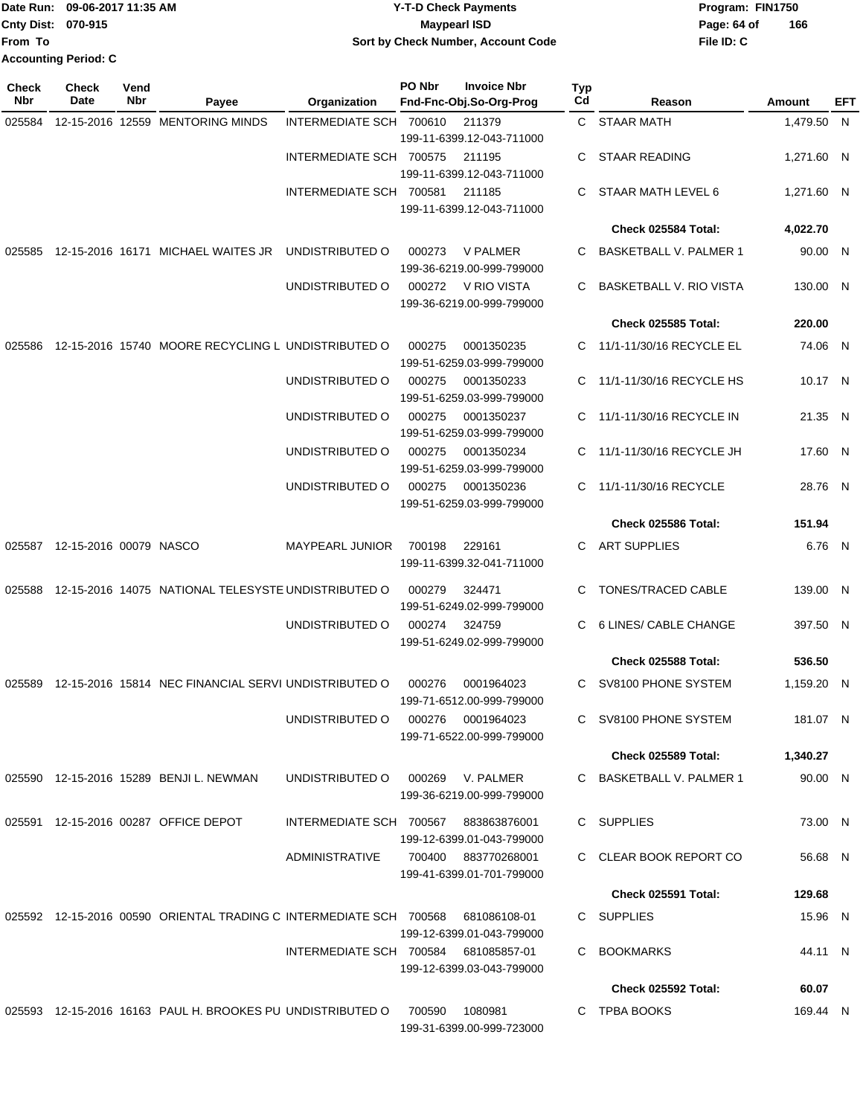|                             | Date Run: 09-06-2017 11:35 AM | Y-T-D Check Payments               | Program: FIN1750   |  |  |
|-----------------------------|-------------------------------|------------------------------------|--------------------|--|--|
| <b>Cnty Dist: 070-915</b>   |                               | Maypearl ISD                       | 166<br>Page: 64 of |  |  |
| lFrom To                    |                               | Sort by Check Number, Account Code | File ID: C         |  |  |
| <b>Accounting Period: C</b> |                               |                                    |                    |  |  |

| Check<br>Nbr | <b>Check</b><br>Date          | Vend<br>Nbr | Payee                                                              | Organization            | PO Nbr | <b>Invoice Nbr</b><br>Fnd-Fnc-Obj.So-Org-Prog    | <b>Typ</b><br>Cd | Reason                        | Amount     | EFT |
|--------------|-------------------------------|-------------|--------------------------------------------------------------------|-------------------------|--------|--------------------------------------------------|------------------|-------------------------------|------------|-----|
| 025584       |                               |             | 12-15-2016 12559 MENTORING MINDS                                   | INTERMEDIATE SCH 700610 |        | 211379<br>199-11-6399.12-043-711000              |                  | C STAAR MATH                  | 1,479.50 N |     |
|              |                               |             |                                                                    | INTERMEDIATE SCH 700575 |        | 211195<br>199-11-6399.12-043-711000              | C.               | <b>STAAR READING</b>          | 1,271.60 N |     |
|              |                               |             |                                                                    | INTERMEDIATE SCH 700581 |        | 211185<br>199-11-6399.12-043-711000              | C.               | STAAR MATH LEVEL 6            | 1,271.60 N |     |
|              |                               |             |                                                                    |                         |        |                                                  |                  | Check 025584 Total:           | 4,022.70   |     |
| 025585       |                               |             | 12-15-2016 16171 MICHAEL WAITES JR                                 | UNDISTRIBUTED O         | 000273 | <b>V PALMER</b><br>199-36-6219.00-999-799000     | C.               | <b>BASKETBALL V. PALMER 1</b> | 90.00 N    |     |
|              |                               |             |                                                                    | UNDISTRIBUTED O         | 000272 | V RIO VISTA<br>199-36-6219.00-999-799000         | C                | BASKETBALL V. RIO VISTA       | 130.00 N   |     |
|              |                               |             |                                                                    |                         |        |                                                  |                  | <b>Check 025585 Total:</b>    | 220.00     |     |
| 025586       |                               |             | 12-15-2016 15740 MOORE RECYCLING L UNDISTRIBUTED O                 |                         | 000275 | 0001350235<br>199-51-6259.03-999-799000          | C.               | 11/1-11/30/16 RECYCLE EL      | 74.06 N    |     |
|              |                               |             |                                                                    | UNDISTRIBUTED O         | 000275 | 0001350233<br>199-51-6259.03-999-799000          | C.               | 11/1-11/30/16 RECYCLE HS      | 10.17 N    |     |
|              |                               |             |                                                                    | UNDISTRIBUTED O         | 000275 | 0001350237<br>199-51-6259.03-999-799000          | C.               | 11/1-11/30/16 RECYCLE IN      | 21.35 N    |     |
|              |                               |             |                                                                    | UNDISTRIBUTED O         | 000275 | 0001350234<br>199-51-6259.03-999-799000          | C.               | 11/1-11/30/16 RECYCLE JH      | 17.60 N    |     |
|              |                               |             |                                                                    | UNDISTRIBUTED O         | 000275 | 0001350236<br>199-51-6259.03-999-799000          | C.               | 11/1-11/30/16 RECYCLE         | 28.76 N    |     |
|              |                               |             |                                                                    |                         |        |                                                  |                  | Check 025586 Total:           | 151.94     |     |
|              | 025587 12-15-2016 00079 NASCO |             |                                                                    | MAYPEARL JUNIOR         | 700198 | 229161<br>199-11-6399.32-041-711000              | C.               | <b>ART SUPPLIES</b>           | 6.76 N     |     |
| 025588       |                               |             | 12-15-2016 14075 NATIONAL TELESYSTE UNDISTRIBUTED O                |                         | 000279 | 324471<br>199-51-6249.02-999-799000              | C                | TONES/TRACED CABLE            | 139.00 N   |     |
|              |                               |             |                                                                    | UNDISTRIBUTED O         | 000274 | 324759<br>199-51-6249.02-999-799000              | C.               | 6 LINES/ CABLE CHANGE         | 397.50 N   |     |
|              |                               |             |                                                                    |                         |        |                                                  |                  | Check 025588 Total:           | 536.50     |     |
| 025589       |                               |             | 12-15-2016 15814 NEC FINANCIAL SERVI UNDISTRIBUTED O               |                         | 000276 | 0001964023<br>199-71-6512.00-999-799000          | C                | SV8100 PHONE SYSTEM           | 1,159.20 N |     |
|              |                               |             |                                                                    | UNDISTRIBUTED O         | 000276 | 0001964023<br>199-71-6522.00-999-799000          |                  | C SV8100 PHONE SYSTEM         | 181.07 N   |     |
|              |                               |             |                                                                    |                         |        |                                                  |                  | Check 025589 Total:           | 1,340.27   |     |
|              |                               |             | 025590 12-15-2016 15289 BENJI L. NEWMAN                            | UNDISTRIBUTED O         |        | 000269 V. PALMER<br>199-36-6219.00-999-799000    |                  | C BASKETBALL V. PALMER 1      | 90.00 N    |     |
|              |                               |             | 025591 12-15-2016 00287 OFFICE DEPOT                               | INTERMEDIATE SCH 700567 |        | 883863876001<br>199-12-6399.01-043-799000        |                  | C SUPPLIES                    | 73.00 N    |     |
|              |                               |             |                                                                    | ADMINISTRATIVE          |        | 700400 883770268001<br>199-41-6399.01-701-799000 |                  | C CLEAR BOOK REPORT CO        | 56.68 N    |     |
|              |                               |             |                                                                    |                         |        |                                                  |                  | <b>Check 025591 Total:</b>    | 129.68     |     |
|              |                               |             | 025592 12-15-2016 00590 ORIENTAL TRADING C INTERMEDIATE SCH 700568 |                         |        | 681086108-01<br>199-12-6399.01-043-799000        |                  | C SUPPLIES                    | 15.96 N    |     |
|              |                               |             |                                                                    | INTERMEDIATE SCH 700584 |        | 681085857-01<br>199-12-6399.03-043-799000        | C.               | <b>BOOKMARKS</b>              | 44.11 N    |     |
|              |                               |             |                                                                    |                         |        |                                                  |                  | Check 025592 Total:           | 60.07      |     |
|              |                               |             | 025593 12-15-2016 16163 PAUL H. BROOKES PU UNDISTRIBUTED O         |                         | 700590 | 1080981<br>199-31-6399.00-999-723000             |                  | C TPBA BOOKS                  | 169.44 N   |     |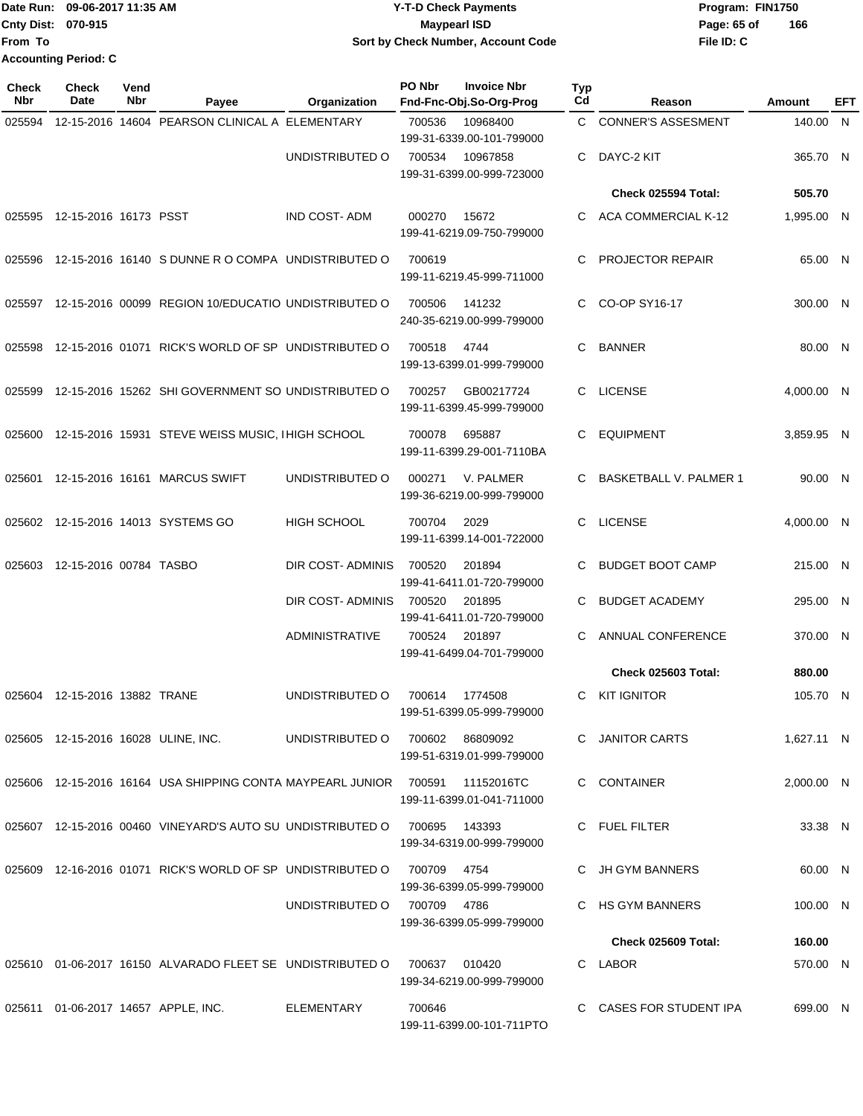Date Run: 09-06-2017 11:35 AM **CONTEX 100 CONTEX 12 T-D** Check Payments **CONTEX 12 T-D Check Payments** Program: FIN1750 **Cnty Dist:** 070-915 **Page: 65 of MaypearI ISD Page: 65 of From To Accounting Period: C**

# **09-06-2017 11:35 AM Y-T-D Check Payments 070-915 Maypearl ISD Sort by Check Number, Account Code**

| <b>Check</b><br><b>Nbr</b> | <b>Check</b><br>Date                | Vend<br>Nbr | Payee                                                             | Organization          | PO Nbr          | <b>Invoice Nbr</b><br>Fnd-Fnc-Obj.So-Org-Prog | <b>Typ</b><br>Cd | Reason                     | Amount     | EFT |
|----------------------------|-------------------------------------|-------------|-------------------------------------------------------------------|-----------------------|-----------------|-----------------------------------------------|------------------|----------------------------|------------|-----|
| 025594                     |                                     |             | 12-15-2016 14604 PEARSON CLINICAL A ELEMENTARY                    |                       | 700536          | 10968400<br>199-31-6339.00-101-799000         |                  | C CONNER'S ASSESMENT       | 140.00 N   |     |
|                            |                                     |             |                                                                   | UNDISTRIBUTED O       | 700534          | 10967858<br>199-31-6399.00-999-723000         | C                | DAYC-2 KIT                 | 365.70 N   |     |
|                            |                                     |             |                                                                   |                       |                 |                                               |                  | Check 025594 Total:        | 505.70     |     |
| 025595                     | 12-15-2016 16173 PSST               |             |                                                                   | <b>IND COST-ADM</b>   | 000270          | 15672<br>199-41-6219.09-750-799000            |                  | C ACA COMMERCIAL K-12      | 1,995.00 N |     |
| 025596                     |                                     |             | 12-15-2016 16140 S DUNNE R O COMPA UNDISTRIBUTED O                |                       | 700619          | 199-11-6219.45-999-711000                     | C                | <b>PROJECTOR REPAIR</b>    | 65.00 N    |     |
|                            |                                     |             | 025597 12-15-2016 00099 REGION 10/EDUCATIO UNDISTRIBUTED O        |                       | 700506          | 141232<br>240-35-6219.00-999-799000           | C.               | CO-OP SY16-17              | 300.00 N   |     |
| 025598                     |                                     |             | 12-15-2016 01071 RICK'S WORLD OF SP UNDISTRIBUTED O               |                       | 700518          | 4744<br>199-13-6399.01-999-799000             | C                | <b>BANNER</b>              | 80.00 N    |     |
| 025599                     |                                     |             | 12-15-2016 15262 SHI GOVERNMENT SO UNDISTRIBUTED O                |                       | 700257          | GB00217724<br>199-11-6399.45-999-799000       | C.               | <b>LICENSE</b>             | 4,000.00 N |     |
| 025600                     |                                     |             | 12-15-2016 15931 STEVE WEISS MUSIC, I HIGH SCHOOL                 |                       | 700078          | 695887<br>199-11-6399.29-001-7110BA           | C.               | <b>EQUIPMENT</b>           | 3,859.95 N |     |
|                            |                                     |             | 025601 12-15-2016 16161 MARCUS SWIFT                              | UNDISTRIBUTED O       | 000271          | V. PALMER<br>199-36-6219.00-999-799000        | C.               | BASKETBALL V. PALMER 1     | 90.00 N    |     |
|                            |                                     |             | 025602 12-15-2016 14013 SYSTEMS GO                                | <b>HIGH SCHOOL</b>    | 700704          | 2029<br>199-11-6399.14-001-722000             | C                | <b>LICENSE</b>             | 4,000.00 N |     |
| 025603                     | 12-15-2016 00784 TASBO              |             |                                                                   | DIR COST-ADMINIS      | 700520          | 201894<br>199-41-6411.01-720-799000           | C.               | <b>BUDGET BOOT CAMP</b>    | 215.00 N   |     |
|                            |                                     |             |                                                                   | DIR COST-ADMINIS      | 700520          | 201895<br>199-41-6411.01-720-799000           | C                | <b>BUDGET ACADEMY</b>      | 295.00 N   |     |
|                            |                                     |             |                                                                   | <b>ADMINISTRATIVE</b> | 700524          | 201897<br>199-41-6499.04-701-799000           |                  | ANNUAL CONFERENCE          | 370.00 N   |     |
|                            |                                     |             |                                                                   |                       |                 |                                               |                  | <b>Check 025603 Total:</b> | 880.00     |     |
|                            | 025604 12-15-2016 13882 TRANE       |             |                                                                   | UNDISTRIBUTED O       | 700614          | 1774508<br>199-51-6399.05-999-799000          | C.               | <b>KIT IGNITOR</b>         | 105.70 N   |     |
|                            | 025605 12-15-2016 16028 ULINE, INC. |             |                                                                   | UNDISTRIBUTED O       | 700602 86809092 | 199-51-6319.01-999-799000                     |                  | C JANITOR CARTS            | 1,627.11 N |     |
|                            |                                     |             | 025606 12-15-2016 16164 USA SHIPPING CONTA MAYPEARL JUNIOR 700591 |                       |                 | 11152016TC<br>199-11-6399.01-041-711000       |                  | C CONTAINER                | 2,000.00 N |     |
|                            |                                     |             | 025607 12-15-2016 00460 VINEYARD'S AUTO SU UNDISTRIBUTED O        |                       | 700695          | 143393<br>199-34-6319.00-999-799000           |                  | C FUEL FILTER              | 33.38 N    |     |
|                            |                                     |             | 025609 12-16-2016 01071 RICK'S WORLD OF SP UNDISTRIBUTED O        |                       | 700709          | 4754<br>199-36-6399.05-999-799000             |                  | C JH GYM BANNERS           | 60.00 N    |     |
|                            |                                     |             |                                                                   | UNDISTRIBUTED O       | 700709 4786     | 199-36-6399.05-999-799000                     |                  | C HS GYM BANNERS           | 100.00 N   |     |
|                            |                                     |             |                                                                   |                       |                 |                                               |                  | Check 025609 Total:        | 160.00     |     |
|                            |                                     |             | 025610 01-06-2017 16150 ALVARADO FLEET SE UNDISTRIBUTED O         |                       | 700637          | 010420<br>199-34-6219.00-999-799000           |                  | C LABOR                    | 570.00 N   |     |
| 025611                     |                                     |             | 01-06-2017 14657 APPLE, INC.                                      | ELEMENTARY            | 700646          | 199-11-6399.00-101-711PTO                     |                  | C CASES FOR STUDENT IPA    | 699.00 N   |     |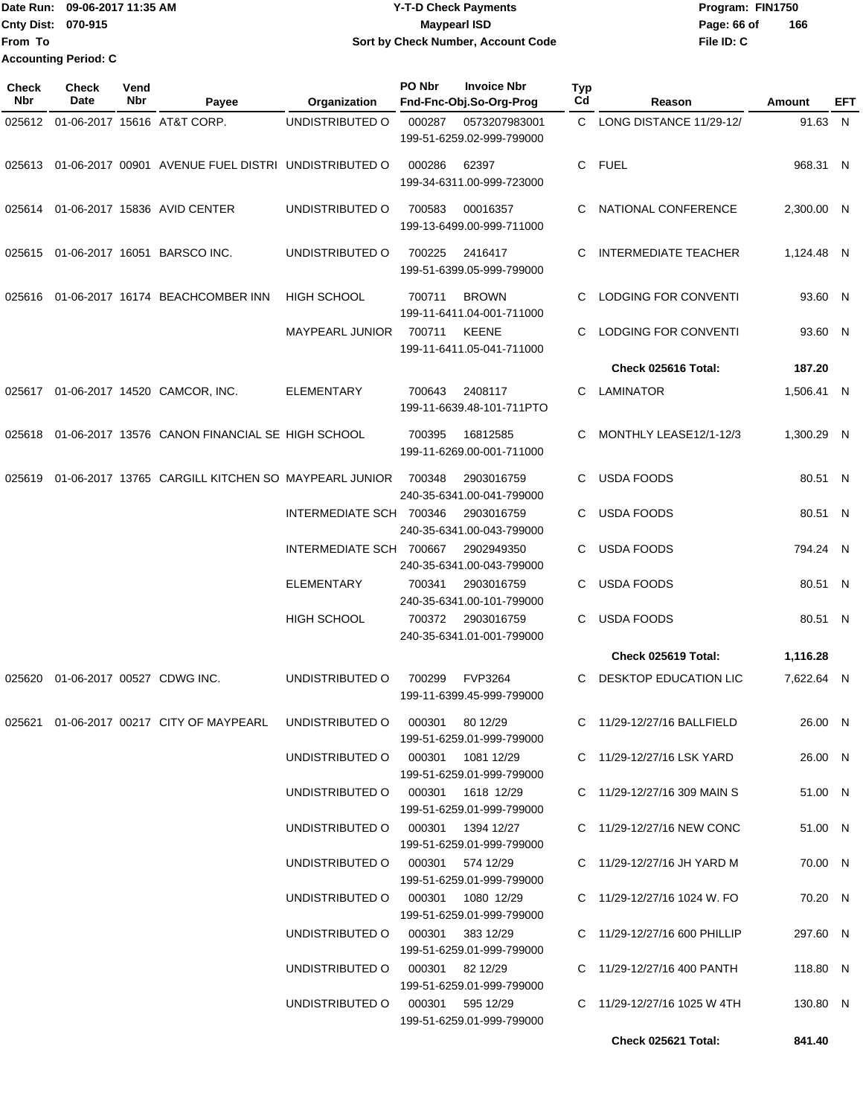#### Date Run: 09-06-2017 11:35 AM **CONTEX 100 CONTEX 12 T-D** Check Payments **CONTEX 12 T-D Check Payments** Program: FIN1750 **Cnty Dist:** 070-915 **Page: 66 of MaypearI ISD Page: 66 of Y-T-D Check Payments 070-915 Maypearl ISD Sort by Check Number, Account Code**

| Check<br>Nbr | Check<br>Date | Vend<br>Nbr | Payee                                                                        | Organization                         | PO Nbr<br><b>Invoice Nbr</b><br>Fnd-Fnc-Obj.So-Org-Prog |                                             | Typ<br>Cd         | Reason                       | Amount     | EFT |
|--------------|---------------|-------------|------------------------------------------------------------------------------|--------------------------------------|---------------------------------------------------------|---------------------------------------------|-------------------|------------------------------|------------|-----|
|              |               |             | 025612 01-06-2017 15616 AT&T CORP.                                           | UNDISTRIBUTED O                      | 000287                                                  | 0573207983001<br>199-51-6259.02-999-799000  |                   | C LONG DISTANCE 11/29-12/    | 91.63 N    |     |
| 025613       |               |             | 01-06-2017 00901 AVENUE FUEL DISTRI UNDISTRIBUTED O                          |                                      | 000286                                                  | 62397<br>199-34-6311.00-999-723000          |                   | C FUEL                       | 968.31 N   |     |
|              |               |             | 025614 01-06-2017 15836 AVID CENTER                                          | UNDISTRIBUTED O                      | 700583                                                  | 00016357<br>199-13-6499.00-999-711000       | C.                | NATIONAL CONFERENCE          | 2,300.00 N |     |
| 025615       |               |             | 01-06-2017 16051 BARSCO INC.                                                 | UNDISTRIBUTED O                      | 700225                                                  | 2416417<br>199-51-6399.05-999-799000        | C                 | <b>INTERMEDIATE TEACHER</b>  | 1,124.48 N |     |
| 025616       |               |             | 01-06-2017 16174 BEACHCOMBER INN                                             | <b>HIGH SCHOOL</b>                   | 700711                                                  | <b>BROWN</b><br>199-11-6411.04-001-711000   | C                 | LODGING FOR CONVENTI         | 93.60 N    |     |
|              |               |             |                                                                              | MAYPEARL JUNIOR                      | 700711                                                  | <b>KEENE</b><br>199-11-6411.05-041-711000   | C                 | LODGING FOR CONVENTI         | 93.60 N    |     |
|              |               |             |                                                                              |                                      |                                                         |                                             |                   | Check 025616 Total:          | 187.20     |     |
|              |               |             | 025617 01-06-2017 14520 CAMCOR, INC.                                         | <b>ELEMENTARY</b>                    | 700643                                                  | 2408117<br>199-11-6639.48-101-711PTO        | C                 | LAMINATOR                    | 1,506.41 N |     |
| 025618       |               |             | 01-06-2017 13576 CANON FINANCIAL SE HIGH SCHOOL                              |                                      | 700395                                                  | 16812585<br>199-11-6269.00-001-711000       | C.                | MONTHLY LEASE12/1-12/3       | 1,300.29 N |     |
| 025619       |               |             | 01-06-2017 13765 CARGILL KITCHEN SO MAYPEARL JUNIOR                          |                                      | 700348                                                  | 2903016759<br>240-35-6341.00-041-799000     | C                 | <b>USDA FOODS</b>            | 80.51 N    |     |
|              |               |             |                                                                              | INTERMEDIATE SCH 700346              |                                                         | 2903016759<br>240-35-6341.00-043-799000     | C                 | <b>USDA FOODS</b>            | 80.51 N    |     |
|              |               |             |                                                                              | INTERMEDIATE SCH 700667              |                                                         | 2902949350<br>240-35-6341.00-043-799000     |                   | USDA FOODS                   | 794.24 N   |     |
|              |               |             | <b>ELEMENTARY</b>                                                            | 700341                               | 2903016759<br>240-35-6341.00-101-799000                 | C.                                          | <b>USDA FOODS</b> | 80.51 N                      |            |     |
|              |               |             |                                                                              | <b>HIGH SCHOOL</b>                   | 700372                                                  | 2903016759<br>240-35-6341.01-001-799000     | C                 | <b>USDA FOODS</b>            | 80.51 N    |     |
|              |               |             |                                                                              |                                      |                                                         |                                             |                   | Check 025619 Total:          | 1,116.28   |     |
| 025620       |               |             | 01-06-2017 00527 CDWG INC.                                                   | UNDISTRIBUTED O                      | 700299                                                  | <b>FVP3264</b><br>199-11-6399.45-999-799000 | C                 | DESKTOP EDUCATION LIC        | 7,622.64 N |     |
|              |               |             | 025621  01-06-2017  00217  CITY OF MAYPEARL  UNDISTRIBUTED  000301  80 12/29 |                                      |                                                         | 199-51-6259.01-999-799000                   |                   | C 11/29-12/27/16 BALLFIELD   | 26.00 N    |     |
|              |               |             |                                                                              | UNDISTRIBUTED O   000301  1081 12/29 |                                                         | 199-51-6259.01-999-799000                   |                   | C 11/29-12/27/16 LSK YARD    | 26.00 N    |     |
|              |               |             |                                                                              | UNDISTRIBUTED O 000301 1618 12/29    |                                                         | 199-51-6259.01-999-799000                   |                   | C 11/29-12/27/16 309 MAIN S  | 51.00 N    |     |
|              |               |             |                                                                              | UNDISTRIBUTED O 000301 1394 12/27    |                                                         | 199-51-6259.01-999-799000                   |                   | C 11/29-12/27/16 NEW CONC    | 51.00 N    |     |
|              |               |             |                                                                              | UNDISTRIBUTED O 000301 574 12/29     |                                                         | 199-51-6259.01-999-799000                   |                   | C 11/29-12/27/16 JH YARD M   | 70.00 N    |     |
|              |               |             |                                                                              | UNDISTRIBUTED O 000301 1080 12/29    |                                                         | 199-51-6259.01-999-799000                   |                   | C 11/29-12/27/16 1024 W. FO  | 70.20 N    |     |
|              |               |             |                                                                              | UNDISTRIBUTED O 000301 383 12/29     |                                                         | 199-51-6259.01-999-799000                   |                   | C 11/29-12/27/16 600 PHILLIP | 297.60 N   |     |
|              |               |             |                                                                              | UNDISTRIBUTED O 000301 82 12/29      |                                                         | 199-51-6259.01-999-799000                   |                   | C 11/29-12/27/16 400 PANTH   | 118.80 N   |     |
|              |               |             |                                                                              | UNDISTRIBUTED O 000301 595 12/29     |                                                         | 199-51-6259.01-999-799000                   |                   | C 11/29-12/27/16 1025 W 4TH  | 130.80 N   |     |
|              |               |             |                                                                              |                                      |                                                         |                                             |                   | Check 025621 Total:          | 841.40     |     |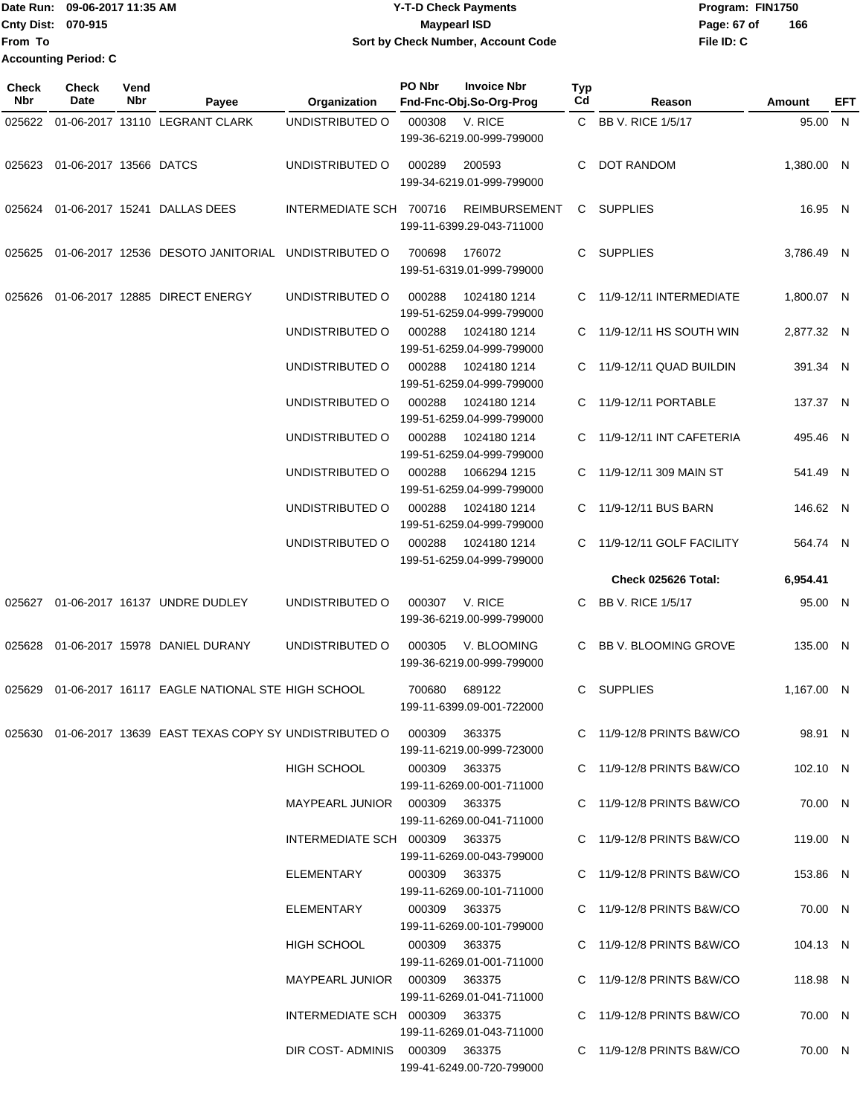## Date Run: 09-06-2017 11:35 AM **CONTEX 100 CONTEX 12 T-D** Check Payments **CONTEX 12 T-D Check Payments** Program: FIN1750 **Cnty Dist:** 070-915 **Page: 67 of MaypearI ISD Page: 67 of Y-T-D Check Payments 070-915 Maypearl ISD Sort by Check Number, Account Code**

| Check<br><b>Nbr</b> | <b>Check</b><br>Date   | Vend<br>Nbr | Payee                                                                | Organization                    | PO Nbr        | <b>Invoice Nbr</b><br>Fnd-Fnc-Obj.So-Org-Prog     | <b>Typ</b><br>Cd | Reason                      | Amount     | EFT |
|---------------------|------------------------|-------------|----------------------------------------------------------------------|---------------------------------|---------------|---------------------------------------------------|------------------|-----------------------------|------------|-----|
| 025622              |                        |             | 01-06-2017 13110 LEGRANT CLARK                                       | UNDISTRIBUTED O                 | 000308        | V. RICE<br>199-36-6219.00-999-799000              |                  | C BB V. RICE 1/5/17         | 95.00 N    |     |
| 025623              | 01-06-2017 13566 DATCS |             |                                                                      | UNDISTRIBUTED O                 | 000289        | 200593<br>199-34-6219.01-999-799000               | C.               | DOT RANDOM                  | 1,380.00 N |     |
|                     |                        |             | 025624 01-06-2017 15241 DALLAS DEES                                  | INTERMEDIATE SCH 700716         |               | <b>REIMBURSEMENT</b><br>199-11-6399.29-043-711000 |                  | C SUPPLIES                  | 16.95 N    |     |
| 025625              |                        |             | 01-06-2017 12536 DESOTO JANITORIAL UNDISTRIBUTED O                   |                                 | 700698        | 176072<br>199-51-6319.01-999-799000               |                  | C SUPPLIES                  | 3.786.49 N |     |
| 025626              |                        |             | 01-06-2017 12885 DIRECT ENERGY                                       | UNDISTRIBUTED O                 | 000288        | 1024180 1214<br>199-51-6259.04-999-799000         |                  | C 11/9-12/11 INTERMEDIATE   | 1,800.07 N |     |
|                     |                        |             |                                                                      | UNDISTRIBUTED O                 | 000288        | 1024180 1214<br>199-51-6259.04-999-799000         |                  | C 11/9-12/11 HS SOUTH WIN   | 2,877.32 N |     |
|                     |                        |             |                                                                      | UNDISTRIBUTED O                 | 000288        | 1024180 1214<br>199-51-6259.04-999-799000         |                  | C 11/9-12/11 QUAD BUILDIN   | 391.34 N   |     |
|                     |                        |             |                                                                      | UNDISTRIBUTED O                 | 000288        | 1024180 1214<br>199-51-6259.04-999-799000         |                  | C 11/9-12/11 PORTABLE       | 137.37 N   |     |
|                     |                        |             |                                                                      | UNDISTRIBUTED O                 | 000288        | 1024180 1214<br>199-51-6259.04-999-799000         | C.               | 11/9-12/11 INT CAFETERIA    | 495.46 N   |     |
|                     |                        |             |                                                                      | UNDISTRIBUTED O                 | 000288        | 1066294 1215<br>199-51-6259.04-999-799000         |                  | C 11/9-12/11 309 MAIN ST    | 541.49 N   |     |
|                     |                        |             |                                                                      | UNDISTRIBUTED O                 | 000288        | 1024180 1214<br>199-51-6259.04-999-799000         | C.               | 11/9-12/11 BUS BARN         | 146.62 N   |     |
|                     |                        |             |                                                                      | UNDISTRIBUTED O                 | 000288        | 1024180 1214<br>199-51-6259.04-999-799000         | C.               | 11/9-12/11 GOLF FACILITY    | 564.74 N   |     |
|                     |                        |             |                                                                      |                                 |               |                                                   |                  | Check 025626 Total:         | 6,954.41   |     |
| 025627              |                        |             | 01-06-2017 16137 UNDRE DUDLEY                                        | UNDISTRIBUTED O                 | 000307        | V. RICE<br>199-36-6219.00-999-799000              | C.               | BB V. RICE 1/5/17           | 95.00 N    |     |
| 025628              |                        |             | 01-06-2017 15978 DANIEL DURANY                                       | UNDISTRIBUTED O                 | 000305        | V. BLOOMING<br>199-36-6219.00-999-799000          | C.               | BB V. BLOOMING GROVE        | 135.00 N   |     |
| 025629              |                        |             | 01-06-2017 16117 EAGLE NATIONAL STE HIGH SCHOOL                      |                                 | 700680        | 689122<br>199-11-6399.09-001-722000               | C.               | <b>SUPPLIES</b>             | 1,167.00 N |     |
|                     |                        |             | 025630  01-06-2017  13639  EAST TEXAS COPY SY UNDISTRIBUTED   000309 |                                 |               | 363375<br>199-11-6219.00-999-723000               |                  | $C$ 11/9-12/8 PRINTS B&W/CO | 98.91 N    |     |
|                     |                        |             |                                                                      | HIGH SCHOOL                     | 000309 363375 | 199-11-6269.00-001-711000                         |                  | C 11/9-12/8 PRINTS B&W/CO   | 102.10 N   |     |
|                     |                        |             |                                                                      | MAYPEARL JUNIOR  000309  363375 |               | 199-11-6269.00-041-711000                         |                  | C 11/9-12/8 PRINTS B&W/CO   | 70.00 N    |     |
|                     |                        |             |                                                                      | INTERMEDIATE SCH 000309 363375  |               | 199-11-6269.00-043-799000                         |                  | $C$ 11/9-12/8 PRINTS B&W/CO | 119.00 N   |     |
|                     |                        |             |                                                                      | ELEMENTARY                      |               | 000309 363375<br>199-11-6269.00-101-711000        |                  | C 11/9-12/8 PRINTS B&W/CO   | 153.86 N   |     |
|                     |                        |             |                                                                      | ELEMENTARY                      | 000309 363375 | 199-11-6269.00-101-799000                         |                  | C 11/9-12/8 PRINTS B&W/CO   | 70.00 N    |     |
|                     |                        |             |                                                                      | HIGH SCHOOL                     | 000309 363375 | 199-11-6269.01-001-711000                         |                  | $C$ 11/9-12/8 PRINTS B&W/CO | 104.13 N   |     |
|                     |                        |             |                                                                      | MAYPEARL JUNIOR  000309  363375 |               | 199-11-6269.01-041-711000                         |                  | C 11/9-12/8 PRINTS B&W/CO   | 118.98 N   |     |
|                     |                        |             |                                                                      | INTERMEDIATE SCH 000309 363375  |               | 199-11-6269.01-043-711000                         |                  | C 11/9-12/8 PRINTS B&W/CO   | 70.00 N    |     |
|                     |                        |             |                                                                      | DIR COST-ADMINIS 000309 363375  |               | 199-41-6249.00-720-799000                         |                  | C 11/9-12/8 PRINTS B&W/CO   | 70.00 N    |     |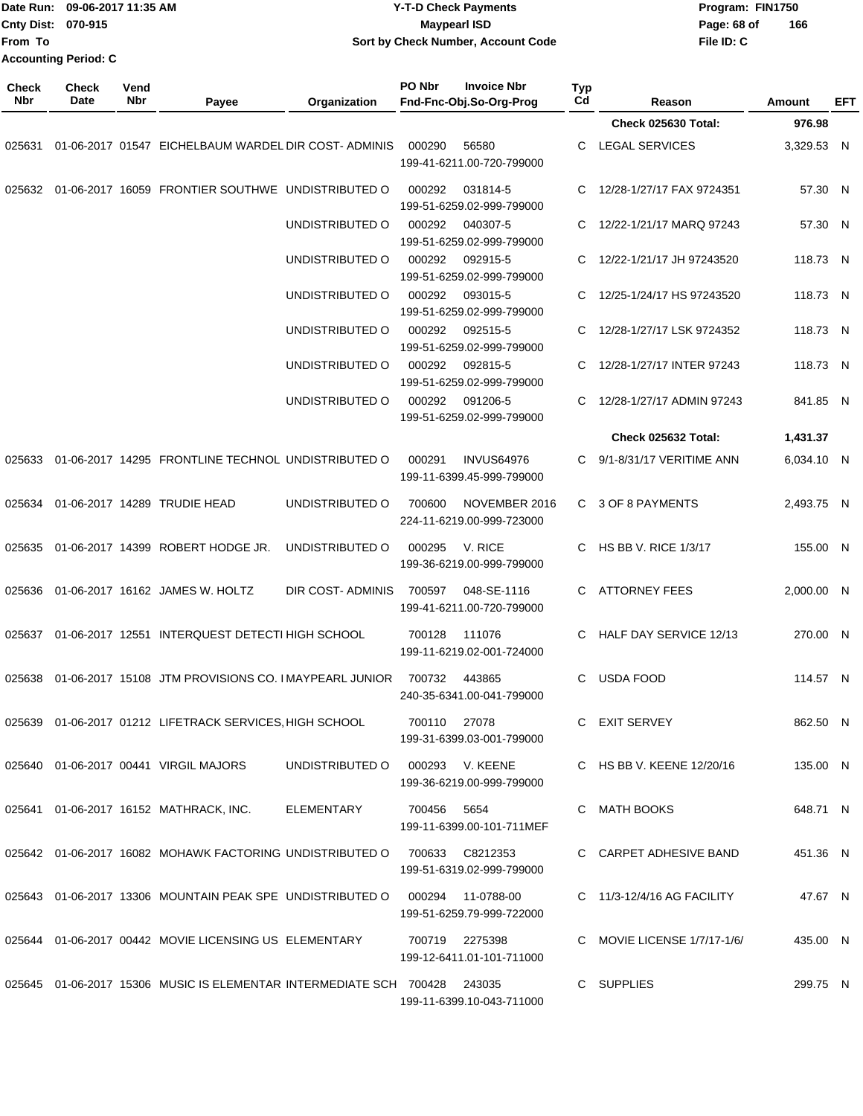| From To             | Date Run: 09-06-2017 11:35 AM<br>Cnty Dist: 070-915<br><b>Accounting Period: C</b> |             |                                                                                  |                                                 | <b>Y-T-D Check Payments</b><br><b>Maypearl ISD</b><br>Sort by Check Number, Account Code |                           |                             | Program: FIN1750<br>Page: 68 of<br>File ID: C | 166        |     |
|---------------------|------------------------------------------------------------------------------------|-------------|----------------------------------------------------------------------------------|-------------------------------------------------|------------------------------------------------------------------------------------------|---------------------------|-----------------------------|-----------------------------------------------|------------|-----|
| <b>Check</b><br>Nbr | Check<br>Date                                                                      | Vend<br>Nbr | Payee                                                                            | Organization                                    | PO Nbr<br><b>Invoice Nbr</b><br>Fnd-Fnc-Obj.So-Org-Prog                                  | Typ<br>C <sub>d</sub>     | Reason                      |                                               | Amount     | EFT |
|                     |                                                                                    |             |                                                                                  |                                                 |                                                                                          |                           | <b>Check 025630 Total:</b>  |                                               | 976.98     |     |
| 025631              |                                                                                    |             | 01-06-2017 01547 EICHELBAUM WARDEL DIR COST-ADMINIS                              |                                                 | 000290<br>56580<br>199-41-6211.00-720-799000                                             | С                         | <b>LEGAL SERVICES</b>       |                                               | 3,329.53 N |     |
| 025632              |                                                                                    |             | 01-06-2017 16059 FRONTIER SOUTHWE UNDISTRIBUTED O                                |                                                 | 000292<br>031814-5<br>199-51-6259.02-999-799000                                          | С                         | 12/28-1/27/17 FAX 9724351   |                                               | 57.30 N    |     |
|                     |                                                                                    |             |                                                                                  | UNDISTRIBUTED O                                 | 000292<br>040307-5<br>199-51-6259.02-999-799000                                          | С                         | 12/22-1/21/17 MARQ 97243    |                                               | 57.30 N    |     |
|                     |                                                                                    |             |                                                                                  | UNDISTRIBUTED O                                 | 000292<br>092915-5<br>199-51-6259.02-999-799000                                          | C.                        | 12/22-1/21/17 JH 97243520   |                                               | 118.73 N   |     |
|                     |                                                                                    |             |                                                                                  | UNDISTRIBUTED O                                 | 000292<br>093015-5<br>199-51-6259.02-999-799000                                          | C                         | 12/25-1/24/17 HS 97243520   |                                               | 118.73 N   |     |
|                     |                                                                                    |             |                                                                                  | UNDISTRIBUTED O                                 | 000292<br>092515-5<br>199-51-6259.02-999-799000                                          | С                         | 12/28-1/27/17 LSK 9724352   |                                               | 118.73 N   |     |
|                     |                                                                                    |             |                                                                                  | UNDISTRIBUTED O                                 | 000292<br>092815-5<br>199-51-6259.02-999-799000                                          | С                         | 12/28-1/27/17 INTER 97243   |                                               | 118.73 N   |     |
|                     |                                                                                    |             | UNDISTRIBUTED O                                                                  | 000292<br>091206-5<br>199-51-6259.02-999-799000 |                                                                                          | 12/28-1/27/17 ADMIN 97243 |                             | 841.85 N                                      |            |     |
|                     |                                                                                    |             |                                                                                  |                                                 |                                                                                          |                           | Check 025632 Total:         |                                               | 1,431.37   |     |
| 025633              |                                                                                    |             | 01-06-2017 14295 FRONTLINE TECHNOL UNDISTRIBUTED O                               |                                                 | 000291<br><b>INVUS64976</b><br>199-11-6399.45-999-799000                                 | C.                        | 9/1-8/31/17 VERITIME ANN    |                                               | 6,034.10 N |     |
| 025634              |                                                                                    |             | 01-06-2017 14289 TRUDIE HEAD                                                     | UNDISTRIBUTED O                                 | NOVEMBER 2016<br>700600<br>224-11-6219.00-999-723000                                     |                           | C 3 OF 8 PAYMENTS           |                                               | 2,493.75 N |     |
| 025635              |                                                                                    |             | 01-06-2017 14399 ROBERT HODGE JR.                                                | UNDISTRIBUTED O                                 | 000295<br>V. RICE<br>199-36-6219.00-999-799000                                           | С                         | <b>HS BB V. RICE 1/3/17</b> |                                               | 155.00 N   |     |
| 025636              |                                                                                    |             | 01-06-2017 16162 JAMES W. HOLTZ                                                  | DIR COST-ADMINIS                                | 700597<br>048-SE-1116<br>199-41-6211.00-720-799000                                       | С                         | <b>ATTORNEY FEES</b>        |                                               | 2,000.00 N |     |
|                     |                                                                                    |             | 025637 01-06-2017 12551 INTERQUEST DETECTI HIGH SCHOOL                           |                                                 | 700128 111076<br>199-11-6219.02-001-724000                                               | C.                        | HALF DAY SERVICE 12/13      |                                               | 270.00 N   |     |
|                     |                                                                                    |             | 025638  01-06-2017  15108  JTM PROVISIONS CO. IMAYPEARL JUNIOR  700732  443865   |                                                 | 240-35-6341.00-041-799000                                                                |                           | C USDA FOOD                 |                                               | 114.57 N   |     |
|                     |                                                                                    |             | 025639 01-06-2017 01212 LIFETRACK SERVICES, HIGH SCHOOL 700110 27078             |                                                 | 199-31-6399.03-001-799000                                                                |                           | C EXIT SERVEY               |                                               | 862.50 N   |     |
|                     |                                                                                    |             | 025640 01-06-2017 00441 VIRGIL MAJORS                                            | UNDISTRIBUTED O                                 | 000293 V. KEENE<br>199-36-6219.00-999-799000                                             |                           | C HS BB V. KEENE 12/20/16   |                                               | 135.00 N   |     |
|                     |                                                                                    |             | 025641  01-06-2017  16152  MATHRACK, INC. ELEMENTARY                             |                                                 | 700456 5654<br>199-11-6399.00-101-711MEF                                                 |                           | C MATH BOOKS                |                                               | 648.71 N   |     |
|                     |                                                                                    |             | 025642  01-06-2017  16082  MOHAWK FACTORING UNDISTRIBUTED O  700633  C8212353    |                                                 | 199-51-6319.02-999-799000                                                                |                           | C CARPET ADHESIVE BAND      |                                               | 451.36 N   |     |
|                     |                                                                                    |             | 025643  01-06-2017  13306  MOUNTAIN PEAK SPE  UNDISTRIBUTED   000294  11-0788-00 |                                                 | 199-51-6259.79-999-722000                                                                |                           | C 11/3-12/4/16 AG FACILITY  |                                               | 47.67 N    |     |
|                     |                                                                                    |             | 025644  01-06-2017  00442  MOVIE LICENSING US ELEMENTARY  700719  2275398        |                                                 | 199-12-6411.01-101-711000                                                                |                           | C MOVIE LICENSE 1/7/17-1/6/ |                                               | 435.00 N   |     |
|                     |                                                                                    |             | 025645  01-06-2017  15306  MUSIC IS ELEMENTAR INTERMEDIATE SCH  700428  243035   |                                                 | 199-11-6399.10-043-711000                                                                |                           | C SUPPLIES                  |                                               | 299.75 N   |     |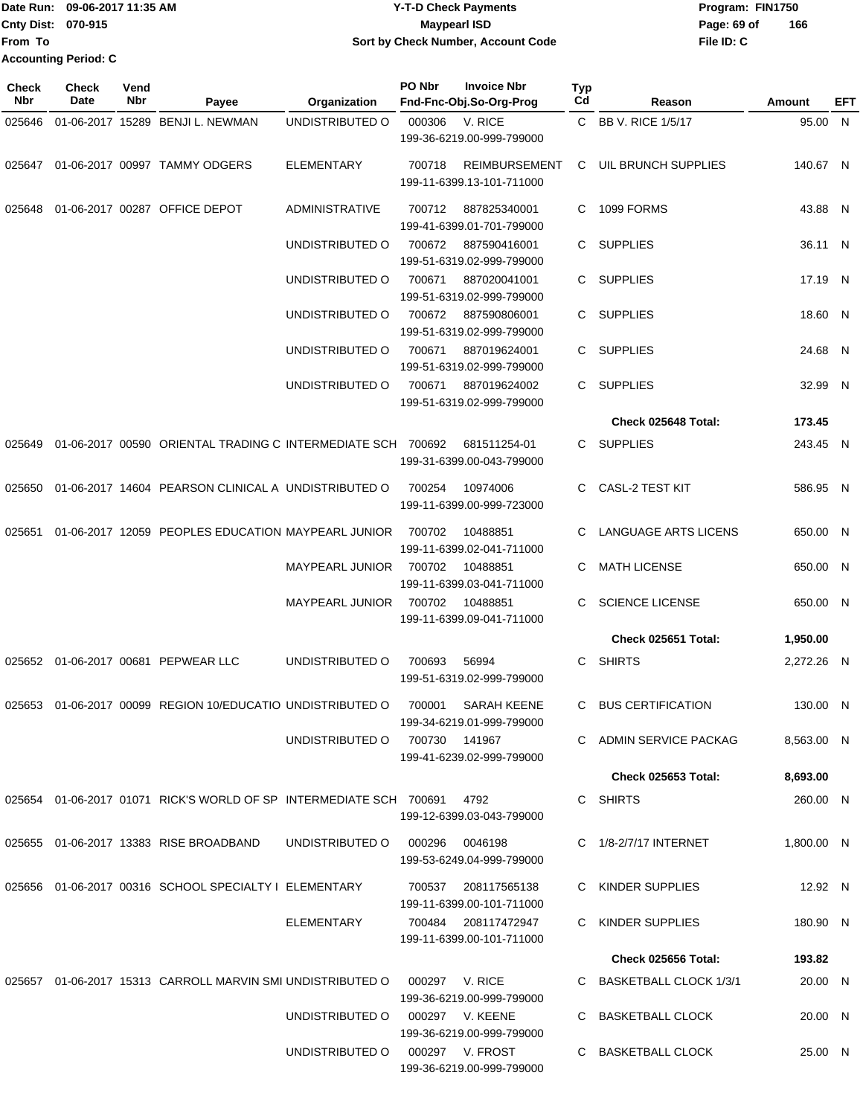|                             | Date Run: 09-06-2017 11:35 AM | <b>Y-T-D Check Payments</b>        | Program: FIN1750 |     |  |
|-----------------------------|-------------------------------|------------------------------------|------------------|-----|--|
| <b>Cnty Dist: 070-915</b>   |                               | Maypearl ISD                       | Page: 69 of      | 166 |  |
| <b>IFrom To</b>             |                               | Sort by Check Number, Account Code | File ID: C       |     |  |
| <b>Accounting Period: C</b> |                               |                                    |                  |     |  |

| <b>Check</b><br>Nbr | Check<br>Date | Vend<br>Nbr | Payee                                                                  | Organization           | PO Nbr         | <b>Invoice Nbr</b><br>Fnd-Fnc-Obj.So-Org-Prog     | Typ<br>Cd | Reason                     | Amount     | EFT |
|---------------------|---------------|-------------|------------------------------------------------------------------------|------------------------|----------------|---------------------------------------------------|-----------|----------------------------|------------|-----|
| 025646              |               |             | 01-06-2017 15289 BENJI L. NEWMAN                                       | UNDISTRIBUTED O        | 000306         | V. RICE                                           |           | C BB V. RICE 1/5/17        | 95.00 N    |     |
|                     |               |             |                                                                        |                        |                | 199-36-6219.00-999-799000                         |           |                            |            |     |
| 025647              |               |             | 01-06-2017 00997 TAMMY ODGERS                                          | <b>ELEMENTARY</b>      | 700718         | <b>REIMBURSEMENT</b><br>199-11-6399.13-101-711000 | C         | UIL BRUNCH SUPPLIES        | 140.67 N   |     |
| 025648              |               |             | 01-06-2017 00287 OFFICE DEPOT                                          | <b>ADMINISTRATIVE</b>  | 700712         | 887825340001<br>199-41-6399.01-701-799000         | C         | 1099 FORMS                 | 43.88 N    |     |
|                     |               |             |                                                                        | UNDISTRIBUTED O        | 700672         | 887590416001<br>199-51-6319.02-999-799000         | C.        | <b>SUPPLIES</b>            | 36.11 N    |     |
|                     |               |             |                                                                        | UNDISTRIBUTED O        | 700671         | 887020041001<br>199-51-6319.02-999-799000         | C.        | <b>SUPPLIES</b>            | 17.19 N    |     |
|                     |               |             |                                                                        | UNDISTRIBUTED O        | 700672         | 887590806001<br>199-51-6319.02-999-799000         | C.        | <b>SUPPLIES</b>            | 18.60 N    |     |
|                     |               |             |                                                                        | UNDISTRIBUTED O        | 700671         | 887019624001<br>199-51-6319.02-999-799000         | C.        | <b>SUPPLIES</b>            | 24.68 N    |     |
|                     |               |             |                                                                        | UNDISTRIBUTED O        | 700671         | 887019624002<br>199-51-6319.02-999-799000         | C.        | <b>SUPPLIES</b>            | 32.99 N    |     |
|                     |               |             |                                                                        |                        |                |                                                   |           | Check 025648 Total:        | 173.45     |     |
| 025649              |               |             | 01-06-2017 00590 ORIENTAL TRADING C INTERMEDIATE SCH 700692            |                        |                | 681511254-01<br>199-31-6399.00-043-799000         | C.        | SUPPLIES                   | 243.45 N   |     |
| 025650              |               |             | 01-06-2017 14604 PEARSON CLINICAL A UNDISTRIBUTED O                    |                        | 700254         | 10974006<br>199-11-6399.00-999-723000             | C         | <b>CASL-2 TEST KIT</b>     | 586.95 N   |     |
| 025651              |               |             | 01-06-2017 12059 PEOPLES EDUCATION MAYPEARL JUNIOR                     |                        | 700702         | 10488851<br>199-11-6399.02-041-711000             |           | LANGUAGE ARTS LICENS       | 650.00 N   |     |
|                     |               |             |                                                                        | <b>MAYPEARL JUNIOR</b> | 700702         | 10488851<br>199-11-6399.03-041-711000             | С         | <b>MATH LICENSE</b>        | 650.00 N   |     |
|                     |               |             |                                                                        | MAYPEARL JUNIOR        | 700702         | 10488851<br>199-11-6399.09-041-711000             | C.        | <b>SCIENCE LICENSE</b>     | 650.00 N   |     |
|                     |               |             |                                                                        |                        |                |                                                   |           | Check 025651 Total:        | 1,950.00   |     |
|                     |               |             | 025652 01-06-2017 00681 PEPWEAR LLC                                    | UNDISTRIBUTED O        | 700693         | 56994<br>199-51-6319.02-999-799000                | C.        | <b>SHIRTS</b>              | 2,272.26 N |     |
| 025653              |               |             | 01-06-2017 00099 REGION 10/EDUCATIO UNDISTRIBUTED O                    |                        | 700001         | <b>SARAH KEENE</b><br>199-34-6219.01-999-799000   | C.        | <b>BUS CERTIFICATION</b>   | 130.00 N   |     |
|                     |               |             |                                                                        | UNDISTRIBUTED O        | 700730 141967  | 199-41-6239.02-999-799000                         |           | C ADMIN SERVICE PACKAG     | 8,563.00 N |     |
|                     |               |             |                                                                        |                        |                |                                                   |           | <b>Check 025653 Total:</b> | 8,693.00   |     |
|                     |               |             | 025654  01-06-2017  01071  RICK'S WORLD OF SP INTERMEDIATE SCH  700691 |                        |                | 4792<br>199-12-6399.03-043-799000                 |           | C SHIRTS                   | 260.00 N   |     |
|                     |               |             | 025655 01-06-2017 13383 RISE BROADBAND                                 | UNDISTRIBUTED O        | 000296         | 0046198<br>199-53-6249.04-999-799000              |           | C 1/8-2/7/17 INTERNET      | 1,800.00 N |     |
|                     |               |             | 025656 01-06-2017 00316 SCHOOL SPECIALTY I ELEMENTARY                  |                        | 700537         | 208117565138<br>199-11-6399.00-101-711000         |           | C KINDER SUPPLIES          | 12.92 N    |     |
|                     |               |             |                                                                        | ELEMENTARY             |                | 700484 208117472947<br>199-11-6399.00-101-711000  |           | C KINDER SUPPLIES          | 180.90 N   |     |
|                     |               |             |                                                                        |                        |                |                                                   |           | <b>Check 025656 Total:</b> | 193.82     |     |
|                     |               |             | 025657 01-06-2017 15313 CARROLL MARVIN SMI UNDISTRIBUTED O             |                        | 000297 V. RICE | 199-36-6219.00-999-799000                         |           | C BASKETBALL CLOCK 1/3/1   | 20.00 N    |     |
|                     |               |             |                                                                        | UNDISTRIBUTED O        |                | 000297 V. KEENE<br>199-36-6219.00-999-799000      |           | C BASKETBALL CLOCK         | 20.00 N    |     |
|                     |               |             |                                                                        | UNDISTRIBUTED O        |                | 000297 V. FROST<br>199-36-6219.00-999-799000      |           | C BASKETBALL CLOCK         | 25.00 N    |     |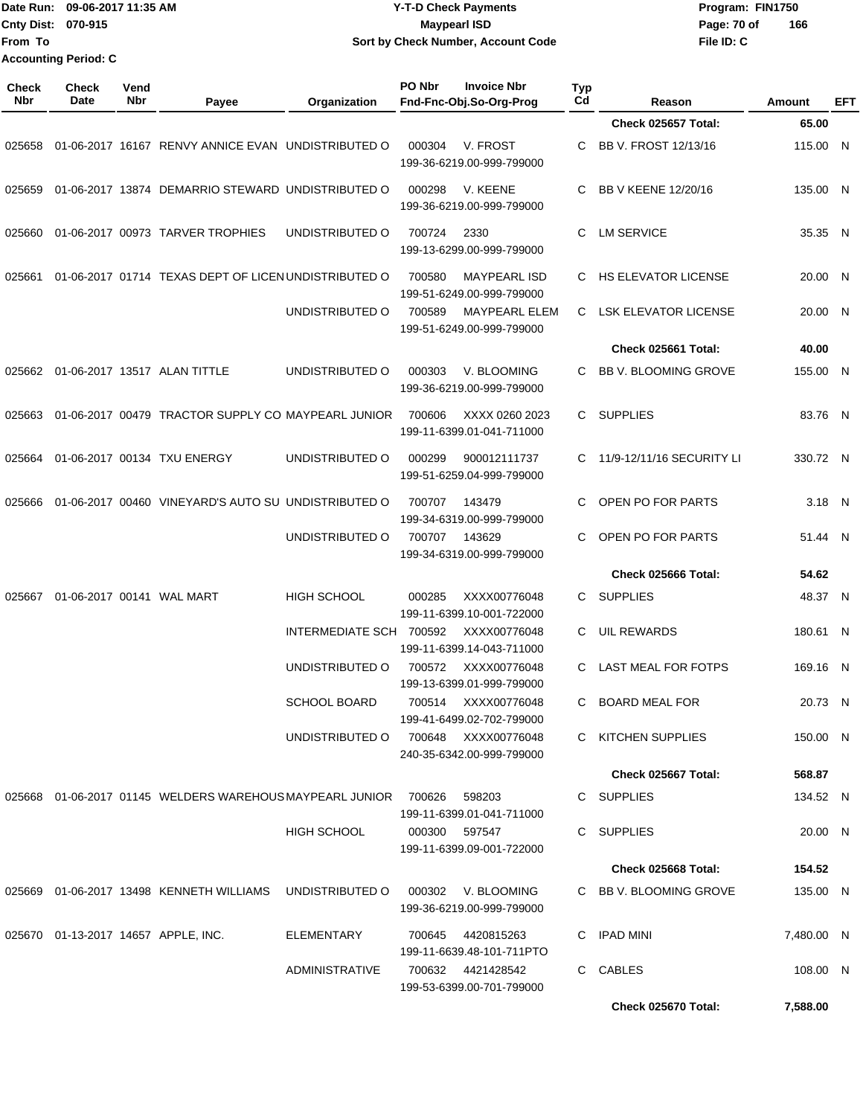|                     | Date Run: 09-06-2017 11:35 AM |             |                                                             | <b>Y-T-D Check Payments</b>          |        |                                                   |                  |                             | Program: FIN1750 |                |
|---------------------|-------------------------------|-------------|-------------------------------------------------------------|--------------------------------------|--------|---------------------------------------------------|------------------|-----------------------------|------------------|----------------|
|                     | Cnty Dist: 070-915            |             |                                                             |                                      |        | <b>Maypearl ISD</b>                               |                  | Page: 70 of                 | 166              |                |
| From To             |                               |             |                                                             |                                      |        | Sort by Check Number, Account Code                |                  | File ID: C                  |                  |                |
|                     | <b>Accounting Period: C</b>   |             |                                                             |                                      |        |                                                   |                  |                             |                  |                |
| <b>Check</b><br>Nbr | <b>Check</b><br>Date          | Vend<br>Nbr | Payee                                                       | Organization                         | PO Nbr | <b>Invoice Nbr</b><br>Fnd-Fnc-Obj.So-Org-Prog     | <b>Typ</b><br>Cd | Reason                      | Amount           | <b>EFT</b>     |
|                     |                               |             |                                                             |                                      |        |                                                   |                  | Check 025657 Total:         | 65.00            |                |
| 025658              |                               |             | 01-06-2017 16167 RENVY ANNICE EVAN UNDISTRIBUTED O          |                                      | 000304 | V. FROST<br>199-36-6219.00-999-799000             | C                | BB V. FROST 12/13/16        | 115.00 N         |                |
| 025659              |                               |             | 01-06-2017 13874 DEMARRIO STEWARD UNDISTRIBUTED O           |                                      | 000298 | V. KEENE<br>199-36-6219.00-999-799000             | C                | BB V KEENE 12/20/16         | 135.00 N         |                |
| 025660              |                               |             | 01-06-2017 00973 TARVER TROPHIES                            | UNDISTRIBUTED O                      | 700724 | 2330<br>199-13-6299.00-999-799000                 | C                | <b>LM SERVICE</b>           | 35.35 N          |                |
| 025661              |                               |             | 01-06-2017 01714 TEXAS DEPT OF LICEN UNDISTRIBUTED O        |                                      | 700580 | <b>MAYPEARL ISD</b><br>199-51-6249.00-999-799000  | C                | <b>HS ELEVATOR LICENSE</b>  | 20.00            | - N            |
|                     |                               |             |                                                             | UNDISTRIBUTED O                      | 700589 | <b>MAYPEARL ELEM</b><br>199-51-6249.00-999-799000 | C                | <b>LSK ELEVATOR LICENSE</b> | 20.00            | $\overline{N}$ |
|                     |                               |             |                                                             |                                      |        |                                                   |                  | Check 025661 Total:         | 40.00            |                |
| 025662              |                               |             | 01-06-2017 13517 ALAN TITTLE                                | UNDISTRIBUTED O                      | 000303 | V. BLOOMING<br>199-36-6219.00-999-799000          | C.               | BB V. BLOOMING GROVE        | 155.00 N         |                |
| 025663              |                               |             | 01-06-2017 00479 TRACTOR SUPPLY CO MAYPEARL JUNIOR          |                                      | 700606 | XXXX 0260 2023<br>199-11-6399.01-041-711000       | C                | <b>SUPPLIES</b>             | 83.76 N          |                |
| 025664              |                               |             | 01-06-2017 00134 TXU ENERGY                                 | UNDISTRIBUTED O                      | 000299 | 900012111737<br>199-51-6259.04-999-799000         | C                | 11/9-12/11/16 SECURITY LI   | 330.72 N         |                |
| 025666              |                               |             | 01-06-2017 00460 VINEYARD'S AUTO SU UNDISTRIBUTED O         |                                      | 700707 | 143479<br>199-34-6319.00-999-799000               | C                | OPEN PO FOR PARTS           | 3.18 N           |                |
|                     |                               |             |                                                             | UNDISTRIBUTED O                      | 700707 | 143629<br>199-34-6319.00-999-799000               | C                | OPEN PO FOR PARTS           | 51.44 N          |                |
|                     |                               |             |                                                             |                                      |        |                                                   |                  | Check 025666 Total:         | 54.62            |                |
| 025667              |                               |             | 01-06-2017 00141 WAL MART                                   | <b>HIGH SCHOOL</b>                   | 000285 | XXXX00776048<br>199-11-6399.10-001-722000         | C                | <b>SUPPLIES</b>             | 48.37 N          |                |
|                     |                               |             |                                                             | INTERMEDIATE SCH 700592 XXXX00776048 |        | 199-11-6399.14-043-711000                         |                  | C UIL REWARDS               | 180.61 N         |                |
|                     |                               |             |                                                             | UNDISTRIBUTED O                      |        | 700572 XXXX00776048<br>199-13-6399.01-999-799000  |                  | C LAST MEAL FOR FOTPS       | 169.16 N         |                |
|                     |                               |             |                                                             | <b>SCHOOL BOARD</b>                  |        | 700514 XXXX00776048<br>199-41-6499.02-702-799000  |                  | C BOARD MEAL FOR            | 20.73 N          |                |
|                     |                               |             |                                                             | UNDISTRIBUTED O                      |        | 700648 XXXX00776048<br>240-35-6342.00-999-799000  |                  | C KITCHEN SUPPLIES          | 150.00 N         |                |
|                     |                               |             |                                                             |                                      |        |                                                   |                  | Check 025667 Total:         | 568.87           |                |
|                     |                               |             | 025668  01-06-2017  01145  WELDERS WAREHOUS MAYPEARL JUNIOR |                                      | 700626 | 598203<br>199-11-6399.01-041-711000               |                  | C SUPPLIES                  | 134.52 N         |                |
|                     |                               |             |                                                             | <b>HIGH SCHOOL</b>                   |        | 000300 597547<br>199-11-6399.09-001-722000        |                  | C SUPPLIES                  | 20.00 N          |                |

**Check 025668 Total: 154.52** 025669 01-06-2017 13498 KENNETH WILLIAMS UNDISTRIBUTED O 000302 V. BLOOMING C BB V. BLOOMING GROVE 199-36-6219.00-999-799000 135.00 N 025670 01-13-2017 14657 APPLE, INC. ELEMENTARY 700645 4420815263 C IPAD MINI 199-11-6639.48-101-711PTO 7,480.00 N ADMINISTRATIVE 700632 4421428542 C CABLES 199-53-6399.00-701-799000 108.00 N

**Check 025670 Total: 7,588.00**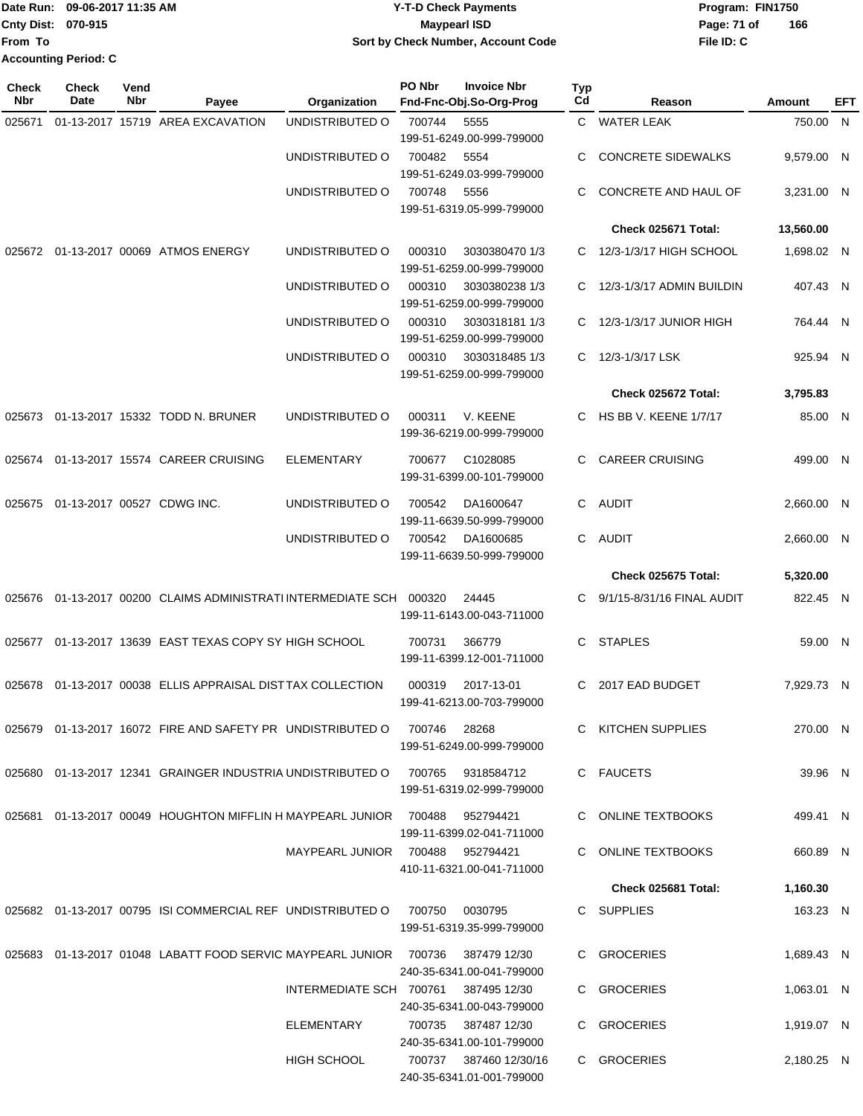|                             | Date Run: 09-06-2017 11:35 AM | <b>Y-T-D Check Payments</b>        | Program: FIN1750   |  |  |  |  |
|-----------------------------|-------------------------------|------------------------------------|--------------------|--|--|--|--|
| Cnty Dist: 070-915          |                               | Maypearl ISD                       | 166<br>Page: 71 of |  |  |  |  |
| 'From To                    |                               | Sort by Check Number, Account Code | File ID: C         |  |  |  |  |
| <b>Accounting Period: C</b> |                               |                                    |                    |  |  |  |  |

**Check**

| <b>Check</b><br><b>Nbr</b> | <b>Check</b><br>Date | Vend<br>Nbr | Payee                                                                             | Organization                         | PO Nbr | <b>Invoice Nbr</b><br>Fnd-Fnc-Obj.So-Org-Prog       | Typ<br>$_{\rm Cd}$ | Reason                       | Amount     | EFT |
|----------------------------|----------------------|-------------|-----------------------------------------------------------------------------------|--------------------------------------|--------|-----------------------------------------------------|--------------------|------------------------------|------------|-----|
| 025671                     |                      |             | 01-13-2017 15719 AREA EXCAVATION                                                  | UNDISTRIBUTED O                      | 700744 | 5555                                                |                    | C WATER LEAK                 | 750.00 N   |     |
|                            |                      |             |                                                                                   |                                      |        | 199-51-6249.00-999-799000                           |                    |                              |            |     |
|                            |                      |             |                                                                                   | UNDISTRIBUTED O                      | 700482 | 5554                                                | C                  | <b>CONCRETE SIDEWALKS</b>    | 9,579.00 N |     |
|                            |                      |             |                                                                                   |                                      | 700748 | 199-51-6249.03-999-799000                           | C.                 |                              |            |     |
|                            |                      |             |                                                                                   | UNDISTRIBUTED O                      |        | 5556<br>199-51-6319.05-999-799000                   |                    | CONCRETE AND HAUL OF         | 3,231.00 N |     |
|                            |                      |             |                                                                                   |                                      |        |                                                     |                    | Check 025671 Total:          | 13,560.00  |     |
|                            |                      |             | 025672 01-13-2017 00069 ATMOS ENERGY                                              | UNDISTRIBUTED O                      | 000310 | 3030380470 1/3                                      | C.                 | 12/3-1/3/17 HIGH SCHOOL      | 1,698.02 N |     |
|                            |                      |             |                                                                                   |                                      |        | 199-51-6259.00-999-799000                           |                    |                              |            |     |
|                            |                      |             |                                                                                   | UNDISTRIBUTED O                      | 000310 | 3030380238 1/3                                      | C.                 | 12/3-1/3/17 ADMIN BUILDIN    | 407.43 N   |     |
|                            |                      |             |                                                                                   |                                      |        | 199-51-6259.00-999-799000                           |                    |                              |            |     |
|                            |                      |             |                                                                                   | UNDISTRIBUTED O                      | 000310 | 3030318181 1/3                                      | C.                 | 12/3-1/3/17 JUNIOR HIGH      | 764.44 N   |     |
|                            |                      |             |                                                                                   |                                      |        | 199-51-6259.00-999-799000                           |                    |                              |            |     |
|                            |                      |             |                                                                                   | UNDISTRIBUTED O                      | 000310 | 3030318485 1/3<br>199-51-6259.00-999-799000         | C.                 | 12/3-1/3/17 LSK              | 925.94 N   |     |
|                            |                      |             |                                                                                   |                                      |        |                                                     |                    | Check 025672 Total:          | 3,795.83   |     |
|                            |                      |             | 025673 01-13-2017 15332 TODD N. BRUNER                                            | UNDISTRIBUTED O                      | 000311 | V. KEENE                                            | C.                 | <b>HS BB V. KEENE 1/7/17</b> | 85.00 N    |     |
|                            |                      |             |                                                                                   |                                      |        | 199-36-6219.00-999-799000                           |                    |                              |            |     |
|                            |                      |             | 025674 01-13-2017 15574 CAREER CRUISING                                           |                                      |        |                                                     | C                  | <b>CAREER CRUISING</b>       | 499.00 N   |     |
|                            |                      |             |                                                                                   | ELEMENTARY                           | 700677 | C1028085<br>199-31-6399.00-101-799000               |                    |                              |            |     |
|                            |                      |             |                                                                                   |                                      |        |                                                     |                    |                              |            |     |
| 025675                     |                      |             | 01-13-2017 00527 CDWG INC.                                                        | UNDISTRIBUTED O                      | 700542 | DA1600647<br>199-11-6639.50-999-799000              | C.                 | <b>AUDIT</b>                 | 2,660.00 N |     |
|                            |                      |             |                                                                                   | UNDISTRIBUTED O                      | 700542 | DA1600685                                           | C.                 | <b>AUDIT</b>                 | 2,660.00 N |     |
|                            |                      |             |                                                                                   |                                      |        | 199-11-6639.50-999-799000                           |                    |                              |            |     |
|                            |                      |             |                                                                                   |                                      |        |                                                     |                    | <b>Check 025675 Total:</b>   | 5,320.00   |     |
|                            |                      |             | 025676 01-13-2017 00200 CLAIMS ADMINISTRATI INTERMEDIATE SCH 000320               |                                      |        | 24445                                               | C.                 | 9/1/15-8/31/16 FINAL AUDIT   | 822.45 N   |     |
|                            |                      |             |                                                                                   |                                      |        | 199-11-6143.00-043-711000                           |                    |                              |            |     |
|                            |                      |             | 025677 01-13-2017 13639 EAST TEXAS COPY SY HIGH SCHOOL                            |                                      | 700731 | 366779                                              | C.                 | <b>STAPLES</b>               | 59.00 N    |     |
|                            |                      |             |                                                                                   |                                      |        | 199-11-6399.12-001-711000                           |                    |                              |            |     |
| 025678                     |                      |             | 01-13-2017 00038 ELLIS APPRAISAL DISTTAX COLLECTION                               |                                      | 000319 | 2017-13-01                                          | C                  | 2017 EAD BUDGET              | 7,929.73 N |     |
|                            |                      |             |                                                                                   |                                      |        | 199-41-6213.00-703-799000                           |                    |                              |            |     |
|                            |                      |             | 025679  01-13-2017  16072  FIRE AND SAFETY PR  UNDISTRIBUTED O  700746  28268     |                                      |        |                                                     |                    | C KITCHEN SUPPLIES           |            |     |
|                            |                      |             |                                                                                   |                                      |        | 199-51-6249.00-999-799000                           |                    |                              | 270.00 N   |     |
|                            |                      |             |                                                                                   |                                      |        |                                                     |                    |                              |            |     |
|                            |                      |             | 025680  01-13-2017  12341  GRAINGER INDUSTRIA UNDISTRIBUTED O  700765  9318584712 |                                      |        | 199-51-6319.02-999-799000                           |                    | C FAUCETS                    | 39.96 N    |     |
|                            |                      |             |                                                                                   |                                      |        |                                                     |                    |                              |            |     |
|                            |                      |             | 025681  01-13-2017  00049  HOUGHTON MIFFLIN H MAYPEARL JUNIOR  700488  952794421  |                                      |        |                                                     |                    | C ONLINE TEXTBOOKS           | 499.41 N   |     |
|                            |                      |             |                                                                                   | MAYPEARL JUNIOR 700488 952794421     |        | 199-11-6399.02-041-711000                           |                    | C ONLINE TEXTBOOKS           | 660.89 N   |     |
|                            |                      |             |                                                                                   |                                      |        | 410-11-6321.00-041-711000                           |                    |                              |            |     |
|                            |                      |             |                                                                                   |                                      |        |                                                     |                    | Check 025681 Total:          | 1,160.30   |     |
|                            |                      |             | 025682 01-13-2017 00795 ISI COMMERCIAL REF UNDISTRIBUTED O                        |                                      | 700750 | 0030795                                             |                    | C SUPPLIES                   | 163.23 N   |     |
|                            |                      |             |                                                                                   |                                      |        | 199-51-6319.35-999-799000                           |                    |                              |            |     |
|                            |                      |             | 025683 01-13-2017 01048 LABATT FOOD SERVIC MAYPEARL JUNIOR 700736                 |                                      |        | 387479 12/30                                        |                    | C GROCERIES                  | 1,689.43 N |     |
|                            |                      |             |                                                                                   |                                      |        | 240-35-6341.00-041-799000                           |                    |                              |            |     |
|                            |                      |             |                                                                                   | INTERMEDIATE SCH 700761 387495 12/30 |        |                                                     |                    | C GROCERIES                  | 1,063.01 N |     |
|                            |                      |             |                                                                                   |                                      |        | 240-35-6341.00-043-799000                           |                    |                              |            |     |
|                            |                      |             |                                                                                   | ELEMENTARY                           |        | 700735 387487 12/30                                 |                    | C GROCERIES                  | 1,919.07 N |     |
|                            |                      |             |                                                                                   |                                      |        | 240-35-6341.00-101-799000                           |                    |                              |            |     |
|                            |                      |             |                                                                                   | HIGH SCHOOL                          |        | 700737 387460 12/30/16<br>240-35-6341.01-001-799000 |                    | C GROCERIES                  | 2,180.25 N |     |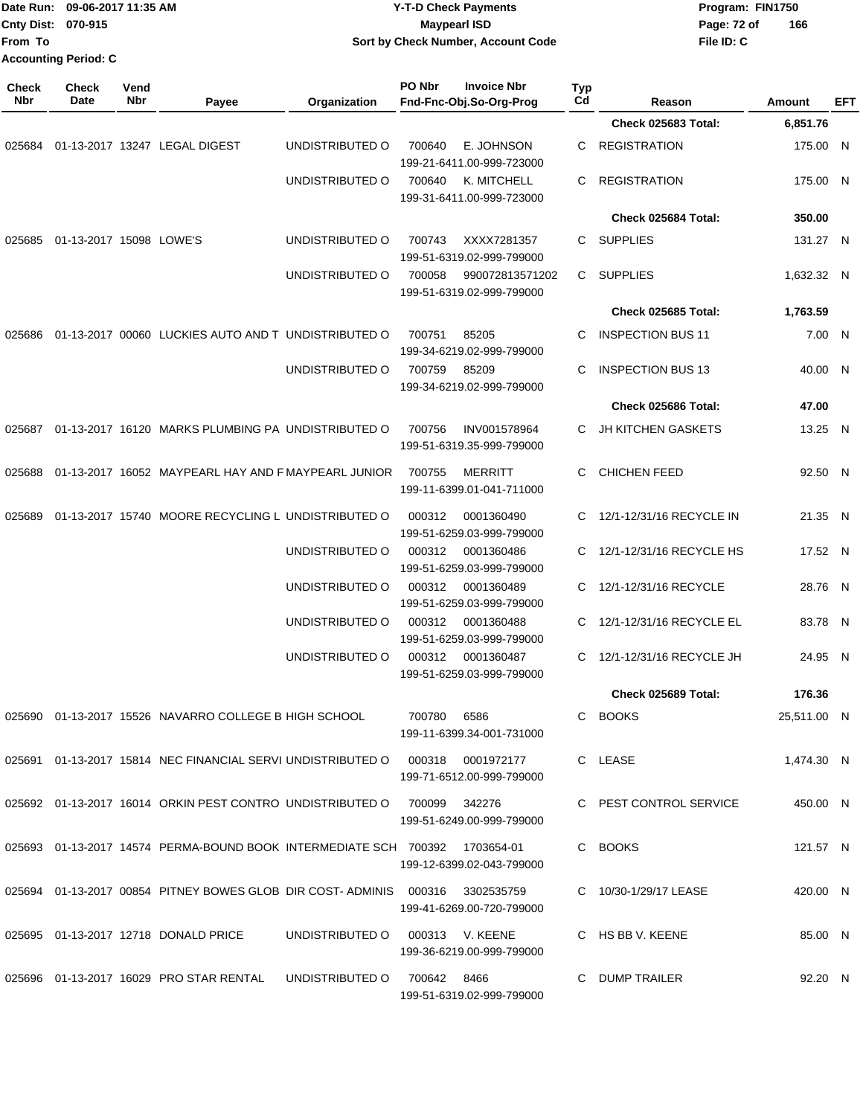| From To             | Date Run: 09-06-2017 11:35 AM<br>Cnty Dist: 070-915<br><b>Accounting Period: C</b> |                    |                                                                                   |                 | <b>Y-T-D Check Payments</b><br><b>Maypearl ISD</b><br>Sort by Check Number, Account Code |                                                |           |                            | Program: FIN1750<br>Page: 72 of<br>166<br>File ID: C |            |     |
|---------------------|------------------------------------------------------------------------------------|--------------------|-----------------------------------------------------------------------------------|-----------------|------------------------------------------------------------------------------------------|------------------------------------------------|-----------|----------------------------|------------------------------------------------------|------------|-----|
| <b>Check</b><br>Nbr | Check<br>Date                                                                      | Vend<br><b>Nbr</b> | Payee                                                                             | Organization    | PO Nbr                                                                                   | <b>Invoice Nbr</b><br>Fnd-Fnc-Obj.So-Org-Prog  | Typ<br>Cd | Reason                     | Amount                                               |            | EFT |
|                     |                                                                                    |                    |                                                                                   |                 |                                                                                          |                                                |           | Check 025683 Total:        |                                                      | 6,851.76   |     |
| 025684              |                                                                                    |                    | 01-13-2017 13247 LEGAL DIGEST                                                     | UNDISTRIBUTED O | 700640                                                                                   | E. JOHNSON<br>199-21-6411.00-999-723000        | С         | <b>REGISTRATION</b>        |                                                      | 175.00 N   |     |
|                     |                                                                                    |                    |                                                                                   | UNDISTRIBUTED O | 700640                                                                                   | K. MITCHELL<br>199-31-6411.00-999-723000       | C         | <b>REGISTRATION</b>        |                                                      | 175.00 N   |     |
|                     |                                                                                    |                    |                                                                                   |                 |                                                                                          |                                                |           | Check 025684 Total:        |                                                      | 350.00     |     |
| 025685              | 01-13-2017 15098 LOWE'S                                                            |                    |                                                                                   | UNDISTRIBUTED O | 700743                                                                                   | XXXX7281357<br>199-51-6319.02-999-799000       | С         | <b>SUPPLIES</b>            |                                                      | 131.27 N   |     |
|                     |                                                                                    |                    |                                                                                   | UNDISTRIBUTED O | 700058                                                                                   | 990072813571202<br>199-51-6319.02-999-799000   | С         | <b>SUPPLIES</b>            |                                                      | 1,632.32 N |     |
|                     |                                                                                    |                    |                                                                                   |                 |                                                                                          |                                                |           | Check 025685 Total:        |                                                      | 1,763.59   |     |
| 025686              |                                                                                    |                    | 01-13-2017 00060 LUCKIES AUTO AND T UNDISTRIBUTED O                               |                 | 700751                                                                                   | 85205<br>199-34-6219.02-999-799000             | С         | <b>INSPECTION BUS 11</b>   |                                                      | 7.00 N     |     |
|                     |                                                                                    |                    |                                                                                   | UNDISTRIBUTED O | 700759                                                                                   | 85209<br>199-34-6219.02-999-799000             | С         | <b>INSPECTION BUS 13</b>   |                                                      | 40.00 N    |     |
|                     |                                                                                    |                    |                                                                                   |                 |                                                                                          |                                                |           | Check 025686 Total:        |                                                      | 47.00      |     |
| 025687              |                                                                                    |                    | 01-13-2017 16120 MARKS PLUMBING PA UNDISTRIBUTED O                                |                 | 700756                                                                                   | INV001578964<br>199-51-6319.35-999-799000      | С         | <b>JH KITCHEN GASKETS</b>  |                                                      | 13.25 N    |     |
| 025688              |                                                                                    |                    | 01-13-2017 16052 MAYPEARL HAY AND F MAYPEARL JUNIOR                               |                 | 700755                                                                                   | <b>MERRITT</b><br>199-11-6399.01-041-711000    | С         | <b>CHICHEN FEED</b>        |                                                      | 92.50 N    |     |
| 025689              |                                                                                    |                    | 01-13-2017 15740 MOORE RECYCLING L UNDISTRIBUTED O                                |                 | 000312                                                                                   | 0001360490<br>199-51-6259.03-999-799000        | С         | 12/1-12/31/16 RECYCLE IN   |                                                      | 21.35 N    |     |
|                     |                                                                                    |                    |                                                                                   | UNDISTRIBUTED O | 000312                                                                                   | 0001360486<br>199-51-6259.03-999-799000        | C         | 12/1-12/31/16 RECYCLE HS   |                                                      | 17.52 N    |     |
|                     |                                                                                    |                    |                                                                                   | UNDISTRIBUTED O | 000312                                                                                   | 0001360489<br>199-51-6259.03-999-799000        | C         | 12/1-12/31/16 RECYCLE      |                                                      | 28.76 N    |     |
|                     |                                                                                    |                    |                                                                                   | UNDISTRIBUTED O | 000312                                                                                   | 0001360488<br>199-51-6259.03-999-799000        | С         | 12/1-12/31/16 RECYCLE EL   |                                                      | 83.78 N    |     |
|                     |                                                                                    |                    |                                                                                   | UNDISTRIBUTED O |                                                                                          | 000312 0001360487<br>199-51-6259.03-999-799000 |           | C 12/1-12/31/16 RECYCLE JH |                                                      | 24.95 N    |     |
|                     |                                                                                    |                    |                                                                                   |                 |                                                                                          |                                                |           | Check 025689 Total:        |                                                      | 176.36     |     |
|                     |                                                                                    |                    | 025690 01-13-2017 15526 NAVARRO COLLEGE B HIGH SCHOOL                             |                 | 700780 6586                                                                              | 199-11-6399.34-001-731000                      |           | C BOOKS                    | 25,511.00 N                                          |            |     |
|                     |                                                                                    |                    | 025691 01-13-2017 15814 NEC FINANCIAL SERVI UNDISTRIBUTED O                       |                 |                                                                                          | 000318 0001972177<br>199-71-6512.00-999-799000 |           | C LEASE                    |                                                      | 1,474.30 N |     |
|                     |                                                                                    |                    | 025692 01-13-2017 16014 ORKIN PEST CONTRO UNDISTRIBUTED O                         |                 | 700099  342276                                                                           | 199-51-6249.00-999-799000                      |           | C PEST CONTROL SERVICE     |                                                      | 450.00 N   |     |
|                     |                                                                                    |                    | 025693 01-13-2017 14574 PERMA-BOUND BOOK INTERMEDIATE SCH 700392 1703654-01       |                 |                                                                                          | 199-12-6399.02-043-799000                      |           | C BOOKS                    |                                                      | 121.57 N   |     |
|                     |                                                                                    |                    | 025694  01-13-2017  00854  PITNEY BOWES GLOB DIR COST-ADMINIS  000316  3302535759 |                 |                                                                                          | 199-41-6269.00-720-799000                      |           | C 10/30-1/29/17 LEASE      |                                                      | 420.00 N   |     |
|                     |                                                                                    |                    | 025695 01-13-2017 12718 DONALD PRICE                                              | UNDISTRIBUTED O |                                                                                          | 000313 V. KEENE<br>199-36-6219.00-999-799000   |           | C HS BB V. KEENE           |                                                      | 85.00 N    |     |
|                     |                                                                                    |                    | 025696 01-13-2017 16029 PRO STAR RENTAL                                           | UNDISTRIBUTED O | 700642 8466                                                                              | 199-51-6319.02-999-799000                      |           | C DUMP TRAILER             |                                                      | 92.20 N    |     |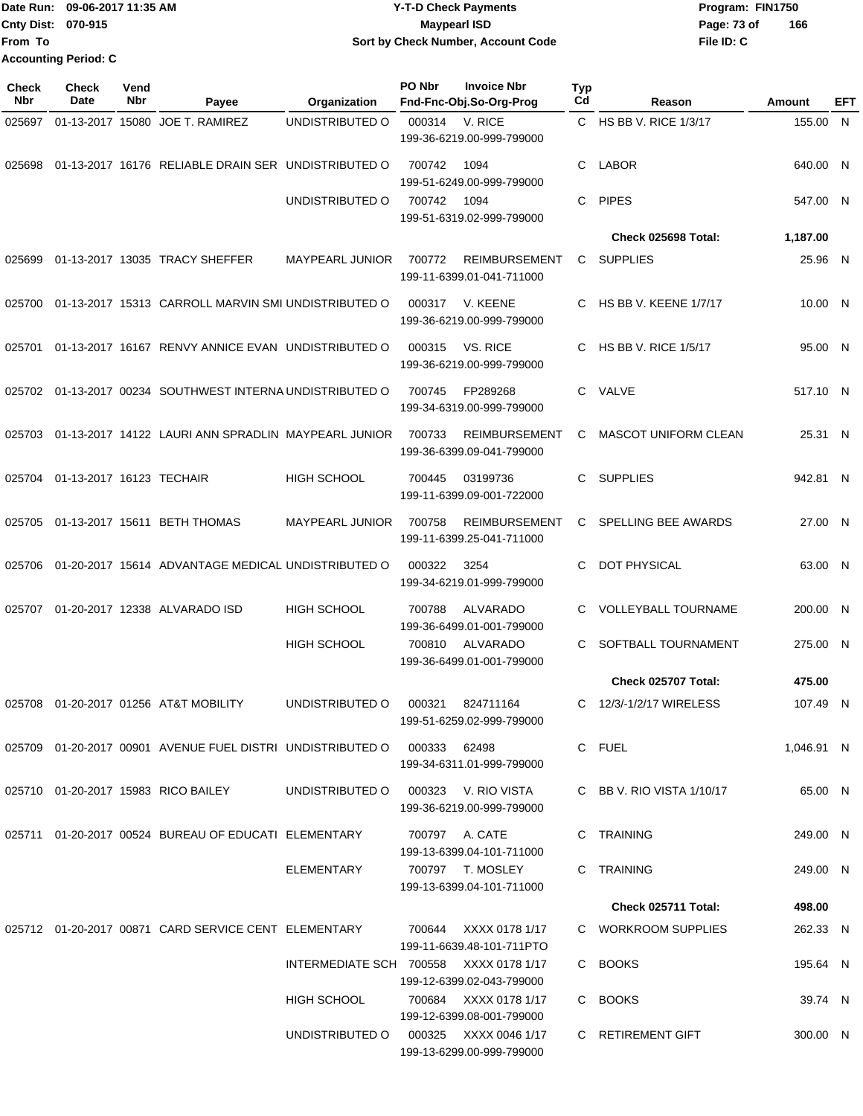Date Run: 09-06-2017 11:35 AM **CONTEX 100 CONTEX 12 T-D** Check Payments **CONTEX 12 T-D Check Payments** Program: FIN1750 **Cnty Dist:** 070-915 **Page: 73 of Page: 73 of From To 09-06-2017 11:35 AM Y-T-D Check Payments 070-915 Maypearl ISD Sort by Check Number, Account Code Accounting Period: C**

| <b>Check</b><br>Nbr | <b>Check</b><br>Date     | Vend<br>Nbr | Payee                                                                        | Organization                           | PO Nbr | <b>Invoice Nbr</b><br>Fnd-Fnc-Obj.So-Org-Prog      | Typ<br>C <sub>d</sub> | Reason                       | Amount     | EFT          |
|---------------------|--------------------------|-------------|------------------------------------------------------------------------------|----------------------------------------|--------|----------------------------------------------------|-----------------------|------------------------------|------------|--------------|
| 025697              |                          |             | 01-13-2017 15080 JOE T. RAMIREZ                                              | UNDISTRIBUTED O                        | 000314 | V. RICE<br>199-36-6219.00-999-799000               |                       | C HS BB V. RICE 1/3/17       | 155.00     | $\mathsf{N}$ |
| 025698              |                          |             | 01-13-2017 16176 RELIABLE DRAIN SER UNDISTRIBUTED O                          |                                        | 700742 | 1094<br>199-51-6249.00-999-799000                  | C.                    | <b>LABOR</b>                 | 640.00 N   |              |
|                     |                          |             |                                                                              | UNDISTRIBUTED O                        | 700742 | 1094<br>199-51-6319.02-999-799000                  | C.                    | <b>PIPES</b>                 | 547.00 N   |              |
|                     |                          |             |                                                                              |                                        |        |                                                    |                       | Check 025698 Total:          | 1,187.00   |              |
| 025699              |                          |             | 01-13-2017 13035 TRACY SHEFFER                                               | <b>MAYPEARL JUNIOR</b>                 | 700772 | <b>REIMBURSEMENT</b><br>199-11-6399.01-041-711000  | C                     | <b>SUPPLIES</b>              | 25.96 N    |              |
| 025700              |                          |             | 01-13-2017 15313 CARROLL MARVIN SMI UNDISTRIBUTED O                          |                                        | 000317 | V. KEENE<br>199-36-6219.00-999-799000              | C.                    | <b>HS BB V. KEENE 1/7/17</b> | 10.00 N    |              |
| 025701              |                          |             | 01-13-2017 16167 RENVY ANNICE EVAN UNDISTRIBUTED O                           |                                        | 000315 | VS. RICE<br>199-36-6219.00-999-799000              | C                     | <b>HS BB V. RICE 1/5/17</b>  | 95.00 N    |              |
|                     |                          |             | 025702 01-13-2017 00234 SOUTHWEST INTERNA UNDISTRIBUTED O                    |                                        | 700745 | FP289268<br>199-34-6319.00-999-799000              | C.                    | VALVE                        | 517.10 N   |              |
| 025703              |                          |             | 01-13-2017 14122 LAURI ANN SPRADLIN MAYPEARL JUNIOR                          |                                        | 700733 | <b>REIMBURSEMENT</b><br>199-36-6399.09-041-799000  | C                     | <b>MASCOT UNIFORM CLEAN</b>  | 25.31 N    |              |
| 025704              | 01-13-2017 16123 TECHAIR |             |                                                                              | <b>HIGH SCHOOL</b>                     | 700445 | 03199736<br>199-11-6399.09-001-722000              | C.                    | <b>SUPPLIES</b>              | 942.81 N   |              |
| 025705              |                          |             | 01-13-2017 15611 BETH THOMAS                                                 | <b>MAYPEARL JUNIOR</b>                 | 700758 | <b>REIMBURSEMENT</b><br>199-11-6399.25-041-711000  | C                     | SPELLING BEE AWARDS          | 27.00 N    |              |
| 025706              |                          |             | 01-20-2017 15614 ADVANTAGE MEDICAL UNDISTRIBUTED O                           |                                        | 000322 | 3254<br>199-34-6219.01-999-799000                  | C                     | <b>DOT PHYSICAL</b>          | 63.00 N    |              |
| 025707              |                          |             | 01-20-2017 12338 ALVARADO ISD                                                | <b>HIGH SCHOOL</b>                     | 700788 | ALVARADO<br>199-36-6499.01-001-799000              | C                     | <b>VOLLEYBALL TOURNAME</b>   | 200.00 N   |              |
|                     |                          |             |                                                                              | <b>HIGH SCHOOL</b>                     | 700810 | ALVARADO<br>199-36-6499.01-001-799000              | C.                    | SOFTBALL TOURNAMENT          | 275.00 N   |              |
|                     |                          |             |                                                                              |                                        |        |                                                    |                       | Check 025707 Total:          | 475.00     |              |
|                     |                          |             | 025708  01-20-2017  01256  AT&T MOBILITY                                     | UNDISTRIBUTED O                        | 000321 | 824711164<br>199-51-6259.02-999-799000             | C.                    | 12/3/-1/2/17 WIRELESS        | 107.49 N   |              |
|                     |                          |             | 025709  01-20-2017  00901  AVENUE FUEL DISTRI  UNDISTRIBUTED   000333  62498 |                                        |        | 199-34-6311.01-999-799000                          |                       | C FUEL                       | 1,046.91 N |              |
|                     |                          |             | 025710 01-20-2017 15983 RICO BAILEY                                          | UNDISTRIBUTED O                        |        | 000323 V. RIO VISTA<br>199-36-6219.00-999-799000   |                       | C BB V. RIO VISTA $1/10/17$  | 65.00 N    |              |
|                     |                          |             | 025711  01-20-2017  00524  BUREAU OF EDUCATI  ELEMENTARY                     |                                        |        | 700797 A. CATE<br>199-13-6399.04-101-711000        |                       | C TRAINING                   | 249.00 N   |              |
|                     |                          |             |                                                                              | ELEMENTARY                             |        | 700797 T. MOSLEY<br>199-13-6399.04-101-711000      |                       | C TRAINING                   | 249.00 N   |              |
|                     |                          |             |                                                                              |                                        |        |                                                    |                       | Check 025711 Total:          | 498.00     |              |
|                     |                          |             | 025712  01-20-2017  00871  CARD SERVICE CENT  ELEMENTARY                     |                                        |        | 700644 XXXX 0178 1/17<br>199-11-6639.48-101-711PTO |                       | C WORKROOM SUPPLIES          | 262.33 N   |              |
|                     |                          |             |                                                                              | INTERMEDIATE SCH 700558 XXXX 0178 1/17 |        | 199-12-6399.02-043-799000                          |                       | C BOOKS                      | 195.64 N   |              |
|                     |                          |             |                                                                              | <b>HIGH SCHOOL</b>                     |        | 700684 XXXX 0178 1/17<br>199-12-6399.08-001-799000 |                       | C BOOKS                      | 39.74 N    |              |
|                     |                          |             |                                                                              | UNDISTRIBUTED O                        |        | 000325 XXXX 0046 1/17<br>199-13-6299.00-999-799000 |                       | C RETIREMENT GIFT            | 300.00 N   |              |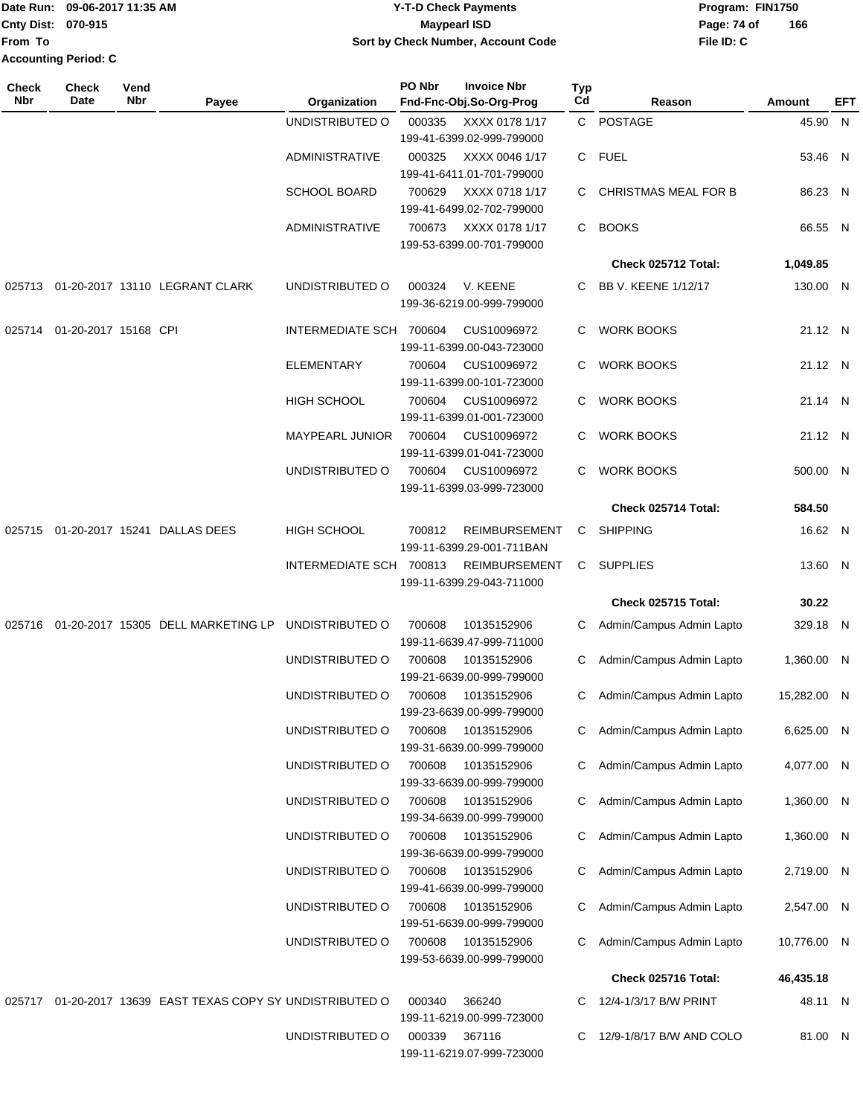|                             | Date Run: 09-06-2017 11:35 AM | Y-T-D Check Payments               | Program: FIN1750   |  |  |  |
|-----------------------------|-------------------------------|------------------------------------|--------------------|--|--|--|
| <b>Cnty Dist: 070-915</b>   |                               | Maypearl ISD                       | 166<br>Page: 74 of |  |  |  |
| lFrom To                    |                               | Sort by Check Number, Account Code | File ID: C         |  |  |  |
| <b>Accounting Period: C</b> |                               |                                    |                    |  |  |  |

| <b>Check</b><br><b>Nbr</b> | <b>Check</b><br>Date | Vend<br>Nbr | Payee                                                      | Organization            | PO Nbr | <b>Invoice Nbr</b><br>Fnd-Fnc-Obj.So-Org-Prog | <b>Typ</b><br>Cd | Reason                      | Amount      | EFT |
|----------------------------|----------------------|-------------|------------------------------------------------------------|-------------------------|--------|-----------------------------------------------|------------------|-----------------------------|-------------|-----|
|                            |                      |             |                                                            | UNDISTRIBUTED O         | 000335 | XXXX 0178 1/17                                | $\mathsf{C}^-$   | POSTAGE                     | 45.90 N     |     |
|                            |                      |             |                                                            |                         |        | 199-41-6399.02-999-799000                     |                  |                             |             |     |
|                            |                      |             |                                                            | <b>ADMINISTRATIVE</b>   | 000325 | XXXX 0046 1/17                                | C.               | <b>FUEL</b>                 | 53.46 N     |     |
|                            |                      |             |                                                            |                         |        | 199-41-6411.01-701-799000                     |                  |                             |             |     |
|                            |                      |             |                                                            | <b>SCHOOL BOARD</b>     | 700629 | XXXX 0718 1/17                                | C                | <b>CHRISTMAS MEAL FOR B</b> | 86.23 N     |     |
|                            |                      |             |                                                            |                         |        | 199-41-6499.02-702-799000                     |                  |                             |             |     |
|                            |                      |             |                                                            | <b>ADMINISTRATIVE</b>   | 700673 | XXXX 0178 1/17<br>199-53-6399.00-701-799000   | C.               | <b>BOOKS</b>                | 66.55 N     |     |
|                            |                      |             |                                                            |                         |        |                                               |                  |                             |             |     |
|                            |                      |             |                                                            |                         |        |                                               |                  | Check 025712 Total:         | 1,049.85    |     |
| 025713                     |                      |             | 01-20-2017 13110 LEGRANT CLARK                             | UNDISTRIBUTED O         | 000324 | V. KEENE                                      | C.               | BB V. KEENE 1/12/17         | 130.00 N    |     |
|                            |                      |             |                                                            |                         |        | 199-36-6219.00-999-799000                     |                  |                             |             |     |
| 025714                     | 01-20-2017 15168 CPI |             |                                                            | INTERMEDIATE SCH 700604 |        | CUS10096972                                   | C                | <b>WORK BOOKS</b>           | 21.12 N     |     |
|                            |                      |             |                                                            |                         |        | 199-11-6399.00-043-723000                     |                  |                             |             |     |
|                            |                      |             |                                                            | <b>ELEMENTARY</b>       | 700604 | CUS10096972                                   | C                | <b>WORK BOOKS</b>           | 21.12 N     |     |
|                            |                      |             |                                                            |                         |        | 199-11-6399.00-101-723000                     |                  |                             |             |     |
|                            |                      |             |                                                            | <b>HIGH SCHOOL</b>      | 700604 | CUS10096972                                   | C                | <b>WORK BOOKS</b>           | 21.14 N     |     |
|                            |                      |             |                                                            |                         |        | 199-11-6399.01-001-723000                     |                  |                             |             |     |
|                            |                      |             |                                                            | MAYPEARL JUNIOR         | 700604 | CUS10096972<br>199-11-6399.01-041-723000      | C                | <b>WORK BOOKS</b>           | 21.12 N     |     |
|                            |                      |             |                                                            | UNDISTRIBUTED O         | 700604 | CUS10096972                                   | C                | <b>WORK BOOKS</b>           | 500.00 N    |     |
|                            |                      |             |                                                            |                         |        | 199-11-6399.03-999-723000                     |                  |                             |             |     |
|                            |                      |             |                                                            |                         |        |                                               |                  | Check 025714 Total:         | 584.50      |     |
| 025715                     |                      |             | 01-20-2017 15241 DALLAS DEES                               | <b>HIGH SCHOOL</b>      | 700812 | <b>REIMBURSEMENT</b>                          |                  | <b>SHIPPING</b>             | 16.62 N     |     |
|                            |                      |             |                                                            |                         |        | 199-11-6399.29-001-711BAN                     | C                |                             |             |     |
|                            |                      |             |                                                            | INTERMEDIATE SCH 700813 |        | <b>REIMBURSEMENT</b>                          | C.               | <b>SUPPLIES</b>             | 13.60 N     |     |
|                            |                      |             |                                                            |                         |        | 199-11-6399.29-043-711000                     |                  |                             |             |     |
|                            |                      |             |                                                            |                         |        |                                               |                  | Check 025715 Total:         | 30.22       |     |
| 025716                     |                      |             | 01-20-2017 15305 DELL MARKETING LP                         | UNDISTRIBUTED O         | 700608 | 10135152906                                   | C                | Admin/Campus Admin Lapto    | 329.18 N    |     |
|                            |                      |             |                                                            |                         |        | 199-11-6639.47-999-711000                     |                  |                             |             |     |
|                            |                      |             |                                                            | UNDISTRIBUTED O         | 700608 | 10135152906                                   | С                | Admin/Campus Admin Lapto    | 1,360.00 N  |     |
|                            |                      |             |                                                            |                         |        | 199-21-6639.00-999-799000                     |                  |                             |             |     |
|                            |                      |             |                                                            | UNDISTRIBUTED O         | 700608 | 10135152906                                   | C                | Admin/Campus Admin Lapto    | 15,282.00 N |     |
|                            |                      |             |                                                            |                         |        | 199-23-6639.00-999-799000                     |                  |                             |             |     |
|                            |                      |             |                                                            | UNDISTRIBUTED O         | 700608 | 10135152906                                   | C.               | Admin/Campus Admin Lapto    | 6,625.00 N  |     |
|                            |                      |             |                                                            |                         |        | 199-31-6639.00-999-799000                     |                  |                             |             |     |
|                            |                      |             |                                                            | UNDISTRIBUTED O         | 700608 | 10135152906                                   | C.               | Admin/Campus Admin Lapto    | 4,077.00 N  |     |
|                            |                      |             |                                                            |                         |        | 199-33-6639.00-999-799000                     |                  |                             |             |     |
|                            |                      |             |                                                            | UNDISTRIBUTED O         | 700608 | 10135152906<br>199-34-6639.00-999-799000      | C.               | Admin/Campus Admin Lapto    | 1,360.00 N  |     |
|                            |                      |             |                                                            | UNDISTRIBUTED O         | 700608 | 10135152906                                   |                  | C Admin/Campus Admin Lapto  | 1,360.00 N  |     |
|                            |                      |             |                                                            |                         |        | 199-36-6639.00-999-799000                     |                  |                             |             |     |
|                            |                      |             |                                                            | UNDISTRIBUTED O         | 700608 | 10135152906                                   |                  | Admin/Campus Admin Lapto    | 2,719.00 N  |     |
|                            |                      |             |                                                            |                         |        | 199-41-6639.00-999-799000                     |                  |                             |             |     |
|                            |                      |             |                                                            | UNDISTRIBUTED O         | 700608 | 10135152906                                   | C                | Admin/Campus Admin Lapto    | 2,547.00 N  |     |
|                            |                      |             |                                                            |                         |        | 199-51-6639.00-999-799000                     |                  |                             |             |     |
|                            |                      |             |                                                            | UNDISTRIBUTED O         | 700608 | 10135152906                                   | C                | Admin/Campus Admin Lapto    | 10,776.00 N |     |
|                            |                      |             |                                                            |                         |        | 199-53-6639.00-999-799000                     |                  |                             |             |     |
|                            |                      |             |                                                            |                         |        |                                               |                  | Check 025716 Total:         | 46,435.18   |     |
|                            |                      |             | 025717 01-20-2017 13639 EAST TEXAS COPY SY UNDISTRIBUTED O |                         | 000340 | 366240                                        | C                | 12/4-1/3/17 B/W PRINT       | 48.11 N     |     |
|                            |                      |             |                                                            |                         |        | 199-11-6219.00-999-723000                     |                  |                             |             |     |
|                            |                      |             |                                                            | UNDISTRIBUTED O         | 000339 | 367116                                        | C.               | 12/9-1/8/17 B/W AND COLO    | 81.00 N     |     |
|                            |                      |             |                                                            |                         |        | 199-11-6219.07-999-723000                     |                  |                             |             |     |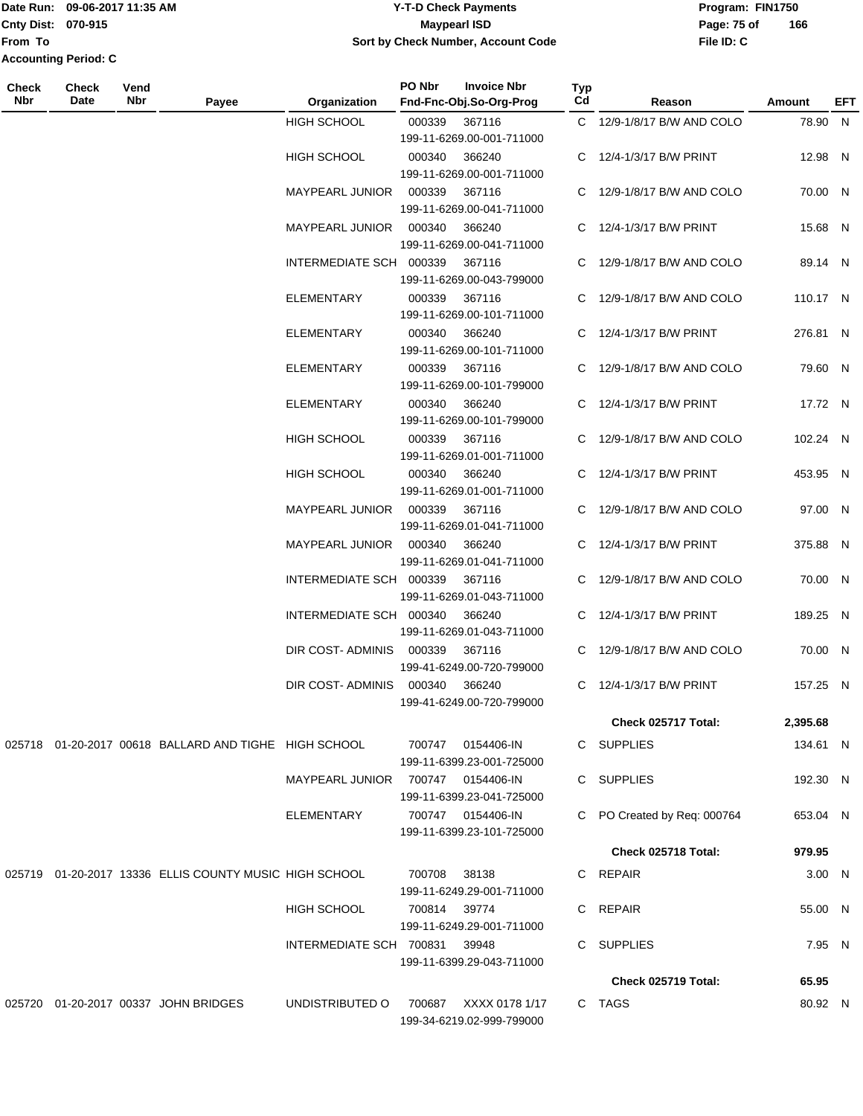Date Run: 09-06-2017 11:35 AM **CONTEX 100 CONTEX 12 T-D** Check Payments **CONTEX 12 T-D Check Payments** Program: FIN1750 **From To Accounting Period: C**

# **Cnty Dist:** 070-915 **Page: 75 of Page: 75 of 09-06-2017 11:35 AM Y-T-D Check Payments 070-915 Maypearl ISD Sort by Check Number, Account Code**

| Check<br>Nbr | Check<br>Date | Vend<br>Nbr | Payee                                                  | Organization                      | PO Nbr | <b>Invoice Nbr</b><br>Fnd-Fnc-Obj.So-Org-Prog  | Typ<br>Cd | Reason                      | Amount   | EFT |
|--------------|---------------|-------------|--------------------------------------------------------|-----------------------------------|--------|------------------------------------------------|-----------|-----------------------------|----------|-----|
|              |               |             |                                                        | <b>HIGH SCHOOL</b>                | 000339 | 367116<br>199-11-6269.00-001-711000            |           | C 12/9-1/8/17 B/W AND COLO  | 78.90 N  |     |
|              |               |             |                                                        | <b>HIGH SCHOOL</b>                | 000340 | 366240<br>199-11-6269.00-001-711000            |           | C 12/4-1/3/17 B/W PRINT     | 12.98 N  |     |
|              |               |             |                                                        | MAYPEARL JUNIOR                   | 000339 | 367116<br>199-11-6269.00-041-711000            |           | C 12/9-1/8/17 B/W AND COLO  | 70.00 N  |     |
|              |               |             |                                                        | MAYPEARL JUNIOR                   | 000340 | 366240<br>199-11-6269.00-041-711000            |           | C 12/4-1/3/17 B/W PRINT     | 15.68 N  |     |
|              |               |             |                                                        | INTERMEDIATE SCH 000339           |        | 367116<br>199-11-6269.00-043-799000            |           | C 12/9-1/8/17 B/W AND COLO  | 89.14 N  |     |
|              |               |             |                                                        | ELEMENTARY                        | 000339 | 367116<br>199-11-6269.00-101-711000            |           | C 12/9-1/8/17 B/W AND COLO  | 110.17 N |     |
|              |               |             |                                                        | ELEMENTARY                        | 000340 | 366240<br>199-11-6269.00-101-711000            |           | C 12/4-1/3/17 B/W PRINT     | 276.81 N |     |
|              |               |             |                                                        | <b>ELEMENTARY</b>                 | 000339 | 367116<br>199-11-6269.00-101-799000            |           | C 12/9-1/8/17 B/W AND COLO  | 79.60 N  |     |
|              |               |             |                                                        | ELEMENTARY                        | 000340 | 366240<br>199-11-6269.00-101-799000            |           | C 12/4-1/3/17 B/W PRINT     | 17.72 N  |     |
|              |               |             |                                                        | HIGH SCHOOL                       | 000339 | 367116<br>199-11-6269.01-001-711000            |           | C 12/9-1/8/17 B/W AND COLO  | 102.24 N |     |
|              |               |             |                                                        | <b>HIGH SCHOOL</b>                | 000340 | 366240<br>199-11-6269.01-001-711000            |           | C 12/4-1/3/17 B/W PRINT     | 453.95 N |     |
|              |               |             |                                                        | MAYPEARL JUNIOR                   | 000339 | 367116<br>199-11-6269.01-041-711000            |           | C 12/9-1/8/17 B/W AND COLO  | 97.00 N  |     |
|              |               |             |                                                        | MAYPEARL JUNIOR                   | 000340 | 366240<br>199-11-6269.01-041-711000            |           | C 12/4-1/3/17 B/W PRINT     | 375.88 N |     |
|              |               |             |                                                        | INTERMEDIATE SCH 000339           |        | 367116<br>199-11-6269.01-043-711000            |           | C 12/9-1/8/17 B/W AND COLO  | 70.00 N  |     |
|              |               |             |                                                        | INTERMEDIATE SCH 000340           |        | 366240<br>199-11-6269.01-043-711000            |           | C 12/4-1/3/17 B/W PRINT     | 189.25 N |     |
|              |               |             |                                                        | DIR COST-ADMINIS                  | 000339 | 367116<br>199-41-6249.00-720-799000            |           | C 12/9-1/8/17 B/W AND COLO  | 70.00 N  |     |
|              |               |             |                                                        | DIR COST-ADMINIS 000340           |        | 366240<br>199-41-6249.00-720-799000            |           | C 12/4-1/3/17 B/W PRINT     | 157.25 N |     |
|              |               |             |                                                        |                                   |        |                                                |           | Check 025717 Total:         | 2,395.68 |     |
|              |               |             | 025718 01-20-2017 00618 BALLARD AND TIGHE HIGH SCHOOL  |                                   |        | 700747 0154406-IN<br>199-11-6399.23-001-725000 |           | C SUPPLIES                  | 134.61 N |     |
|              |               |             |                                                        | MAYPEARL JUNIOR 700747 0154406-IN |        | 199-11-6399.23-041-725000                      |           | C SUPPLIES                  | 192.30 N |     |
|              |               |             |                                                        | ELEMENTARY                        |        | 700747 0154406-IN<br>199-11-6399.23-101-725000 |           | C PO Created by Req: 000764 | 653.04 N |     |
|              |               |             |                                                        |                                   |        |                                                |           | Check 025718 Total:         | 979.95   |     |
|              |               |             | 025719 01-20-2017 13336 ELLIS COUNTY MUSIC HIGH SCHOOL |                                   | 700708 | 38138<br>199-11-6249.29-001-711000             |           | C REPAIR                    | 3.00 N   |     |
|              |               |             |                                                        | HIGH SCHOOL                       | 700814 | 39774<br>199-11-6249.29-001-711000             |           | C REPAIR                    | 55.00 N  |     |
|              |               |             |                                                        | INTERMEDIATE SCH 700831           |        | 39948<br>199-11-6399.29-043-711000             |           | C SUPPLIES                  | 7.95 N   |     |
|              |               |             |                                                        |                                   |        |                                                |           | Check 025719 Total:         | 65.95    |     |
|              |               |             | 025720 01-20-2017 00337 JOHN BRIDGES                   | UNDISTRIBUTED O                   | 700687 | XXXX 0178 1/17                                 |           | C TAGS                      | 80.92 N  |     |
|              |               |             |                                                        |                                   |        | 199-34-6219.02-999-799000                      |           |                             |          |     |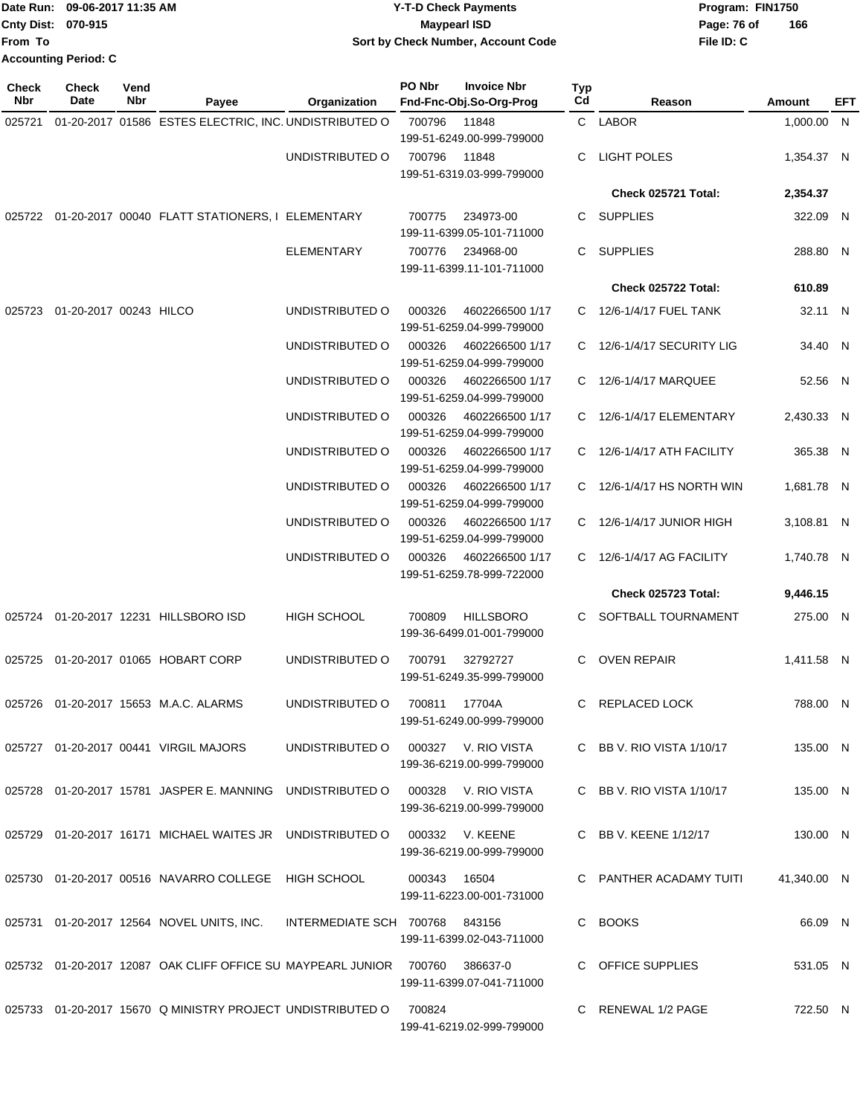|                    | Date Run: 09-06-2017 11:35 AM | <b>Y-T-D Check Payments</b>        | Program: FIN1750   |
|--------------------|-------------------------------|------------------------------------|--------------------|
| Cnty Dist: 070-915 |                               | <b>Mavpearl ISD</b>                | 166<br>Page: 76 of |
| lFrom To           |                               | Sort by Check Number, Account Code | File ID: C         |
|                    | <b>Accounting Period: C</b>   |                                    |                    |

| <b>Check</b><br>Nbr | Check<br>Date                 | Vend<br>Nbr | Payee                                                                            | Organization                        | PO Nbr       | <b>Invoice Nbr</b><br>Fnd-Fnc-Obj.So-Org-Prog | Typ<br>Cd | Reason                      | Amount      | EFT |
|---------------------|-------------------------------|-------------|----------------------------------------------------------------------------------|-------------------------------------|--------------|-----------------------------------------------|-----------|-----------------------------|-------------|-----|
| 025721              |                               |             | 01-20-2017 01586 ESTES ELECTRIC, INC. UNDISTRIBUTED O                            |                                     | 700796       | 11848<br>199-51-6249.00-999-799000            |           | C LABOR                     | 1,000.00 N  |     |
|                     |                               |             |                                                                                  | UNDISTRIBUTED O                     | 700796       | 11848<br>199-51-6319.03-999-799000            |           | <b>LIGHT POLES</b>          | 1,354.37 N  |     |
|                     |                               |             |                                                                                  |                                     |              |                                               |           | Check 025721 Total:         | 2,354.37    |     |
|                     |                               |             | 025722 01-20-2017 00040 FLATT STATIONERS, I ELEMENTARY                           |                                     | 700775       | 234973-00<br>199-11-6399.05-101-711000        |           | C SUPPLIES                  | 322.09 N    |     |
|                     |                               |             |                                                                                  | <b>ELEMENTARY</b>                   | 700776       | 234968-00<br>199-11-6399.11-101-711000        |           | C SUPPLIES                  | 288.80 N    |     |
|                     |                               |             |                                                                                  |                                     |              |                                               |           | Check 025722 Total:         | 610.89      |     |
|                     | 025723 01-20-2017 00243 HILCO |             |                                                                                  | UNDISTRIBUTED O                     | 000326       | 4602266500 1/17<br>199-51-6259.04-999-799000  |           | C 12/6-1/4/17 FUEL TANK     | 32.11 N     |     |
|                     |                               |             |                                                                                  | UNDISTRIBUTED O                     | 000326       | 4602266500 1/17<br>199-51-6259.04-999-799000  |           | C 12/6-1/4/17 SECURITY LIG  | 34.40 N     |     |
|                     |                               |             |                                                                                  | UNDISTRIBUTED O                     | 000326       | 4602266500 1/17<br>199-51-6259.04-999-799000  | C.        | 12/6-1/4/17 MARQUEE         | 52.56 N     |     |
|                     |                               |             |                                                                                  | UNDISTRIBUTED O                     | 000326       | 4602266500 1/17<br>199-51-6259.04-999-799000  |           | C 12/6-1/4/17 ELEMENTARY    | 2,430.33 N  |     |
|                     |                               |             |                                                                                  | UNDISTRIBUTED O                     | 000326       | 4602266500 1/17<br>199-51-6259.04-999-799000  |           | C 12/6-1/4/17 ATH FACILITY  | 365.38 N    |     |
|                     |                               |             |                                                                                  | UNDISTRIBUTED O                     | 000326       | 4602266500 1/17<br>199-51-6259.04-999-799000  |           | C 12/6-1/4/17 HS NORTH WIN  | 1,681.78 N  |     |
|                     |                               |             |                                                                                  | UNDISTRIBUTED O                     | 000326       | 4602266500 1/17<br>199-51-6259.04-999-799000  |           | C 12/6-1/4/17 JUNIOR HIGH   | 3,108.81 N  |     |
|                     |                               |             |                                                                                  | UNDISTRIBUTED O                     | 000326       | 4602266500 1/17<br>199-51-6259.78-999-722000  |           | C 12/6-1/4/17 AG FACILITY   | 1,740.78 N  |     |
|                     |                               |             |                                                                                  |                                     |              |                                               |           | <b>Check 025723 Total:</b>  | 9,446.15    |     |
|                     |                               |             | 025724 01-20-2017 12231 HILLSBORO ISD                                            | HIGH SCHOOL                         | 700809       | <b>HILLSBORO</b><br>199-36-6499.01-001-799000 |           | C SOFTBALL TOURNAMENT       | 275.00 N    |     |
|                     |                               |             | 025725 01-20-2017 01065 HOBART CORP                                              | UNDISTRIBUTED O                     | 700791       | 32792727<br>199-51-6249.35-999-799000         | C.        | OVEN REPAIR                 | 1,411.58 N  |     |
|                     |                               |             | 025726  01-20-2017  15653  M.A.C. ALARMS                                         | UNDISTRIBUTED O                     | 700811       | 17704A<br>199-51-6249.00-999-799000           |           | C REPLACED LOCK             | 788.00 N    |     |
|                     |                               |             | 025727 01-20-2017 00441 VIRGIL MAJORS                                            | UNDISTRIBUTED O 000327 V. RIO VISTA |              | 199-36-6219.00-999-799000                     |           | C BB V. RIO VISTA $1/10/17$ | 135.00 N    |     |
|                     |                               |             | 025728 01-20-2017 15781 JASPER E. MANNING UNDISTRIBUTED O 000328 V. RIO VISTA    |                                     |              | 199-36-6219.00-999-799000                     |           | C BB V. RIO VISTA $1/10/17$ | 135.00 N    |     |
|                     |                               |             | 025729 01-20-2017 16171 MICHAEL WAITES JR UNDISTRIBUTED O                        |                                     |              | 000332 V. KEENE<br>199-36-6219.00-999-799000  |           | C BB V. KEENE 1/12/17       | 130.00 N    |     |
|                     |                               |             | 025730  01-20-2017  00516  NAVARRO COLLEGE  HIGH SCHOOL                          |                                     | 000343 16504 | 199-11-6223.00-001-731000                     |           | C PANTHER ACADAMY TUITI     | 41,340.00 N |     |
|                     |                               |             | 025731 01-20-2017 12564 NOVEL UNITS, INC.                                        | INTERMEDIATE SCH 700768 843156      |              | 199-11-6399.02-043-711000                     |           | C BOOKS                     | 66.09 N     |     |
|                     |                               |             | 025732  01-20-2017  12087  OAK CLIFF OFFICE SU MAYPEARL JUNIOR  700760  386637-0 |                                     |              | 199-11-6399.07-041-711000                     |           | C OFFICE SUPPLIES           | 531.05 N    |     |
|                     |                               |             | 025733 01-20-2017 15670 Q MINISTRY PROJECT UNDISTRIBUTED O                       |                                     | 700824       | 199-41-6219.02-999-799000                     |           | C RENEWAL 1/2 PAGE          | 722.50 N    |     |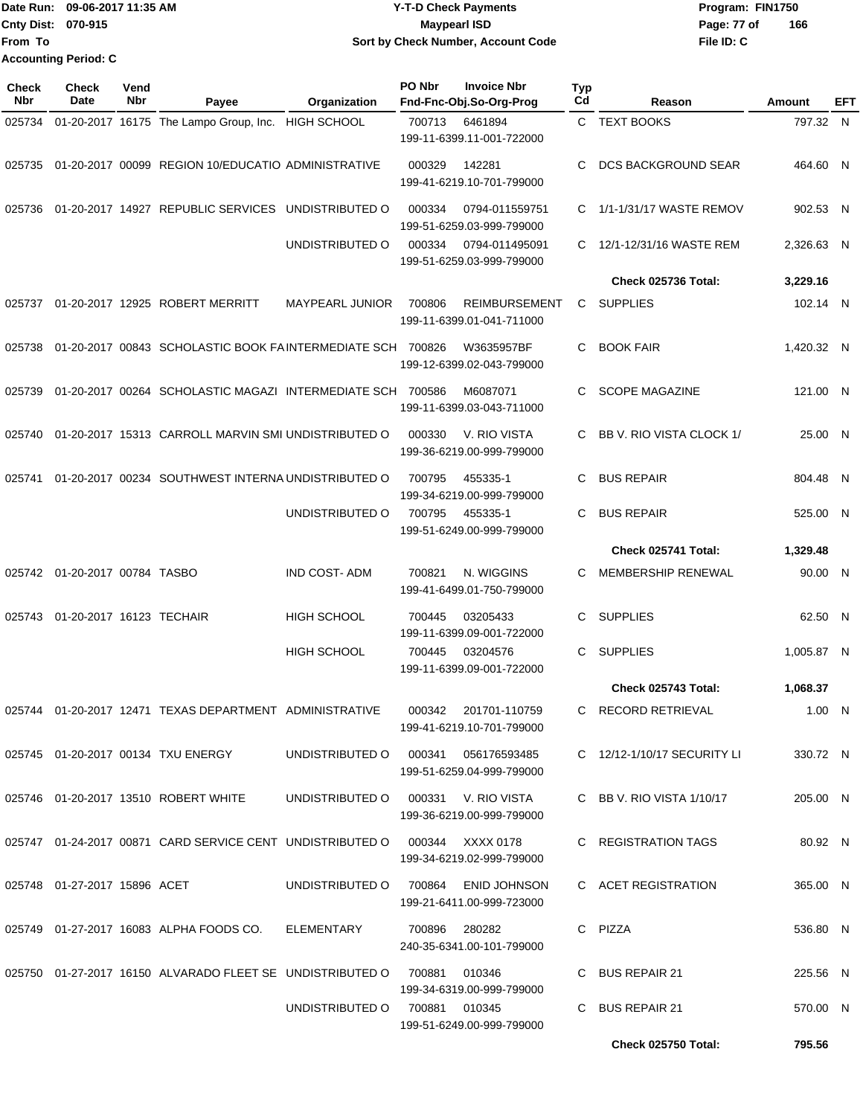| <b>IDate Run:</b>         | 09-06-2017 11:35 AM         | <b>Y-T-D Check Payments</b>        | Program: FIN1750   |
|---------------------------|-----------------------------|------------------------------------|--------------------|
| <b>Cnty Dist: 070-915</b> |                             | Maypearl ISD                       | 166<br>Page: 77 of |
| lFrom To                  |                             | Sort by Check Number, Account Code | File ID: C         |
|                           | <b>Accounting Period: C</b> |                                    |                    |

| Check<br><b>Nbr</b> | <b>Check</b><br>Date            | Vend<br>Nbr | Payee                                                                           | Organization                        | PO Nbr        | <b>Invoice Nbr</b><br>Fnd-Fnc-Obj.So-Org-Prog     | Typ<br>Cd | Reason                      | Amount     | EFT |
|---------------------|---------------------------------|-------------|---------------------------------------------------------------------------------|-------------------------------------|---------------|---------------------------------------------------|-----------|-----------------------------|------------|-----|
| 025734              |                                 |             | 01-20-2017 16175 The Lampo Group, Inc.                                          | <b>HIGH SCHOOL</b>                  | 700713        | 6461894<br>199-11-6399.11-001-722000              |           | C TEXT BOOKS                | 797.32 N   |     |
| 025735              |                                 |             | 01-20-2017 00099 REGION 10/EDUCATIO ADMINISTRATIVE                              |                                     | 000329        | 142281<br>199-41-6219.10-701-799000               | C         | <b>DCS BACKGROUND SEAR</b>  | 464.60 N   |     |
| 025736              |                                 |             | 01-20-2017 14927 REPUBLIC SERVICES UNDISTRIBUTED O                              |                                     | 000334        | 0794-011559751<br>199-51-6259.03-999-799000       | C.        | 1/1-1/31/17 WASTE REMOV     | 902.53 N   |     |
|                     |                                 |             |                                                                                 | UNDISTRIBUTED O                     | 000334        | 0794-011495091<br>199-51-6259.03-999-799000       | C.        | 12/1-12/31/16 WASTE REM     | 2,326.63 N |     |
|                     |                                 |             |                                                                                 |                                     |               |                                                   |           | Check 025736 Total:         | 3,229.16   |     |
| 025737              |                                 |             | 01-20-2017 12925 ROBERT MERRITT                                                 | <b>MAYPEARL JUNIOR</b>              | 700806        | <b>REIMBURSEMENT</b><br>199-11-6399.01-041-711000 | C         | <b>SUPPLIES</b>             | 102.14 N   |     |
| 025738              |                                 |             | 01-20-2017 00843 SCHOLASTIC BOOK FAINTERMEDIATE SCH 700826                      |                                     |               | W3635957BF<br>199-12-6399.02-043-799000           | C.        | <b>BOOK FAIR</b>            | 1,420.32 N |     |
| 025739              |                                 |             | 01-20-2017 00264 SCHOLASTIC MAGAZI INTERMEDIATE SCH 700586                      |                                     |               | M6087071<br>199-11-6399.03-043-711000             | C.        | <b>SCOPE MAGAZINE</b>       | 121.00 N   |     |
| 025740              |                                 |             | 01-20-2017 15313 CARROLL MARVIN SMI UNDISTRIBUTED O                             |                                     | 000330        | V. RIO VISTA<br>199-36-6219.00-999-799000         | C.        | BB V. RIO VISTA CLOCK 1/    | 25.00 N    |     |
| 025741              |                                 |             | 01-20-2017 00234 SOUTHWEST INTERNA UNDISTRIBUTED O                              |                                     | 700795        | 455335-1<br>199-34-6219.00-999-799000             | C         | <b>BUS REPAIR</b>           | 804.48 N   |     |
|                     |                                 |             |                                                                                 | UNDISTRIBUTED O                     | 700795        | 455335-1<br>199-51-6249.00-999-799000             | C         | <b>BUS REPAIR</b>           | 525.00 N   |     |
|                     |                                 |             |                                                                                 |                                     |               |                                                   |           | Check 025741 Total:         | 1,329.48   |     |
|                     | 025742 01-20-2017 00784 TASBO   |             |                                                                                 | <b>IND COST-ADM</b>                 | 700821        | N. WIGGINS<br>199-41-6499.01-750-799000           | C         | <b>MEMBERSHIP RENEWAL</b>   | 90.00 N    |     |
| 025743              | 01-20-2017 16123 TECHAIR        |             |                                                                                 | <b>HIGH SCHOOL</b>                  | 700445        | 03205433<br>199-11-6399.09-001-722000             | C         | <b>SUPPLIES</b>             | 62.50 N    |     |
|                     |                                 |             |                                                                                 | <b>HIGH SCHOOL</b>                  | 700445        | 03204576<br>199-11-6399.09-001-722000             | C         | <b>SUPPLIES</b>             | 1,005.87 N |     |
|                     |                                 |             |                                                                                 |                                     |               |                                                   |           | Check 025743 Total:         | 1,068.37   |     |
|                     |                                 |             | 025744 01-20-2017 12471 TEXAS DEPARTMENT ADMINISTRATIVE                         |                                     |               | 000342 201701-110759<br>199-41-6219.10-701-799000 |           | C RECORD RETRIEVAL          | 1.00 N     |     |
|                     |                                 |             | 025745  01-20-2017  00134  TXU ENERGY                                           | UNDISTRIBUTED O 000341 056176593485 |               | 199-51-6259.04-999-799000                         |           | C 12/12-1/10/17 SECURITY LI | 330.72 N   |     |
|                     |                                 |             | 025746 01-20-2017 13510 ROBERT WHITE                                            |                                     |               | 199-36-6219.00-999-799000                         |           | C BB V, RIO VISTA $1/10/17$ | 205.00 N   |     |
|                     |                                 |             | 025747  01-24-2017  00871  CARD SERVICE CENT  UNDISTRIBUTED  000344  XXXX  0178 |                                     |               | 199-34-6219.02-999-799000                         |           | C REGISTRATION TAGS         | 80.92 N    |     |
|                     | 025748  01-27-2017  15896  ACET |             |                                                                                 | UNDISTRIBUTED O 700864              |               | <b>ENID JOHNSON</b><br>199-21-6411.00-999-723000  |           | C ACET REGISTRATION         | 365.00 N   |     |
|                     |                                 |             | 025749  01-27-2017  16083  ALPHA FOODS CO.  ELEMENTARY                          |                                     | 700896 280282 | 240-35-6341.00-101-799000                         |           | C PIZZA                     | 536.80 N   |     |
|                     |                                 |             | 025750 01-27-2017 16150 ALVARADO FLEET SE UNDISTRIBUTED O                       |                                     | 700881 010346 | 199-34-6319.00-999-799000                         |           | C BUS REPAIR 21             | 225.56 N   |     |
|                     |                                 |             |                                                                                 | UNDISTRIBUTED O                     | 700881 010345 | 199-51-6249.00-999-799000                         |           | C BUS REPAIR 21             | 570.00 N   |     |
|                     |                                 |             |                                                                                 |                                     |               |                                                   |           | <b>Check 025750 Total:</b>  | 795.56     |     |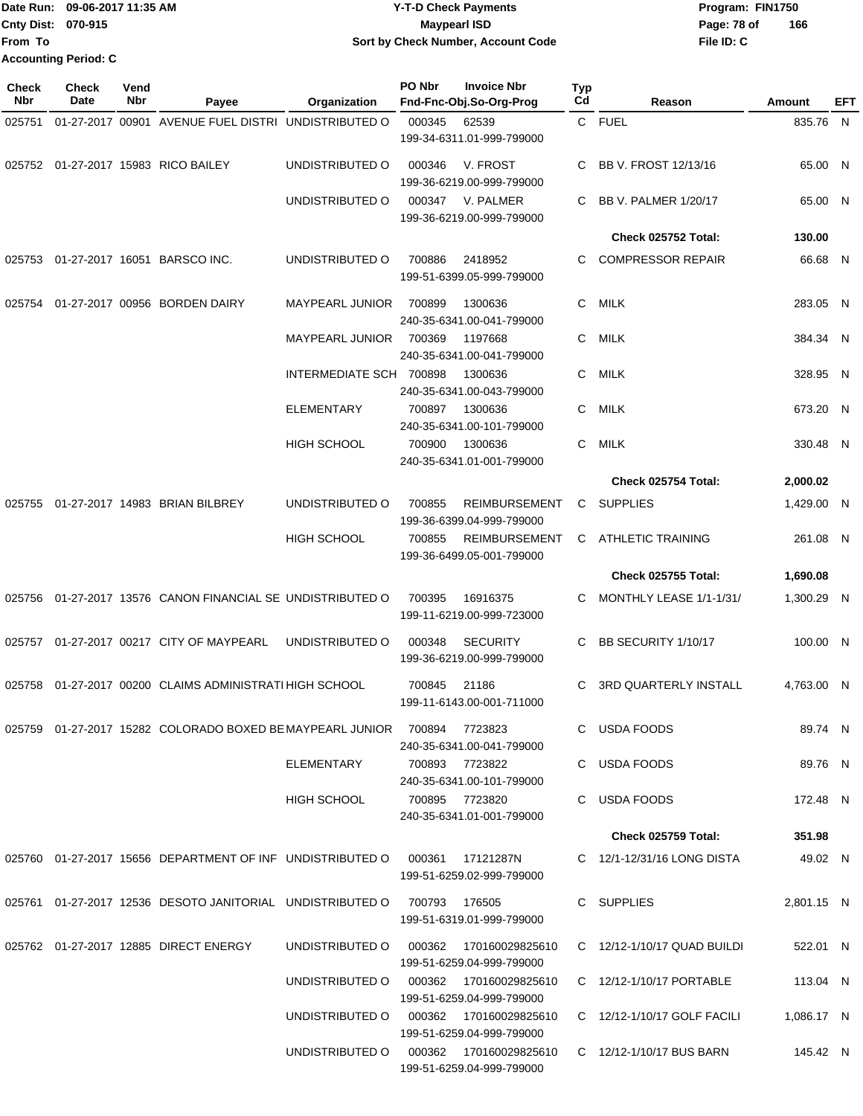|                           | Date Run: 09-06-2017 11:35 AM | <b>Y-T-D Check Payments</b>        | Program: FIN1750   |
|---------------------------|-------------------------------|------------------------------------|--------------------|
| <b>Cnty Dist: 070-915</b> |                               | Maypearl ISD                       | 166<br>Page: 78 of |
| <b>From To</b>            |                               | Sort by Check Number, Account Code | File ID: C         |
|                           | <b>Accounting Period: C</b>   |                                    |                    |

| <b>Check</b><br>Nbr | <b>Check</b><br>Date | Vend<br>Nbr | Payee                                                                           | Organization                           | PO Nbr        | <b>Invoice Nbr</b><br>Fnd-Fnc-Obj.So-Org-Prog          | Typ<br>Cd | Reason                       | Amount     | EFT |
|---------------------|----------------------|-------------|---------------------------------------------------------------------------------|----------------------------------------|---------------|--------------------------------------------------------|-----------|------------------------------|------------|-----|
| 025751              |                      |             | 01-27-2017 00901 AVENUE FUEL DISTRI UNDISTRIBUTED O                             |                                        | 000345        | 62539                                                  |           | C FUEL                       | 835.76 N   |     |
|                     |                      |             |                                                                                 |                                        |               | 199-34-6311.01-999-799000                              |           |                              |            |     |
|                     |                      |             | 025752 01-27-2017 15983 RICO BAILEY                                             | UNDISTRIBUTED O                        | 000346        | V. FROST                                               | C         | BB V. FROST 12/13/16         | 65.00 N    |     |
|                     |                      |             |                                                                                 |                                        |               | 199-36-6219.00-999-799000                              |           |                              |            |     |
|                     |                      |             |                                                                                 | UNDISTRIBUTED O                        | 000347        | V. PALMER<br>199-36-6219.00-999-799000                 | C         | <b>BB V. PALMER 1/20/17</b>  | 65.00 N    |     |
|                     |                      |             |                                                                                 |                                        |               |                                                        |           | Check 025752 Total:          | 130.00     |     |
| 025753              |                      |             | 01-27-2017 16051 BARSCO INC.                                                    | UNDISTRIBUTED O                        | 700886        | 2418952<br>199-51-6399.05-999-799000                   | C.        | <b>COMPRESSOR REPAIR</b>     | 66.68 N    |     |
| 025754              |                      |             | 01-27-2017 00956 BORDEN DAIRY                                                   | <b>MAYPEARL JUNIOR</b>                 | 700899        | 1300636<br>240-35-6341.00-041-799000                   | C         | MILK                         | 283.05 N   |     |
|                     |                      |             |                                                                                 | <b>MAYPEARL JUNIOR</b>                 | 700369        | 1197668<br>240-35-6341.00-041-799000                   | C         | MILK                         | 384.34 N   |     |
|                     |                      |             |                                                                                 | INTERMEDIATE SCH 700898                |               | 1300636                                                | C.        | MILK                         | 328.95 N   |     |
|                     |                      |             |                                                                                 |                                        |               | 240-35-6341.00-043-799000                              |           |                              |            |     |
|                     |                      |             |                                                                                 | <b>ELEMENTARY</b>                      | 700897        | 1300636                                                | C         | <b>MILK</b>                  | 673.20 N   |     |
|                     |                      |             |                                                                                 |                                        |               | 240-35-6341.00-101-799000                              |           |                              |            |     |
|                     |                      |             |                                                                                 | <b>HIGH SCHOOL</b>                     | 700900        | 1300636<br>240-35-6341.01-001-799000                   | C.        | MILK                         | 330.48 N   |     |
|                     |                      |             |                                                                                 |                                        |               |                                                        |           | Check 025754 Total:          | 2,000.02   |     |
| 025755              |                      |             | 01-27-2017 14983 BRIAN BILBREY                                                  | UNDISTRIBUTED O                        | 700855        | <b>REIMBURSEMENT</b><br>199-36-6399.04-999-799000      | C.        | <b>SUPPLIES</b>              | 1,429.00 N |     |
|                     |                      |             |                                                                                 | <b>HIGH SCHOOL</b>                     | 700855        | REIMBURSEMENT<br>199-36-6499.05-001-799000             | C.        | <b>ATHLETIC TRAINING</b>     | 261.08 N   |     |
|                     |                      |             |                                                                                 |                                        |               |                                                        |           | <b>Check 025755 Total:</b>   | 1,690.08   |     |
| 025756              |                      |             | 01-27-2017 13576 CANON FINANCIAL SE UNDISTRIBUTED O                             |                                        | 700395        | 16916375<br>199-11-6219.00-999-723000                  | C.        | MONTHLY LEASE 1/1-1/31/      | 1,300.29 N |     |
| 025757              |                      |             | 01-27-2017 00217 CITY OF MAYPEARL                                               | UNDISTRIBUTED O                        | 000348        | <b>SECURITY</b><br>199-36-6219.00-999-799000           | C         | BB SECURITY 1/10/17          | 100.00 N   |     |
| 025758              |                      |             | 01-27-2017 00200 CLAIMS ADMINISTRATI HIGH SCHOOL                                |                                        | 700845        | 21186<br>199-11-6143.00-001-711000                     | C         | <b>3RD QUARTERLY INSTALL</b> | 4.763.00 N |     |
|                     |                      |             | 025759  01-27-2017  15282  COLORADO BOXED BE MAYPEARL JUNIOR  700894            |                                        |               | 7723823<br>240-35-6341.00-041-799000                   |           | C USDA FOODS                 | 89.74 N    |     |
|                     |                      |             |                                                                                 | ELEMENTARY                             |               | 700893 7723822<br>240-35-6341.00-101-799000            |           | C USDA FOODS                 | 89.76 N    |     |
|                     |                      |             |                                                                                 | HIGH SCHOOL                            |               | 700895 7723820<br>240-35-6341.01-001-799000            |           | C USDA FOODS                 | 172.48 N   |     |
|                     |                      |             |                                                                                 |                                        |               |                                                        |           | <b>Check 025759 Total:</b>   | 351.98     |     |
|                     |                      |             | 025760  01-27-2017  15656  DEPARTMENT OF INF  UNDISTRIBUTED   000361  17121287N |                                        |               | 199-51-6259.02-999-799000                              |           | C 12/1-12/31/16 LONG DISTA   | 49.02 N    |     |
|                     |                      |             | 025761 01-27-2017 12536 DESOTO JANITORIAL UNDISTRIBUTED O                       |                                        | 700793 176505 | 199-51-6319.01-999-799000                              |           | C SUPPLIES                   | 2,801.15 N |     |
|                     |                      |             | 025762  01-27-2017  12885  DIRECT ENERGY                                        | UNDISTRIBUTED O                        |               |                                                        |           | C 12/12-1/10/17 QUAD BUILDI  | 522.01 N   |     |
|                     |                      |             |                                                                                 | UNDISTRIBUTED O 000362 170160029825610 |               | 199-51-6259.04-999-799000                              |           | C 12/12-1/10/17 PORTABLE     | 113.04 N   |     |
|                     |                      |             |                                                                                 | UNDISTRIBUTED O 000362 170160029825610 |               | 199-51-6259.04-999-799000<br>199-51-6259.04-999-799000 |           | C 12/12-1/10/17 GOLF FACILI  | 1,086.17 N |     |
|                     |                      |             |                                                                                 | UNDISTRIBUTED O 000362 170160029825610 |               | 199-51-6259.04-999-799000                              |           | C 12/12-1/10/17 BUS BARN     | 145.42 N   |     |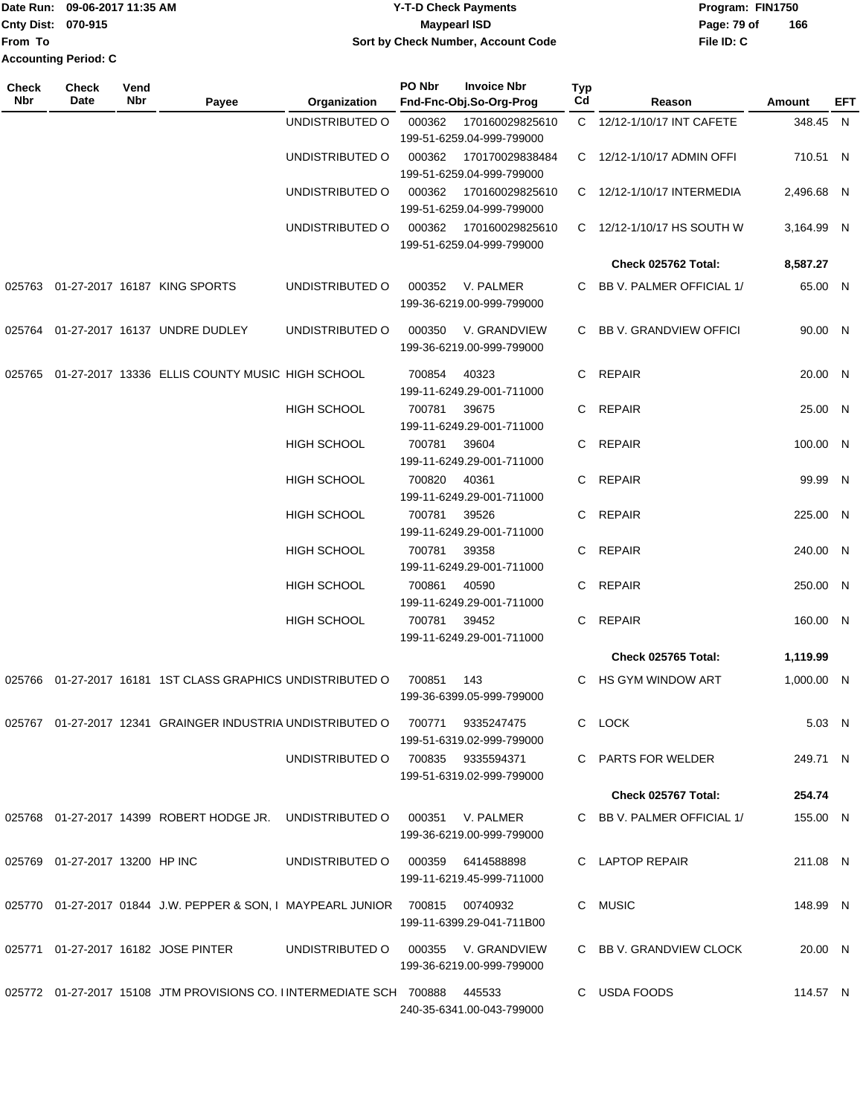|                             | Date Run: 09-06-2017 11:35 AM | <b>Y-T-D Check Payments</b>        | Program: FIN1750   |
|-----------------------------|-------------------------------|------------------------------------|--------------------|
| <b>Cnty Dist: 070-915</b>   |                               | <b>Mavpearl ISD</b>                | 166<br>Page: 79 of |
| lFrom To                    |                               | Sort by Check Number, Account Code | File ID: C         |
| <b>Accounting Period: C</b> |                               |                                    |                    |

| <b>Check</b><br>Nbr | <b>Check</b><br>Date           | Vend<br>Nbr | Payee                                                                             | Organization                      | PO Nbr | <b>Invoice Nbr</b><br>Fnd-Fnc-Obj.So-Org-Prog         | <b>Typ</b><br>Cd | Reason                     | Amount     | EFT |
|---------------------|--------------------------------|-------------|-----------------------------------------------------------------------------------|-----------------------------------|--------|-------------------------------------------------------|------------------|----------------------------|------------|-----|
|                     |                                |             |                                                                                   | UNDISTRIBUTED O                   | 000362 | 170160029825610                                       |                  | C 12/12-1/10/17 INT CAFETE | 348.45 N   |     |
|                     |                                |             |                                                                                   |                                   |        | 199-51-6259.04-999-799000                             |                  |                            |            |     |
|                     |                                |             |                                                                                   | UNDISTRIBUTED O                   | 000362 | 170170029838484<br>199-51-6259.04-999-799000          | C.               | 12/12-1/10/17 ADMIN OFFI   | 710.51 N   |     |
|                     |                                |             |                                                                                   | UNDISTRIBUTED O                   | 000362 | 170160029825610<br>199-51-6259.04-999-799000          |                  | C 12/12-1/10/17 INTERMEDIA | 2,496.68 N |     |
|                     |                                |             |                                                                                   | UNDISTRIBUTED O                   | 000362 | 170160029825610<br>199-51-6259.04-999-799000          | C.               | 12/12-1/10/17 HS SOUTH W   | 3,164.99 N |     |
|                     |                                |             |                                                                                   |                                   |        |                                                       |                  | Check 025762 Total:        | 8,587.27   |     |
| 025763              |                                |             | 01-27-2017 16187 KING SPORTS                                                      | UNDISTRIBUTED O                   | 000352 | V. PALMER<br>199-36-6219.00-999-799000                | C                | BB V. PALMER OFFICIAL 1/   | 65.00 N    |     |
| 025764              |                                |             | 01-27-2017 16137 UNDRE DUDLEY                                                     | UNDISTRIBUTED O                   | 000350 | V. GRANDVIEW<br>199-36-6219.00-999-799000             |                  | C BB V. GRANDVIEW OFFICI   | 90.00 N    |     |
| 025765              |                                |             | 01-27-2017 13336 ELLIS COUNTY MUSIC HIGH SCHOOL                                   |                                   | 700854 | 40323<br>199-11-6249.29-001-711000                    | C                | <b>REPAIR</b>              | 20.00 N    |     |
|                     |                                |             |                                                                                   | <b>HIGH SCHOOL</b>                | 700781 | 39675                                                 | C                | <b>REPAIR</b>              | 25.00 N    |     |
|                     |                                |             |                                                                                   |                                   |        | 199-11-6249.29-001-711000                             |                  |                            |            |     |
|                     |                                |             |                                                                                   | <b>HIGH SCHOOL</b>                | 700781 | 39604<br>199-11-6249.29-001-711000                    | C.               | <b>REPAIR</b>              | 100.00 N   |     |
|                     |                                |             |                                                                                   | <b>HIGH SCHOOL</b>                | 700820 | 40361<br>199-11-6249.29-001-711000                    | C                | <b>REPAIR</b>              | 99.99 N    |     |
|                     |                                |             |                                                                                   | <b>HIGH SCHOOL</b>                | 700781 | 39526<br>199-11-6249.29-001-711000                    | C                | <b>REPAIR</b>              | 225.00 N   |     |
|                     |                                |             |                                                                                   | <b>HIGH SCHOOL</b>                | 700781 | 39358<br>199-11-6249.29-001-711000                    | C                | <b>REPAIR</b>              | 240.00 N   |     |
|                     |                                |             |                                                                                   | <b>HIGH SCHOOL</b>                | 700861 | 40590<br>199-11-6249.29-001-711000                    | C                | <b>REPAIR</b>              | 250.00 N   |     |
|                     |                                |             |                                                                                   | <b>HIGH SCHOOL</b>                | 700781 | 39452<br>199-11-6249.29-001-711000                    | C                | <b>REPAIR</b>              | 160.00 N   |     |
|                     |                                |             |                                                                                   |                                   |        |                                                       |                  | Check 025765 Total:        | 1,119.99   |     |
|                     |                                |             | 01-27-2017 16181 1ST CLASS GRAPHICS UNDISTRIBUTED O                               |                                   |        |                                                       | C                | <b>HS GYM WINDOW ART</b>   | 1,000.00 N |     |
| 025766              |                                |             |                                                                                   |                                   | 700851 | 143<br>199-36-6399.05-999-799000                      |                  |                            |            |     |
|                     |                                |             | 025767 01-27-2017 12341 GRAINGER INDUSTRIA UNDISTRIBUTED O                        |                                   | 700771 | 9335247475<br>199-51-6319.02-999-799000               |                  | C LOCK                     | 5.03 N     |     |
|                     |                                |             |                                                                                   | UNDISTRIBUTED O                   |        | 700835 9335594371<br>199-51-6319.02-999-799000        |                  | C PARTS FOR WELDER         | 249.71 N   |     |
|                     |                                |             |                                                                                   |                                   |        |                                                       |                  | Check 025767 Total:        | 254.74     |     |
|                     |                                |             |                                                                                   |                                   |        | 000351 V. PALMER<br>199-36-6219.00-999-799000         |                  | C BB V. PALMER OFFICIAL 1/ | 155.00 N   |     |
|                     | 025769 01-27-2017 13200 HP INC |             |                                                                                   | UNDISTRIBUTED O 000359 6414588898 |        | 199-11-6219.45-999-711000                             |                  | C LAPTOP REPAIR            | 211.08 N   |     |
|                     |                                |             | 025770  01-27-2017  01844  J.W. PEPPER & SON, I MAYPEARL JUNIOR  700815  00740932 |                                   |        | 199-11-6399.29-041-711B00                             |                  | C MUSIC                    | 148.99 N   |     |
|                     |                                |             | 025771 01-27-2017 16182 JOSE PINTER                                               | UNDISTRIBUTED O                   |        | 000355      V. GRANDVIEW<br>199-36-6219.00-999-799000 |                  | C BB V. GRANDVIEW CLOCK    | 20.00 N    |     |
|                     |                                |             | 025772 01-27-2017 15108 JTM PROVISIONS CO. I INTERMEDIATE SCH 700888              |                                   |        | 445533<br>240-35-6341.00-043-799000                   |                  | C USDA FOODS               | 114.57 N   |     |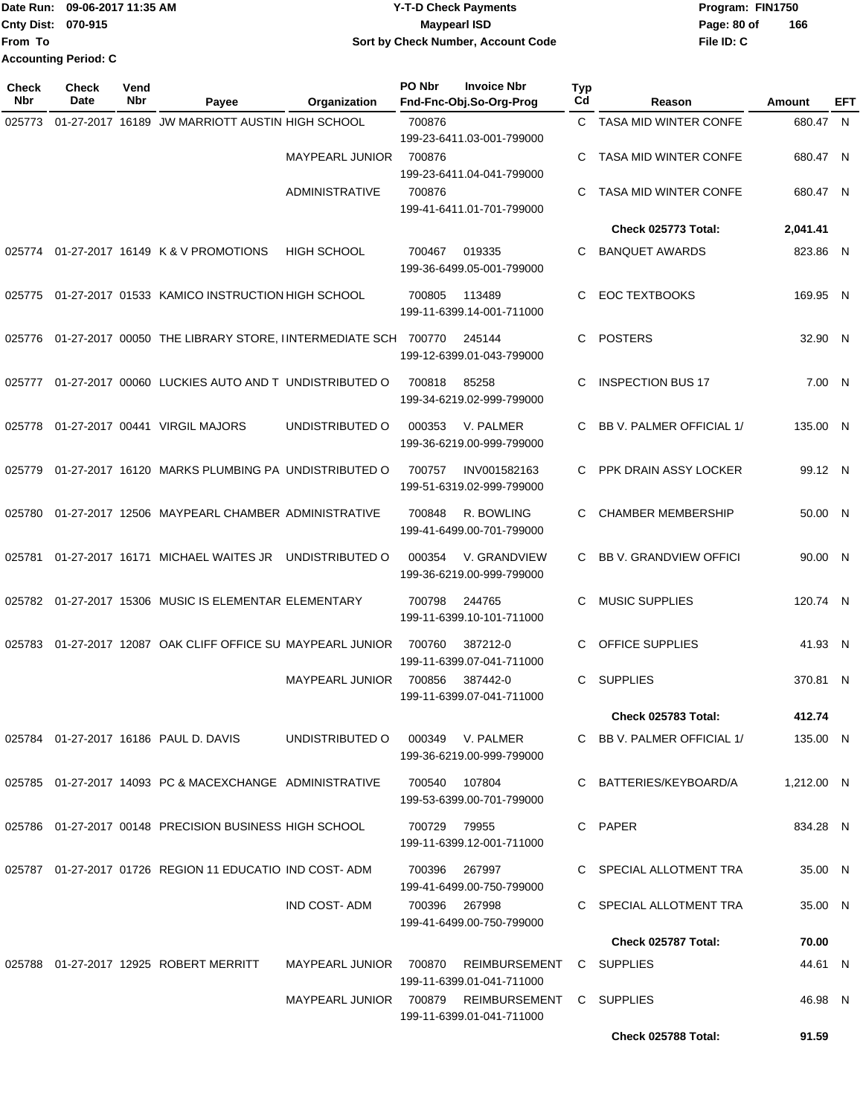Date Run: 09-06-2017 11:35 AM **CONTEX 100 CONTEX 12 T-D** Check Payments **CONTEX 12 T-D Check Payments** Program: FIN1750 **Cnty Dist:** 070-915 **Page: 80 of MaypearI ISD Page: 80 of File ID: C From To 09-06-2017 11:35 AM Y-T-D Check Payments 070-915 Maypearl ISD Sort by Check Number, Account Code 166 Accounting Period: C**

| Check<br>Nbr | <b>Check</b><br>Date | Vend<br>Nbr | Payee                                                                   | Organization           | PO Nbr       | <b>Invoice Nbr</b><br>Fnd-Fnc-Obj.So-Org-Prog | <b>Typ</b><br>Cd | Reason                        | <b>Amount</b> | EFT |
|--------------|----------------------|-------------|-------------------------------------------------------------------------|------------------------|--------------|-----------------------------------------------|------------------|-------------------------------|---------------|-----|
| 025773       |                      |             | 01-27-2017 16189 JW MARRIOTT AUSTIN HIGH SCHOOL                         |                        | 700876       | 199-23-6411.03-001-799000                     |                  | C TASA MID WINTER CONFE       | 680.47 N      |     |
|              |                      |             |                                                                         | <b>MAYPEARL JUNIOR</b> | 700876       | 199-23-6411.04-041-799000                     | С                | <b>TASA MID WINTER CONFE</b>  | 680.47 N      |     |
|              |                      |             |                                                                         | ADMINISTRATIVE         | 700876       | 199-41-6411.01-701-799000                     | С                | <b>TASA MID WINTER CONFE</b>  | 680.47 N      |     |
|              |                      |             |                                                                         |                        |              |                                               |                  | Check 025773 Total:           | 2,041.41      |     |
| 025774       |                      |             | 01-27-2017 16149 K & V PROMOTIONS                                       | <b>HIGH SCHOOL</b>     | 700467       | 019335<br>199-36-6499.05-001-799000           | C                | <b>BANQUET AWARDS</b>         | 823.86 N      |     |
|              |                      |             | 025775 01-27-2017 01533 KAMICO INSTRUCTION HIGH SCHOOL                  |                        | 700805       | 113489<br>199-11-6399.14-001-711000           | С                | <b>EOC TEXTBOOKS</b>          | 169.95 N      |     |
|              |                      |             | 025776  01-27-2017  00050  THE LIBRARY STORE, IINTERMEDIATE SCH  700770 |                        |              | 245144<br>199-12-6399.01-043-799000           | С                | <b>POSTERS</b>                | 32.90 N       |     |
|              |                      |             | 025777 01-27-2017 00060 LUCKIES AUTO AND T UNDISTRIBUTED O              |                        | 700818       | 85258<br>199-34-6219.02-999-799000            | С                | <b>INSPECTION BUS 17</b>      | 7.00 N        |     |
|              |                      |             | 025778 01-27-2017 00441 VIRGIL MAJORS                                   | UNDISTRIBUTED O        | 000353       | V. PALMER<br>199-36-6219.00-999-799000        | C                | BB V. PALMER OFFICIAL 1/      | 135.00 N      |     |
| 025779       |                      |             | 01-27-2017 16120 MARKS PLUMBING PA UNDISTRIBUTED O                      |                        | 700757       | INV001582163<br>199-51-6319.02-999-799000     | C                | PPK DRAIN ASSY LOCKER         | 99.12 N       |     |
| 025780       |                      |             | 01-27-2017 12506 MAYPEARL CHAMBER ADMINISTRATIVE                        |                        | 700848       | R. BOWLING<br>199-41-6499.00-701-799000       | С                | <b>CHAMBER MEMBERSHIP</b>     | 50.00 N       |     |
| 025781       |                      |             | 01-27-2017 16171 MICHAEL WAITES JR                                      | UNDISTRIBUTED O        | 000354       | V. GRANDVIEW<br>199-36-6219.00-999-799000     | C                | <b>BB V. GRANDVIEW OFFICI</b> | 90.00 N       |     |
|              |                      |             | 025782 01-27-2017 15306 MUSIC IS ELEMENTAR ELEMENTARY                   |                        | 700798       | 244765<br>199-11-6399.10-101-711000           | C                | <b>MUSIC SUPPLIES</b>         | 120.74 N      |     |
| 025783       |                      |             | 01-27-2017 12087 OAK CLIFF OFFICE SU MAYPEARL JUNIOR                    |                        | 700760       | 387212-0<br>199-11-6399.07-041-711000         | С                | OFFICE SUPPLIES               | 41.93 N       |     |
|              |                      |             |                                                                         | <b>MAYPEARL JUNIOR</b> | 700856       | 387442-0<br>199-11-6399.07-041-711000         | C.               | <b>SUPPLIES</b>               | 370.81 N      |     |
|              |                      |             |                                                                         |                        |              |                                               |                  | Check 025783 Total:           | 412.74        |     |
|              |                      |             | 025784  01-27-2017  16186  PAUL D. DAVIS                                | UNDISTRIBUTED O        |              | 000349 V. PALMER<br>199-36-6219.00-999-799000 |                  | C BB V. PALMER OFFICIAL 1/    | 135.00 N      |     |
|              |                      |             | 025785 01-27-2017 14093 PC & MACEXCHANGE ADMINISTRATIVE                 |                        | 700540       | 107804<br>199-53-6399.00-701-799000           |                  | C BATTERIES/KEYBOARD/A        | 1,212.00 N    |     |
|              |                      |             | 025786 01-27-2017 00148 PRECISION BUSINESS HIGH SCHOOL                  |                        | 700729 79955 | 199-11-6399.12-001-711000                     |                  | C PAPER                       | 834.28 N      |     |
|              |                      |             | 025787  01-27-2017  01726  REGION  11  EDUCATIO  IND COST- ADM          |                        | 700396       | 267997<br>199-41-6499.00-750-799000           |                  | C SPECIAL ALLOTMENT TRA       | 35.00 N       |     |
|              |                      |             |                                                                         | IND COST-ADM           | 700396       | 267998<br>199-41-6499.00-750-799000           |                  | C SPECIAL ALLOTMENT TRA       | 35.00 N       |     |
|              |                      |             |                                                                         |                        |              |                                               |                  | Check 025787 Total:           | 70.00         |     |
|              |                      |             | 025788 01-27-2017 12925 ROBERT MERRITT                                  | MAYPEARL JUNIOR        | 700870       | REIMBURSEMENT<br>199-11-6399.01-041-711000    |                  | C SUPPLIES                    | 44.61 N       |     |
|              |                      |             |                                                                         | MAYPEARL JUNIOR 700879 |              | REIMBURSEMENT<br>199-11-6399.01-041-711000    |                  | C SUPPLIES                    | 46.98 N       |     |
|              |                      |             |                                                                         |                        |              |                                               |                  | Check 025788 Total:           | 91.59         |     |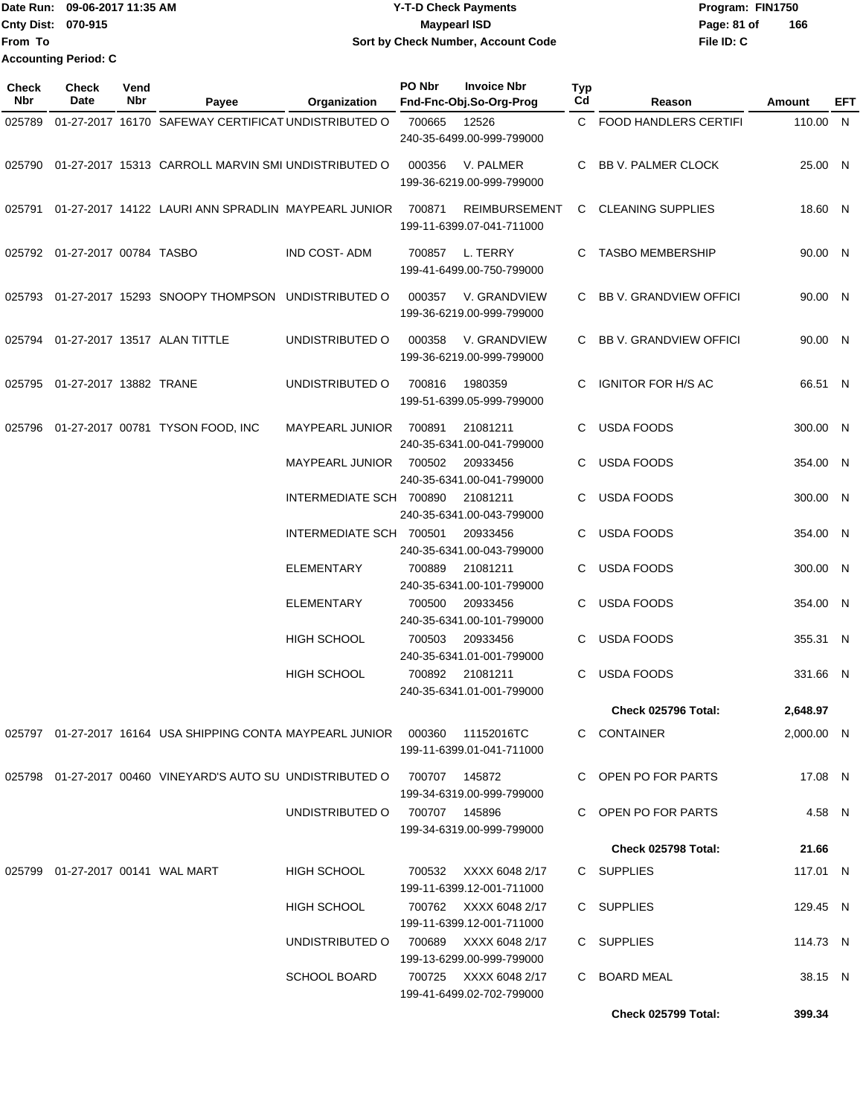|                           | Date Run: 09-06-2017 11:35 AM | <b>Y-T-D Check Payments</b>        | Program: FIN1750   |
|---------------------------|-------------------------------|------------------------------------|--------------------|
| <b>Cnty Dist: 070-915</b> |                               | <b>Mavpearl ISD</b>                | 166<br>Page: 81 of |
| lFrom To                  |                               | Sort by Check Number, Account Code | File ID: C         |
|                           | <b>Accounting Period: C</b>   |                                    |                    |

| Check<br><b>Nbr</b> | <b>Check</b><br>Date                | Vend<br>Nbr | Payee                                                                             | Organization            | PO Nbr         | <b>Invoice Nbr</b><br>Fnd-Fnc-Obj.So-Org-Prog      | Typ<br>Cd | Reason                       | Amount     | EFT |
|---------------------|-------------------------------------|-------------|-----------------------------------------------------------------------------------|-------------------------|----------------|----------------------------------------------------|-----------|------------------------------|------------|-----|
| 025789              |                                     |             | 01-27-2017 16170 SAFEWAY CERTIFICAT UNDISTRIBUTED O                               |                         | 700665         | 12526<br>240-35-6499.00-999-799000                 | C.        | <b>FOOD HANDLERS CERTIFI</b> | 110.00 N   |     |
|                     |                                     |             | 025790 01-27-2017 15313 CARROLL MARVIN SMI UNDISTRIBUTED O                        |                         | 000356         | V. PALMER<br>199-36-6219.00-999-799000             | C         | <b>BB V. PALMER CLOCK</b>    | 25.00 N    |     |
|                     |                                     |             | 025791 01-27-2017 14122 LAURI ANN SPRADLIN MAYPEARL JUNIOR                        |                         | 700871         | <b>REIMBURSEMENT</b><br>199-11-6399.07-041-711000  |           | C CLEANING SUPPLIES          | 18.60 N    |     |
|                     | 025792 01-27-2017 00784 TASBO       |             |                                                                                   | <b>IND COST-ADM</b>     | 700857         | L. TERRY<br>199-41-6499.00-750-799000              | C         | <b>TASBO MEMBERSHIP</b>      | 90.00 N    |     |
|                     |                                     |             | 025793 01-27-2017 15293 SNOOPY THOMPSON UNDISTRIBUTED O                           |                         | 000357         | V. GRANDVIEW<br>199-36-6219.00-999-799000          |           | C BB V. GRANDVIEW OFFICI     | 90.00 N    |     |
|                     |                                     |             | 025794 01-27-2017 13517 ALAN TITTLE                                               | UNDISTRIBUTED O         | 000358         | V. GRANDVIEW<br>199-36-6219.00-999-799000          | C.        | BB V. GRANDVIEW OFFICI       | 90.00 N    |     |
| 025795              | 01-27-2017 13882 TRANE              |             |                                                                                   | UNDISTRIBUTED O         | 700816         | 1980359<br>199-51-6399.05-999-799000               | C.        | <b>IGNITOR FOR H/S AC</b>    | 66.51 N    |     |
| 025796              |                                     |             | 01-27-2017 00781 TYSON FOOD, INC                                                  | <b>MAYPEARL JUNIOR</b>  | 700891         | 21081211<br>240-35-6341.00-041-799000              | C         | <b>USDA FOODS</b>            | 300.00 N   |     |
|                     |                                     |             |                                                                                   | <b>MAYPEARL JUNIOR</b>  | 700502         | 20933456<br>240-35-6341.00-041-799000              | C         | <b>USDA FOODS</b>            | 354.00 N   |     |
|                     |                                     |             |                                                                                   | INTERMEDIATE SCH 700890 |                | 21081211<br>240-35-6341.00-043-799000              |           | <b>USDA FOODS</b>            | 300.00 N   |     |
|                     |                                     |             |                                                                                   | INTERMEDIATE SCH 700501 |                | 20933456                                           | C         | <b>USDA FOODS</b>            | 354.00 N   |     |
|                     |                                     |             |                                                                                   | <b>ELEMENTARY</b>       | 700889         | 240-35-6341.00-043-799000<br>21081211              | C         | <b>USDA FOODS</b>            | 300.00 N   |     |
|                     |                                     |             |                                                                                   | <b>ELEMENTARY</b>       | 700500         | 240-35-6341.00-101-799000<br>20933456              | C         | <b>USDA FOODS</b>            | 354.00 N   |     |
|                     |                                     |             |                                                                                   |                         |                | 240-35-6341.00-101-799000                          |           |                              |            |     |
|                     |                                     |             |                                                                                   | <b>HIGH SCHOOL</b>      | 700503         | 20933456<br>240-35-6341.01-001-799000              | C         | <b>USDA FOODS</b>            | 355.31 N   |     |
|                     |                                     |             |                                                                                   | <b>HIGH SCHOOL</b>      | 700892         | 21081211<br>240-35-6341.01-001-799000              | C         | <b>USDA FOODS</b>            | 331.66 N   |     |
|                     |                                     |             |                                                                                   |                         |                |                                                    |           | Check 025796 Total:          | 2,648.97   |     |
|                     |                                     |             | 025797  01-27-2017  16164  USA SHIPPING CONTA MAYPEARL JUNIOR  000360  11152016TC |                         |                | 199-11-6399.01-041-711000                          |           | C CONTAINER                  | 2.000.00 N |     |
|                     |                                     |             | 025798 01-27-2017 00460 VINEYARD'S AUTO SU UNDISTRIBUTED O                        |                         | 700707 145872  | 199-34-6319.00-999-799000                          |           | C OPEN PO FOR PARTS          | 17.08 N    |     |
|                     |                                     |             |                                                                                   | UNDISTRIBUTED O         | 700707  145896 | 199-34-6319.00-999-799000                          |           | C OPEN PO FOR PARTS          | 4.58 N     |     |
|                     |                                     |             |                                                                                   |                         |                |                                                    |           | <b>Check 025798 Total:</b>   | 21.66      |     |
|                     | 025799  01-27-2017  00141  WAL MART |             |                                                                                   | HIGH SCHOOL             |                | 700532 XXXX 6048 2/17<br>199-11-6399.12-001-711000 |           | C SUPPLIES                   | 117.01 N   |     |
|                     |                                     |             |                                                                                   | <b>HIGH SCHOOL</b>      |                | 700762 XXXX 6048 2/17<br>199-11-6399.12-001-711000 |           | C SUPPLIES                   | 129.45 N   |     |
|                     |                                     |             |                                                                                   | UNDISTRIBUTED O         |                | 700689 XXXX 6048 2/17<br>199-13-6299.00-999-799000 |           | C SUPPLIES                   | 114.73 N   |     |
|                     |                                     |             |                                                                                   | <b>SCHOOL BOARD</b>     |                | 700725 XXXX 6048 2/17<br>199-41-6499.02-702-799000 |           | C BOARD MEAL                 | 38.15 N    |     |
|                     |                                     |             |                                                                                   |                         |                |                                                    |           | Check 025799 Total:          | 399.34     |     |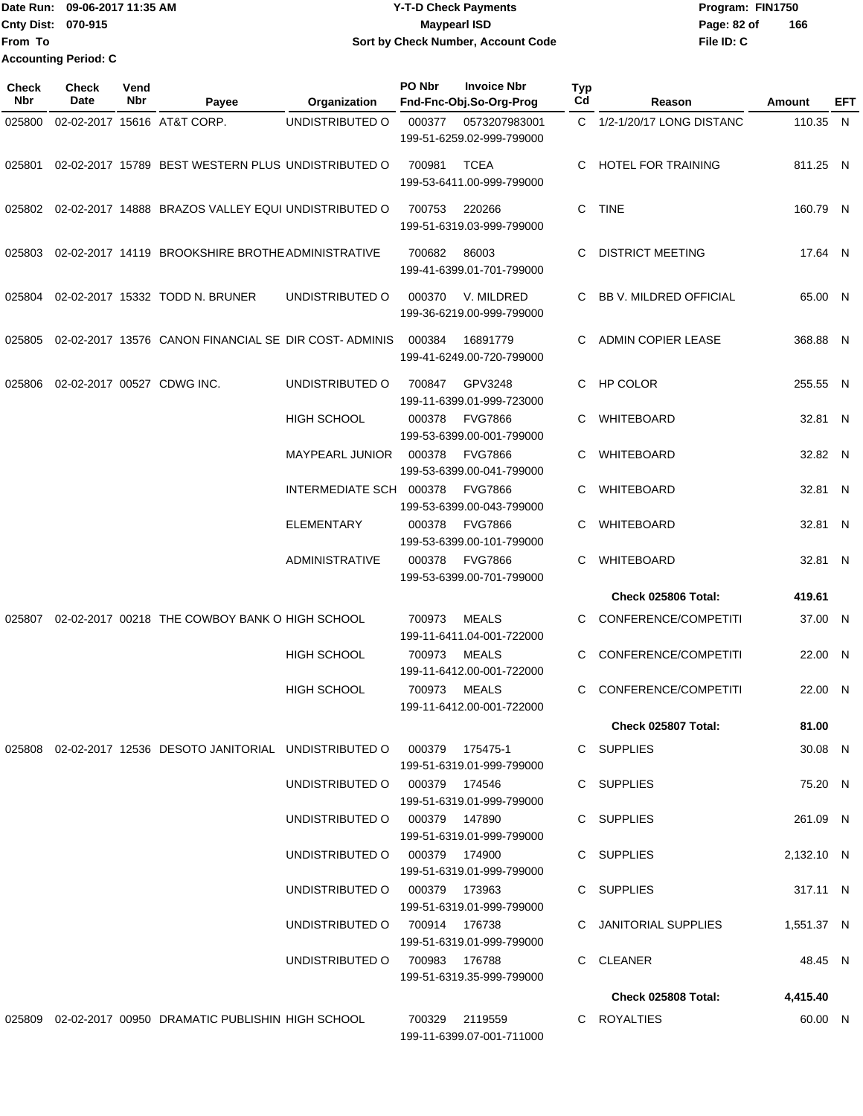### Date Run: 09-06-2017 11:35 AM **CONTEX 100 CONTEX 12 T-D** Check Payments **CONTEX 12 T-D Check Payments** Program: FIN1750 **Cnty Dist:** 070-915 **Page: 82 of MaypearI ISD Page: 82 of 09-06-2017 11:35 AM Y-T-D Check Payments 070-915 Maypearl ISD Sort by Check Number, Account Code**

| <b>Check</b><br><b>Nbr</b> | <b>Check</b><br>Date | Vend<br>Nbr | Payee                                                                     | Organization                  | PO Nbr | <b>Invoice Nbr</b><br>Fnd-Fnc-Obj.So-Org-Prog | Typ<br>Cd | Reason                     | <b>Amount</b> | EFT |
|----------------------------|----------------------|-------------|---------------------------------------------------------------------------|-------------------------------|--------|-----------------------------------------------|-----------|----------------------------|---------------|-----|
| 025800                     |                      |             | 02-02-2017 15616 AT&T CORP.                                               | UNDISTRIBUTED O               | 000377 | 0573207983001<br>199-51-6259.02-999-799000    |           | C 1/2-1/20/17 LONG DISTANC | 110.35 N      |     |
|                            |                      |             | 025801 02-02-2017 15789 BEST WESTERN PLUS UNDISTRIBUTED O                 |                               | 700981 | TCEA<br>199-53-6411.00-999-799000             | C         | HOTEL FOR TRAINING         | 811.25 N      |     |
|                            |                      |             | 025802 02-02-2017 14888 BRAZOS VALLEY EQUI UNDISTRIBUTED O                |                               | 700753 | 220266<br>199-51-6319.03-999-799000           | C.        | TINE                       | 160.79 N      |     |
|                            |                      |             | 025803 02-02-2017 14119 BROOKSHIRE BROTHE ADMINISTRATIVE                  |                               | 700682 | 86003<br>199-41-6399.01-701-799000            | C         | <b>DISTRICT MEETING</b>    | 17.64 N       |     |
| 025804                     |                      |             | 02-02-2017 15332 TODD N. BRUNER                                           | UNDISTRIBUTED O               | 000370 | V. MILDRED<br>199-36-6219.00-999-799000       | C         | BB V. MILDRED OFFICIAL     | 65.00 N       |     |
|                            |                      |             | 025805 02-02-2017 13576 CANON FINANCIAL SE DIR COST-ADMINIS               |                               | 000384 | 16891779<br>199-41-6249.00-720-799000         |           | ADMIN COPIER LEASE         | 368.88 N      |     |
| 025806                     |                      |             | 02-02-2017 00527 CDWG INC.                                                | UNDISTRIBUTED O               | 700847 | GPV3248<br>199-11-6399.01-999-723000          | C.        | <b>HP COLOR</b>            | 255.55 N      |     |
|                            |                      |             |                                                                           | <b>HIGH SCHOOL</b>            | 000378 | <b>FVG7866</b><br>199-53-6399.00-001-799000   | C         | WHITEBOARD                 | 32.81 N       |     |
|                            |                      |             |                                                                           | <b>MAYPEARL JUNIOR</b>        | 000378 | <b>FVG7866</b><br>199-53-6399.00-041-799000   | C         | WHITEBOARD                 | 32.82 N       |     |
|                            |                      |             |                                                                           | INTERMEDIATE SCH 000378       |        | <b>FVG7866</b><br>199-53-6399.00-043-799000   |           | WHITEBOARD                 | 32.81 N       |     |
|                            |                      |             |                                                                           | ELEMENTARY                    | 000378 | <b>FVG7866</b><br>199-53-6399.00-101-799000   | C         | WHITEBOARD                 | 32.81 N       |     |
|                            |                      |             |                                                                           | <b>ADMINISTRATIVE</b>         | 000378 | <b>FVG7866</b><br>199-53-6399.00-701-799000   | C         | WHITEBOARD                 | 32.81 N       |     |
|                            |                      |             |                                                                           |                               |        |                                               |           | <b>Check 025806 Total:</b> | 419.61        |     |
| 025807                     |                      |             | 02-02-2017 00218 THE COWBOY BANK O HIGH SCHOOL                            |                               | 700973 | MEALS<br>199-11-6411.04-001-722000            | C         | CONFERENCE/COMPETITI       | 37.00 N       |     |
|                            |                      |             |                                                                           | <b>HIGH SCHOOL</b>            | 700973 | MEALS<br>199-11-6412.00-001-722000            | C         | CONFERENCE/COMPETITI       | 22.00 N       |     |
|                            |                      |             |                                                                           | <b>HIGH SCHOOL</b>            | 700973 | MEALS<br>199-11-6412.00-001-722000            | C         | CONFERENCE/COMPETITI       | 22.00 N       |     |
|                            |                      |             |                                                                           |                               |        |                                               |           | Check 025807 Total:        | 81.00         |     |
|                            |                      |             | 025808 02-02-2017 12536 DESOTO JANITORIAL UNDISTRIBUTED O 000379 175475-1 |                               |        | 199-51-6319.01-999-799000                     |           | C SUPPLIES                 | 30.08 N       |     |
|                            |                      |             |                                                                           | UNDISTRIBUTED O 000379 174546 |        | 199-51-6319.01-999-799000                     |           | C SUPPLIES                 | 75.20 N       |     |
|                            |                      |             |                                                                           | UNDISTRIBUTED O 000379 147890 |        | 199-51-6319.01-999-799000                     |           | C SUPPLIES                 | 261.09 N      |     |
|                            |                      |             |                                                                           | UNDISTRIBUTED O 000379 174900 |        | 199-51-6319.01-999-799000                     |           | C SUPPLIES                 | 2,132.10 N    |     |
|                            |                      |             |                                                                           | UNDISTRIBUTED O 000379 173963 |        | 199-51-6319.01-999-799000                     |           | C SUPPLIES                 | 317.11 N      |     |
|                            |                      |             |                                                                           | UNDISTRIBUTED 0 700914 176738 |        | 199-51-6319.01-999-799000                     |           | C JANITORIAL SUPPLIES      | 1,551.37 N    |     |
|                            |                      |             |                                                                           | UNDISTRIBUTED O 700983 176788 |        | 199-51-6319.35-999-799000                     |           | C CLEANER                  | 48.45 N       |     |
|                            |                      |             |                                                                           |                               |        |                                               |           | Check 025808 Total:        | 4,415.40      |     |
|                            |                      |             | 025809 02-02-2017 00950 DRAMATIC PUBLISHIN HIGH SCHOOL                    |                               |        | 700329 2119559<br>199-11-6399.07-001-711000   |           | C ROYALTIES                | 60.00 N       |     |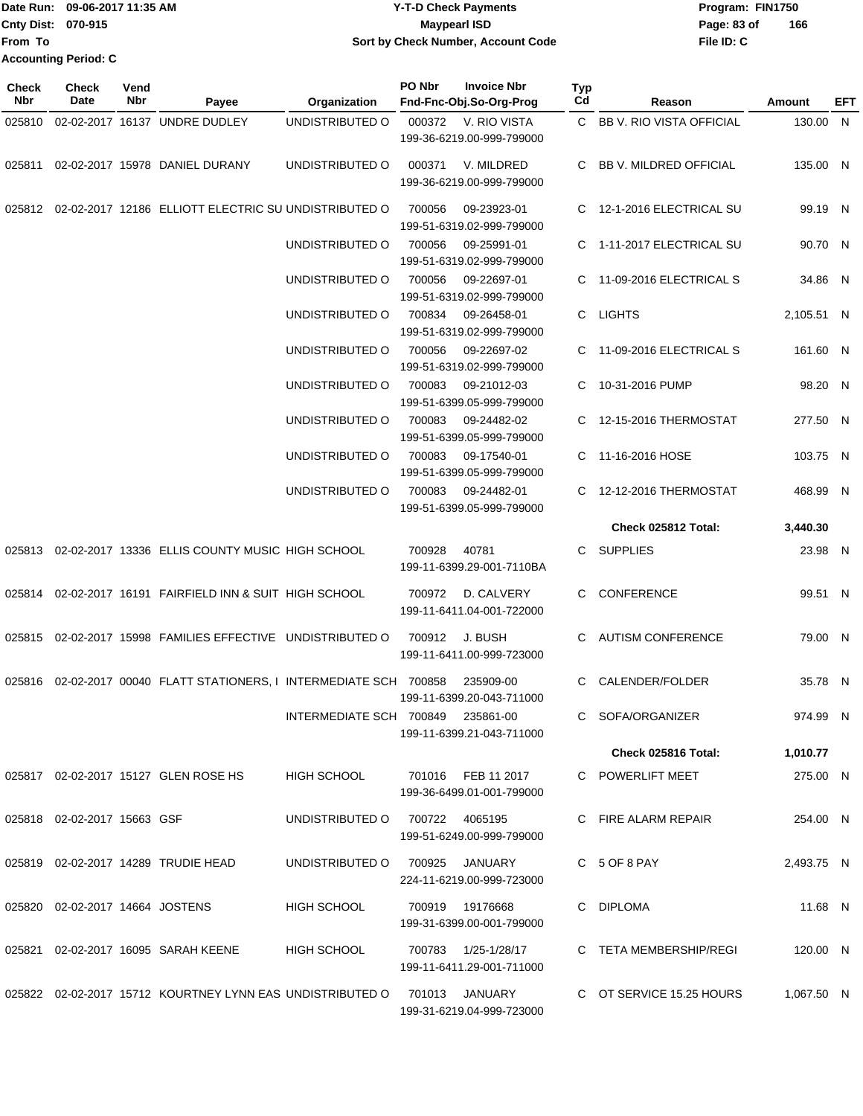|                             | Date Run: 09-06-2017 11:35 AM | <b>Y-T-D Check Payments</b>        | Program: FIN1750 |     |
|-----------------------------|-------------------------------|------------------------------------|------------------|-----|
| <b>Cnty Dist: 070-915</b>   |                               | <b>Mavpearl ISD</b>                | Page: 83 of      | 166 |
| <b>IFrom To</b>             |                               | Sort by Check Number, Account Code | File ID: C       |     |
| <b>Accounting Period: C</b> |                               |                                    |                  |     |

| <b>Check</b><br>Nbr | <b>Check</b><br><b>Date</b>     | Vend<br>Nbr | Payee                                                                   | Organization                      | PO Nbr | <b>Invoice Nbr</b><br>Fnd-Fnc-Obj.So-Org-Prog   | Typ<br>Cd    | Reason                     | Amount     | EFT |
|---------------------|---------------------------------|-------------|-------------------------------------------------------------------------|-----------------------------------|--------|-------------------------------------------------|--------------|----------------------------|------------|-----|
| 025810              |                                 |             | 02-02-2017 16137 UNDRE DUDLEY                                           | UNDISTRIBUTED O                   | 000372 | V. RIO VISTA<br>199-36-6219.00-999-799000       |              | C BB V. RIO VISTA OFFICIAL | 130.00 N   |     |
| 025811              |                                 |             | 02-02-2017 15978 DANIEL DURANY                                          | UNDISTRIBUTED O                   | 000371 | V. MILDRED<br>199-36-6219.00-999-799000         | C.           | BB V. MILDRED OFFICIAL     | 135.00 N   |     |
|                     |                                 |             | 025812 02-02-2017 12186 ELLIOTT ELECTRIC SU UNDISTRIBUTED O             |                                   | 700056 | 09-23923-01<br>199-51-6319.02-999-799000        |              | C 12-1-2016 ELECTRICAL SU  | 99.19 N    |     |
|                     |                                 |             |                                                                         | UNDISTRIBUTED O                   | 700056 | 09-25991-01<br>199-51-6319.02-999-799000        |              | C 1-11-2017 ELECTRICAL SU  | 90.70 N    |     |
|                     |                                 |             |                                                                         | UNDISTRIBUTED O                   | 700056 | 09-22697-01<br>199-51-6319.02-999-799000        |              | C 11-09-2016 ELECTRICAL S  | 34.86 N    |     |
|                     |                                 |             |                                                                         | UNDISTRIBUTED O                   | 700834 | 09-26458-01<br>199-51-6319.02-999-799000        |              | C LIGHTS                   | 2,105.51 N |     |
|                     |                                 |             |                                                                         | UNDISTRIBUTED O                   | 700056 | 09-22697-02<br>199-51-6319.02-999-799000        |              | C 11-09-2016 ELECTRICAL S  | 161.60 N   |     |
|                     |                                 |             |                                                                         | UNDISTRIBUTED O                   | 700083 | 09-21012-03<br>199-51-6399.05-999-799000        |              | C 10-31-2016 PUMP          | 98.20 N    |     |
|                     |                                 |             |                                                                         | UNDISTRIBUTED O                   | 700083 | 09-24482-02<br>199-51-6399.05-999-799000        |              | C 12-15-2016 THERMOSTAT    | 277.50 N   |     |
|                     |                                 |             |                                                                         | UNDISTRIBUTED O                   | 700083 | 09-17540-01<br>199-51-6399.05-999-799000        | C.           | 11-16-2016 HOSE            | 103.75 N   |     |
|                     |                                 |             |                                                                         | UNDISTRIBUTED O                   | 700083 | 09-24482-01<br>199-51-6399.05-999-799000        |              | C 12-12-2016 THERMOSTAT    | 468.99 N   |     |
|                     |                                 |             |                                                                         |                                   |        |                                                 |              | Check 025812 Total:        | 3,440.30   |     |
|                     |                                 |             | 025813 02-02-2017 13336 ELLIS COUNTY MUSIC HIGH SCHOOL                  |                                   | 700928 | 40781<br>199-11-6399.29-001-7110BA              | $\mathbf{C}$ | <b>SUPPLIES</b>            | 23.98 N    |     |
|                     |                                 |             | 025814 02-02-2017 16191 FAIRFIELD INN & SUIT HIGH SCHOOL                |                                   | 700972 | D. CALVERY<br>199-11-6411.04-001-722000         | C.           | <b>CONFERENCE</b>          | 99.51 N    |     |
|                     |                                 |             | 025815 02-02-2017 15998 FAMILIES EFFECTIVE UNDISTRIBUTED O              |                                   | 700912 | J. BUSH<br>199-11-6411.00-999-723000            | C.           | <b>AUTISM CONFERENCE</b>   | 79.00 N    |     |
|                     |                                 |             | 025816  02-02-2017  00040  FLATT STATIONERS, I INTERMEDIATE SCH  700858 |                                   |        | 235909-00<br>199-11-6399.20-043-711000          | C            | CALENDER/FOLDER            | 35.78 N    |     |
|                     |                                 |             |                                                                         | INTERMEDIATE SCH 700849 235861-00 |        | 199-11-6399.21-043-711000                       |              | C SOFA/ORGANIZER           | 974.99 N   |     |
|                     |                                 |             |                                                                         |                                   |        |                                                 |              | Check 025816 Total:        | 1,010.77   |     |
|                     |                                 |             | 025817 02-02-2017 15127 GLEN ROSE HS                                    | HIGH SCHOOL                       |        | 701016 FEB 11 2017<br>199-36-6499.01-001-799000 |              | C POWERLIFT MEET           | 275.00 N   |     |
|                     | 025818 02-02-2017 15663 GSF     |             |                                                                         | UNDISTRIBUTED O 700722 4065195    |        | 199-51-6249.00-999-799000                       |              | C FIRE ALARM REPAIR        | 254.00 N   |     |
|                     |                                 |             | 025819 02-02-2017 14289 TRUDIE HEAD                                     | UNDISTRIBUTED O                   |        | 700925 JANUARY<br>224-11-6219.00-999-723000     |              | C 5 OF 8 PAY               | 2,493.75 N |     |
|                     | 025820 02-02-2017 14664 JOSTENS |             |                                                                         | <b>HIGH SCHOOL</b>                |        | 700919 19176668<br>199-31-6399.00-001-799000    |              | C DIPLOMA                  | 11.68 N    |     |
|                     |                                 |             | 025821 02-02-2017 16095 SARAH KEENE                                     | <b>HIGH SCHOOL</b>                |        | 199-11-6411.29-001-711000                       |              | C TETA MEMBERSHIP/REGI     | 120.00 N   |     |
|                     |                                 |             | 025822 02-02-2017 15712 KOURTNEY LYNN EAS UNDISTRIBUTED O               |                                   |        | 701013 JANUARY<br>199-31-6219.04-999-723000     |              | C OT SERVICE 15.25 HOURS   | 1,067.50 N |     |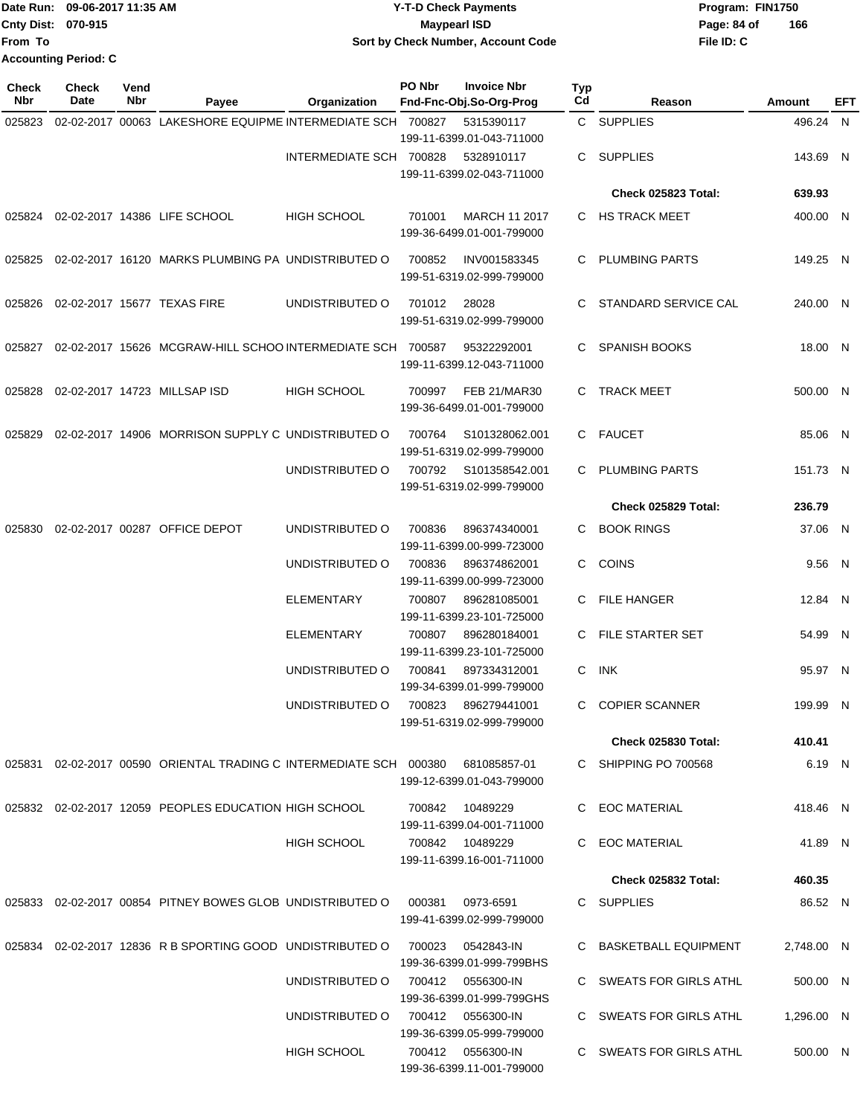|                           | Date Run: 09-06-2017 11:35 AM | <b>Y-T-D Check Payments</b>        | Program: FIN1750   |
|---------------------------|-------------------------------|------------------------------------|--------------------|
| <b>Cnty Dist: 070-915</b> |                               | <b>Mavpearl ISD</b>                | 166<br>Page: 84 of |
| From To                   |                               | Sort by Check Number, Account Code | File ID: C         |
|                           | <b>Accounting Period: C</b>   |                                    |                    |

| <b>Check</b><br>Nbr | <b>Check</b><br>Date | Vend<br><b>Nbr</b> | Payee                                                                           | Organization            | PO Nbr | <b>Invoice Nbr</b><br>Fnd-Fnc-Obj.So-Org-Prog     | Typ<br>Cd | Reason                     | Amount     | EFT |
|---------------------|----------------------|--------------------|---------------------------------------------------------------------------------|-------------------------|--------|---------------------------------------------------|-----------|----------------------------|------------|-----|
| 025823              |                      |                    | 02-02-2017 00063 LAKESHORE EQUIPME INTERMEDIATE SCH 700827                      |                         |        | 5315390117                                        |           | C SUPPLIES                 | 496.24 N   |     |
|                     |                      |                    |                                                                                 | INTERMEDIATE SCH 700828 |        | 199-11-6399.01-043-711000<br>5328910117           | C.        | <b>SUPPLIES</b>            | 143.69 N   |     |
|                     |                      |                    |                                                                                 |                         |        | 199-11-6399.02-043-711000                         |           |                            |            |     |
|                     |                      |                    |                                                                                 |                         |        |                                                   |           | Check 025823 Total:        | 639.93     |     |
| 025824              |                      |                    | 02-02-2017 14386 LIFE SCHOOL                                                    | <b>HIGH SCHOOL</b>      | 701001 | <b>MARCH 11 2017</b><br>199-36-6499.01-001-799000 |           | C HS TRACK MEET            | 400.00 N   |     |
| 025825              |                      |                    | 02-02-2017 16120 MARKS PLUMBING PA UNDISTRIBUTED O                              |                         | 700852 | INV001583345<br>199-51-6319.02-999-799000         |           | C PLUMBING PARTS           | 149.25 N   |     |
| 025826              |                      |                    | 02-02-2017 15677 TEXAS FIRE                                                     | UNDISTRIBUTED O         | 701012 | 28028<br>199-51-6319.02-999-799000                | C         | STANDARD SERVICE CAL       | 240.00 N   |     |
| 025827              |                      |                    | 02-02-2017 15626 MCGRAW-HILL SCHOO INTERMEDIATE SCH 700587                      |                         |        | 95322292001<br>199-11-6399.12-043-711000          | C         | <b>SPANISH BOOKS</b>       | 18.00 N    |     |
| 025828              |                      |                    | 02-02-2017 14723 MILLSAP ISD                                                    | <b>HIGH SCHOOL</b>      | 700997 | <b>FEB 21/MAR30</b><br>199-36-6499.01-001-799000  | C         | <b>TRACK MEET</b>          | 500.00 N   |     |
| 025829              |                      |                    | 02-02-2017 14906 MORRISON SUPPLY C UNDISTRIBUTED O                              |                         | 700764 | S101328062.001<br>199-51-6319.02-999-799000       |           | C FAUCET                   | 85.06 N    |     |
|                     |                      |                    |                                                                                 | UNDISTRIBUTED O         | 700792 | S101358542.001<br>199-51-6319.02-999-799000       | C.        | <b>PLUMBING PARTS</b>      | 151.73 N   |     |
|                     |                      |                    |                                                                                 |                         |        |                                                   |           | Check 025829 Total:        | 236.79     |     |
| 025830              |                      |                    | 02-02-2017 00287 OFFICE DEPOT                                                   | UNDISTRIBUTED O         | 700836 | 896374340001<br>199-11-6399.00-999-723000         | C         | <b>BOOK RINGS</b>          | 37.06 N    |     |
|                     |                      |                    |                                                                                 | UNDISTRIBUTED O         | 700836 | 896374862001<br>199-11-6399.00-999-723000         | C.        | <b>COINS</b>               | 9.56 N     |     |
|                     |                      |                    |                                                                                 | ELEMENTARY              | 700807 | 896281085001<br>199-11-6399.23-101-725000         |           | C FILE HANGER              | 12.84 N    |     |
|                     |                      |                    |                                                                                 | <b>ELEMENTARY</b>       | 700807 | 896280184001<br>199-11-6399.23-101-725000         | C.        | <b>FILE STARTER SET</b>    | 54.99 N    |     |
|                     |                      |                    |                                                                                 | UNDISTRIBUTED O         | 700841 | 897334312001<br>199-34-6399.01-999-799000         | C         | INK                        | 95.97 N    |     |
|                     |                      |                    |                                                                                 | UNDISTRIBUTED O         | 700823 | 896279441001<br>199-51-6319.02-999-799000         | C         | <b>COPIER SCANNER</b>      | 199.99 N   |     |
|                     |                      |                    |                                                                                 |                         |        |                                                   |           | <b>Check 025830 Total:</b> | 410.41     |     |
|                     |                      |                    | 025831 02-02-2017 00590 ORIENTAL TRADING C INTERMEDIATE SCH 000380 681085857-01 |                         |        | 199-12-6399.01-043-799000                         |           | C SHIPPING PO 700568       | 6.19 N     |     |
|                     |                      |                    | 025832 02-02-2017 12059 PEOPLES EDUCATION HIGH SCHOOL                           |                         | 700842 | 10489229<br>199-11-6399.04-001-711000             |           | C EOC MATERIAL             | 418.46 N   |     |
|                     |                      |                    |                                                                                 | <b>HIGH SCHOOL</b>      |        | 700842 10489229<br>199-11-6399.16-001-711000      |           | C EOC MATERIAL             | 41.89 N    |     |
|                     |                      |                    |                                                                                 |                         |        |                                                   |           | <b>Check 025832 Total:</b> | 460.35     |     |
|                     |                      |                    | 025833  02-02-2017  00854  PITNEY BOWES GLOB  UNDISTRIBUTED   000381            |                         |        | 0973-6591<br>199-41-6399.02-999-799000            |           | C SUPPLIES                 | 86.52 N    |     |
| 025834              |                      |                    | 02-02-2017 12836 R B SPORTING GOOD UNDISTRIBUTED O                              |                         | 700023 | 0542843-IN<br>199-36-6399.01-999-799BHS           |           | C BASKETBALL EQUIPMENT     | 2,748.00 N |     |
|                     |                      |                    |                                                                                 | UNDISTRIBUTED O         |        | 700412  0556300-IN<br>199-36-6399.01-999-799GHS   |           | C SWEATS FOR GIRLS ATHL    | 500.00 N   |     |
|                     |                      |                    |                                                                                 | UNDISTRIBUTED O         |        | 700412  0556300-IN<br>199-36-6399.05-999-799000   |           | C SWEATS FOR GIRLS ATHL    | 1,296.00 N |     |
|                     |                      |                    |                                                                                 | HIGH SCHOOL             |        | 700412 0556300-IN<br>199-36-6399.11-001-799000    |           | C SWEATS FOR GIRLS ATHL    | 500.00 N   |     |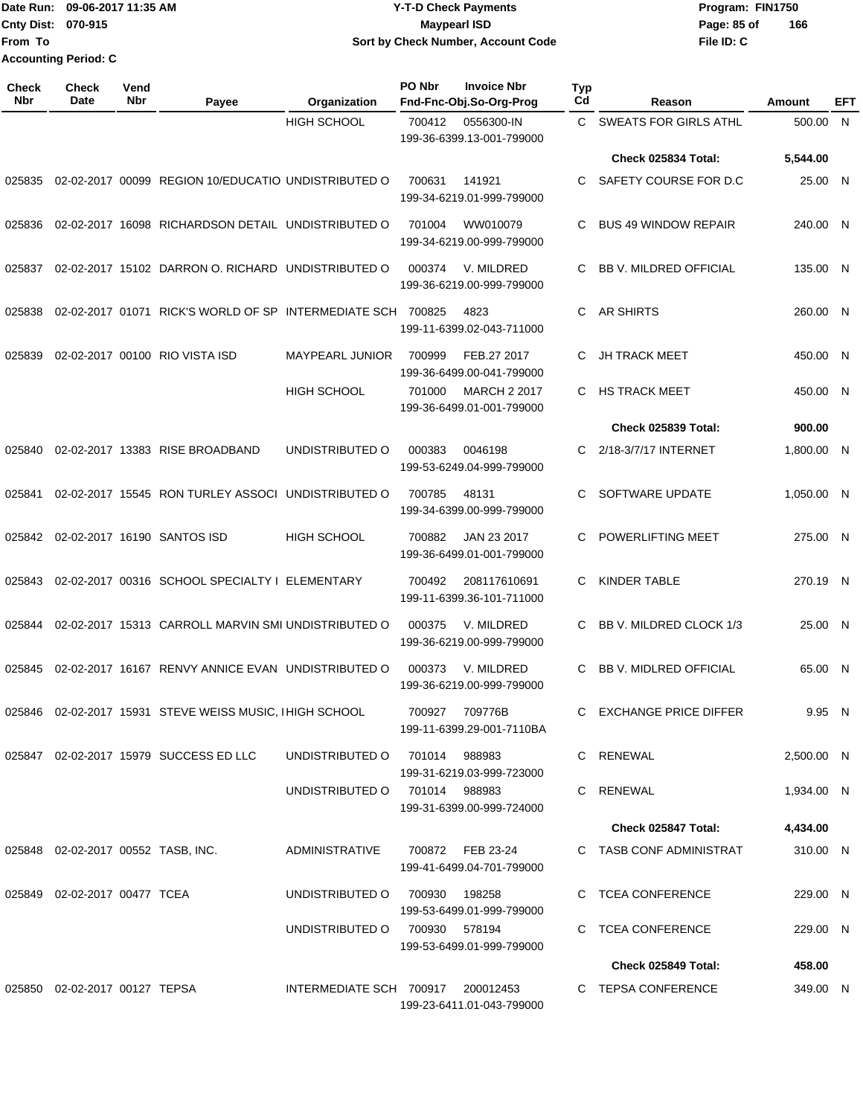Date Run: 09-06-2017 11:35 AM **CONTEX 100 CONTEX 12 T-D** Check Payments **CONTEX 12 T-D Check Payments** Program: FIN1750 **Cnty Dist:** 070-915 **Page: 85 of From To Accounting Period: C**

# **09-06-2017 11:35 AM Y-T-D Check Payments 070-915 Maypearl ISD Sort by Check Number, Account Code**

| Check<br>Nbr | Check<br>Date                      | Vend<br><b>Nbr</b> | Payee                                                       | Organization            | PO Nbr         | <b>Invoice Nbr</b><br>Fnd-Fnc-Obj.So-Org-Prog    | <b>Typ</b><br>Cd | Reason                        | Amount     | <b>EFT</b> |
|--------------|------------------------------------|--------------------|-------------------------------------------------------------|-------------------------|----------------|--------------------------------------------------|------------------|-------------------------------|------------|------------|
|              |                                    |                    |                                                             | <b>HIGH SCHOOL</b>      | 700412         | 0556300-IN<br>199-36-6399.13-001-799000          | C.               | <b>SWEATS FOR GIRLS ATHL</b>  | 500.00     | N          |
|              |                                    |                    |                                                             |                         |                |                                                  |                  | Check 025834 Total:           | 5,544.00   |            |
| 025835       |                                    |                    | 02-02-2017 00099 REGION 10/EDUCATIO UNDISTRIBUTED O         |                         | 700631         | 141921<br>199-34-6219.01-999-799000              | C.               | SAFETY COURSE FOR D.C.        | 25.00 N    |            |
| 025836       |                                    |                    | 02-02-2017 16098 RICHARDSON DETAIL UNDISTRIBUTED O          |                         | 701004         | WW010079<br>199-34-6219.00-999-799000            | C.               | <b>BUS 49 WINDOW REPAIR</b>   | 240.00 N   |            |
| 025837       |                                    |                    | 02-02-2017 15102 DARRON O. RICHARD UNDISTRIBUTED O          |                         | 000374         | V. MILDRED<br>199-36-6219.00-999-799000          | C                | <b>BB V. MILDRED OFFICIAL</b> | 135.00 N   |            |
| 025838       |                                    |                    | 02-02-2017 01071 RICK'S WORLD OF SP INTERMEDIATE SCH 700825 |                         |                | 4823<br>199-11-6399.02-043-711000                | C.               | <b>AR SHIRTS</b>              | 260.00 N   |            |
| 025839       |                                    |                    | 02-02-2017 00100 RIO VISTA ISD                              | <b>MAYPEARL JUNIOR</b>  | 700999         | FEB.27 2017<br>199-36-6499.00-041-799000         | C                | <b>JH TRACK MEET</b>          | 450.00 N   |            |
|              |                                    |                    |                                                             | <b>HIGH SCHOOL</b>      | 701000         | <b>MARCH 2 2017</b><br>199-36-6499.01-001-799000 | C.               | <b>HS TRACK MEET</b>          | 450.00 N   |            |
|              |                                    |                    |                                                             |                         |                |                                                  |                  | Check 025839 Total:           | 900.00     |            |
| 025840       |                                    |                    | 02-02-2017 13383 RISE BROADBAND                             | UNDISTRIBUTED O         | 000383         | 0046198<br>199-53-6249.04-999-799000             | C.               | 2/18-3/7/17 INTERNET          | 1,800.00 N |            |
| 025841       |                                    |                    | 02-02-2017 15545 RON TURLEY ASSOCI                          | UNDISTRIBUTED O         | 700785         | 48131<br>199-34-6399.00-999-799000               | C.               | SOFTWARE UPDATE               | 1,050.00 N |            |
| 025842       |                                    |                    | 02-02-2017 16190 SANTOS ISD                                 | <b>HIGH SCHOOL</b>      | 700882         | JAN 23 2017<br>199-36-6499.01-001-799000         | C                | POWERLIFTING MEET             | 275.00 N   |            |
| 025843       |                                    |                    | 02-02-2017 00316 SCHOOL SPECIALTY I ELEMENTARY              |                         | 700492         | 208117610691<br>199-11-6399.36-101-711000        | C.               | <b>KINDER TABLE</b>           | 270.19 N   |            |
| 025844       |                                    |                    | 02-02-2017 15313 CARROLL MARVIN SMI UNDISTRIBUTED O         |                         | 000375         | V. MILDRED<br>199-36-6219.00-999-799000          | C.               | BB V. MILDRED CLOCK 1/3       | 25.00 N    |            |
| 025845       |                                    |                    | 02-02-2017 16167 RENVY ANNICE EVAN UNDISTRIBUTED O          |                         | 000373         | V. MILDRED<br>199-36-6219.00-999-799000          | C                | <b>BB V. MIDLRED OFFICIAL</b> | 65.00 N    |            |
|              |                                    |                    | 025846 02-02-2017 15931 STEVE WEISS MUSIC, I HIGH SCHOOL    |                         | 700927         | 709776B<br>199-11-6399.29-001-7110BA             |                  | C EXCHANGE PRICE DIFFER       |            | 9.95 N     |
|              |                                    |                    | 025847 02-02-2017 15979 SUCCESS ED LLC                      | UNDISTRIBUTED O         | 701014 988983  | 199-31-6219.03-999-723000                        |                  | C RENEWAL                     | 2.500.00 N |            |
|              |                                    |                    |                                                             | UNDISTRIBUTED O         | 701014  988983 | 199-31-6399.00-999-724000                        |                  | C RENEWAL                     | 1,934.00 N |            |
|              |                                    |                    |                                                             |                         |                |                                                  |                  | Check 025847 Total:           | 4,434.00   |            |
|              | 025848 02-02-2017 00552 TASB, INC. |                    |                                                             | ADMINISTRATIVE          |                | 700872 FEB 23-24<br>199-41-6499.04-701-799000    |                  | C TASB CONF ADMINISTRAT       | 310.00 N   |            |
|              | 025849 02-02-2017 00477 TCEA       |                    |                                                             | UNDISTRIBUTED O         | 700930         | 198258<br>199-53-6499.01-999-799000              |                  | C TCEA CONFERENCE             | 229.00 N   |            |
|              |                                    |                    |                                                             | UNDISTRIBUTED O         | 700930 578194  | 199-53-6499.01-999-799000                        |                  | C TCEA CONFERENCE             | 229.00 N   |            |
|              |                                    |                    |                                                             |                         |                |                                                  |                  | Check 025849 Total:           | 458.00     |            |
|              | 025850 02-02-2017 00127 TEPSA      |                    |                                                             | INTERMEDIATE SCH 700917 |                | 200012453<br>199-23-6411.01-043-799000           |                  | C TEPSA CONFERENCE            | 349.00 N   |            |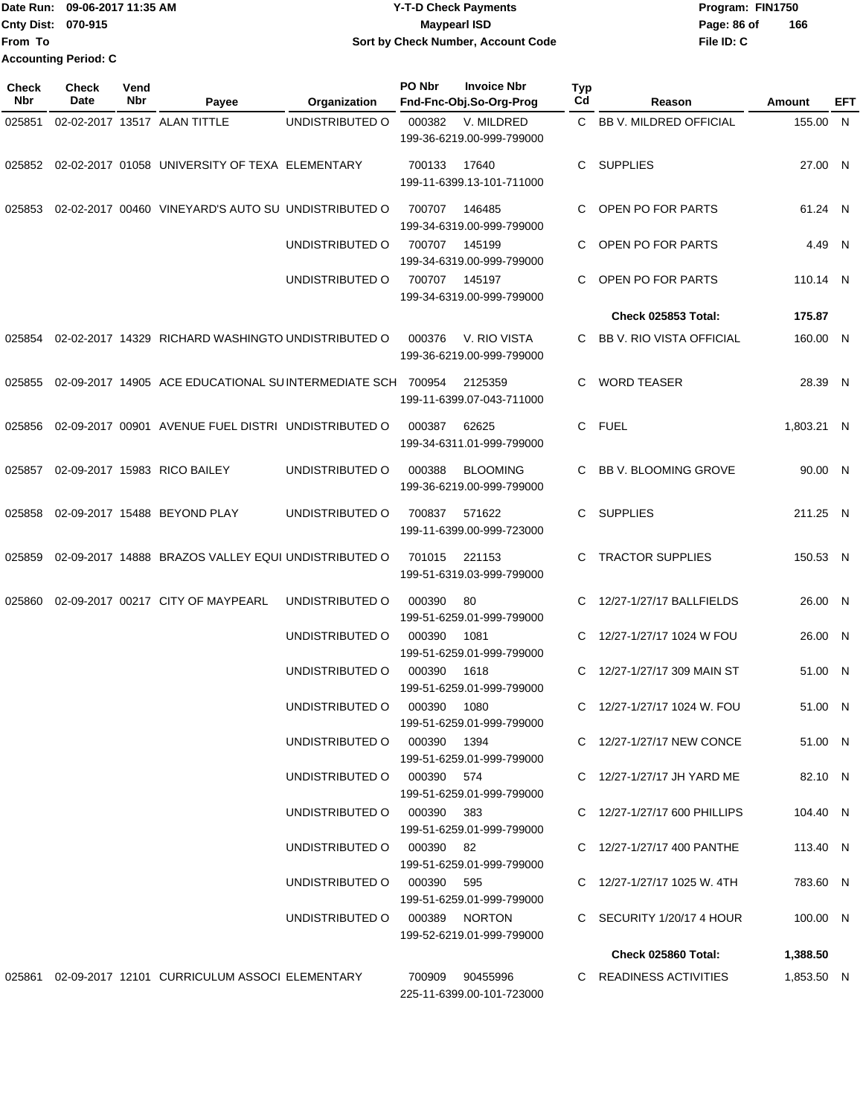#### **Date Run: Program: FIN1750 Cnty Dist: Page: 86 of Y-T-D Check Payments 070-915 Maypearl ISD Sort by Check Number, Account Code**

**File ID: C 166**

| <b>Check</b><br>Nbr | <b>Check</b><br>Date | Vend<br>Nbr | Payee                                                        | Organization               | PO Nbr      | <b>Invoice Nbr</b><br>Fnd-Fnc-Obj.So-Org-Prog | <b>Typ</b><br>Cd | Reason                          | Amount     | EFT |
|---------------------|----------------------|-------------|--------------------------------------------------------------|----------------------------|-------------|-----------------------------------------------|------------------|---------------------------------|------------|-----|
| 025851              |                      |             | 02-02-2017 13517 ALAN TITTLE                                 | UNDISTRIBUTED O            | 000382      | V. MILDRED<br>199-36-6219.00-999-799000       | C.               | BB V. MILDRED OFFICIAL          | 155.00 N   |     |
| 025852              |                      |             | 02-02-2017 01058 UNIVERSITY OF TEXA ELEMENTARY               |                            | 700133      | 17640<br>199-11-6399.13-101-711000            | C                | <b>SUPPLIES</b>                 | 27.00 N    |     |
| 025853              |                      |             | 02-02-2017 00460 VINEYARD'S AUTO SU UNDISTRIBUTED O          |                            | 700707      | 146485<br>199-34-6319.00-999-799000           | С                | OPEN PO FOR PARTS               | 61.24 N    |     |
|                     |                      |             |                                                              | UNDISTRIBUTED O            | 700707      | 145199<br>199-34-6319.00-999-799000           | С                | OPEN PO FOR PARTS               | 4.49 N     |     |
|                     |                      |             |                                                              | UNDISTRIBUTED O            | 700707      | 145197<br>199-34-6319.00-999-799000           | C                | OPEN PO FOR PARTS               | 110.14 N   |     |
|                     |                      |             |                                                              |                            |             |                                               |                  | Check 025853 Total:             | 175.87     |     |
|                     |                      |             | 025854 02-02-2017  14329   RICHARD WASHINGTO UNDISTRIBUTED O |                            | 000376      | V. RIO VISTA<br>199-36-6219.00-999-799000     | C                | <b>BB V. RIO VISTA OFFICIAL</b> | 160.00 N   |     |
| 025855              |                      |             | 02-09-2017 14905 ACE EDUCATIONAL SUINTERMEDIATE SCH 700954   |                            |             | 2125359<br>199-11-6399.07-043-711000          | C                | <b>WORD TEASER</b>              | 28.39 N    |     |
| 025856              |                      |             | 02-09-2017 00901 AVENUE FUEL DISTRI UNDISTRIBUTED O          |                            | 000387      | 62625<br>199-34-6311.01-999-799000            | С                | FUEL                            | 1,803.21 N |     |
| 025857              |                      |             | 02-09-2017 15983 RICO BAILEY                                 | UNDISTRIBUTED O            | 000388      | <b>BLOOMING</b><br>199-36-6219.00-999-799000  | С                | <b>BB V. BLOOMING GROVE</b>     | 90.00 N    |     |
| 025858              |                      |             | 02-09-2017 15488 BEYOND PLAY                                 | UNDISTRIBUTED O            | 700837      | 571622<br>199-11-6399.00-999-723000           | C                | <b>SUPPLIES</b>                 | 211.25 N   |     |
| 025859              |                      |             | 02-09-2017 14888 BRAZOS VALLEY EQUI UNDISTRIBUTED O          |                            | 701015      | 221153<br>199-51-6319.03-999-799000           | С                | <b>TRACTOR SUPPLIES</b>         | 150.53 N   |     |
| 025860              |                      |             | 02-09-2017 00217 CITY OF MAYPEARL                            | UNDISTRIBUTED O            | 000390      | 80<br>199-51-6259.01-999-799000               | C                | 12/27-1/27/17 BALLFIELDS        | 26.00 N    |     |
|                     |                      |             |                                                              | UNDISTRIBUTED O            | 000390      | 1081<br>199-51-6259.01-999-799000             | С                | 12/27-1/27/17 1024 W FOU        | 26.00 N    |     |
|                     |                      |             |                                                              | UNDISTRIBUTED O            | 000390      | 1618<br>199-51-6259.01-999-799000             | С                | 12/27-1/27/17 309 MAIN ST       | 51.00 N    |     |
|                     |                      |             |                                                              | UNDISTRIBUTED O            | 000390      | 1080<br>199-51-6259.01-999-799000             | C.               | 12/27-1/27/17 1024 W. FOU       | 51.00 N    |     |
|                     |                      |             |                                                              | UNDISTRIBUTED O            | 000390 1394 | 199-51-6259.01-999-799000                     |                  | C 12/27-1/27/17 NEW CONCE       | 51.00 N    |     |
|                     |                      |             |                                                              | UNDISTRIBUTED O 000390 574 |             | 199-51-6259.01-999-799000                     |                  | C 12/27-1/27/17 JH YARD ME      | 82.10 N    |     |
|                     |                      |             |                                                              | UNDISTRIBUTED O 000390 383 |             | 199-51-6259.01-999-799000                     |                  | C 12/27-1/27/17 600 PHILLIPS    | 104.40 N   |     |
|                     |                      |             |                                                              | UNDISTRIBUTED O 000390 82  |             | 199-51-6259.01-999-799000                     |                  | C 12/27-1/27/17 400 PANTHE      | 113.40 N   |     |
|                     |                      |             |                                                              | UNDISTRIBUTED O 000390 595 |             | 199-51-6259.01-999-799000                     |                  | C $12/27 - 1/27/17$ 1025 W. 4TH | 783.60 N   |     |
|                     |                      |             |                                                              | UNDISTRIBUTED O            |             | 000389 NORTON<br>199-52-6219.01-999-799000    |                  | C SECURITY 1/20/17 4 HOUR       | 100.00 N   |     |
|                     |                      |             |                                                              |                            |             |                                               |                  | Check 025860 Total:             | 1,388.50   |     |
|                     |                      |             | 025861 02-09-2017  12101  CURRICULUM ASSOCI  ELEMENTARY      |                            | 700909      | 90455996                                      |                  | C READINESS ACTIVITIES          | 1,853.50 N |     |

225-11-6399.00-101-723000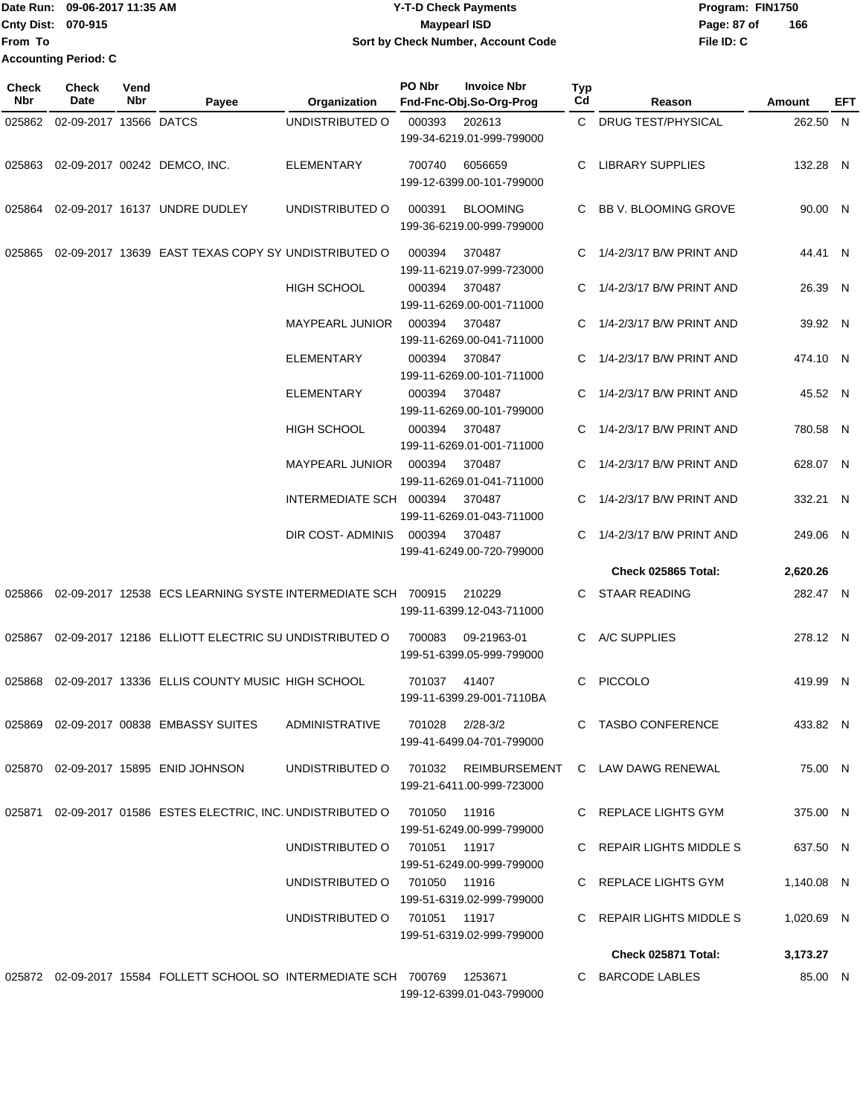#### **Date Run: Program: FIN1750 Cnty Dist: Page: 87 of Y-T-D Check Payments 070-915 Maypearl ISD Sort by Check Number, Account Code**

**File ID: C 166**

85.00 N

| <b>Check</b><br>Nbr | Check<br><b>Date</b>   | Vend<br>Nbr | Payee                                                                     | Organization            | PO Nbr          | <b>Invoice Nbr</b><br>Fnd-Fnc-Obj.So-Org-Prog | <b>Typ</b><br>Cd | Reason                                                  | Amount     | EFT |
|---------------------|------------------------|-------------|---------------------------------------------------------------------------|-------------------------|-----------------|-----------------------------------------------|------------------|---------------------------------------------------------|------------|-----|
| 025862              | 02-09-2017 13566 DATCS |             |                                                                           | UNDISTRIBUTED O         | 000393          | 202613<br>199-34-6219.01-999-799000           |                  | C DRUG TEST/PHYSICAL                                    | 262.50 N   |     |
| 025863              |                        |             | 02-09-2017 00242 DEMCO, INC.                                              | <b>ELEMENTARY</b>       | 700740          | 6056659<br>199-12-6399.00-101-799000          | C                | <b>LIBRARY SUPPLIES</b>                                 | 132.28 N   |     |
| 025864              |                        |             | 02-09-2017 16137 UNDRE DUDLEY                                             | UNDISTRIBUTED O         | 000391          | <b>BLOOMING</b><br>199-36-6219.00-999-799000  | C.               | BB V. BLOOMING GROVE                                    | 90.00 N    |     |
| 025865              |                        |             | 02-09-2017 13639 EAST TEXAS COPY SY UNDISTRIBUTED O                       |                         | 000394          | 370487<br>199-11-6219.07-999-723000           | C                | 1/4-2/3/17 B/W PRINT AND                                | 44.41 N    |     |
|                     |                        |             |                                                                           | <b>HIGH SCHOOL</b>      | 000394          | 370487<br>199-11-6269.00-001-711000           | C.               | 1/4-2/3/17 B/W PRINT AND                                | 26.39 N    |     |
|                     |                        |             |                                                                           | <b>MAYPEARL JUNIOR</b>  | 000394          | 370487<br>199-11-6269.00-041-711000           | C.               | 1/4-2/3/17 B/W PRINT AND                                | 39.92 N    |     |
|                     |                        |             |                                                                           | <b>ELEMENTARY</b>       | 000394          | 370847<br>199-11-6269.00-101-711000           | C.               | 1/4-2/3/17 B/W PRINT AND                                | 474.10 N   |     |
|                     |                        |             |                                                                           | <b>ELEMENTARY</b>       | 000394          | 370487<br>199-11-6269.00-101-799000           |                  | 1/4-2/3/17 B/W PRINT AND                                | 45.52 N    |     |
|                     |                        |             |                                                                           | <b>HIGH SCHOOL</b>      | 000394          | 370487<br>199-11-6269.01-001-711000           | C                | 1/4-2/3/17 B/W PRINT AND                                | 780.58 N   |     |
|                     |                        |             |                                                                           | <b>MAYPEARL JUNIOR</b>  | 000394          | 370487<br>199-11-6269.01-041-711000           | C                | 1/4-2/3/17 B/W PRINT AND                                | 628.07 N   |     |
|                     |                        |             |                                                                           | INTERMEDIATE SCH 000394 |                 | 370487<br>199-11-6269.01-043-711000           |                  | 1/4-2/3/17 B/W PRINT AND                                | 332.21 N   |     |
|                     |                        |             |                                                                           | DIR COST- ADMINIS       | 000394          | 370487<br>199-41-6249.00-720-799000           | C.               | 1/4-2/3/17 B/W PRINT AND                                | 249.06 N   |     |
|                     |                        |             |                                                                           |                         |                 |                                               |                  | Check 025865 Total:                                     | 2,620.26   |     |
| 025866              |                        |             | 02-09-2017 12538 ECS LEARNING SYSTE INTERMEDIATE SCH 700915               |                         |                 | 210229<br>199-11-6399.12-043-711000           | C.               | <b>STAAR READING</b>                                    | 282.47 N   |     |
| 025867              |                        |             | 02-09-2017 12186 ELLIOTT ELECTRIC SU UNDISTRIBUTED O                      |                         | 700083          | 09-21963-01<br>199-51-6399.05-999-799000      | C.               | A/C SUPPLIES                                            | 278.12 N   |     |
| 025868              |                        |             | 02-09-2017 13336 ELLIS COUNTY MUSIC HIGH SCHOOL                           |                         | 701037          | 41407<br>199-11-6399.29-001-7110BA            | C                | <b>PICCOLO</b>                                          | 419.99 N   |     |
|                     |                        |             | 025869  02-09-2017  00838  EMBASSY SUITES                                 | ADMINISTRATIVE          | 701028 2/28-3/2 | 199-41-6499.04-701-799000                     |                  | C TASBO CONFERENCE                                      | 433.82 N   |     |
|                     |                        |             | 025870 02-09-2017 15895 ENID JOHNSON                                      |                         |                 | 199-21-6411.00-999-723000                     |                  | UNDISTRIBUTED O 701032 REIMBURSEMENT C LAW DAWG RENEWAL | 75.00 N    |     |
|                     |                        |             | 025871 02-09-2017 01586 ESTES ELECTRIC, INC. UNDISTRIBUTED O 701050 11916 |                         |                 | 199-51-6249.00-999-799000                     |                  | C REPLACE LIGHTS GYM                                    | 375.00 N   |     |
|                     |                        |             |                                                                           | UNDISTRIBUTED O         | 701051 11917    | 199-51-6249.00-999-799000                     |                  | C REPAIR LIGHTS MIDDLE S                                | 637.50 N   |     |
|                     |                        |             |                                                                           | UNDISTRIBUTED O         | 701050 11916    | 199-51-6319.02-999-799000                     |                  | C REPLACE LIGHTS GYM                                    | 1,140.08 N |     |
|                     |                        |             |                                                                           | UNDISTRIBUTED O         | 701051 11917    | 199-51-6319.02-999-799000                     |                  | C REPAIR LIGHTS MIDDLE S                                | 1,020.69 N |     |
|                     |                        |             |                                                                           |                         |                 |                                               |                  | Check 025871 Total:                                     | 3,173.27   |     |

025872 02-09-2017 15584 FOLLETT SCHOOL SO INTERMEDIATE SCH 700769 1253671 C BARCODE LABLES 199-12-6399.01-043-799000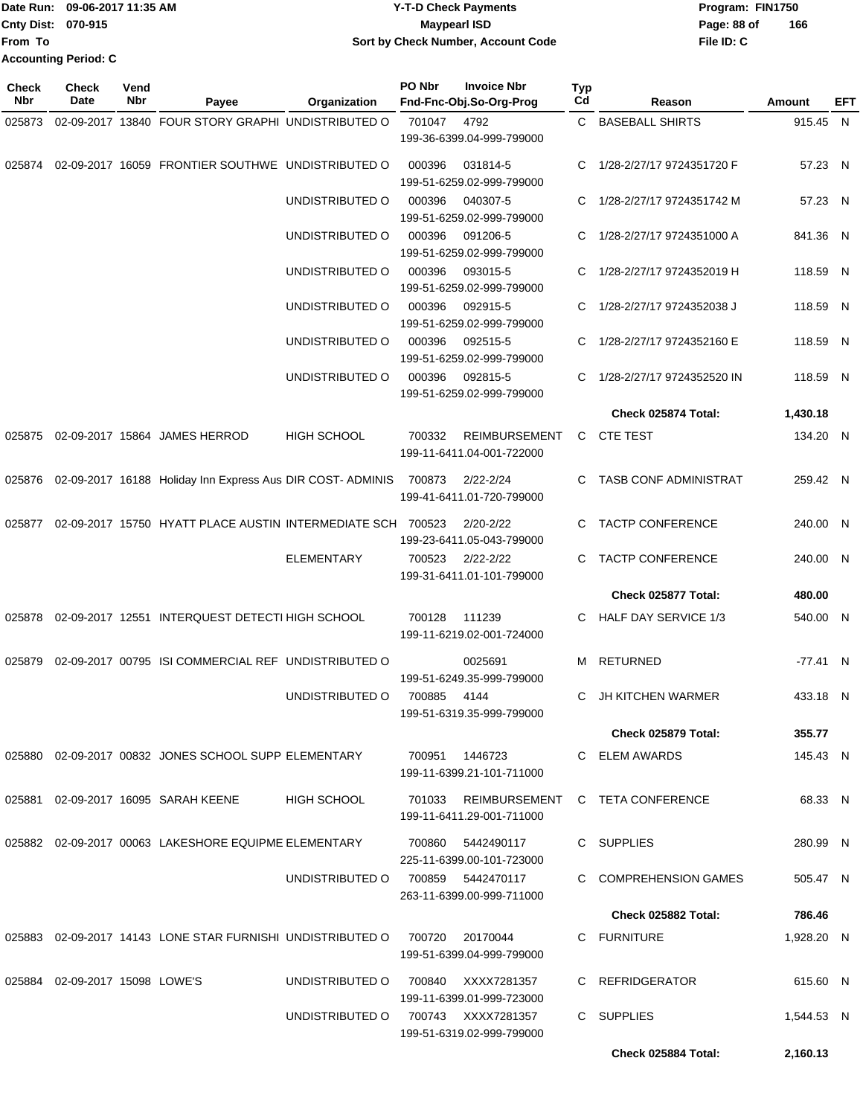|                           | Date Run: 09-06-2017 11:35 AM | <b>Y-T-D Check Payments</b>        | Program: FIN1750   |
|---------------------------|-------------------------------|------------------------------------|--------------------|
| <b>Cnty Dist: 070-915</b> |                               | Maypearl ISD                       | 166<br>Page: 88 of |
| <b>From To</b>            |                               | Sort by Check Number, Account Code | File ID: C         |
|                           | <b>Accounting Period: C</b>   |                                    |                    |

| <b>Check</b><br>Nbr | Check<br>Date                  | Vend<br>Nbr | Payee                                                       | Organization       | PO Nbr | <b>Invoice Nbr</b><br>Fnd-Fnc-Obj.So-Org-Prog       | Typ<br>Cd | Reason                       | Amount     | EFT |
|---------------------|--------------------------------|-------------|-------------------------------------------------------------|--------------------|--------|-----------------------------------------------------|-----------|------------------------------|------------|-----|
| 025873              |                                |             | 02-09-2017 13840 FOUR STORY GRAPHI UNDISTRIBUTED O          |                    | 701047 | 4792                                                | C.        | <b>BASEBALL SHIRTS</b>       | 915.45 N   |     |
|                     |                                |             |                                                             |                    |        | 199-36-6399.04-999-799000                           |           |                              |            |     |
| 025874              |                                |             | 02-09-2017 16059 FRONTIER SOUTHWE UNDISTRIBUTED O           |                    | 000396 | 031814-5<br>199-51-6259.02-999-799000               | C.        | 1/28-2/27/17 9724351720 F    | 57.23 N    |     |
|                     |                                |             |                                                             | UNDISTRIBUTED O    | 000396 | 040307-5<br>199-51-6259.02-999-799000               | C         | 1/28-2/27/17 9724351742 M    | 57.23 N    |     |
|                     |                                |             |                                                             | UNDISTRIBUTED O    | 000396 | 091206-5                                            | C         | 1/28-2/27/17 9724351000 A    | 841.36 N   |     |
|                     |                                |             |                                                             | UNDISTRIBUTED O    | 000396 | 199-51-6259.02-999-799000<br>093015-5               | C         | 1/28-2/27/17 9724352019 H    | 118.59 N   |     |
|                     |                                |             |                                                             | UNDISTRIBUTED O    | 000396 | 199-51-6259.02-999-799000<br>092915-5               | C.        | 1/28-2/27/17 9724352038 J    | 118.59 N   |     |
|                     |                                |             |                                                             | UNDISTRIBUTED O    | 000396 | 199-51-6259.02-999-799000<br>092515-5               |           | 1/28-2/27/17 9724352160 E    | 118.59 N   |     |
|                     |                                |             |                                                             |                    |        | 199-51-6259.02-999-799000                           |           |                              |            |     |
|                     |                                |             |                                                             | UNDISTRIBUTED O    | 000396 | 092815-5<br>199-51-6259.02-999-799000               |           | 1/28-2/27/17 9724352520 IN   | 118.59 N   |     |
|                     |                                |             |                                                             |                    |        |                                                     |           | Check 025874 Total:          | 1,430.18   |     |
| 025875              |                                |             | 02-09-2017 15864 JAMES HERROD                               | <b>HIGH SCHOOL</b> | 700332 | <b>REIMBURSEMENT</b>                                | C.        | <b>CTE TEST</b>              | 134.20 N   |     |
|                     |                                |             |                                                             |                    |        | 199-11-6411.04-001-722000                           |           |                              |            |     |
| 025876              |                                |             | 02-09-2017 16188 Holiday Inn Express Aus DIR COST- ADMINIS  |                    | 700873 | $2/22 - 2/24$<br>199-41-6411.01-720-799000          | C.        | <b>TASB CONF ADMINISTRAT</b> | 259.42 N   |     |
| 025877              |                                |             | 02-09-2017 15750 HYATT PLACE AUSTIN INTERMEDIATE SCH 700523 |                    |        | $2/20 - 2/22$<br>199-23-6411.05-043-799000          | C         | <b>TACTP CONFERENCE</b>      | 240.00 N   |     |
|                     |                                |             |                                                             | <b>ELEMENTARY</b>  | 700523 | $2/22 - 2/22$                                       | C         | <b>TACTP CONFERENCE</b>      | 240.00 N   |     |
|                     |                                |             |                                                             |                    |        | 199-31-6411.01-101-799000                           |           |                              |            |     |
|                     |                                |             |                                                             |                    |        |                                                     |           | Check 025877 Total:          | 480.00     |     |
| 025878              |                                |             | 02-09-2017 12551 INTERQUEST DETECTI HIGH SCHOOL             |                    | 700128 | 111239<br>199-11-6219.02-001-724000                 | C.        | <b>HALF DAY SERVICE 1/3</b>  | 540.00 N   |     |
| 025879              |                                |             | 02-09-2017 00795 ISI COMMERCIAL REF UNDISTRIBUTED O         |                    |        | 0025691<br>199-51-6249.35-999-799000                | м         | RETURNED                     | $-77.41$ N |     |
|                     |                                |             |                                                             | UNDISTRIBUTED O    | 700885 | 4144<br>199-51-6319.35-999-799000                   | C         | JH KITCHEN WARMER            | 433.18 N   |     |
|                     |                                |             |                                                             |                    |        |                                                     |           | <b>Check 025879 Total:</b>   | 355.77     |     |
|                     |                                |             |                                                             |                    |        |                                                     |           |                              |            |     |
|                     |                                |             | 025880 02-09-2017 00832 JONES SCHOOL SUPP ELEMENTARY        |                    | 700951 | 1446723<br>199-11-6399.21-101-711000                |           | C ELEM AWARDS                | 145.43 N   |     |
|                     |                                |             | 025881 02-09-2017 16095 SARAH KEENE                         | HIGH SCHOOL        | 701033 | REIMBURSEMENT<br>199-11-6411.29-001-711000          |           | C TETA CONFERENCE            | 68.33 N    |     |
|                     |                                |             | 025882 02-09-2017 00063 LAKESHORE EQUIPME ELEMENTARY        |                    | 700860 | 5442490117<br>225-11-6399.00-101-723000             |           | C SUPPLIES                   | 280.99 N   |     |
|                     |                                |             |                                                             | UNDISTRIBUTED O    |        | 700859 5442470117<br>263-11-6399.00-999-711000      |           | C COMPREHENSION GAMES        | 505.47 N   |     |
|                     |                                |             |                                                             |                    |        |                                                     |           | <b>Check 025882 Total:</b>   | 786.46     |     |
|                     |                                |             |                                                             |                    |        |                                                     |           |                              |            |     |
|                     |                                |             | 025883 02-09-2017 14143 LONE STAR FURNISHI UNDISTRIBUTED O  |                    | 700720 | 20170044<br>199-51-6399.04-999-799000               |           | C FURNITURE                  | 1,928.20 N |     |
|                     | 025884 02-09-2017 15098 LOWE'S |             |                                                             | UNDISTRIBUTED O    | 700840 | XXXX7281357<br>199-11-6399.01-999-723000            |           | C REFRIDGERATOR              | 615.60 N   |     |
|                     |                                |             |                                                             | UNDISTRIBUTED O    |        | 700743     XXXX7281357<br>199-51-6319.02-999-799000 |           | C SUPPLIES                   | 1,544.53 N |     |
|                     |                                |             |                                                             |                    |        |                                                     |           | Check 025884 Total:          | 2,160.13   |     |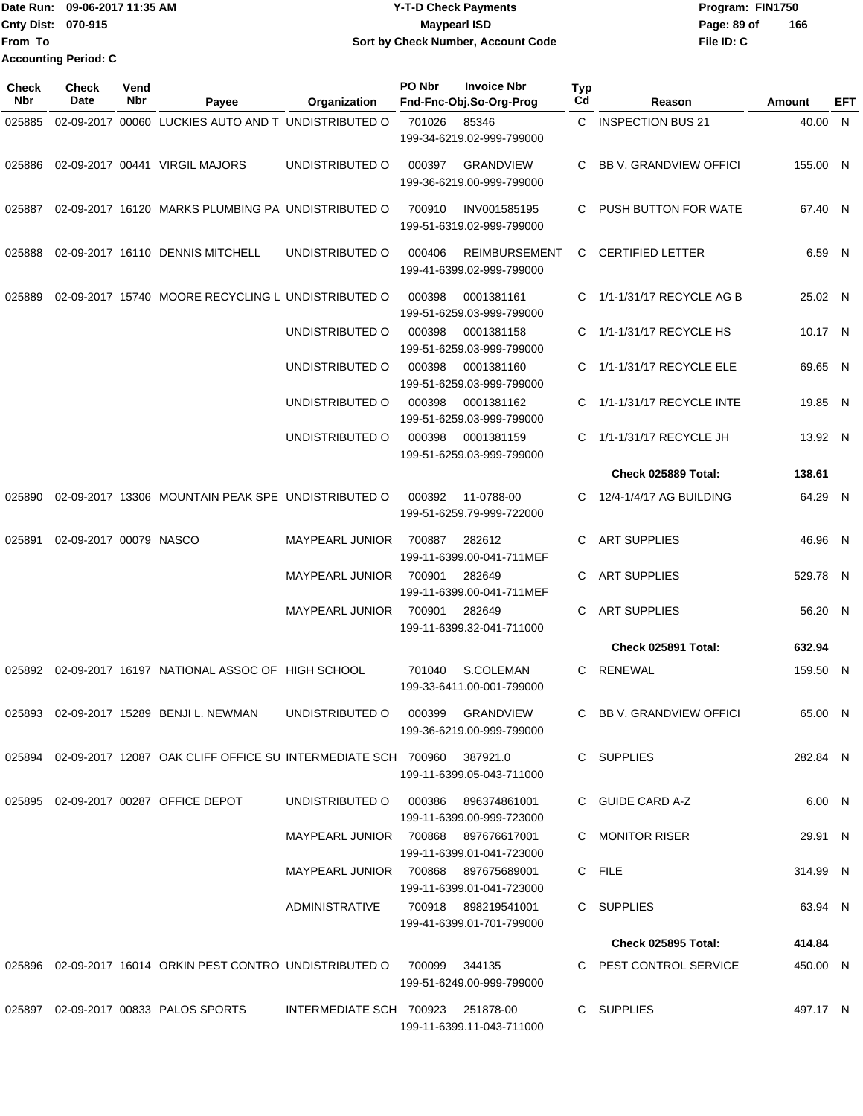|                           | Date Run: 09-06-2017 11:35 AM | <b>Y-T-D Check Payments</b>        | Program: FIN1750   |
|---------------------------|-------------------------------|------------------------------------|--------------------|
| <b>Cnty Dist: 070-915</b> |                               | Maypearl ISD                       | 166<br>Page: 89 of |
| <b>From To</b>            |                               | Sort by Check Number, Account Code | File ID: C         |
|                           | <b>Accounting Period: C</b>   |                                    |                    |

| <b>Check</b><br><b>Nbr</b> | <b>Check</b><br>Date   | Vend<br>Nbr | Payee                                                                        | Organization                        | PO Nbr | <b>Invoice Nbr</b><br>Fnd-Fnc-Obj.So-Org-Prog     | <b>Typ</b><br>Cd | Reason                        | Amount   | <b>EFT</b> |
|----------------------------|------------------------|-------------|------------------------------------------------------------------------------|-------------------------------------|--------|---------------------------------------------------|------------------|-------------------------------|----------|------------|
| 025885                     |                        |             | 02-09-2017 00060 LUCKIES AUTO AND T UNDISTRIBUTED O                          |                                     | 701026 | 85346<br>199-34-6219.02-999-799000                |                  | C INSPECTION BUS 21           | 40.00 N  |            |
| 025886                     |                        |             | 02-09-2017 00441 VIRGIL MAJORS                                               | UNDISTRIBUTED O                     | 000397 | <b>GRANDVIEW</b><br>199-36-6219.00-999-799000     | C.               | <b>BB V. GRANDVIEW OFFICI</b> | 155.00 N |            |
| 025887                     |                        |             | 02-09-2017 16120 MARKS PLUMBING PA UNDISTRIBUTED O                           |                                     | 700910 | INV001585195<br>199-51-6319.02-999-799000         |                  | PUSH BUTTON FOR WATE          | 67.40 N  |            |
| 025888                     |                        |             | 02-09-2017 16110 DENNIS MITCHELL                                             | UNDISTRIBUTED O                     | 000406 | <b>REIMBURSEMENT</b><br>199-41-6399.02-999-799000 | C                | <b>CERTIFIED LETTER</b>       | 6.59 N   |            |
| 025889                     |                        |             | 02-09-2017 15740 MOORE RECYCLING L UNDISTRIBUTED O                           |                                     | 000398 | 0001381161<br>199-51-6259.03-999-799000           |                  | 1/1-1/31/17 RECYCLE AG B      | 25.02 N  |            |
|                            |                        |             |                                                                              | UNDISTRIBUTED O                     | 000398 | 0001381158<br>199-51-6259.03-999-799000           | C.               | 1/1-1/31/17 RECYCLE HS        | 10.17 N  |            |
|                            |                        |             |                                                                              | UNDISTRIBUTED O                     | 000398 | 0001381160<br>199-51-6259.03-999-799000           | C.               | 1/1-1/31/17 RECYCLE ELE       | 69.65 N  |            |
|                            |                        |             |                                                                              | UNDISTRIBUTED O                     | 000398 | 0001381162<br>199-51-6259.03-999-799000           | C.               | 1/1-1/31/17 RECYCLE INTE      | 19.85 N  |            |
|                            |                        |             |                                                                              | UNDISTRIBUTED O                     | 000398 | 0001381159<br>199-51-6259.03-999-799000           | C.               | 1/1-1/31/17 RECYCLE JH        | 13.92 N  |            |
|                            |                        |             |                                                                              |                                     |        |                                                   |                  | Check 025889 Total:           | 138.61   |            |
| 025890                     |                        |             | 02-09-2017 13306 MOUNTAIN PEAK SPE UNDISTRIBUTED O                           |                                     | 000392 | 11-0788-00<br>199-51-6259.79-999-722000           | C                | 12/4-1/4/17 AG BUILDING       | 64.29 N  |            |
| 025891                     | 02-09-2017 00079 NASCO |             |                                                                              | <b>MAYPEARL JUNIOR</b>              | 700887 | 282612<br>199-11-6399.00-041-711MEF               | C                | <b>ART SUPPLIES</b>           | 46.96 N  |            |
|                            |                        |             |                                                                              | <b>MAYPEARL JUNIOR</b>              | 700901 | 282649<br>199-11-6399.00-041-711MEF               | С                | <b>ART SUPPLIES</b>           | 529.78 N |            |
|                            |                        |             |                                                                              | <b>MAYPEARL JUNIOR</b>              | 700901 | 282649<br>199-11-6399.32-041-711000               | C                | <b>ART SUPPLIES</b>           | 56.20 N  |            |
|                            |                        |             |                                                                              |                                     |        |                                                   |                  | <b>Check 025891 Total:</b>    | 632.94   |            |
| 025892                     |                        |             | 02-09-2017 16197 NATIONAL ASSOC OF HIGH SCHOOL                               |                                     | 701040 | S.COLEMAN<br>199-33-6411.00-001-799000            |                  | C RENEWAL                     | 159.50 N |            |
|                            |                        |             | 025893 02-09-2017 15289 BENJI L. NEWMAN UNDISTRIBUTED O 000399 GRANDVIEW     |                                     |        | 199-36-6219.00-999-799000                         |                  | C BB V. GRANDVIEW OFFICI      | 65.00 N  |            |
|                            |                        |             | 025894 02-09-2017 12087 OAK CLIFF OFFICE SU INTERMEDIATE SCH 700960 387921.0 |                                     |        | 199-11-6399.05-043-711000                         |                  | C SUPPLIES                    | 282.84 N |            |
| 025895                     |                        |             | 02-09-2017 00287 OFFICE DEPOT                                                | UNDISTRIBUTED O 000386              |        | 896374861001<br>199-11-6399.00-999-723000         |                  | C GUIDE CARD A-Z              | 6.00 N   |            |
|                            |                        |             |                                                                              | MAYPEARL JUNIOR 700868 897676617001 |        | 199-11-6399.01-041-723000                         |                  | C MONITOR RISER               | 29.91 N  |            |
|                            |                        |             |                                                                              | MAYPEARL JUNIOR 700868 897675689001 |        | 199-11-6399.01-041-723000                         |                  | C FILE                        | 314.99 N |            |
|                            |                        |             |                                                                              | ADMINISTRATIVE                      |        | 700918 898219541001<br>199-41-6399.01-701-799000  |                  | C SUPPLIES                    | 63.94 N  |            |
|                            |                        |             |                                                                              |                                     |        |                                                   |                  | <b>Check 025895 Total:</b>    | 414.84   |            |
|                            |                        |             | 025896 02-09-2017 16014 ORKIN PEST CONTRO UNDISTRIBUTED O 700099 344135      |                                     |        | 199-51-6249.00-999-799000                         |                  | C PEST CONTROL SERVICE        | 450.00 N |            |
|                            |                        |             | 025897 02-09-2017 00833 PALOS SPORTS                                         | INTERMEDIATE SCH 700923 251878-00   |        | 199-11-6399.11-043-711000                         |                  | C SUPPLIES                    | 497.17 N |            |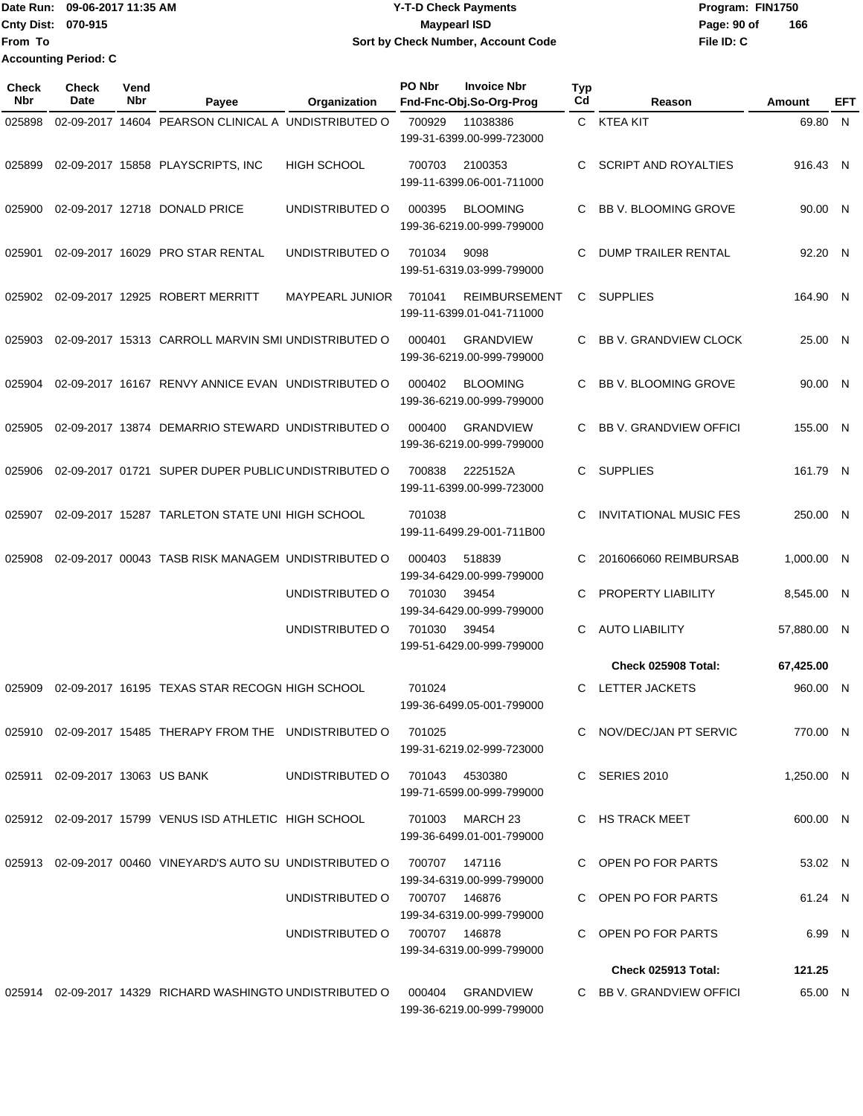Date Run: 09-06-2017 11:35 AM **CONTEX 100 CONTEX 12 T-D** Check Payments **CONTEX 12 T-D Check Payments** Program: FIN1750 **Cnty Dist:** 070-915 **Page: 90 of MaypearI ISD Page: 90 of From To Y-T-D Check Payments 070-915 Maypearl ISD Sort by Check Number, Account Code Accounting Period: C**

| <b>Check</b><br>Nbr | <b>Check</b><br>Date            | Vend<br>Nbr | Payee                                                                    | Organization           | PO Nbr         | <b>Invoice Nbr</b><br>Fnd-Fnc-Obj.So-Org-Prog     | <b>Typ</b><br>Cd | Reason                        | Amount      | EFT |
|---------------------|---------------------------------|-------------|--------------------------------------------------------------------------|------------------------|----------------|---------------------------------------------------|------------------|-------------------------------|-------------|-----|
| 025898              |                                 |             | 02-09-2017 14604 PEARSON CLINICAL A UNDISTRIBUTED O                      |                        | 700929         | 11038386<br>199-31-6399.00-999-723000             |                  | C KTEA KIT                    | 69.80 N     |     |
| 025899              |                                 |             | 02-09-2017 15858 PLAYSCRIPTS, INC                                        | <b>HIGH SCHOOL</b>     | 700703         | 2100353<br>199-11-6399.06-001-711000              | C                | <b>SCRIPT AND ROYALTIES</b>   | 916.43 N    |     |
| 025900              |                                 |             | 02-09-2017 12718 DONALD PRICE                                            | UNDISTRIBUTED O        | 000395         | <b>BLOOMING</b><br>199-36-6219.00-999-799000      | С                | <b>BB V. BLOOMING GROVE</b>   | 90.00 N     |     |
| 025901              |                                 |             | 02-09-2017 16029 PRO STAR RENTAL                                         | UNDISTRIBUTED O        | 701034         | 9098<br>199-51-6319.03-999-799000                 | С                | DUMP TRAILER RENTAL           | 92.20 N     |     |
| 025902              |                                 |             | 02-09-2017 12925 ROBERT MERRITT                                          | <b>MAYPEARL JUNIOR</b> | 701041         | <b>REIMBURSEMENT</b><br>199-11-6399.01-041-711000 | C                | <b>SUPPLIES</b>               | 164.90 N    |     |
| 025903              |                                 |             | 02-09-2017 15313 CARROLL MARVIN SMI UNDISTRIBUTED O                      |                        | 000401         | <b>GRANDVIEW</b><br>199-36-6219.00-999-799000     | C                | <b>BB V. GRANDVIEW CLOCK</b>  | 25.00 N     |     |
| 025904              |                                 |             | 02-09-2017 16167 RENVY ANNICE EVAN UNDISTRIBUTED O                       |                        | 000402         | <b>BLOOMING</b><br>199-36-6219.00-999-799000      | C                | <b>BB V. BLOOMING GROVE</b>   | 90.00 N     |     |
| 025905              |                                 |             | 02-09-2017 13874 DEMARRIO STEWARD UNDISTRIBUTED O                        |                        | 000400         | <b>GRANDVIEW</b><br>199-36-6219.00-999-799000     | C.               | <b>BB V. GRANDVIEW OFFICI</b> | 155.00 N    |     |
| 025906              |                                 |             | 02-09-2017 01721 SUPER DUPER PUBLIC UNDISTRIBUTED O                      |                        | 700838         | 2225152A<br>199-11-6399.00-999-723000             | C                | <b>SUPPLIES</b>               | 161.79 N    |     |
| 025907              |                                 |             | 02-09-2017 15287 TARLETON STATE UNI HIGH SCHOOL                          |                        | 701038         | 199-11-6499.29-001-711B00                         | C                | <b>INVITATIONAL MUSIC FES</b> | 250.00 N    |     |
| 025908              |                                 |             | 02-09-2017 00043 TASB RISK MANAGEM UNDISTRIBUTED O                       |                        | 000403         | 518839<br>199-34-6429.00-999-799000               | С                | 2016066060 REIMBURSAB         | 1,000.00 N  |     |
|                     |                                 |             |                                                                          | UNDISTRIBUTED O        | 701030         | 39454<br>199-34-6429.00-999-799000                | С                | <b>PROPERTY LIABILITY</b>     | 8,545.00 N  |     |
|                     |                                 |             |                                                                          | UNDISTRIBUTED O        | 701030         | 39454<br>199-51-6429.00-999-799000                | C                | <b>AUTO LIABILITY</b>         | 57,880.00 N |     |
|                     |                                 |             |                                                                          |                        |                |                                                   |                  | Check 025908 Total:           | 67,425.00   |     |
| 025909              |                                 |             | 02-09-2017 16195 TEXAS STAR RECOGN HIGH SCHOOL                           |                        | 701024         | 199-36-6499.05-001-799000                         | C                | LETTER JACKETS                | 960.00 N    |     |
|                     |                                 |             | 025910 02-09-2017 15485 THERAPY FROM THE UNDISTRIBUTED O                 |                        | 701025         | 199-31-6219.02-999-723000                         |                  | C NOV/DEC/JAN PT SERVIC       | 770.00 N    |     |
|                     | 025911 02-09-2017 13063 US BANK |             |                                                                          | UNDISTRIBUTED O        | 701043 4530380 | 199-71-6599.00-999-799000                         |                  | C SERIES 2010                 | 1,250.00 N  |     |
|                     |                                 |             | 025912 02-09-2017 15799 VENUS ISD ATHLETIC HIGH SCHOOL                   |                        | 701003         | MARCH 23<br>199-36-6499.01-001-799000             |                  | C HS TRACK MEET               | 600.00 N    |     |
|                     |                                 |             | 025913 02-09-2017 00460 VINEYARD'S AUTO SU UNDISTRIBUTED O 700707 147116 |                        |                | 199-34-6319.00-999-799000                         |                  | C OPEN PO FOR PARTS           | 53.02 N     |     |
|                     |                                 |             |                                                                          | UNDISTRIBUTED O        | 700707  146876 | 199-34-6319.00-999-799000                         |                  | C OPEN PO FOR PARTS           | 61.24 N     |     |
|                     |                                 |             |                                                                          | UNDISTRIBUTED O        | 700707  146878 | 199-34-6319.00-999-799000                         |                  | C OPEN PO FOR PARTS           | 6.99 N      |     |
|                     |                                 |             |                                                                          |                        |                |                                                   |                  | Check 025913 Total:           | 121.25      |     |
|                     |                                 |             | 025914 02-09-2017 14329 RICHARD WASHINGTO UNDISTRIBUTED O                |                        | 000404         | GRANDVIEW<br>199-36-6219.00-999-799000            |                  | C BB V. GRANDVIEW OFFICI      | 65.00 N     |     |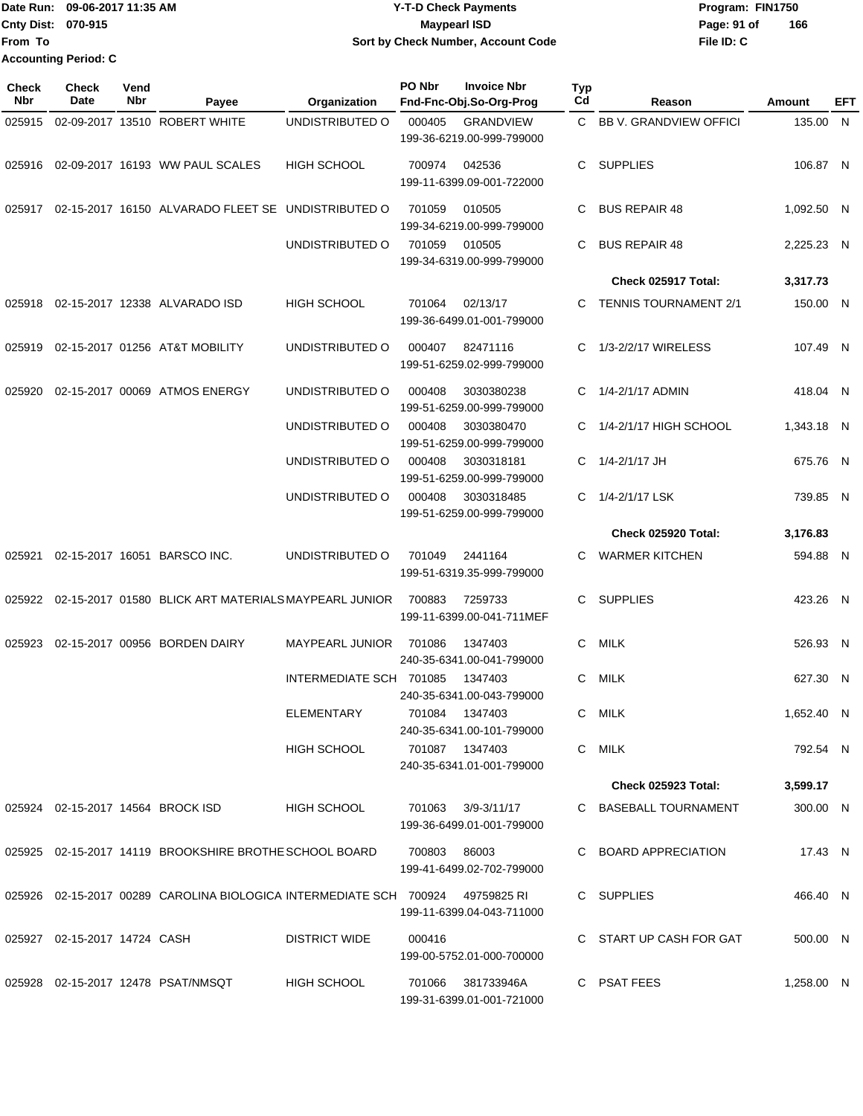# Date Run: 09-06-2017 11:35 AM **CONTEX 100 CONTEX 12 T-D** Check Payments **CONTEX 12 T-D Check Payments** Program: FIN1750 **Cnty Dist:** 070-915 **Page: 91 of** Maypearl ISD **Contract ISD 09-06-2017 11:35 AM Y-T-D Check Payments 070-915 Maypearl ISD Sort by Check Number, Account Code**

**File ID: C 166**

| Check<br>Nbr | <b>Check</b><br>Date         | Vend<br>Nbr | Payee                                                                             | Organization            | PO Nbr         | <b>Invoice Nbr</b><br>Fnd-Fnc-Obj.So-Org-Prog   | <b>Typ</b><br>Cd | Reason                       | Amount     | <b>EFT</b> |
|--------------|------------------------------|-------------|-----------------------------------------------------------------------------------|-------------------------|----------------|-------------------------------------------------|------------------|------------------------------|------------|------------|
| 025915       |                              |             | 02-09-2017 13510 ROBERT WHITE                                                     | UNDISTRIBUTED O         | 000405         | <b>GRANDVIEW</b><br>199-36-6219.00-999-799000   |                  | C BB V. GRANDVIEW OFFICI     | 135.00 N   |            |
|              |                              |             | 025916   02-09-2017   16193   WW PAUL SCALES                                      | <b>HIGH SCHOOL</b>      | 700974         | 042536<br>199-11-6399.09-001-722000             | C.               | <b>SUPPLIES</b>              | 106.87 N   |            |
|              |                              |             | 025917 02-15-2017  16150  ALVARADO FLEET SE   UNDISTRIBUTED O                     |                         | 701059         | 010505<br>199-34-6219.00-999-799000             | C                | <b>BUS REPAIR 48</b>         | 1,092.50 N |            |
|              |                              |             |                                                                                   | UNDISTRIBUTED O         | 701059 010505  | 199-34-6319.00-999-799000                       |                  | <b>BUS REPAIR 48</b>         | 2,225.23 N |            |
|              |                              |             |                                                                                   |                         |                |                                                 |                  | Check 025917 Total:          | 3,317.73   |            |
| 025918       |                              |             | 02-15-2017 12338 ALVARADO ISD                                                     | <b>HIGH SCHOOL</b>      | 701064         | 02/13/17<br>199-36-6499.01-001-799000           |                  | <b>TENNIS TOURNAMENT 2/1</b> | 150.00 N   |            |
| 025919       |                              |             | 02-15-2017 01256 AT&T MOBILITY                                                    | UNDISTRIBUTED O         | 000407         | 82471116<br>199-51-6259.02-999-799000           | C.               | 1/3-2/2/17 WIRELESS          | 107.49 N   |            |
| 025920       |                              |             | 02-15-2017 00069 ATMOS ENERGY                                                     | UNDISTRIBUTED O         | 000408         | 3030380238<br>199-51-6259.00-999-799000         | C                | 1/4-2/1/17 ADMIN             | 418.04 N   |            |
|              |                              |             |                                                                                   | UNDISTRIBUTED O         | 000408         | 3030380470<br>199-51-6259.00-999-799000         |                  | 1/4-2/1/17 HIGH SCHOOL       | 1,343.18 N |            |
|              |                              |             |                                                                                   | UNDISTRIBUTED O         | 000408         | 3030318181<br>199-51-6259.00-999-799000         | C                | 1/4-2/1/17 JH                | 675.76 N   |            |
|              |                              |             |                                                                                   | UNDISTRIBUTED O         | 000408         | 3030318485<br>199-51-6259.00-999-799000         | C                | 1/4-2/1/17 LSK               | 739.85 N   |            |
|              |                              |             |                                                                                   |                         |                |                                                 |                  | Check 025920 Total:          | 3,176.83   |            |
| 025921       |                              |             | 02-15-2017 16051 BARSCO INC.                                                      | UNDISTRIBUTED O         | 701049         | 2441164<br>199-51-6319.35-999-799000            | C                | <b>WARMER KITCHEN</b>        | 594.88 N   |            |
|              |                              |             | 025922 02-15-2017  01580   BLICK ART MATERIALS MAYPEARL JUNIOR                    |                         | 700883         | 7259733<br>199-11-6399.00-041-711MEF            | C.               | SUPPLIES                     | 423.26 N   |            |
| 025923       |                              |             | 02-15-2017 00956 BORDEN DAIRY                                                     | <b>MAYPEARL JUNIOR</b>  | 701086         | 1347403<br>240-35-6341.00-041-799000            | C                | MILK                         | 526.93 N   |            |
|              |                              |             |                                                                                   | INTERMEDIATE SCH 701085 |                | 1347403<br>240-35-6341.00-043-799000            | C.               | MILK                         | 627.30 N   |            |
|              |                              |             |                                                                                   | <b>ELEMENTARY</b>       |                | 701084 1347403<br>240-35-6341.00-101-799000     |                  | C MILK                       | 1,652.40 N |            |
|              |                              |             |                                                                                   | HIGH SCHOOL             | 701087 1347403 | 240-35-6341.01-001-799000                       |                  | C MILK                       | 792.54 N   |            |
|              |                              |             |                                                                                   |                         |                |                                                 |                  | <b>Check 025923 Total:</b>   | 3,599.17   |            |
|              |                              |             |                                                                                   | HIGH SCHOOL             |                | 701063 3/9-3/11/17<br>199-36-6499.01-001-799000 |                  | C BASEBALL TOURNAMENT        | 300.00 N   |            |
|              |                              |             | 025925 02-15-2017  14119  BROOKSHIRE BROTHE SCHOOL BOARD                          |                         | 700803 86003   | 199-41-6499.02-702-799000                       |                  | C BOARD APPRECIATION         | 17.43 N    |            |
|              |                              |             | 025926 02-15-2017  00289  CAROLINA BIOLOGICA INTERMEDIATE SCH 700924  49759825 RI |                         |                | 199-11-6399.04-043-711000                       |                  | C SUPPLIES                   | 466.40 N   |            |
|              | 025927 02-15-2017 14724 CASH |             |                                                                                   | <b>DISTRICT WIDE</b>    | 000416         | 199-00-5752.01-000-700000                       |                  | C START UP CASH FOR GAT      | 500.00 N   |            |
|              |                              |             |                                                                                   | <b>HIGH SCHOOL</b>      | 701066         | 381733946A                                      |                  | C PSAT FEES                  | 1,258.00 N |            |

199-31-6399.01-001-721000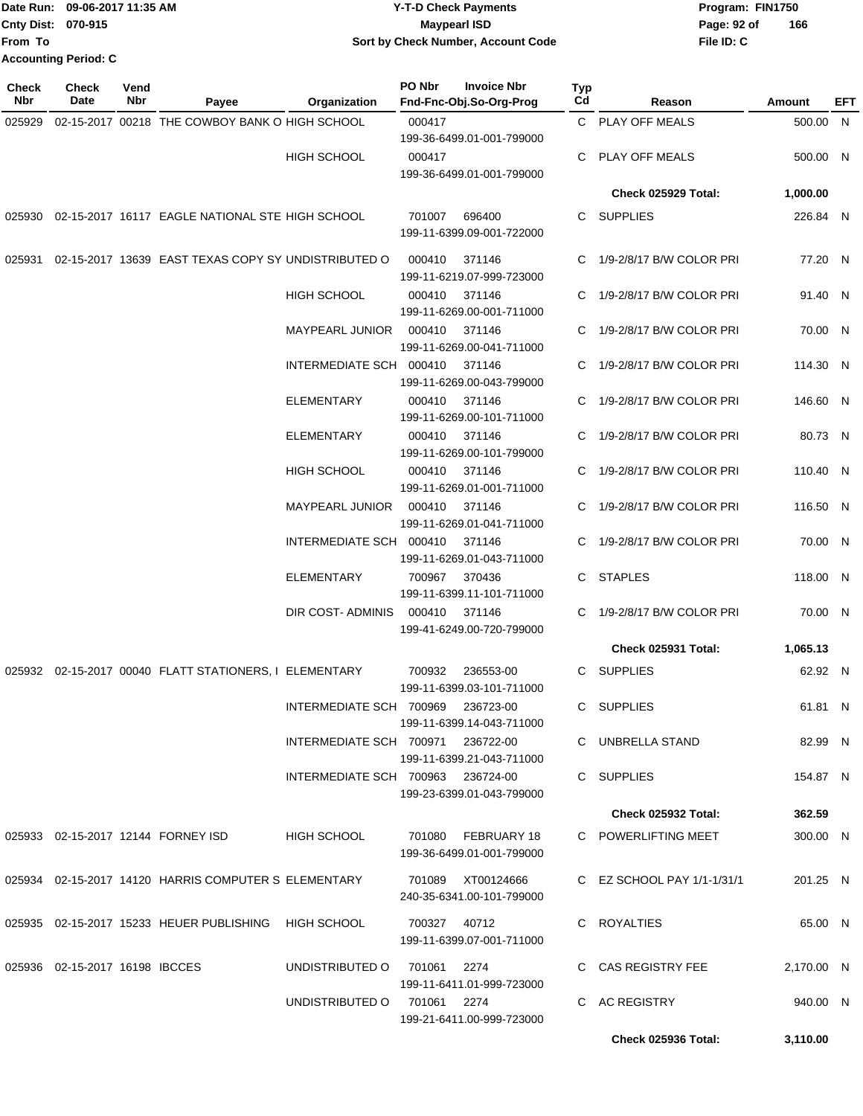|                           | Date Run: 09-06-2017 11:35 AM | <b>Y-T-D Check Payments</b>        | Program: FIN1750   |  |  |  |
|---------------------------|-------------------------------|------------------------------------|--------------------|--|--|--|
| <b>Cnty Dist: 070-915</b> |                               | <b>Mavpearl ISD</b>                | 166<br>Page: 92 of |  |  |  |
| <b>From To</b>            |                               | Sort by Check Number, Account Code | File ID: C         |  |  |  |
|                           | <b>Accounting Period: C</b>   |                                    |                    |  |  |  |

| <b>Check</b><br>Nbr | Check<br>Date                  | Vend<br>Nbr | Payee                                                  | Organization                      | PO Nbr                              | <b>Invoice Nbr</b><br>Fnd-Fnc-Obj.So-Org-Prog | Typ<br>Cd                  | Reason                     | Amount     | EFT |
|---------------------|--------------------------------|-------------|--------------------------------------------------------|-----------------------------------|-------------------------------------|-----------------------------------------------|----------------------------|----------------------------|------------|-----|
| 025929              |                                |             | 02-15-2017 00218 THE COWBOY BANK O HIGH SCHOOL         |                                   | 000417                              |                                               |                            | C PLAY OFF MEALS           | 500.00 N   |     |
|                     |                                |             |                                                        |                                   |                                     | 199-36-6499.01-001-799000                     |                            |                            |            |     |
|                     |                                |             |                                                        | <b>HIGH SCHOOL</b>                | 000417                              |                                               |                            | C PLAY OFF MEALS           | 500.00 N   |     |
|                     |                                |             |                                                        |                                   |                                     | 199-36-6499.01-001-799000                     |                            |                            |            |     |
|                     |                                |             |                                                        |                                   |                                     |                                               |                            | Check 025929 Total:        | 1,000.00   |     |
|                     |                                |             | 025930 02-15-2017 16117 EAGLE NATIONAL STE HIGH SCHOOL |                                   | 701007                              | 696400<br>199-11-6399.09-001-722000           |                            | C SUPPLIES                 | 226.84 N   |     |
| 025931              |                                |             | 02-15-2017 13639 EAST TEXAS COPY SY UNDISTRIBUTED O    |                                   | 000410                              | 371146<br>199-11-6219.07-999-723000           |                            | C 1/9-2/8/17 B/W COLOR PRI | 77.20 N    |     |
|                     |                                |             |                                                        | <b>HIGH SCHOOL</b>                | 000410                              | 371146<br>199-11-6269.00-001-711000           |                            | C 1/9-2/8/17 B/W COLOR PRI | 91.40 N    |     |
|                     |                                |             |                                                        | <b>MAYPEARL JUNIOR</b>            | 000410                              | 371146<br>199-11-6269.00-041-711000           |                            | 1/9-2/8/17 B/W COLOR PRI   | 70.00 N    |     |
|                     |                                |             |                                                        | INTERMEDIATE SCH 000410           |                                     | 371146<br>199-11-6269.00-043-799000           | C.                         | 1/9-2/8/17 B/W COLOR PRI   | 114.30 N   |     |
|                     |                                |             |                                                        | <b>ELEMENTARY</b>                 | 000410                              | 371146<br>199-11-6269.00-101-711000           |                            | C 1/9-2/8/17 B/W COLOR PRI | 146.60 N   |     |
|                     |                                |             |                                                        | <b>ELEMENTARY</b>                 | 000410                              | 371146<br>199-11-6269.00-101-799000           |                            | C 1/9-2/8/17 B/W COLOR PRI | 80.73 N    |     |
|                     |                                |             |                                                        | <b>HIGH SCHOOL</b>                | 000410                              | 371146<br>199-11-6269.01-001-711000           |                            | C 1/9-2/8/17 B/W COLOR PRI | 110.40 N   |     |
|                     |                                |             |                                                        | <b>MAYPEARL JUNIOR</b>            | 000410                              | 371146<br>199-11-6269.01-041-711000           |                            | C 1/9-2/8/17 B/W COLOR PRI | 116.50 N   |     |
|                     |                                |             | INTERMEDIATE SCH 000410                                |                                   | 371146<br>199-11-6269.01-043-711000 |                                               | C 1/9-2/8/17 B/W COLOR PRI | 70.00 N                    |            |     |
|                     |                                |             |                                                        | <b>ELEMENTARY</b>                 | 700967                              | 370436<br>199-11-6399.11-101-711000           |                            | C STAPLES                  | 118.00 N   |     |
|                     |                                |             |                                                        | DIR COST- ADMINIS                 | 000410                              | 371146<br>199-41-6249.00-720-799000           |                            | C 1/9-2/8/17 B/W COLOR PRI | 70.00 N    |     |
|                     |                                |             |                                                        |                                   |                                     |                                               |                            | Check 025931 Total:        | 1,065.13   |     |
|                     |                                |             | 025932 02-15-2017 00040 FLATT STATIONERS, I ELEMENTARY |                                   | 700932                              | 236553-00<br>199-11-6399.03-101-711000        |                            | C SUPPLIES                 | 62.92 N    |     |
|                     |                                |             |                                                        | INTERMEDIATE SCH 700969           |                                     | 236723-00<br>199-11-6399.14-043-711000        |                            | C SUPPLIES                 | 61.81 N    |     |
|                     |                                |             |                                                        | INTERMEDIATE SCH 700971 236722-00 |                                     | 199-11-6399.21-043-711000                     |                            | C UNBRELLA STAND           | 82.99 N    |     |
|                     |                                |             |                                                        | INTERMEDIATE SCH 700963 236724-00 |                                     | 199-23-6399.01-043-799000                     |                            | C SUPPLIES                 | 154.87 N   |     |
|                     |                                |             |                                                        |                                   |                                     |                                               |                            | Check 025932 Total:        | 362.59     |     |
|                     |                                |             | 025933 02-15-2017 12144 FORNEY ISD                     | <b>HIGH SCHOOL</b>                | 701080                              | FEBRUARY 18<br>199-36-6499.01-001-799000      |                            | C POWERLIFTING MEET        | 300.00 N   |     |
|                     |                                |             | 025934 02-15-2017 14120 HARRIS COMPUTER S ELEMENTARY   |                                   | 701089                              | XT00124666<br>240-35-6341.00-101-799000       |                            | C EZ SCHOOL PAY 1/1-1/31/1 | 201.25 N   |     |
|                     |                                |             | 025935 02-15-2017 15233 HEUER PUBLISHING               | HIGH SCHOOL                       |                                     | 700327 40712<br>199-11-6399.07-001-711000     |                            | C ROYALTIES                | 65.00 N    |     |
|                     | 025936 02-15-2017 16198 IBCCES |             |                                                        | UNDISTRIBUTED O                   | 701061                              | 2274<br>199-11-6411.01-999-723000             |                            | C CAS REGISTRY FEE         | 2,170.00 N |     |
|                     |                                |             |                                                        | UNDISTRIBUTED O                   | 701061  2274                        | 199-21-6411.00-999-723000                     |                            | C AC REGISTRY              | 940.00 N   |     |
|                     |                                |             |                                                        |                                   |                                     |                                               |                            | Check 025936 Total:        | 3,110.00   |     |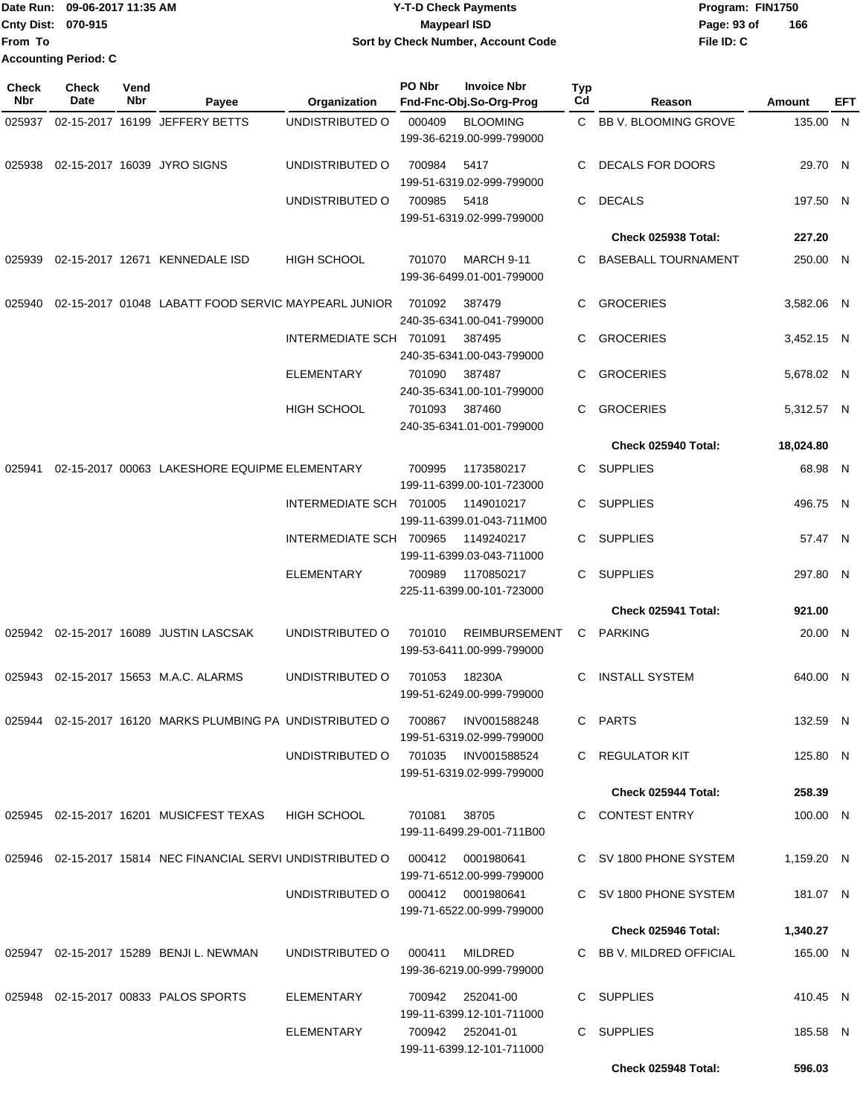Date Run: 09-06-2017 11:35 AM **CONTEX 100 CONTEX 12 T-D** Check Payments **CONTEX 12 T-D Check Payments** Program: FIN1750 **Cnty Dist:** 070-915 **Page: 93 of MaypearI ISD Page: 93 of File ID: C From To Y-T-D Check Payments 070-915 Maypearl ISD Sort by Check Number, Account Code 166 Accounting Period: C**

| Check<br>Nbr | <b>Check</b><br>Date | Vend<br>Nbr | Payee                                                       | Organization            | PO Nbr | <b>Invoice Nbr</b><br>Fnd-Fnc-Obj.So-Org-Prog     | <b>Typ</b><br>Cd | Reason                     | Amount     | EFT |
|--------------|----------------------|-------------|-------------------------------------------------------------|-------------------------|--------|---------------------------------------------------|------------------|----------------------------|------------|-----|
| 025937       |                      |             | 02-15-2017 16199 JEFFERY BETTS                              | UNDISTRIBUTED O         | 000409 | <b>BLOOMING</b><br>199-36-6219.00-999-799000      | C.               | BB V. BLOOMING GROVE       | 135.00 N   |     |
| 025938       |                      |             | 02-15-2017 16039 JYRO SIGNS                                 | UNDISTRIBUTED O         | 700984 | 5417<br>199-51-6319.02-999-799000                 | C                | <b>DECALS FOR DOORS</b>    | 29.70 N    |     |
|              |                      |             |                                                             | UNDISTRIBUTED O         | 700985 | 5418<br>199-51-6319.02-999-799000                 | C                | <b>DECALS</b>              | 197.50 N   |     |
|              |                      |             |                                                             |                         |        |                                                   |                  | Check 025938 Total:        | 227.20     |     |
| 025939       |                      |             | 02-15-2017 12671 KENNEDALE ISD                              | <b>HIGH SCHOOL</b>      | 701070 | <b>MARCH 9-11</b><br>199-36-6499.01-001-799000    | C.               | <b>BASEBALL TOURNAMENT</b> | 250.00 N   |     |
| 025940       |                      |             | 02-15-2017 01048 LABATT FOOD SERVIC MAYPEARL JUNIOR         |                         | 701092 | 387479<br>240-35-6341.00-041-799000               | C                | <b>GROCERIES</b>           | 3,582.06 N |     |
|              |                      |             |                                                             | INTERMEDIATE SCH 701091 |        | 387495<br>240-35-6341.00-043-799000               | C                | <b>GROCERIES</b>           | 3,452.15 N |     |
|              |                      |             |                                                             | ELEMENTARY              | 701090 | 387487<br>240-35-6341.00-101-799000               | C.               | <b>GROCERIES</b>           | 5,678.02 N |     |
|              |                      |             |                                                             | <b>HIGH SCHOOL</b>      | 701093 | 387460<br>240-35-6341.01-001-799000               | C.               | <b>GROCERIES</b>           | 5,312.57 N |     |
|              |                      |             |                                                             |                         |        |                                                   |                  | <b>Check 025940 Total:</b> | 18,024.80  |     |
| 025941       |                      |             | 02-15-2017 00063 LAKESHORE EQUIPME ELEMENTARY               |                         | 700995 | 1173580217<br>199-11-6399.00-101-723000           | C.               | <b>SUPPLIES</b>            | 68.98 N    |     |
|              |                      |             |                                                             | INTERMEDIATE SCH 701005 |        | 1149010217<br>199-11-6399.01-043-711M00           | C                | <b>SUPPLIES</b>            | 496.75 N   |     |
|              |                      |             |                                                             | INTERMEDIATE SCH 700965 |        | 1149240217<br>199-11-6399.03-043-711000           | C                | <b>SUPPLIES</b>            | 57.47 N    |     |
|              |                      |             |                                                             | <b>ELEMENTARY</b>       | 700989 | 1170850217<br>225-11-6399.00-101-723000           | C.               | <b>SUPPLIES</b>            | 297.80 N   |     |
|              |                      |             |                                                             |                         |        |                                                   |                  | Check 025941 Total:        | 921.00     |     |
| 025942       |                      |             | 02-15-2017 16089 JUSTIN LASCSAK                             | UNDISTRIBUTED O         | 701010 | <b>REIMBURSEMENT</b><br>199-53-6411.00-999-799000 | C                | <b>PARKING</b>             | 20.00 N    |     |
| 025943       |                      |             | 02-15-2017 15653 M.A.C. ALARMS                              | UNDISTRIBUTED O         | 701053 | 18230A<br>199-51-6249.00-999-799000               | C                | <b>INSTALL SYSTEM</b>      | 640.00 N   |     |
|              |                      |             | 025944 02-15-2017 16120 MARKS PLUMBING PA UNDISTRIBUTED O   |                         | 700867 | INV001588248<br>199-51-6319.02-999-799000         |                  | C PARTS                    | 132.59 N   |     |
|              |                      |             |                                                             | UNDISTRIBUTED O         | 701035 | INV001588524<br>199-51-6319.02-999-799000         |                  | C REGULATOR KIT            | 125.80 N   |     |
|              |                      |             |                                                             |                         |        |                                                   |                  | Check 025944 Total:        | 258.39     |     |
|              |                      |             | 025945 02-15-2017 16201 MUSICFEST TEXAS                     | <b>HIGH SCHOOL</b>      | 701081 | 38705<br>199-11-6499.29-001-711B00                |                  | C CONTEST ENTRY            | 100.00 N   |     |
|              |                      |             | 025946 02-15-2017 15814 NEC FINANCIAL SERVI UNDISTRIBUTED O |                         | 000412 | 0001980641<br>199-71-6512.00-999-799000           |                  | C SV 1800 PHONE SYSTEM     | 1,159.20 N |     |
|              |                      |             |                                                             | UNDISTRIBUTED O         |        | 000412 0001980641<br>199-71-6522.00-999-799000    |                  | C SV 1800 PHONE SYSTEM     | 181.07 N   |     |
|              |                      |             |                                                             |                         |        |                                                   |                  | Check 025946 Total:        | 1,340.27   |     |
|              |                      |             | 025947 02-15-2017 15289 BENJI L. NEWMAN                     | UNDISTRIBUTED O         | 000411 | MILDRED<br>199-36-6219.00-999-799000              |                  | C BB V. MILDRED OFFICIAL   | 165.00 N   |     |
|              |                      |             | 025948 02-15-2017 00833 PALOS SPORTS                        | <b>ELEMENTARY</b>       | 700942 | 252041-00<br>199-11-6399.12-101-711000            |                  | C SUPPLIES                 | 410.45 N   |     |
|              |                      |             |                                                             | ELEMENTARY              |        | 700942 252041-01<br>199-11-6399.12-101-711000     |                  | C SUPPLIES                 | 185.58 N   |     |
|              |                      |             |                                                             |                         |        |                                                   |                  | Check 025948 Total:        | 596.03     |     |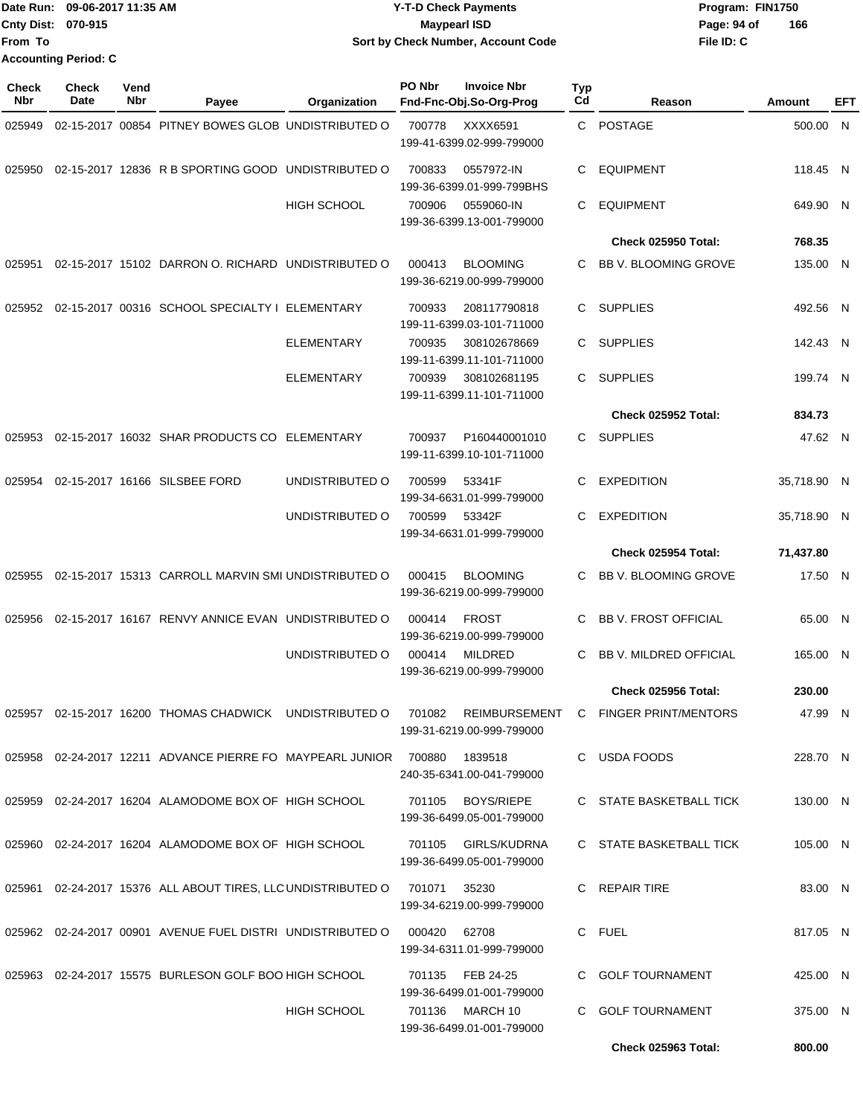|                           | Date Run: 09-06-2017 11:35 AM | <b>Y-T-D Check Payments</b>        | Program: FIN1750   |  |  |  |
|---------------------------|-------------------------------|------------------------------------|--------------------|--|--|--|
| <b>Cnty Dist: 070-915</b> |                               | <b>Mavpearl ISD</b>                | 166<br>Page: 94 of |  |  |  |
| lFrom To                  |                               | Sort by Check Number, Account Code | File ID: C         |  |  |  |
|                           | <b>Accounting Period: C</b>   |                                    |                    |  |  |  |

| Check<br>Nbr | <b>Check</b><br>Date | Vend<br>Nbr | Payee                                                                 | Organization       | PO Nbr | <b>Invoice Nbr</b><br>Fnd-Fnc-Obj.So-Org-Prog    | <b>Typ</b><br>Cd | Reason                                                                                              | Amount      | EFT |
|--------------|----------------------|-------------|-----------------------------------------------------------------------|--------------------|--------|--------------------------------------------------|------------------|-----------------------------------------------------------------------------------------------------|-------------|-----|
| 025949       |                      |             | 02-15-2017 00854 PITNEY BOWES GLOB UNDISTRIBUTED O                    |                    | 700778 | XXXX6591<br>199-41-6399.02-999-799000            | C.               | <b>POSTAGE</b>                                                                                      | 500.00 N    |     |
| 025950       |                      |             | 02-15-2017 12836 R B SPORTING GOOD UNDISTRIBUTED O                    |                    | 700833 | 0557972-IN<br>199-36-6399.01-999-799BHS          | C                | <b>EQUIPMENT</b>                                                                                    | 118.45 N    |     |
|              |                      |             |                                                                       | <b>HIGH SCHOOL</b> | 700906 | 0559060-IN<br>199-36-6399.13-001-799000          | C                | <b>EQUIPMENT</b>                                                                                    | 649.90 N    |     |
|              |                      |             |                                                                       |                    |        |                                                  |                  | Check 025950 Total:                                                                                 | 768.35      |     |
| 025951       |                      |             | 02-15-2017 15102 DARRON O. RICHARD UNDISTRIBUTED O                    |                    | 000413 | <b>BLOOMING</b><br>199-36-6219.00-999-799000     | C.               | <b>BB V. BLOOMING GROVE</b>                                                                         | 135.00 N    |     |
| 025952       |                      |             | 02-15-2017 00316 SCHOOL SPECIALTY I ELEMENTARY                        |                    | 700933 | 208117790818<br>199-11-6399.03-101-711000        | C.               | <b>SUPPLIES</b>                                                                                     | 492.56 N    |     |
|              |                      |             |                                                                       | <b>ELEMENTARY</b>  | 700935 | 308102678669<br>199-11-6399.11-101-711000        | C.               | <b>SUPPLIES</b>                                                                                     | 142.43 N    |     |
|              |                      |             |                                                                       | <b>ELEMENTARY</b>  | 700939 | 308102681195<br>199-11-6399.11-101-711000        | C.               | <b>SUPPLIES</b>                                                                                     | 199.74 N    |     |
|              |                      |             |                                                                       |                    |        |                                                  |                  | Check 025952 Total:                                                                                 | 834.73      |     |
| 025953       |                      |             | 02-15-2017 16032 SHAR PRODUCTS CO                                     | ELEMENTARY         | 700937 | P160440001010<br>199-11-6399.10-101-711000       | C.               | <b>SUPPLIES</b>                                                                                     | 47.62 N     |     |
| 025954       |                      |             | 02-15-2017 16166 SILSBEE FORD                                         | UNDISTRIBUTED O    | 700599 | 53341F<br>199-34-6631.01-999-799000              | C                | <b>EXPEDITION</b>                                                                                   | 35,718.90 N |     |
|              |                      |             |                                                                       | UNDISTRIBUTED O    | 700599 | 53342F<br>199-34-6631.01-999-799000              | C                | <b>EXPEDITION</b>                                                                                   | 35,718.90 N |     |
|              |                      |             |                                                                       |                    |        |                                                  |                  | Check 025954 Total:                                                                                 | 71,437.80   |     |
| 025955       |                      |             | 02-15-2017 15313 CARROLL MARVIN SMI UNDISTRIBUTED O                   |                    | 000415 | <b>BLOOMING</b><br>199-36-6219.00-999-799000     | C                | BB V. BLOOMING GROVE                                                                                | 17.50 N     |     |
| 025956       |                      |             | 02-15-2017 16167 RENVY ANNICE EVAN UNDISTRIBUTED O                    |                    | 000414 | <b>FROST</b><br>199-36-6219.00-999-799000        | C                | <b>BB V. FROST OFFICIAL</b>                                                                         | 65.00 N     |     |
|              |                      |             |                                                                       | UNDISTRIBUTED O    | 000414 | <b>MILDRED</b><br>199-36-6219.00-999-799000      | C                | BB V. MILDRED OFFICIAL                                                                              | 165.00 N    |     |
|              |                      |             |                                                                       |                    |        |                                                  |                  | Check 025956 Total:                                                                                 | 230.00      |     |
|              |                      |             |                                                                       |                    |        | 199-31-6219.00-999-799000                        |                  | 025957 02-15-2017 16200 THOMAS CHADWICK UNDISTRIBUTED O 701082 REIMBURSEMENT C FINGER PRINT/MENTORS | 47.99 N     |     |
|              |                      |             | 025958  02-24-2017  12211  ADVANCE PIERRE FO  MAYPEARL JUNIOR  700880 |                    |        | 1839518<br>240-35-6341.00-041-799000             |                  | C USDA FOODS                                                                                        | 228.70 N    |     |
|              |                      |             | 025959 02-24-2017 16204 ALAMODOME BOX OF HIGH SCHOOL                  |                    | 701105 | <b>BOYS/RIEPE</b><br>199-36-6499.05-001-799000   |                  | C STATE BASKETBALL TICK                                                                             | 130.00 N    |     |
|              |                      |             | 025960 02-24-2017 16204 ALAMODOME BOX OF HIGH SCHOOL                  |                    |        | 701105 GIRLS/KUDRNA<br>199-36-6499.05-001-799000 |                  | C STATE BASKETBALL TICK                                                                             | 105.00 N    |     |
|              |                      |             | 025961 02-24-2017 15376 ALL ABOUT TIRES, LLC UNDISTRIBUTED O          |                    | 701071 | 35230<br>199-34-6219.00-999-799000               |                  | C REPAIR TIRE                                                                                       | 83.00 N     |     |
|              |                      |             | 025962 02-24-2017 00901 AVENUE FUEL DISTRI UNDISTRIBUTED O            |                    | 000420 | 62708<br>199-34-6311.01-999-799000               |                  | C FUEL                                                                                              | 817.05 N    |     |
|              |                      |             | 025963 02-24-2017 15575 BURLESON GOLF BOO HIGH SCHOOL                 |                    |        | 701135 FEB 24-25<br>199-36-6499.01-001-799000    |                  | C GOLF TOURNAMENT                                                                                   | 425.00 N    |     |
|              |                      |             |                                                                       | <b>HIGH SCHOOL</b> |        | 701136 MARCH 10<br>199-36-6499.01-001-799000     | C.               | <b>GOLF TOURNAMENT</b>                                                                              | 375.00 N    |     |
|              |                      |             |                                                                       |                    |        |                                                  |                  | Check 025963 Total:                                                                                 | 800.00      |     |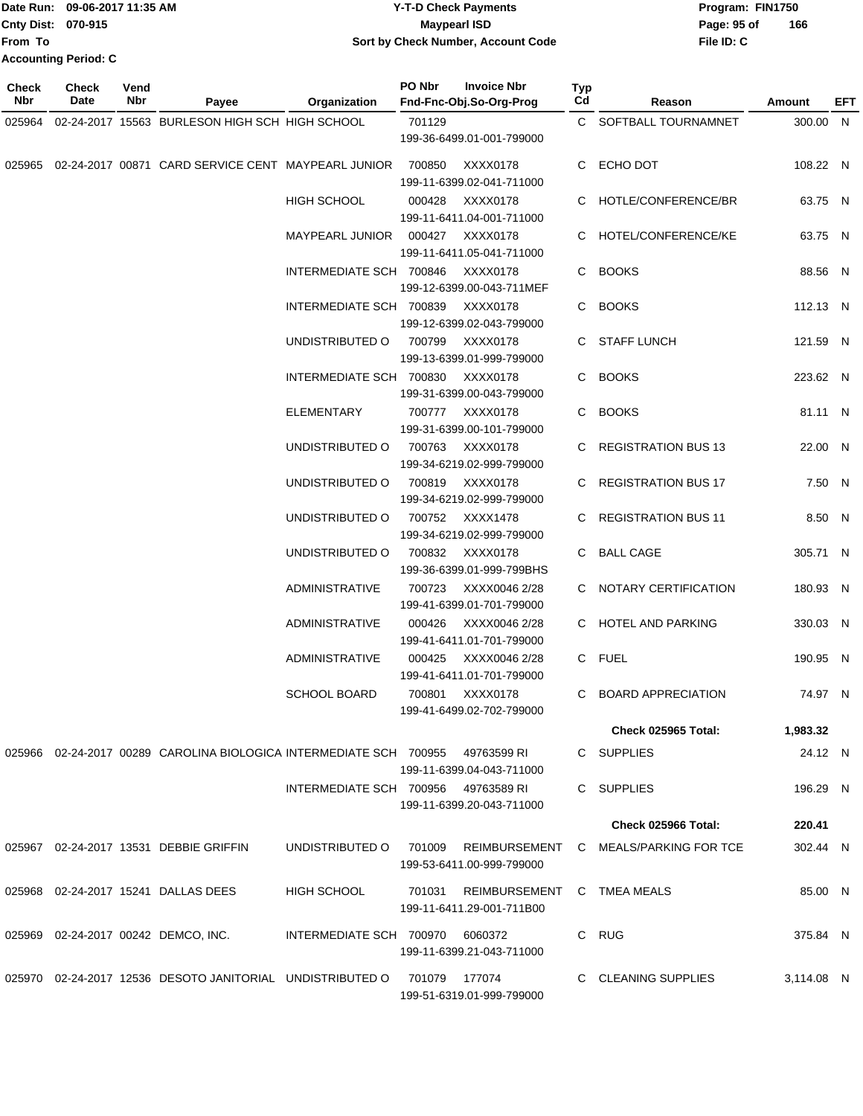|                           | Date Run: 09-06-2017 11:35 AM | <b>Y-T-D Check Payments</b>               | Program: FIN1750 |     |  |  |
|---------------------------|-------------------------------|-------------------------------------------|------------------|-----|--|--|
| <b>Cnty Dist: 070-915</b> |                               | <b>Mavpearl ISD</b>                       | Page: 95 of      | 166 |  |  |
| lFrom To                  |                               | <b>Sort by Check Number, Account Code</b> | File ID: C       |     |  |  |
|                           | <b>Accounting Period: C</b>   |                                           |                  |     |  |  |

**PO Nbr Invoice Nbr**

| <b>Check</b><br>Nbr | <b>Check</b><br>Date | Vend<br>Nbr | Payee                                                                          | Organization                        | PO Nbr | <b>Invoice Nbr</b><br>Fnd-Fnc-Obj.So-Org-Prog                  | Typ<br>Cd | Reason                                                       | <b>Amount</b> | EFT |
|---------------------|----------------------|-------------|--------------------------------------------------------------------------------|-------------------------------------|--------|----------------------------------------------------------------|-----------|--------------------------------------------------------------|---------------|-----|
| 025964              |                      |             | 02-24-2017 15563 BURLESON HIGH SCH HIGH SCHOOL                                 |                                     | 701129 |                                                                |           | C SOFTBALL TOURNAMNET                                        | 300.00 N      |     |
|                     |                      |             |                                                                                |                                     |        | 199-36-6499.01-001-799000                                      |           |                                                              |               |     |
|                     |                      |             | 025965 02-24-2017 00871 CARD SERVICE CENT MAYPEARL JUNIOR                      |                                     | 700850 | XXXX0178<br>199-11-6399.02-041-711000                          |           | C ECHO DOT                                                   | 108.22 N      |     |
|                     |                      |             |                                                                                | <b>HIGH SCHOOL</b>                  | 000428 | XXXX0178<br>199-11-6411.04-001-711000                          |           | C HOTLE/CONFERENCE/BR                                        | 63.75 N       |     |
|                     |                      |             |                                                                                | MAYPEARL JUNIOR 000427 XXXX0178     |        | 199-11-6411.05-041-711000                                      |           | C HOTEL/CONFERENCE/KE                                        | 63.75 N       |     |
|                     |                      |             |                                                                                | INTERMEDIATE SCH 700846 XXXX0178    |        | 199-12-6399.00-043-711MEF                                      |           | C BOOKS                                                      | 88.56 N       |     |
|                     |                      |             |                                                                                | INTERMEDIATE SCH 700839 XXXX0178    |        | 199-12-6399.02-043-799000                                      |           | C BOOKS                                                      | 112.13 N      |     |
|                     |                      |             |                                                                                | UNDISTRIBUTED O                     | 700799 | XXXX0178<br>199-13-6399.01-999-799000                          |           | C STAFF LUNCH                                                | 121.59 N      |     |
|                     |                      |             |                                                                                | INTERMEDIATE SCH 700830             |        | XXXX0178<br>199-31-6399.00-043-799000                          |           | C BOOKS                                                      | 223.62 N      |     |
|                     |                      |             |                                                                                | ELEMENTARY                          |        | 700777 XXXX0178<br>199-31-6399.00-101-799000                   |           | C BOOKS                                                      | 81.11 N       |     |
|                     |                      |             |                                                                                | UNDISTRIBUTED O                     | 700763 | XXXX0178<br>199-34-6219.02-999-799000                          |           | C REGISTRATION BUS 13                                        | 22.00 N       |     |
|                     |                      |             |                                                                                | UNDISTRIBUTED O                     | 700819 | XXXX0178<br>199-34-6219.02-999-799000                          |           | C REGISTRATION BUS 17                                        | 7.50 N        |     |
|                     |                      |             |                                                                                | UNDISTRIBUTED O                     |        | 700752 XXXX1478<br>199-34-6219.02-999-799000                   |           | C REGISTRATION BUS 11                                        | 8.50 N        |     |
|                     |                      |             |                                                                                | UNDISTRIBUTED O                     |        | 700832 XXXX0178<br>199-36-6399.01-999-799BHS                   |           | C BALL CAGE                                                  | 305.71 N      |     |
|                     |                      |             |                                                                                | <b>ADMINISTRATIVE</b>               |        | 700723 XXXX0046 2/28<br>199-41-6399.01-701-799000              |           | C NOTARY CERTIFICATION                                       | 180.93 N      |     |
|                     |                      |             |                                                                                | <b>ADMINISTRATIVE</b>               | 000426 | XXXX0046 2/28<br>199-41-6411.01-701-799000                     |           | C HOTEL AND PARKING                                          | 330.03 N      |     |
|                     |                      |             |                                                                                | ADMINISTRATIVE                      |        | 000425 XXXX0046 2/28<br>199-41-6411.01-701-799000              |           | C FUEL                                                       | 190.95 N      |     |
|                     |                      |             |                                                                                | <b>SCHOOL BOARD</b>                 |        | 700801 XXXX0178<br>199-41-6499.02-702-799000                   |           | C BOARD APPRECIATION                                         | 74.97 N       |     |
|                     |                      |             |                                                                                |                                     |        |                                                                |           | <b>Check 025965 Total:</b>                                   | 1,983.32      |     |
|                     |                      |             | 025966 02-24-2017 00289 CAROLINA BIOLOGICA INTERMEDIATE SCH 700955 49763599 RI |                                     |        | 199-11-6399.04-043-711000                                      |           | C SUPPLIES                                                   | 24.12 N       |     |
|                     |                      |             |                                                                                | INTERMEDIATE SCH 700956 49763589 RI |        | 199-11-6399.20-043-711000                                      |           | C SUPPLIES                                                   | 196.29 N      |     |
|                     |                      |             |                                                                                |                                     |        |                                                                |           | <b>Check 025966 Total:</b>                                   | 220.41        |     |
|                     |                      |             |                                                                                |                                     |        |                                                                |           | UNDISTRIBUTED O 701009 REIMBURSEMENT C MEALS/PARKING FOR TCE |               |     |
|                     |                      |             | 025967 02-24-2017 13531 DEBBIE GRIFFIN                                         |                                     |        | 199-53-6411.00-999-799000                                      |           |                                                              | 302.44 N      |     |
|                     |                      |             | 025968  02-24-2017  15241  DALLAS DEES                                         | <b>HIGH SCHOOL</b>                  |        | 701031 REIMBURSEMENT C TMEA MEALS<br>199-11-6411.29-001-711B00 |           |                                                              | 85.00 N       |     |
|                     |                      |             | 025969  02-24-2017  00242  DEMCO, INC.                                         | INTERMEDIATE SCH 700970 6060372     |        | 199-11-6399.21-043-711000                                      |           | C RUG                                                        | 375.84 N      |     |
|                     |                      |             | 025970 02-24-2017 12536 DESOTO JANITORIAL UNDISTRIBUTED O 701079 177074        |                                     |        | 199-51-6319.01-999-799000                                      |           | C CLEANING SUPPLIES                                          | 3,114.08 N    |     |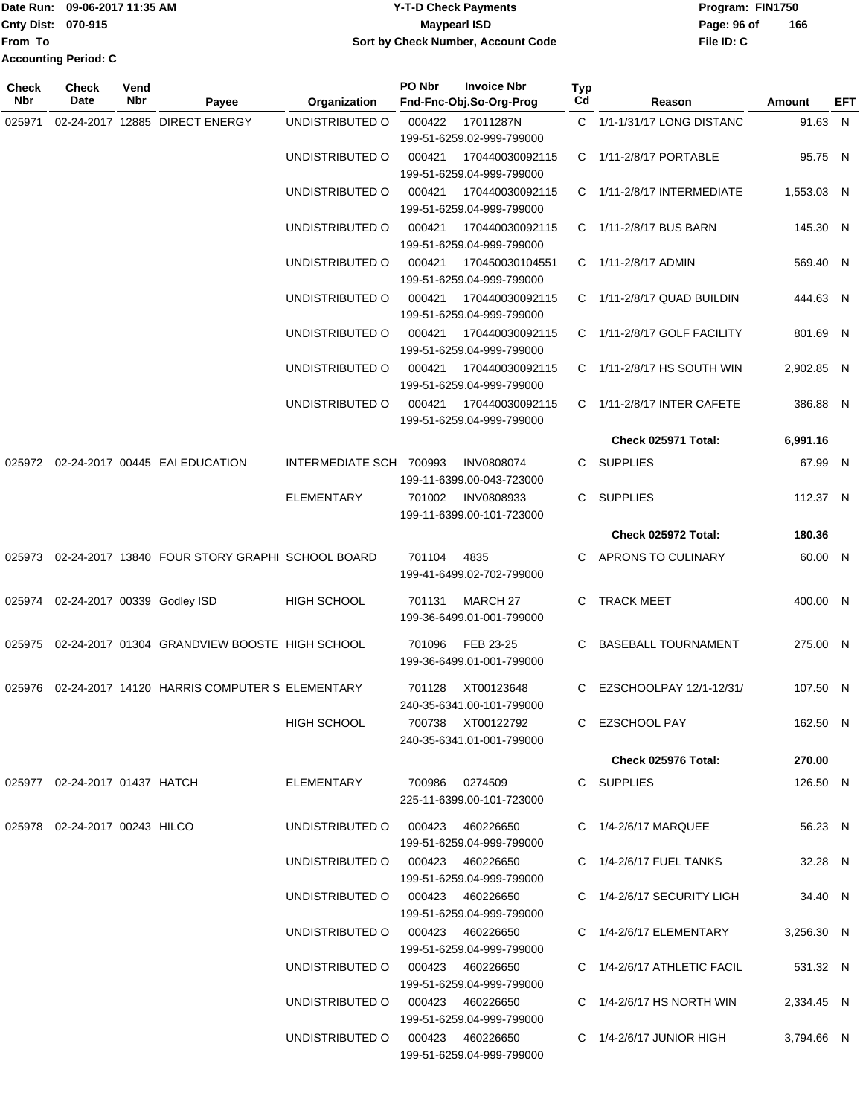|                             | Date Run: 09-06-2017 11:35 AM | Y-T-D Check Payments               | Program: FIN1750   |  |  |  |  |
|-----------------------------|-------------------------------|------------------------------------|--------------------|--|--|--|--|
| <b>Cnty Dist: 070-915</b>   |                               | <b>Maypearl ISD</b>                | 166<br>Page: 96 of |  |  |  |  |
| <b>IFrom To</b>             |                               | Sort by Check Number, Account Code | File ID: C         |  |  |  |  |
| <b>Accounting Period: C</b> |                               |                                    |                    |  |  |  |  |

| <b>Check</b><br>Nbr | Check<br>Date                      | Vend<br>Nbr | Payee                                                     | Organization                     | PO Nbr          | <b>Invoice Nbr</b><br>Fnd-Fnc-Obj.So-Org-Prog | Typ<br>Cd | Reason                         | Amount     | EFT |
|---------------------|------------------------------------|-------------|-----------------------------------------------------------|----------------------------------|-----------------|-----------------------------------------------|-----------|--------------------------------|------------|-----|
| 025971              |                                    |             | 02-24-2017 12885 DIRECT ENERGY                            | UNDISTRIBUTED O                  | 000422          | 17011287N                                     |           | C 1/1-1/31/17 LONG DISTANC     | 91.63 N    |     |
|                     |                                    |             |                                                           |                                  |                 | 199-51-6259.02-999-799000                     |           |                                |            |     |
|                     |                                    |             |                                                           | UNDISTRIBUTED O                  | 000421          | 170440030092115                               |           | C 1/11-2/8/17 PORTABLE         | 95.75 N    |     |
|                     |                                    |             |                                                           |                                  |                 | 199-51-6259.04-999-799000                     |           |                                |            |     |
|                     |                                    |             |                                                           | UNDISTRIBUTED O                  | 000421          | 170440030092115                               |           | C 1/11-2/8/17 INTERMEDIATE     | 1,553.03 N |     |
|                     |                                    |             |                                                           |                                  |                 | 199-51-6259.04-999-799000                     |           |                                |            |     |
|                     |                                    |             |                                                           | UNDISTRIBUTED O                  | 000421          | 170440030092115                               |           | C 1/11-2/8/17 BUS BARN         | 145.30 N   |     |
|                     |                                    |             |                                                           |                                  |                 | 199-51-6259.04-999-799000                     |           |                                |            |     |
|                     |                                    |             |                                                           | UNDISTRIBUTED O                  | 000421          | 170450030104551                               |           | C 1/11-2/8/17 ADMIN            | 569.40 N   |     |
|                     |                                    |             |                                                           |                                  |                 | 199-51-6259.04-999-799000                     |           |                                |            |     |
|                     |                                    |             |                                                           | UNDISTRIBUTED O                  | 000421          | 170440030092115<br>199-51-6259.04-999-799000  |           | C 1/11-2/8/17 QUAD BUILDIN     | 444.63 N   |     |
|                     |                                    |             |                                                           | UNDISTRIBUTED O                  | 000421          | 170440030092115                               |           | C 1/11-2/8/17 GOLF FACILITY    | 801.69 N   |     |
|                     |                                    |             |                                                           |                                  |                 | 199-51-6259.04-999-799000                     |           |                                |            |     |
|                     |                                    |             |                                                           | UNDISTRIBUTED O                  | 000421          | 170440030092115                               |           | C 1/11-2/8/17 HS SOUTH WIN     | 2,902.85 N |     |
|                     |                                    |             |                                                           |                                  |                 | 199-51-6259.04-999-799000                     |           |                                |            |     |
|                     |                                    |             |                                                           | UNDISTRIBUTED O                  | 000421          | 170440030092115                               |           | C 1/11-2/8/17 INTER CAFETE     | 386.88 N   |     |
|                     |                                    |             |                                                           |                                  |                 | 199-51-6259.04-999-799000                     |           |                                |            |     |
|                     |                                    |             |                                                           |                                  |                 |                                               |           | <b>Check 025971 Total:</b>     | 6,991.16   |     |
|                     |                                    |             | 025972 02-24-2017 00445 EAI EDUCATION                     | INTERMEDIATE SCH 700993          |                 | <b>INV0808074</b>                             |           | C SUPPLIES                     | 67.99 N    |     |
|                     |                                    |             |                                                           |                                  |                 | 199-11-6399.00-043-723000                     |           |                                |            |     |
|                     |                                    |             |                                                           | <b>ELEMENTARY</b>                | 701002          | <b>INV0808933</b>                             | C.        | <b>SUPPLIES</b>                | 112.37 N   |     |
|                     |                                    |             |                                                           |                                  |                 | 199-11-6399.00-101-723000                     |           |                                |            |     |
|                     |                                    |             |                                                           |                                  |                 |                                               |           | Check 025972 Total:            | 180.36     |     |
|                     |                                    |             | 025973  02-24-2017  13840  FOUR STORY GRAPHI SCHOOL BOARD |                                  | 701104          | 4835                                          |           | C APRONS TO CULINARY           | 60.00 N    |     |
|                     |                                    |             |                                                           |                                  |                 | 199-41-6499.02-702-799000                     |           |                                |            |     |
|                     |                                    |             |                                                           |                                  |                 |                                               |           |                                |            |     |
|                     | 025974 02-24-2017 00339 Godley ISD |             |                                                           | HIGH SCHOOL                      | 701131          | MARCH 27                                      | C.        | <b>TRACK MEET</b>              | 400.00 N   |     |
|                     |                                    |             |                                                           |                                  |                 | 199-36-6499.01-001-799000                     |           |                                |            |     |
|                     |                                    |             | 025975 02-24-2017 01304 GRANDVIEW BOOSTE HIGH SCHOOL      |                                  | 701096          | FEB 23-25                                     | C.        | <b>BASEBALL TOURNAMENT</b>     | 275.00 N   |     |
|                     |                                    |             |                                                           |                                  |                 | 199-36-6499.01-001-799000                     |           |                                |            |     |
|                     |                                    |             | 025976 02-24-2017 14120 HARRIS COMPUTER S ELEMENTARY      |                                  | 701128          | XT00123648                                    |           | C EZSCHOOLPAY 12/1-12/31/      | 107.50 N   |     |
|                     |                                    |             |                                                           |                                  |                 | 240-35-6341.00-101-799000                     |           |                                |            |     |
|                     |                                    |             |                                                           | HIGH SCHOOL                      |                 | 700738 XT00122792                             |           | C EZSCHOOL PAY                 | 162.50 N   |     |
|                     |                                    |             |                                                           |                                  |                 | 240-35-6341.01-001-799000                     |           |                                |            |     |
|                     |                                    |             |                                                           |                                  |                 |                                               |           | Check 025976 Total:            | 270.00     |     |
|                     | 025977 02-24-2017 01437 HATCH      |             |                                                           | ELEMENTARY                       | 700986  0274509 |                                               |           | C SUPPLIES                     | 126.50 N   |     |
|                     |                                    |             |                                                           |                                  |                 | 225-11-6399.00-101-723000                     |           |                                |            |     |
|                     |                                    |             |                                                           |                                  |                 |                                               |           |                                |            |     |
|                     | 025978 02-24-2017 00243 HILCO      |             |                                                           | UNDISTRIBUTED O 000423 460226650 |                 | 199-51-6259.04-999-799000                     |           | C 1/4-2/6/17 MARQUEE           | 56.23 N    |     |
|                     |                                    |             |                                                           | UNDISTRIBUTED O 000423 460226650 |                 |                                               |           | C 1/4-2/6/17 FUEL TANKS        | 32.28 N    |     |
|                     |                                    |             |                                                           |                                  |                 | 199-51-6259.04-999-799000                     |           |                                |            |     |
|                     |                                    |             |                                                           | UNDISTRIBUTED O 000423 460226650 |                 |                                               |           | C 1/4-2/6/17 SECURITY LIGH     | 34.40 N    |     |
|                     |                                    |             |                                                           |                                  |                 | 199-51-6259.04-999-799000                     |           |                                |            |     |
|                     |                                    |             |                                                           | UNDISTRIBUTED O 000423 460226650 |                 |                                               |           | C 1/4-2/6/17 ELEMENTARY        | 3,256.30 N |     |
|                     |                                    |             |                                                           |                                  |                 | 199-51-6259.04-999-799000                     |           |                                |            |     |
|                     |                                    |             |                                                           | UNDISTRIBUTED O 000423 460226650 |                 |                                               |           | C 1/4-2/6/17 ATHLETIC FACIL    | 531.32 N   |     |
|                     |                                    |             |                                                           |                                  |                 | 199-51-6259.04-999-799000                     |           |                                |            |     |
|                     |                                    |             |                                                           | UNDISTRIBUTED O 000423 460226650 |                 |                                               |           | C $1/4 - 2/6/17$ HS NORTH WIN  | 2,334.45 N |     |
|                     |                                    |             |                                                           |                                  |                 | 199-51-6259.04-999-799000                     |           |                                |            |     |
|                     |                                    |             |                                                           | UNDISTRIBUTED O 000423 460226650 |                 |                                               |           | $C = 1/4 - 2/6/17$ JUNIOR HIGH | 3,794.66 N |     |
|                     |                                    |             |                                                           |                                  |                 | 199-51-6259.04-999-799000                     |           |                                |            |     |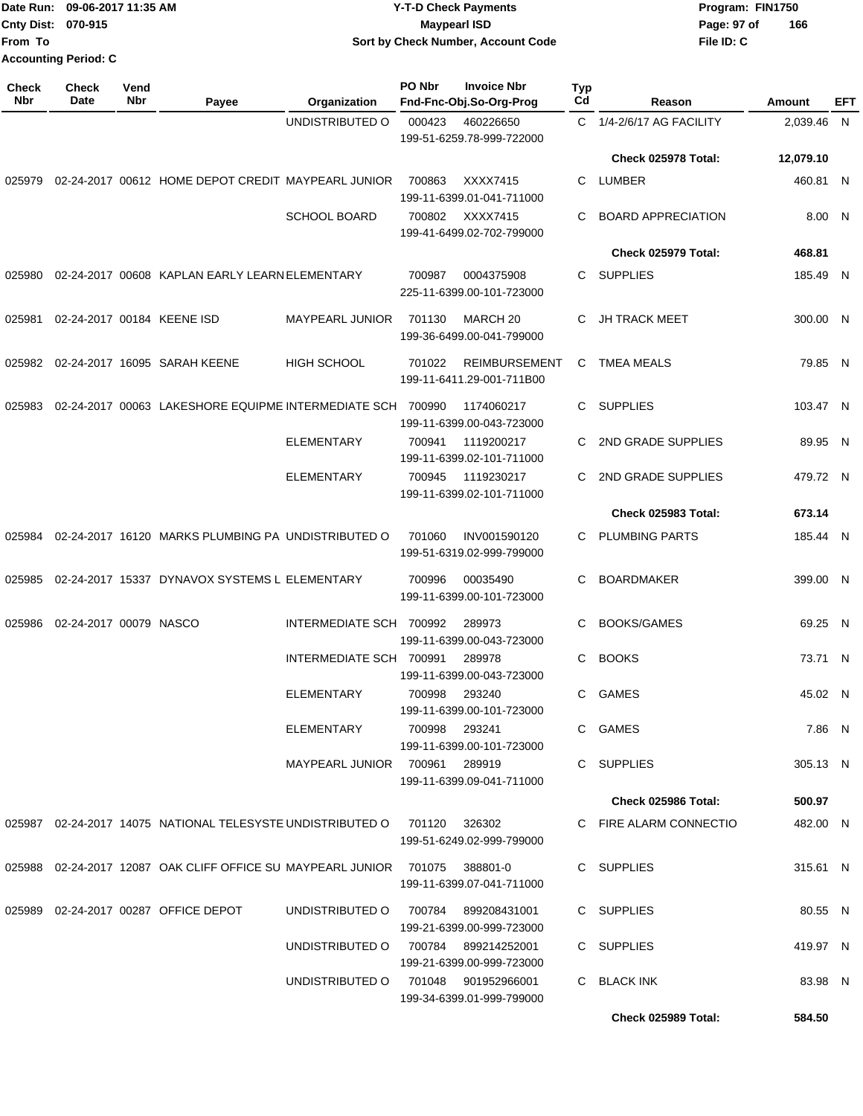|                             | Date Run: 09-06-2017 11:35 AM | <b>Y-T-D Check Payments</b>        | Program: FIN1750   |  |  |  |
|-----------------------------|-------------------------------|------------------------------------|--------------------|--|--|--|
| <b>Cnty Dist: 070-915</b>   |                               | <b>Mavpearl ISD</b>                | 166<br>Page: 97 of |  |  |  |
| <b>From To</b>              |                               | Sort by Check Number, Account Code | File ID: C         |  |  |  |
| <b>Accounting Period: C</b> |                               |                                    |                    |  |  |  |

| Check<br><b>Nbr</b> | <b>Check</b><br>Date   | Vend<br>Nbr | Payee                                                                       | Organization                  | PO Nbr | <b>Invoice Nbr</b><br>Fnd-Fnc-Obj.So-Org-Prog     | <b>Typ</b><br>Cd | Reason                    | Amount     | EFT |
|---------------------|------------------------|-------------|-----------------------------------------------------------------------------|-------------------------------|--------|---------------------------------------------------|------------------|---------------------------|------------|-----|
|                     |                        |             |                                                                             | UNDISTRIBUTED O               | 000423 | 460226650<br>199-51-6259.78-999-722000            |                  | C 1/4-2/6/17 AG FACILITY  | 2,039.46 N |     |
|                     |                        |             |                                                                             |                               |        |                                                   |                  | Check 025978 Total:       | 12,079.10  |     |
| 025979              |                        |             | 02-24-2017 00612 HOME DEPOT CREDIT MAYPEARL JUNIOR                          |                               | 700863 | XXXX7415<br>199-11-6399.01-041-711000             | C                | <b>LUMBER</b>             | 460.81 N   |     |
|                     |                        |             |                                                                             | <b>SCHOOL BOARD</b>           |        | 700802 XXXX7415<br>199-41-6499.02-702-799000      | C                | <b>BOARD APPRECIATION</b> | 8.00 N     |     |
|                     |                        |             |                                                                             |                               |        |                                                   |                  | Check 025979 Total:       | 468.81     |     |
| 025980              |                        |             | 02-24-2017 00608 KAPLAN EARLY LEARN ELEMENTARY                              |                               | 700987 | 0004375908<br>225-11-6399.00-101-723000           |                  | C SUPPLIES                | 185.49 N   |     |
| 025981              |                        |             | 02-24-2017 00184 KEENE ISD                                                  | <b>MAYPEARL JUNIOR</b>        | 701130 | MARCH 20<br>199-36-6499.00-041-799000             | C.               | JH TRACK MEET             | 300.00 N   |     |
| 025982              |                        |             | 02-24-2017 16095 SARAH KEENE                                                | <b>HIGH SCHOOL</b>            | 701022 | <b>REIMBURSEMENT</b><br>199-11-6411.29-001-711B00 | C.               | <b>TMEA MEALS</b>         | 79.85 N    |     |
| 025983              |                        |             | 02-24-2017 00063 LAKESHORE EQUIPME INTERMEDIATE SCH 700990                  |                               |        | 1174060217<br>199-11-6399.00-043-723000           | C.               | <b>SUPPLIES</b>           | 103.47 N   |     |
|                     |                        |             |                                                                             | <b>ELEMENTARY</b>             | 700941 | 1119200217<br>199-11-6399.02-101-711000           | C                | 2ND GRADE SUPPLIES        | 89.95 N    |     |
|                     |                        |             |                                                                             | <b>ELEMENTARY</b>             | 700945 | 1119230217<br>199-11-6399.02-101-711000           | C.               | 2ND GRADE SUPPLIES        | 479.72 N   |     |
|                     |                        |             |                                                                             |                               |        |                                                   |                  | Check 025983 Total:       | 673.14     |     |
| 025984              |                        |             | 02-24-2017 16120 MARKS PLUMBING PA UNDISTRIBUTED O                          |                               | 701060 | INV001590120<br>199-51-6319.02-999-799000         | C.               | <b>PLUMBING PARTS</b>     | 185.44 N   |     |
| 025985              |                        |             | 02-24-2017 15337 DYNAVOX SYSTEMS L ELEMENTARY                               |                               | 700996 | 00035490<br>199-11-6399.00-101-723000             | C                | <b>BOARDMAKER</b>         | 399.00 N   |     |
| 025986              | 02-24-2017 00079 NASCO |             |                                                                             | INTERMEDIATE SCH 700992       |        | 289973<br>199-11-6399.00-043-723000               | C.               | <b>BOOKS/GAMES</b>        | 69.25 N    |     |
|                     |                        |             |                                                                             | INTERMEDIATE SCH 700991       |        | 289978<br>199-11-6399.00-043-723000               | C                | <b>BOOKS</b>              | 73.71 N    |     |
|                     |                        |             |                                                                             | <b>ELEMENTARY</b>             | 700998 | 293240<br>199-11-6399.00-101-723000               | C.               | <b>GAMES</b>              | 45.02 N    |     |
|                     |                        |             |                                                                             | ELEMENTARY                    | 700998 | 293241<br>199-11-6399.00-101-723000               |                  | C GAMES                   | 7.86 N     |     |
|                     |                        |             |                                                                             | MAYPEARL JUNIOR 700961 289919 |        | 199-11-6399.09-041-711000                         |                  | C SUPPLIES                | 305.13 N   |     |
|                     |                        |             |                                                                             |                               |        |                                                   |                  | Check 025986 Total:       | 500.97     |     |
|                     |                        |             | 025987 02-24-2017 14075 NATIONAL TELESYSTE UNDISTRIBUTED O                  |                               | 701120 | 326302<br>199-51-6249.02-999-799000               |                  | C FIRE ALARM CONNECTIO    | 482.00 N   |     |
|                     |                        |             | 025988 02-24-2017 12087 OAK CLIFF OFFICE SU MAYPEARL JUNIOR 701075 388801-0 |                               |        | 199-11-6399.07-041-711000                         |                  | C SUPPLIES                | 315.61 N   |     |
| 025989              |                        |             | 02-24-2017 00287 OFFICE DEPOT                                               | UNDISTRIBUTED O               | 700784 | 899208431001<br>199-21-6399.00-999-723000         |                  | C SUPPLIES                | 80.55 N    |     |
|                     |                        |             |                                                                             | UNDISTRIBUTED O               |        | 700784 899214252001<br>199-21-6399.00-999-723000  |                  | C SUPPLIES                | 419.97 N   |     |
|                     |                        |             |                                                                             | UNDISTRIBUTED O               |        | 701048 901952966001<br>199-34-6399.01-999-799000  |                  | C BLACK INK               | 83.98 N    |     |
|                     |                        |             |                                                                             |                               |        |                                                   |                  | Check 025989 Total:       | 584.50     |     |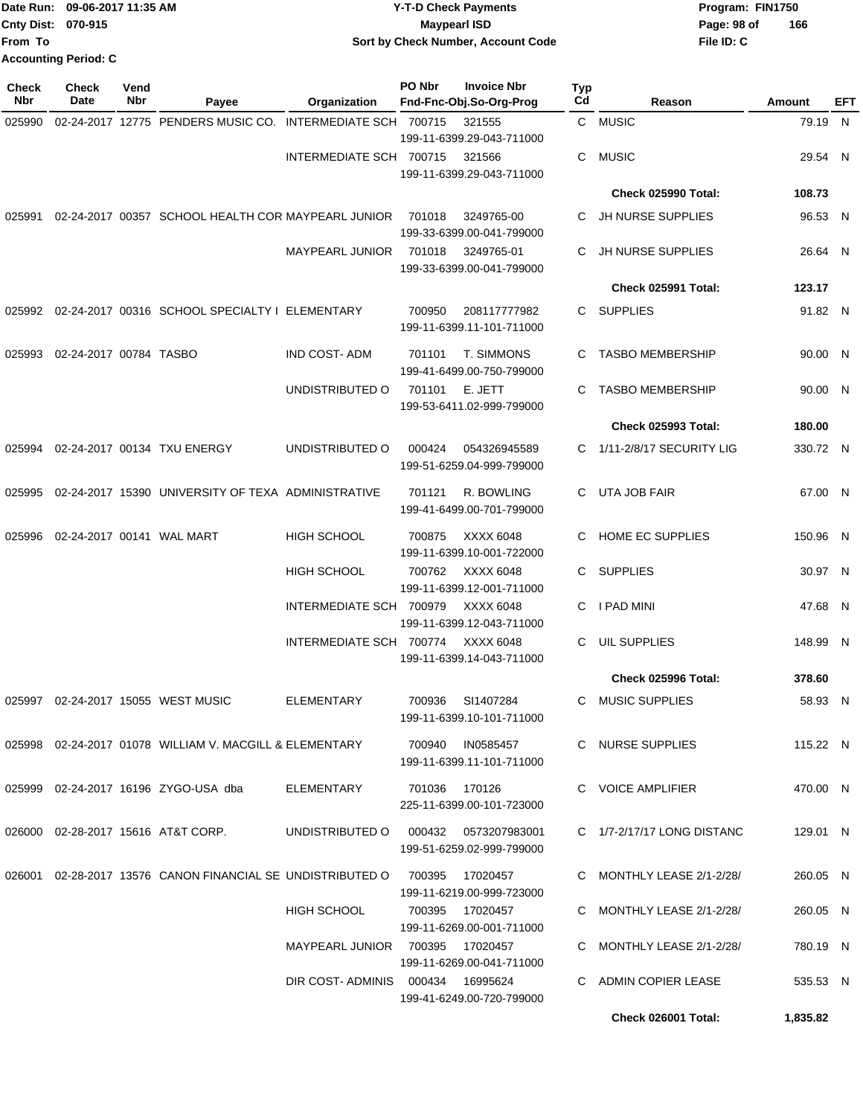|                             | Date Run: 09-06-2017 11:35 AM | Y-T-D Check Payments               | Program: FIN1750   |
|-----------------------------|-------------------------------|------------------------------------|--------------------|
| <b>Cnty Dist: 070-915</b>   |                               | Mavpearl ISD                       | 166<br>Page: 98 of |
| lFrom To                    |                               | Sort by Check Number, Account Code | File ID: C         |
| <b>Accounting Period: C</b> |                               |                                    |                    |

| <b>Check</b><br><b>Nbr</b> | <b>Check</b><br>Date   | Vend<br>Nbr | Payee                                                      | Organization                     | PO Nbr          | <b>Invoice Nbr</b><br>Fnd-Fnc-Obj.So-Org-Prog | Typ<br>Cd | Reason                     | Amount   | EFT |
|----------------------------|------------------------|-------------|------------------------------------------------------------|----------------------------------|-----------------|-----------------------------------------------|-----------|----------------------------|----------|-----|
| 025990                     |                        |             | 02-24-2017 12775 PENDERS MUSIC CO. INTERMEDIATE SCH 700715 |                                  |                 | 321555<br>199-11-6399.29-043-711000           |           | C MUSIC                    | 79.19 N  |     |
|                            |                        |             |                                                            | INTERMEDIATE SCH 700715          |                 | 321566<br>199-11-6399.29-043-711000           | C         | <b>MUSIC</b>               | 29.54 N  |     |
|                            |                        |             |                                                            |                                  |                 |                                               |           | Check 025990 Total:        | 108.73   |     |
| 025991                     |                        |             | 02-24-2017 00357 SCHOOL HEALTH COR MAYPEARL JUNIOR         |                                  | 701018          | 3249765-00<br>199-33-6399.00-041-799000       |           | C JH NURSE SUPPLIES        | 96.53 N  |     |
|                            |                        |             |                                                            | <b>MAYPEARL JUNIOR</b>           | 701018          | 3249765-01<br>199-33-6399.00-041-799000       | C         | JH NURSE SUPPLIES          | 26.64 N  |     |
|                            |                        |             |                                                            |                                  |                 |                                               |           | Check 025991 Total:        | 123.17   |     |
| 025992                     |                        |             | 02-24-2017 00316 SCHOOL SPECIALTY I ELEMENTARY             |                                  | 700950          | 208117777982<br>199-11-6399.11-101-711000     |           | C SUPPLIES                 | 91.82 N  |     |
| 025993                     | 02-24-2017 00784 TASBO |             |                                                            | <b>IND COST-ADM</b>              | 701101          | T. SIMMONS<br>199-41-6499.00-750-799000       | C         | <b>TASBO MEMBERSHIP</b>    | 90.00 N  |     |
|                            |                        |             |                                                            | UNDISTRIBUTED O                  | 701101          | E. JETT<br>199-53-6411.02-999-799000          | C         | <b>TASBO MEMBERSHIP</b>    | 90.00 N  |     |
|                            |                        |             |                                                            |                                  |                 |                                               |           | <b>Check 025993 Total:</b> | 180.00   |     |
| 025994                     |                        |             | 02-24-2017 00134 TXU ENERGY                                | UNDISTRIBUTED O                  | 000424          | 054326945589<br>199-51-6259.04-999-799000     | C.        | 1/11-2/8/17 SECURITY LIG   | 330.72 N |     |
| 025995                     |                        |             | 02-24-2017 15390 UNIVERSITY OF TEXA ADMINISTRATIVE         |                                  | 701121          | R. BOWLING<br>199-41-6499.00-701-799000       | C         | UTA JOB FAIR               | 67.00 N  |     |
| 025996                     |                        |             | 02-24-2017 00141 WAL MART                                  | <b>HIGH SCHOOL</b>               | 700875          | XXXX 6048<br>199-11-6399.10-001-722000        | C         | HOME EC SUPPLIES           | 150.96 N |     |
|                            |                        |             |                                                            | <b>HIGH SCHOOL</b>               | 700762          | XXXX 6048<br>199-11-6399.12-001-711000        | C         | <b>SUPPLIES</b>            | 30.97 N  |     |
|                            |                        |             |                                                            | INTERMEDIATE SCH 700979          |                 | XXXX 6048<br>199-11-6399.12-043-711000        | C         | I PAD MINI                 | 47.68 N  |     |
|                            |                        |             |                                                            | INTERMEDIATE SCH 700774          |                 | XXXX 6048<br>199-11-6399.14-043-711000        | C.        | <b>UIL SUPPLIES</b>        | 148.99 N |     |
|                            |                        |             |                                                            |                                  |                 |                                               |           | Check 025996 Total:        | 378.60   |     |
| 025997                     |                        |             | 02-24-2017 15055 WEST MUSIC                                | ELEMENTARY                       | 700936          | SI1407284<br>199-11-6399.10-101-711000        | C.        | <b>MUSIC SUPPLIES</b>      | 58.93 N  |     |
|                            |                        |             | 025998 02-24-2017 01078 WILLIAM V. MACGILL & ELEMENTARY    |                                  | 700940          | IN0585457<br>199-11-6399.11-101-711000        |           | C NURSE SUPPLIES           | 115.22 N |     |
|                            |                        |             | 025999 02-24-2017 16196 ZYGO-USA dba                       | ELEMENTARY                       | 701036 170126   | 225-11-6399.00-101-723000                     |           | C VOICE AMPLIFIER          | 470.00 N |     |
| 026000                     |                        |             | 02-28-2017 15616 AT&T CORP.                                | UNDISTRIBUTED O                  | 000432          | 0573207983001<br>199-51-6259.02-999-799000    |           | C 1/7-2/17/17 LONG DISTANC | 129.01 N |     |
| 026001                     |                        |             | 02-28-2017 13576 CANON FINANCIAL SE UNDISTRIBUTED O        |                                  | 700395          | 17020457<br>199-11-6219.00-999-723000         |           | C MONTHLY LEASE 2/1-2/28/  | 260.05 N |     |
|                            |                        |             |                                                            | HIGH SCHOOL                      | 700395 17020457 | 199-11-6269.00-001-711000                     |           | C MONTHLY LEASE 2/1-2/28/  | 260.05 N |     |
|                            |                        |             |                                                            | MAYPEARL JUNIOR 700395           |                 | 17020457<br>199-11-6269.00-041-711000         |           | C MONTHLY LEASE 2/1-2/28/  | 780.19 N |     |
|                            |                        |             |                                                            | DIR COST-ADMINIS 000434 16995624 |                 | 199-41-6249.00-720-799000                     | C.        | ADMIN COPIER LEASE         | 535.53 N |     |
|                            |                        |             |                                                            |                                  |                 |                                               |           | Check 026001 Total:        | 1,835.82 |     |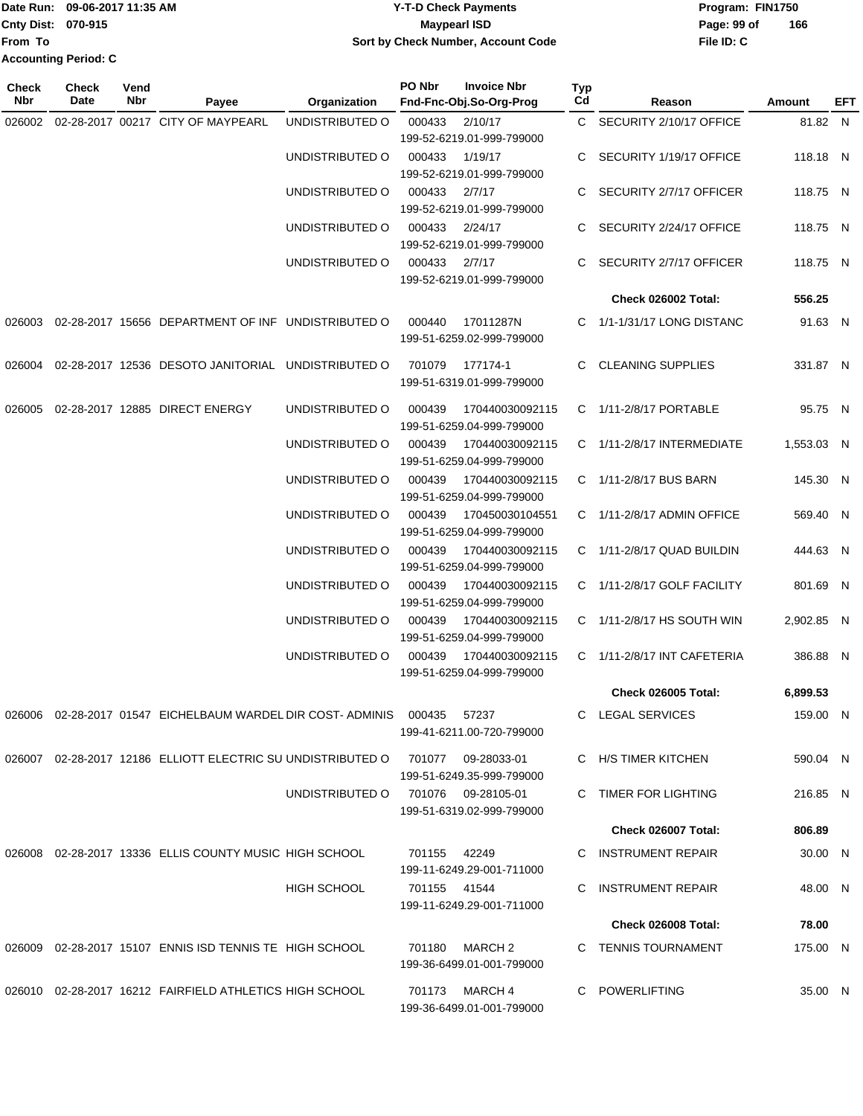# Date Run: 09-06-2017 11:35 AM **CONTEX 100 CONTEX 12 T-D** Check Payments **CONTEX 12 T-D Check Payments** Program: FIN1750 **Cnty Dist:** 070-915 **Page: 99 of MaypearI ISD Page: 99 of 09-06-2017 11:35 AM Y-T-D Check Payments 070-915 Maypearl ISD Sort by Check Number, Account Code**

| Check<br>Nbr | <b>Check</b><br>Date | Vend<br>Nbr | Payee                                                                  | Organization       | PO Nbr       | <b>Invoice Nbr</b><br>Fnd-Fnc-Obj.So-Org-Prog   | <b>Typ</b><br>Cd | Reason                      | Amount     | EFT |
|--------------|----------------------|-------------|------------------------------------------------------------------------|--------------------|--------------|-------------------------------------------------|------------------|-----------------------------|------------|-----|
| 026002       |                      |             | 02-28-2017 00217 CITY OF MAYPEARL                                      | UNDISTRIBUTED O    | 000433       | 2/10/17<br>199-52-6219.01-999-799000            |                  | C SECURITY 2/10/17 OFFICE   | 81.82 N    |     |
|              |                      |             |                                                                        | UNDISTRIBUTED O    | 000433       | 1/19/17<br>199-52-6219.01-999-799000            |                  | C SECURITY 1/19/17 OFFICE   | 118.18 N   |     |
|              |                      |             |                                                                        | UNDISTRIBUTED O    | 000433       | 2/7/17<br>199-52-6219.01-999-799000             |                  | C SECURITY 2/7/17 OFFICER   | 118.75 N   |     |
|              |                      |             |                                                                        | UNDISTRIBUTED O    | 000433       | 2/24/17<br>199-52-6219.01-999-799000            |                  | C SECURITY 2/24/17 OFFICE   | 118.75 N   |     |
|              |                      |             |                                                                        | UNDISTRIBUTED O    | 000433       | 2/7/17<br>199-52-6219.01-999-799000             |                  | C SECURITY 2/7/17 OFFICER   | 118.75 N   |     |
|              |                      |             |                                                                        |                    |              |                                                 |                  | Check 026002 Total:         | 556.25     |     |
|              |                      |             | 026003 02-28-2017 15656 DEPARTMENT OF INF UNDISTRIBUTED O              |                    | 000440       | 17011287N<br>199-51-6259.02-999-799000          |                  | C 1/1-1/31/17 LONG DISTANC  | 91.63 N    |     |
| 026004       |                      |             | 02-28-2017 12536 DESOTO JANITORIAL UNDISTRIBUTED O                     |                    | 701079       | 177174-1<br>199-51-6319.01-999-799000           |                  | C CLEANING SUPPLIES         | 331.87 N   |     |
| 026005       |                      |             | 02-28-2017 12885 DIRECT ENERGY                                         | UNDISTRIBUTED O    | 000439       | 170440030092115<br>199-51-6259.04-999-799000    |                  | C 1/11-2/8/17 PORTABLE      | 95.75 N    |     |
|              |                      |             |                                                                        | UNDISTRIBUTED O    | 000439       | 170440030092115<br>199-51-6259.04-999-799000    |                  | C 1/11-2/8/17 INTERMEDIATE  | 1,553.03 N |     |
|              |                      |             |                                                                        | UNDISTRIBUTED O    | 000439       | 170440030092115<br>199-51-6259.04-999-799000    |                  | C 1/11-2/8/17 BUS BARN      | 145.30 N   |     |
|              |                      |             |                                                                        | UNDISTRIBUTED O    | 000439       | 170450030104551<br>199-51-6259.04-999-799000    |                  | C 1/11-2/8/17 ADMIN OFFICE  | 569.40 N   |     |
|              |                      |             |                                                                        | UNDISTRIBUTED O    | 000439       | 170440030092115<br>199-51-6259.04-999-799000    |                  | C 1/11-2/8/17 QUAD BUILDIN  | 444.63 N   |     |
|              |                      |             |                                                                        | UNDISTRIBUTED O    | 000439       | 170440030092115<br>199-51-6259.04-999-799000    |                  | C 1/11-2/8/17 GOLF FACILITY | 801.69 N   |     |
|              |                      |             |                                                                        | UNDISTRIBUTED O    | 000439       | 170440030092115<br>199-51-6259.04-999-799000    |                  | C 1/11-2/8/17 HS SOUTH WIN  | 2,902.85 N |     |
|              |                      |             |                                                                        | UNDISTRIBUTED O    | 000439       | 170440030092115<br>199-51-6259.04-999-799000    |                  | C 1/11-2/8/17 INT CAFETERIA | 386.88 N   |     |
|              |                      |             |                                                                        |                    |              |                                                 |                  | <b>Check 026005 Total:</b>  | 6,899.53   |     |
|              |                      |             | 026006  02-28-2017  01547  EICHELBAUM WARDEL DIR COST- ADMINIS  000435 |                    |              | 57237<br>199-41-6211.00-720-799000              |                  | C LEGAL SERVICES            | 159.00 N   |     |
|              |                      |             | 026007 02-28-2017 12186 ELLIOTT ELECTRIC SU UNDISTRIBUTED O            |                    |              | 701077 09-28033-01<br>199-51-6249.35-999-799000 |                  | C H/S TIMER KITCHEN         | 590.04 N   |     |
|              |                      |             |                                                                        | UNDISTRIBUTED O    |              | 701076 09-28105-01<br>199-51-6319.02-999-799000 |                  | C TIMER FOR LIGHTING        | 216.85 N   |     |
|              |                      |             |                                                                        |                    |              |                                                 |                  | Check 026007 Total:         | 806.89     |     |
| 026008       |                      |             | 02-28-2017 13336 ELLIS COUNTY MUSIC HIGH SCHOOL                        |                    | 701155       | 42249<br>199-11-6249.29-001-711000              | C.               | INSTRUMENT REPAIR           | 30.00 N    |     |
|              |                      |             |                                                                        | <b>HIGH SCHOOL</b> | 701155 41544 | 199-11-6249.29-001-711000                       | C.               | <b>INSTRUMENT REPAIR</b>    | 48.00 N    |     |
|              |                      |             |                                                                        |                    |              |                                                 |                  | Check 026008 Total:         | 78.00      |     |
| 026009       |                      |             | 02-28-2017 15107 ENNIS ISD TENNIS TE HIGH SCHOOL                       |                    | 701180       | MARCH 2<br>199-36-6499.01-001-799000            |                  | C TENNIS TOURNAMENT         | 175.00 N   |     |
|              |                      |             | 026010 02-28-2017 16212 FAIRFIELD ATHLETICS HIGH SCHOOL                |                    | 701173       | MARCH 4<br>199-36-6499.01-001-799000            | C.               | POWERLIFTING                | 35.00 N    |     |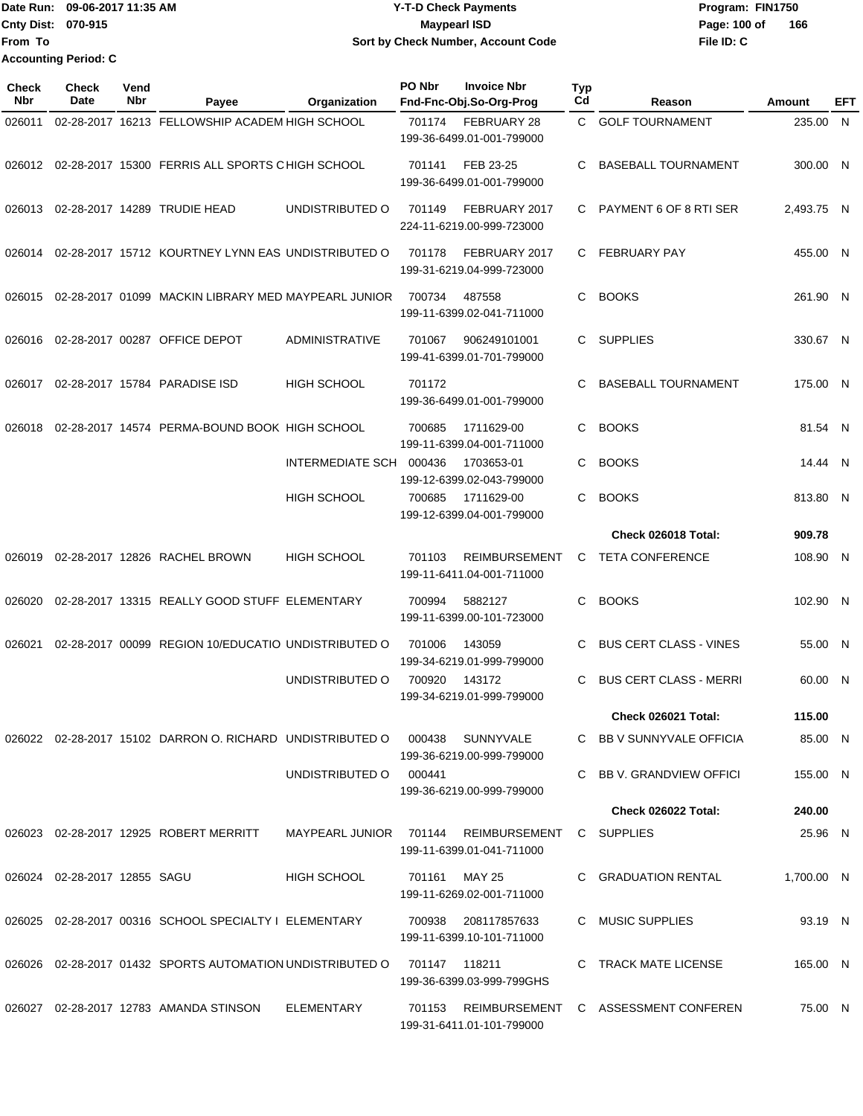|                           | IDate Run: 09-06-2017 11:35 AM | <b>Y-T-D Check Payments</b>        | Program: FIN1750    |
|---------------------------|--------------------------------|------------------------------------|---------------------|
| <b>Cnty Dist: 070-915</b> |                                | <b>Mavpearl ISD</b>                | 166<br>Page: 100 of |
| lFrom To                  |                                | Sort by Check Number, Account Code | File ID: C          |
|                           | <b>Accounting Period: C</b>    |                                    |                     |

| <b>Check</b><br><b>Nbr</b> | Check<br>Date                | Vend<br>Nbr | Payee                                                     | Organization            | PO Nbr        | <b>Invoice Nbr</b><br>Fnd-Fnc-Obj.So-Org-Prog     | <b>Typ</b><br>Cd | Reason                        | Amount     | EFT |
|----------------------------|------------------------------|-------------|-----------------------------------------------------------|-------------------------|---------------|---------------------------------------------------|------------------|-------------------------------|------------|-----|
| 026011                     |                              |             | 02-28-2017 16213 FELLOWSHIP ACADEM HIGH SCHOOL            |                         | 701174        | FEBRUARY 28<br>199-36-6499.01-001-799000          | C.               | <b>GOLF TOURNAMENT</b>        | 235.00 N   |     |
| 026012                     |                              |             | 02-28-2017 15300 FERRIS ALL SPORTS CHIGH SCHOOL           |                         | 701141        | FEB 23-25<br>199-36-6499.01-001-799000            | C                | <b>BASEBALL TOURNAMENT</b>    | 300.00 N   |     |
| 026013                     |                              |             | 02-28-2017 14289 TRUDIE HEAD                              | UNDISTRIBUTED O         | 701149        | FEBRUARY 2017<br>224-11-6219.00-999-723000        | C                | PAYMENT 6 OF 8 RTI SER        | 2,493.75 N |     |
| 026014                     |                              |             | 02-28-2017 15712 KOURTNEY LYNN EAS UNDISTRIBUTED O        |                         | 701178        | FEBRUARY 2017<br>199-31-6219.04-999-723000        | C                | <b>FEBRUARY PAY</b>           | 455.00 N   |     |
| 026015                     |                              |             | 02-28-2017 01099 MACKIN LIBRARY MED MAYPEARL JUNIOR       |                         | 700734        | 487558<br>199-11-6399.02-041-711000               | C.               | <b>BOOKS</b>                  | 261.90 N   |     |
| 026016                     |                              |             | 02-28-2017 00287 OFFICE DEPOT                             | <b>ADMINISTRATIVE</b>   | 701067        | 906249101001<br>199-41-6399.01-701-799000         | C.               | <b>SUPPLIES</b>               | 330.67 N   |     |
| 026017                     |                              |             | 02-28-2017 15784 PARADISE ISD                             | <b>HIGH SCHOOL</b>      | 701172        | 199-36-6499.01-001-799000                         | C                | <b>BASEBALL TOURNAMENT</b>    | 175.00 N   |     |
| 026018                     |                              |             | 02-28-2017 14574 PERMA-BOUND BOOK HIGH SCHOOL             |                         | 700685        | 1711629-00<br>199-11-6399.04-001-711000           | C                | <b>BOOKS</b>                  | 81.54 N    |     |
|                            |                              |             |                                                           | <b>INTERMEDIATE SCH</b> | 000436        | 1703653-01<br>199-12-6399.02-043-799000           | C                | <b>BOOKS</b>                  | 14.44 N    |     |
|                            |                              |             |                                                           | <b>HIGH SCHOOL</b>      | 700685        | 1711629-00<br>199-12-6399.04-001-799000           | C                | <b>BOOKS</b>                  | 813.80 N   |     |
|                            |                              |             |                                                           |                         |               |                                                   |                  | <b>Check 026018 Total:</b>    | 909.78     |     |
| 026019                     |                              |             | 02-28-2017 12826 RACHEL BROWN                             | <b>HIGH SCHOOL</b>      | 701103        | <b>REIMBURSEMENT</b><br>199-11-6411.04-001-711000 | C                | <b>TETA CONFERENCE</b>        | 108.90 N   |     |
| 026020                     |                              |             | 02-28-2017 13315 REALLY GOOD STUFF ELEMENTARY             |                         | 700994        | 5882127<br>199-11-6399.00-101-723000              | C                | <b>BOOKS</b>                  | 102.90 N   |     |
| 026021                     |                              |             | 02-28-2017 00099 REGION 10/EDUCATIO UNDISTRIBUTED O       |                         | 701006        | 143059<br>199-34-6219.01-999-799000               | C                | <b>BUS CERT CLASS - VINES</b> | 55.00 N    |     |
|                            |                              |             |                                                           | UNDISTRIBUTED O         | 700920        | 143172<br>199-34-6219.01-999-799000               | C                | <b>BUS CERT CLASS - MERRI</b> | 60.00 N    |     |
|                            |                              |             |                                                           |                         |               |                                                   |                  | Check 026021 Total:           | 115.00     |     |
|                            |                              |             | 026022 02-28-2017 15102 DARRON O. RICHARD UNDISTRIBUTED O |                         | 000438        | SUNNYVALE<br>199-36-6219.00-999-799000            |                  | C BB V SUNNYVALE OFFICIA      | 85.00 N    |     |
|                            |                              |             |                                                           | UNDISTRIBUTED O         | 000441        | 199-36-6219.00-999-799000                         | C                | BB V. GRANDVIEW OFFICI        | 155.00 N   |     |
|                            |                              |             |                                                           |                         |               |                                                   |                  | Check 026022 Total:           | 240.00     |     |
|                            |                              |             | 026023 02-28-2017 12925 ROBERT MERRITT                    | MAYPEARL JUNIOR         | 701144        | REIMBURSEMENT<br>199-11-6399.01-041-711000        |                  | C SUPPLIES                    | 25.96 N    |     |
|                            | 026024 02-28-2017 12855 SAGU |             |                                                           | HIGH SCHOOL             | 701161        | <b>MAY 25</b><br>199-11-6269.02-001-711000        |                  | C GRADUATION RENTAL           | 1,700.00 N |     |
|                            |                              |             | 026025 02-28-2017 00316 SCHOOL SPECIALTY I ELEMENTARY     |                         | 700938        | 208117857633<br>199-11-6399.10-101-711000         |                  | C MUSIC SUPPLIES              | 93.19 N    |     |
|                            |                              |             | 026026 02-28-2017 01432 SPORTS AUTOMATION UNDISTRIBUTED O |                         | 701147 118211 | 199-36-6399.03-999-799GHS                         |                  | C TRACK MATE LICENSE          | 165.00 N   |     |
|                            |                              |             | 026027 02-28-2017 12783 AMANDA STINSON                    | ELEMENTARY              | 701153        | REIMBURSEMENT<br>199-31-6411.01-101-799000        |                  | C ASSESSMENT CONFEREN         | 75.00 N    |     |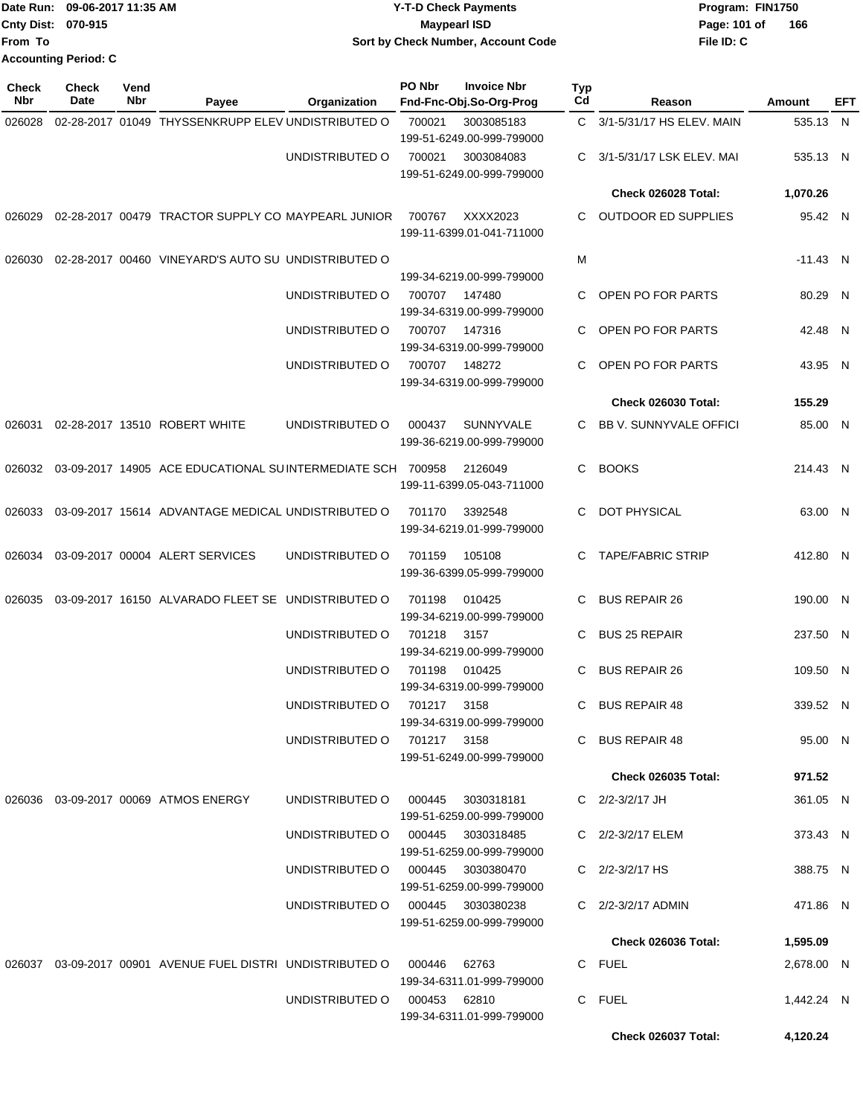|                     | Date Run: 09-06-2017 11:35 AM |             |                                                                         |                                   |                                    | <b>Y-T-D Check Payments</b>                   | Program: FIN1750 |                               |            |     |  |
|---------------------|-------------------------------|-------------|-------------------------------------------------------------------------|-----------------------------------|------------------------------------|-----------------------------------------------|------------------|-------------------------------|------------|-----|--|
|                     | Cnty Dist: 070-915            |             |                                                                         |                                   | <b>Maypearl ISD</b>                |                                               |                  | Page: 101 of<br>166           |            |     |  |
| From To             |                               |             |                                                                         |                                   | Sort by Check Number, Account Code |                                               |                  | File ID: C                    |            |     |  |
|                     | <b>Accounting Period: C</b>   |             |                                                                         |                                   |                                    |                                               |                  |                               |            |     |  |
| Check<br><b>Nbr</b> | <b>Check</b><br>Date          | Vend<br>Nbr | Payee                                                                   | Organization                      | <b>PO Nbr</b>                      | <b>Invoice Nbr</b><br>Fnd-Fnc-Obj.So-Org-Prog | <b>Typ</b><br>Cd | Reason                        | Amount     | EFT |  |
| 026028              |                               |             | 02-28-2017 01049 THYSSENKRUPP ELEV UNDISTRIBUTED O                      |                                   | 700021                             | 3003085183<br>199-51-6249.00-999-799000       | C.               | 3/1-5/31/17 HS ELEV. MAIN     | 535.13 N   |     |  |
|                     |                               |             |                                                                         | UNDISTRIBUTED O                   | 700021                             | 3003084083<br>199-51-6249.00-999-799000       | C                | 3/1-5/31/17 LSK ELEV. MAI     | 535.13 N   |     |  |
|                     |                               |             |                                                                         |                                   |                                    |                                               |                  | <b>Check 026028 Total:</b>    | 1,070.26   |     |  |
| 026029              |                               |             | 02-28-2017 00479 TRACTOR SUPPLY CO MAYPEARL JUNIOR                      |                                   | 700767                             | XXXX2023<br>199-11-6399.01-041-711000         | C                | <b>OUTDOOR ED SUPPLIES</b>    | 95.42 N    |     |  |
| 026030              |                               |             | 02-28-2017 00460 VINEYARD'S AUTO SU UNDISTRIBUTED O                     |                                   |                                    |                                               | М                |                               | $-11.43$ N |     |  |
|                     |                               |             |                                                                         |                                   |                                    | 199-34-6219.00-999-799000                     |                  |                               |            |     |  |
|                     |                               |             |                                                                         | UNDISTRIBUTED O                   | 700707                             | 147480<br>199-34-6319.00-999-799000           | C.               | OPEN PO FOR PARTS             | 80.29      | N   |  |
|                     |                               |             |                                                                         | UNDISTRIBUTED O                   | 700707                             | 147316<br>199-34-6319.00-999-799000           | C                | OPEN PO FOR PARTS             | 42.48 N    |     |  |
|                     |                               |             |                                                                         | UNDISTRIBUTED O                   | 700707                             | 148272<br>199-34-6319.00-999-799000           | C                | OPEN PO FOR PARTS             | 43.95 N    |     |  |
|                     |                               |             |                                                                         |                                   |                                    |                                               |                  | Check 026030 Total:           | 155.29     |     |  |
| 026031              |                               |             | 02-28-2017 13510 ROBERT WHITE                                           | UNDISTRIBUTED O                   | 000437                             | <b>SUNNYVALE</b><br>199-36-6219.00-999-799000 | C                | <b>BB V. SUNNYVALE OFFICI</b> | 85.00 N    |     |  |
| 026032              |                               |             | 03-09-2017 14905 ACE EDUCATIONAL SUINTERMEDIATE SCH 700958              |                                   |                                    | 2126049<br>199-11-6399.05-043-711000          | C                | <b>BOOKS</b>                  | 214.43 N   |     |  |
| 026033              |                               |             | 03-09-2017 15614 ADVANTAGE MEDICAL UNDISTRIBUTED O                      |                                   | 701170                             | 3392548<br>199-34-6219.01-999-799000          | C                | <b>DOT PHYSICAL</b>           | 63.00 N    |     |  |
| 026034              |                               |             | 03-09-2017 00004 ALERT SERVICES                                         | UNDISTRIBUTED O                   | 701159                             | 105108<br>199-36-6399.05-999-799000           | C                | <b>TAPE/FABRIC STRIP</b>      | 412.80 N   |     |  |
|                     |                               |             | 026035 03-09-2017 16150 ALVARADO FLEET SE UNDISTRIBUTED O 701198 010425 |                                   |                                    | 199-34-6219.00-999-799000                     |                  | C BUS REPAIR 26               | 190.00 N   |     |  |
|                     |                               |             |                                                                         | UNDISTRIBUTED O                   | 701218  3157                       | 199-34-6219.00-999-799000                     |                  | C BUS 25 REPAIR               | 237.50 N   |     |  |
|                     |                               |             |                                                                         | UNDISTRIBUTED O 701198 010425     |                                    | 199-34-6319.00-999-799000                     |                  | C BUS REPAIR 26               | 109.50 N   |     |  |
|                     |                               |             |                                                                         | UNDISTRIBUTED 0 701217 3158       |                                    | 199-34-6319.00-999-799000                     |                  | C BUS REPAIR 48               | 339.52 N   |     |  |
|                     |                               |             |                                                                         | UNDISTRIBUTED O 701217 3158       |                                    | 199-51-6249.00-999-799000                     |                  | C BUS REPAIR 48               | 95.00 N    |     |  |
|                     |                               |             |                                                                         |                                   |                                    |                                               |                  | <b>Check 026035 Total:</b>    | 971.52     |     |  |
|                     |                               |             | 026036 03-09-2017 00069 ATMOS ENERGY                                    | UNDISTRIBUTED 0 000445 3030318181 |                                    | 199-51-6259.00-999-799000                     |                  | C $2/2 - 3/2/17$ JH           | 361.05 N   |     |  |
|                     |                               |             |                                                                         | UNDISTRIBUTED 0 000445 3030318485 |                                    | 199-51-6259.00-999-799000                     |                  | C 2/2-3/2/17 ELEM             | 373.43 N   |     |  |
|                     |                               |             |                                                                         | UNDISTRIBUTED 0 000445 3030380470 |                                    |                                               |                  | C 2/2-3/2/17 HS               | 388.75 N   |     |  |

199-51-6259.00-999-799000 UNDISTRIBUTED O 000445 3030380238 C 2/2-3/2/17 ADMIN 199-51-6259.00-999-799000 026037 03-09-2017 00901 AVENUE FUEL DISTRI UNDISTRIBUTED O 000446 62763 C FUEL 199-34-6311.01-999-799000 UNDISTRIBUTED O 000453 62810 C FUEL 199-34-6311.01-999-799000

**Check 026037 Total: 4,120.24**

**Check 026036 Total: 1,595.09**

471.86 N

2,678.00 N

1,442.24 N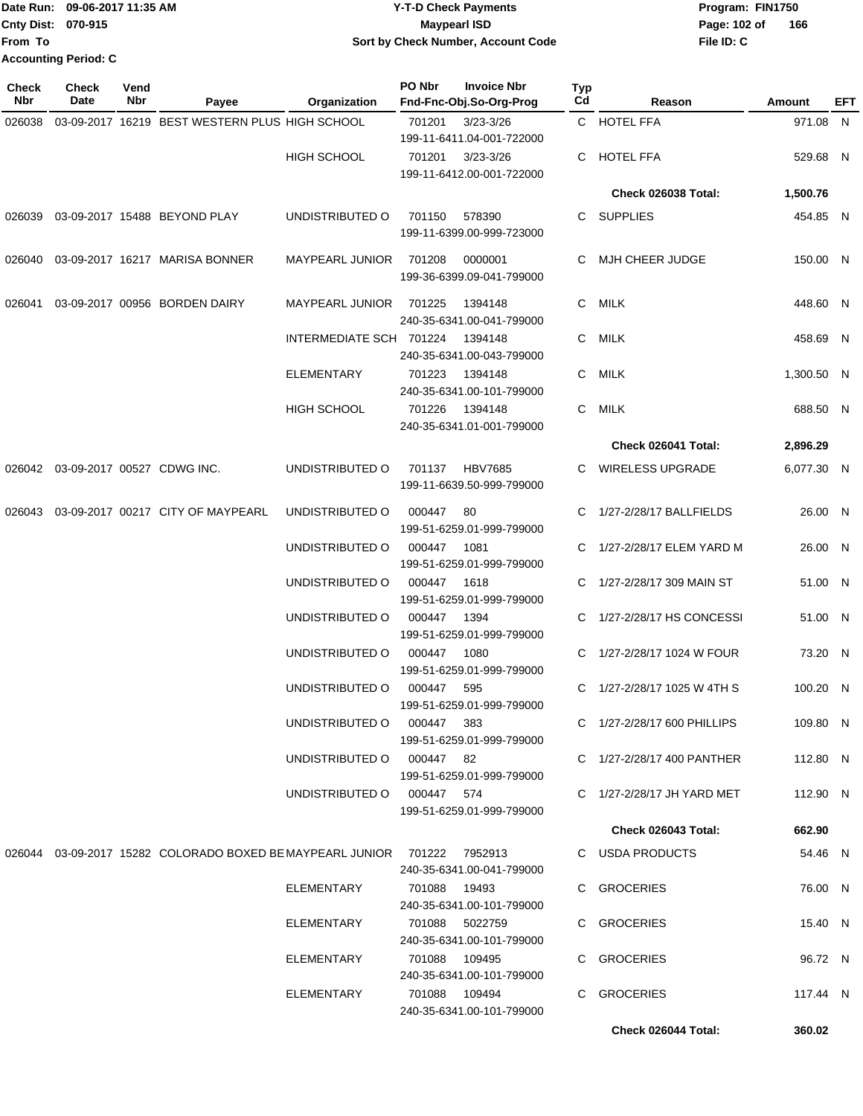|                             | Date Run: 09-06-2017 11:35 AM | <b>Y-T-D Check Payments</b>        | Program: FIN1750    |  |  |
|-----------------------------|-------------------------------|------------------------------------|---------------------|--|--|
| <b>Cnty Dist: 070-915</b>   |                               | Maypearl ISD                       | 166<br>Page: 102 of |  |  |
| lFrom To                    |                               | Sort by Check Number, Account Code | File ID: C          |  |  |
| <b>Accounting Period: C</b> |                               |                                    |                     |  |  |

| Check<br>Nbr | <b>Check</b><br>Date              | Vend<br>Nbr | Payee                                                                | Organization               | PO Nbr         | <b>Invoice Nbr</b><br>Fnd-Fnc-Obj.So-Org-Prog | Typ<br>Cd | Reason                      | Amount     | EFT |
|--------------|-----------------------------------|-------------|----------------------------------------------------------------------|----------------------------|----------------|-----------------------------------------------|-----------|-----------------------------|------------|-----|
| 026038       |                                   |             | 03-09-2017 16219 BEST WESTERN PLUS HIGH SCHOOL                       |                            | 701201         | $3/23 - 3/26$<br>199-11-6411.04-001-722000    |           | C HOTEL FFA                 | 971.08 N   |     |
|              |                                   |             |                                                                      | <b>HIGH SCHOOL</b>         | 701201         | $3/23 - 3/26$<br>199-11-6412.00-001-722000    | C.        | <b>HOTEL FFA</b>            | 529.68 N   |     |
|              |                                   |             |                                                                      |                            |                |                                               |           | Check 026038 Total:         | 1,500.76   |     |
| 026039       |                                   |             | 03-09-2017 15488 BEYOND PLAY                                         | UNDISTRIBUTED O            | 701150         | 578390<br>199-11-6399.00-999-723000           |           | C SUPPLIES                  | 454.85 N   |     |
| 026040       |                                   |             | 03-09-2017 16217 MARISA BONNER                                       | <b>MAYPEARL JUNIOR</b>     | 701208         | 0000001<br>199-36-6399.09-041-799000          | C.        | MJH CHEER JUDGE             | 150.00 N   |     |
| 026041       |                                   |             | 03-09-2017 00956 BORDEN DAIRY                                        | <b>MAYPEARL JUNIOR</b>     | 701225         | 1394148<br>240-35-6341.00-041-799000          | C.        | MILK                        | 448.60 N   |     |
|              |                                   |             |                                                                      | INTERMEDIATE SCH 701224    |                | 1394148<br>240-35-6341.00-043-799000          | C         | MILK                        | 458.69 N   |     |
|              |                                   |             |                                                                      | <b>ELEMENTARY</b>          | 701223         | 1394148<br>240-35-6341.00-101-799000          | C.        | MILK                        | 1,300.50 N |     |
|              |                                   |             |                                                                      | <b>HIGH SCHOOL</b>         | 701226         | 1394148<br>240-35-6341.01-001-799000          | C         | MILK                        | 688.50 N   |     |
|              |                                   |             |                                                                      |                            |                |                                               |           | Check 026041 Total:         | 2,896.29   |     |
|              | 026042 03-09-2017 00527 CDWG INC. |             |                                                                      | UNDISTRIBUTED O            | 701137         | <b>HBV7685</b><br>199-11-6639.50-999-799000   |           | C WIRELESS UPGRADE          | 6,077.30 N |     |
| 026043       |                                   |             | 03-09-2017 00217 CITY OF MAYPEARL                                    | UNDISTRIBUTED O            | 000447         | 80<br>199-51-6259.01-999-799000               |           | C 1/27-2/28/17 BALLFIELDS   | 26.00 N    |     |
|              |                                   |             |                                                                      | UNDISTRIBUTED O            | 000447         | 1081<br>199-51-6259.01-999-799000             |           | C 1/27-2/28/17 ELEM YARD M  | 26.00 N    |     |
|              |                                   |             |                                                                      | UNDISTRIBUTED O            | 000447         | 1618<br>199-51-6259.01-999-799000             |           | C 1/27-2/28/17 309 MAIN ST  | 51.00 N    |     |
|              |                                   |             |                                                                      | UNDISTRIBUTED O            | 000447         | 1394<br>199-51-6259.01-999-799000             | C.        | 1/27-2/28/17 HS CONCESSI    | 51.00 N    |     |
|              |                                   |             |                                                                      | UNDISTRIBUTED O            | 000447         | 1080<br>199-51-6259.01-999-799000             |           | C 1/27-2/28/17 1024 W FOUR  | 73.20 N    |     |
|              |                                   |             |                                                                      | UNDISTRIBUTED O            | 000447         | 595<br>199-51-6259.01-999-799000              |           | C 1/27-2/28/17 1025 W 4TH S | 100.20 N   |     |
|              |                                   |             |                                                                      | UNDISTRIBUTED O 000447 383 |                | 199-51-6259.01-999-799000                     |           | C 1/27-2/28/17 600 PHILLIPS | 109.80 N   |     |
|              |                                   |             |                                                                      | UNDISTRIBUTED O 000447 82  |                | 199-51-6259.01-999-799000                     |           | C 1/27-2/28/17 400 PANTHER  | 112.80 N   |     |
|              |                                   |             |                                                                      | UNDISTRIBUTED O 000447 574 |                | 199-51-6259.01-999-799000                     |           | C 1/27-2/28/17 JH YARD MET  | 112.90 N   |     |
|              |                                   |             |                                                                      |                            |                |                                               |           | <b>Check 026043 Total:</b>  | 662.90     |     |
|              |                                   |             | 026044  03-09-2017  15282  COLORADO BOXED BE MAYPEARL JUNIOR  701222 |                            |                | 7952913<br>240-35-6341.00-041-799000          |           | C USDA PRODUCTS             | 54.46 N    |     |
|              |                                   |             |                                                                      | ELEMENTARY                 | 701088 19493   | 240-35-6341.00-101-799000                     |           | C GROCERIES                 | 76.00 N    |     |
|              |                                   |             |                                                                      | ELEMENTARY                 | 701088 5022759 | 240-35-6341.00-101-799000                     |           | C GROCERIES                 | 15.40 N    |     |
|              |                                   |             |                                                                      | ELEMENTARY                 | 701088 109495  | 240-35-6341.00-101-799000                     |           | C GROCERIES                 | 96.72 N    |     |
|              |                                   |             |                                                                      | ELEMENTARY                 | 701088 109494  | 240-35-6341.00-101-799000                     |           | C GROCERIES                 | 117.44 N   |     |
|              |                                   |             |                                                                      |                            |                |                                               |           | Check 026044 Total:         | 360.02     |     |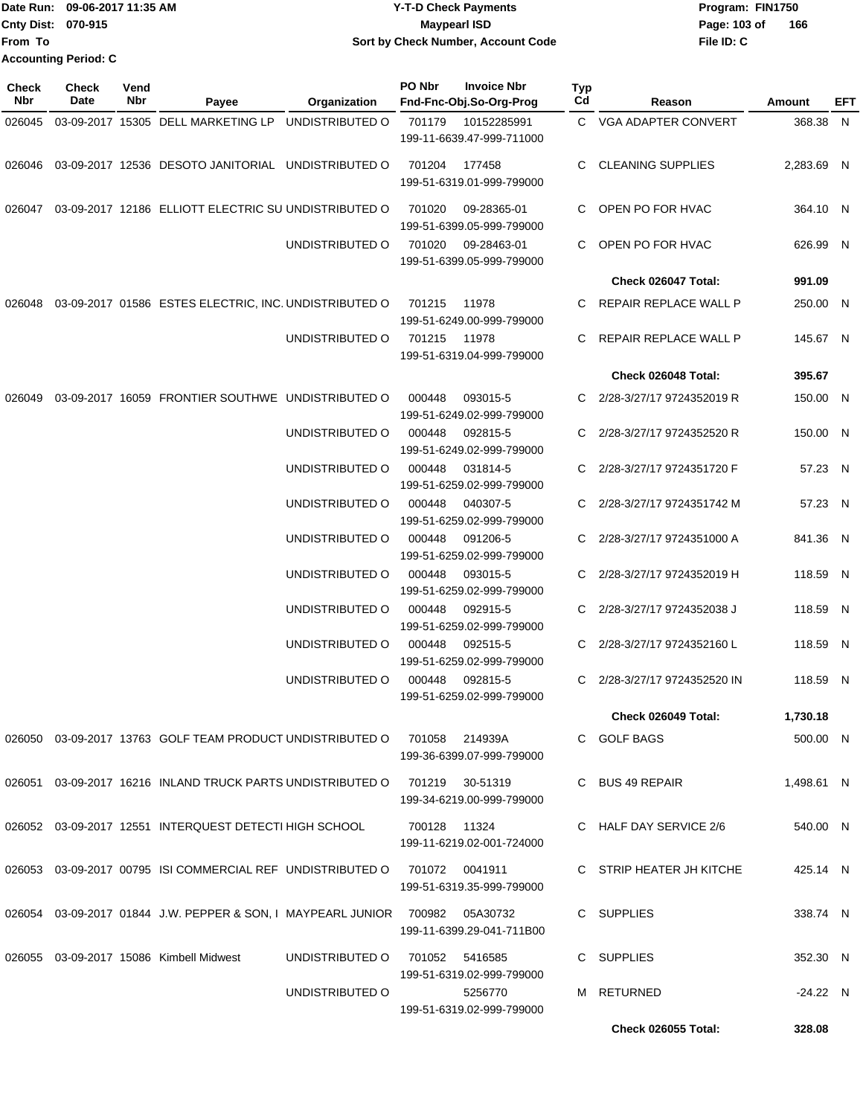Date Run: 09-06-2017 11:35 AM **CONTEX 100 CONTEX 12 T-D** Check Payments **CONTEX 12 T-D Check Payments** Program: FIN1750 **Cnty Dist:** 070-915 **Page:** 103 of **From To Y-T-D Check Payments 070-915 Maypearl ISD Sort by Check Number, Account Code Accounting Period: C**

| <b>Check</b><br>Nbr | Check<br>Date | Vend<br>Nbr | Payee                                                                        | Organization    | PO Nbr | <b>Invoice Nbr</b><br>Fnd-Fnc-Obj.So-Org-Prog                     | Typ<br>Cd | Reason                     | <b>Amount</b> | EFT |
|---------------------|---------------|-------------|------------------------------------------------------------------------------|-----------------|--------|-------------------------------------------------------------------|-----------|----------------------------|---------------|-----|
| 026045              |               |             | 03-09-2017 15305 DELL MARKETING LP                                           | UNDISTRIBUTED O | 701179 | 10152285991                                                       |           | C VGA ADAPTER CONVERT      | 368.38 N      |     |
|                     |               |             |                                                                              |                 |        | 199-11-6639.47-999-711000                                         |           |                            |               |     |
| 026046              |               |             | 03-09-2017 12536 DESOTO JANITORIAL UNDISTRIBUTED O                           |                 | 701204 | 177458<br>199-51-6319.01-999-799000                               | C.        | <b>CLEANING SUPPLIES</b>   | 2,283.69 N    |     |
| 026047              |               |             | 03-09-2017 12186 ELLIOTT ELECTRIC SU UNDISTRIBUTED O                         |                 | 701020 | 09-28365-01<br>199-51-6399.05-999-799000                          | C.        | OPEN PO FOR HVAC           | 364.10 N      |     |
|                     |               |             |                                                                              | UNDISTRIBUTED O | 701020 | 09-28463-01<br>199-51-6399.05-999-799000                          | C.        | OPEN PO FOR HVAC           | 626.99 N      |     |
|                     |               |             |                                                                              |                 |        |                                                                   |           | Check 026047 Total:        | 991.09        |     |
| 026048              |               |             | 03-09-2017 01586 ESTES ELECTRIC, INC. UNDISTRIBUTED O                        |                 | 701215 | 11978<br>199-51-6249.00-999-799000                                | C.        | REPAIR REPLACE WALL P      | 250.00 N      |     |
|                     |               |             |                                                                              | UNDISTRIBUTED O | 701215 | 11978<br>199-51-6319.04-999-799000                                | C.        | REPAIR REPLACE WALL P      | 145.67 N      |     |
|                     |               |             |                                                                              |                 |        |                                                                   |           | Check 026048 Total:        | 395.67        |     |
| 026049              |               |             | 03-09-2017 16059 FRONTIER SOUTHWE UNDISTRIBUTED O                            |                 | 000448 | 093015-5<br>199-51-6249.02-999-799000                             | C.        | 2/28-3/27/17 9724352019 R  | 150.00 N      |     |
|                     |               |             |                                                                              | UNDISTRIBUTED O | 000448 | 092815-5<br>199-51-6249.02-999-799000                             |           | 2/28-3/27/17 9724352520 R  | 150.00 N      |     |
|                     |               |             |                                                                              | UNDISTRIBUTED O | 000448 | 031814-5<br>199-51-6259.02-999-799000                             | C.        | 2/28-3/27/17 9724351720 F  | 57.23 N       |     |
|                     |               |             |                                                                              | UNDISTRIBUTED O | 000448 | 040307-5<br>199-51-6259.02-999-799000                             | C.        | 2/28-3/27/17 9724351742 M  | 57.23 N       |     |
|                     |               |             |                                                                              | UNDISTRIBUTED O | 000448 | 091206-5<br>199-51-6259.02-999-799000                             | C.        | 2/28-3/27/17 9724351000 A  | 841.36 N      |     |
|                     |               |             |                                                                              | UNDISTRIBUTED O | 000448 | 093015-5<br>199-51-6259.02-999-799000                             | C.        | 2/28-3/27/17 9724352019 H  | 118.59 N      |     |
|                     |               |             |                                                                              | UNDISTRIBUTED O | 000448 | 092915-5<br>199-51-6259.02-999-799000                             | C.        | 2/28-3/27/17 9724352038 J  | 118.59 N      |     |
|                     |               |             |                                                                              | UNDISTRIBUTED O | 000448 | 092515-5<br>199-51-6259.02-999-799000                             |           | 2/28-3/27/17 9724352160 L  | 118.59 N      |     |
|                     |               |             |                                                                              | UNDISTRIBUTED O | 000448 | 092815-5<br>199-51-6259.02-999-799000                             | C.        | 2/28-3/27/17 9724352520 IN | 118.59 N      |     |
|                     |               |             |                                                                              |                 |        |                                                                   |           | Check 026049 Total:        | 1,730.18      |     |
|                     |               |             | 026050 03-09-2017 13763 GOLF TEAM PRODUCT UNDISTRIBUTED O                    |                 | 701058 | 214939A<br>199-36-6399.07-999-799000                              |           | C GOLF BAGS                | 500.00 N      |     |
|                     |               |             | 026051 03-09-2017 16216 INLAND TRUCK PARTS UNDISTRIBUTED O                   |                 | 701219 | 30-51319<br>199-34-6219.00-999-799000                             |           | C BUS 49 REPAIR            | 1,498.61 N    |     |
|                     |               |             | 026052 03-09-2017 12551 INTERQUEST DETECTI HIGH SCHOOL                       |                 | 700128 | 11324<br>199-11-6219.02-001-724000                                |           | C HALF DAY SERVICE 2/6     | 540.00 N      |     |
|                     |               |             | 026053 03-09-2017 00795 ISI COMMERCIAL REF UNDISTRIBUTED O                   |                 |        | 701072 0041911<br>199-51-6319.35-999-799000                       |           | C STRIP HEATER JH KITCHE   | 425.14 N      |     |
|                     |               |             | 026054 03-09-2017 01844 J.W. PEPPER & SON, I MAYPEARL JUNIOR 700982 05A30732 |                 |        | 199-11-6399.29-041-711B00                                         |           | C SUPPLIES                 | 338.74 N      |     |
|                     |               |             | 026055 03-09-2017 15086 Kimbell Midwest                                      | UNDISTRIBUTED O |        | 701052 5416585                                                    |           | C SUPPLIES                 | 352.30 N      |     |
|                     |               |             |                                                                              | UNDISTRIBUTED O |        | 199-51-6319.02-999-799000<br>5256770<br>199-51-6319.02-999-799000 |           | M RETURNED                 | $-24.22 N$    |     |
|                     |               |             |                                                                              |                 |        |                                                                   |           | <b>Check 026055 Total:</b> | 328.08        |     |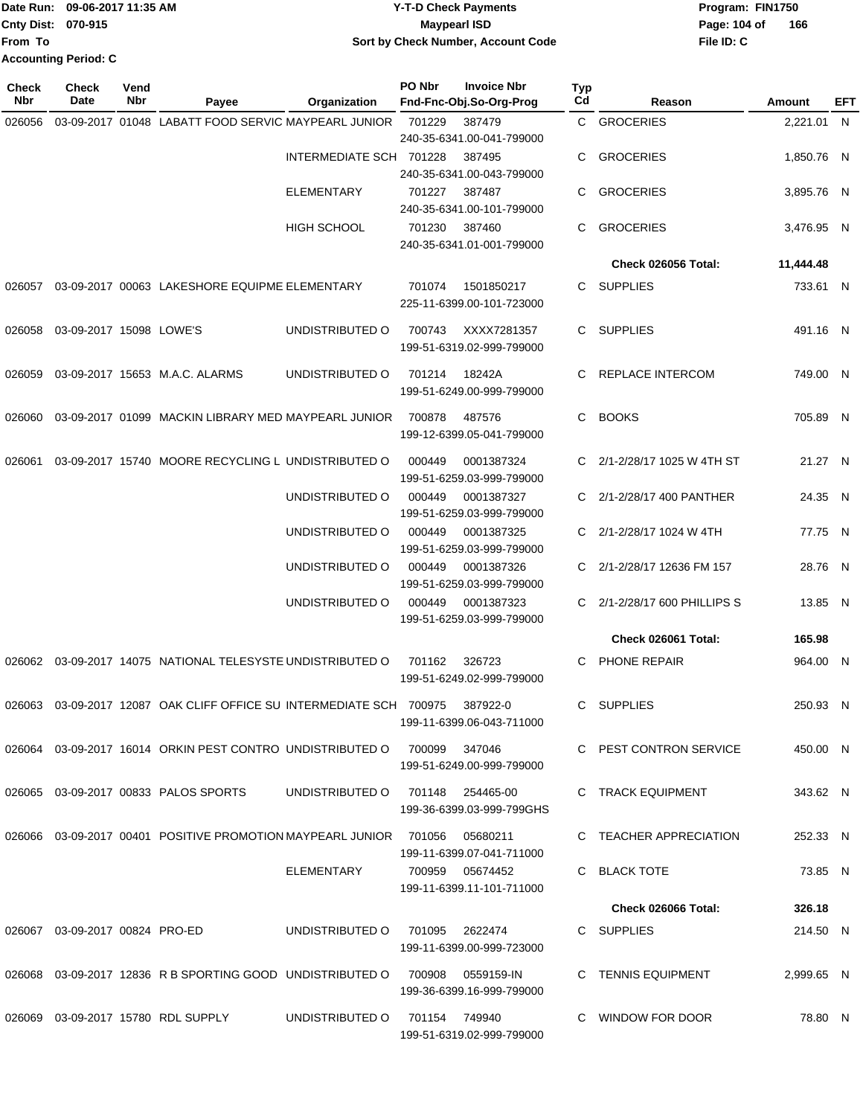| TDate Run: 09-06-2017 11:35 AM |                             | <b>Y-T-D Check Payments</b>        | Program: FIN1750    |  |  |  |
|--------------------------------|-----------------------------|------------------------------------|---------------------|--|--|--|
| <b>Cnty Dist: 070-915</b>      |                             | <b>Mavpearl ISD</b>                | 166<br>Page: 104 of |  |  |  |
| From To                        |                             | Sort by Check Number, Account Code | File ID: C          |  |  |  |
|                                | <b>Accounting Period: C</b> |                                    |                     |  |  |  |

| <b>Check</b><br>Nbr | <b>Check</b><br>Date           | Vend<br>Nbr | Payee                                                                 | Organization            | PO Nbr        | <b>Invoice Nbr</b><br>Fnd-Fnc-Obj.So-Org-Prog | Typ<br>Cd | Reason                     | Amount     | EFT |
|---------------------|--------------------------------|-------------|-----------------------------------------------------------------------|-------------------------|---------------|-----------------------------------------------|-----------|----------------------------|------------|-----|
| 026056              |                                |             | 03-09-2017 01048 LABATT FOOD SERVIC MAYPEARL JUNIOR                   |                         | 701229        | 387479                                        |           | C GROCERIES                | 2,221.01 N |     |
|                     |                                |             |                                                                       |                         |               | 240-35-6341.00-041-799000                     |           |                            |            |     |
|                     |                                |             |                                                                       | INTERMEDIATE SCH 701228 |               | 387495                                        | C         | <b>GROCERIES</b>           | 1,850.76 N |     |
|                     |                                |             |                                                                       |                         |               | 240-35-6341.00-043-799000                     |           |                            |            |     |
|                     |                                |             |                                                                       | <b>ELEMENTARY</b>       | 701227        | 387487                                        | C.        | <b>GROCERIES</b>           | 3,895.76 N |     |
|                     |                                |             |                                                                       |                         |               | 240-35-6341.00-101-799000                     |           |                            |            |     |
|                     |                                |             |                                                                       | <b>HIGH SCHOOL</b>      | 701230        | 387460                                        | C.        | <b>GROCERIES</b>           | 3,476.95 N |     |
|                     |                                |             |                                                                       |                         |               | 240-35-6341.01-001-799000                     |           |                            |            |     |
|                     |                                |             |                                                                       |                         |               |                                               |           | Check 026056 Total:        | 11,444.48  |     |
| 026057              |                                |             | 03-09-2017 00063 LAKESHORE EQUIPME ELEMENTARY                         |                         | 701074        | 1501850217                                    | C.        | <b>SUPPLIES</b>            | 733.61 N   |     |
|                     |                                |             |                                                                       |                         |               | 225-11-6399.00-101-723000                     |           |                            |            |     |
|                     |                                |             |                                                                       |                         |               |                                               |           |                            |            |     |
| 026058              | 03-09-2017 15098 LOWE'S        |             |                                                                       | UNDISTRIBUTED O         | 700743        | XXXX7281357                                   | C.        | SUPPLIES                   | 491.16 N   |     |
|                     |                                |             |                                                                       |                         |               | 199-51-6319.02-999-799000                     |           |                            |            |     |
| 026059              |                                |             | 03-09-2017 15653 M.A.C. ALARMS                                        | UNDISTRIBUTED O         | 701214        | 18242A                                        | C         | REPLACE INTERCOM           | 749.00 N   |     |
|                     |                                |             |                                                                       |                         |               | 199-51-6249.00-999-799000                     |           |                            |            |     |
| 026060              |                                |             | 03-09-2017 01099 MACKIN LIBRARY MED MAYPEARL JUNIOR                   |                         | 700878        | 487576                                        | C         | <b>BOOKS</b>               | 705.89 N   |     |
|                     |                                |             |                                                                       |                         |               | 199-12-6399.05-041-799000                     |           |                            |            |     |
|                     |                                |             |                                                                       |                         |               |                                               |           |                            |            |     |
| 026061              |                                |             | 03-09-2017 15740 MOORE RECYCLING L UNDISTRIBUTED O                    |                         | 000449        | 0001387324                                    | C.        | 2/1-2/28/17 1025 W 4TH ST  | 21.27 N    |     |
|                     |                                |             |                                                                       |                         |               | 199-51-6259.03-999-799000                     |           |                            |            |     |
|                     |                                |             |                                                                       | UNDISTRIBUTED O         | 000449        | 0001387327                                    | C.        | 2/1-2/28/17 400 PANTHER    | 24.35 N    |     |
|                     |                                |             |                                                                       |                         |               | 199-51-6259.03-999-799000                     |           |                            |            |     |
|                     |                                |             |                                                                       | UNDISTRIBUTED O         | 000449        | 0001387325                                    |           | 2/1-2/28/17 1024 W 4TH     | 77.75 N    |     |
|                     |                                |             |                                                                       |                         |               | 199-51-6259.03-999-799000                     |           |                            |            |     |
|                     |                                |             |                                                                       | UNDISTRIBUTED O         | 000449        | 0001387326                                    | C.        | 2/1-2/28/17 12636 FM 157   | 28.76 N    |     |
|                     |                                |             |                                                                       |                         |               | 199-51-6259.03-999-799000                     |           |                            |            |     |
|                     |                                |             |                                                                       | UNDISTRIBUTED O         | 000449        | 0001387323                                    | C.        | 2/1-2/28/17 600 PHILLIPS S | 13.85 N    |     |
|                     |                                |             |                                                                       |                         |               | 199-51-6259.03-999-799000                     |           |                            |            |     |
|                     |                                |             |                                                                       |                         |               |                                               |           | Check 026061 Total:        | 165.98     |     |
| 026062              |                                |             | 03-09-2017 14075 NATIONAL TELESYSTE UNDISTRIBUTED O                   |                         | 701162        | 326723                                        | C         | PHONE REPAIR               | 964.00 N   |     |
|                     |                                |             |                                                                       |                         |               | 199-51-6249.02-999-799000                     |           |                            |            |     |
| 026063              |                                |             | 03-09-2017 12087 OAK CLIFF OFFICE SU INTERMEDIATE SCH                 |                         | 700975        | 387922-0                                      | C         | <b>SUPPLIES</b>            | 250.93 N   |     |
|                     |                                |             |                                                                       |                         |               | 199-11-6399.06-043-711000                     |           |                            |            |     |
|                     |                                |             |                                                                       |                         |               |                                               |           |                            |            |     |
|                     |                                |             | 026064 03-09-2017 16014 ORKIN PEST CONTRO UNDISTRIBUTED O             |                         | 700099 347046 | 199-51-6249.00-999-799000                     |           | C PEST CONTRON SERVICE     | 450.00 N   |     |
|                     |                                |             |                                                                       |                         |               |                                               |           |                            |            |     |
|                     |                                |             | 026065 03-09-2017 00833 PALOS SPORTS                                  | UNDISTRIBUTED O         |               | 701148 254465-00                              |           | C TRACK EQUIPMENT          | 343.62 N   |     |
|                     |                                |             |                                                                       |                         |               | 199-36-6399.03-999-799GHS                     |           |                            |            |     |
|                     |                                |             | 026066  03-09-2017  00401  POSITIVE PROMOTION MAYPEARL JUNIOR  701056 |                         |               | 05680211                                      |           | C TEACHER APPRECIATION     | 252.33 N   |     |
|                     |                                |             |                                                                       |                         |               | 199-11-6399.07-041-711000                     |           |                            |            |     |
|                     |                                |             |                                                                       | ELEMENTARY              |               | 700959 05674452                               |           | C BLACK TOTE               | 73.85 N    |     |
|                     |                                |             |                                                                       |                         |               | 199-11-6399.11-101-711000                     |           |                            |            |     |
|                     |                                |             |                                                                       |                         |               |                                               |           | Check 026066 Total:        | 326.18     |     |
|                     | 026067 03-09-2017 00824 PRO-ED |             |                                                                       | UNDISTRIBUTED O         | 701095        | 2622474                                       |           | C SUPPLIES                 | 214.50 N   |     |
|                     |                                |             |                                                                       |                         |               | 199-11-6399.00-999-723000                     |           |                            |            |     |
|                     |                                |             |                                                                       |                         |               |                                               |           |                            |            |     |
| 026068              |                                |             | 03-09-2017 12836 R B SPORTING GOOD UNDISTRIBUTED O                    |                         | 700908        | 0559159-IN                                    |           | C TENNIS EQUIPMENT         | 2,999.65 N |     |
|                     |                                |             |                                                                       |                         |               | 199-36-6399.16-999-799000                     |           |                            |            |     |
|                     |                                |             | 026069  03-09-2017  15780  RDL SUPPLY                                 | UNDISTRIBUTED O         |               | 701154 749940                                 |           | C WINDOW FOR DOOR          | 78.80 N    |     |
|                     |                                |             |                                                                       |                         |               | 199-51-6319.02-999-799000                     |           |                            |            |     |
|                     |                                |             |                                                                       |                         |               |                                               |           |                            |            |     |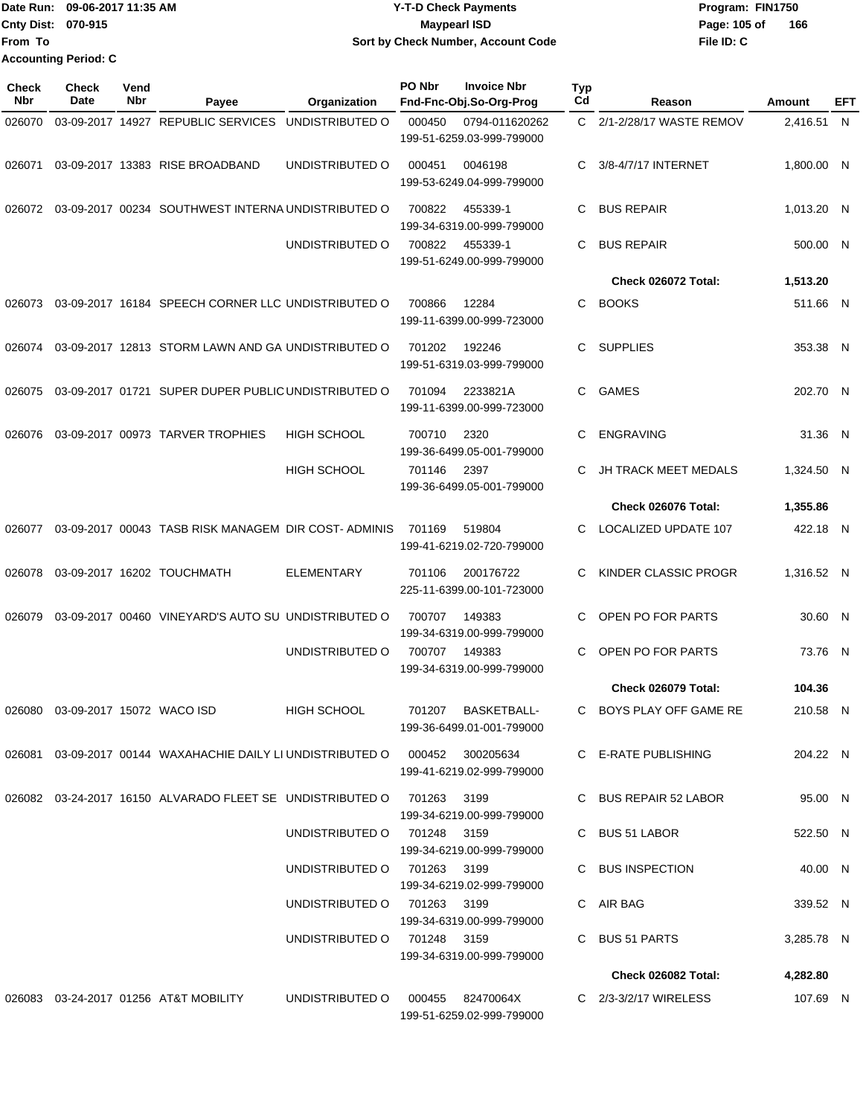|                           | Date Run: 09-06-2017 11:35 AM | <b>Y-T-D Check Payments</b>        | Program: FIN1750    |  |  |
|---------------------------|-------------------------------|------------------------------------|---------------------|--|--|
| <b>Cnty Dist: 070-915</b> |                               | <b>Mavpearl ISD</b>                | 166<br>Page: 105 of |  |  |
| <b>From To</b>            |                               | Sort by Check Number, Account Code | File ID: C          |  |  |
|                           | <b>Accounting Period: C</b>   |                                    |                     |  |  |

| Check<br><b>Nbr</b> | <b>Check</b><br>Date      | Vend<br>Nbr | Payee                                                                             | Organization                                               | PO Nbr | <b>Invoice Nbr</b><br>Fnd-Fnc-Obj.So-Org-Prog | Typ<br>Cd | Reason                      | Amount                 | EFT |
|---------------------|---------------------------|-------------|-----------------------------------------------------------------------------------|------------------------------------------------------------|--------|-----------------------------------------------|-----------|-----------------------------|------------------------|-----|
| 026070              |                           |             | 03-09-2017 14927 REPUBLIC SERVICES                                                | UNDISTRIBUTED O                                            | 000450 | 0794-011620262<br>199-51-6259.03-999-799000   | C.        | 2/1-2/28/17 WASTE REMOV     | 2,416.51 N             |     |
| 026071              |                           |             | 03-09-2017 13383 RISE BROADBAND                                                   | UNDISTRIBUTED O                                            | 000451 | 0046198<br>199-53-6249.04-999-799000          | С         | 3/8-4/7/17 INTERNET         | 1,800.00 N             |     |
| 026072              |                           |             | 03-09-2017 00234 SOUTHWEST INTERNA UNDISTRIBUTED O                                |                                                            | 700822 | 455339-1<br>199-34-6319.00-999-799000         | C         | <b>BUS REPAIR</b>           | 1,013.20 N             |     |
|                     |                           |             |                                                                                   | UNDISTRIBUTED O                                            | 700822 | 455339-1<br>199-51-6249.00-999-799000         | C         | <b>BUS REPAIR</b>           | 500.00 N               |     |
|                     |                           |             |                                                                                   |                                                            |        |                                               |           | Check 026072 Total:         | 1,513.20               |     |
| 026073              |                           |             | 03-09-2017 16184 SPEECH CORNER LLC UNDISTRIBUTED O                                |                                                            | 700866 | 12284<br>199-11-6399.00-999-723000            | C         | <b>BOOKS</b>                | 511.66 N               |     |
| 026074              |                           |             | 03-09-2017 12813 STORM LAWN AND GA UNDISTRIBUTED O                                |                                                            | 701202 | 192246<br>199-51-6319.03-999-799000           | C         | <b>SUPPLIES</b>             | 353.38 N               |     |
| 026075              |                           |             | 03-09-2017 01721 SUPER DUPER PUBLIC UNDISTRIBUTED O                               |                                                            | 701094 | 2233821A<br>199-11-6399.00-999-723000         | C         | <b>GAMES</b>                | 202.70 N               |     |
| 026076              |                           |             | 03-09-2017 00973 TARVER TROPHIES                                                  | <b>HIGH SCHOOL</b>                                         | 700710 | 2320<br>199-36-6499.05-001-799000             | C         | <b>ENGRAVING</b>            | 31.36 N                |     |
|                     |                           |             |                                                                                   | <b>HIGH SCHOOL</b>                                         | 701146 | 2397<br>199-36-6499.05-001-799000             | C         | <b>JH TRACK MEET MEDALS</b> | 1,324.50 N             |     |
|                     |                           |             |                                                                                   |                                                            |        |                                               |           | Check 026076 Total:         | 1,355.86               |     |
| 026077              |                           |             | 03-09-2017 00043 TASB RISK MANAGEM DIR COST-ADMINIS                               |                                                            | 701169 | 519804<br>199-41-6219.02-720-799000           | C         | <b>LOCALIZED UPDATE 107</b> | 422.18 N               |     |
| 026078              |                           |             | 03-09-2017 16202 TOUCHMATH                                                        | <b>ELEMENTARY</b>                                          | 701106 | 200176722<br>225-11-6399.00-101-723000        | C         | KINDER CLASSIC PROGR        | 1,316.52 N             |     |
| 026079              |                           |             | 03-09-2017 00460 VINEYARD'S AUTO SU UNDISTRIBUTED O                               |                                                            | 700707 | 149383<br>199-34-6319.00-999-799000           | C         | OPEN PO FOR PARTS           | 30.60 N                |     |
|                     |                           |             |                                                                                   | UNDISTRIBUTED O                                            | 700707 | 149383<br>199-34-6319.00-999-799000           | C         | OPEN PO FOR PARTS           | 73.76 N                |     |
|                     |                           |             |                                                                                   |                                                            |        |                                               |           | Check 026079 Total:         | 104.36                 |     |
| 026080              | 03-09-2017 15072 WACO ISD |             |                                                                                   | HIGH SCHOOL                                                | 701207 | BASKETBALL-<br>199-36-6499.01-001-799000      | С         | BOYS PLAY OFF GAME RE       | 210.58 N               |     |
|                     |                           |             | 026081  03-09-2017  00144  WAXAHACHIE DAILY LI UNDISTRIBUTED O  000452  300205634 |                                                            |        | 199-41-6219.02-999-799000                     |           | C E-RATE PUBLISHING         | 204.22 N               |     |
|                     |                           |             | 026082  03-24-2017  16150  ALVARADO FLEET SE UNDISTRIBUTED O  701263  3199        |                                                            |        | 199-34-6219.00-999-799000                     |           | C BUS REPAIR 52 LABOR       | 95.00 N                |     |
|                     |                           |             |                                                                                   | UNDISTRIBUTED O 701248 3159                                |        | 199-34-6219.00-999-799000                     |           | C BUS 51 LABOR              | 522.50 N               |     |
|                     |                           |             |                                                                                   | UNDISTRIBUTED O 701263 3199                                |        | 199-34-6219.02-999-799000                     |           | C BUS INSPECTION            | 40.00 N                |     |
|                     |                           |             |                                                                                   | UNDISTRIBUTED O 701263 3199<br>UNDISTRIBUTED O 701248 3159 |        | 199-34-6319.00-999-799000                     |           | C AIR BAG<br>C BUS 51 PARTS | 339.52 N<br>3,285.78 N |     |
|                     |                           |             |                                                                                   |                                                            |        | 199-34-6319.00-999-799000                     |           |                             |                        |     |
|                     |                           |             |                                                                                   |                                                            |        |                                               |           | Check 026082 Total:         | 4,282.80               |     |
|                     |                           |             |                                                                                   | UNDISTRIBUTED O                                            |        | 000455 82470064X<br>199-51-6259.02-999-799000 |           | C 2/3-3/2/17 WIRELESS       | 107.69 N               |     |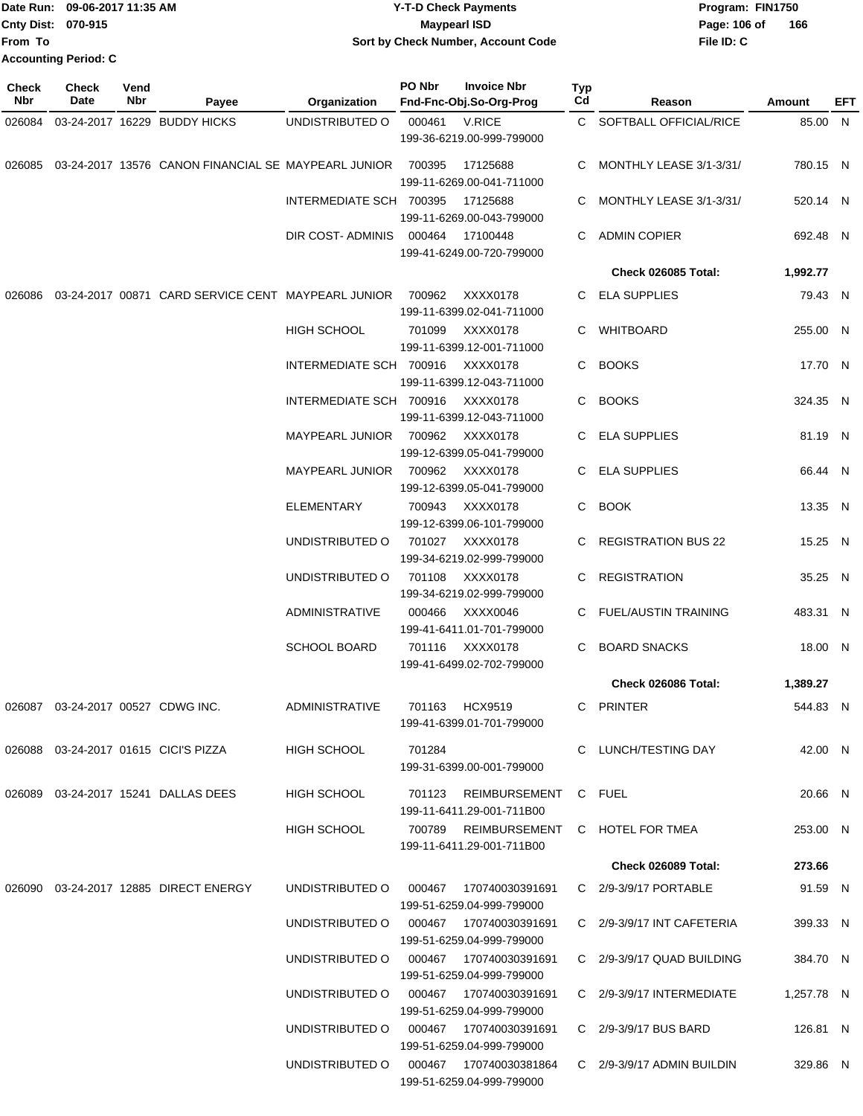| Date Run: 09-06-2017 11:35 AM |  | Y-T-D Check Payments               | Program: FIN1750    |
|-------------------------------|--|------------------------------------|---------------------|
| Cnty Dist: 070-915            |  | <b>Mavpearl ISD</b>                | 166<br>Page: 106 of |
| lFrom To                      |  | Sort by Check Number, Account Code | File ID: C          |
| <b>Accounting Period: C</b>   |  |                                    |                     |

| <b>Check</b><br>Nbr | <b>Check</b><br>Date              | Vend<br>Nbr                                        | Payee                                                      | Organization                    | PO Nbr                                | <b>Invoice Nbr</b><br>Fnd-Fnc-Obj.So-Org-Prog                      | <b>Typ</b><br>Cd | Reason                       | Amount     | EFT |
|---------------------|-----------------------------------|----------------------------------------------------|------------------------------------------------------------|---------------------------------|---------------------------------------|--------------------------------------------------------------------|------------------|------------------------------|------------|-----|
|                     |                                   |                                                    | 026084 03-24-2017 16229 BUDDY HICKS                        | UNDISTRIBUTED O                 | 000461                                | V.RICE                                                             |                  | C SOFTBALL OFFICIAL/RICE     | 85.00 N    |     |
|                     |                                   |                                                    |                                                            |                                 |                                       | 199-36-6219.00-999-799000                                          |                  |                              |            |     |
|                     |                                   |                                                    | 026085 03-24-2017 13576 CANON FINANCIAL SE MAYPEARL JUNIOR |                                 | 700395                                | 17125688<br>199-11-6269.00-041-711000                              | C.               | MONTHLY LEASE 3/1-3/31/      | 780.15 N   |     |
|                     |                                   |                                                    |                                                            | INTERMEDIATE SCH 700395         |                                       | 17125688<br>199-11-6269.00-043-799000                              | C.               | MONTHLY LEASE 3/1-3/31/      | 520.14 N   |     |
|                     |                                   |                                                    |                                                            | DIR COST-ADMINIS                | 000464                                | 17100448<br>199-41-6249.00-720-799000                              |                  | C ADMIN COPIER               | 692.48 N   |     |
|                     |                                   |                                                    |                                                            |                                 |                                       |                                                                    |                  | Check 026085 Total:          | 1,992.77   |     |
| 026086              |                                   | 03-24-2017 00871 CARD SERVICE CENT MAYPEARL JUNIOR |                                                            | 700962                          | XXXX0178<br>199-11-6399.02-041-711000 |                                                                    | C ELA SUPPLIES   | 79.43 N                      |            |     |
|                     |                                   |                                                    | HIGH SCHOOL                                                | 701099                          | XXXX0178<br>199-11-6399.12-001-711000 |                                                                    | WHITBOARD        | 255.00 N                     |            |     |
|                     |                                   |                                                    |                                                            | INTERMEDIATE SCH 700916         |                                       | XXXX0178<br>199-11-6399.12-043-711000                              |                  | C BOOKS                      | 17.70 N    |     |
|                     |                                   |                                                    |                                                            | INTERMEDIATE SCH 700916         |                                       | XXXX0178<br>199-11-6399.12-043-711000                              |                  | C BOOKS                      | 324.35 N   |     |
|                     |                                   |                                                    |                                                            | MAYPEARL JUNIOR 700962 XXXX0178 |                                       | 199-12-6399.05-041-799000                                          |                  | C ELA SUPPLIES               | 81.19 N    |     |
|                     |                                   |                                                    |                                                            | MAYPEARL JUNIOR                 |                                       | 700962 XXXX0178<br>199-12-6399.05-041-799000                       |                  | C ELA SUPPLIES               | 66.44 N    |     |
|                     |                                   |                                                    |                                                            | <b>ELEMENTARY</b>               | 700943                                | XXXX0178<br>199-12-6399.06-101-799000                              |                  | C BOOK                       | 13.35 N    |     |
|                     |                                   |                                                    |                                                            | UNDISTRIBUTED O                 |                                       | 701027 XXXX0178<br>199-34-6219.02-999-799000                       |                  | C REGISTRATION BUS 22        | 15.25 N    |     |
|                     |                                   |                                                    |                                                            | UNDISTRIBUTED O                 | 701108                                | XXXX0178<br>199-34-6219.02-999-799000                              |                  | C REGISTRATION               | 35.25 N    |     |
|                     |                                   |                                                    |                                                            | ADMINISTRATIVE                  | 000466                                | XXXX0046<br>199-41-6411.01-701-799000                              |                  | C FUEL/AUSTIN TRAINING       | 483.31 N   |     |
|                     |                                   |                                                    |                                                            | <b>SCHOOL BOARD</b>             |                                       | 701116 XXXX0178<br>199-41-6499.02-702-799000                       | C.               | <b>BOARD SNACKS</b>          | 18.00 N    |     |
|                     |                                   |                                                    |                                                            |                                 |                                       |                                                                    |                  | Check 026086 Total:          | 1,389.27   |     |
|                     | 026087 03-24-2017 00527 CDWG INC. |                                                    |                                                            | ADMINISTRATIVE                  | 701163                                | HCX9519<br>199-41-6399.01-701-799000                               |                  | C PRINTER                    | 544.83 N   |     |
|                     |                                   |                                                    | 026088 03-24-2017 01615 CICI'S PIZZA                       | <b>HIGH SCHOOL</b>              | 701284                                | 199-31-6399.00-001-799000                                          |                  | C LUNCH/TESTING DAY          | 42.00 N    |     |
|                     |                                   |                                                    | 026089  03-24-2017  15241  DALLAS DEES                     | HIGH SCHOOL                     | 701123                                | REIMBURSEMENT C FUEL<br>199-11-6411.29-001-711B00                  |                  |                              | 20.66 N    |     |
|                     |                                   |                                                    |                                                            | HIGH SCHOOL                     |                                       | 700789 REIMBURSEMENT C HOTEL FOR TMEA<br>199-11-6411.29-001-711B00 |                  |                              | 253.00 N   |     |
|                     |                                   |                                                    |                                                            |                                 |                                       |                                                                    |                  | Check 026089 Total:          | 273.66     |     |
|                     |                                   |                                                    | 026090  03-24-2017  12885  DIRECT ENERGY                   | UNDISTRIBUTED O                 | 000467                                | 170740030391691<br>199-51-6259.04-999-799000                       |                  | C 2/9-3/9/17 PORTABLE        | 91.59 N    |     |
|                     |                                   |                                                    |                                                            | UNDISTRIBUTED O                 |                                       | 000467 170740030391691<br>199-51-6259.04-999-799000                |                  | C 2/9-3/9/17 INT CAFETERIA   | 399.33 N   |     |
|                     |                                   |                                                    |                                                            | UNDISTRIBUTED O                 |                                       | 000467  170740030391691<br>199-51-6259.04-999-799000               |                  | C 2/9-3/9/17 QUAD BUILDING   | 384.70 N   |     |
|                     |                                   |                                                    |                                                            | UNDISTRIBUTED O                 |                                       | 199-51-6259.04-999-799000                                          |                  | C 2/9-3/9/17 INTERMEDIATE    | 1,257.78 N |     |
|                     |                                   |                                                    |                                                            | UNDISTRIBUTED O                 |                                       | 199-51-6259.04-999-799000                                          |                  | C 2/9-3/9/17 BUS BARD        | 126.81 N   |     |
|                     |                                   |                                                    |                                                            | UNDISTRIBUTED O                 |                                       | 000467 170740030381864<br>199-51-6259.04-999-799000                |                  | $C$ 2/9-3/9/17 ADMIN BUILDIN | 329.86 N   |     |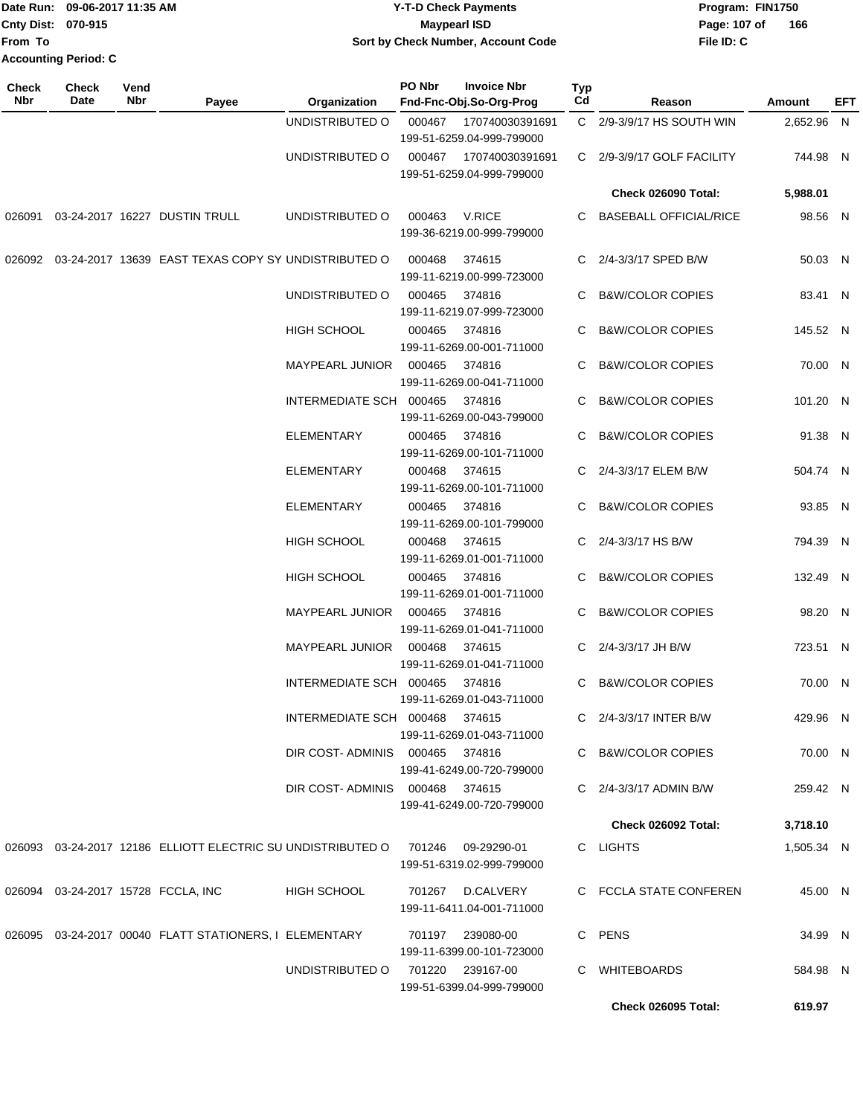|                             | TDate Run: 09-06-2017 11:35 AM | <b>Y-T-D Check Payments</b>        | Program: FIN1750    |
|-----------------------------|--------------------------------|------------------------------------|---------------------|
| <b>Cnty Dist: 070-915</b>   |                                | <b>Mavpearl ISD</b>                | 166<br>Page: 107 of |
| lFrom To                    |                                | Sort by Check Number, Account Code | File ID: C          |
| <b>Accounting Period: C</b> |                                |                                    |                     |

| <b>Check</b><br>Nbr | <b>Check</b><br>Date | Vend<br>Nbr | Payee                                                                          | Organization                   | PO Nbr | <b>Invoice Nbr</b><br>Fnd-Fnc-Obj.So-Org-Prog | Typ<br>Cd | Reason                        | Amount     | EFT |
|---------------------|----------------------|-------------|--------------------------------------------------------------------------------|--------------------------------|--------|-----------------------------------------------|-----------|-------------------------------|------------|-----|
|                     |                      |             |                                                                                | UNDISTRIBUTED O                | 000467 | 170740030391691<br>199-51-6259.04-999-799000  |           | C 2/9-3/9/17 HS SOUTH WIN     | 2,652.96 N |     |
|                     |                      |             |                                                                                | UNDISTRIBUTED O                | 000467 | 170740030391691<br>199-51-6259.04-999-799000  |           | C 2/9-3/9/17 GOLF FACILITY    | 744.98 N   |     |
|                     |                      |             |                                                                                |                                |        |                                               |           | <b>Check 026090 Total:</b>    | 5,988.01   |     |
|                     |                      |             | 026091 03-24-2017 16227 DUSTIN TRULL                                           | UNDISTRIBUTED O                | 000463 | V.RICE<br>199-36-6219.00-999-799000           | C.        | <b>BASEBALL OFFICIAL/RICE</b> | 98.56 N    |     |
|                     |                      |             | 026092 03-24-2017 13639 EAST TEXAS COPY SY UNDISTRIBUTED O                     |                                | 000468 | 374615<br>199-11-6219.00-999-723000           |           | C 2/4-3/3/17 SPED B/W         | 50.03 N    |     |
|                     |                      |             |                                                                                | UNDISTRIBUTED O                | 000465 | 374816<br>199-11-6219.07-999-723000           | C.        | <b>B&amp;W/COLOR COPIES</b>   | 83.41 N    |     |
|                     |                      |             |                                                                                | HIGH SCHOOL                    | 000465 | 374816<br>199-11-6269.00-001-711000           | С         | <b>B&amp;W/COLOR COPIES</b>   | 145.52 N   |     |
|                     |                      |             |                                                                                | MAYPEARL JUNIOR                | 000465 | 374816<br>199-11-6269.00-041-711000           | C         | <b>B&amp;W/COLOR COPIES</b>   | 70.00 N    |     |
|                     |                      |             |                                                                                | INTERMEDIATE SCH 000465        |        | 374816<br>199-11-6269.00-043-799000           | C.        | <b>B&amp;W/COLOR COPIES</b>   | 101.20 N   |     |
|                     |                      |             |                                                                                | <b>ELEMENTARY</b>              | 000465 | 374816<br>199-11-6269.00-101-711000           | C         | <b>B&amp;W/COLOR COPIES</b>   | 91.38 N    |     |
|                     |                      |             |                                                                                | <b>ELEMENTARY</b>              | 000468 | 374615<br>199-11-6269.00-101-711000           |           | C 2/4-3/3/17 ELEM B/W         | 504.74 N   |     |
|                     |                      |             |                                                                                | <b>ELEMENTARY</b>              | 000465 | 374816<br>199-11-6269.00-101-799000           |           | C B&W/COLOR COPIES            | 93.85 N    |     |
|                     |                      |             |                                                                                | HIGH SCHOOL                    | 000468 | 374615<br>199-11-6269.01-001-711000           |           | C 2/4-3/3/17 HS B/W           | 794.39 N   |     |
|                     |                      |             |                                                                                | HIGH SCHOOL                    | 000465 | 374816<br>199-11-6269.01-001-711000           |           | C B&W/COLOR COPIES            | 132.49 N   |     |
|                     |                      |             |                                                                                | MAYPEARL JUNIOR                | 000465 | 374816<br>199-11-6269.01-041-711000           |           | C B&W/COLOR COPIES            | 98.20 N    |     |
|                     |                      |             |                                                                                | MAYPEARL JUNIOR                | 000468 | 374615<br>199-11-6269.01-041-711000           |           | C 2/4-3/3/17 JH B/W           | 723.51 N   |     |
|                     |                      |             |                                                                                | INTERMEDIATE SCH 000465        |        | 374816<br>199-11-6269.01-043-711000           |           | C B&W/COLOR COPIES            | 70.00 N    |     |
|                     |                      |             |                                                                                | INTERMEDIATE SCH 000468 374615 |        | 199-11-6269.01-043-711000                     |           | C 2/4-3/3/17 INTER B/W        | 429.96 N   |     |
|                     |                      |             |                                                                                | DIR COST-ADMINIS 000465 374816 |        | 199-41-6249.00-720-799000                     |           | C B&W/COLOR COPIES            | 70.00 N    |     |
|                     |                      |             |                                                                                | DIR COST-ADMINIS 000468 374615 |        | 199-41-6249.00-720-799000                     |           | C 2/4-3/3/17 ADMIN B/W        | 259.42 N   |     |
|                     |                      |             |                                                                                |                                |        |                                               |           | Check 026092 Total:           | 3,718.10   |     |
|                     |                      |             | 026093 03-24-2017 12186 ELLIOTT ELECTRIC SU UNDISTRIBUTED O 701246 09-29290-01 |                                |        | 199-51-6319.02-999-799000                     |           | C LIGHTS                      | 1,505.34 N |     |
|                     |                      |             | 026094 03-24-2017 15728 FCCLA, INC                                             | <b>HIGH SCHOOL</b>             |        | 701267 D.CALVERY<br>199-11-6411.04-001-711000 |           | C FCCLA STATE CONFEREN        | 45.00 N    |     |
|                     |                      |             | 026095  03-24-2017  00040  FLATT STATIONERS, I ELEMENTARY                      |                                |        | 701197 239080-00<br>199-11-6399.00-101-723000 |           | C PENS                        | 34.99 N    |     |
|                     |                      |             |                                                                                | UNDISTRIBUTED O                |        | 701220 239167-00<br>199-51-6399.04-999-799000 |           | C WHITEBOARDS                 | 584.98 N   |     |
|                     |                      |             |                                                                                |                                |        |                                               |           | Check 026095 Total:           | 619.97     |     |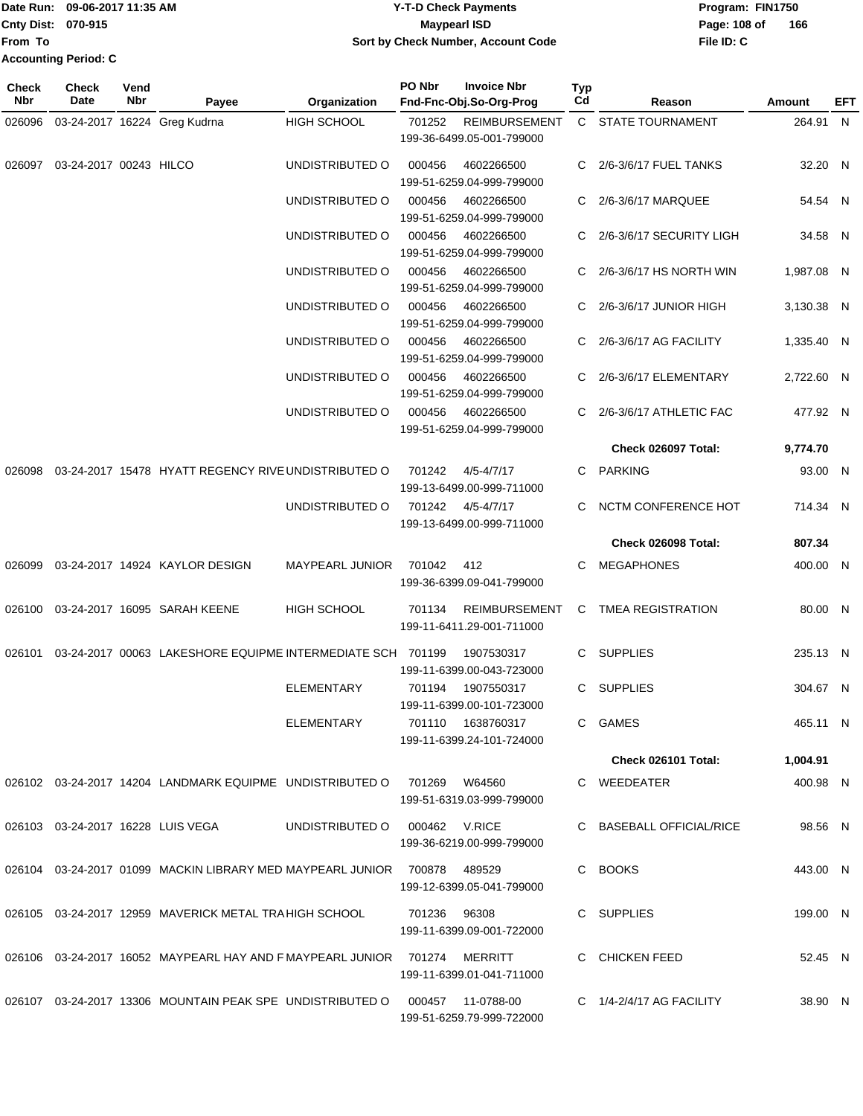|                             | Date Run: 09-06-2017 11:35 AM | <b>Y-T-D Check Payments</b>        | Program: FIN1750    |  |  |
|-----------------------------|-------------------------------|------------------------------------|---------------------|--|--|
| Cnty Dist: 070-915          |                               | Maypearl ISD                       | 166<br>Page: 108 of |  |  |
| lFrom To                    |                               | Sort by Check Number, Account Code | File ID: C          |  |  |
| <b>Accounting Period: C</b> |                               |                                    |                     |  |  |

| <b>Check</b><br>Nbr | Check<br>Date                     | Vend<br>Nbr | Payee                                                                    | Organization           | PO Nbr        | <b>Invoice Nbr</b><br>Fnd-Fnc-Obj.So-Org-Prog     | <b>Typ</b><br>Cd | Reason                   | <b>Amount</b> | EFT |
|---------------------|-----------------------------------|-------------|--------------------------------------------------------------------------|------------------------|---------------|---------------------------------------------------|------------------|--------------------------|---------------|-----|
| 026096              |                                   |             | 03-24-2017 16224 Greg Kudrna                                             | <b>HIGH SCHOOL</b>     | 701252        | <b>REIMBURSEMENT</b><br>199-36-6499.05-001-799000 |                  | C STATE TOURNAMENT       | 264.91 N      |     |
| 026097              | 03-24-2017 00243 HILCO            |             |                                                                          | UNDISTRIBUTED O        | 000456        | 4602266500<br>199-51-6259.04-999-799000           |                  | C 2/6-3/6/17 FUEL TANKS  | 32.20 N       |     |
|                     |                                   |             |                                                                          | UNDISTRIBUTED O        | 000456        | 4602266500<br>199-51-6259.04-999-799000           | C                | 2/6-3/6/17 MARQUEE       | 54.54 N       |     |
|                     |                                   |             |                                                                          | UNDISTRIBUTED O        | 000456        | 4602266500<br>199-51-6259.04-999-799000           | C                | 2/6-3/6/17 SECURITY LIGH | 34.58 N       |     |
|                     |                                   |             |                                                                          | UNDISTRIBUTED O        | 000456        | 4602266500<br>199-51-6259.04-999-799000           | C                | 2/6-3/6/17 HS NORTH WIN  | 1,987.08 N    |     |
|                     |                                   |             |                                                                          | UNDISTRIBUTED O        | 000456        | 4602266500<br>199-51-6259.04-999-799000           | C                | 2/6-3/6/17 JUNIOR HIGH   | 3,130.38 N    |     |
|                     |                                   |             |                                                                          | UNDISTRIBUTED O        | 000456        | 4602266500<br>199-51-6259.04-999-799000           |                  | 2/6-3/6/17 AG FACILITY   | 1,335.40 N    |     |
|                     |                                   |             |                                                                          | UNDISTRIBUTED O        | 000456        | 4602266500<br>199-51-6259.04-999-799000           | C                | 2/6-3/6/17 ELEMENTARY    | 2,722.60 N    |     |
|                     |                                   |             |                                                                          | UNDISTRIBUTED O        | 000456        | 4602266500<br>199-51-6259.04-999-799000           | C                | 2/6-3/6/17 ATHLETIC FAC  | 477.92 N      |     |
|                     |                                   |             |                                                                          |                        |               |                                                   |                  | Check 026097 Total:      | 9,774.70      |     |
| 026098              |                                   |             | 03-24-2017 15478 HYATT REGENCY RIVE UNDISTRIBUTED O                      |                        | 701242        | $4/5 - 4/7/17$<br>199-13-6499.00-999-711000       |                  | C PARKING                | 93.00 N       |     |
|                     |                                   |             |                                                                          | UNDISTRIBUTED O        | 701242        | 4/5-4/7/17<br>199-13-6499.00-999-711000           |                  | NCTM CONFERENCE HOT      | 714.34 N      |     |
|                     |                                   |             |                                                                          |                        |               |                                                   |                  | Check 026098 Total:      | 807.34        |     |
| 026099              |                                   |             | 03-24-2017 14924 KAYLOR DESIGN                                           | <b>MAYPEARL JUNIOR</b> | 701042        | 412<br>199-36-6399.09-041-799000                  | C                | <b>MEGAPHONES</b>        | 400.00 N      |     |
| 026100              |                                   |             | 03-24-2017 16095 SARAH KEENE                                             | <b>HIGH SCHOOL</b>     | 701134        | <b>REIMBURSEMENT</b><br>199-11-6411.29-001-711000 | C                | TMEA REGISTRATION        | 80.00 N       |     |
| 026101              |                                   |             | 03-24-2017 00063 LAKESHORE EQUIPME INTERMEDIATE SCH 701199               |                        |               | 1907530317<br>199-11-6399.00-043-723000           |                  | C SUPPLIES               | 235.13 N      |     |
|                     |                                   |             |                                                                          | <b>ELEMENTARY</b>      | 701194        | 1907550317<br>199-11-6399.00-101-723000           |                  | C SUPPLIES               | 304.67 N      |     |
|                     |                                   |             |                                                                          | ELEMENTARY             |               | 701110  1638760317<br>199-11-6399.24-101-724000   |                  | C GAMES                  | 465.11 N      |     |
|                     |                                   |             |                                                                          |                        |               |                                                   |                  | Check 026101 Total:      | 1,004.91      |     |
|                     |                                   |             | 026102 03-24-2017 14204 LANDMARK EQUIPME UNDISTRIBUTED O                 |                        | 701269        | W64560<br>199-51-6319.03-999-799000               |                  | C WEEDEATER              | 400.98 N      |     |
|                     | 026103 03-24-2017 16228 LUIS VEGA |             |                                                                          | UNDISTRIBUTED O        | 000462 V.RICE | 199-36-6219.00-999-799000                         |                  | C BASEBALL OFFICIAL/RICE | 98.56 N       |     |
|                     |                                   |             | 026104 03-24-2017 01099 MACKIN LIBRARY MED MAYPEARL JUNIOR 700878 489529 |                        |               | 199-12-6399.05-041-799000                         |                  | C BOOKS                  | 443.00 N      |     |
|                     |                                   |             | 026105 03-24-2017 12959 MAVERICK METAL TRA HIGH SCHOOL                   |                        | 701236 96308  | 199-11-6399.09-001-722000                         |                  | C SUPPLIES               | 199.00 N      |     |
|                     |                                   |             | 026106  03-24-2017  16052  MAYPEARL HAY AND F MAYPEARL JUNIOR  701274    |                        |               | MERRITT<br>199-11-6399.01-041-711000              |                  | C CHICKEN FEED           | 52.45 N       |     |
|                     |                                   |             | 026107 03-24-2017 13306 MOUNTAIN PEAK SPE UNDISTRIBUTED O                |                        |               | 000457 11-0788-00<br>199-51-6259.79-999-722000    |                  | C 1/4-2/4/17 AG FACILITY | 38.90 N       |     |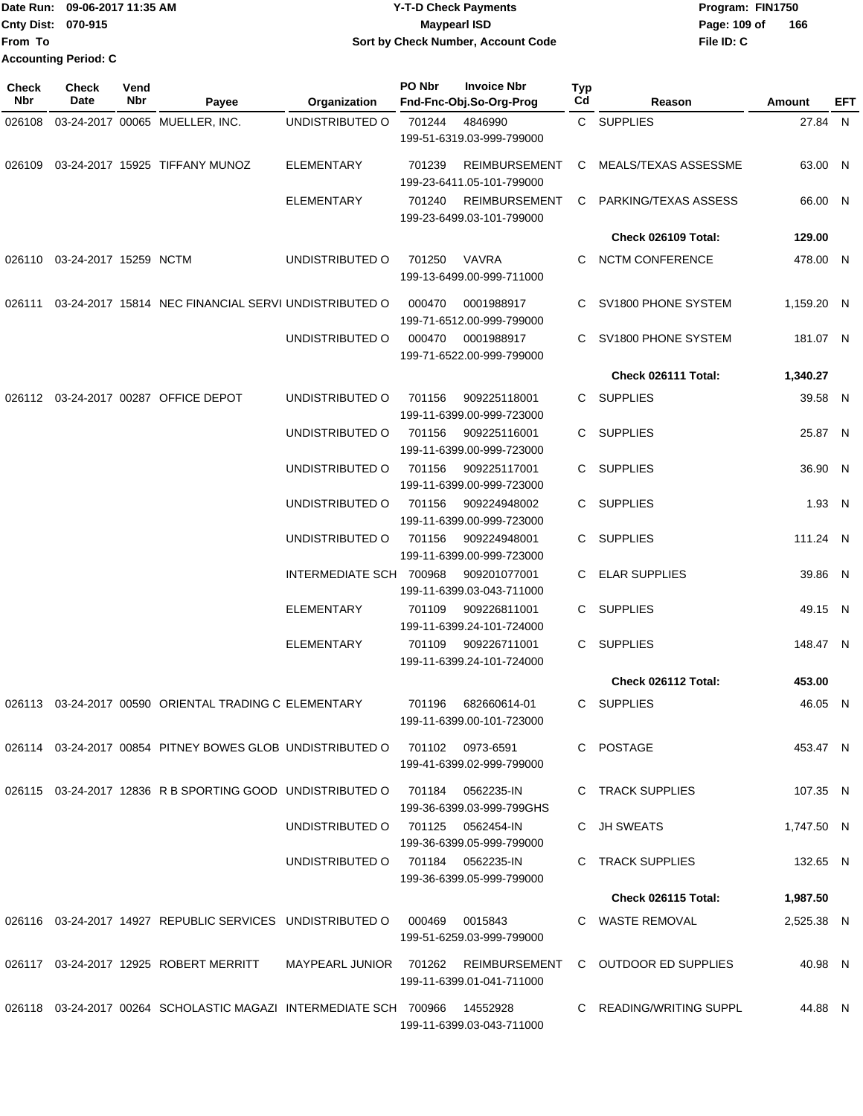Date Run: 09-06-2017 11:35 AM **CONTEX 100 CONTEX 12 T-D** Check Payments **CONTEX 12 T-D Check Payments** Program: FIN1750 **Cnty Dist:** 070-915 **Page: 109 of MaypearI ISD Page: 109 of From To Accounting Period: C**

# **09-06-2017 11:35 AM Y-T-D Check Payments 070-915 Maypearl ISD Sort by Check Number, Account Code**

| Check<br>Nbr | <b>Check</b><br><b>Date</b>  | Vend<br>Nbr | Payee                                                                       | Organization                      | PO Nbr | <b>Invoice Nbr</b><br>Fnd-Fnc-Obj.So-Org-Prog     | Typ<br>Cd | Reason                                                     | Amount     | EFT |
|--------------|------------------------------|-------------|-----------------------------------------------------------------------------|-----------------------------------|--------|---------------------------------------------------|-----------|------------------------------------------------------------|------------|-----|
| 026108       |                              |             | 03-24-2017 00065 MUELLER, INC.                                              | UNDISTRIBUTED O                   | 701244 | 4846990<br>199-51-6319.03-999-799000              |           | C SUPPLIES                                                 | 27.84 N    |     |
| 026109       |                              |             | 03-24-2017 15925 TIFFANY MUNOZ                                              | <b>ELEMENTARY</b>                 | 701239 | <b>REIMBURSEMENT</b><br>199-23-6411.05-101-799000 | C         | MEALS/TEXAS ASSESSME                                       | 63.00 N    |     |
|              |                              |             |                                                                             | <b>ELEMENTARY</b>                 | 701240 | <b>REIMBURSEMENT</b><br>199-23-6499.03-101-799000 | C         | PARKING/TEXAS ASSESS                                       | 66.00 N    |     |
|              |                              |             |                                                                             |                                   |        |                                                   |           | Check 026109 Total:                                        | 129.00     |     |
|              | 026110 03-24-2017 15259 NCTM |             |                                                                             | UNDISTRIBUTED O                   | 701250 | VAVRA<br>199-13-6499.00-999-711000                | C.        | <b>NCTM CONFERENCE</b>                                     | 478.00 N   |     |
| 026111       |                              |             | 03-24-2017 15814 NEC FINANCIAL SERVI UNDISTRIBUTED O                        |                                   | 000470 | 0001988917<br>199-71-6512.00-999-799000           | C.        | SV1800 PHONE SYSTEM                                        | 1,159.20 N |     |
|              |                              |             |                                                                             | UNDISTRIBUTED O                   | 000470 | 0001988917<br>199-71-6522.00-999-799000           | C.        | SV1800 PHONE SYSTEM                                        | 181.07 N   |     |
|              |                              |             |                                                                             |                                   |        |                                                   |           | Check 026111 Total:                                        | 1,340.27   |     |
|              |                              |             | 026112 03-24-2017 00287 OFFICE DEPOT                                        | UNDISTRIBUTED O                   | 701156 | 909225118001<br>199-11-6399.00-999-723000         |           | C SUPPLIES                                                 | 39.58 N    |     |
|              |                              |             |                                                                             | UNDISTRIBUTED O                   | 701156 | 909225116001<br>199-11-6399.00-999-723000         | C.        | <b>SUPPLIES</b>                                            | 25.87 N    |     |
|              |                              |             |                                                                             | UNDISTRIBUTED O                   | 701156 | 909225117001<br>199-11-6399.00-999-723000         |           | C SUPPLIES                                                 | 36.90 N    |     |
|              |                              |             |                                                                             | UNDISTRIBUTED O                   | 701156 | 909224948002<br>199-11-6399.00-999-723000         |           | C SUPPLIES                                                 | 1.93 N     |     |
|              |                              |             |                                                                             | UNDISTRIBUTED O                   | 701156 | 909224948001<br>199-11-6399.00-999-723000         | C.        | <b>SUPPLIES</b>                                            | 111.24 N   |     |
|              |                              |             |                                                                             | INTERMEDIATE SCH 700968           |        | 909201077001<br>199-11-6399.03-043-711000         | C.        | <b>ELAR SUPPLIES</b>                                       | 39.86 N    |     |
|              |                              |             |                                                                             | ELEMENTARY                        | 701109 | 909226811001<br>199-11-6399.24-101-724000         | C.        | <b>SUPPLIES</b>                                            | 49.15 N    |     |
|              |                              |             |                                                                             | ELEMENTARY                        | 701109 | 909226711001<br>199-11-6399.24-101-724000         |           | C SUPPLIES                                                 | 148.47 N   |     |
|              |                              |             |                                                                             |                                   |        |                                                   |           | Check 026112 Total:                                        | 453.00     |     |
| 026113       |                              |             | 03-24-2017 00590 ORIENTAL TRADING C ELEMENTARY                              |                                   | 701196 | 682660614-01<br>199-11-6399.00-101-723000         | C.        | <b>SUPPLIES</b>                                            | 46.05 N    |     |
|              |                              |             | 026114 03-24-2017 00854 PITNEY BOWES GLOB UNDISTRIBUTED O 701102 0973-6591  |                                   |        | 199-41-6399.02-999-799000                         |           | C POSTAGE                                                  | 453.47 N   |     |
|              |                              |             | 026115 03-24-2017 12836 R B SPORTING GOOD UNDISTRIBUTED O 701184 0562235-IN |                                   |        | 199-36-6399.03-999-799GHS                         |           | C TRACK SUPPLIES                                           | 107.35 N   |     |
|              |                              |             |                                                                             | UNDISTRIBUTED O                   |        | 199-36-6399.05-999-799000                         |           | C JH SWEATS                                                | 1,747.50 N |     |
|              |                              |             |                                                                             | UNDISTRIBUTED O 701184 0562235-IN |        | 199-36-6399.05-999-799000                         |           | C TRACK SUPPLIES                                           | 132.65 N   |     |
|              |                              |             |                                                                             |                                   |        |                                                   |           | Check 026115 Total:                                        | 1,987.50   |     |
|              |                              |             | 026116 03-24-2017 14927 REPUBLIC SERVICES UNDISTRIBUTED O                   |                                   |        | 000469 0015843<br>199-51-6259.03-999-799000       |           | C WASTE REMOVAL                                            | 2,525.38 N |     |
|              |                              |             | 026117  03-24-2017  12925  ROBERT MERRITT                                   |                                   |        | 199-11-6399.01-041-711000                         |           | MAYPEARL JUNIOR 701262 REIMBURSEMENT C OUTDOOR ED SUPPLIES | 40.98 N    |     |
|              |                              |             | 026118  03-24-2017  00264  SCHOLASTIC MAGAZI INTERMEDIATE SCH  700966       |                                   |        | 14552928<br>199-11-6399.03-043-711000             |           | C READING/WRITING SUPPL                                    | 44.88 N    |     |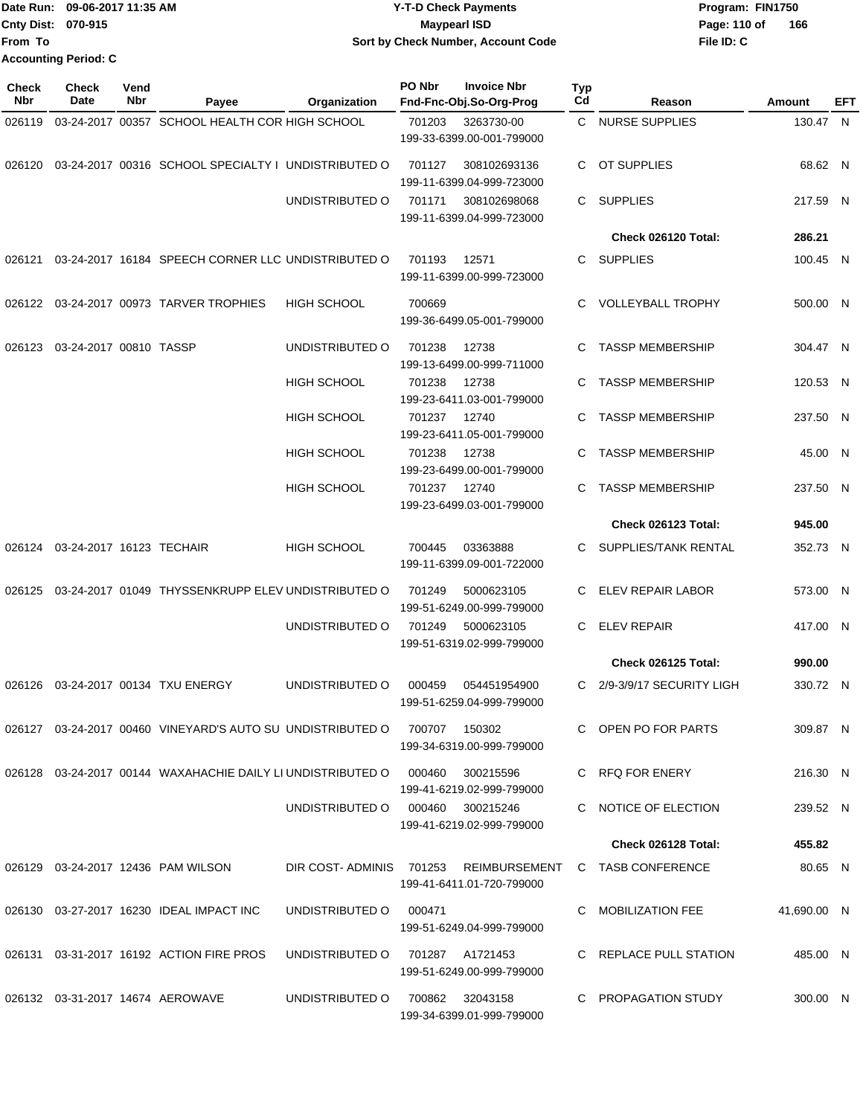|                           | Date Run: 09-06-2017 11:35 AM | <b>Y-T-D Check Payments</b>        | Program: FIN1750    |  |  |
|---------------------------|-------------------------------|------------------------------------|---------------------|--|--|
| <b>Cnty Dist: 070-915</b> |                               | <b>Mavpearl ISD</b>                | 166<br>Page: 110 of |  |  |
| <b>From To</b>            |                               | Sort by Check Number, Account Code | File ID: C          |  |  |
|                           | <b>Accounting Period: C</b>   |                                    |                     |  |  |

| <b>Check</b><br>Nbr | <b>Check</b><br>Date            | Vend<br>Nbr | Payee                                                                            | Organization                     | PO Nbr | <b>Invoice Nbr</b><br>Fnd-Fnc-Obj.So-Org-Prog | <b>Typ</b><br>Cd | Reason                                                  | Amount      | EFT |
|---------------------|---------------------------------|-------------|----------------------------------------------------------------------------------|----------------------------------|--------|-----------------------------------------------|------------------|---------------------------------------------------------|-------------|-----|
| 026119              |                                 |             | 03-24-2017 00357 SCHOOL HEALTH COR HIGH SCHOOL                                   |                                  | 701203 | 3263730-00                                    |                  | C NURSE SUPPLIES                                        | 130.47 N    |     |
|                     |                                 |             |                                                                                  |                                  |        | 199-33-6399.00-001-799000                     |                  |                                                         |             |     |
|                     |                                 |             | 026120 03-24-2017 00316 SCHOOL SPECIALTY I UNDISTRIBUTED O                       |                                  | 701127 | 308102693136<br>199-11-6399.04-999-723000     | C                | OT SUPPLIES                                             | 68.62 N     |     |
|                     |                                 |             |                                                                                  | UNDISTRIBUTED O                  | 701171 | 308102698068<br>199-11-6399.04-999-723000     | C.               | SUPPLIES                                                | 217.59 N    |     |
|                     |                                 |             |                                                                                  |                                  |        |                                               |                  | Check 026120 Total:                                     | 286.21      |     |
| 026121              |                                 |             | 03-24-2017 16184 SPEECH CORNER LLC UNDISTRIBUTED O                               |                                  | 701193 | 12571<br>199-11-6399.00-999-723000            | C.               | SUPPLIES                                                | 100.45 N    |     |
|                     |                                 |             | 026122 03-24-2017 00973 TARVER TROPHIES                                          | <b>HIGH SCHOOL</b>               | 700669 | 199-36-6499.05-001-799000                     | C.               | <b>VOLLEYBALL TROPHY</b>                                | 500.00 N    |     |
|                     | 026123 03-24-2017 00810 TASSP   |             |                                                                                  | UNDISTRIBUTED O                  | 701238 | 12738<br>199-13-6499.00-999-711000            | C                | <b>TASSP MEMBERSHIP</b>                                 | 304.47 N    |     |
|                     |                                 |             |                                                                                  | <b>HIGH SCHOOL</b>               | 701238 | 12738                                         | C                | <b>TASSP MEMBERSHIP</b>                                 | 120.53 N    |     |
|                     |                                 |             |                                                                                  | <b>HIGH SCHOOL</b>               | 701237 | 199-23-6411.03-001-799000<br>12740            | C.               | <b>TASSP MEMBERSHIP</b>                                 | 237.50 N    |     |
|                     |                                 |             |                                                                                  |                                  |        | 199-23-6411.05-001-799000                     |                  |                                                         |             |     |
|                     |                                 |             |                                                                                  | <b>HIGH SCHOOL</b>               | 701238 | 12738<br>199-23-6499.00-001-799000            | C                | <b>TASSP MEMBERSHIP</b>                                 | 45.00 N     |     |
|                     |                                 |             |                                                                                  | <b>HIGH SCHOOL</b>               | 701237 | 12740<br>199-23-6499.03-001-799000            | C.               | <b>TASSP MEMBERSHIP</b>                                 | 237.50 N    |     |
|                     |                                 |             |                                                                                  |                                  |        |                                               |                  | Check 026123 Total:                                     | 945.00      |     |
|                     | 026124 03-24-2017 16123 TECHAIR |             |                                                                                  | <b>HIGH SCHOOL</b>               | 700445 | 03363888<br>199-11-6399.09-001-722000         | C.               | SUPPLIES/TANK RENTAL                                    | 352.73 N    |     |
| 026125              |                                 |             | 03-24-2017 01049 THYSSENKRUPP ELEV UNDISTRIBUTED O                               |                                  | 701249 | 5000623105<br>199-51-6249.00-999-799000       | C.               | <b>ELEV REPAIR LABOR</b>                                | 573.00 N    |     |
|                     |                                 |             |                                                                                  | UNDISTRIBUTED O                  | 701249 | 5000623105<br>199-51-6319.02-999-799000       | C                | <b>ELEV REPAIR</b>                                      | 417.00 N    |     |
|                     |                                 |             |                                                                                  |                                  |        |                                               |                  | Check 026125 Total:                                     | 990.00      |     |
|                     |                                 |             | 026126  03-24-2017  00134  TXU ENERGY                                            | UNDISTRIBUTED O                  | 000459 | 054451954900<br>199-51-6259.04-999-799000     | C                | 2/9-3/9/17 SECURITY LIGH                                | 330.72 N    |     |
|                     |                                 |             | 026127  03-24-2017  00460  VINEYARD'S  AUTO SU UNDISTRIBUTED   0  700707  150302 |                                  |        | 199-34-6319.00-999-799000                     |                  | C OPEN PO FOR PARTS                                     | 309.87 N    |     |
|                     |                                 |             | 026128 03-24-2017 00144 WAXAHACHIE DAILY LI UNDISTRIBUTED O 000460 300215596     |                                  |        | 199-41-6219.02-999-799000                     |                  | C RFQ FOR ENERY                                         | 216.30 N    |     |
|                     |                                 |             |                                                                                  | UNDISTRIBUTED 0 000460 300215246 |        | 199-41-6219.02-999-799000                     |                  | C NOTICE OF ELECTION                                    | 239.52 N    |     |
|                     |                                 |             |                                                                                  |                                  |        |                                               |                  | Check 026128 Total:                                     | 455.82      |     |
|                     |                                 |             | 026129 03-24-2017 12436 PAM WILSON                                               |                                  |        | 199-41-6411.01-720-799000                     |                  | DIR COST-ADMINIS 701253 REIMBURSEMENT C TASB CONFERENCE | 80.65 N     |     |
|                     |                                 |             | 026130 03-27-2017 16230 IDEAL IMPACT INC                                         | UNDISTRIBUTED O                  | 000471 | 199-51-6249.04-999-799000                     |                  | C MOBILIZATION FEE                                      | 41,690.00 N |     |
|                     |                                 |             | 026131 03-31-2017 16192 ACTION FIRE PROS                                         | UNDISTRIBUTED O 701287 A1721453  |        | 199-51-6249.00-999-799000                     |                  | C REPLACE PULL STATION                                  | 485.00 N    |     |
|                     |                                 |             | 026132  03-31-2017  14674  AEROWAVE                                              | UNDISTRIBUTED O                  |        | 700862 32043158<br>199-34-6399.01-999-799000  |                  | C PROPAGATION STUDY                                     | 300.00 N    |     |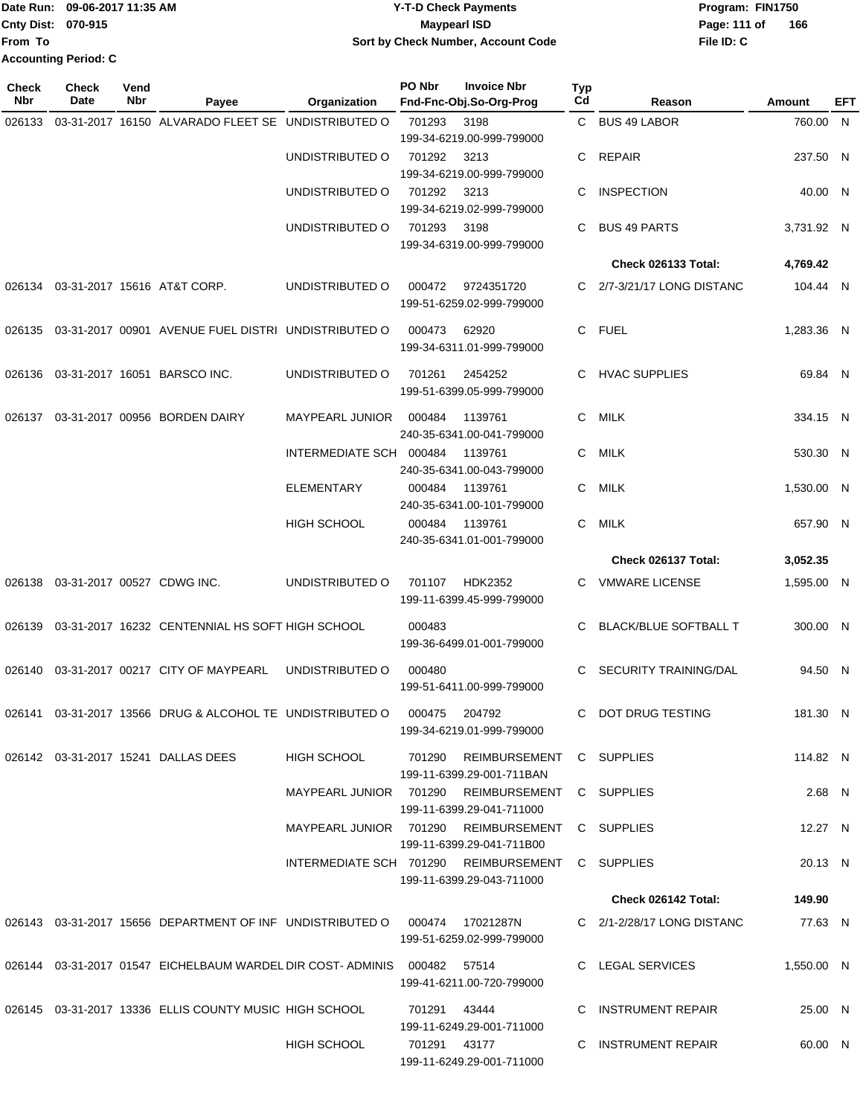|                             | Date Run: 09-06-2017 11:35 AM | <b>Y-T-D Check Payments</b>        | Program: FIN1750 |     |  |  |
|-----------------------------|-------------------------------|------------------------------------|------------------|-----|--|--|
| <b>Cnty Dist: 070-915</b>   |                               | Maypearl ISD                       | Page: 111 of     | 166 |  |  |
| <b>From To</b>              |                               | Sort by Check Number, Account Code | File ID: C       |     |  |  |
| <b>Accounting Period: C</b> |                               |                                    |                  |     |  |  |

| Check<br><b>Nbr</b> | <b>Check</b><br>Date | Vend<br>Nbr | Payee                                                                           | Organization            | PO Nbr        | <b>Invoice Nbr</b><br>Fnd-Fnc-Obj.So-Org-Prog                                 | Typ<br>Cd | Reason                       | Amount     | EFT |
|---------------------|----------------------|-------------|---------------------------------------------------------------------------------|-------------------------|---------------|-------------------------------------------------------------------------------|-----------|------------------------------|------------|-----|
| 026133              |                      |             | 03-31-2017 16150 ALVARADO FLEET SE UNDISTRIBUTED O                              |                         | 701293        | 3198                                                                          |           | C BUS 49 LABOR               | 760.00 N   |     |
|                     |                      |             |                                                                                 | UNDISTRIBUTED O         | 701292        | 199-34-6219.00-999-799000<br>3213                                             | C         | <b>REPAIR</b>                | 237.50 N   |     |
|                     |                      |             |                                                                                 |                         |               | 199-34-6219.00-999-799000                                                     |           |                              |            |     |
|                     |                      |             |                                                                                 | UNDISTRIBUTED O         | 701292        | 3213<br>199-34-6219.02-999-799000                                             | C         | <b>INSPECTION</b>            | 40.00 N    |     |
|                     |                      |             |                                                                                 | UNDISTRIBUTED O         | 701293        | 3198<br>199-34-6319.00-999-799000                                             | C.        | <b>BUS 49 PARTS</b>          | 3,731.92 N |     |
|                     |                      |             |                                                                                 |                         |               |                                                                               |           | Check 026133 Total:          | 4,769.42   |     |
| 026134              |                      |             | 03-31-2017 15616 AT&T CORP.                                                     | UNDISTRIBUTED O         | 000472        | 9724351720<br>199-51-6259.02-999-799000                                       | C.        | 2/7-3/21/17 LONG DISTANC     | 104.44 N   |     |
| 026135              |                      |             | 03-31-2017 00901 AVENUE FUEL DISTRI UNDISTRIBUTED O                             |                         | 000473        | 62920<br>199-34-6311.01-999-799000                                            | C.        | <b>FUEL</b>                  | 1,283.36 N |     |
| 026136              |                      |             | 03-31-2017 16051 BARSCO INC.                                                    | UNDISTRIBUTED O         | 701261        | 2454252<br>199-51-6399.05-999-799000                                          | C         | <b>HVAC SUPPLIES</b>         | 69.84 N    |     |
| 026137              |                      |             | 03-31-2017 00956 BORDEN DAIRY                                                   | <b>MAYPEARL JUNIOR</b>  | 000484        | 1139761<br>240-35-6341.00-041-799000                                          | C         | MILK                         | 334.15 N   |     |
|                     |                      |             |                                                                                 | INTERMEDIATE SCH 000484 |               | 1139761<br>240-35-6341.00-043-799000                                          | С         | <b>MILK</b>                  | 530.30 N   |     |
|                     |                      |             |                                                                                 | <b>ELEMENTARY</b>       | 000484        | 1139761<br>240-35-6341.00-101-799000                                          | C         | MILK                         | 1,530.00 N |     |
|                     |                      |             |                                                                                 | <b>HIGH SCHOOL</b>      | 000484        | 1139761<br>240-35-6341.01-001-799000                                          | C         | <b>MILK</b>                  | 657.90 N   |     |
|                     |                      |             |                                                                                 |                         |               |                                                                               |           | Check 026137 Total:          | 3,052.35   |     |
| 026138              |                      |             | 03-31-2017 00527 CDWG INC.                                                      | UNDISTRIBUTED O         | 701107        | <b>HDK2352</b><br>199-11-6399.45-999-799000                                   | C.        | <b>VMWARE LICENSE</b>        | 1,595.00 N |     |
| 026139              |                      |             | 03-31-2017 16232 CENTENNIAL HS SOFT HIGH SCHOOL                                 |                         | 000483        | 199-36-6499.01-001-799000                                                     | C         | BLACK/BLUE SOFTBALL T        | 300.00 N   |     |
| 026140              |                      |             | 03-31-2017 00217 CITY OF MAYPEARL                                               | UNDISTRIBUTED O         | 000480        | 199-51-6411.00-999-799000                                                     | C         | <b>SECURITY TRAINING/DAL</b> | 94.50 N    |     |
|                     |                      |             | 026141 03-31-2017 13566 DRUG & ALCOHOL TE UNDISTRIBUTED O                       |                         | 000475        | 204792<br>199-34-6219.01-999-799000                                           |           | C DOT DRUG TESTING           | 181.30 N   |     |
|                     |                      |             | 026142  03-31-2017  15241  DALLAS DEES                                          | HIGH SCHOOL             |               | 701290 REIMBURSEMENT C SUPPLIES<br>199-11-6399.29-001-711BAN                  |           |                              | 114.82 N   |     |
|                     |                      |             |                                                                                 |                         |               | MAYPEARL JUNIOR 701290 REIMBURSEMENT C SUPPLIES<br>199-11-6399.29-041-711000  |           |                              | $2.68$ N   |     |
|                     |                      |             |                                                                                 |                         |               | MAYPEARL JUNIOR 701290 REIMBURSEMENT C SUPPLIES<br>199-11-6399.29-041-711B00  |           |                              | 12.27 N    |     |
|                     |                      |             |                                                                                 |                         |               | INTERMEDIATE SCH 701290 REIMBURSEMENT C SUPPLIES<br>199-11-6399.29-043-711000 |           |                              | 20.13 N    |     |
|                     |                      |             |                                                                                 |                         |               |                                                                               |           | Check 026142 Total:          | 149.90     |     |
|                     |                      |             | 026143  03-31-2017  15656  DEPARTMENT OF INF  UNDISTRIBUTED   000474  17021287N |                         |               | 199-51-6259.02-999-799000                                                     |           | C 2/1-2/28/17 LONG DISTANC   | 77.63 N    |     |
|                     |                      |             | 026144 03-31-2017 01547 EICHELBAUM WARDEL DIR COST- ADMINIS 000482 57514        |                         |               | 199-41-6211.00-720-799000                                                     |           | C LEGAL SERVICES             | 1,550.00 N |     |
|                     |                      |             | 026145 03-31-2017 13336 ELLIS COUNTY MUSIC HIGH SCHOOL                          |                         | 701291 43444  | 199-11-6249.29-001-711000                                                     |           | C INSTRUMENT REPAIR          | 25.00 N    |     |
|                     |                      |             |                                                                                 | HIGH SCHOOL             | 701291  43177 | 199-11-6249.29-001-711000                                                     |           | C INSTRUMENT REPAIR          | 60.00 N    |     |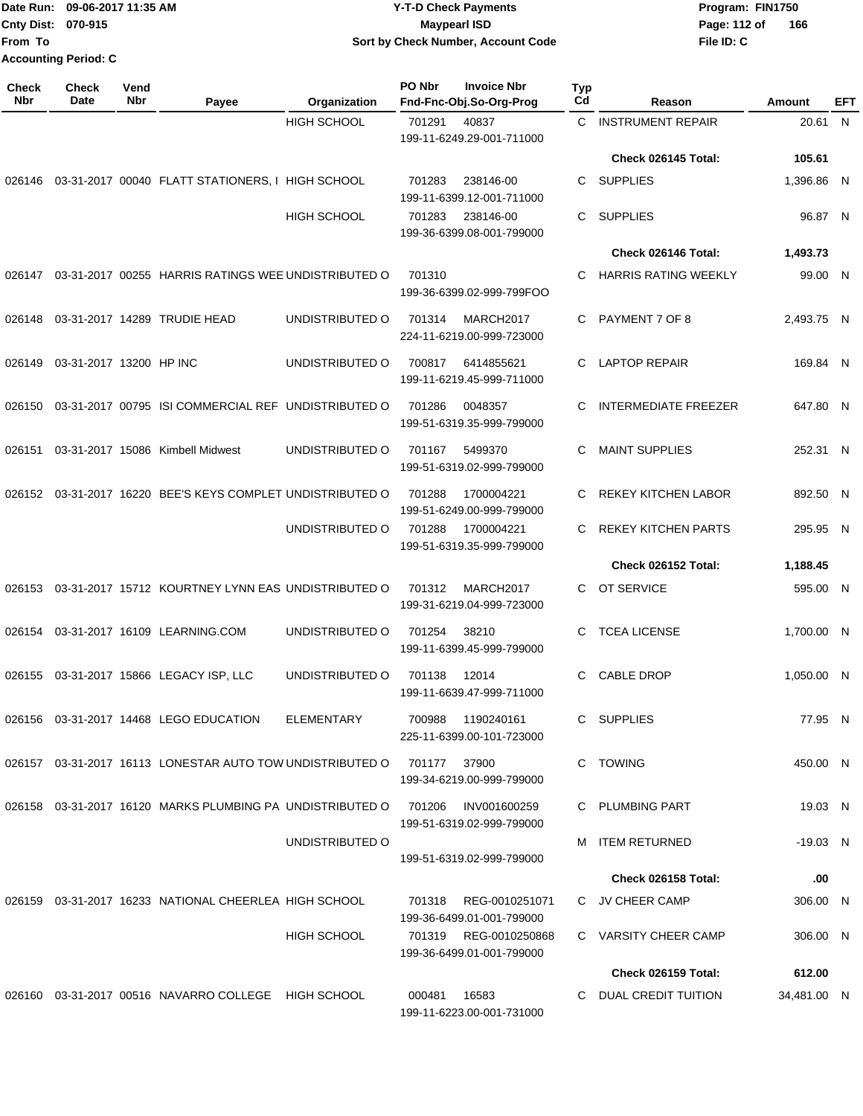**Cnty Dist: 070-915 From To Accounting Period: C**

### Date Run: 09-06-2017 11:35 AM **CONTEX 100 CONTEX 12 T-D** Check Payments **CONTEX 12 T-D Check Payments** Program: FIN1750 **09-06-2017 11:35 AM Y-T-D Check Payments 070-915 Maypearl ISD Sort by Check Number, Account Code**

**File ID: C** Page: 112 of 166

| Check<br><b>Nbr</b> | Check<br>Date           | Vend<br><b>Nbr</b> | Payee                                                      | Organization       | PO Nbr | <b>Invoice Nbr</b><br>Fnd-Fnc-Obj.So-Org-Prog | Typ<br>Cd | Reason                      | Amount      | <b>EFT</b> |
|---------------------|-------------------------|--------------------|------------------------------------------------------------|--------------------|--------|-----------------------------------------------|-----------|-----------------------------|-------------|------------|
|                     |                         |                    |                                                            | <b>HIGH SCHOOL</b> | 701291 | 40837                                         | C         | <b>INSTRUMENT REPAIR</b>    | 20.61 N     |            |
|                     |                         |                    |                                                            |                    |        | 199-11-6249.29-001-711000                     |           |                             |             |            |
|                     |                         |                    |                                                            |                    |        |                                               |           | Check 026145 Total:         | 105.61      |            |
| 026146              |                         |                    | 03-31-2017 00040 FLATT STATIONERS, I HIGH SCHOOL           |                    | 701283 | 238146-00<br>199-11-6399.12-001-711000        | C         | <b>SUPPLIES</b>             | 1,396.86 N  |            |
|                     |                         |                    |                                                            | <b>HIGH SCHOOL</b> | 701283 | 238146-00<br>199-36-6399.08-001-799000        | C         | <b>SUPPLIES</b>             | 96.87 N     |            |
|                     |                         |                    |                                                            |                    |        |                                               |           | Check 026146 Total:         | 1,493.73    |            |
|                     |                         |                    | 026147 03-31-2017 00255 HARRIS RATINGS WEE UNDISTRIBUTED O |                    | 701310 | 199-36-6399.02-999-799FOO                     | C         | <b>HARRIS RATING WEEKLY</b> | 99.00 N     |            |
| 026148              |                         |                    | 03-31-2017 14289 TRUDIE HEAD                               | UNDISTRIBUTED O    | 701314 | MARCH2017<br>224-11-6219.00-999-723000        | C         | PAYMENT 7 OF 8              | 2,493.75 N  |            |
| 026149              | 03-31-2017 13200 HP INC |                    |                                                            | UNDISTRIBUTED O    | 700817 | 6414855621<br>199-11-6219.45-999-711000       | C         | <b>LAPTOP REPAIR</b>        | 169.84 N    |            |
| 026150              |                         |                    | 03-31-2017 00795 ISI COMMERCIAL REF UNDISTRIBUTED O        |                    | 701286 | 0048357<br>199-51-6319.35-999-799000          | C         | <b>INTERMEDIATE FREEZER</b> | 647.80 N    |            |
| 026151              |                         |                    | 03-31-2017 15086 Kimbell Midwest                           | UNDISTRIBUTED O    | 701167 | 5499370<br>199-51-6319.02-999-799000          | C         | <b>MAINT SUPPLIES</b>       | 252.31 N    |            |
|                     |                         |                    | 026152 03-31-2017 16220 BEE'S KEYS COMPLET UNDISTRIBUTED O |                    | 701288 | 1700004221<br>199-51-6249.00-999-799000       | C         | <b>REKEY KITCHEN LABOR</b>  | 892.50 N    |            |
|                     |                         |                    |                                                            | UNDISTRIBUTED O    | 701288 | 1700004221<br>199-51-6319.35-999-799000       | C.        | <b>REKEY KITCHEN PARTS</b>  | 295.95 N    |            |
|                     |                         |                    |                                                            |                    |        |                                               |           | Check 026152 Total:         | 1,188.45    |            |
| 026153              |                         |                    | 03-31-2017 15712 KOURTNEY LYNN EAS UNDISTRIBUTED O         |                    | 701312 | MARCH2017<br>199-31-6219.04-999-723000        |           | C OT SERVICE                | 595.00 N    |            |
|                     |                         |                    | 026154 03-31-2017 16109 LEARNING.COM                       | UNDISTRIBUTED O    | 701254 | 38210<br>199-11-6399.45-999-799000            | C         | <b>TCEA LICENSE</b>         | 1,700.00 N  |            |
|                     |                         |                    | 026155 03-31-2017 15866 LEGACY ISP, LLC                    | UNDISTRIBUTED O    | 701138 | 12014<br>199-11-6639.47-999-711000            | C         | <b>CABLE DROP</b>           | 1,050.00 N  |            |
|                     |                         |                    | 026156 03-31-2017 14468 LEGO EDUCATION                     | ELEMENTARY         | 700988 | 1190240161<br>225-11-6399.00-101-723000       |           | C SUPPLIES                  | 77.95 N     |            |
|                     |                         |                    | 026157 03-31-2017 16113 LONESTAR AUTO TOW UNDISTRIBUTED O  |                    | 701177 | 37900<br>199-34-6219.00-999-799000            | C         | TOWING                      | 450.00 N    |            |
|                     |                         |                    | 026158 03-31-2017 16120 MARKS PLUMBING PA UNDISTRIBUTED O  |                    | 701206 | INV001600259<br>199-51-6319.02-999-799000     |           | C PLUMBING PART             | 19.03 N     |            |
|                     |                         |                    |                                                            | UNDISTRIBUTED O    |        | 199-51-6319.02-999-799000                     |           | M ITEM RETURNED             | $-19.03$ N  |            |
|                     |                         |                    |                                                            |                    |        |                                               |           | Check 026158 Total:         | .00         |            |
|                     |                         |                    | 026159 03-31-2017 16233 NATIONAL CHEERLEA HIGH SCHOOL      |                    | 701318 | REG-0010251071<br>199-36-6499.01-001-799000   |           | C JV CHEER CAMP             | 306.00 N    |            |
|                     |                         |                    |                                                            | <b>HIGH SCHOOL</b> | 701319 | REG-0010250868<br>199-36-6499.01-001-799000   |           | C VARSITY CHEER CAMP        | 306.00 N    |            |
|                     |                         |                    |                                                            |                    |        |                                               |           | Check 026159 Total:         | 612.00      |            |
|                     |                         |                    | 026160 03-31-2017 00516 NAVARRO COLLEGE HIGH SCHOOL        |                    | 000481 | 16583<br>199-11-6223.00-001-731000            | C         | DUAL CREDIT TUITION         | 34,481.00 N |            |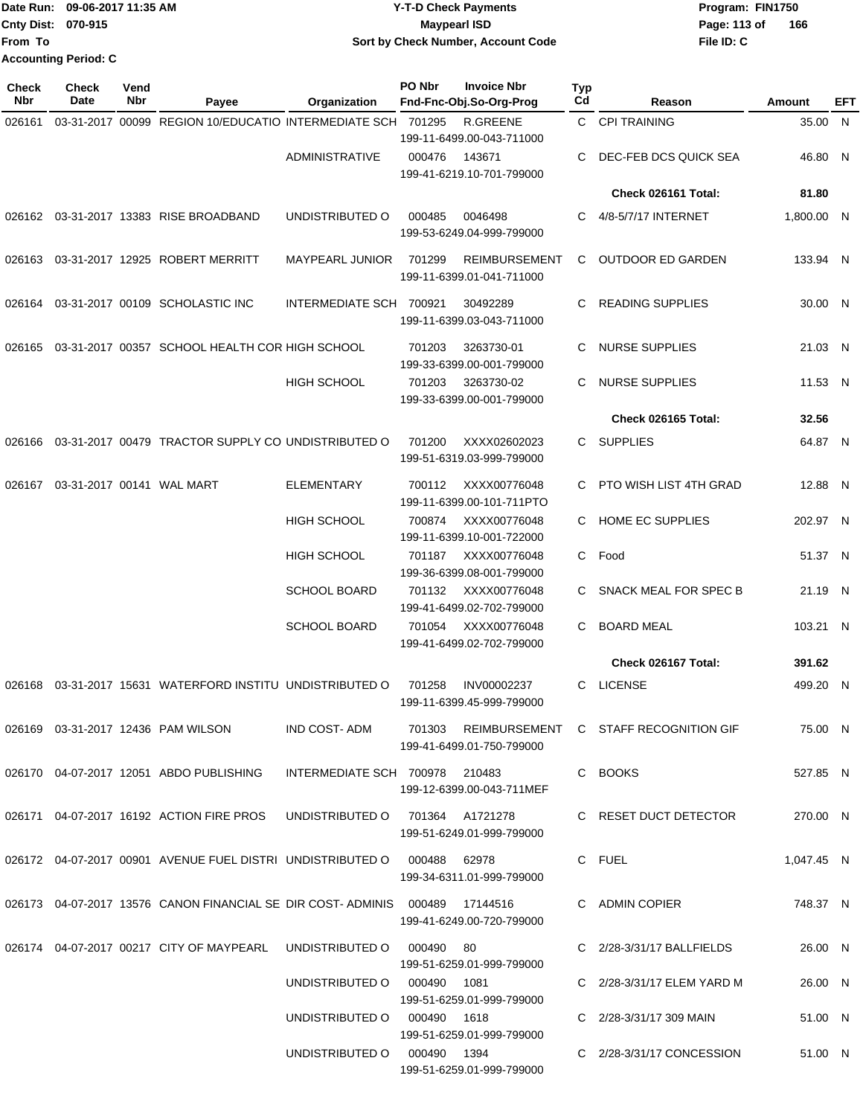| Date Run: 09-06-2017 11:35 AM | <b>Y-T-D Check Payments</b>        | Program: FIN1750    |
|-------------------------------|------------------------------------|---------------------|
| Cnty Dist: 070-915            | Maypearl ISD                       | Page: 113 of<br>166 |
| From To                       | Sort by Check Number, Account Code | File ID: C          |
| <b>Accounting Period: C</b>   |                                    |                     |

| <b>Check</b><br>Nbr | <b>Check</b><br>Date | Vend<br>Nbr | Payee                                                                          | Organization                   | PO Nbr | <b>Invoice Nbr</b><br>Fnd-Fnc-Obj.So-Org-Prog                    | Typ<br>Cd    | Reason                                                    | Amount     | EFT |
|---------------------|----------------------|-------------|--------------------------------------------------------------------------------|--------------------------------|--------|------------------------------------------------------------------|--------------|-----------------------------------------------------------|------------|-----|
| 026161              |                      |             | 03-31-2017 00099 REGION 10/EDUCATIO INTERMEDIATE SCH 701295                    |                                |        | R.GREENE                                                         | $\mathbf{C}$ | <b>CPI TRAINING</b>                                       | 35.00      | N   |
|                     |                      |             |                                                                                | <b>ADMINISTRATIVE</b>          | 000476 | 199-11-6499.00-043-711000<br>143671<br>199-41-6219.10-701-799000 | C            | DEC-FEB DCS QUICK SEA                                     | 46.80 N    |     |
|                     |                      |             |                                                                                |                                |        |                                                                  |              | Check 026161 Total:                                       | 81.80      |     |
|                     |                      |             | 026162 03-31-2017 13383 RISE BROADBAND                                         | UNDISTRIBUTED O                | 000485 | 0046498<br>199-53-6249.04-999-799000                             | C            | 4/8-5/7/17 INTERNET                                       | 1,800.00 N |     |
| 026163              |                      |             | 03-31-2017 12925 ROBERT MERRITT                                                | <b>MAYPEARL JUNIOR</b>         | 701299 | <b>REIMBURSEMENT</b><br>199-11-6399.01-041-711000                | C            | <b>OUTDOOR ED GARDEN</b>                                  | 133.94 N   |     |
| 026164              |                      |             | 03-31-2017 00109 SCHOLASTIC INC                                                | INTERMEDIATE SCH 700921        |        | 30492289<br>199-11-6399.03-043-711000                            | C.           | <b>READING SUPPLIES</b>                                   | 30.00 N    |     |
| 026165              |                      |             | 03-31-2017 00357 SCHOOL HEALTH COR HIGH SCHOOL                                 |                                | 701203 | 3263730-01<br>199-33-6399.00-001-799000                          | C            | <b>NURSE SUPPLIES</b>                                     | 21.03 N    |     |
|                     |                      |             |                                                                                | <b>HIGH SCHOOL</b>             | 701203 | 3263730-02<br>199-33-6399.00-001-799000                          | C.           | <b>NURSE SUPPLIES</b>                                     | 11.53 N    |     |
|                     |                      |             |                                                                                |                                |        |                                                                  |              | Check 026165 Total:                                       | 32.56      |     |
| 026166              |                      |             | 03-31-2017 00479 TRACTOR SUPPLY CO UNDISTRIBUTED O                             |                                | 701200 | XXXX02602023<br>199-51-6319.03-999-799000                        |              | C SUPPLIES                                                | 64.87 N    |     |
| 026167              |                      |             | 03-31-2017 00141 WAL MART                                                      | <b>ELEMENTARY</b>              | 700112 | XXXX00776048<br>199-11-6399.00-101-711PTO                        | C.           | PTO WISH LIST 4TH GRAD                                    | 12.88 N    |     |
|                     |                      |             |                                                                                | <b>HIGH SCHOOL</b>             | 700874 | XXXX00776048<br>199-11-6399.10-001-722000                        | C.           | HOME EC SUPPLIES                                          | 202.97 N   |     |
|                     |                      |             |                                                                                | <b>HIGH SCHOOL</b>             | 701187 | XXXX00776048<br>199-36-6399.08-001-799000                        | C.           | Food                                                      | 51.37 N    |     |
|                     |                      |             |                                                                                | <b>SCHOOL BOARD</b>            | 701132 | XXXX00776048<br>199-41-6499.02-702-799000                        | C            | SNACK MEAL FOR SPEC B                                     | 21.19 N    |     |
|                     |                      |             |                                                                                | <b>SCHOOL BOARD</b>            | 701054 | XXXX00776048<br>199-41-6499.02-702-799000                        | C.           | <b>BOARD MEAL</b>                                         | 103.21 N   |     |
|                     |                      |             |                                                                                |                                |        |                                                                  |              | Check 026167 Total:                                       | 391.62     |     |
| 026168              |                      |             | 03-31-2017 15631 WATERFORD INSTITU UNDISTRIBUTED O                             |                                | 701258 | INV00002237<br>199-11-6399.45-999-799000                         | C            | <b>LICENSE</b>                                            | 499.20 N   |     |
|                     |                      |             |                                                                                |                                |        | 199-41-6499.01-750-799000                                        |              | IND COST-ADM 701303 REIMBURSEMENT C STAFF RECOGNITION GIF | 75.00 N    |     |
|                     |                      |             | 026170  04-07-2017  12051  ABDO PUBLISHING                                     | INTERMEDIATE SCH 700978 210483 |        | 199-12-6399.00-043-711MEF                                        |              | C BOOKS                                                   | 527.85 N   |     |
|                     |                      |             | 026171  04-07-2017  16192  ACTION FIRE PROS  UNDISTRIBUTED O  701364  A1721278 |                                |        | 199-51-6249.01-999-799000                                        |              | C RESET DUCT DETECTOR                                     | 270.00 N   |     |
|                     |                      |             | 026172  04-07-2017  00901  AVENUE FUEL DISTRI  UNDISTRIBUTED   000488  62978   |                                |        | 199-34-6311.01-999-799000                                        |              | C FUEL                                                    | 1,047.45 N |     |
|                     |                      |             | 026173 04-07-2017 13576 CANON FINANCIAL SE DIR COST-ADMINIS 000489 17144516    |                                |        | 199-41-6249.00-720-799000                                        |              | C ADMIN COPIER                                            | 748.37 N   |     |
|                     |                      |             | 026174  04-07-2017  00217  CITY OF MAYPEARL  UNDISTRIBUTED   000490  80        |                                |        | 199-51-6259.01-999-799000                                        |              | C 2/28-3/31/17 BALLFIELDS                                 | 26.00 N    |     |
|                     |                      |             |                                                                                | UNDISTRIBUTED O 000490 1081    |        |                                                                  |              | C 2/28-3/31/17 ELEM YARD M                                | 26.00 N    |     |
|                     |                      |             |                                                                                | UNDISTRIBUTED O 000490 1618    |        | 199-51-6259.01-999-799000                                        |              | C 2/28-3/31/17 309 MAIN                                   | 51.00 N    |     |
|                     |                      |             |                                                                                | UNDISTRIBUTED O 000490 1394    |        | 199-51-6259.01-999-799000<br>199-51-6259.01-999-799000           |              | C 2/28-3/31/17 CONCESSION                                 | 51.00 N    |     |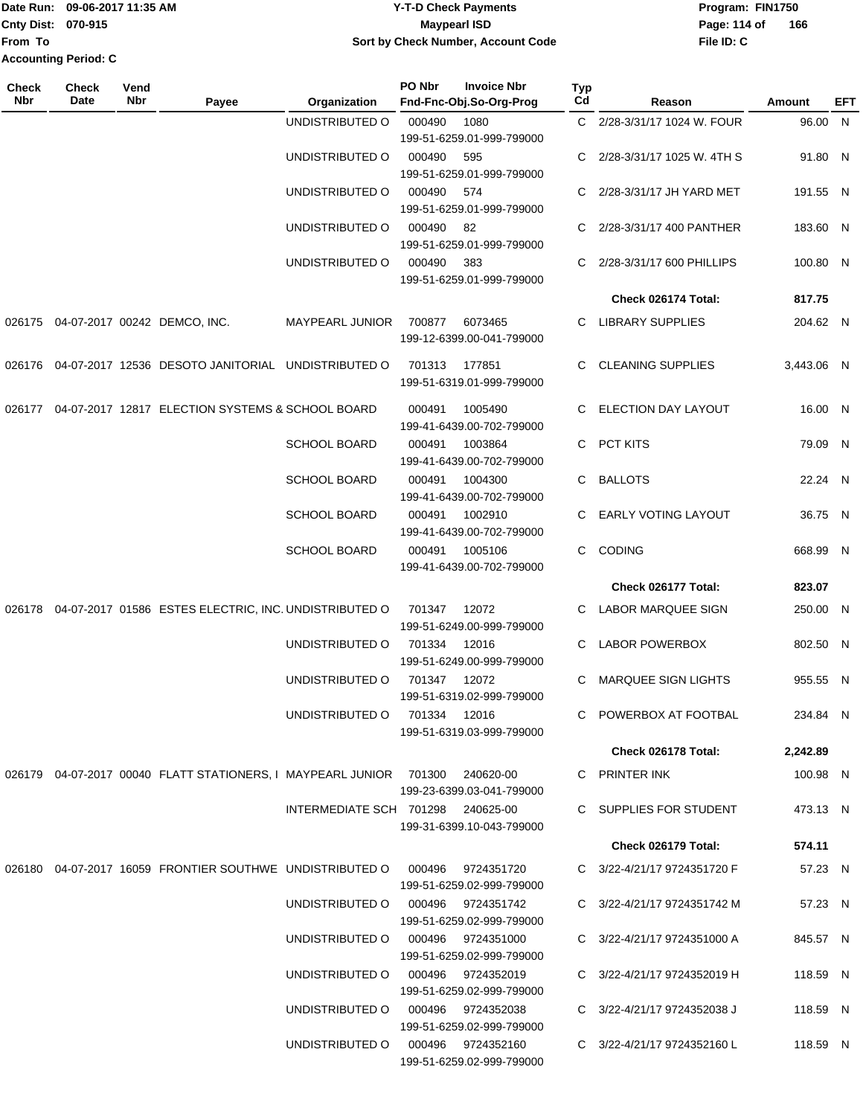#### Date Run: 09-06-2017 11:35 AM **CONTEX 100 CONTEX 12 T-D** Check Payments **CONTEX 12 T-D Check Payments** Program: FIN1750 **Cnty Dist:** 070-915 **Page:** 114 of **09-06-2017 11:35 AM Y-T-D Check Payments 070-915 Maypearl ISD Sort by Check Number, Account Code**

| Check<br><b>Nbr</b> | <b>Check</b><br>Date | Vend<br>Nbr | Payee                                                                             | Organization                      | PO Nbr | <b>Invoice Nbr</b><br>Fnd-Fnc-Obj.So-Org-Prog | Typ<br>Cd    | Reason                          | Amount     | EFT |
|---------------------|----------------------|-------------|-----------------------------------------------------------------------------------|-----------------------------------|--------|-----------------------------------------------|--------------|---------------------------------|------------|-----|
|                     |                      |             |                                                                                   | UNDISTRIBUTED O                   | 000490 | 1080<br>199-51-6259.01-999-799000             |              | C 2/28-3/31/17 1024 W. FOUR     | 96.00 N    |     |
|                     |                      |             |                                                                                   | UNDISTRIBUTED O                   | 000490 | 595<br>199-51-6259.01-999-799000              |              | C 2/28-3/31/17 1025 W. 4TH S    | 91.80 N    |     |
|                     |                      |             |                                                                                   | UNDISTRIBUTED O                   | 000490 | 574<br>199-51-6259.01-999-799000              | $\mathbf{C}$ | 2/28-3/31/17 JH YARD MET        | 191.55 N   |     |
|                     |                      |             |                                                                                   | UNDISTRIBUTED O                   | 000490 | 82<br>199-51-6259.01-999-799000               | C.           | 2/28-3/31/17 400 PANTHER        | 183.60 N   |     |
|                     |                      |             |                                                                                   | UNDISTRIBUTED O                   | 000490 | 383<br>199-51-6259.01-999-799000              |              | C 2/28-3/31/17 600 PHILLIPS     | 100.80 N   |     |
|                     |                      |             |                                                                                   |                                   |        |                                               |              | Check 026174 Total:             | 817.75     |     |
|                     |                      |             | 026175 04-07-2017 00242 DEMCO, INC.                                               | MAYPEARL JUNIOR                   | 700877 | 6073465<br>199-12-6399.00-041-799000          |              | C LIBRARY SUPPLIES              | 204.62 N   |     |
|                     |                      |             | 026176  04-07-2017  12536  DESOTO JANITORIAL  UNDISTRIBUTED O                     |                                   | 701313 | 177851<br>199-51-6319.01-999-799000           |              | C CLEANING SUPPLIES             | 3.443.06 N |     |
|                     |                      |             | 026177 04-07-2017 12817 ELECTION SYSTEMS & SCHOOL BOARD                           |                                   | 000491 | 1005490<br>199-41-6439.00-702-799000          | C.           | <b>ELECTION DAY LAYOUT</b>      | 16.00 N    |     |
|                     |                      |             |                                                                                   | <b>SCHOOL BOARD</b>               | 000491 | 1003864<br>199-41-6439.00-702-799000          | C.           | PCT KITS                        | 79.09 N    |     |
|                     |                      |             |                                                                                   | <b>SCHOOL BOARD</b>               | 000491 | 1004300<br>199-41-6439.00-702-799000          | C.           | <b>BALLOTS</b>                  | 22.24 N    |     |
|                     |                      |             |                                                                                   | <b>SCHOOL BOARD</b>               | 000491 | 1002910<br>199-41-6439.00-702-799000          | C.           | <b>EARLY VOTING LAYOUT</b>      | 36.75 N    |     |
|                     |                      |             |                                                                                   | <b>SCHOOL BOARD</b>               | 000491 | 1005106<br>199-41-6439.00-702-799000          | C.           | <b>CODING</b>                   | 668.99 N   |     |
|                     |                      |             |                                                                                   |                                   |        |                                               |              | Check 026177 Total:             | 823.07     |     |
|                     |                      |             | 026178 04-07-2017 01586 ESTES ELECTRIC, INC. UNDISTRIBUTED O                      |                                   | 701347 | 12072<br>199-51-6249.00-999-799000            |              | C LABOR MARQUEE SIGN            | 250.00 N   |     |
|                     |                      |             |                                                                                   | UNDISTRIBUTED O                   | 701334 | 12016<br>199-51-6249.00-999-799000            | C.           | <b>LABOR POWERBOX</b>           | 802.50 N   |     |
|                     |                      |             |                                                                                   | UNDISTRIBUTED O                   | 701347 | 12072<br>199-51-6319.02-999-799000            | C.           | <b>MARQUEE SIGN LIGHTS</b>      | 955.55 N   |     |
|                     |                      |             |                                                                                   | UNDISTRIBUTED O                   | 701334 | 12016<br>199-51-6319.03-999-799000            |              | C POWERBOX AT FOOTBAL           | 234.84 N   |     |
|                     |                      |             |                                                                                   |                                   |        |                                               |              | Check 026178 Total:             | 2,242.89   |     |
|                     |                      |             | 026179  04-07-2017  00040  FLATT STATIONERS, I MAYPEARL JUNIOR  701300  240620-00 |                                   |        | 199-23-6399.03-041-799000                     |              | C PRINTER INK                   | 100.98 N   |     |
|                     |                      |             |                                                                                   | INTERMEDIATE SCH 701298 240625-00 |        | 199-31-6399.10-043-799000                     |              | C SUPPLIES FOR STUDENT          | 473.13 N   |     |
|                     |                      |             |                                                                                   |                                   |        |                                               |              | Check 026179 Total:             | 574.11     |     |
|                     |                      |             | 026180  04-07-2017  16059  FRONTIER SOUTHWE  UNDISTRIBUTED   000496               |                                   |        | 9724351720<br>199-51-6259.02-999-799000       |              | C 3/22-4/21/17 9724351720 F     | 57.23 N    |     |
|                     |                      |             |                                                                                   | UNDISTRIBUTED 0 000496 9724351742 |        | 199-51-6259.02-999-799000                     |              | C 3/22-4/21/17 9724351742 M     | 57.23 N    |     |
|                     |                      |             |                                                                                   | UNDISTRIBUTED O 000496 9724351000 |        | 199-51-6259.02-999-799000                     |              | C 3/22-4/21/17 9724351000 A     | 845.57 N   |     |
|                     |                      |             |                                                                                   | UNDISTRIBUTED 0 000496 9724352019 |        | 199-51-6259.02-999-799000                     |              | C 3/22-4/21/17 9724352019 H     | 118.59 N   |     |
|                     |                      |             |                                                                                   | UNDISTRIBUTED 0 000496 9724352038 |        | 199-51-6259.02-999-799000                     |              | C 3/22-4/21/17 9724352038 J     | 118.59 N   |     |
|                     |                      |             |                                                                                   | UNDISTRIBUTED O 000496 9724352160 |        | 199-51-6259.02-999-799000                     |              | C $3/22 - 4/21/17$ 9724352160 L | 118.59 N   |     |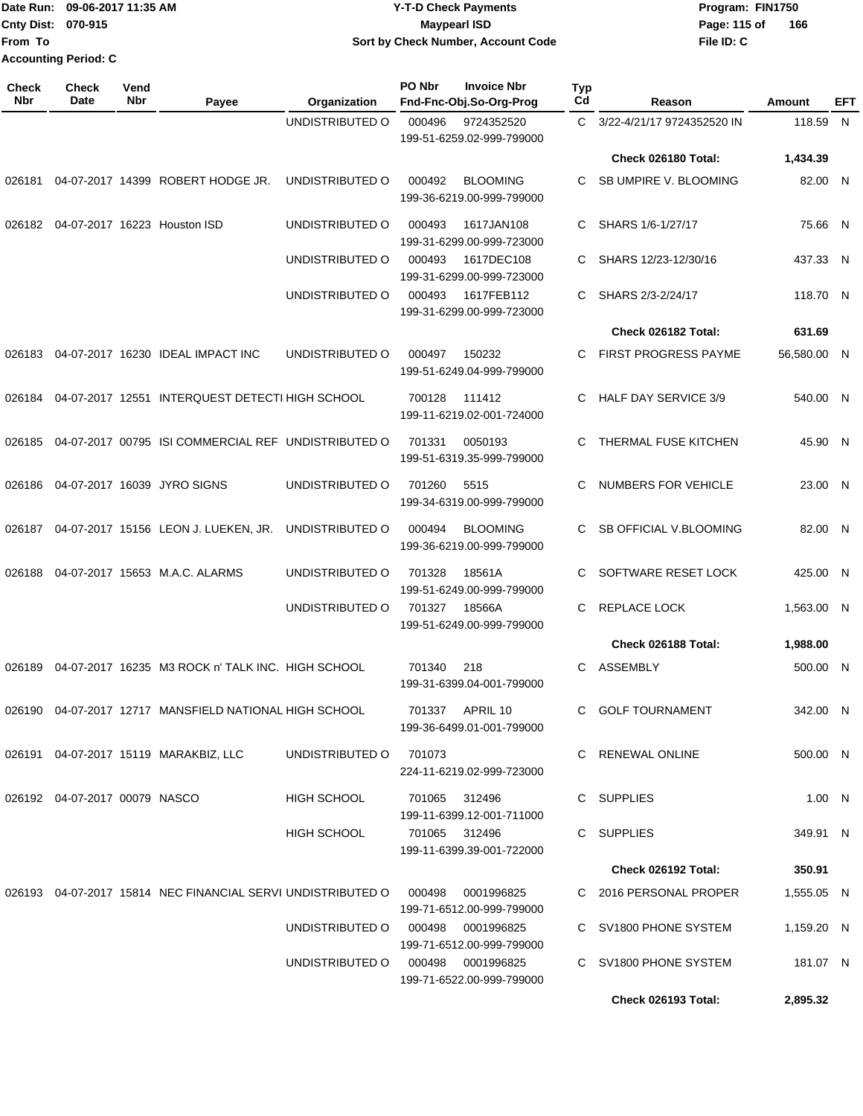#### Date Run: 09-06-2017 11:35 AM **CONTEX 100 CONTEX 12 T-D** Check Payments **CONTEX 12 T-D Check Payments** Program: FIN1750 **Cnty Dist:** 070-915 **Page:** 115 of **09-06-2017 11:35 AM Y-T-D Check Payments 070-915 Maypearl ISD Sort by Check Number, Account Code**

| Check<br>Nbr | <b>Check</b><br>Date          | Vend<br><b>Nbr</b> | Payee                                                              | Organization                          | <b>PO Nbr</b> | <b>Invoice Nbr</b><br>Fnd-Fnc-Obj.So-Org-Prog  | <b>Typ</b><br>Cd | Reason                      | Amount      | <b>EFT</b> |
|--------------|-------------------------------|--------------------|--------------------------------------------------------------------|---------------------------------------|---------------|------------------------------------------------|------------------|-----------------------------|-------------|------------|
|              |                               |                    |                                                                    | UNDISTRIBUTED O                       | 000496        | 9724352520<br>199-51-6259.02-999-799000        | C.               | 3/22-4/21/17 9724352520 IN  | 118.59 N    |            |
|              |                               |                    |                                                                    |                                       |               |                                                |                  | Check 026180 Total:         | 1,434.39    |            |
| 026181       |                               |                    | 04-07-2017 14399 ROBERT HODGE JR.                                  | UNDISTRIBUTED O                       | 000492        | <b>BLOOMING</b><br>199-36-6219.00-999-799000   | C                | SB UMPIRE V. BLOOMING       | 82.00 N     |            |
| 026182       |                               |                    | 04-07-2017 16223 Houston ISD                                       | UNDISTRIBUTED O                       | 000493        | 1617JAN108<br>199-31-6299.00-999-723000        | C                | SHARS 1/6-1/27/17           | 75.66 N     |            |
|              |                               |                    |                                                                    | UNDISTRIBUTED O                       | 000493        | 1617DEC108<br>199-31-6299.00-999-723000        | C                | SHARS 12/23-12/30/16        | 437.33 N    |            |
|              |                               |                    |                                                                    | UNDISTRIBUTED O                       | 000493        | 1617FEB112<br>199-31-6299.00-999-723000        | C                | SHARS 2/3-2/24/17           | 118.70 N    |            |
|              |                               |                    |                                                                    |                                       |               |                                                |                  | Check 026182 Total:         | 631.69      |            |
| 026183       |                               |                    | 04-07-2017 16230 IDEAL IMPACT INC                                  | UNDISTRIBUTED O                       | 000497        | 150232<br>199-51-6249.04-999-799000            | C.               | <b>FIRST PROGRESS PAYME</b> | 56,580.00 N |            |
| 026184       |                               |                    | 04-07-2017 12551 INTERQUEST DETECTI HIGH SCHOOL                    |                                       | 700128        | 111412<br>199-11-6219.02-001-724000            | C.               | <b>HALF DAY SERVICE 3/9</b> | 540.00 N    |            |
| 026185       |                               |                    | 04-07-2017 00795 ISI COMMERCIAL REF UNDISTRIBUTED O                |                                       | 701331        | 0050193<br>199-51-6319.35-999-799000           | C                | THERMAL FUSE KITCHEN        | 45.90 N     |            |
| 026186       |                               |                    | 04-07-2017 16039 JYRO SIGNS                                        | UNDISTRIBUTED O                       | 701260        | 5515<br>199-34-6319.00-999-799000              | C                | NUMBERS FOR VEHICLE         | 23.00 N     |            |
| 026187       |                               |                    | 04-07-2017 15156 LEON J. LUEKEN, JR.                               | UNDISTRIBUTED O                       | 000494        | <b>BLOOMING</b><br>199-36-6219.00-999-799000   | C                | SB OFFICIAL V.BLOOMING      | 82.00 N     |            |
| 026188       |                               |                    | 04-07-2017 15653 M.A.C. ALARMS                                     | UNDISTRIBUTED O                       | 701328        | 18561A<br>199-51-6249.00-999-799000            | C                | SOFTWARE RESET LOCK         | 425.00 N    |            |
|              |                               |                    |                                                                    | UNDISTRIBUTED O                       | 701327        | 18566A<br>199-51-6249.00-999-799000            | C                | REPLACE LOCK                | 1,563.00 N  |            |
|              |                               |                    |                                                                    |                                       |               |                                                |                  | Check 026188 Total:         | 1,988.00    |            |
| 026189       |                               |                    | 04-07-2017 16235 M3 ROCK n' TALK INC. HIGH SCHOOL                  |                                       | 701340        | 218<br>199-31-6399.04-001-799000               | C                | <b>ASSEMBLY</b>             | 500.00 N    |            |
|              |                               |                    | 026190  04-07-2017  12717  MANSFIELD NATIONAL HIGH SCHOOL          |                                       |               | 701337 APRIL 10<br>199-36-6499.01-001-799000   |                  | C GOLF TOURNAMENT           | 342.00 N    |            |
|              |                               |                    | 026191 04-07-2017 15119 MARAKBIZ, LLC                              | UNDISTRIBUTED O                       | 701073        | 224-11-6219.02-999-723000                      |                  | C RENEWAL ONLINE            | 500.00 N    |            |
|              | 026192 04-07-2017 00079 NASCO |                    |                                                                    | HIGH SCHOOL                           | 701065 312496 | 199-11-6399.12-001-711000                      |                  | C SUPPLIES                  | 1.00 N      |            |
|              |                               |                    |                                                                    | HIGH SCHOOL                           | 701065 312496 | 199-11-6399.39-001-722000                      |                  | C SUPPLIES                  | 349.91 N    |            |
|              |                               |                    |                                                                    |                                       |               |                                                |                  | Check 026192 Total:         | 350.91      |            |
|              |                               |                    | 026193 04-07-2017 15814 NEC FINANCIAL SERVI UNDISTRIBUTED O 000498 |                                       |               | 0001996825<br>199-71-6512.00-999-799000        |                  | C 2016 PERSONAL PROPER      | 1,555.05 N  |            |
|              |                               |                    |                                                                    | UNDISTRIBUTED O                       |               | 000498 0001996825<br>199-71-6512.00-999-799000 |                  | C SV1800 PHONE SYSTEM       | 1,159.20 N  |            |
|              |                               |                    |                                                                    | UNDISTRIBUTED O   000498   0001996825 |               | 199-71-6522.00-999-799000                      |                  | C SV1800 PHONE SYSTEM       | 181.07 N    |            |
|              |                               |                    |                                                                    |                                       |               |                                                |                  | Check 026193 Total:         | 2,895.32    |            |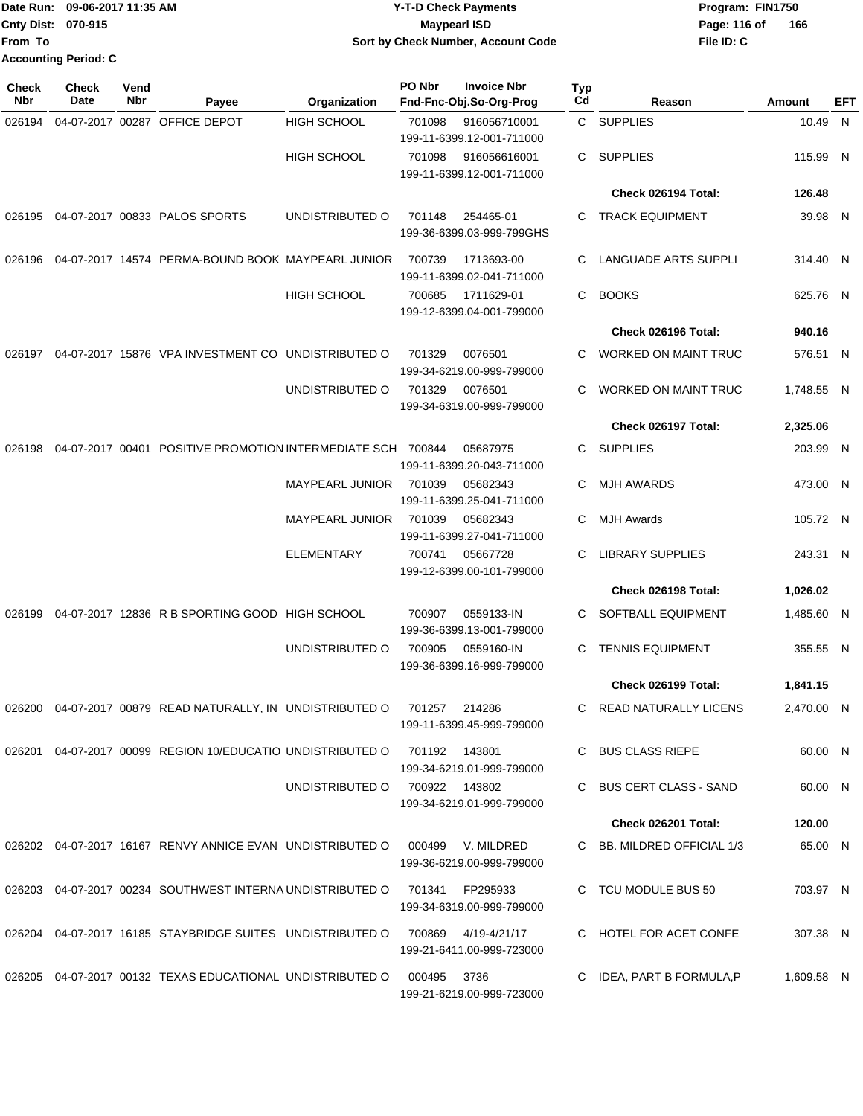|                             | Date Run: 09-06-2017 11:35 AM | <b>Y-T-D Check Payments</b>        | Program: FIN1750 |     |  |  |
|-----------------------------|-------------------------------|------------------------------------|------------------|-----|--|--|
| <b>Cnty Dist: 070-915</b>   |                               | Maypearl ISD                       | Page: 116 of     | 166 |  |  |
| From To                     |                               | Sort by Check Number, Account Code | File ID: C       |     |  |  |
| <b>Accounting Period: C</b> |                               |                                    |                  |     |  |  |

| <b>Check</b><br>Nbr | <b>Check</b><br>Date | Vend<br>Nbr | Payee                                                                             | Organization                  | PO Nbr          | <b>Invoice Nbr</b><br>Fnd-Fnc-Obj.So-Org-Prog | <b>Typ</b><br>Cd | Reason                      | Amount     | EFT |
|---------------------|----------------------|-------------|-----------------------------------------------------------------------------------|-------------------------------|-----------------|-----------------------------------------------|------------------|-----------------------------|------------|-----|
| 026194              |                      |             | 04-07-2017 00287 OFFICE DEPOT                                                     | <b>HIGH SCHOOL</b>            | 701098          | 916056710001<br>199-11-6399.12-001-711000     |                  | C SUPPLIES                  | 10.49 N    |     |
|                     |                      |             |                                                                                   | <b>HIGH SCHOOL</b>            | 701098          | 916056616001<br>199-11-6399.12-001-711000     | C.               | <b>SUPPLIES</b>             | 115.99 N   |     |
|                     |                      |             |                                                                                   |                               |                 |                                               |                  | Check 026194 Total:         | 126.48     |     |
| 026195              |                      |             | 04-07-2017 00833 PALOS SPORTS                                                     | UNDISTRIBUTED O               | 701148          | 254465-01<br>199-36-6399.03-999-799GHS        | C.               | <b>TRACK EQUIPMENT</b>      | 39.98 N    |     |
| 026196              |                      |             | 04-07-2017 14574 PERMA-BOUND BOOK MAYPEARL JUNIOR                                 |                               | 700739          | 1713693-00<br>199-11-6399.02-041-711000       | C                | <b>LANGUADE ARTS SUPPLI</b> | 314.40 N   |     |
|                     |                      |             |                                                                                   | <b>HIGH SCHOOL</b>            | 700685          | 1711629-01<br>199-12-6399.04-001-799000       | C                | <b>BOOKS</b>                | 625.76 N   |     |
|                     |                      |             |                                                                                   |                               |                 |                                               |                  | Check 026196 Total:         | 940.16     |     |
| 026197              |                      |             | 04-07-2017 15876 VPA INVESTMENT CO                                                | UNDISTRIBUTED O               | 701329          | 0076501<br>199-34-6219.00-999-799000          | C.               | <b>WORKED ON MAINT TRUC</b> | 576.51 N   |     |
|                     |                      |             |                                                                                   | UNDISTRIBUTED O               | 701329          | 0076501<br>199-34-6319.00-999-799000          | C                | <b>WORKED ON MAINT TRUC</b> | 1,748.55 N |     |
|                     |                      |             |                                                                                   |                               |                 |                                               |                  | Check 026197 Total:         | 2,325.06   |     |
| 026198              |                      |             | 04-07-2017 00401 POSITIVE PROMOTION INTERMEDIATE SCH 700844                       |                               |                 | 05687975<br>199-11-6399.20-043-711000         | C.               | <b>SUPPLIES</b>             | 203.99 N   |     |
|                     |                      |             |                                                                                   | <b>MAYPEARL JUNIOR</b>        | 701039          | 05682343<br>199-11-6399.25-041-711000         | C                | <b>MJH AWARDS</b>           | 473.00 N   |     |
|                     |                      |             |                                                                                   | <b>MAYPEARL JUNIOR</b>        | 701039          | 05682343<br>199-11-6399.27-041-711000         | C                | <b>MJH Awards</b>           | 105.72 N   |     |
|                     |                      |             |                                                                                   | <b>ELEMENTARY</b>             | 700741          | 05667728<br>199-12-6399.00-101-799000         | C                | <b>LIBRARY SUPPLIES</b>     | 243.31 N   |     |
|                     |                      |             |                                                                                   |                               |                 |                                               |                  | Check 026198 Total:         | 1,026.02   |     |
| 026199              |                      |             | 04-07-2017 12836 R B SPORTING GOOD HIGH SCHOOL                                    |                               | 700907          | 0559133-IN<br>199-36-6399.13-001-799000       | C                | SOFTBALL EQUIPMENT          | 1,485.60 N |     |
|                     |                      |             |                                                                                   | UNDISTRIBUTED O               | 700905          | 0559160-IN<br>199-36-6399.16-999-799000       | С                | <b>TENNIS EQUIPMENT</b>     | 355.55 N   |     |
|                     |                      |             |                                                                                   |                               |                 |                                               |                  | Check 026199 Total:         | 1,841.15   |     |
| 026200              |                      |             | 04-07-2017 00879 READ NATURALLY, IN UNDISTRIBUTED O                               |                               | 701257          | 214286<br>199-11-6399.45-999-799000           |                  | C READ NATURALLY LICENS     | 2,470.00 N |     |
|                     |                      |             | 026201  04-07-2017  00099  REGION  10/EDUCATIO  UNDISTRIBUTED   0  701192  143801 |                               |                 | 199-34-6219.01-999-799000                     |                  | C BUS CLASS RIEPE           | 60.00 N    |     |
|                     |                      |             |                                                                                   | UNDISTRIBUTED O 700922 143802 |                 | 199-34-6219.01-999-799000                     |                  | C BUS CERT CLASS - SAND     | 60.00 N    |     |
|                     |                      |             |                                                                                   |                               |                 |                                               |                  | Check 026201 Total:         | 120.00     |     |
|                     |                      |             | 026202 04-07-2017 16167 RENVY ANNICE EVAN UNDISTRIBUTED O 000499 V. MILDRED       |                               |                 | 199-36-6219.00-999-799000                     |                  | C BB, MILDRED OFFICIAL 1/3  | 65.00 N    |     |
|                     |                      |             | 026203 04-07-2017 00234 SOUTHWEST INTERNA UNDISTRIBUTED O                         |                               | 701341 FP295933 | 199-34-6319.00-999-799000                     |                  | C TCU MODULE BUS 50         | 703.97 N   |     |
|                     |                      |             | 026204 04-07-2017 16185 STAYBRIDGE SUITES UNDISTRIBUTED O 700869 4/19-4/21/17     |                               |                 | 199-21-6411.00-999-723000                     |                  | C HOTEL FOR ACET CONFE      | 307.38 N   |     |
|                     |                      |             | 026205  04-07-2017  00132  TEXAS EDUCATIONAL UNDISTRIBUTED   000495  3736         |                               |                 | 199-21-6219.00-999-723000                     |                  | C IDEA, PART B FORMULA, P   | 1,609.58 N |     |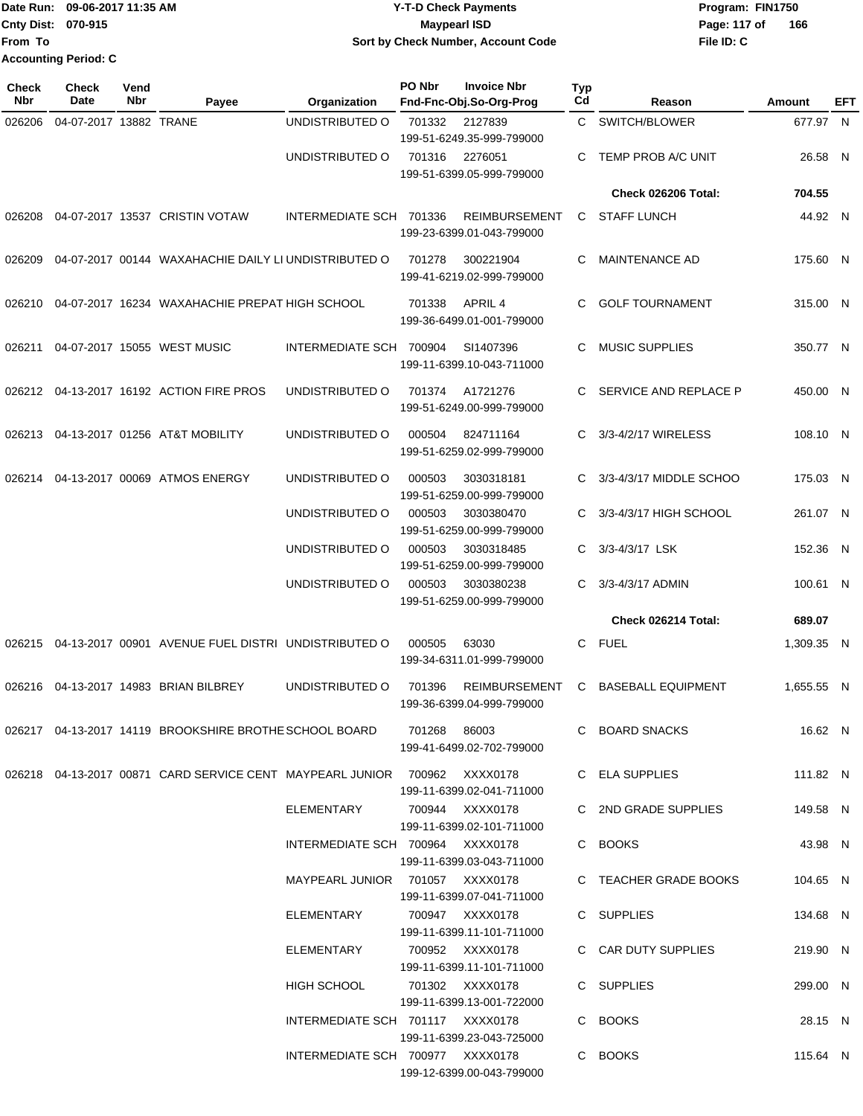#### Date Run: 09-06-2017 11:35 AM **CONTEX 100 CONTEX 12 T-D** Check Payments **CONTEX 12 T-D Check Payments** Program: FIN1750 **Cnty Dist:** 070-915 **Page: 117 of** Maypearl ISD **Page: 117 of Y-T-D Check Payments 070-915 Maypearl ISD Sort by Check Number, Account Code**

| Check<br><b>Nbr</b> | Check<br>Date          | Vend<br>Nbr | Payee                                                                     | Organization                     | PO Nbr | <b>Invoice Nbr</b><br>Fnd-Fnc-Obj.So-Org-Prog     | <b>Typ</b><br>Cd | Reason                    | Amount     | <b>EFT</b> |
|---------------------|------------------------|-------------|---------------------------------------------------------------------------|----------------------------------|--------|---------------------------------------------------|------------------|---------------------------|------------|------------|
| 026206              | 04-07-2017 13882 TRANE |             |                                                                           | UNDISTRIBUTED O                  | 701332 | 2127839<br>199-51-6249.35-999-799000              | $\mathbf{C}$     | SWITCH/BLOWER             | 677.97 N   |            |
|                     |                        |             |                                                                           | UNDISTRIBUTED O                  | 701316 | 2276051<br>199-51-6399.05-999-799000              | C                | TEMP PROB A/C UNIT        | 26.58 N    |            |
|                     |                        |             |                                                                           |                                  |        |                                                   |                  | Check 026206 Total:       | 704.55     |            |
| 026208              |                        |             | 04-07-2017 13537 CRISTIN VOTAW                                            | INTERMEDIATE SCH 701336          |        | <b>REIMBURSEMENT</b><br>199-23-6399.01-043-799000 | $\mathbf{C}$     | <b>STAFF LUNCH</b>        | 44.92 N    |            |
| 026209              |                        |             | 04-07-2017 00144 WAXAHACHIE DAILY LI UNDISTRIBUTED O                      |                                  | 701278 | 300221904<br>199-41-6219.02-999-799000            | C.               | <b>MAINTENANCE AD</b>     | 175.60 N   |            |
| 026210              |                        |             | 04-07-2017 16234 WAXAHACHIE PREPAT HIGH SCHOOL                            |                                  | 701338 | APRIL 4<br>199-36-6499.01-001-799000              | C.               | <b>GOLF TOURNAMENT</b>    | 315.00 N   |            |
| 026211              |                        |             | 04-07-2017 15055 WEST MUSIC                                               | INTERMEDIATE SCH 700904          |        | SI1407396<br>199-11-6399.10-043-711000            | C                | <b>MUSIC SUPPLIES</b>     | 350.77 N   |            |
|                     |                        |             | 026212 04-13-2017 16192 ACTION FIRE PROS                                  | UNDISTRIBUTED O                  | 701374 | A1721276<br>199-51-6249.00-999-799000             |                  | SERVICE AND REPLACE P     | 450.00 N   |            |
| 026213              |                        |             | 04-13-2017 01256 AT&T MOBILITY                                            | UNDISTRIBUTED O                  | 000504 | 824711164<br>199-51-6259.02-999-799000            | C.               | 3/3-4/2/17 WIRELESS       | 108.10 N   |            |
|                     |                        |             | 026214 04-13-2017 00069 ATMOS ENERGY                                      | UNDISTRIBUTED O                  | 000503 | 3030318181<br>199-51-6259.00-999-799000           | C.               | 3/3-4/3/17 MIDDLE SCHOO   | 175.03 N   |            |
|                     |                        |             |                                                                           | UNDISTRIBUTED O                  | 000503 | 3030380470<br>199-51-6259.00-999-799000           |                  | 3/3-4/3/17 HIGH SCHOOL    | 261.07 N   |            |
|                     |                        |             |                                                                           | UNDISTRIBUTED O                  | 000503 | 3030318485<br>199-51-6259.00-999-799000           | C.               | 3/3-4/3/17 LSK            | 152.36 N   |            |
|                     |                        |             |                                                                           | UNDISTRIBUTED O                  | 000503 | 3030380238<br>199-51-6259.00-999-799000           | C.               | 3/3-4/3/17 ADMIN          | 100.61 N   |            |
|                     |                        |             |                                                                           |                                  |        |                                                   |                  | Check 026214 Total:       | 689.07     |            |
|                     |                        |             | 026215 04-13-2017 00901 AVENUE FUEL DISTRI UNDISTRIBUTED O                |                                  | 000505 | 63030<br>199-34-6311.01-999-799000                | C                | <b>FUEL</b>               | 1,309.35 N |            |
|                     |                        |             | 026216 04-13-2017 14983 BRIAN BILBREY                                     | UNDISTRIBUTED O                  | 701396 | <b>REIMBURSEMENT</b><br>199-36-6399.04-999-799000 | C.               | <b>BASEBALL EQUIPMENT</b> | 1.655.55 N |            |
|                     |                        |             | 026217 04-13-2017 14119 BROOKSHIRE BROTHE SCHOOL BOARD 701268 86003       |                                  |        | 199-41-6499.02-702-799000                         |                  | C BOARD SNACKS            | 16.62 N    |            |
|                     |                        |             | 026218 04-13-2017 00871 CARD SERVICE CENT MAYPEARL JUNIOR 700962 XXXX0178 |                                  |        | 199-11-6399.02-041-711000                         |                  | C ELA SUPPLIES            | 111.82 N   |            |
|                     |                        |             |                                                                           | ELEMENTARY                       |        | 700944 XXXX0178<br>199-11-6399.02-101-711000      |                  | C 2ND GRADE SUPPLIES      | 149.58 N   |            |
|                     |                        |             |                                                                           | INTERMEDIATE SCH 700964 XXXX0178 |        | 199-11-6399.03-043-711000                         |                  | C BOOKS                   | 43.98 N    |            |
|                     |                        |             |                                                                           | MAYPEARL JUNIOR 701057 XXXX0178  |        | 199-11-6399.07-041-711000                         |                  | C TEACHER GRADE BOOKS     | 104.65 N   |            |
|                     |                        |             |                                                                           | ELEMENTARY 700947 XXXX0178       |        | 199-11-6399.11-101-711000                         |                  | C SUPPLIES                | 134.68 N   |            |
|                     |                        |             |                                                                           | ELEMENTARY 700952 XXXX0178       |        | 199-11-6399.11-101-711000                         |                  | C CAR DUTY SUPPLIES       | 219.90 N   |            |
|                     |                        |             |                                                                           | HIGH SCHOOL                      |        | 701302 XXXX0178<br>199-11-6399.13-001-722000      |                  | C SUPPLIES                | 299.00 N   |            |
|                     |                        |             |                                                                           | INTERMEDIATE SCH 701117 XXXX0178 |        | 199-11-6399.23-043-725000                         |                  | C BOOKS                   | 28.15 N    |            |
|                     |                        |             |                                                                           | INTERMEDIATE SCH 700977 XXXX0178 |        | 199-12-6399.00-043-799000                         |                  | C BOOKS                   | 115.64 N   |            |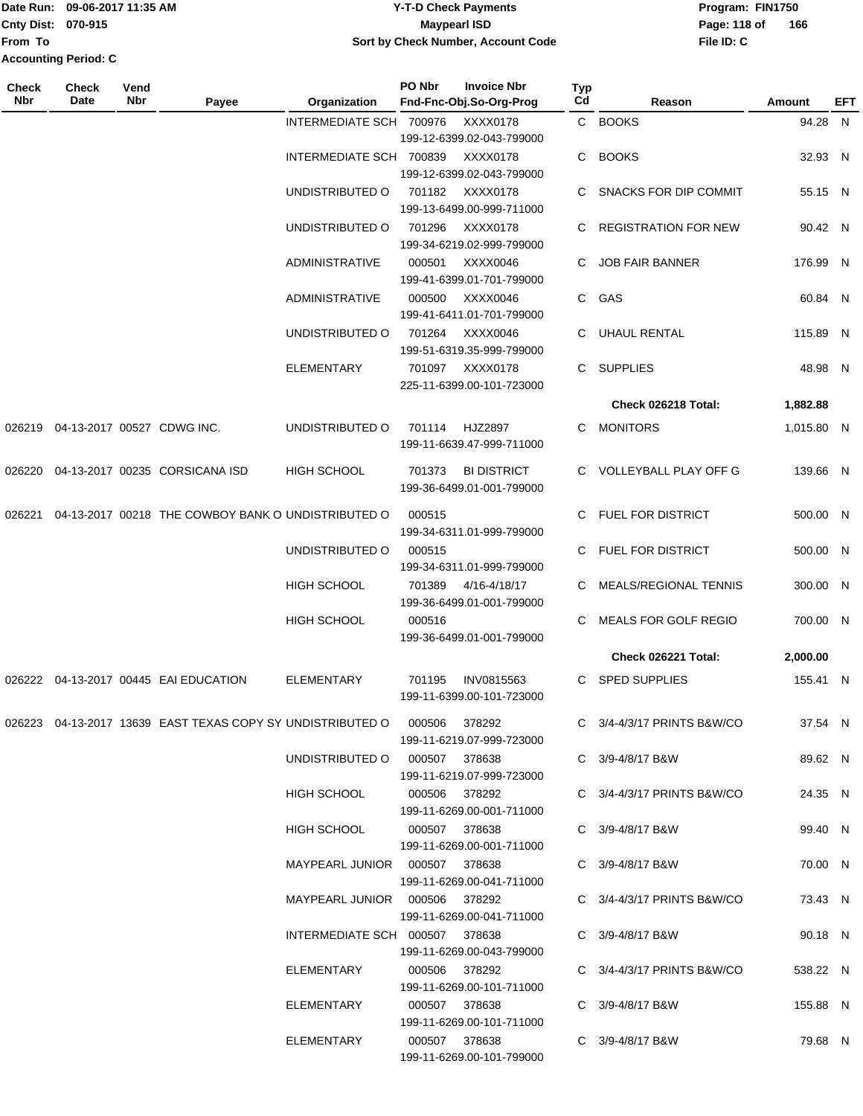|                             | Date Run: 09-06-2017 11:35 AM | <b>Y-T-D Check Payments</b>        | Program: FIN1750 |     |
|-----------------------------|-------------------------------|------------------------------------|------------------|-----|
| <b>Cnty Dist: 070-915</b>   |                               | Maypearl ISD                       | Page: 118 of     | 166 |
| From To                     |                               | Sort by Check Number, Account Code | File ID: C       |     |
| <b>Accounting Period: C</b> |                               |                                    |                  |     |

| Check<br>Nbr | <b>Check</b><br>Date | Vend<br><b>Nbr</b> | Payee                                                                    | Organization                    | PO Nbr        | <b>Invoice Nbr</b><br>Fnd-Fnc-Obj.So-Org-Prog   | Typ<br>Cd | Reason                      | <b>Amount</b> | EFT |
|--------------|----------------------|--------------------|--------------------------------------------------------------------------|---------------------------------|---------------|-------------------------------------------------|-----------|-----------------------------|---------------|-----|
|              |                      |                    |                                                                          | INTERMEDIATE SCH 700976         |               | XXXX0178<br>199-12-6399.02-043-799000           |           | C BOOKS                     | 94.28 N       |     |
|              |                      |                    |                                                                          | INTERMEDIATE SCH 700839         |               | XXXX0178<br>199-12-6399.02-043-799000           | C.        | <b>BOOKS</b>                | 32.93 N       |     |
|              |                      |                    |                                                                          | UNDISTRIBUTED O                 | 701182        | XXXX0178<br>199-13-6499.00-999-711000           | C.        | SNACKS FOR DIP COMMIT       | 55.15 N       |     |
|              |                      |                    |                                                                          | UNDISTRIBUTED O                 | 701296        | XXXX0178<br>199-34-6219.02-999-799000           | C.        | <b>REGISTRATION FOR NEW</b> | 90.42 N       |     |
|              |                      |                    |                                                                          | <b>ADMINISTRATIVE</b>           | 000501        | XXXX0046<br>199-41-6399.01-701-799000           | С         | <b>JOB FAIR BANNER</b>      | 176.99 N      |     |
|              |                      |                    |                                                                          | <b>ADMINISTRATIVE</b>           | 000500        | XXXX0046<br>199-41-6411.01-701-799000           | C.        | GAS                         | 60.84 N       |     |
|              |                      |                    |                                                                          | UNDISTRIBUTED O                 | 701264        | XXXX0046<br>199-51-6319.35-999-799000           | C         | <b>UHAUL RENTAL</b>         | 115.89 N      |     |
|              |                      |                    |                                                                          | <b>ELEMENTARY</b>               | 701097        | XXXX0178<br>225-11-6399.00-101-723000           | C         | <b>SUPPLIES</b>             | 48.98 N       |     |
|              |                      |                    |                                                                          |                                 |               |                                                 |           | Check 026218 Total:         | 1,882.88      |     |
| 026219       |                      |                    | 04-13-2017 00527 CDWG INC.                                               | UNDISTRIBUTED O                 | 701114        | HJZ2897<br>199-11-6639.47-999-711000            |           | C MONITORS                  | 1,015.80 N    |     |
| 026220       |                      |                    | 04-13-2017 00235 CORSICANA ISD                                           | HIGH SCHOOL                     | 701373        | <b>BI DISTRICT</b><br>199-36-6499.01-001-799000 |           | C VOLLEYBALL PLAY OFF G     | 139.66 N      |     |
| 026221       |                      |                    | 04-13-2017 00218 THE COWBOY BANK O UNDISTRIBUTED O                       |                                 | 000515        | 199-34-6311.01-999-799000                       | C.        | <b>FUEL FOR DISTRICT</b>    | 500.00 N      |     |
|              |                      |                    |                                                                          | UNDISTRIBUTED O                 | 000515        | 199-34-6311.01-999-799000                       | C.        | <b>FUEL FOR DISTRICT</b>    | 500.00 N      |     |
|              |                      |                    |                                                                          | HIGH SCHOOL                     | 701389        | 4/16-4/18/17<br>199-36-6499.01-001-799000       | C.        | MEALS/REGIONAL TENNIS       | 300.00 N      |     |
|              |                      |                    |                                                                          | HIGH SCHOOL                     | 000516        | 199-36-6499.01-001-799000                       | C.        | MEALS FOR GOLF REGIO        | 700.00 N      |     |
|              |                      |                    |                                                                          |                                 |               |                                                 |           | Check 026221 Total:         | 2,000.00      |     |
| 026222       |                      |                    | 04-13-2017 00445 EAI EDUCATION                                           | <b>ELEMENTARY</b>               | 701195        | INV0815563<br>199-11-6399.00-101-723000         | C.        | <b>SPED SUPPLIES</b>        | 155.41 N      |     |
|              |                      |                    | 026223 04-13-2017 13639 EAST TEXAS COPY SY UNDISTRIBUTED O 000506 378292 |                                 |               | 199-11-6219.07-999-723000                       |           | C 3/4-4/3/17 PRINTS B&W/CO  | 37.54 N       |     |
|              |                      |                    |                                                                          | UNDISTRIBUTED O 000507 378638   |               | 199-11-6219.07-999-723000                       |           | C 3/9-4/8/17 B&W            | 89.62 N       |     |
|              |                      |                    |                                                                          | HIGH SCHOOL                     |               | 000506 378292<br>199-11-6269.00-001-711000      |           | C 3/4-4/3/17 PRINTS B&W/CO  | 24.35 N       |     |
|              |                      |                    |                                                                          | HIGH SCHOOL                     | 000507 378638 | 199-11-6269.00-001-711000                       |           | C 3/9-4/8/17 B&W            | 99.40 N       |     |
|              |                      |                    |                                                                          | MAYPEARL JUNIOR  000507  378638 |               | 199-11-6269.00-041-711000                       |           | C 3/9-4/8/17 B&W            | 70.00 N       |     |
|              |                      |                    |                                                                          |                                 |               | 199-11-6269.00-041-711000                       |           | C 3/4-4/3/17 PRINTS B&W/CO  | 73.43 N       |     |
|              |                      |                    |                                                                          | INTERMEDIATE SCH 000507 378638  |               | 199-11-6269.00-043-799000                       |           | C 3/9-4/8/17 B&W            | 90.18 N       |     |
|              |                      |                    |                                                                          | ELEMENTARY                      |               | 000506 378292<br>199-11-6269.00-101-711000      |           | C 3/4-4/3/17 PRINTS B&W/CO  | 538.22 N      |     |
|              |                      |                    |                                                                          | ELEMENTARY                      |               | 000507 378638<br>199-11-6269.00-101-711000      |           | C 3/9-4/8/17 B&W            | 155.88 N      |     |
|              |                      |                    |                                                                          | ELEMENTARY                      |               | 000507 378638<br>199-11-6269.00-101-799000      |           | C 3/9-4/8/17 B&W            | 79.68 N       |     |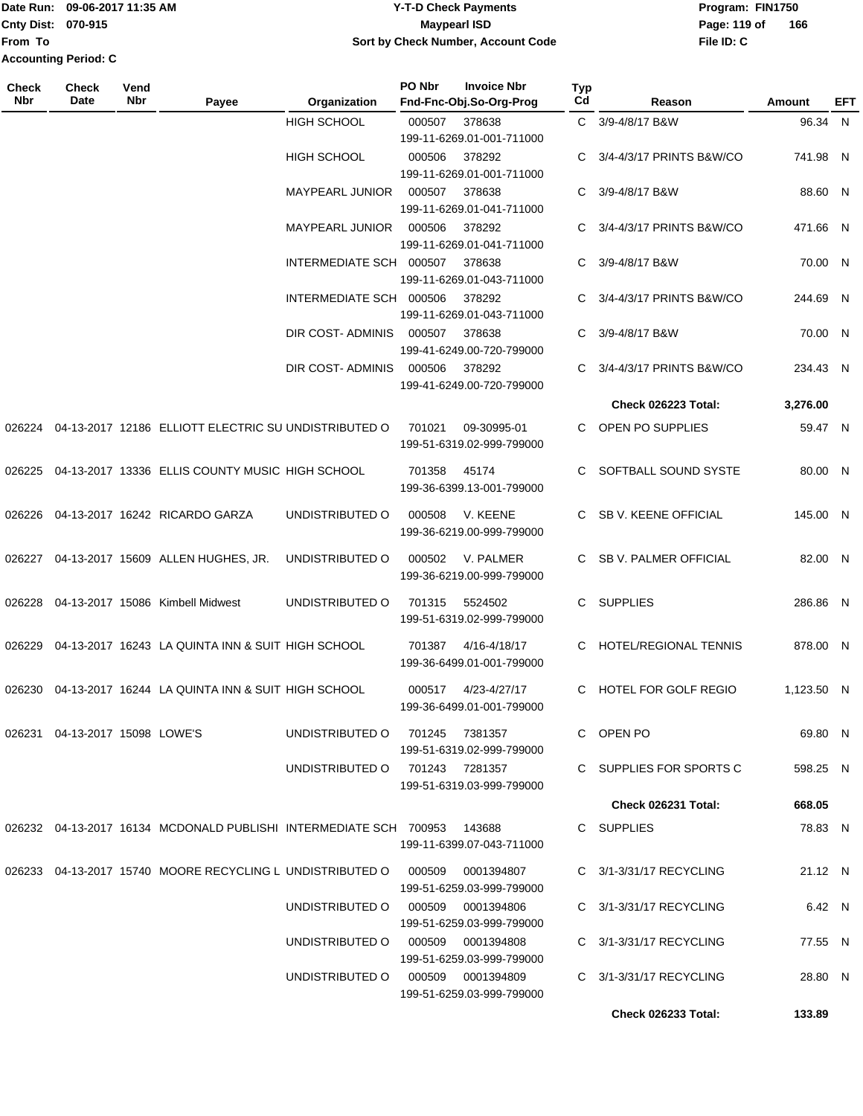Date Run: 09-06-2017 11:35 AM **CONTEX 100 CONTEX 12 T-D** Check Payments **CONTEX 12 T-D Check Payments** Program: FIN1750 **From To Accounting Period: C**

### **Cnty Dist:** 070-915 **Page: 119 of Page: 119 of Page: 119 of 09-06-2017 11:35 AM Y-T-D Check Payments 070-915 Maypearl ISD Sort by Check Number, Account Code**

| Check<br><b>Nbr</b> | Check<br>Date                  | Vend<br>Nbr | Payee                                                                    | Organization                      | PO Nbr          | <b>Invoice Nbr</b><br>Fnd-Fnc-Obj.So-Org-Prog                    | <b>Typ</b><br>Cd | Reason                     | Amount     | EFT |
|---------------------|--------------------------------|-------------|--------------------------------------------------------------------------|-----------------------------------|-----------------|------------------------------------------------------------------|------------------|----------------------------|------------|-----|
|                     |                                |             |                                                                          | <b>HIGH SCHOOL</b>                | 000507          | 378638<br>199-11-6269.01-001-711000                              |                  | C 3/9-4/8/17 B&W           | 96.34 N    |     |
|                     |                                |             |                                                                          | <b>HIGH SCHOOL</b>                | 000506          | 378292<br>199-11-6269.01-001-711000                              | C                | 3/4-4/3/17 PRINTS B&W/CO   | 741.98 N   |     |
|                     |                                |             |                                                                          | MAYPEARL JUNIOR                   | 000507          | 378638<br>199-11-6269.01-041-711000                              |                  | C 3/9-4/8/17 B&W           | 88.60 N    |     |
|                     |                                |             |                                                                          | MAYPEARL JUNIOR                   | 000506          | 378292<br>199-11-6269.01-041-711000                              |                  | C 3/4-4/3/17 PRINTS B&W/CO | 471.66 N   |     |
|                     |                                |             |                                                                          | INTERMEDIATE SCH 000507           |                 | 378638<br>199-11-6269.01-043-711000                              | C                | 3/9-4/8/17 B&W             | 70.00 N    |     |
|                     |                                |             |                                                                          | INTERMEDIATE SCH 000506           |                 | 378292                                                           |                  | C 3/4-4/3/17 PRINTS B&W/CO | 244.69 N   |     |
|                     |                                |             |                                                                          | DIR COST- ADMINIS                 | 000507          | 199-11-6269.01-043-711000<br>378638<br>199-41-6249.00-720-799000 |                  | C 3/9-4/8/17 B&W           | 70.00 N    |     |
|                     |                                |             |                                                                          | DIR COST-ADMINIS 000506           |                 | 378292                                                           | C                | 3/4-4/3/17 PRINTS B&W/CO   | 234.43 N   |     |
|                     |                                |             |                                                                          |                                   |                 | 199-41-6249.00-720-799000                                        |                  | Check 026223 Total:        | 3,276.00   |     |
|                     |                                |             | 026224 04-13-2017 12186 ELLIOTT ELECTRIC SU UNDISTRIBUTED O              |                                   | 701021          | 09-30995-01<br>199-51-6319.02-999-799000                         |                  | C OPEN PO SUPPLIES         | 59.47 N    |     |
| 026225              |                                |             | 04-13-2017 13336 ELLIS COUNTY MUSIC HIGH SCHOOL                          |                                   | 701358          | 45174<br>199-36-6399.13-001-799000                               |                  | C SOFTBALL SOUND SYSTE     | 80.00 N    |     |
| 026226              |                                |             | 04-13-2017 16242 RICARDO GARZA                                           | UNDISTRIBUTED O                   | 000508          | V. KEENE<br>199-36-6219.00-999-799000                            |                  | C SB V. KEENE OFFICIAL     | 145.00 N   |     |
|                     |                                |             | 026227 04-13-2017 15609 ALLEN HUGHES, JR.                                | UNDISTRIBUTED O                   | 000502          | V. PALMER<br>199-36-6219.00-999-799000                           |                  | C SB V. PALMER OFFICIAL    | 82.00 N    |     |
| 026228              |                                |             | 04-13-2017 15086 Kimbell Midwest                                         | UNDISTRIBUTED O                   | 701315          | 5524502<br>199-51-6319.02-999-799000                             |                  | C SUPPLIES                 | 286.86 N   |     |
|                     |                                |             | 026229 04-13-2017 16243 LA QUINTA INN & SUIT HIGH SCHOOL                 |                                   | 701387          | 4/16-4/18/17<br>199-36-6499.01-001-799000                        |                  | C HOTEL/REGIONAL TENNIS    | 878.00 N   |     |
|                     |                                |             | 026230 04-13-2017 16244 LA QUINTA INN & SUIT HIGH SCHOOL                 |                                   | 000517          | 4/23-4/27/17<br>199-36-6499.01-001-799000                        |                  | C HOTEL FOR GOLF REGIO     | 1,123.50 N |     |
|                     | 026231 04-13-2017 15098 LOWE'S |             |                                                                          | UNDISTRIBUTED O                   | 701245          | 7381357                                                          |                  | C OPEN PO                  | 69.80 N    |     |
|                     |                                |             |                                                                          | UNDISTRIBUTED O                   | 701243  7281357 | 199-51-6319.02-999-799000<br>199-51-6319.03-999-799000           |                  | C SUPPLIES FOR SPORTS C    | 598.25 N   |     |
|                     |                                |             |                                                                          |                                   |                 |                                                                  |                  | Check 026231 Total:        | 668.05     |     |
|                     |                                |             | 026232 04-13-2017 16134 MCDONALD PUBLISHI INTERMEDIATE SCH 700953 143688 |                                   |                 | 199-11-6399.07-043-711000                                        |                  | C SUPPLIES                 | 78.83 N    |     |
|                     |                                |             | 026233 04-13-2017 15740 MOORE RECYCLING L UNDISTRIBUTED O                |                                   | 000509          | 0001394807<br>199-51-6259.03-999-799000                          |                  | C 3/1-3/31/17 RECYCLING    | 21.12 N    |     |
|                     |                                |             |                                                                          | UNDISTRIBUTED O                   | 000509          | 0001394806<br>199-51-6259.03-999-799000                          |                  | C 3/1-3/31/17 RECYCLING    | 6.42 N     |     |
|                     |                                |             |                                                                          | UNDISTRIBUTED O 000509            |                 | 0001394808<br>199-51-6259.03-999-799000                          |                  | C 3/1-3/31/17 RECYCLING    | 77.55 N    |     |
|                     |                                |             |                                                                          | UNDISTRIBUTED O 000509 0001394809 |                 | 199-51-6259.03-999-799000                                        |                  | C 3/1-3/31/17 RECYCLING    | 28.80 N    |     |
|                     |                                |             |                                                                          |                                   |                 |                                                                  |                  | <b>Check 026233 Total:</b> | 133.89     |     |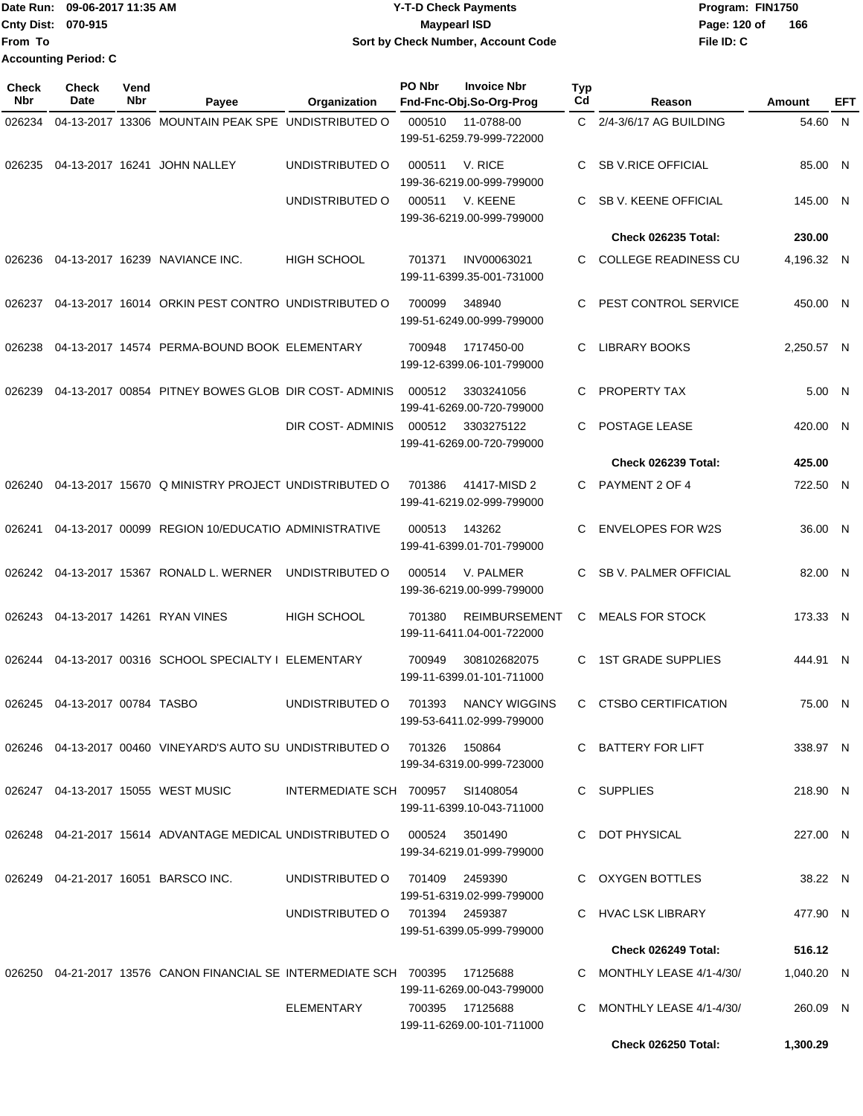Date Run: 09-06-2017 11:35 AM **CONTEX 100 CONTEX 12 T-D** Check Payments **CONTEX 12 T-D Check Payments** Program: FIN1750 **Cnty Dist:** 070-915 **Page:** 120 of **From To Accounting Period: C**

# **09-06-2017 11:35 AM Y-T-D Check Payments 070-915 Maypearl ISD Sort by Check Number, Account Code**

| Check<br>Nbr | <b>Check</b><br><b>Date</b>      | Vend<br>Nbr | Payee                                                                        | Organization                      | PO Nbr          | <b>Invoice Nbr</b><br>Fnd-Fnc-Obj.So-Org-Prog     | Typ<br>Cd | Reason                                           | Amount               | <b>EFT</b> |
|--------------|----------------------------------|-------------|------------------------------------------------------------------------------|-----------------------------------|-----------------|---------------------------------------------------|-----------|--------------------------------------------------|----------------------|------------|
| 026234       |                                  |             | 04-13-2017 13306 MOUNTAIN PEAK SPE UNDISTRIBUTED O                           |                                   | 000510          | 11-0788-00<br>199-51-6259.79-999-722000           |           | C 2/4-3/6/17 AG BUILDING                         | 54.60 N              |            |
| 026235       |                                  |             | 04-13-2017 16241 JOHN NALLEY                                                 | UNDISTRIBUTED O                   | 000511          | V. RICE<br>199-36-6219.00-999-799000              | C.        | <b>SB V.RICE OFFICIAL</b>                        | 85.00 N              |            |
|              |                                  |             |                                                                              | UNDISTRIBUTED O                   | 000511          | V. KEENE<br>199-36-6219.00-999-799000             | C         | SB V. KEENE OFFICIAL                             | 145.00 N             |            |
|              |                                  |             |                                                                              |                                   |                 |                                                   |           | <b>Check 026235 Total:</b>                       | 230.00               |            |
| 026236       |                                  |             | 04-13-2017 16239 NAVIANCE INC.                                               | HIGH SCHOOL                       | 701371          | INV00063021<br>199-11-6399.35-001-731000          | C.        | <b>COLLEGE READINESS CU</b>                      | 4,196.32 N           |            |
| 026237       |                                  |             | 04-13-2017 16014 ORKIN PEST CONTRO UNDISTRIBUTED O                           |                                   | 700099          | 348940<br>199-51-6249.00-999-799000               | C         | PEST CONTROL SERVICE                             | 450.00 N             |            |
| 026238       |                                  |             | 04-13-2017 14574 PERMA-BOUND BOOK ELEMENTARY                                 |                                   | 700948          | 1717450-00<br>199-12-6399.06-101-799000           | C         | <b>LIBRARY BOOKS</b>                             | 2.250.57 N           |            |
| 026239       |                                  |             | 04-13-2017 00854 PITNEY BOWES GLOB DIR COST-ADMINIS                          |                                   | 000512          | 3303241056<br>199-41-6269.00-720-799000           | C         | PROPERTY TAX                                     | 5.00 N               |            |
|              |                                  |             |                                                                              | DIR COST- ADMINIS                 | 000512          | 3303275122<br>199-41-6269.00-720-799000           | C         | POSTAGE LEASE                                    | 420.00 N             |            |
|              |                                  |             |                                                                              |                                   |                 |                                                   |           | <b>Check 026239 Total:</b>                       | 425.00               |            |
| 026240       |                                  |             | 04-13-2017 15670 Q MINISTRY PROJECT UNDISTRIBUTED O                          |                                   | 701386          | 41417-MISD 2<br>199-41-6219.02-999-799000         |           | C PAYMENT 2 OF 4                                 | 722.50 N             |            |
| 026241       |                                  |             | 04-13-2017 00099 REGION 10/EDUCATIO ADMINISTRATIVE                           |                                   | 000513          | 143262<br>199-41-6399.01-701-799000               | C         | <b>ENVELOPES FOR W2S</b>                         | 36.00 N              |            |
| 026242       |                                  |             | 04-13-2017 15367 RONALD L. WERNER                                            | UNDISTRIBUTED O                   | 000514          | V. PALMER<br>199-36-6219.00-999-799000            | C.        | <b>SB V. PALMER OFFICIAL</b>                     | 82.00 N              |            |
| 026243       |                                  |             | 04-13-2017 14261 RYAN VINES                                                  | HIGH SCHOOL                       | 701380          | <b>REIMBURSEMENT</b><br>199-11-6411.04-001-722000 | C         | <b>MEALS FOR STOCK</b>                           | 173.33 N             |            |
| 026244       |                                  |             | 04-13-2017 00316 SCHOOL SPECIALTY I ELEMENTARY                               |                                   | 700949          | 308102682075<br>199-11-6399.01-101-711000         | C         | <b>1ST GRADE SUPPLIES</b>                        | 444.91 N             |            |
|              | 026245  04-13-2017  00784  TASBO |             |                                                                              | UNDISTRIBUTED O                   |                 | 701393 NANCY WIGGINS<br>199-53-6411.02-999-799000 |           | C CTSBO CERTIFICATION                            | 75.00 N              |            |
|              |                                  |             | 026246  04-13-2017  00460  VINEYARD'S AUTO SU UNDISTRIBUTED O  701326        |                                   |                 | 150864<br>199-34-6319.00-999-723000               |           | C BATTERY FOR LIFT                               | 338.97 N             |            |
|              |                                  |             | 026247  04-13-2017  15055  WEST MUSIC                                        | INTERMEDIATE SCH 700957 SI1408054 |                 | 199-11-6399.10-043-711000                         |           | C SUPPLIES                                       | 218.90 N             |            |
|              |                                  |             | 026248  04-21-2017  15614  ADVANTAGE MEDICAL UNDISTRIBUTED   000524  3501490 |                                   |                 | 199-34-6219.01-999-799000                         |           | C DOT PHYSICAL                                   | 227.00 N             |            |
|              |                                  |             | 026249  04-21-2017  16051  BARSCO INC.                                       | UNDISTRIBUTED O 701409 2459390    |                 | 199-51-6319.02-999-799000                         |           | C OXYGEN BOTTLES                                 | 38.22 N              |            |
|              |                                  |             |                                                                              | UNDISTRIBUTED O 701394 2459387    |                 | 199-51-6399.05-999-799000                         |           | C HVAC LSK LIBRARY                               | 477.90 N             |            |
|              |                                  |             |                                                                              |                                   |                 |                                                   |           | Check 026249 Total:                              | 516.12               |            |
|              |                                  |             | 026250 04-21-2017 13576 CANON FINANCIAL SE INTERMEDIATE SCH 700395 17125688  |                                   |                 | 199-11-6269.00-043-799000                         |           | C MONTHLY LEASE 4/1-4/30/                        | 1,040.20 N           |            |
|              |                                  |             |                                                                              | ELEMENTARY                        | 700395 17125688 | 199-11-6269.00-101-711000                         |           | C MONTHLY LEASE 4/1-4/30/<br>Check 026250 Total: | 260.09 N<br>1,300.29 |            |
|              |                                  |             |                                                                              |                                   |                 |                                                   |           |                                                  |                      |            |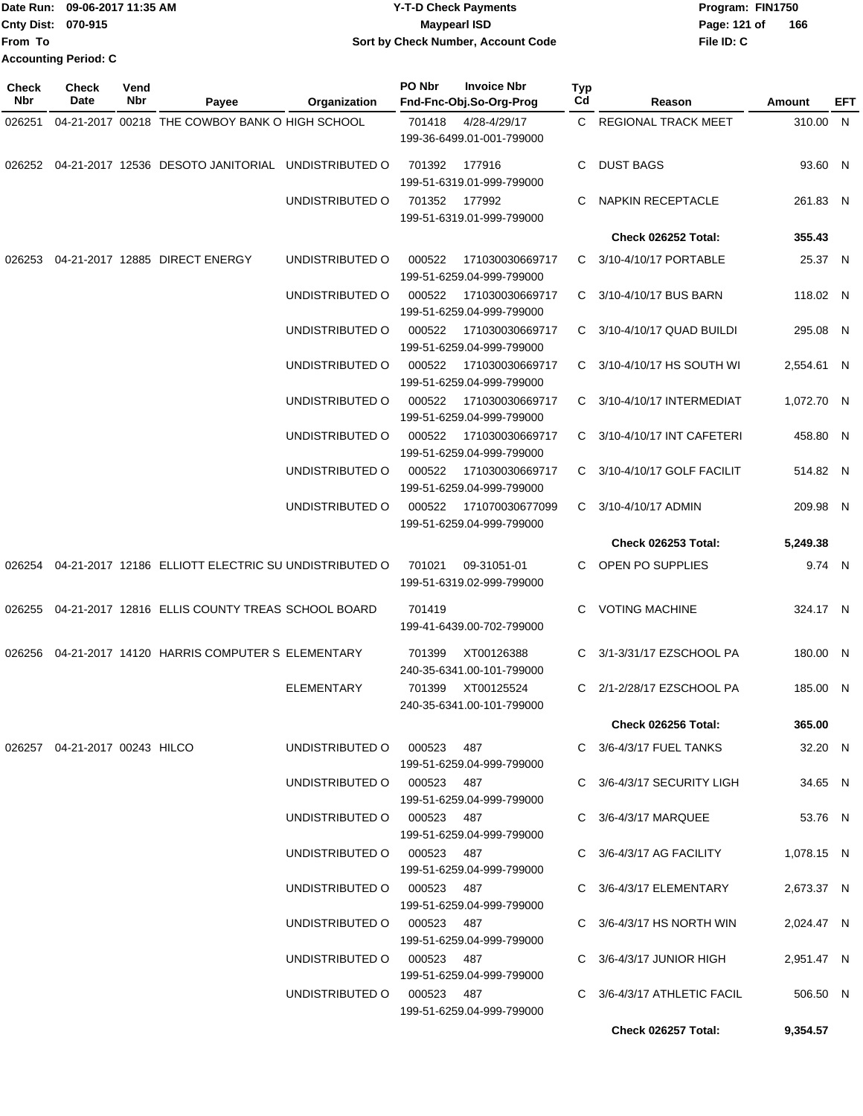|                             | Date Run: 09-06-2017 11:35 AM | <b>Y-T-D Check Payments</b>        | Program: FIN1750    |
|-----------------------------|-------------------------------|------------------------------------|---------------------|
| <b>Cnty Dist: 070-915</b>   |                               | <b>Mavpearl ISD</b>                | 166<br>Page: 121 of |
| <b>From To</b>              |                               | Sort by Check Number, Account Code | File ID: C          |
| <b>Accounting Period: C</b> |                               |                                    |                     |

| Check<br>Nbr | <b>Check</b><br>Date                | Vend<br>Nbr | Payee                                                          | Organization               | PO Nbr<br><b>Invoice Nbr</b><br>Fnd-Fnc-Obj.So-Org-Prog | Typ<br>Cd | Reason                      | Amount     | EFT |
|--------------|-------------------------------------|-------------|----------------------------------------------------------------|----------------------------|---------------------------------------------------------|-----------|-----------------------------|------------|-----|
| 026251       |                                     |             | 04-21-2017 00218 THE COWBOY BANK O HIGH SCHOOL                 |                            | 701418<br>4/28-4/29/17<br>199-36-6499.01-001-799000     |           | C REGIONAL TRACK MEET       | 310.00 N   |     |
|              |                                     |             |                                                                |                            | 701392<br>177916<br>199-51-6319.01-999-799000           | C.        | <b>DUST BAGS</b>            | 93.60 N    |     |
|              |                                     |             |                                                                | UNDISTRIBUTED O            | 701352<br>177992<br>199-51-6319.01-999-799000           | C.        | <b>NAPKIN RECEPTACLE</b>    | 261.83 N   |     |
|              |                                     |             |                                                                |                            |                                                         |           | Check 026252 Total:         | 355.43     |     |
| 026253       |                                     |             | 04-21-2017 12885 DIRECT ENERGY                                 | UNDISTRIBUTED O            | 000522<br>171030030669717<br>199-51-6259.04-999-799000  |           | C 3/10-4/10/17 PORTABLE     | 25.37 N    |     |
|              |                                     |             |                                                                | UNDISTRIBUTED O            | 000522<br>171030030669717<br>199-51-6259.04-999-799000  |           | C 3/10-4/10/17 BUS BARN     | 118.02 N   |     |
|              |                                     |             |                                                                | UNDISTRIBUTED O            | 000522<br>171030030669717<br>199-51-6259.04-999-799000  |           | C 3/10-4/10/17 QUAD BUILDI  | 295.08 N   |     |
|              |                                     |             |                                                                | UNDISTRIBUTED O            | 000522<br>171030030669717<br>199-51-6259.04-999-799000  |           | C 3/10-4/10/17 HS SOUTH WI  | 2,554.61 N |     |
|              |                                     |             |                                                                | UNDISTRIBUTED O            | 000522<br>171030030669717<br>199-51-6259.04-999-799000  |           | C 3/10-4/10/17 INTERMEDIAT  | 1,072.70 N |     |
|              |                                     |             |                                                                | UNDISTRIBUTED O            | 000522<br>171030030669717<br>199-51-6259.04-999-799000  |           | C 3/10-4/10/17 INT CAFETERI | 458.80 N   |     |
|              |                                     |             |                                                                | UNDISTRIBUTED O            | 000522<br>171030030669717<br>199-51-6259.04-999-799000  |           | C 3/10-4/10/17 GOLF FACILIT | 514.82 N   |     |
|              |                                     |             |                                                                | UNDISTRIBUTED O            | 000522<br>171070030677099<br>199-51-6259.04-999-799000  |           | C 3/10-4/10/17 ADMIN        | 209.98 N   |     |
|              |                                     |             |                                                                |                            |                                                         |           | Check 026253 Total:         | 5,249.38   |     |
|              |                                     |             | 026254  04-21-2017  12186  ELLIOTT ELECTRIC SU UNDISTRIBUTED O |                            | 701021<br>09-31051-01<br>199-51-6319.02-999-799000      | C.        | OPEN PO SUPPLIES            | 9.74 N     |     |
| 026255       |                                     |             | 04-21-2017 12816 ELLIS COUNTY TREAS SCHOOL BOARD               |                            | 701419<br>199-41-6439.00-702-799000                     | C         | <b>VOTING MACHINE</b>       | 324.17 N   |     |
|              |                                     |             | 026256  04-21-2017  14120  HARRIS COMPUTER S ELEMENTARY        |                            | XT00126388<br>701399<br>240-35-6341.00-101-799000       | C.        | 3/1-3/31/17 EZSCHOOL PA     | 180.00 N   |     |
|              |                                     |             |                                                                | <b>ELEMENTARY</b>          | 701399<br>XT00125524<br>240-35-6341.00-101-799000       |           | C 2/1-2/28/17 EZSCHOOL PA   | 185.00 N   |     |
|              |                                     |             |                                                                |                            |                                                         |           | <b>Check 026256 Total:</b>  | 365.00     |     |
|              | 026257   04-21-2017   00243   HILCO |             |                                                                | UNDISTRIBUTED O 000523 487 | 199-51-6259.04-999-799000                               |           | $C$ 3/6-4/3/17 FUEL TANKS   | 32.20 N    |     |
|              |                                     |             |                                                                | UNDISTRIBUTED O 000523 487 | 199-51-6259.04-999-799000                               |           | C 3/6-4/3/17 SECURITY LIGH  | 34.65 N    |     |
|              |                                     |             |                                                                | UNDISTRIBUTED O 000523 487 | 199-51-6259.04-999-799000                               |           | C 3/6-4/3/17 MARQUEE        | 53.76 N    |     |
|              |                                     |             |                                                                | UNDISTRIBUTED O 000523 487 | 199-51-6259.04-999-799000                               |           | $C$ 3/6-4/3/17 AG FACILITY  | 1,078.15 N |     |
|              |                                     |             |                                                                | UNDISTRIBUTED O 000523 487 | 199-51-6259.04-999-799000                               |           | C 3/6-4/3/17 ELEMENTARY     | 2,673.37 N |     |
|              |                                     |             |                                                                | UNDISTRIBUTED O 000523 487 | 199-51-6259.04-999-799000                               |           | C $3/6-4/3/17$ HS NORTH WIN | 2,024.47 N |     |
|              |                                     |             |                                                                | UNDISTRIBUTED O 000523 487 | 199-51-6259.04-999-799000                               |           | $C$ 3/6-4/3/17 JUNIOR HIGH  | 2,951.47 N |     |
|              |                                     |             |                                                                | UNDISTRIBUTED O 000523 487 | 199-51-6259.04-999-799000                               |           | C 3/6-4/3/17 ATHLETIC FACIL | 506.50 N   |     |
|              |                                     |             |                                                                |                            |                                                         |           | Check 026257 Total:         | 9,354.57   |     |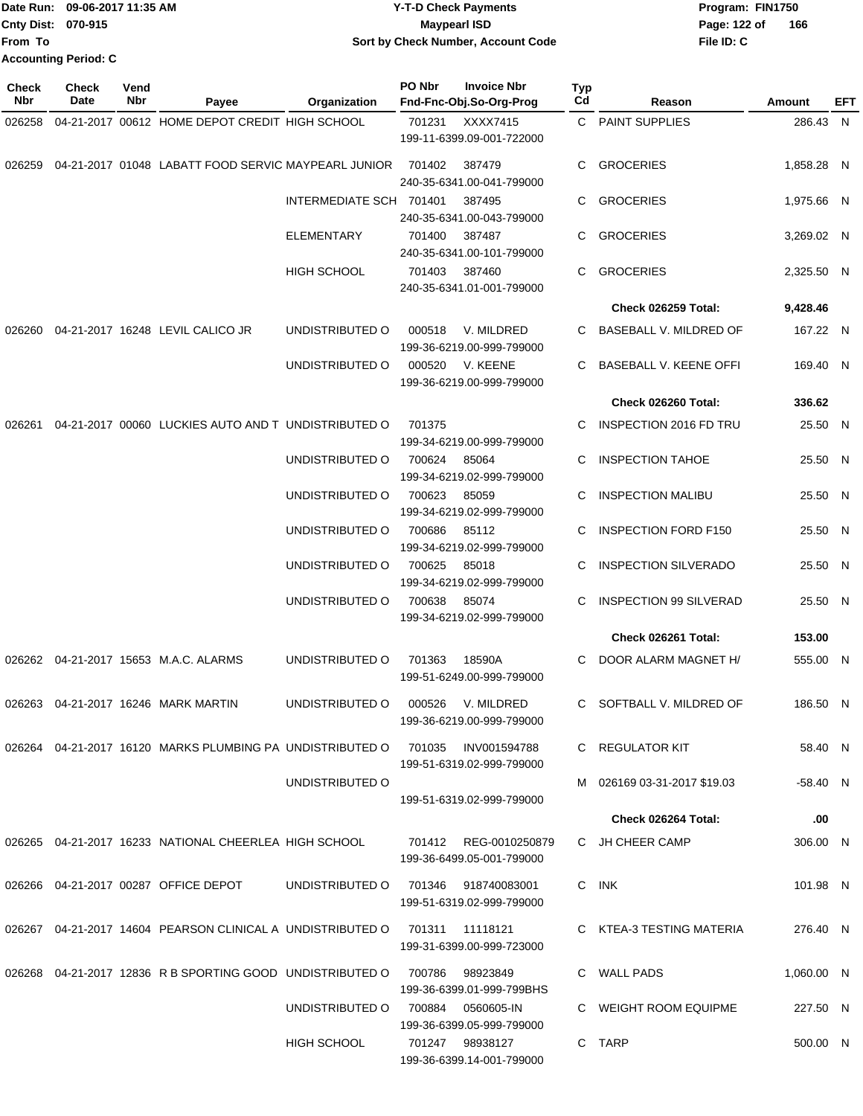|                             | <b>Date Run: 09-06-2017 11:35 AM</b> | <b>Y-T-D Check Payments</b>        | Program: FIN1750    |
|-----------------------------|--------------------------------------|------------------------------------|---------------------|
| <b>Cnty Dist: 070-915</b>   |                                      | <b>Mavpearl ISD</b>                | 166<br>Page: 122 of |
| <b>From To</b>              |                                      | Sort by Check Number, Account Code | File ID: C          |
| <b>Accounting Period: C</b> |                                      |                                    |                     |

| Check<br>Nbr | <b>Check</b><br>Date | Vend<br>Nbr | Payee                                                        | <b>Organization</b>     | PO Nbr | <b>Invoice Nbr</b><br>Fnd-Fnc-Obj.So-Org-Prog      | <b>Typ</b><br>Cd | Reason                        | Amount     | EFT |
|--------------|----------------------|-------------|--------------------------------------------------------------|-------------------------|--------|----------------------------------------------------|------------------|-------------------------------|------------|-----|
| 026258       |                      |             | 04-21-2017 00612 HOME DEPOT CREDIT HIGH SCHOOL               |                         | 701231 | XXXX7415<br>199-11-6399.09-001-722000              |                  | C PAINT SUPPLIES              | 286.43 N   |     |
| 026259       |                      |             | 04-21-2017 01048 LABATT FOOD SERVIC MAYPEARL JUNIOR          |                         | 701402 | 387479<br>240-35-6341.00-041-799000                | C.               | <b>GROCERIES</b>              | 1.858.28 N |     |
|              |                      |             |                                                              | INTERMEDIATE SCH 701401 |        | 387495<br>240-35-6341.00-043-799000                | C.               | <b>GROCERIES</b>              | 1,975.66 N |     |
|              |                      |             |                                                              | ELEMENTARY              | 701400 | 387487<br>240-35-6341.00-101-799000                | C.               | <b>GROCERIES</b>              | 3,269.02 N |     |
|              |                      |             |                                                              | <b>HIGH SCHOOL</b>      | 701403 | 387460<br>240-35-6341.01-001-799000                | C                | <b>GROCERIES</b>              | 2,325.50 N |     |
|              |                      |             |                                                              |                         |        |                                                    |                  | Check 026259 Total:           | 9,428.46   |     |
| 026260       |                      |             | 04-21-2017 16248 LEVIL CALICO JR                             | UNDISTRIBUTED O         | 000518 | V. MILDRED<br>199-36-6219.00-999-799000            | C                | BASEBALL V. MILDRED OF        | 167.22 N   |     |
|              |                      |             |                                                              | UNDISTRIBUTED O         | 000520 | V. KEENE<br>199-36-6219.00-999-799000              | C                | <b>BASEBALL V. KEENE OFFI</b> | 169.40 N   |     |
|              |                      |             |                                                              |                         |        |                                                    |                  | Check 026260 Total:           | 336.62     |     |
| 026261       |                      |             | 04-21-2017 00060 LUCKIES AUTO AND TUNDISTRIBUTED O           |                         | 701375 | 199-34-6219.00-999-799000                          | C                | <b>INSPECTION 2016 FD TRU</b> | 25.50 N    |     |
|              |                      |             |                                                              | UNDISTRIBUTED O         | 700624 | 85064<br>199-34-6219.02-999-799000                 | C                | <b>INSPECTION TAHOE</b>       | 25.50 N    |     |
|              |                      |             |                                                              | UNDISTRIBUTED O         | 700623 | 85059<br>199-34-6219.02-999-799000                 | C                | <b>INSPECTION MALIBU</b>      | 25.50 N    |     |
|              |                      |             |                                                              | UNDISTRIBUTED O         | 700686 | 85112<br>199-34-6219.02-999-799000                 | C                | <b>INSPECTION FORD F150</b>   | 25.50 N    |     |
|              |                      |             |                                                              | UNDISTRIBUTED O         | 700625 | 85018<br>199-34-6219.02-999-799000                 | C                | <b>INSPECTION SILVERADO</b>   | 25.50 N    |     |
|              |                      |             |                                                              | UNDISTRIBUTED O         | 700638 | 85074<br>199-34-6219.02-999-799000                 | C                | <b>INSPECTION 99 SILVERAD</b> | 25.50 N    |     |
|              |                      |             |                                                              |                         |        |                                                    |                  | Check 026261 Total:           | 153.00     |     |
|              |                      |             | 026262 04-21-2017 15653 M.A.C. ALARMS                        | UNDISTRIBUTED O         | 701363 | 18590A<br>199-51-6249.00-999-799000                | C                | DOOR ALARM MAGNET H/          | 555.00 N   |     |
|              |                      |             | 026263  04-21-2017  16246  MARK MARTIN                       | UNDISTRIBUTED O         | 000526 | V. MILDRED<br>199-36-6219.00-999-799000            | C                | SOFTBALL V. MILDRED OF        | 186.50 N   |     |
|              |                      |             | 026264  04-21-2017  16120  MARKS PLUMBING PA UNDISTRIBUTED O |                         |        | 701035 INV001594788<br>199-51-6319.02-999-799000   |                  | C REGULATOR KIT               | 58.40 N    |     |
|              |                      |             |                                                              | UNDISTRIBUTED O         |        | 199-51-6319.02-999-799000                          |                  | M 026169 03-31-2017 \$19.03   | $-58.40$ N |     |
|              |                      |             |                                                              |                         |        |                                                    |                  | Check 026264 Total:           | .00        |     |
|              |                      |             | 026265 04-21-2017 16233 NATIONAL CHEERLEA HIGH SCHOOL        |                         |        | 701412 REG-0010250879<br>199-36-6499.05-001-799000 |                  | C JH CHEER CAMP               | 306.00 N   |     |
|              |                      |             | 026266  04-21-2017  00287  OFFICE DEPOT                      | UNDISTRIBUTED O         |        | 701346 918740083001<br>199-51-6319.02-999-799000   |                  | C INK                         | 101.98 N   |     |
|              |                      |             | 026267 04-21-2017 14604 PEARSON CLINICAL A UNDISTRIBUTED O   |                         |        | 199-31-6399.00-999-723000                          |                  | C KTEA-3 TESTING MATERIA      | 276.40 N   |     |
|              |                      |             | 026268  04-21-2017  12836  R B SPORTING GOOD UNDISTRIBUTED O |                         | 700786 | 98923849<br>199-36-6399.01-999-799BHS              |                  | C WALL PADS                   | 1,060.00 N |     |
|              |                      |             |                                                              | UNDISTRIBUTED O         | 700884 | 0560605-IN<br>199-36-6399.05-999-799000            |                  | C WEIGHT ROOM EQUIPME         | 227.50 N   |     |
|              |                      |             |                                                              | HIGH SCHOOL             |        | 701247 98938127<br>199-36-6399.14-001-799000       |                  | C TARP                        | 500.00 N   |     |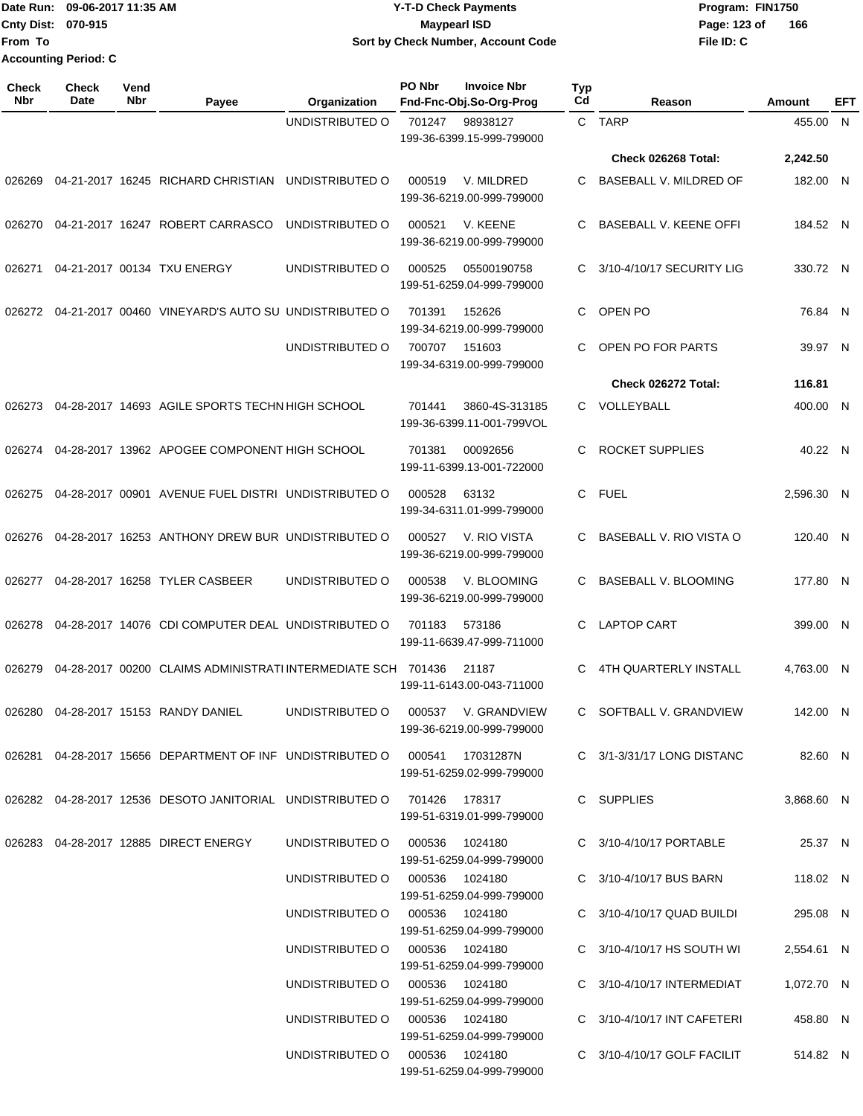|                             | Date Run: 09-06-2017 11:35 AM | <b>Y-T-D Check Payments</b>        | Program: FIN1750    |
|-----------------------------|-------------------------------|------------------------------------|---------------------|
| <b>Cnty Dist: 070-915</b>   |                               | <b>Mavpearl ISD</b>                | 166<br>Page: 123 of |
| <b>From To</b>              |                               | Sort by Check Number, Account Code | File ID: C          |
| <b>Accounting Period: C</b> |                               |                                    |                     |

| Check<br><b>Nbr</b> | <b>Check</b><br>Date | Vend<br>Nbr | Payee                                                                           | Organization                   | PO Nbr | <b>Invoice Nbr</b><br>Fnd-Fnc-Obj.So-Org-Prog | Typ<br>Cd    | Reason                                                   | Amount                 | EFT |
|---------------------|----------------------|-------------|---------------------------------------------------------------------------------|--------------------------------|--------|-----------------------------------------------|--------------|----------------------------------------------------------|------------------------|-----|
|                     |                      |             |                                                                                 | UNDISTRIBUTED O                | 701247 | 98938127<br>199-36-6399.15-999-799000         |              | C TARP                                                   | 455.00                 | - N |
|                     |                      |             |                                                                                 |                                |        |                                               |              | Check 026268 Total:                                      | 2,242.50               |     |
| 026269              |                      |             | 04-21-2017 16245 RICHARD CHRISTIAN                                              | UNDISTRIBUTED O                | 000519 | V. MILDRED<br>199-36-6219.00-999-799000       | C            | BASEBALL V. MILDRED OF                                   | 182.00 N               |     |
| 026270              |                      |             | 04-21-2017 16247 ROBERT CARRASCO                                                | UNDISTRIBUTED O                | 000521 | V. KEENE<br>199-36-6219.00-999-799000         | C            | BASEBALL V. KEENE OFFI                                   | 184.52 N               |     |
| 026271              |                      |             | 04-21-2017 00134 TXU ENERGY                                                     | UNDISTRIBUTED O                | 000525 | 05500190758<br>199-51-6259.04-999-799000      | C.           | 3/10-4/10/17 SECURITY LIG                                | 330.72 N               |     |
| 026272              |                      |             | 04-21-2017 00460 VINEYARD'S AUTO SU UNDISTRIBUTED O                             |                                | 701391 | 152626<br>199-34-6219.00-999-799000           | C.           | OPEN PO                                                  | 76.84 N                |     |
|                     |                      |             |                                                                                 | UNDISTRIBUTED O                | 700707 | 151603<br>199-34-6319.00-999-799000           | С            | OPEN PO FOR PARTS                                        | 39.97 N                |     |
|                     |                      |             |                                                                                 |                                |        |                                               |              | Check 026272 Total:                                      | 116.81                 |     |
| 026273              |                      |             | 04-28-2017 14693 AGILE SPORTS TECHN HIGH SCHOOL                                 |                                | 701441 | 3860-4S-313185<br>199-36-6399.11-001-799VOL   | $\mathbf{C}$ | VOLLEYBALL                                               | 400.00 N               |     |
| 026274              |                      |             | 04-28-2017 13962 APOGEE COMPONENT HIGH SCHOOL                                   |                                | 701381 | 00092656<br>199-11-6399.13-001-722000         | C.           | <b>ROCKET SUPPLIES</b>                                   | 40.22 N                |     |
| 026275              |                      |             | 04-28-2017 00901 AVENUE FUEL DISTRI UNDISTRIBUTED O                             |                                | 000528 | 63132<br>199-34-6311.01-999-799000            | $\mathsf{C}$ | <b>FUEL</b>                                              | 2,596.30 N             |     |
| 026276              |                      |             | 04-28-2017 16253 ANTHONY DREW BUR UNDISTRIBUTED O                               |                                | 000527 | V. RIO VISTA<br>199-36-6219.00-999-799000     | C            | BASEBALL V. RIO VISTA O                                  | 120.40 N               |     |
| 026277              |                      |             | 04-28-2017 16258 TYLER CASBEER                                                  | UNDISTRIBUTED O                | 000538 | V. BLOOMING<br>199-36-6219.00-999-799000      | C.           | BASEBALL V. BLOOMING                                     | 177.80 N               |     |
| 026278              |                      |             | 04-28-2017 14076 CDI COMPUTER DEAL UNDISTRIBUTED O                              |                                | 701183 | 573186<br>199-11-6639.47-999-711000           | C.           | <b>LAPTOP CART</b>                                       | 399.00 N               |     |
| 026279              |                      |             | 04-28-2017 00200 CLAIMS ADMINISTRATI INTERMEDIATE SCH 701436                    |                                |        | 21187<br>199-11-6143.00-043-711000            | C            | 4TH QUARTERLY INSTALL                                    | 4,763.00 N             |     |
|                     |                      |             | 026280 04-28-2017 15153 RANDY DANIEL UNDISTRIBUTED O 000537 V. GRANDVIEW        |                                |        | 199-36-6219.00-999-799000                     |              | C SOFTBALL V. GRANDVIEW                                  | 142.00 N               |     |
|                     |                      |             | 026281 04-28-2017  15656  DEPARTMENT OF INF  UNDISTRIBUTED O  000541  17031287N |                                |        | 199-51-6259.02-999-799000                     |              | C 3/1-3/31/17 LONG DISTANC                               | 82.60 N                |     |
|                     |                      |             | 026282  04-28-2017  12536  DESOTO JANITORIAL  UNDISTRIBUTED   0  701426  178317 |                                |        | 199-51-6319.01-999-799000                     |              | C SUPPLIES                                               | 3.868.60 N             |     |
|                     |                      |             | 026283  04-28-2017  12885  DIRECT ENERGY                                        | UNDISTRIBUTED O 000536 1024180 |        | 199-51-6259.04-999-799000                     |              | C 3/10-4/10/17 PORTABLE                                  | 25.37 N                |     |
|                     |                      |             |                                                                                 | UNDISTRIBUTED O 000536 1024180 |        | 199-51-6259.04-999-799000                     |              | C 3/10-4/10/17 BUS BARN                                  | 118.02 N               |     |
|                     |                      |             |                                                                                 | UNDISTRIBUTED O 000536 1024180 |        | 199-51-6259.04-999-799000                     |              | C 3/10-4/10/17 QUAD BUILDI<br>C 3/10-4/10/17 HS SOUTH WI | 295.08 N<br>2,554.61 N |     |
|                     |                      |             |                                                                                 | UNDISTRIBUTED O 000536 1024180 |        | 199-51-6259.04-999-799000                     |              |                                                          |                        |     |
|                     |                      |             |                                                                                 | UNDISTRIBUTED O 000536 1024180 |        | 199-51-6259.04-999-799000                     |              | C 3/10-4/10/17 INTERMEDIAT                               | 1,072.70 N             |     |
|                     |                      |             |                                                                                 | UNDISTRIBUTED O 000536 1024180 |        | 199-51-6259.04-999-799000                     |              | C 3/10-4/10/17 INT CAFETERI                              | 458.80 N               |     |
|                     |                      |             |                                                                                 | UNDISTRIBUTED O 000536 1024180 |        | 199-51-6259.04-999-799000                     |              | C 3/10-4/10/17 GOLF FACILIT                              | 514.82 N               |     |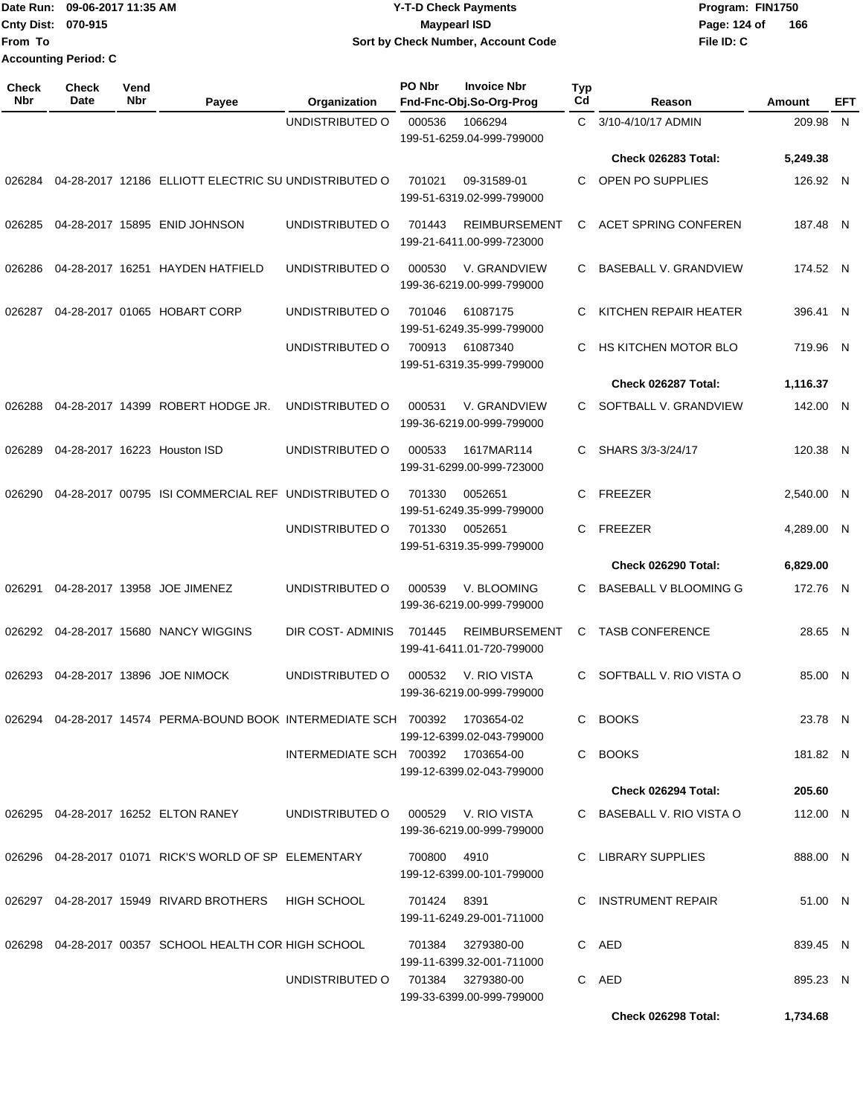|                    | Date Run: 09-06-2017 11:35 AM | <b>Y-T-D Check Payments</b>        | Program: FIN1750    |
|--------------------|-------------------------------|------------------------------------|---------------------|
| Cnty Dist: 070-915 |                               | Maypearl ISD                       | 166<br>Page: 124 of |
| From To            |                               | Sort by Check Number, Account Code | File ID: C          |
|                    | Accounting Period: C          |                                    |                     |

**PO Nbr Invoice Nbr**

**Check**

| <b>Check</b><br><b>Nbr</b> | <b>Check</b><br>Date | Vend<br>Nbr | Payee                                                                | Organization                        | PO Nbr      | <b>Invoice Nbr</b><br>Fnd-Fnc-Obj.So-Org-Prog     | <b>Typ</b><br>Cd | Reason                       | Amount     | EFT |
|----------------------------|----------------------|-------------|----------------------------------------------------------------------|-------------------------------------|-------------|---------------------------------------------------|------------------|------------------------------|------------|-----|
|                            |                      |             |                                                                      | UNDISTRIBUTED O                     | 000536      | 1066294<br>199-51-6259.04-999-799000              | C.               | 3/10-4/10/17 ADMIN           | 209.98     | N   |
|                            |                      |             |                                                                      |                                     |             |                                                   |                  | Check 026283 Total:          | 5,249.38   |     |
| 026284                     |                      |             | 04-28-2017 12186 ELLIOTT ELECTRIC SU UNDISTRIBUTED O                 |                                     | 701021      | 09-31589-01<br>199-51-6319.02-999-799000          | C.               | OPEN PO SUPPLIES             | 126.92 N   |     |
| 026285                     |                      |             | 04-28-2017 15895 ENID JOHNSON                                        | UNDISTRIBUTED O                     | 701443      | <b>REIMBURSEMENT</b><br>199-21-6411.00-999-723000 | C                | <b>ACET SPRING CONFEREN</b>  | 187.48 N   |     |
| 026286                     |                      |             | 04-28-2017 16251 HAYDEN HATFIELD                                     | UNDISTRIBUTED O                     | 000530      | V. GRANDVIEW<br>199-36-6219.00-999-799000         | C.               | <b>BASEBALL V. GRANDVIEW</b> | 174.52 N   |     |
| 026287                     |                      |             | 04-28-2017 01065 HOBART CORP                                         | UNDISTRIBUTED O                     | 701046      | 61087175<br>199-51-6249.35-999-799000             | C                | KITCHEN REPAIR HEATER        | 396.41 N   |     |
|                            |                      |             |                                                                      | UNDISTRIBUTED O                     | 700913      | 61087340<br>199-51-6319.35-999-799000             | C                | HS KITCHEN MOTOR BLO         | 719.96 N   |     |
|                            |                      |             |                                                                      |                                     |             |                                                   |                  | Check 026287 Total:          | 1,116.37   |     |
| 026288                     |                      |             | 04-28-2017 14399 ROBERT HODGE JR.                                    | UNDISTRIBUTED O                     | 000531      | V. GRANDVIEW<br>199-36-6219.00-999-799000         | C.               | SOFTBALL V. GRANDVIEW        | 142.00 N   |     |
| 026289                     |                      |             | 04-28-2017 16223 Houston ISD                                         | UNDISTRIBUTED O                     | 000533      | 1617MAR114<br>199-31-6299.00-999-723000           | C.               | SHARS 3/3-3/24/17            | 120.38 N   |     |
| 026290                     |                      |             | 04-28-2017 00795 ISI COMMERCIAL REF UNDISTRIBUTED O                  |                                     | 701330      | 0052651<br>199-51-6249.35-999-799000              | C                | <b>FREEZER</b>               | 2,540.00 N |     |
|                            |                      |             |                                                                      | UNDISTRIBUTED O                     | 701330      | 0052651<br>199-51-6319.35-999-799000              | C.               | <b>FREEZER</b>               | 4,289.00 N |     |
|                            |                      |             |                                                                      |                                     |             |                                                   |                  | Check 026290 Total:          | 6,829.00   |     |
| 026291                     |                      |             | 04-28-2017 13958 JOE JIMENEZ                                         | UNDISTRIBUTED O                     | 000539      | V. BLOOMING<br>199-36-6219.00-999-799000          | C.               | BASEBALL V BLOOMING G        | 172.76 N   |     |
| 026292                     |                      |             | 04-28-2017 15680 NANCY WIGGINS                                       | DIR COST-ADMINIS                    | 701445      | <b>REIMBURSEMENT</b><br>199-41-6411.01-720-799000 | C                | <b>TASB CONFERENCE</b>       | 28.65 N    |     |
| 026293                     |                      |             | 04-28-2017 13896 JOE NIMOCK                                          | UNDISTRIBUTED O                     | 000532      | V. RIO VISTA<br>199-36-6219.00-999-799000         | C.               | SOFTBALL V. RIO VISTA O      | 85.00 N    |     |
|                            |                      |             | 026294  04-28-2017  14574  PERMA-BOUND BOOK INTERMEDIATE SCH  700392 |                                     |             | 1703654-02<br>199-12-6399.02-043-799000           |                  | C BOOKS                      | 23.78 N    |     |
|                            |                      |             |                                                                      | INTERMEDIATE SCH 700392 1703654-00  |             | 199-12-6399.02-043-799000                         |                  | C BOOKS                      | 181.82 N   |     |
|                            |                      |             |                                                                      |                                     |             |                                                   |                  | Check 026294 Total:          | 205.60     |     |
|                            |                      |             | 026295 04-28-2017 16252 ELTON RANEY                                  | UNDISTRIBUTED O 000529 V. RIO VISTA |             | 199-36-6219.00-999-799000                         |                  | C BASEBALL V. RIO VISTA O    | 112.00 N   |     |
|                            |                      |             | 026296  04-28-2017  01071  RICK'S WORLD OF SP  ELEMENTARY            |                                     | 700800 4910 | 199-12-6399.00-101-799000                         |                  | C LIBRARY SUPPLIES           | 888.00 N   |     |
|                            |                      |             | 026297  04-28-2017  15949  RIVARD BROTHERS  HIGH SCHOOL              |                                     | 701424 8391 | 199-11-6249.29-001-711000                         |                  | C INSTRUMENT REPAIR          | 51.00 N    |     |
|                            |                      |             | 026298 04-28-2017 00357 SCHOOL HEALTH COR HIGH SCHOOL                |                                     | 701384      | 3279380-00<br>199-11-6399.32-001-711000           |                  | C AED                        | 839.45 N   |     |
|                            |                      |             |                                                                      | UNDISTRIBUTED O                     |             | 701384 3279380-00<br>199-33-6399.00-999-799000    |                  | C AED                        | 895.23 N   |     |
|                            |                      |             |                                                                      |                                     |             |                                                   |                  | Check 026298 Total:          | 1,734.68   |     |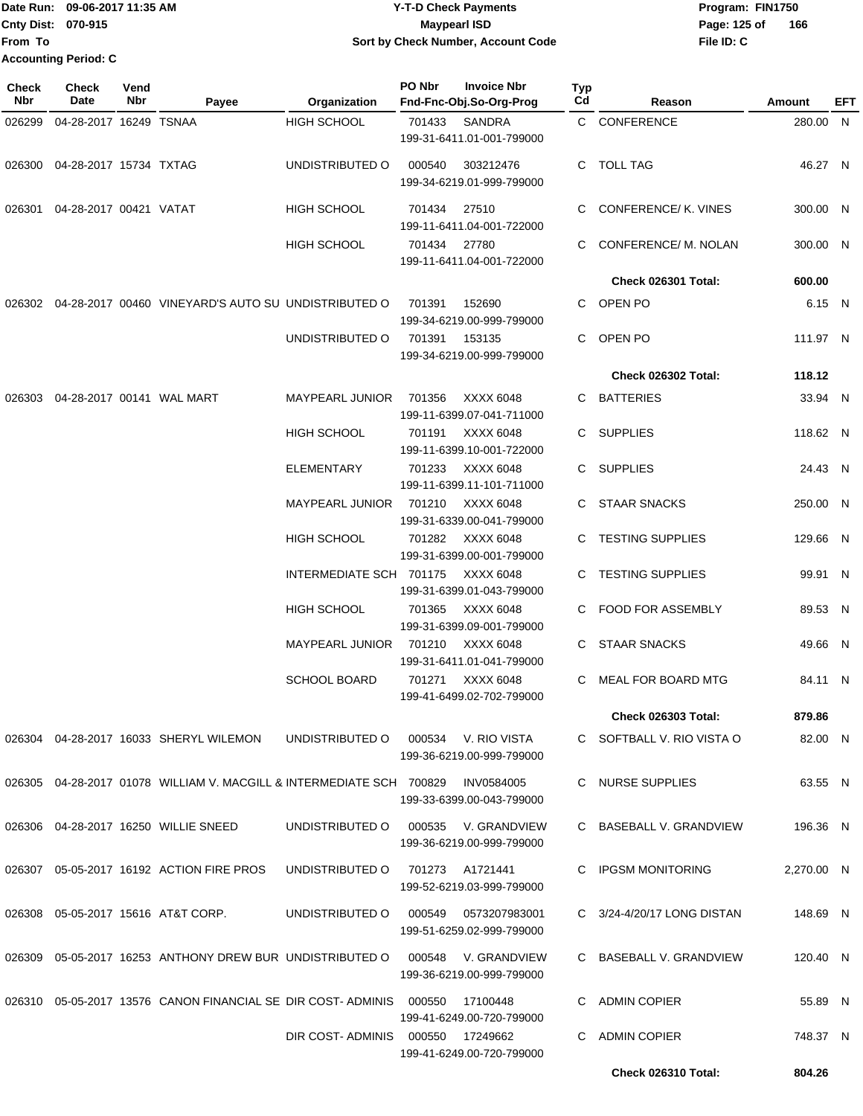**Check Nbr Check Date Reason Fnd-Fnc-Obj.So-Org-Prog Typ** Reason **Amount Date Run: Program: FIN1750 Cnty Dist: Page: 125 of File ID: C Vend Payee Organization PO Nbr Invoice Nbr From To Y-T-D Check Payments 070-915 Maypearl ISD Sort by Check Number, Account Code 166 Accounting Period: C**

**EFT**

|        | 026299  04-28-2017  16249  TSNAA |                                                                               | HIGH SCHOOL                       |              | 701433 SANDRA<br>199-31-6411.01-001-799000        |    | C CONFERENCE               | 280.00 N   |  |
|--------|----------------------------------|-------------------------------------------------------------------------------|-----------------------------------|--------------|---------------------------------------------------|----|----------------------------|------------|--|
|        | 026300 04-28-2017 15734 TXTAG    |                                                                               | UNDISTRIBUTED O 000540 303212476  |              | 199-34-6219.01-999-799000                         |    | C TOLL TAG                 | 46.27 N    |  |
|        | 026301  04-28-2017  00421  VATAT |                                                                               | HIGH SCHOOL                       | 701434 27510 | 199-11-6411.04-001-722000                         |    | C CONFERENCE/ K. VINES     | 300.00 N   |  |
|        |                                  |                                                                               | HIGH SCHOOL                       | 701434 27780 | 199-11-6411.04-001-722000                         |    | C CONFERENCE/ M. NOLAN     | 300.00 N   |  |
|        |                                  |                                                                               |                                   |              |                                                   |    | Check 026301 Total:        | 600.00     |  |
|        |                                  | 026302  04-28-2017  00460  VINEYARD'S AUTO SU UNDISTRIBUTED O  701391  152690 |                                   |              | 199-34-6219.00-999-799000                         |    | C OPEN PO                  | 6.15 N     |  |
|        |                                  |                                                                               | UNDISTRIBUTED O 701391 153135     |              | 199-34-6219.00-999-799000                         |    | C OPEN PO                  | 111.97 N   |  |
|        |                                  |                                                                               |                                   |              |                                                   |    | <b>Check 026302 Total:</b> | 118.12     |  |
|        |                                  | 026303  04-28-2017  00141  WAL MART                                           | MAYPEARL JUNIOR 701356 XXXX 6048  |              | 199-11-6399.07-041-711000                         |    | C BATTERIES                | 33.94 N    |  |
|        |                                  |                                                                               | HIGH SCHOOL                       |              | 701191 XXXX 6048<br>199-11-6399.10-001-722000     |    | C SUPPLIES                 | 118.62 N   |  |
|        |                                  |                                                                               | ELEMENTARY                        |              | 701233 XXXX 6048<br>199-11-6399.11-101-711000     |    | C SUPPLIES                 | 24.43 N    |  |
|        |                                  |                                                                               | MAYPEARL JUNIOR 701210 XXXX 6048  |              | 199-31-6339.00-041-799000                         |    | C STAAR SNACKS             | 250.00 N   |  |
|        |                                  |                                                                               | HIGH SCHOOL                       |              | 701282 XXXX 6048<br>199-31-6399.00-001-799000     |    | C TESTING SUPPLIES         | 129.66 N   |  |
|        |                                  |                                                                               | INTERMEDIATE SCH 701175 XXXX 6048 |              | 199-31-6399.01-043-799000                         |    | C TESTING SUPPLIES         | 99.91 N    |  |
|        |                                  |                                                                               | HIGH SCHOOL                       |              | 701365     XXXX 6048<br>199-31-6399.09-001-799000 |    | C FOOD FOR ASSEMBLY        | 89.53 N    |  |
|        |                                  |                                                                               | MAYPEARL JUNIOR 701210 XXXX 6048  |              | 199-31-6411.01-041-799000                         |    | C STAAR SNACKS             | 49.66 N    |  |
|        |                                  |                                                                               | SCHOOL BOARD                      |              | 701271 XXXX 6048<br>199-41-6499.02-702-799000     |    | C MEAL FOR BOARD MTG       | 84.11 N    |  |
|        |                                  |                                                                               |                                   |              |                                                   |    | <b>Check 026303 Total:</b> | 879.86     |  |
|        |                                  | 026304 04-28-2017 16033 SHERYL WILEMON                                        | UNDISTRIBUTED O                   |              | 000534 V. RIO VISTA<br>199-36-6219.00-999-799000  |    | C SOFTBALL V. RIO VISTA O  | 82.00 N    |  |
|        |                                  | 026305  04-28-2017  01078  WILLIAM V. MACGILL & INTERMEDIATE SCH  700829      |                                   |              | INV0584005<br>199-33-6399.00-043-799000           |    | C NURSE SUPPLIES           | 63.55 N    |  |
|        |                                  | 026306  04-28-2017  16250  WILLIE SNEED                                       | UNDISTRIBUTED O                   | 000535       | V. GRANDVIEW<br>199-36-6219.00-999-799000         |    | C BASEBALL V. GRANDVIEW    | 196.36 N   |  |
| 026307 |                                  | 05-05-2017 16192 ACTION FIRE PROS                                             | UNDISTRIBUTED O                   |              | 701273 A1721441<br>199-52-6219.03-999-799000      |    | C IPGSM MONITORING         | 2,270.00 N |  |
|        |                                  | 026308  05-05-2017  15616  AT&T CORP.                                         | UNDISTRIBUTED O                   |              | 000549 0573207983001<br>199-51-6259.02-999-799000 |    | C 3/24-4/20/17 LONG DISTAN | 148.69 N   |  |
| 026309 |                                  | 05-05-2017 16253 ANTHONY DREW BUR UNDISTRIBUTED O                             |                                   | 000548       | V. GRANDVIEW<br>199-36-6219.00-999-799000         |    | C BASEBALL V. GRANDVIEW    | 120.40 N   |  |
|        |                                  | 026310  05-05-2017  13576  CANON FINANCIAL SE  DIR COST-ADMINIS  000550       |                                   |              | 17100448<br>199-41-6249.00-720-799000             |    | C ADMIN COPIER             | 55.89 N    |  |
|        |                                  |                                                                               | DIR COST-ADMINIS                  | 000550       | 17249662<br>199-41-6249.00-720-799000             | C. | <b>ADMIN COPIER</b>        | 748.37 N   |  |
|        |                                  |                                                                               |                                   |              |                                                   |    | Check 026310 Total:        | 804.26     |  |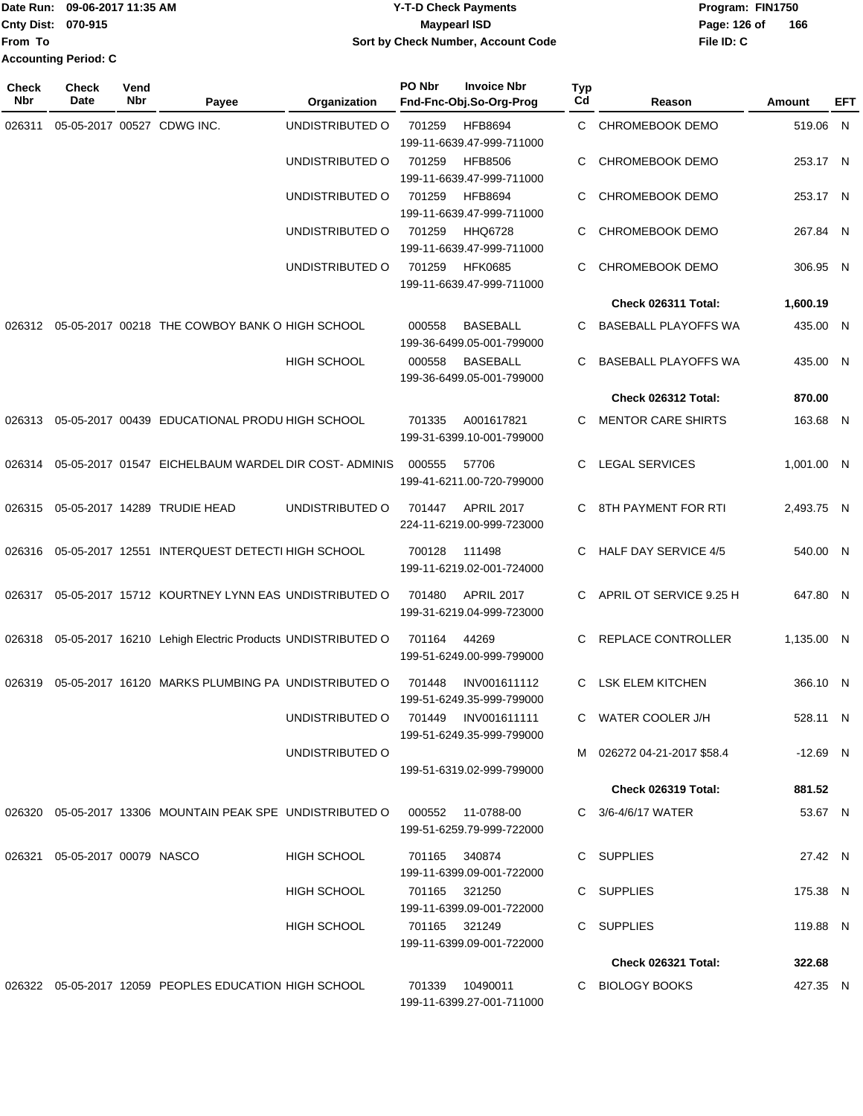#### Date Run: 09-06-2017 11:35 AM **CONTEX 100 CONTEX 12 T-D** Check Payments **CONTEX 12 T-D Check Payments** Program: FIN1750 **Cnty Dist:** 070-915 **Page:** 126 of **09-06-2017 11:35 AM Y-T-D Check Payments 070-915 Maypearl ISD Sort by Check Number, Account Code**

| <b>Check</b><br>Nbr | <b>Check</b><br>Date             | Vend<br>Nbr | Payee                                                            | Organization       | PO Nbr        | <b>Invoice Nbr</b><br>Fnd-Fnc-Obj.So-Org-Prog    | Typ<br>Cd | Reason                      | Amount     | EFT |
|---------------------|----------------------------------|-------------|------------------------------------------------------------------|--------------------|---------------|--------------------------------------------------|-----------|-----------------------------|------------|-----|
| 026311              |                                  |             | 05-05-2017 00527 CDWG INC.                                       | UNDISTRIBUTED O    | 701259        | <b>HFB8694</b><br>199-11-6639.47-999-711000      | C.        | <b>CHROMEBOOK DEMO</b>      | 519.06 N   |     |
|                     |                                  |             |                                                                  | UNDISTRIBUTED O    | 701259        | <b>HFB8506</b><br>199-11-6639.47-999-711000      | C         | CHROMEBOOK DEMO             | 253.17 N   |     |
|                     |                                  |             |                                                                  | UNDISTRIBUTED O    | 701259        | <b>HFB8694</b><br>199-11-6639.47-999-711000      | C         | CHROMEBOOK DEMO             | 253.17 N   |     |
|                     |                                  |             |                                                                  | UNDISTRIBUTED O    | 701259        | <b>HHQ6728</b><br>199-11-6639.47-999-711000      | C         | <b>CHROMEBOOK DEMO</b>      | 267.84 N   |     |
|                     |                                  |             |                                                                  | UNDISTRIBUTED O    | 701259        | <b>HFK0685</b><br>199-11-6639.47-999-711000      | C.        | CHROMEBOOK DEMO             | 306.95 N   |     |
|                     |                                  |             |                                                                  |                    |               |                                                  |           | Check 026311 Total:         | 1,600.19   |     |
|                     |                                  |             | 026312 05-05-2017 00218 THE COWBOY BANK O HIGH SCHOOL            |                    | 000558        | <b>BASEBALL</b><br>199-36-6499.05-001-799000     | C.        | <b>BASEBALL PLAYOFFS WA</b> | 435.00 N   |     |
|                     |                                  |             |                                                                  | <b>HIGH SCHOOL</b> | 000558        | <b>BASEBALL</b><br>199-36-6499.05-001-799000     | C.        | <b>BASEBALL PLAYOFFS WA</b> | 435.00 N   |     |
|                     |                                  |             |                                                                  |                    |               |                                                  |           | Check 026312 Total:         | 870.00     |     |
| 026313              |                                  |             | 05-05-2017 00439 EDUCATIONAL PRODU HIGH SCHOOL                   |                    | 701335        | A001617821<br>199-31-6399.10-001-799000          | C.        | <b>MENTOR CARE SHIRTS</b>   | 163.68 N   |     |
| 026314              |                                  |             | 05-05-2017 01547 EICHELBAUM WARDEL DIR COST-ADMINIS              |                    | 000555        | 57706<br>199-41-6211.00-720-799000               | C.        | <b>LEGAL SERVICES</b>       | 1,001.00 N |     |
| 026315              |                                  |             | 05-05-2017 14289 TRUDIE HEAD                                     | UNDISTRIBUTED O    | 701447        | APRIL 2017<br>224-11-6219.00-999-723000          | C.        | 8TH PAYMENT FOR RTI         | 2,493.75 N |     |
| 026316              |                                  |             | 05-05-2017 12551 INTERQUEST DETECTI HIGH SCHOOL                  |                    | 700128        | 111498<br>199-11-6219.02-001-724000              | C.        | <b>HALF DAY SERVICE 4/5</b> | 540.00 N   |     |
| 026317              |                                  |             | 05-05-2017 15712 KOURTNEY LYNN EAS UNDISTRIBUTED O               |                    | 701480        | <b>APRIL 2017</b><br>199-31-6219.04-999-723000   | C.        | APRIL OT SERVICE 9.25 H     | 647.80 N   |     |
|                     |                                  |             | 026318 05-05-2017 16210 Lehigh Electric Products UNDISTRIBUTED O |                    | 701164        | 44269<br>199-51-6249.00-999-799000               | C.        | REPLACE CONTROLLER          | 1,135.00 N |     |
| 026319              |                                  |             | 05-05-2017 16120 MARKS PLUMBING PA UNDISTRIBUTED O               |                    | 701448        | INV001611112<br>199-51-6249.35-999-799000        | C.        | <b>LSK ELEM KITCHEN</b>     | 366.10 N   |     |
|                     |                                  |             |                                                                  | UNDISTRIBUTED O    |               | 701449 INV001611111<br>199-51-6249.35-999-799000 |           | C WATER COOLER J/H          | 528.11 N   |     |
|                     |                                  |             |                                                                  | UNDISTRIBUTED O    |               | 199-51-6319.02-999-799000                        |           | M 026272 04-21-2017 \$58.4  | -12.69 N   |     |
|                     |                                  |             |                                                                  |                    |               |                                                  |           | Check 026319 Total:         | 881.52     |     |
|                     |                                  |             | 026320 05-05-2017 13306 MOUNTAIN PEAK SPE UNDISTRIBUTED O        |                    |               | 000552 11-0788-00<br>199-51-6259.79-999-722000   |           | C 3/6-4/6/17 WATER          | 53.67 N    |     |
|                     | 026321  05-05-2017  00079  NASCO |             |                                                                  | HIGH SCHOOL        | 701165 340874 | 199-11-6399.09-001-722000                        |           | C SUPPLIES                  | 27.42 N    |     |
|                     |                                  |             |                                                                  | <b>HIGH SCHOOL</b> | 701165 321250 | 199-11-6399.09-001-722000                        |           | C SUPPLIES                  | 175.38 N   |     |
|                     |                                  |             |                                                                  | HIGH SCHOOL        | 701165 321249 | 199-11-6399.09-001-722000                        |           | C SUPPLIES                  | 119.88 N   |     |
|                     |                                  |             |                                                                  |                    |               |                                                  |           | Check 026321 Total:         | 322.68     |     |
|                     |                                  |             | 026322 05-05-2017 12059 PEOPLES EDUCATION HIGH SCHOOL            |                    |               | 701339 10490011<br>199-11-6399.27-001-711000     |           | C BIOLOGY BOOKS             | 427.35 N   |     |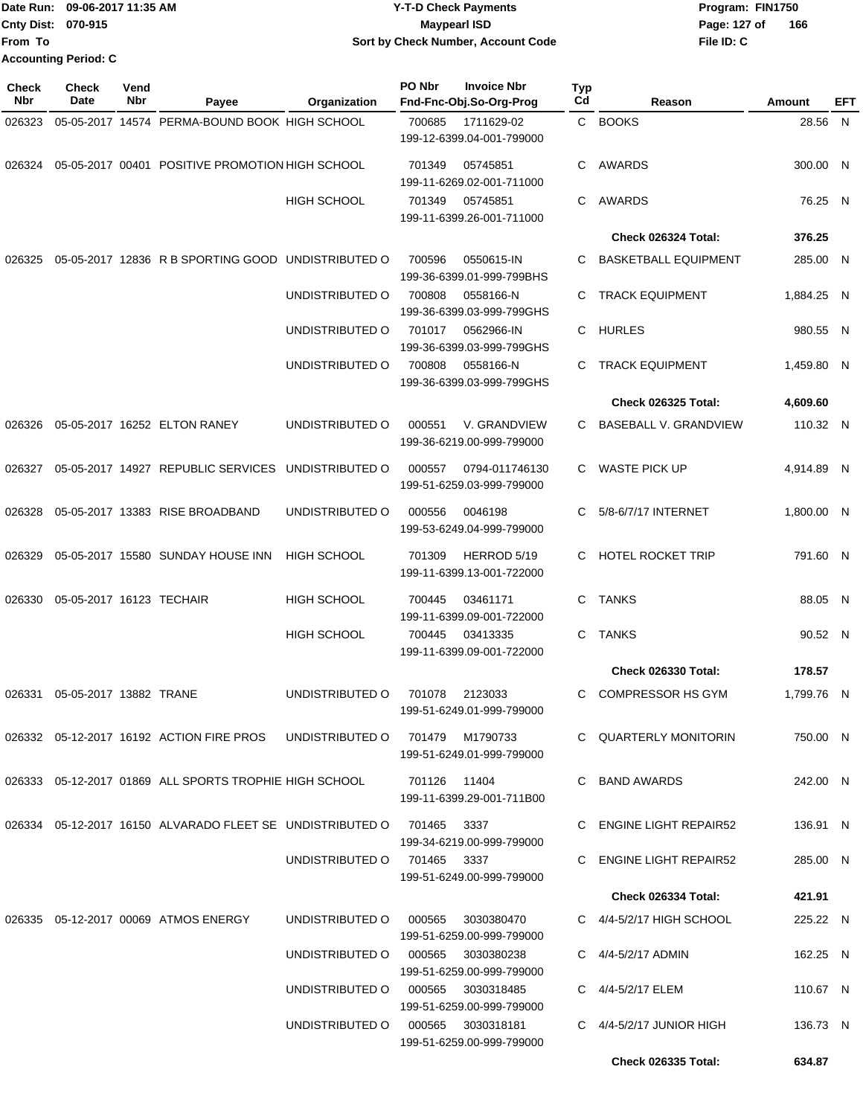|                           | Date Run: 09-06-2017 11:35 AM | <b>Y-T-D Check Payments</b>        | Program: FIN1750    |
|---------------------------|-------------------------------|------------------------------------|---------------------|
| <b>Cnty Dist: 070-915</b> |                               | <b>Mavpearl ISD</b>                | 166<br>Page: 127 of |
| <b>From To</b>            |                               | Sort by Check Number, Account Code | File ID: C          |
|                           | <b>Accounting Period: C</b>   |                                    |                     |

| <b>Check</b><br>Nbr | Check<br>Date            | Vend<br>Nbr | Payee                                                                      | Organization                      | PO Nbr        | <b>Invoice Nbr</b><br>Fnd-Fnc-Obj.So-Org-Prog | <b>Typ</b><br>Cd | Reason                       | Amount     | EFT |
|---------------------|--------------------------|-------------|----------------------------------------------------------------------------|-----------------------------------|---------------|-----------------------------------------------|------------------|------------------------------|------------|-----|
| 026323              |                          |             | 05-05-2017 14574 PERMA-BOUND BOOK HIGH SCHOOL                              |                                   | 700685        | 1711629-02<br>199-12-6399.04-001-799000       |                  | C BOOKS                      | 28.56 N    |     |
| 026324              |                          |             | 05-05-2017 00401 POSITIVE PROMOTION HIGH SCHOOL                            |                                   | 701349        | 05745851<br>199-11-6269.02-001-711000         | С                | AWARDS                       | 300.00 N   |     |
|                     |                          |             |                                                                            | <b>HIGH SCHOOL</b>                | 701349        | 05745851<br>199-11-6399.26-001-711000         | C                | AWARDS                       | 76.25 N    |     |
|                     |                          |             |                                                                            |                                   |               |                                               |                  | Check 026324 Total:          | 376.25     |     |
| 026325              |                          |             | 05-05-2017 12836 R B SPORTING GOOD UNDISTRIBUTED O                         |                                   | 700596        | 0550615-IN<br>199-36-6399.01-999-799BHS       | С                | <b>BASKETBALL EQUIPMENT</b>  | 285.00 N   |     |
|                     |                          |             |                                                                            | UNDISTRIBUTED O                   | 700808        | 0558166-N<br>199-36-6399.03-999-799GHS        | С                | <b>TRACK EQUIPMENT</b>       | 1,884.25 N |     |
|                     |                          |             |                                                                            | UNDISTRIBUTED O                   | 701017        | 0562966-IN<br>199-36-6399.03-999-799GHS       |                  | C HURLES                     | 980.55 N   |     |
|                     |                          |             |                                                                            | UNDISTRIBUTED O                   | 700808        | 0558166-N<br>199-36-6399.03-999-799GHS        | С                | <b>TRACK EQUIPMENT</b>       | 1,459.80 N |     |
|                     |                          |             |                                                                            |                                   |               |                                               |                  | <b>Check 026325 Total:</b>   | 4,609.60   |     |
| 026326              |                          |             | 05-05-2017 16252 ELTON RANEY                                               | UNDISTRIBUTED O                   | 000551        | V. GRANDVIEW<br>199-36-6219.00-999-799000     | С                | <b>BASEBALL V. GRANDVIEW</b> | 110.32 N   |     |
| 026327              |                          |             | 05-05-2017 14927 REPUBLIC SERVICES                                         | UNDISTRIBUTED O                   | 000557        | 0794-011746130<br>199-51-6259.03-999-799000   | С                | <b>WASTE PICK UP</b>         | 4,914.89 N |     |
| 026328              |                          |             | 05-05-2017 13383 RISE BROADBAND                                            | UNDISTRIBUTED O                   | 000556        | 0046198<br>199-53-6249.04-999-799000          | С                | 5/8-6/7/17 INTERNET          | 1,800.00 N |     |
| 026329              |                          |             | 05-05-2017 15580 SUNDAY HOUSE INN                                          | <b>HIGH SCHOOL</b>                | 701309        | HERROD 5/19<br>199-11-6399.13-001-722000      | C.               | <b>HOTEL ROCKET TRIP</b>     | 791.60 N   |     |
| 026330              | 05-05-2017 16123 TECHAIR |             |                                                                            | <b>HIGH SCHOOL</b>                | 700445        | 03461171<br>199-11-6399.09-001-722000         | С                | TANKS                        | 88.05 N    |     |
|                     |                          |             |                                                                            | <b>HIGH SCHOOL</b>                | 700445        | 03413335<br>199-11-6399.09-001-722000         | С                | <b>TANKS</b>                 | 90.52 N    |     |
|                     |                          |             |                                                                            |                                   |               |                                               |                  | <b>Check 026330 Total:</b>   | 178.57     |     |
| 026331              | 05-05-2017 13882 TRANE   |             |                                                                            | UNDISTRIBUTED O                   | 701078        | 2123033<br>199-51-6249.01-999-799000          | С                | <b>COMPRESSOR HS GYM</b>     | 1,799.76 N |     |
|                     |                          |             | 026332  05-12-2017  16192  ACTION FIRE PROS                                | UNDISTRIBUTED O 701479 M1790733   |               | 199-51-6249.01-999-799000                     |                  | C QUARTERLY MONITORIN        | 750.00 N   |     |
|                     |                          |             | 026333 05-12-2017 01869 ALL SPORTS TROPHIE HIGH SCHOOL                     |                                   | 701126  11404 | 199-11-6399.29-001-711B00                     |                  | C BAND AWARDS                | 242.00 N   |     |
|                     |                          |             | 026334  05-12-2017  16150  ALVARADO FLEET SE UNDISTRIBUTED O  701465  3337 |                                   |               | 199-34-6219.00-999-799000                     |                  | C ENGINE LIGHT REPAIR52      | 136.91 N   |     |
|                     |                          |             |                                                                            | UNDISTRIBUTED O                   | 701465  3337  | 199-51-6249.00-999-799000                     |                  | C ENGINE LIGHT REPAIR52      | 285.00 N   |     |
|                     |                          |             |                                                                            |                                   |               |                                               |                  | Check 026334 Total:          | 421.91     |     |
|                     |                          |             | 026335  05-12-2017  00069  ATMOS ENERGY                                    | UNDISTRIBUTED 0 000565 3030380470 |               | 199-51-6259.00-999-799000                     |                  | C $4/4 - 5/2/17$ HIGH SCHOOL | 225.22 N   |     |
|                     |                          |             |                                                                            | UNDISTRIBUTED O 000565 3030380238 |               | 199-51-6259.00-999-799000                     |                  | C $4/4 - 5/2/17$ ADMIN       | 162.25 N   |     |
|                     |                          |             |                                                                            | UNDISTRIBUTED O 000565 3030318485 |               | 199-51-6259.00-999-799000                     |                  | C 4/4-5/2/17 ELEM            | 110.67 N   |     |
|                     |                          |             |                                                                            | UNDISTRIBUTED O 000565 3030318181 |               | 199-51-6259.00-999-799000                     |                  | C $4/4-5/2/17$ JUNIOR HIGH   | 136.73 N   |     |
|                     |                          |             |                                                                            |                                   |               |                                               |                  | Check 026335 Total:          | 634.87     |     |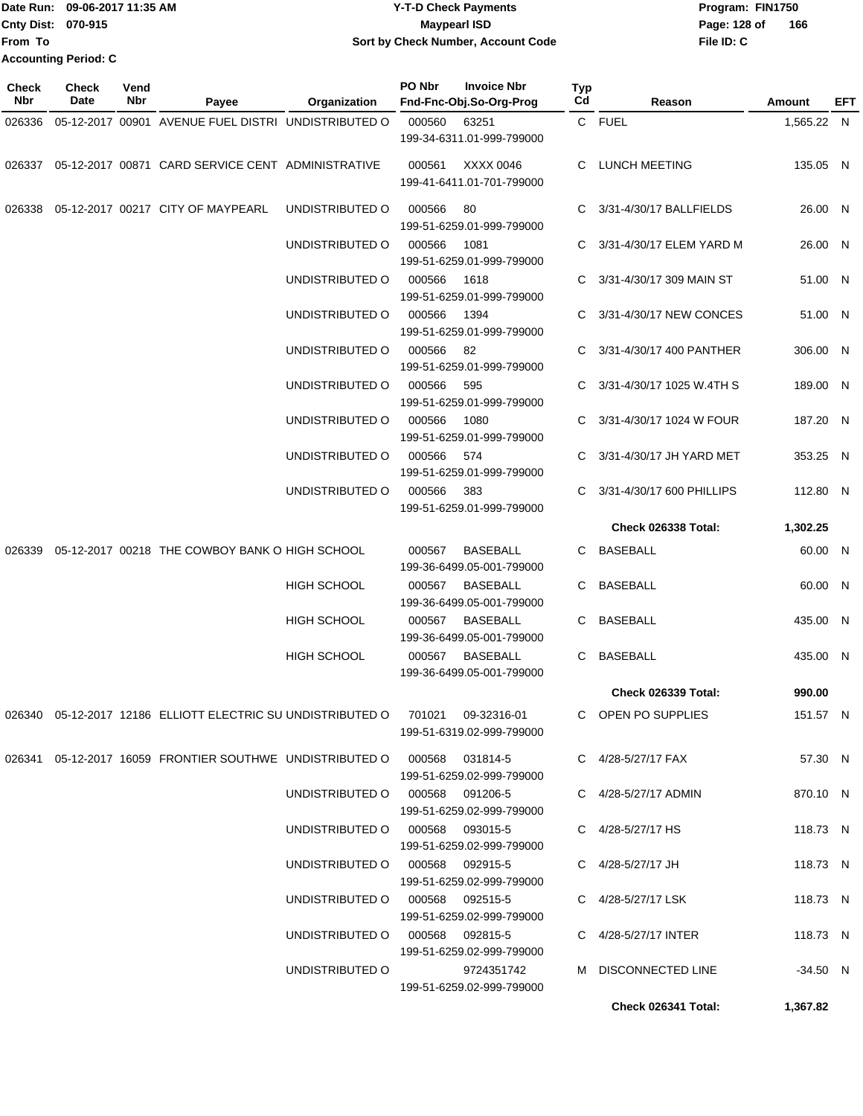| <b>IDate Run:</b>           | 09-06-2017 11:35 AM | <b>Y-T-D Check Payments</b>        | Program: FIN1750 |     |  |
|-----------------------------|---------------------|------------------------------------|------------------|-----|--|
| <b>Cnty Dist: 070-915</b>   |                     | <b>Mavpearl ISD</b>                | Page: 128 of     | 166 |  |
| lFrom To                    |                     | Sort by Check Number, Account Code | File ID: C       |     |  |
| <b>Accounting Period: C</b> |                     |                                    |                  |     |  |

| <b>Check</b><br>Nbr | Check<br>Date | Vend<br>Nbr | Payee                                                                               | Organization                    | PO Nbr | <b>Invoice Nbr</b><br>Fnd-Fnc-Obj.So-Org-Prog | Typ<br>Cd | Reason                      | Amount     | EFT |
|---------------------|---------------|-------------|-------------------------------------------------------------------------------------|---------------------------------|--------|-----------------------------------------------|-----------|-----------------------------|------------|-----|
| 026336              |               |             | 05-12-2017 00901 AVENUE FUEL DISTRI UNDISTRIBUTED O                                 |                                 | 000560 | 63251                                         |           | C FUEL                      | 1,565.22 N |     |
|                     |               |             |                                                                                     |                                 |        | 199-34-6311.01-999-799000                     |           |                             |            |     |
|                     |               |             | 026337 05-12-2017 00871 CARD SERVICE CENT ADMINISTRATIVE                            |                                 | 000561 | XXXX 0046<br>199-41-6411.01-701-799000        |           | C LUNCH MEETING             | 135.05 N   |     |
|                     |               |             | 026338  05-12-2017  00217  CITY OF MAYPEARL                                         | UNDISTRIBUTED O                 | 000566 | 80<br>199-51-6259.01-999-799000               | C.        | 3/31-4/30/17 BALLFIELDS     | 26.00 N    |     |
|                     |               |             |                                                                                     | UNDISTRIBUTED O                 | 000566 | 1081<br>199-51-6259.01-999-799000             |           | 3/31-4/30/17 ELEM YARD M    | 26.00 N    |     |
|                     |               |             |                                                                                     | UNDISTRIBUTED O                 | 000566 | 1618<br>199-51-6259.01-999-799000             | C.        | 3/31-4/30/17 309 MAIN ST    | 51.00 N    |     |
|                     |               |             |                                                                                     | UNDISTRIBUTED O                 | 000566 | 1394<br>199-51-6259.01-999-799000             | C.        | 3/31-4/30/17 NEW CONCES     | 51.00 N    |     |
|                     |               |             |                                                                                     | UNDISTRIBUTED O                 | 000566 | 82<br>199-51-6259.01-999-799000               |           | C 3/31-4/30/17 400 PANTHER  | 306.00 N   |     |
|                     |               |             |                                                                                     | UNDISTRIBUTED O                 | 000566 | 595<br>199-51-6259.01-999-799000              |           | C 3/31-4/30/17 1025 W.4TH S | 189.00 N   |     |
|                     |               |             |                                                                                     | UNDISTRIBUTED O                 | 000566 | 1080<br>199-51-6259.01-999-799000             | C.        | 3/31-4/30/17 1024 W FOUR    | 187.20 N   |     |
|                     |               |             |                                                                                     | UNDISTRIBUTED O                 | 000566 | 574<br>199-51-6259.01-999-799000              |           | C 3/31-4/30/17 JH YARD MET  | 353.25 N   |     |
|                     |               |             |                                                                                     | UNDISTRIBUTED O                 | 000566 | 383<br>199-51-6259.01-999-799000              | C.        | 3/31-4/30/17 600 PHILLIPS   | 112.80 N   |     |
|                     |               |             |                                                                                     |                                 |        |                                               |           | Check 026338 Total:         | 1,302.25   |     |
|                     |               |             | 026339 05-12-2017 00218 THE COWBOY BANK O HIGH SCHOOL                               |                                 | 000567 | BASEBALL<br>199-36-6499.05-001-799000         |           | C BASEBALL                  | 60.00 N    |     |
|                     |               |             |                                                                                     | <b>HIGH SCHOOL</b>              | 000567 | BASEBALL<br>199-36-6499.05-001-799000         |           | C BASEBALL                  | 60.00 N    |     |
|                     |               |             |                                                                                     | HIGH SCHOOL                     | 000567 | <b>BASEBALL</b><br>199-36-6499.05-001-799000  | C.        | <b>BASEBALL</b>             | 435.00 N   |     |
|                     |               |             |                                                                                     | HIGH SCHOOL                     | 000567 | <b>BASEBALL</b><br>199-36-6499.05-001-799000  | C.        | <b>BASEBALL</b>             | 435.00 N   |     |
|                     |               |             |                                                                                     |                                 |        |                                               |           | <b>Check 026339 Total:</b>  | 990.00     |     |
|                     |               |             | 026340  05-12-2017  12186  ELLIOTT ELECTRIC SU UNDISTRIBUTED O  701021  09-32316-01 |                                 |        | 199-51-6319.02-999-799000                     |           | C OPEN PO SUPPLIES          | 151.57 N   |     |
|                     |               |             | 026341  05-12-2017  16059  FRONTIER SOUTHWE  UNDISTRIBUTED   000568  031814-5       |                                 |        | 199-51-6259.02-999-799000                     |           | C 4/28-5/27/17 FAX          | 57.30 N    |     |
|                     |               |             |                                                                                     | UNDISTRIBUTED O 000568 091206-5 |        | 199-51-6259.02-999-799000                     |           | C 4/28-5/27/17 ADMIN        | 870.10 N   |     |
|                     |               |             |                                                                                     | UNDISTRIBUTED O 000568 093015-5 |        | 199-51-6259.02-999-799000                     |           | C 4/28-5/27/17 HS           | 118.73 N   |     |
|                     |               |             |                                                                                     | UNDISTRIBUTED O 000568 092915-5 |        | 199-51-6259.02-999-799000                     |           | C 4/28-5/27/17 JH           | 118.73 N   |     |
|                     |               |             |                                                                                     | UNDISTRIBUTED O 000568 092515-5 |        | 199-51-6259.02-999-799000                     |           | C 4/28-5/27/17 LSK          | 118.73 N   |     |
|                     |               |             |                                                                                     | UNDISTRIBUTED O 000568 092815-5 |        | 199-51-6259.02-999-799000                     |           | C 4/28-5/27/17 INTER        | 118.73 N   |     |
|                     |               |             |                                                                                     | UNDISTRIBUTED O                 |        | 9724351742<br>199-51-6259.02-999-799000       |           | M DISCONNECTED LINE         | $-34.50$ N |     |
|                     |               |             |                                                                                     |                                 |        |                                               |           | Check 026341 Total:         | 1,367.82   |     |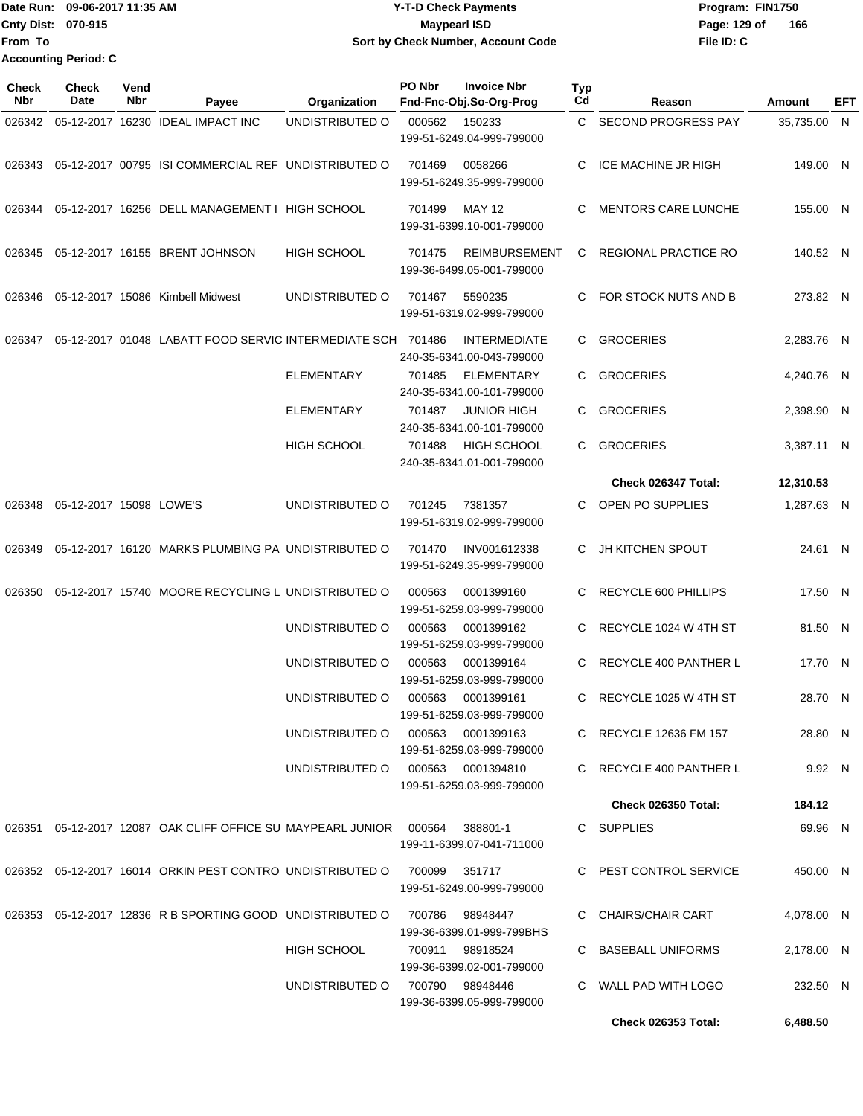Date Run: 09-06-2017 11:35 AM **CONTEX 100 CONTEX 12 T-D** Check Payments **CONTEX 12 T-D Check Payments** Program: FIN1750 **Cnty Dist:** 070-915 **Page:** 129 of **From To 09-06-2017 11:35 AM Y-T-D Check Payments 070-915 Maypearl ISD Sort by Check Number, Account Code Accounting Period: C**

**File ID: C 166**

**Check 026353 Total: 6,488.50**

| <b>Check</b><br>Nbr | Check<br>Date           | Vend<br>Nbr | Payee                                                                       | Organization       | PO Nbr | <b>Invoice Nbr</b><br>Fnd-Fnc-Obj.So-Org-Prog     | Typ<br>Cd | Reason                       | Amount      | EFT |
|---------------------|-------------------------|-------------|-----------------------------------------------------------------------------|--------------------|--------|---------------------------------------------------|-----------|------------------------------|-------------|-----|
| 026342              |                         |             | 05-12-2017 16230 IDEAL IMPACT INC                                           | UNDISTRIBUTED O    | 000562 | 150233<br>199-51-6249.04-999-799000               | C.        | SECOND PROGRESS PAY          | 35,735.00 N |     |
| 026343              |                         |             | 05-12-2017 00795 ISI COMMERCIAL REF UNDISTRIBUTED O                         |                    | 701469 | 0058266<br>199-51-6249.35-999-799000              | C         | ICE MACHINE JR HIGH          | 149.00 N    |     |
| 026344              |                         |             | 05-12-2017 16256 DELL MANAGEMENT I HIGH SCHOOL                              |                    | 701499 | <b>MAY 12</b><br>199-31-6399.10-001-799000        | C         | <b>MENTORS CARE LUNCHE</b>   | 155.00 N    |     |
| 026345              |                         |             | 05-12-2017 16155 BRENT JOHNSON                                              | <b>HIGH SCHOOL</b> | 701475 | <b>REIMBURSEMENT</b><br>199-36-6499.05-001-799000 | C.        | REGIONAL PRACTICE RO         | 140.52 N    |     |
| 026346              |                         |             | 05-12-2017 15086 Kimbell Midwest                                            | UNDISTRIBUTED O    | 701467 | 5590235<br>199-51-6319.02-999-799000              | C.        | FOR STOCK NUTS AND B         | 273.82 N    |     |
| 026347              |                         |             | 05-12-2017 01048 LABATT FOOD SERVIC INTERMEDIATE SCH 701486                 |                    |        | <b>INTERMEDIATE</b><br>240-35-6341.00-043-799000  | C         | <b>GROCERIES</b>             | 2,283.76 N  |     |
|                     |                         |             |                                                                             | <b>ELEMENTARY</b>  | 701485 | <b>ELEMENTARY</b><br>240-35-6341.00-101-799000    | C.        | <b>GROCERIES</b>             | 4,240.76 N  |     |
|                     |                         |             |                                                                             | <b>ELEMENTARY</b>  | 701487 | <b>JUNIOR HIGH</b><br>240-35-6341.00-101-799000   | C.        | <b>GROCERIES</b>             | 2,398.90 N  |     |
|                     |                         |             |                                                                             | HIGH SCHOOL        | 701488 | <b>HIGH SCHOOL</b><br>240-35-6341.01-001-799000   | C.        | <b>GROCERIES</b>             | 3,387.11 N  |     |
|                     |                         |             |                                                                             |                    |        |                                                   |           | Check 026347 Total:          | 12,310.53   |     |
| 026348              | 05-12-2017 15098 LOWE'S |             |                                                                             | UNDISTRIBUTED O    | 701245 | 7381357<br>199-51-6319.02-999-799000              | C         | OPEN PO SUPPLIES             | 1,287.63 N  |     |
| 026349              |                         |             | 05-12-2017 16120 MARKS PLUMBING PA UNDISTRIBUTED O                          |                    | 701470 | INV001612338<br>199-51-6249.35-999-799000         | C.        | <b>JH KITCHEN SPOUT</b>      | 24.61 N     |     |
| 026350              |                         |             | 05-12-2017 15740 MOORE RECYCLING L UNDISTRIBUTED O                          |                    | 000563 | 0001399160<br>199-51-6259.03-999-799000           | C         | RECYCLE 600 PHILLIPS         | 17.50 N     |     |
|                     |                         |             |                                                                             | UNDISTRIBUTED O    | 000563 | 0001399162<br>199-51-6259.03-999-799000           | C.        | RECYCLE 1024 W 4TH ST        | 81.50 N     |     |
|                     |                         |             |                                                                             | UNDISTRIBUTED O    | 000563 | 0001399164<br>199-51-6259.03-999-799000           | C.        | <b>RECYCLE 400 PANTHER L</b> | 17.70 N     |     |
|                     |                         |             |                                                                             | UNDISTRIBUTED O    | 000563 | 0001399161<br>199-51-6259.03-999-799000           | C         | RECYCLE 1025 W 4TH ST        | 28.70 N     |     |
|                     |                         |             |                                                                             | UNDISTRIBUTED O    |        | 000563 0001399163<br>199-51-6259.03-999-799000    |           | C RECYCLE 12636 FM 157       | 28.80 N     |     |
|                     |                         |             |                                                                             | UNDISTRIBUTED O    |        | 000563 0001394810<br>199-51-6259.03-999-799000    |           | C RECYCLE 400 PANTHER L      | 9.92 N      |     |
|                     |                         |             |                                                                             |                    |        |                                                   |           | <b>Check 026350 Total:</b>   | 184.12      |     |
|                     |                         |             | 026351 05-12-2017 12087 OAK CLIFF OFFICE SU MAYPEARL JUNIOR 000564 388801-1 |                    |        | 199-11-6399.07-041-711000                         |           | C SUPPLIES                   | 69.96 N     |     |
|                     |                         |             | 026352 05-12-2017 16014 ORKIN PEST CONTRO UNDISTRIBUTED O                   |                    | 700099 | 351717<br>199-51-6249.00-999-799000               |           | C PEST CONTROL SERVICE       | 450.00 N    |     |
|                     |                         |             | 026353 05-12-2017 12836 R B SPORTING GOOD UNDISTRIBUTED O                   |                    |        | 700786 98948447<br>199-36-6399.01-999-799BHS      |           | C CHAIRS/CHAIR CART          | 4,078.00 N  |     |
|                     |                         |             |                                                                             | <b>HIGH SCHOOL</b> | 700911 | 98918524<br>199-36-6399.02-001-799000             |           | C BASEBALL UNIFORMS          | 2,178.00 N  |     |
|                     |                         |             |                                                                             | UNDISTRIBUTED O    |        | 700790 98948446<br>199-36-6399.05-999-799000      |           | C WALL PAD WITH LOGO         | 232.50 N    |     |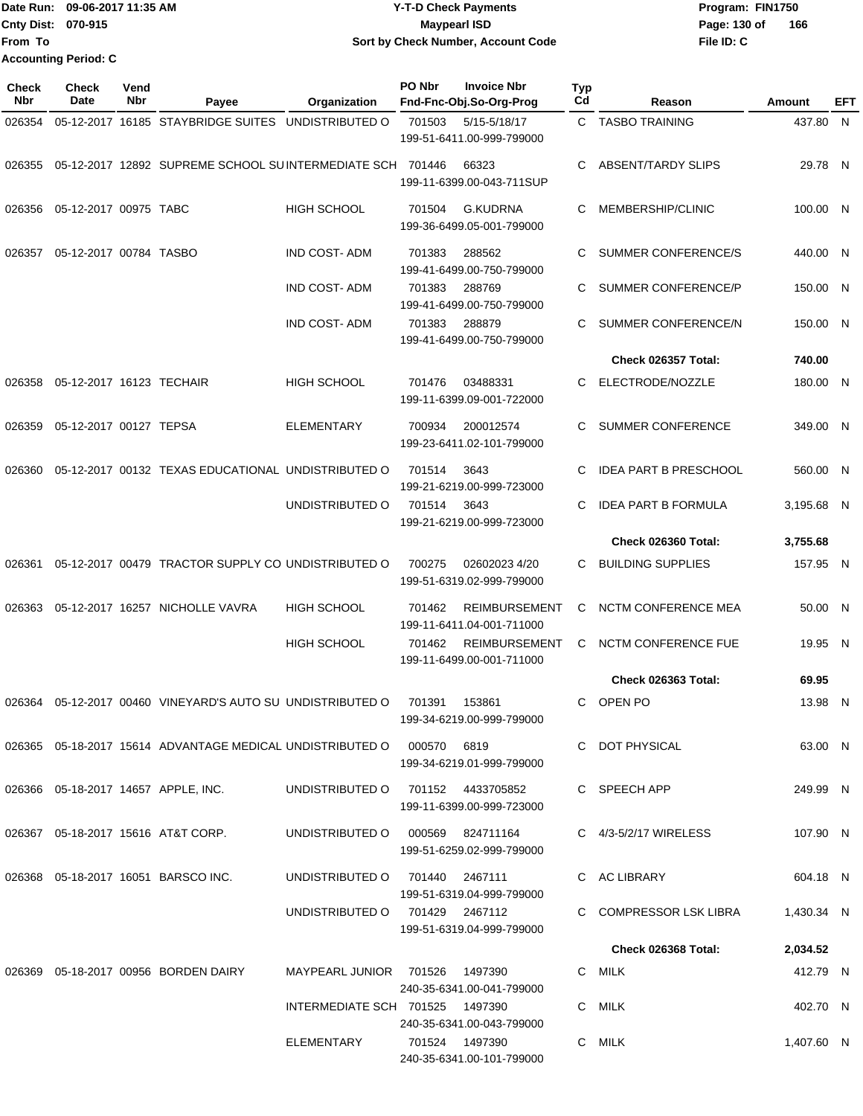Date Run: 09-06-2017 11:35 AM **CONTEX 100 CONTEX 12 T-D** Check Payments **CONTEX 12 T-D Check Payments** Program: FIN1750 **Cnty Dist:** 070-915 **Page:** 130 of **File ID: C From To 09-06-2017 11:35 AM Y-T-D Check Payments 070-915 Maypearl ISD Sort by Check Number, Account Code 166 Accounting Period: C**

| Check<br>Nbr | Check<br>Date            | Vend<br>Nbr | Payee                                                                      | Organization                      | PO Nbr          | <b>Invoice Nbr</b><br>Fnd-Fnc-Obj.So-Org-Prog     | Typ<br>Cd | Reason                       | Amount     | EFT |
|--------------|--------------------------|-------------|----------------------------------------------------------------------------|-----------------------------------|-----------------|---------------------------------------------------|-----------|------------------------------|------------|-----|
| 026354       |                          |             | 05-12-2017 16185 STAYBRIDGE SUITES UNDISTRIBUTED O                         |                                   | 701503          | 5/15-5/18/17                                      |           | C TASBO TRAINING             | 437.80 N   |     |
|              |                          |             |                                                                            |                                   |                 | 199-51-6411.00-999-799000                         |           |                              |            |     |
| 026355       |                          |             | 05-12-2017 12892 SUPREME SCHOOL SUINTERMEDIATE SCH 701446                  |                                   |                 | 66323<br>199-11-6399.00-043-711SUP                | C         | ABSENT/TARDY SLIPS           | 29.78 N    |     |
| 026356       | 05-12-2017 00975 TABC    |             |                                                                            | <b>HIGH SCHOOL</b>                | 701504          | <b>G.KUDRNA</b><br>199-36-6499.05-001-799000      | C         | MEMBERSHIP/CLINIC            | 100.00 N   |     |
| 026357       | 05-12-2017 00784 TASBO   |             |                                                                            | <b>IND COST-ADM</b>               | 701383          | 288562<br>199-41-6499.00-750-799000               | C         | <b>SUMMER CONFERENCE/S</b>   | 440.00 N   |     |
|              |                          |             |                                                                            | IND COST- ADM                     | 701383          | 288769<br>199-41-6499.00-750-799000               | C         | SUMMER CONFERENCE/P          | 150.00 N   |     |
|              |                          |             |                                                                            | <b>IND COST-ADM</b>               | 701383          | 288879<br>199-41-6499.00-750-799000               | C         | SUMMER CONFERENCE/N          | 150.00 N   |     |
|              |                          |             |                                                                            |                                   |                 |                                                   |           | Check 026357 Total:          | 740.00     |     |
| 026358       | 05-12-2017 16123 TECHAIR |             |                                                                            | <b>HIGH SCHOOL</b>                | 701476          | 03488331<br>199-11-6399.09-001-722000             | C.        | ELECTRODE/NOZZLE             | 180.00 N   |     |
| 026359       | 05-12-2017 00127 TEPSA   |             |                                                                            | ELEMENTARY                        | 700934          | 200012574<br>199-23-6411.02-101-799000            | C         | <b>SUMMER CONFERENCE</b>     | 349.00 N   |     |
| 026360       |                          |             | 05-12-2017 00132 TEXAS EDUCATIONAL UNDISTRIBUTED O                         |                                   | 701514          | 3643<br>199-21-6219.00-999-723000                 | C.        | <b>IDEA PART B PRESCHOOL</b> | 560.00 N   |     |
|              |                          |             |                                                                            | UNDISTRIBUTED O                   | 701514          | 3643<br>199-21-6219.00-999-723000                 | C         | <b>IDEA PART B FORMULA</b>   | 3,195.68 N |     |
|              |                          |             |                                                                            |                                   |                 |                                                   |           | Check 026360 Total:          | 3,755.68   |     |
| 026361       |                          |             | 05-12-2017 00479 TRACTOR SUPPLY CO UNDISTRIBUTED O                         |                                   | 700275          | 02602023 4/20<br>199-51-6319.02-999-799000        |           | C BUILDING SUPPLIES          | 157.95 N   |     |
| 026363       |                          |             | 05-12-2017 16257 NICHOLLE VAVRA                                            | <b>HIGH SCHOOL</b>                | 701462          | <b>REIMBURSEMENT</b><br>199-11-6411.04-001-711000 | C.        | NCTM CONFERENCE MEA          | 50.00 N    |     |
|              |                          |             |                                                                            | <b>HIGH SCHOOL</b>                | 701462          | <b>REIMBURSEMENT</b><br>199-11-6499.00-001-711000 | C         | <b>NCTM CONFERENCE FUE</b>   | 19.95 N    |     |
|              |                          |             |                                                                            |                                   |                 |                                                   |           | <b>Check 026363 Total:</b>   | 69.95      |     |
| 026364       |                          |             | 05-12-2017 00460 VINEYARD'S AUTO SU UNDISTRIBUTED O                        |                                   | 701391          | 153861<br>199-34-6219.00-999-799000               | C         | OPEN PO                      | 13.98 N    |     |
|              |                          |             | 026365  05-18-2017  15614  ADVANTAGE MEDICAL UNDISTRIBUTED O  000570  6819 |                                   |                 | 199-34-6219.01-999-799000                         |           | C DOT PHYSICAL               | 63.00 N    |     |
|              |                          |             | 026366  05-18-2017  14657  APPLE, INC.                                     | UNDISTRIBUTED O 701152 4433705852 |                 | 199-11-6399.00-999-723000                         |           | C SPEECH APP                 | 249.99 N   |     |
|              |                          |             | 026367 05-18-2017 15616 AT&T CORP.                                         | UNDISTRIBUTED 0 000569 824711164  |                 | 199-51-6259.02-999-799000                         |           | C 4/3-5/2/17 WIRELESS        | 107.90 N   |     |
|              |                          |             | 026368  05-18-2017  16051  BARSCO INC.                                     | UNDISTRIBUTED O                   | 701440 2467111  | 199-51-6319.04-999-799000                         |           | C AC LIBRARY                 | 604.18 N   |     |
|              |                          |             |                                                                            | UNDISTRIBUTED O                   | 701429  2467112 | 199-51-6319.04-999-799000                         |           | C COMPRESSOR LSK LIBRA       | 1,430.34 N |     |
|              |                          |             |                                                                            |                                   |                 |                                                   |           | Check 026368 Total:          | 2,034.52   |     |
|              |                          |             | 026369  05-18-2017  00956  BORDEN DAIRY                                    | MAYPEARL JUNIOR 701526            |                 | 1497390<br>240-35-6341.00-041-799000              |           | C MILK                       | 412.79 N   |     |
|              |                          |             |                                                                            | INTERMEDIATE SCH 701525 1497390   |                 | 240-35-6341.00-043-799000                         |           | C MILK                       | 402.70 N   |     |
|              |                          |             |                                                                            | ELEMENTARY                        |                 | 701524 1497390<br>240-35-6341.00-101-799000       |           | C MILK                       | 1,407.60 N |     |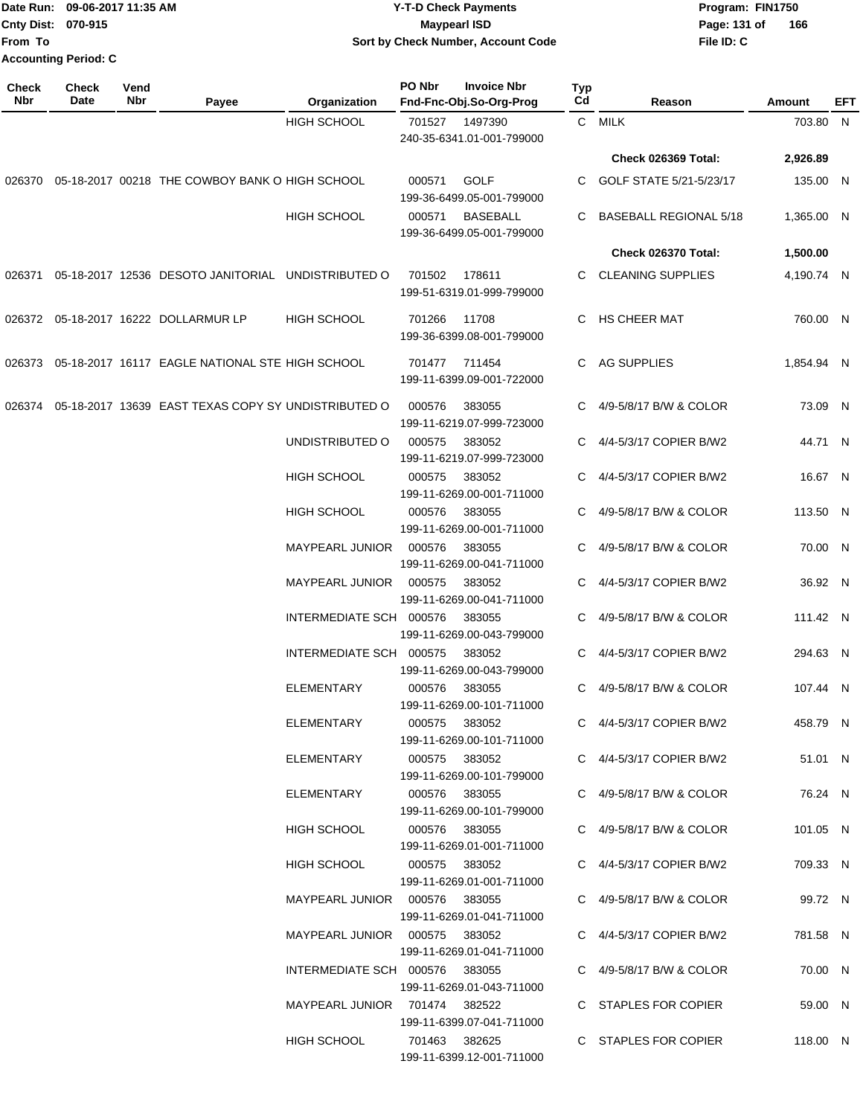#### Date Run: 09-06-2017 11:35 AM **CONTEX 100 CONTEX 12 T-D** Check Payments **CONTEX 12 T-D Check Payments** Program: FIN1750 **Cnty Dist:** 070-915 **Page: 131 of** Maypearl ISD **CONTEX IS A RESERVE A Page: 131 of 09-06-2017 11:35 AM Y-T-D Check Payments 070-915 Maypearl ISD Sort by Check Number, Account Code**

| <b>Check</b><br>Nbr | Check<br>Date | Vend<br><b>Nbr</b> | Payee                                                  | Organization                    | PO Nbr        | <b>Invoice Nbr</b><br>Fnd-Fnc-Obj.So-Org-Prog | <b>Typ</b><br>Cd | Reason                        | Amount     | EFT |
|---------------------|---------------|--------------------|--------------------------------------------------------|---------------------------------|---------------|-----------------------------------------------|------------------|-------------------------------|------------|-----|
|                     |               |                    |                                                        | HIGH SCHOOL                     | 701527        | 1497390<br>240-35-6341.01-001-799000          |                  | C MILK                        | 703.80 N   |     |
|                     |               |                    |                                                        |                                 |               |                                               |                  | Check 026369 Total:           | 2,926.89   |     |
|                     |               |                    | 026370 05-18-2017 00218 THE COWBOY BANK O HIGH SCHOOL  |                                 | 000571        | <b>GOLF</b><br>199-36-6499.05-001-799000      |                  | C GOLF STATE 5/21-5/23/17     | 135.00 N   |     |
|                     |               |                    |                                                        | HIGH SCHOOL                     | 000571        | <b>BASEBALL</b><br>199-36-6499.05-001-799000  | C                | <b>BASEBALL REGIONAL 5/18</b> | 1,365.00 N |     |
|                     |               |                    |                                                        |                                 |               |                                               |                  | Check 026370 Total:           | 1,500.00   |     |
| 026371              |               |                    | 05-18-2017 12536 DESOTO JANITORIAL UNDISTRIBUTED O     |                                 | 701502        | 178611<br>199-51-6319.01-999-799000           |                  | C CLEANING SUPPLIES           | 4,190.74 N |     |
|                     |               |                    | 026372 05-18-2017 16222 DOLLARMUR LP                   | <b>HIGH SCHOOL</b>              | 701266        | 11708<br>199-36-6399.08-001-799000            |                  | C HS CHEER MAT                | 760.00 N   |     |
|                     |               |                    | 026373 05-18-2017 16117 EAGLE NATIONAL STE HIGH SCHOOL |                                 | 701477 711454 | 199-11-6399.09-001-722000                     |                  | C AG SUPPLIES                 | 1,854.94 N |     |
| 026374              |               |                    | 05-18-2017 13639 EAST TEXAS COPY SY UNDISTRIBUTED O    |                                 | 000576        | 383055<br>199-11-6219.07-999-723000           | C.               | 4/9-5/8/17 B/W & COLOR        | 73.09 N    |     |
|                     |               |                    |                                                        | UNDISTRIBUTED O                 | 000575        | 383052<br>199-11-6219.07-999-723000           | C.               | 4/4-5/3/17 COPIER B/W2        | 44.71 N    |     |
|                     |               |                    |                                                        | <b>HIGH SCHOOL</b>              | 000575        | 383052<br>199-11-6269.00-001-711000           |                  | 4/4-5/3/17 COPIER B/W2        | 16.67 N    |     |
|                     |               |                    |                                                        | <b>HIGH SCHOOL</b>              | 000576        | 383055<br>199-11-6269.00-001-711000           | C                | 4/9-5/8/17 B/W & COLOR        | 113.50 N   |     |
|                     |               |                    |                                                        | MAYPEARL JUNIOR                 | 000576        | 383055<br>199-11-6269.00-041-711000           | C.               | 4/9-5/8/17 B/W & COLOR        | 70.00 N    |     |
|                     |               |                    |                                                        | MAYPEARL JUNIOR                 | 000575        | 383052<br>199-11-6269.00-041-711000           |                  | C 4/4-5/3/17 COPIER B/W2      | 36.92 N    |     |
|                     |               |                    |                                                        | INTERMEDIATE SCH 000576         |               | 383055<br>199-11-6269.00-043-799000           |                  | C 4/9-5/8/17 B/W & COLOR      | 111.42 N   |     |
|                     |               |                    |                                                        | INTERMEDIATE SCH 000575         |               | 383052<br>199-11-6269.00-043-799000           | C.               | 4/4-5/3/17 COPIER B/W2        | 294.63 N   |     |
|                     |               |                    |                                                        | ELEMENTARY                      | 000576        | 383055<br>199-11-6269.00-101-711000           | $\mathbf{C}$     | 4/9-5/8/17 B/W & COLOR        | 107.44 N   |     |
|                     |               |                    |                                                        | ELEMENTARY                      | 000575 383052 | 199-11-6269.00-101-711000                     |                  | C 4/4-5/3/17 COPIER B/W2      | 458.79 N   |     |
|                     |               |                    |                                                        | ELEMENTARY                      | 000575 383052 | 199-11-6269.00-101-799000                     |                  | C 4/4-5/3/17 COPIER B/W2      | 51.01 N    |     |
|                     |               |                    |                                                        | ELEMENTARY                      | 000576 383055 | 199-11-6269.00-101-799000                     |                  | C 4/9-5/8/17 B/W & COLOR      | 76.24 N    |     |
|                     |               |                    |                                                        | HIGH SCHOOL                     | 000576 383055 | 199-11-6269.01-001-711000                     |                  | C 4/9-5/8/17 B/W & COLOR      | 101.05 N   |     |
|                     |               |                    |                                                        | <b>HIGH SCHOOL</b>              | 000575 383052 | 199-11-6269.01-001-711000                     |                  | C 4/4-5/3/17 COPIER B/W2      | 709.33 N   |     |
|                     |               |                    |                                                        | MAYPEARL JUNIOR  000576  383055 |               | 199-11-6269.01-041-711000                     |                  | C 4/9-5/8/17 B/W & COLOR      | 99.72 N    |     |
|                     |               |                    |                                                        | MAYPEARL JUNIOR 000575 383052   |               | 199-11-6269.01-041-711000                     |                  | C 4/4-5/3/17 COPIER B/W2      | 781.58 N   |     |
|                     |               |                    |                                                        | INTERMEDIATE SCH 000576 383055  |               | 199-11-6269.01-043-711000                     |                  | C 4/9-5/8/17 B/W & COLOR      | 70.00 N    |     |
|                     |               |                    |                                                        | MAYPEARL JUNIOR 701474 382522   |               | 199-11-6399.07-041-711000                     |                  | C STAPLES FOR COPIER          | 59.00 N    |     |
|                     |               |                    |                                                        | HIGH SCHOOL                     | 701463 382625 | 199-11-6399.12-001-711000                     |                  | C STAPLES FOR COPIER          | 118.00 N   |     |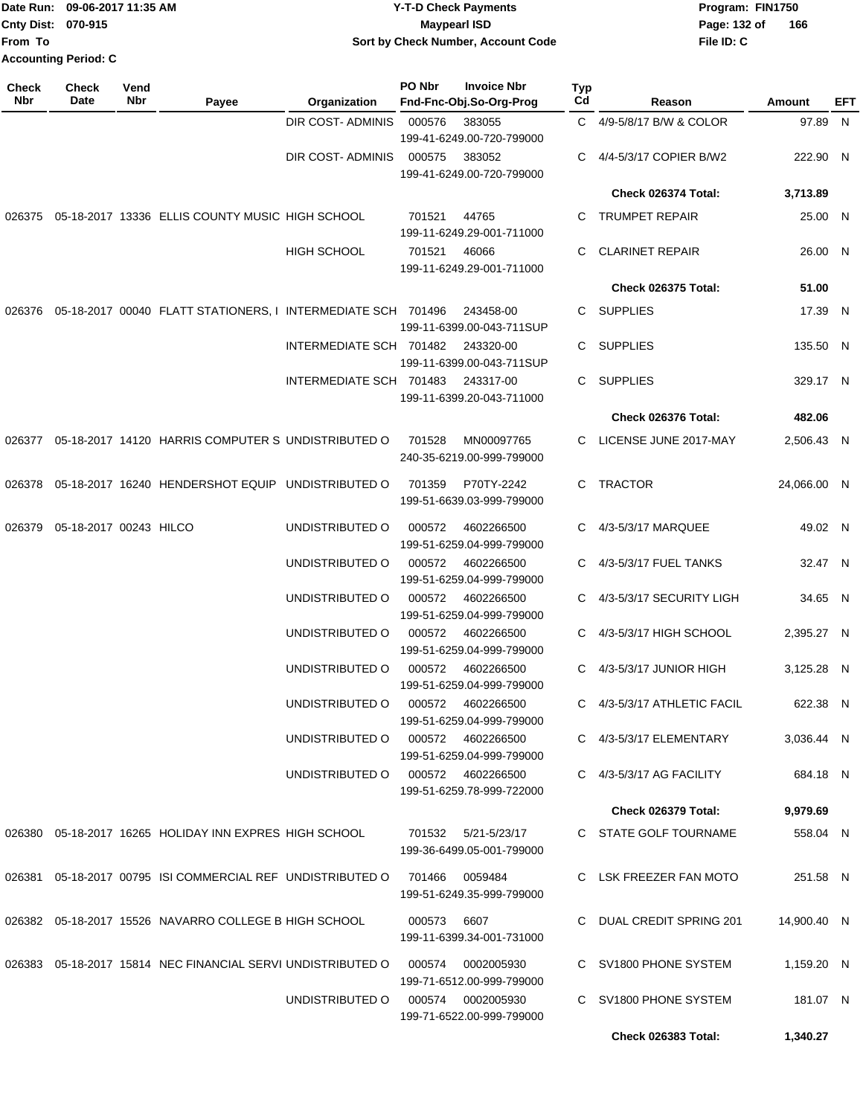|                           | Date Run: 09-06-2017 11:35 AM | <b>Y-T-D Check Payments</b>        | Program: FIN1750 |     |  |
|---------------------------|-------------------------------|------------------------------------|------------------|-----|--|
| <b>Cnty Dist: 070-915</b> |                               | Maypearl ISD                       | Page: 132 of     | 166 |  |
| <b>IFrom To</b>           |                               | Sort by Check Number, Account Code | File ID: C       |     |  |
|                           | Accounting Period: C          |                                    |                  |     |  |

| Check<br>Nbr | <b>Check</b><br>Date   | Vend<br>Nbr | Payee                                                        | Organization            | PO Nbr | <b>Invoice Nbr</b><br>Fnd-Fnc-Obj.So-Org-Prog  | <b>Typ</b><br>Cd | Reason                    | Amount      | EFT |
|--------------|------------------------|-------------|--------------------------------------------------------------|-------------------------|--------|------------------------------------------------|------------------|---------------------------|-------------|-----|
|              |                        |             |                                                              | DIR COST- ADMINIS       | 000576 | 383055<br>199-41-6249.00-720-799000            |                  | C 4/9-5/8/17 B/W & COLOR  | 97.89 N     |     |
|              |                        |             |                                                              | DIR COST- ADMINIS       | 000575 | 383052<br>199-41-6249.00-720-799000            |                  | 4/4-5/3/17 COPIER B/W2    | 222.90 N    |     |
|              |                        |             |                                                              |                         |        |                                                |                  | Check 026374 Total:       | 3,713.89    |     |
| 026375       |                        |             | 05-18-2017 13336 ELLIS COUNTY MUSIC HIGH SCHOOL              |                         | 701521 | 44765<br>199-11-6249.29-001-711000             | C.               | <b>TRUMPET REPAIR</b>     | 25.00 N     |     |
|              |                        |             |                                                              | <b>HIGH SCHOOL</b>      | 701521 | 46066<br>199-11-6249.29-001-711000             | C.               | <b>CLARINET REPAIR</b>    | 26.00 N     |     |
|              |                        |             |                                                              |                         |        |                                                |                  | Check 026375 Total:       | 51.00       |     |
| 026376       |                        |             | 05-18-2017 00040 FLATT STATIONERS, I INTERMEDIATE SCH 701496 |                         |        | 243458-00<br>199-11-6399.00-043-711SUP         | C.               | <b>SUPPLIES</b>           | 17.39 N     |     |
|              |                        |             |                                                              | INTERMEDIATE SCH 701482 |        | 243320-00<br>199-11-6399.00-043-711SUP         | C.               | <b>SUPPLIES</b>           | 135.50 N    |     |
|              |                        |             |                                                              | INTERMEDIATE SCH 701483 |        | 243317-00<br>199-11-6399.20-043-711000         | C                | <b>SUPPLIES</b>           | 329.17 N    |     |
|              |                        |             |                                                              |                         |        |                                                |                  | Check 026376 Total:       | 482.06      |     |
| 026377       |                        |             | 05-18-2017 14120 HARRIS COMPUTER S UNDISTRIBUTED O           |                         | 701528 | MN00097765<br>240-35-6219.00-999-799000        |                  | LICENSE JUNE 2017-MAY     | 2,506.43 N  |     |
| 026378       |                        |             | 05-18-2017 16240 HENDERSHOT EQUIP UNDISTRIBUTED O            |                         | 701359 | P70TY-2242<br>199-51-6639.03-999-799000        |                  | C TRACTOR                 | 24,066.00 N |     |
| 026379       | 05-18-2017 00243 HILCO |             |                                                              | UNDISTRIBUTED O         | 000572 | 4602266500<br>199-51-6259.04-999-799000        | C                | 4/3-5/3/17 MARQUEE        | 49.02 N     |     |
|              |                        |             |                                                              | UNDISTRIBUTED O         | 000572 | 4602266500<br>199-51-6259.04-999-799000        |                  | 4/3-5/3/17 FUEL TANKS     | 32.47 N     |     |
|              |                        |             |                                                              | UNDISTRIBUTED O         | 000572 | 4602266500<br>199-51-6259.04-999-799000        | C                | 4/3-5/3/17 SECURITY LIGH  | 34.65 N     |     |
|              |                        |             |                                                              | UNDISTRIBUTED O         | 000572 | 4602266500<br>199-51-6259.04-999-799000        | C                | 4/3-5/3/17 HIGH SCHOOL    | 2,395.27 N  |     |
|              |                        |             |                                                              | UNDISTRIBUTED O         | 000572 | 4602266500<br>199-51-6259.04-999-799000        | C.               | 4/3-5/3/17 JUNIOR HIGH    | 3,125.28 N  |     |
|              |                        |             |                                                              | UNDISTRIBUTED O         | 000572 | 4602266500<br>199-51-6259.04-999-799000        | C.               | 4/3-5/3/17 ATHLETIC FACIL | 622.38 N    |     |
|              |                        |             |                                                              | UNDISTRIBUTED O         | 000572 | 4602266500<br>199-51-6259.04-999-799000        |                  | C 4/3-5/3/17 ELEMENTARY   | 3,036.44 N  |     |
|              |                        |             |                                                              | UNDISTRIBUTED O         |        | 000572 4602266500<br>199-51-6259.78-999-722000 |                  | 4/3-5/3/17 AG FACILITY    | 684.18 N    |     |
|              |                        |             |                                                              |                         |        |                                                |                  | Check 026379 Total:       | 9,979.69    |     |
|              |                        |             | 026380 05-18-2017 16265 HOLIDAY INN EXPRES HIGH SCHOOL       |                         | 701532 | 5/21-5/23/17<br>199-36-6499.05-001-799000      |                  | C STATE GOLF TOURNAME     | 558.04 N    |     |
|              |                        |             | 026381 05-18-2017 00795 ISI COMMERCIAL REF UNDISTRIBUTED O   |                         | 701466 | 0059484<br>199-51-6249.35-999-799000           |                  | C LSK FREEZER FAN MOTO    | 251.58 N    |     |
|              |                        |             | 026382 05-18-2017 15526 NAVARRO COLLEGE B HIGH SCHOOL        |                         | 000573 | 6607<br>199-11-6399.34-001-731000              |                  | C DUAL CREDIT SPRING 201  | 14,900.40 N |     |
|              |                        |             | 026383 05-18-2017 15814 NEC FINANCIAL SERVI UNDISTRIBUTED O  |                         | 000574 | 0002005930<br>199-71-6512.00-999-799000        |                  | C SV1800 PHONE SYSTEM     | 1,159.20 N  |     |
|              |                        |             |                                                              | UNDISTRIBUTED O         |        | 000574 0002005930<br>199-71-6522.00-999-799000 |                  | C SV1800 PHONE SYSTEM     | 181.07 N    |     |
|              |                        |             |                                                              |                         |        |                                                |                  | Check 026383 Total:       | 1,340.27    |     |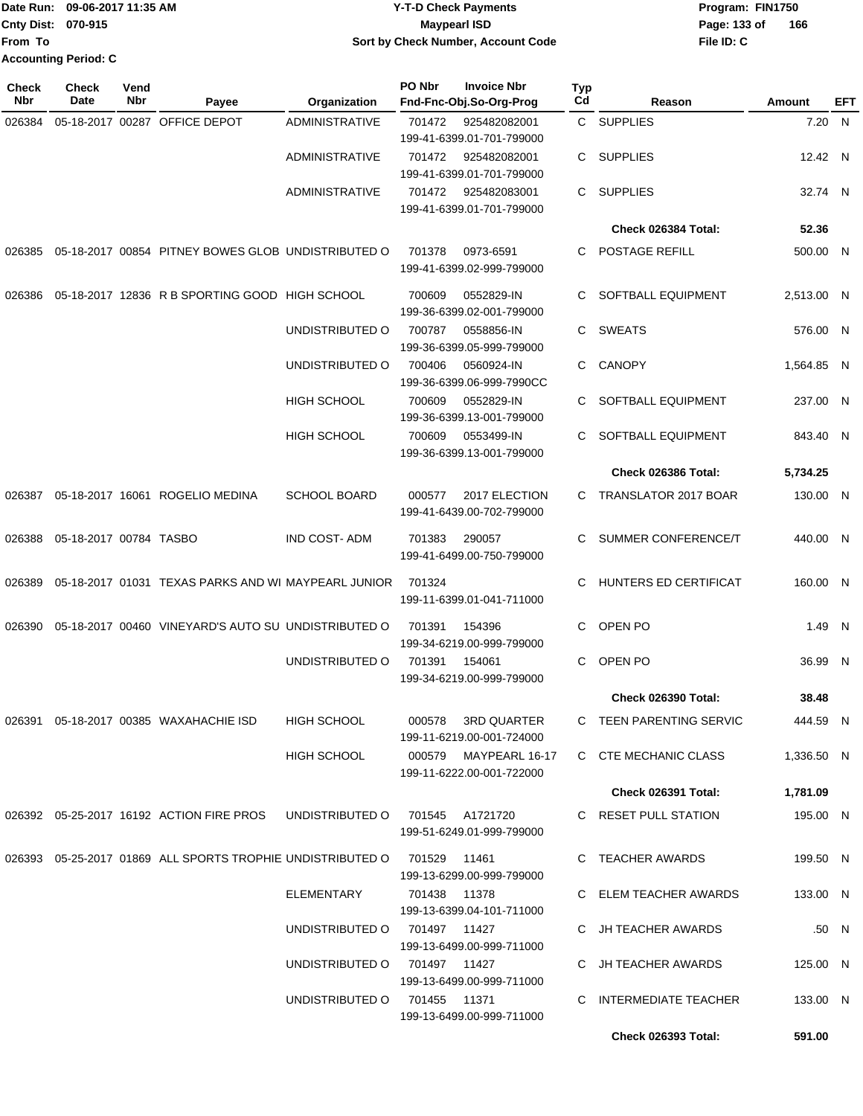|                           | Date Run: 09-06-2017 11:35 AM | <b>Y-T-D Check Payments</b>        | Program: FIN1750               |
|---------------------------|-------------------------------|------------------------------------|--------------------------------|
| <b>Cnty Dist: 070-915</b> |                               | Maypearl ISD                       | $\overline{1}$<br>Page: 133 of |
| lFrom To                  |                               | Sort by Check Number, Account Code | File ID: C                     |
|                           | <b>Accounting Period: C</b>   |                                    |                                |

**166**

| <b>Check</b><br>Nbr | <b>Check</b><br>Date   | Vend<br>Nbr | Payee                                                      | Organization                    | PO Nbr        | <b>Invoice Nbr</b><br>Fnd-Fnc-Obj.So-Org-Prog      | <b>Typ</b><br>Cd | Reason                     | Amount     | EFT   |
|---------------------|------------------------|-------------|------------------------------------------------------------|---------------------------------|---------------|----------------------------------------------------|------------------|----------------------------|------------|-------|
| 026384              |                        |             | 05-18-2017 00287 OFFICE DEPOT                              | <b>ADMINISTRATIVE</b>           | 701472        | 925482082001<br>199-41-6399.01-701-799000          |                  | C SUPPLIES                 | 7.20 N     |       |
|                     |                        |             |                                                            | <b>ADMINISTRATIVE</b>           | 701472        | 925482082001<br>199-41-6399.01-701-799000          |                  | C SUPPLIES                 | 12.42 N    |       |
|                     |                        |             |                                                            | ADMINISTRATIVE                  | 701472        | 925482083001<br>199-41-6399.01-701-799000          |                  | C SUPPLIES                 | 32.74 N    |       |
|                     |                        |             |                                                            |                                 |               |                                                    |                  | Check 026384 Total:        | 52.36      |       |
| 026385              |                        |             | 05-18-2017 00854 PITNEY BOWES GLOB UNDISTRIBUTED O         |                                 | 701378        | 0973-6591<br>199-41-6399.02-999-799000             |                  | C POSTAGE REFILL           | 500.00 N   |       |
| 026386              |                        |             | 05-18-2017 12836 R B SPORTING GOOD HIGH SCHOOL             |                                 | 700609        | 0552829-IN<br>199-36-6399.02-001-799000            | C.               | SOFTBALL EQUIPMENT         | 2,513.00 N |       |
|                     |                        |             |                                                            | UNDISTRIBUTED O                 | 700787        | 0558856-IN<br>199-36-6399.05-999-799000            |                  | C SWEATS                   | 576.00 N   |       |
|                     |                        |             |                                                            | UNDISTRIBUTED O                 | 700406        | 0560924-IN<br>199-36-6399.06-999-7990CC            | C.               | <b>CANOPY</b>              | 1,564.85 N |       |
|                     |                        |             |                                                            | <b>HIGH SCHOOL</b>              | 700609        | 0552829-IN<br>199-36-6399.13-001-799000            | C.               | SOFTBALL EQUIPMENT         | 237.00 N   |       |
|                     |                        |             |                                                            | <b>HIGH SCHOOL</b>              | 700609        | 0553499-IN<br>199-36-6399.13-001-799000            | C                | SOFTBALL EQUIPMENT         | 843.40 N   |       |
|                     |                        |             |                                                            |                                 |               |                                                    |                  | Check 026386 Total:        | 5,734.25   |       |
| 026387              |                        |             | 05-18-2017 16061 ROGELIO MEDINA                            | <b>SCHOOL BOARD</b>             | 000577        | 2017 ELECTION<br>199-41-6439.00-702-799000         |                  | C TRANSLATOR 2017 BOAR     | 130.00 N   |       |
| 026388              | 05-18-2017 00784 TASBO |             |                                                            | <b>IND COST-ADM</b>             | 701383        | 290057<br>199-41-6499.00-750-799000                |                  | C SUMMER CONFERENCE/T      | 440.00 N   |       |
| 026389              |                        |             | 05-18-2017 01031 TEXAS PARKS AND WI MAYPEARL JUNIOR        |                                 | 701324        | 199-11-6399.01-041-711000                          | C                | HUNTERS ED CERTIFICAT      | 160.00 N   |       |
| 026390              |                        |             | 05-18-2017 00460 VINEYARD'S AUTO SU UNDISTRIBUTED O        |                                 | 701391        | 154396<br>199-34-6219.00-999-799000                | С                | OPEN PO                    | 1.49 N     |       |
|                     |                        |             |                                                            | UNDISTRIBUTED O                 | 701391        | 154061<br>199-34-6219.00-999-799000                | С                | OPEN PO                    | 36.99 N    |       |
|                     |                        |             |                                                            |                                 |               |                                                    |                  | Check 026390 Total:        | 38.48      |       |
|                     |                        |             | 026391 05-18-2017 00385 WAXAHACHIE ISD                     | <b>HIGH SCHOOL</b>              |               | 000578 3RD QUARTER<br>199-11-6219.00-001-724000    |                  | C TEEN PARENTING SERVIC    | 444.59 N   |       |
|                     |                        |             |                                                            | <b>HIGH SCHOOL</b>              |               | 000579 MAYPEARL 16-17<br>199-11-6222.00-001-722000 |                  | C CTE MECHANIC CLASS       | 1,336.50 N |       |
|                     |                        |             |                                                            |                                 |               |                                                    |                  | Check 026391 Total:        | 1,781.09   |       |
|                     |                        |             | 026392  05-25-2017  16192  ACTION FIRE PROS                | UNDISTRIBUTED 0 701545 A1721720 |               | 199-51-6249.01-999-799000                          |                  | C RESET PULL STATION       | 195.00 N   |       |
|                     |                        |             | 026393 05-25-2017 01869 ALL SPORTS TROPHIE UNDISTRIBUTED O |                                 | 701529  11461 | 199-13-6299.00-999-799000                          |                  | C TEACHER AWARDS           | 199.50 N   |       |
|                     |                        |             |                                                            | ELEMENTARY                      | 701438 11378  | 199-13-6399.04-101-711000                          |                  | C ELEM TEACHER AWARDS      | 133.00 N   |       |
|                     |                        |             |                                                            | UNDISTRIBUTED O                 | 701497  11427 | 199-13-6499.00-999-711000                          |                  | C JH TEACHER AWARDS        |            | .50 N |
|                     |                        |             |                                                            | UNDISTRIBUTED O                 | 701497  11427 | 199-13-6499.00-999-711000                          |                  | C JH TEACHER AWARDS        | 125.00 N   |       |
|                     |                        |             |                                                            | UNDISTRIBUTED 0 701455 11371    |               | 199-13-6499.00-999-711000                          |                  | C INTERMEDIATE TEACHER     | 133.00 N   |       |
|                     |                        |             |                                                            |                                 |               |                                                    |                  | <b>Check 026393 Total:</b> | 591.00     |       |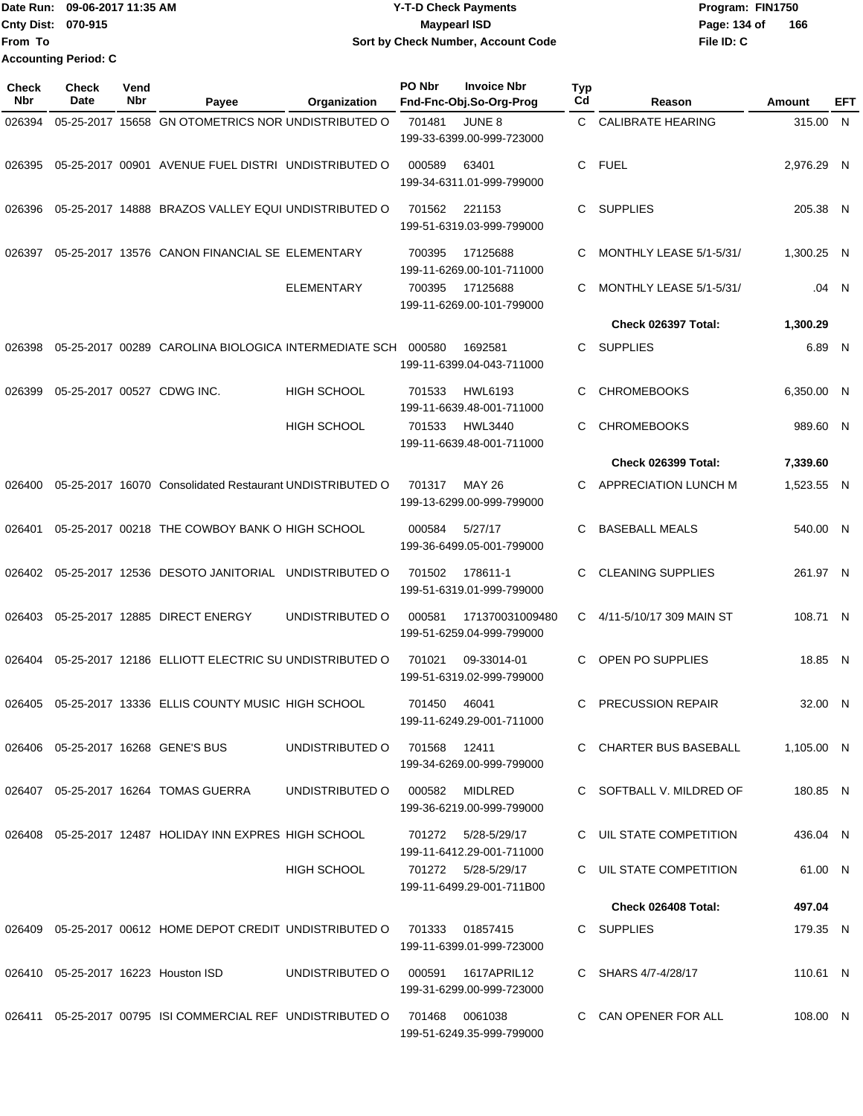|                           | Date Run: 09-06-2017 11:35 AM | <b>Y-T-D Check Payments</b>        | Program: FIN1750    |
|---------------------------|-------------------------------|------------------------------------|---------------------|
| <b>Cnty Dist: 070-915</b> |                               | Mavpearl ISD                       | 166<br>Page: 134 of |
| lFrom To                  |                               | Sort by Check Number, Account Code | File ID: C          |
|                           | <b>Accounting Period: C</b>   |                                    |                     |

| Check<br><b>Nbr</b> | <b>Check</b><br>Date | Vend<br>Nbr | Payee                                                                          | Organization                 | PO Nbr | <b>Invoice Nbr</b><br>Fnd-Fnc-Obj.So-Org-Prog       | Typ<br>Cd | Reason                   | Amount     | EFT   |
|---------------------|----------------------|-------------|--------------------------------------------------------------------------------|------------------------------|--------|-----------------------------------------------------|-----------|--------------------------|------------|-------|
| 026394              |                      |             | 05-25-2017 15658 GN OTOMETRICS NOR UNDISTRIBUTED O                             |                              | 701481 | JUNE 8<br>199-33-6399.00-999-723000                 | C.        | <b>CALIBRATE HEARING</b> | 315.00 N   |       |
| 026395              |                      |             | 05-25-2017 00901 AVENUE FUEL DISTRI UNDISTRIBUTED O                            |                              | 000589 | 63401<br>199-34-6311.01-999-799000                  | C         | <b>FUEL</b>              | 2,976.29 N |       |
| 026396              |                      |             | 05-25-2017 14888 BRAZOS VALLEY EQUI UNDISTRIBUTED O                            |                              | 701562 | 221153<br>199-51-6319.03-999-799000                 | C         | SUPPLIES                 | 205.38 N   |       |
| 026397              |                      |             | 05-25-2017 13576 CANON FINANCIAL SE ELEMENTARY                                 |                              | 700395 | 17125688<br>199-11-6269.00-101-711000               | C         | MONTHLY LEASE 5/1-5/31/  | 1,300.25 N |       |
|                     |                      |             |                                                                                | <b>ELEMENTARY</b>            | 700395 | 17125688<br>199-11-6269.00-101-799000               | C         | MONTHLY LEASE 5/1-5/31/  |            | .04 N |
|                     |                      |             |                                                                                |                              |        |                                                     |           | Check 026397 Total:      | 1,300.29   |       |
| 026398              |                      |             | 05-25-2017 00289 CAROLINA BIOLOGICA INTERMEDIATE SCH                           |                              | 000580 | 1692581<br>199-11-6399.04-043-711000                | C         | <b>SUPPLIES</b>          | 6.89 N     |       |
| 026399              |                      |             | 05-25-2017 00527 CDWG INC.                                                     | <b>HIGH SCHOOL</b>           | 701533 | <b>HWL6193</b><br>199-11-6639.48-001-711000         | C         | <b>CHROMEBOOKS</b>       | 6,350.00 N |       |
|                     |                      |             |                                                                                | <b>HIGH SCHOOL</b>           | 701533 | <b>HWL3440</b><br>199-11-6639.48-001-711000         | C         | <b>CHROMEBOOKS</b>       | 989.60 N   |       |
|                     |                      |             |                                                                                |                              |        |                                                     |           | Check 026399 Total:      | 7,339.60   |       |
| 026400              |                      |             | 05-25-2017 16070 Consolidated Restaurant UNDISTRIBUTED O                       |                              | 701317 | MAY 26<br>199-13-6299.00-999-799000                 | C         | APPRECIATION LUNCH M     | 1,523.55 N |       |
| 026401              |                      |             | 05-25-2017 00218 THE COWBOY BANK O HIGH SCHOOL                                 |                              | 000584 | 5/27/17<br>199-36-6499.05-001-799000                | C         | <b>BASEBALL MEALS</b>    | 540.00 N   |       |
|                     |                      |             | 026402  05-25-2017  12536  DESOTO JANITORIAL  UNDISTRIBUTED O                  |                              | 701502 | 178611-1<br>199-51-6319.01-999-799000               | C         | <b>CLEANING SUPPLIES</b> | 261.97 N   |       |
| 026403              |                      |             | 05-25-2017 12885 DIRECT ENERGY                                                 | UNDISTRIBUTED O              | 000581 | 171370031009480<br>199-51-6259.04-999-799000        | C.        | 4/11-5/10/17 309 MAIN ST | 108.71 N   |       |
| 026404              |                      |             | 05-25-2017 12186 ELLIOTT ELECTRIC SU UNDISTRIBUTED O                           |                              | 701021 | 09-33014-01<br>199-51-6319.02-999-799000            | C         | OPEN PO SUPPLIES         | 18.85 N    |       |
|                     |                      |             | 026405 05-25-2017 13336 ELLIS COUNTY MUSIC HIGH SCHOOL                         |                              | 701450 | 46041<br>199-11-6249.29-001-711000                  | C.        | <b>PRECUSSION REPAIR</b> | 32.00 N    |       |
|                     |                      |             | 026406  05-25-2017  16268  GENE'S BUS                                          | UNDISTRIBUTED O 701568 12411 |        | 199-34-6269.00-999-799000                           |           | C CHARTER BUS BASEBALL   | 1,105.00 N |       |
|                     |                      |             | 026407    05-25-2017    16264    TOMAS GUERRA                                  | UNDISTRIBUTED O              |        | 000582 MIDLRED<br>199-36-6219.00-999-799000         |           | C SOFTBALL V. MILDRED OF | 180.85 N   |       |
|                     |                      |             | 026408 05-25-2017 12487 HOLIDAY INN EXPRES HIGH SCHOOL                         |                              |        | 701272    5/28-5/29/17<br>199-11-6412.29-001-711000 |           | C UIL STATE COMPETITION  | 436.04 N   |       |
|                     |                      |             |                                                                                | HIGH SCHOOL                  |        | 701272  5/28-5/29/17<br>199-11-6499.29-001-711B00   |           | C UIL STATE COMPETITION  | 61.00 N    |       |
|                     |                      |             |                                                                                |                              |        |                                                     |           | Check 026408 Total:      | 497.04     |       |
|                     |                      |             | 026409  05-25-2017  00612  HOME DEPOT CREDIT UNDISTRIBUTED O  701333  01857415 |                              |        | 199-11-6399.01-999-723000                           |           | C SUPPLIES               | 179.35 N   |       |
|                     |                      |             | 026410 05-25-2017 16223 Houston ISD                                            | UNDISTRIBUTED O              |        | 199-31-6299.00-999-723000                           |           | C SHARS 4/7-4/28/17      | 110.61 N   |       |
|                     |                      |             | 026411  05-25-2017  00795  ISI COMMERCIAL REF UNDISTRIBUTED O  701468  0061038 |                              |        | 199-51-6249.35-999-799000                           |           | C CAN OPENER FOR ALL     | 108.00 N   |       |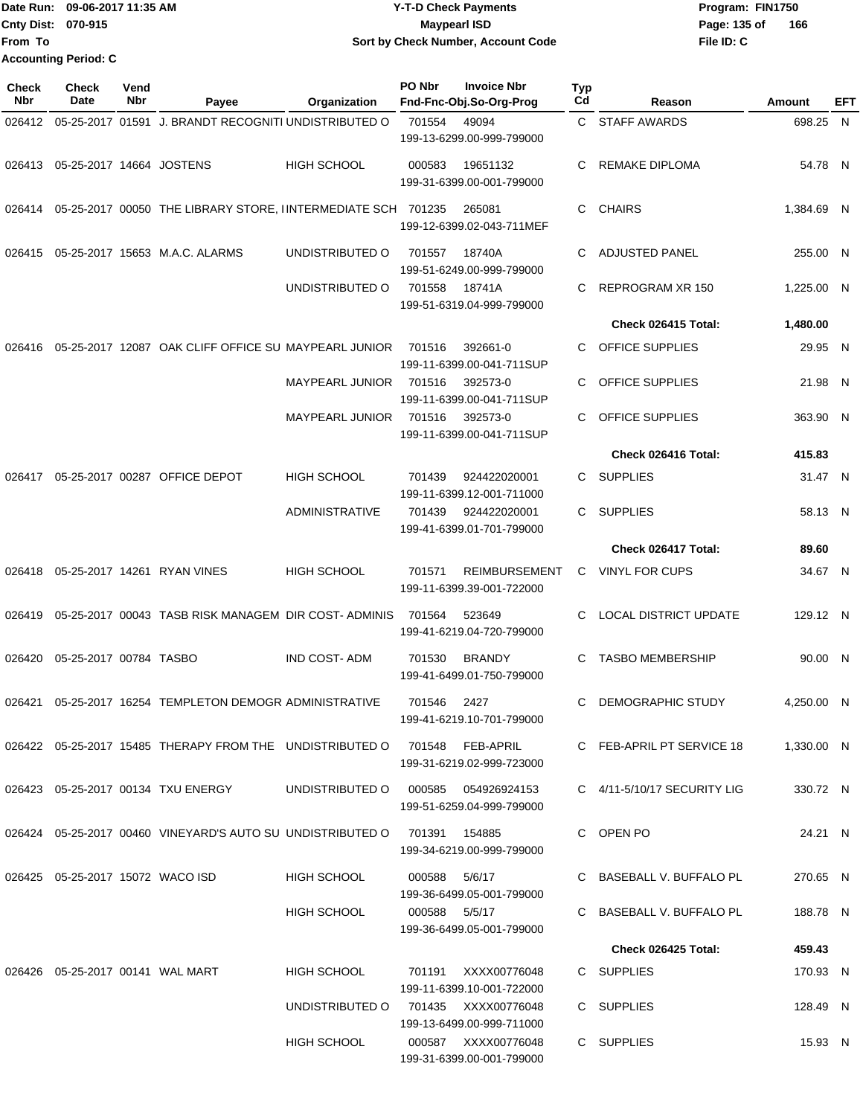|                             | Date Run: 09-06-2017 11:35 AM | <b>Y-T-D Check Payments</b>        | Program: FIN1750    |
|-----------------------------|-------------------------------|------------------------------------|---------------------|
| <b>Cnty Dist: 070-915</b>   |                               | Maypearl ISD                       | 166<br>Page: 135 of |
| lFrom To                    |                               | Sort by Check Number, Account Code | File ID: C          |
| <b>Accounting Period: C</b> |                               |                                    |                     |

**PO Nbr Invoice Nbr**

| <b>Check</b><br>Nbr | Check<br><b>Date</b>             | Vend<br>Nbr | Payee                                                                     | Organization           | PO Nbr        | <b>Invoice Nbr</b><br>Fnd-Fnc-Obj.So-Org-Prog        | Typ<br>Cd | Reason                          | Amount     | EFT |
|---------------------|----------------------------------|-------------|---------------------------------------------------------------------------|------------------------|---------------|------------------------------------------------------|-----------|---------------------------------|------------|-----|
| 026412              |                                  |             | 05-25-2017 01591 J. BRANDT RECOGNITI UNDISTRIBUTED O                      |                        | 701554        | 49094<br>199-13-6299.00-999-799000                   |           | C STAFF AWARDS                  | 698.25 N   |     |
| 026413              | 05-25-2017 14664 JOSTENS         |             |                                                                           | <b>HIGH SCHOOL</b>     | 000583        | 19651132<br>199-31-6399.00-001-799000                | C         | <b>REMAKE DIPLOMA</b>           | 54.78 N    |     |
|                     |                                  |             | 026414  05-25-2017  00050  THE LIBRARY STORE, IINTERMEDIATE SCH  701235   |                        |               | 265081<br>199-12-6399.02-043-711MEF                  | C         | <b>CHAIRS</b>                   | 1,384.69 N |     |
| 026415              |                                  |             | 05-25-2017 15653 M.A.C. ALARMS                                            | UNDISTRIBUTED O        | 701557        | 18740A<br>199-51-6249.00-999-799000                  | C         | <b>ADJUSTED PANEL</b>           | 255.00 N   |     |
|                     |                                  |             |                                                                           | UNDISTRIBUTED O        | 701558        | 18741A<br>199-51-6319.04-999-799000                  | C         | REPROGRAM XR 150                | 1,225.00 N |     |
|                     |                                  |             |                                                                           |                        |               |                                                      |           | Check 026415 Total:             | 1,480.00   |     |
| 026416              |                                  |             | 05-25-2017 12087 OAK CLIFF OFFICE SU MAYPEARL JUNIOR                      |                        | 701516        | 392661-0<br>199-11-6399.00-041-711SUP                | C         | OFFICE SUPPLIES                 | 29.95 N    |     |
|                     |                                  |             |                                                                           | <b>MAYPEARL JUNIOR</b> | 701516        | 392573-0<br>199-11-6399.00-041-711SUP                |           | OFFICE SUPPLIES                 | 21.98 N    |     |
|                     |                                  |             |                                                                           | MAYPEARL JUNIOR        | 701516        | 392573-0<br>199-11-6399.00-041-711SUP                | C.        | <b>OFFICE SUPPLIES</b>          | 363.90 N   |     |
|                     |                                  |             |                                                                           |                        |               |                                                      |           | Check 026416 Total:             | 415.83     |     |
| 026417              |                                  |             | 05-25-2017 00287 OFFICE DEPOT                                             | <b>HIGH SCHOOL</b>     | 701439        | 924422020001<br>199-11-6399.12-001-711000            | C.        | <b>SUPPLIES</b>                 | 31.47 N    |     |
|                     |                                  |             |                                                                           | ADMINISTRATIVE         | 701439        | 924422020001<br>199-41-6399.01-701-799000            | C.        | <b>SUPPLIES</b>                 | 58.13 N    |     |
|                     |                                  |             |                                                                           |                        |               |                                                      |           | Check 026417 Total:             | 89.60      |     |
| 026418              |                                  |             | 05-25-2017 14261 RYAN VINES                                               | <b>HIGH SCHOOL</b>     | 701571        | <b>REIMBURSEMENT</b><br>199-11-6399.39-001-722000    | C         | <b>VINYL FOR CUPS</b>           | 34.67 N    |     |
|                     |                                  |             | 026419  05-25-2017  00043  TASB RISK MANAGEM DIR COST-ADMINIS             |                        | 701564        | 523649<br>199-41-6219.04-720-799000                  | C         | <b>LOCAL DISTRICT UPDATE</b>    | 129.12 N   |     |
| 026420              | 05-25-2017 00784 TASBO           |             |                                                                           | <b>IND COST-ADM</b>    | 701530        | <b>BRANDY</b><br>199-41-6499.01-750-799000           | C         | <b>TASBO MEMBERSHIP</b>         | 90.00 N    |     |
| 026421              |                                  |             | 05-25-2017 16254 TEMPLETON DEMOGR ADMINISTRATIVE                          |                        | 701546        | 2427<br>199-41-6219.10-701-799000                    | C         | DEMOGRAPHIC STUDY               | 4.250.00 N |     |
|                     |                                  |             | 026422 05-25-2017 15485 THERAPY FROM THE UNDISTRIBUTED O 701548 FEB-APRIL |                        |               | 199-31-6219.02-999-723000                            |           | C FEB-APRIL PT SERVICE 18       | 1,330.00 N |     |
|                     |                                  |             | 026423 05-25-2017 00134 TXU ENERGY                                        | UNDISTRIBUTED O        | 000585        | 054926924153<br>199-51-6259.04-999-799000            |           | C $4/11 - 5/10/17$ SECURITY LIG | 330.72 N   |     |
|                     |                                  |             | 026424 05-25-2017 00460 VINEYARD'S AUTO SU UNDISTRIBUTED O                |                        | 701391        | 154885<br>199-34-6219.00-999-799000                  |           | C OPEN PO                       | 24.21 N    |     |
|                     | 026425 05-25-2017 15072 WACO ISD |             |                                                                           | <b>HIGH SCHOOL</b>     | 000588        | 5/6/17<br>199-36-6499.05-001-799000                  |           | C BASEBALL V. BUFFALO PL        | 270.65 N   |     |
|                     |                                  |             |                                                                           | HIGH SCHOOL            | 000588 5/5/17 | 199-36-6499.05-001-799000                            |           | C BASEBALL V. BUFFALO PL        | 188.78 N   |     |
|                     |                                  |             |                                                                           |                        |               |                                                      |           | Check 026425 Total:             | 459.43     |     |
|                     |                                  |             | 026426  05-25-2017  00141  WAL MART                                       | HIGH SCHOOL            |               | 701191 XXXX00776048<br>199-11-6399.10-001-722000     |           | C SUPPLIES                      | 170.93 N   |     |
|                     |                                  |             |                                                                           | UNDISTRIBUTED O        |               | 701435     XXXX00776048<br>199-13-6499.00-999-711000 |           | C SUPPLIES                      | 128.49 N   |     |
|                     |                                  |             |                                                                           | HIGH SCHOOL            |               | 000587 XXXX00776048<br>199-31-6399.00-001-799000     |           | C SUPPLIES                      | 15.93 N    |     |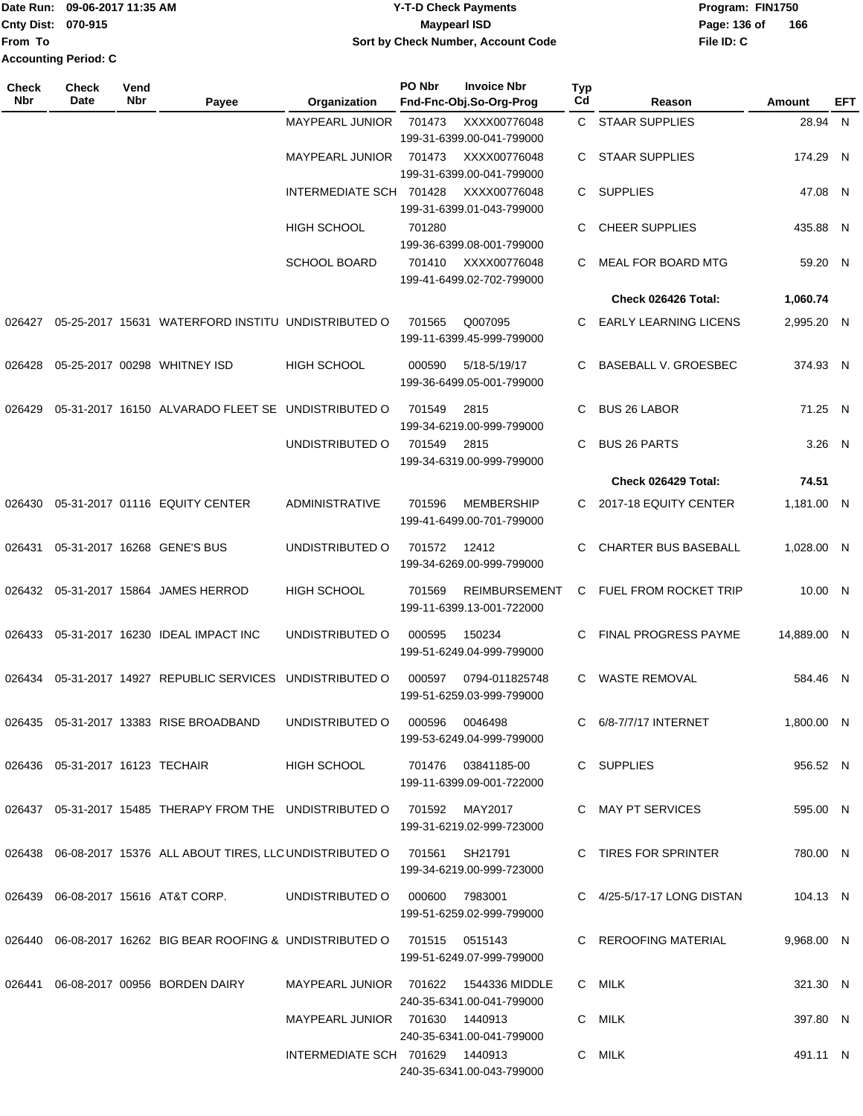#### Date Run: 09-06-2017 11:35 AM **CONTEX 100 CONTEX 12 T-D** Check Payments **CONTEX 12 T-D Check Payments** Program: FIN1750 **Cnty Dist:** 070-915 **Page:** 136 of **09-06-2017 11:35 AM Y-T-D Check Payments 070-915 Maypearl ISD Sort by Check Number, Account Code**

| Check<br><b>Nbr</b> | <b>Check</b><br>Date               | Vend<br><b>Nbr</b> | Payee                                                                         | Organization                          | PO Nbr | <b>Invoice Nbr</b><br>Fnd-Fnc-Obj.So-Org-Prog     | <b>Typ</b><br>Cd | Reason                       | Amount      | EFT |
|---------------------|------------------------------------|--------------------|-------------------------------------------------------------------------------|---------------------------------------|--------|---------------------------------------------------|------------------|------------------------------|-------------|-----|
|                     |                                    |                    |                                                                               | MAYPEARL JUNIOR                       | 701473 | XXXX00776048<br>199-31-6399.00-041-799000         |                  | C STAAR SUPPLIES             | 28.94 N     |     |
|                     |                                    |                    |                                                                               | MAYPEARL JUNIOR 701473                |        | XXXX00776048<br>199-31-6399.00-041-799000         | C.               | <b>STAAR SUPPLIES</b>        | 174.29 N    |     |
|                     |                                    |                    |                                                                               | INTERMEDIATE SCH 701428               |        | XXXX00776048<br>199-31-6399.01-043-799000         | C.               | <b>SUPPLIES</b>              | 47.08 N     |     |
|                     |                                    |                    |                                                                               | <b>HIGH SCHOOL</b>                    | 701280 | 199-36-6399.08-001-799000                         | C                | <b>CHEER SUPPLIES</b>        | 435.88 N    |     |
|                     |                                    |                    |                                                                               | <b>SCHOOL BOARD</b>                   | 701410 | XXXX00776048<br>199-41-6499.02-702-799000         | C.               | <b>MEAL FOR BOARD MTG</b>    | 59.20 N     |     |
|                     |                                    |                    |                                                                               |                                       |        |                                                   |                  | Check 026426 Total:          | 1,060.74    |     |
| 026427              |                                    |                    | 05-25-2017 15631 WATERFORD INSTITU UNDISTRIBUTED O                            |                                       | 701565 | Q007095<br>199-11-6399.45-999-799000              | C.               | <b>EARLY LEARNING LICENS</b> | 2,995.20 N  |     |
| 026428              |                                    |                    | 05-25-2017 00298 WHITNEY ISD                                                  | HIGH SCHOOL                           | 000590 | 5/18-5/19/17<br>199-36-6499.05-001-799000         | C.               | <b>BASEBALL V. GROESBEC</b>  | 374.93 N    |     |
| 026429              |                                    |                    | 05-31-2017 16150 ALVARADO FLEET SE UNDISTRIBUTED O                            |                                       | 701549 | 2815<br>199-34-6219.00-999-799000                 | C.               | <b>BUS 26 LABOR</b>          | 71.25 N     |     |
|                     |                                    |                    |                                                                               | UNDISTRIBUTED O                       | 701549 | 2815<br>199-34-6319.00-999-799000                 | C.               | <b>BUS 26 PARTS</b>          | $3.26$ N    |     |
|                     |                                    |                    |                                                                               |                                       |        |                                                   |                  | Check 026429 Total:          | 74.51       |     |
| 026430              |                                    |                    | 05-31-2017 01116 EQUITY CENTER                                                | ADMINISTRATIVE                        | 701596 | <b>MEMBERSHIP</b><br>199-41-6499.00-701-799000    |                  | C 2017-18 EQUITY CENTER      | 1,181.00 N  |     |
| 026431              |                                    |                    | 05-31-2017 16268 GENE'S BUS                                                   | UNDISTRIBUTED O                       | 701572 | 12412<br>199-34-6269.00-999-799000                | C.               | <b>CHARTER BUS BASEBALL</b>  | 1,028.00 N  |     |
| 026432              |                                    |                    | 05-31-2017 15864 JAMES HERROD                                                 | HIGH SCHOOL                           | 701569 | <b>REIMBURSEMENT</b><br>199-11-6399.13-001-722000 |                  | C FUEL FROM ROCKET TRIP      | 10.00 N     |     |
| 026433              |                                    |                    | 05-31-2017 16230 IDEAL IMPACT INC                                             | UNDISTRIBUTED O                       | 000595 | 150234<br>199-51-6249.04-999-799000               | C.               | <b>FINAL PROGRESS PAYME</b>  | 14,889.00 N |     |
| 026434              |                                    |                    | 05-31-2017 14927 REPUBLIC SERVICES UNDISTRIBUTED O                            |                                       | 000597 | 0794-011825748<br>199-51-6259.03-999-799000       | C.               | <b>WASTE REMOVAL</b>         | 584.46 N    |     |
|                     |                                    |                    | 026435  05-31-2017  13383  RISE BROADBAND                                     | UNDISTRIBUTED O 000596 0046498        |        | 199-53-6249.04-999-799000                         |                  | C 6/8-7/7/17 INTERNET        | 1,800.00 N  |     |
|                     | 026436  05-31-2017  16123  TECHAIR |                    |                                                                               | HIGH SCHOOL                           |        | 701476  03841185-00<br>199-11-6399.09-001-722000  |                  | C SUPPLIES                   | 956.52 N    |     |
|                     |                                    |                    | 026437  05-31-2017  15485  THERAPY FROM THE  UNDISTRIBUTED O  701592  MAY2017 |                                       |        | 199-31-6219.02-999-723000                         |                  | C MAY PT SERVICES            | 595.00 N    |     |
|                     |                                    |                    | 026438 06-08-2017 15376 ALL ABOUT TIRES, LLC UNDISTRIBUTED O 701561 SH21791   |                                       |        | 199-34-6219.00-999-723000                         |                  | C TIRES FOR SPRINTER         | 780.00 N    |     |
|                     |                                    |                    | 026439    06-08-2017    15616    AT&T CORP.                                   | UNDISTRIBUTED O 000600 7983001        |        | 199-51-6259.02-999-799000                         |                  | C 4/25-5/17-17 LONG DISTAN   | 104.13 N    |     |
|                     |                                    |                    | 026440 06-08-2017 16262 BIG BEAR ROOFING & UNDISTRIBUTED O 701515 0515143     |                                       |        | 199-51-6249.07-999-799000                         |                  | C REROOFING MATERIAL         | 9,968.00 N  |     |
|                     |                                    |                    | 026441  06-08-2017  00956  BORDEN DAIRY                                       | MAYPEARL JUNIOR 701622 1544336 MIDDLE |        | 240-35-6341.00-041-799000                         |                  | C MILK                       | 321.30 N    |     |
|                     |                                    |                    |                                                                               | MAYPEARL JUNIOR 701630 1440913        |        | 240-35-6341.00-041-799000                         |                  | C MILK                       | 397.80 N    |     |
|                     |                                    |                    |                                                                               | INTERMEDIATE SCH 701629 1440913       |        | 240-35-6341.00-043-799000                         |                  | C MILK                       | 491.11 N    |     |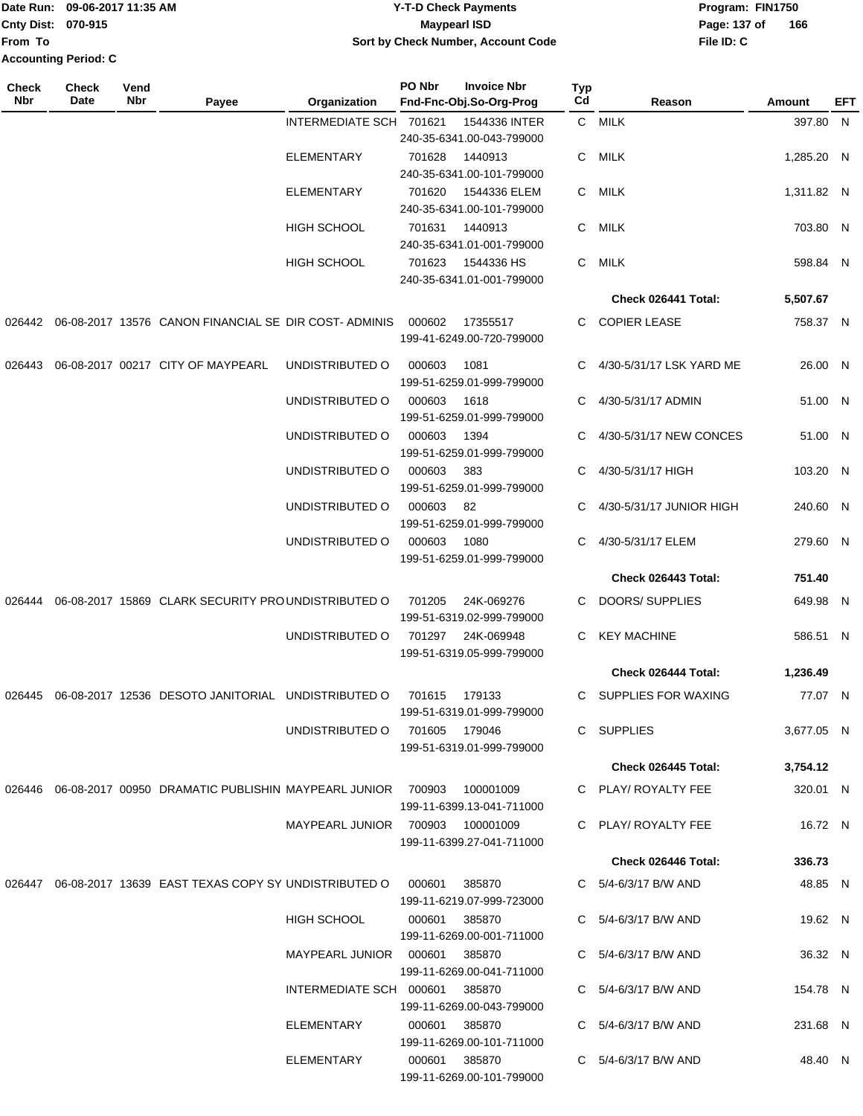**Cnty Dist: 070-915 From To Accounting Period: C**

### Date Run: 09-06-2017 11:35 AM **CONTEX 100 CONTEX 12 T-D** Check Payments **CONTEX 12 T-D Check Payments** Program: FIN1750 **Y-T-D Check Payments 070-915 Maypearl ISD Sort by Check Number, Account Code**

**File ID: C** Page: 137 of 166

| <b>Check</b><br>Nbr | <b>Check</b><br>Date | Vend<br>Nbr | Payee                                                         | Organization                     | PO Nbr        | <b>Invoice Nbr</b><br>Fnd-Fnc-Obj.So-Org-Prog | <b>Typ</b><br>Cd | Reason                     | Amount     | EFT |
|---------------------|----------------------|-------------|---------------------------------------------------------------|----------------------------------|---------------|-----------------------------------------------|------------------|----------------------------|------------|-----|
|                     |                      |             |                                                               | INTERMEDIATE SCH 701621          |               | 1544336 INTER                                 |                  | C MILK                     | 397.80 N   |     |
|                     |                      |             |                                                               |                                  |               | 240-35-6341.00-043-799000                     |                  |                            |            |     |
|                     |                      |             |                                                               | ELEMENTARY                       | 701628        | 1440913                                       | C                | MILK                       | 1,285.20 N |     |
|                     |                      |             |                                                               |                                  | 701620        | 240-35-6341.00-101-799000<br>1544336 ELEM     | C.               | MILK                       | 1,311.82 N |     |
|                     |                      |             |                                                               | ELEMENTARY                       |               | 240-35-6341.00-101-799000                     |                  |                            |            |     |
|                     |                      |             |                                                               | <b>HIGH SCHOOL</b>               | 701631        | 1440913                                       | C                | MILK                       | 703.80 N   |     |
|                     |                      |             |                                                               |                                  |               | 240-35-6341.01-001-799000                     |                  |                            |            |     |
|                     |                      |             |                                                               | HIGH SCHOOL                      | 701623        | 1544336 HS                                    | C                | <b>MILK</b>                | 598.84 N   |     |
|                     |                      |             |                                                               |                                  |               | 240-35-6341.01-001-799000                     |                  |                            |            |     |
|                     |                      |             |                                                               |                                  |               |                                               |                  | Check 026441 Total:        | 5,507.67   |     |
| 026442              |                      |             | 06-08-2017 13576 CANON FINANCIAL SE DIR COST-ADMINIS          |                                  | 000602        | 17355517<br>199-41-6249.00-720-799000         |                  | C COPIER LEASE             | 758.37 N   |     |
| 026443              |                      |             | 06-08-2017 00217 CITY OF MAYPEARL                             | UNDISTRIBUTED O                  | 000603        | 1081<br>199-51-6259.01-999-799000             |                  | C 4/30-5/31/17 LSK YARD ME | 26.00 N    |     |
|                     |                      |             |                                                               | UNDISTRIBUTED O                  | 000603        | 1618                                          | C                | 4/30-5/31/17 ADMIN         | 51.00 N    |     |
|                     |                      |             |                                                               |                                  |               | 199-51-6259.01-999-799000                     |                  |                            |            |     |
|                     |                      |             |                                                               | UNDISTRIBUTED O                  | 000603        | 1394                                          | C                | 4/30-5/31/17 NEW CONCES    | 51.00 N    |     |
|                     |                      |             |                                                               |                                  |               | 199-51-6259.01-999-799000                     |                  |                            |            |     |
|                     |                      |             |                                                               | UNDISTRIBUTED O                  | 000603        | 383                                           | C                | 4/30-5/31/17 HIGH          | 103.20 N   |     |
|                     |                      |             |                                                               |                                  |               | 199-51-6259.01-999-799000                     |                  |                            |            |     |
|                     |                      |             |                                                               | UNDISTRIBUTED O                  | 000603        | 82<br>199-51-6259.01-999-799000               |                  | 4/30-5/31/17 JUNIOR HIGH   | 240.60 N   |     |
|                     |                      |             |                                                               | UNDISTRIBUTED O                  | 000603        | 1080<br>199-51-6259.01-999-799000             | C.               | 4/30-5/31/17 ELEM          | 279.60 N   |     |
|                     |                      |             |                                                               |                                  |               |                                               |                  | Check 026443 Total:        | 751.40     |     |
| 026444              |                      |             | 06-08-2017 15869 CLARK SECURITY PROUNDISTRIBUTED O            |                                  | 701205        | 24K-069276<br>199-51-6319.02-999-799000       | C.               | <b>DOORS/ SUPPLIES</b>     | 649.98 N   |     |
|                     |                      |             |                                                               | UNDISTRIBUTED O                  | 701297        | 24K-069948<br>199-51-6319.05-999-799000       | C.               | <b>KEY MACHINE</b>         | 586.51 N   |     |
|                     |                      |             |                                                               |                                  |               |                                               |                  | Check 026444 Total:        | 1,236.49   |     |
|                     |                      |             | 026445 06-08-2017 12536 DESOTO JANITORIAL UNDISTRIBUTED O     |                                  | 701615        | 179133                                        |                  | C SUPPLIES FOR WAXING      | 77.07 N    |     |
|                     |                      |             |                                                               |                                  |               | 199-51-6319.01-999-799000                     |                  |                            |            |     |
|                     |                      |             |                                                               | UNDISTRIBUTED O                  | 701605 179046 | 199-51-6319.01-999-799000                     |                  | C SUPPLIES                 | 3.677.05 N |     |
|                     |                      |             |                                                               |                                  |               |                                               |                  | Check 026445 Total:        | 3,754.12   |     |
|                     |                      |             | 026446  06-08-2017  00950  DRAMATIC PUBLISHIN MAYPEARL JUNIOR |                                  | 700903        | 100001009<br>199-11-6399.13-041-711000        |                  | C PLAY/ ROYALTY FEE        | 320.01 N   |     |
|                     |                      |             |                                                               | MAYPEARL JUNIOR 700903 100001009 |               | 199-11-6399.27-041-711000                     |                  | C PLAY/ ROYALTY FEE        | 16.72 N    |     |
|                     |                      |             |                                                               |                                  |               |                                               |                  | Check 026446 Total:        | 336.73     |     |
| 026447              |                      |             | 06-08-2017 13639 EAST TEXAS COPY SY UNDISTRIBUTED O           |                                  | 000601        | 385870<br>199-11-6219.07-999-723000           |                  | C 5/4-6/3/17 B/W AND       | 48.85 N    |     |
|                     |                      |             |                                                               | HIGH SCHOOL                      | 000601        | 385870<br>199-11-6269.00-001-711000           |                  | C 5/4-6/3/17 B/W AND       | 19.62 N    |     |
|                     |                      |             |                                                               | MAYPEARL JUNIOR 000601           |               | 385870<br>199-11-6269.00-041-711000           |                  | C 5/4-6/3/17 B/W AND       | 36.32 N    |     |
|                     |                      |             |                                                               | INTERMEDIATE SCH 000601          |               | 385870<br>199-11-6269.00-043-799000           |                  | C 5/4-6/3/17 B/W AND       | 154.78 N   |     |
|                     |                      |             |                                                               | ELEMENTARY                       | 000601        | 385870<br>199-11-6269.00-101-711000           |                  | 5/4-6/3/17 B/W AND         | 231.68 N   |     |
|                     |                      |             |                                                               | ELEMENTARY                       | 000601        | 385870<br>199-11-6269.00-101-799000           |                  | C 5/4-6/3/17 B/W AND       | 48.40 N    |     |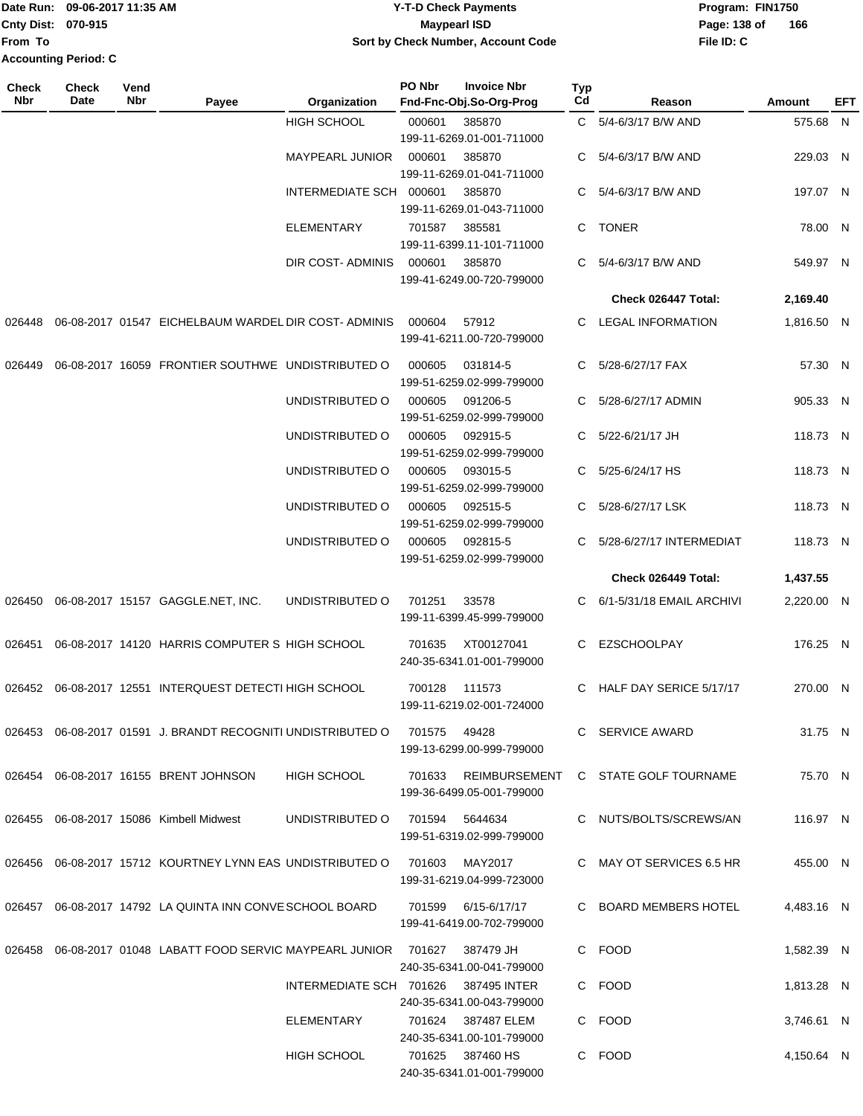#### Date Run: 09-06-2017 11:35 AM **CONTEX 100 CONTEX 12 T-D** Check Payments **CONTEX 12 T-D Check Payments** Program: FIN1750 **Cnty Dist:** 070-915 **Page:** 138 of **09-06-2017 11:35 AM Y-T-D Check Payments 070-915 Maypearl ISD Sort by Check Number, Account Code**

| Check<br><b>Nbr</b> | Check<br>Date | Vend<br>Nbr | Payee                                                                 | Organization                         | PO Nbr | <b>Invoice Nbr</b><br>Fnd-Fnc-Obj.So-Org-Prog                         | Typ<br>Cd | Reason                              | Amount     | EFT |
|---------------------|---------------|-------------|-----------------------------------------------------------------------|--------------------------------------|--------|-----------------------------------------------------------------------|-----------|-------------------------------------|------------|-----|
|                     |               |             |                                                                       | HIGH SCHOOL                          | 000601 | 385870<br>199-11-6269.01-001-711000                                   |           | C 5/4-6/3/17 B/W AND                | 575.68 N   |     |
|                     |               |             |                                                                       | MAYPEARL JUNIOR                      | 000601 | 385870<br>199-11-6269.01-041-711000                                   |           | C 5/4-6/3/17 B/W AND                | 229.03 N   |     |
|                     |               |             |                                                                       | INTERMEDIATE SCH 000601              |        | 385870<br>199-11-6269.01-043-711000                                   |           | C 5/4-6/3/17 B/W AND                | 197.07 N   |     |
|                     |               |             |                                                                       | <b>ELEMENTARY</b>                    | 701587 | 385581<br>199-11-6399.11-101-711000                                   |           | C TONER                             | 78.00 N    |     |
|                     |               |             |                                                                       | DIR COST-ADMINIS                     | 000601 | 385870<br>199-41-6249.00-720-799000                                   |           | C 5/4-6/3/17 B/W AND                | 549.97 N   |     |
|                     |               |             |                                                                       |                                      |        |                                                                       |           | Check 026447 Total:                 | 2,169.40   |     |
| 026448              |               |             | 06-08-2017 01547 EICHELBAUM WARDEL DIR COST-ADMINIS                   |                                      | 000604 | 57912<br>199-41-6211.00-720-799000                                    | C.        | <b>LEGAL INFORMATION</b>            | 1,816.50 N |     |
| 026449              |               |             | 06-08-2017 16059 FRONTIER SOUTHWE UNDISTRIBUTED O                     |                                      | 000605 | 031814-5<br>199-51-6259.02-999-799000                                 |           | C 5/28-6/27/17 FAX                  | 57.30 N    |     |
|                     |               |             |                                                                       | UNDISTRIBUTED O                      | 000605 | 091206-5<br>199-51-6259.02-999-799000                                 |           | C 5/28-6/27/17 ADMIN                | 905.33 N   |     |
|                     |               |             |                                                                       | UNDISTRIBUTED O                      | 000605 | 092915-5<br>199-51-6259.02-999-799000                                 |           | C 5/22-6/21/17 JH                   | 118.73 N   |     |
|                     |               |             |                                                                       | UNDISTRIBUTED O                      | 000605 | 093015-5<br>199-51-6259.02-999-799000                                 | C.        | 5/25-6/24/17 HS                     | 118.73 N   |     |
|                     |               |             |                                                                       | UNDISTRIBUTED O                      | 000605 | 092515-5<br>199-51-6259.02-999-799000                                 | C.        | 5/28-6/27/17 LSK                    | 118.73 N   |     |
|                     |               |             |                                                                       | UNDISTRIBUTED O                      | 000605 | 092815-5<br>199-51-6259.02-999-799000                                 |           | 5/28-6/27/17 INTERMEDIAT            | 118.73 N   |     |
|                     |               |             |                                                                       |                                      |        |                                                                       |           | Check 026449 Total:                 | 1,437.55   |     |
|                     |               |             | 026450  06-08-2017  15157  GAGGLE.NET, INC.                           | UNDISTRIBUTED O                      | 701251 | 33578<br>199-11-6399.45-999-799000                                    |           | 6/1-5/31/18 EMAIL ARCHIVI           | 2,220.00 N |     |
| 026451              |               |             | 06-08-2017 14120 HARRIS COMPUTER S HIGH SCHOOL                        |                                      | 701635 | XT00127041<br>240-35-6341.01-001-799000                               |           | C EZSCHOOLPAY                       | 176.25 N   |     |
|                     |               |             | 026452 06-08-2017 12551 INTERQUEST DETECTI HIGH SCHOOL                |                                      | 700128 | 111573<br>199-11-6219.02-001-724000                                   |           | C HALF DAY SERICE 5/17/17           | 270.00 N   |     |
|                     |               |             | 026453 06-08-2017 01591 J. BRANDT RECOGNITI UNDISTRIBUTED O           |                                      | 701575 | 49428<br>199-13-6299.00-999-799000                                    |           | C SERVICE AWARD                     | 31.75 N    |     |
|                     |               |             | 026454 06-08-2017 16155 BRENT JOHNSON                                 | HIGH SCHOOL                          | 701633 | 199-36-6499.05-001-799000                                             |           | REIMBURSEMENT C STATE GOLF TOURNAME | 75.70 N    |     |
|                     |               |             | 026455 06-08-2017 15086 Kimbell Midwest                               | UNDISTRIBUTED O                      | 701594 | 5644634<br>199-51-6319.02-999-799000                                  |           | C NUTS/BOLTS/SCREWS/AN              | 116.97 N   |     |
|                     |               |             | 026456 06-08-2017 15712 KOURTNEY LYNN EAS UNDISTRIBUTED O             |                                      | 701603 | MAY2017<br>199-31-6219.04-999-723000                                  |           | C MAY OT SERVICES 6.5 HR            | 455.00 N   |     |
|                     |               |             | 026457 06-08-2017 14792 LA QUINTA INN CONVE SCHOOL BOARD              |                                      |        | 701599 6/15-6/17/17<br>199-41-6419.00-702-799000                      |           | C BOARD MEMBERS HOTEL               | 4,483.16 N |     |
|                     |               |             | 026458  06-08-2017  01048  LABATT FOOD SERVIC MAYPEARL JUNIOR  701627 |                                      |        | 387479 JH                                                             |           | C FOOD                              | 1,582.39 N |     |
|                     |               |             |                                                                       | INTERMEDIATE SCH 701626 387495 INTER |        | 240-35-6341.00-041-799000                                             |           | C FOOD                              | 1,813.28 N |     |
|                     |               |             |                                                                       | ELEMENTARY                           | 701624 | 240-35-6341.00-043-799000<br>387487 ELEM<br>240-35-6341.00-101-799000 |           | C FOOD                              | 3,746.61 N |     |
|                     |               |             |                                                                       | <b>HIGH SCHOOL</b>                   | 701625 | 387460 HS<br>240-35-6341.01-001-799000                                |           | C FOOD                              | 4,150.64 N |     |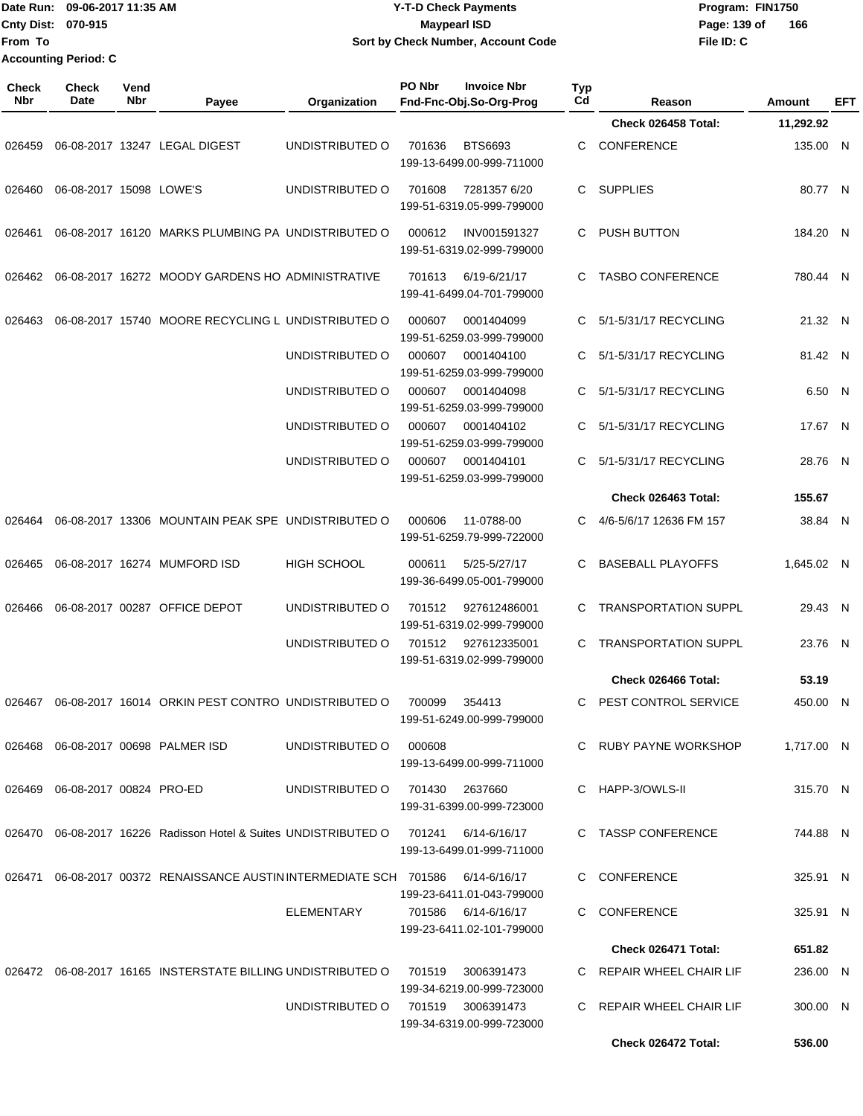Date Run: 09-06-2017 11:35 AM **CONTEX 100 CONTEX 12 T-D** Check Payments **CONTEX 12 T-D Check Payments** Program: FIN1750 **Cnty Dist:** 070-915 **Page:** 139 of **From To Accounting Period: C**

# **09-06-2017 11:35 AM Y-T-D Check Payments 070-915 Maypearl ISD Sort by Check Number, Account Code**

| Check<br>Nbr | <b>Check</b><br>Date              | Vend<br><b>Nbr</b> | Payee                                                                        | Organization       | PO Nbr             | <b>Invoice Nbr</b><br>Fnd-Fnc-Obj.So-Org-Prog    | Typ<br>Cd | Reason                      | Amount     | EFT |
|--------------|-----------------------------------|--------------------|------------------------------------------------------------------------------|--------------------|--------------------|--------------------------------------------------|-----------|-----------------------------|------------|-----|
|              |                                   |                    |                                                                              |                    |                    |                                                  |           | Check 026458 Total:         | 11,292.92  |     |
| 026459       |                                   |                    | 06-08-2017 13247 LEGAL DIGEST                                                | UNDISTRIBUTED O    | 701636             | BTS6693<br>199-13-6499.00-999-711000             | C         | <b>CONFERENCE</b>           | 135.00 N   |     |
| 026460       | 06-08-2017 15098 LOWE'S           |                    |                                                                              | UNDISTRIBUTED O    | 701608             | 7281357 6/20<br>199-51-6319.05-999-799000        |           | C SUPPLIES                  | 80.77 N    |     |
| 026461       |                                   |                    | 06-08-2017 16120 MARKS PLUMBING PA UNDISTRIBUTED O                           |                    | 000612             | INV001591327<br>199-51-6319.02-999-799000        | C         | PUSH BUTTON                 | 184.20 N   |     |
| 026462       |                                   |                    | 06-08-2017 16272 MOODY GARDENS HO ADMINISTRATIVE                             |                    | 701613             | 6/19-6/21/17<br>199-41-6499.04-701-799000        | C.        | <b>TASBO CONFERENCE</b>     | 780.44 N   |     |
| 026463       |                                   |                    | 06-08-2017 15740 MOORE RECYCLING L UNDISTRIBUTED O                           |                    | 000607             | 0001404099<br>199-51-6259.03-999-799000          | C.        | 5/1-5/31/17 RECYCLING       | 21.32 N    |     |
|              |                                   |                    |                                                                              | UNDISTRIBUTED O    | 000607             | 0001404100<br>199-51-6259.03-999-799000          | C         | 5/1-5/31/17 RECYCLING       | 81.42 N    |     |
|              |                                   |                    |                                                                              | UNDISTRIBUTED O    | 000607             | 0001404098<br>199-51-6259.03-999-799000          | C         | 5/1-5/31/17 RECYCLING       | 6.50 N     |     |
|              |                                   |                    |                                                                              | UNDISTRIBUTED O    | 000607             | 0001404102<br>199-51-6259.03-999-799000          | C         | 5/1-5/31/17 RECYCLING       | 17.67 N    |     |
|              |                                   |                    |                                                                              | UNDISTRIBUTED O    | 000607             | 0001404101<br>199-51-6259.03-999-799000          | C         | 5/1-5/31/17 RECYCLING       | 28.76 N    |     |
|              |                                   |                    |                                                                              |                    |                    |                                                  |           | Check 026463 Total:         | 155.67     |     |
| 026464       |                                   |                    | 06-08-2017 13306 MOUNTAIN PEAK SPE UNDISTRIBUTED O                           |                    | 000606             | 11-0788-00<br>199-51-6259.79-999-722000          |           | 4/6-5/6/17 12636 FM 157     | 38.84 N    |     |
| 026465       |                                   |                    | 06-08-2017 16274 MUMFORD ISD                                                 | <b>HIGH SCHOOL</b> | 000611             | 5/25-5/27/17<br>199-36-6499.05-001-799000        | C         | <b>BASEBALL PLAYOFFS</b>    | 1,645.02 N |     |
| 026466       |                                   |                    | 06-08-2017 00287 OFFICE DEPOT                                                | UNDISTRIBUTED O    | 701512             | 927612486001<br>199-51-6319.02-999-799000        | C         | <b>TRANSPORTATION SUPPL</b> | 29.43 N    |     |
|              |                                   |                    |                                                                              | UNDISTRIBUTED O    | 701512             | 927612335001<br>199-51-6319.02-999-799000        |           | <b>TRANSPORTATION SUPPL</b> | 23.76 N    |     |
|              |                                   |                    |                                                                              |                    |                    |                                                  |           | Check 026466 Total:         | 53.19      |     |
| 026467       |                                   |                    | 06-08-2017 16014 ORKIN PEST CONTRO UNDISTRIBUTED O                           |                    | 700099             | 354413<br>199-51-6249.00-999-799000              |           | C PEST CONTROL SERVICE      | 450.00 N   |     |
| 026468       |                                   |                    | 06-08-2017 00698 PALMER ISD                                                  | UNDISTRIBUTED O    | 000608             | 199-13-6499.00-999-711000                        |           | C RUBY PAYNE WORKSHOP       | 1.717.00 N |     |
|              | 026469  06-08-2017  00824  PRO-ED |                    |                                                                              | UNDISTRIBUTED O    | 701430 2637660     | 199-31-6399.00-999-723000                        |           | C HAPP-3/OWLS-II            | 315.70 N   |     |
| 026470       |                                   |                    | 06-08-2017 16226 Radisson Hotel & Suites UNDISTRIBUTED O 701241 6/14-6/16/17 |                    |                    | 199-13-6499.01-999-711000                        |           | C TASSP CONFERENCE          | 744.88 N   |     |
| 026471       |                                   |                    | 06-08-2017 00372 RENAISSANCE AUSTIN INTERMEDIATE SCH 701586                  |                    |                    | 6/14-6/16/17<br>199-23-6411.01-043-799000        |           | C CONFERENCE                | 325.91 N   |     |
|              |                                   |                    |                                                                              | ELEMENTARY         |                    | 701586 6/14-6/16/17<br>199-23-6411.02-101-799000 |           | C CONFERENCE                | 325.91 N   |     |
|              |                                   |                    |                                                                              |                    |                    |                                                  |           | Check 026471 Total:         | 651.82     |     |
|              |                                   |                    | 026472 06-08-2017 16165 INSTERSTATE BILLING UNDISTRIBUTED O                  |                    | 701519             | 3006391473                                       |           | C REPAIR WHEEL CHAIR LIF    | 236.00 N   |     |
|              |                                   |                    |                                                                              | UNDISTRIBUTED O    | 701519  3006391473 | 199-34-6219.00-999-723000                        |           | C REPAIR WHEEL CHAIR LIF    | 300.00 N   |     |
|              |                                   |                    |                                                                              |                    |                    | 199-34-6319.00-999-723000                        |           | Check 026472 Total:         | 536.00     |     |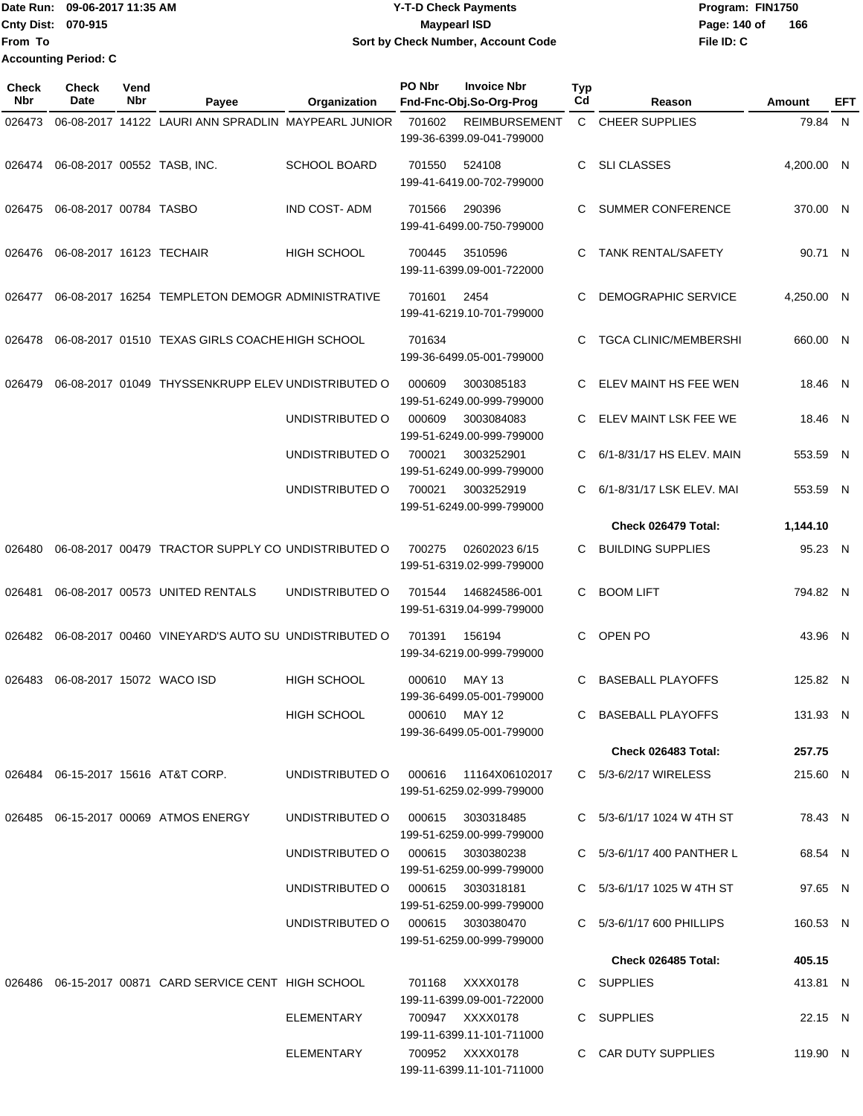Date Run: 09-06-2017 11:35 AM **CONTEX 100 CONTEX 12 T-D** Check Payments **CONTEX 12 T-D Check Payments** Program: FIN1750 **Cnty Dist: 070-915 From To Y-T-D Check Payments 070-915 Maypearl ISD Sort by Check Number, Account Code Accounting Period: C**

**File ID: C** Page: 140 of 166

| <b>Check</b><br><b>Nbr</b> | Check<br>Date                 | Vend<br>Nbr | Payee                                                 | Organization        | PO Nbr        | <b>Invoice Nbr</b><br>Fnd-Fnc-Obj.So-Org-Prog       | Typ<br>Cd | Reason                         | Amount     | EFT |
|----------------------------|-------------------------------|-------------|-------------------------------------------------------|---------------------|---------------|-----------------------------------------------------|-----------|--------------------------------|------------|-----|
| 026473                     |                               |             | 06-08-2017 14122 LAURI ANN SPRADLIN MAYPEARL JUNIOR   |                     | 701602        | <b>REIMBURSEMENT</b><br>199-36-6399.09-041-799000   |           | C CHEER SUPPLIES               | 79.84 N    |     |
| 026474                     |                               |             | 06-08-2017 00552 TASB, INC.                           | <b>SCHOOL BOARD</b> | 701550        | 524108<br>199-41-6419.00-702-799000                 | C         | <b>SLI CLASSES</b>             | 4,200.00 N |     |
|                            | 026475 06-08-2017 00784 TASBO |             |                                                       | <b>IND COST-ADM</b> | 701566        | 290396<br>199-41-6499.00-750-799000                 | C         | <b>SUMMER CONFERENCE</b>       | 370.00 N   |     |
| 026476                     | 06-08-2017 16123 TECHAIR      |             |                                                       | <b>HIGH SCHOOL</b>  | 700445        | 3510596<br>199-11-6399.09-001-722000                | C         | <b>TANK RENTAL/SAFETY</b>      | 90.71 N    |     |
| 026477                     |                               |             | 06-08-2017 16254 TEMPLETON DEMOGR ADMINISTRATIVE      |                     | 701601        | 2454<br>199-41-6219.10-701-799000                   | C         | DEMOGRAPHIC SERVICE            | 4,250.00 N |     |
| 026478                     |                               |             | 06-08-2017 01510 TEXAS GIRLS COACHE HIGH SCHOOL       |                     | 701634        | 199-36-6499.05-001-799000                           | C         | <b>TGCA CLINIC/MEMBERSHI</b>   | 660.00 N   |     |
| 026479                     |                               |             | 06-08-2017 01049 THYSSENKRUPP ELEV UNDISTRIBUTED O    |                     | 000609        | 3003085183<br>199-51-6249.00-999-799000             | C         | ELEV MAINT HS FEE WEN          | 18.46 N    |     |
|                            |                               |             |                                                       | UNDISTRIBUTED O     | 000609        | 3003084083<br>199-51-6249.00-999-799000             | C         | ELEV MAINT LSK FEE WE          | 18.46 N    |     |
|                            |                               |             |                                                       | UNDISTRIBUTED O     | 700021        | 3003252901<br>199-51-6249.00-999-799000             | C         | 6/1-8/31/17 HS ELEV. MAIN      | 553.59 N   |     |
|                            |                               |             |                                                       | UNDISTRIBUTED O     | 700021        | 3003252919<br>199-51-6249.00-999-799000             | C         | 6/1-8/31/17 LSK ELEV. MAI      | 553.59 N   |     |
|                            |                               |             |                                                       |                     |               |                                                     |           | Check 026479 Total:            | 1,144.10   |     |
| 026480                     |                               |             | 06-08-2017 00479 TRACTOR SUPPLY CO UNDISTRIBUTED O    |                     | 700275        | 02602023 6/15<br>199-51-6319.02-999-799000          |           | <b>BUILDING SUPPLIES</b>       | 95.23 N    |     |
| 026481                     |                               |             | 06-08-2017 00573 UNITED RENTALS                       | UNDISTRIBUTED O     | 701544        | 146824586-001<br>199-51-6319.04-999-799000          | C         | <b>BOOM LIFT</b>               | 794.82 N   |     |
| 026482                     |                               |             | 06-08-2017 00460 VINEYARD'S AUTO SU UNDISTRIBUTED O   |                     | 701391        | 156194<br>199-34-6219.00-999-799000                 | C         | OPEN PO                        | 43.96 N    |     |
| 026483                     | 06-08-2017 15072 WACO ISD     |             |                                                       | <b>HIGH SCHOOL</b>  | 000610        | MAY 13<br>199-36-6499.05-001-799000                 | C         | <b>BASEBALL PLAYOFFS</b>       | 125.82 N   |     |
|                            |                               |             |                                                       | HIGH SCHOOL         | 000610 MAY 12 | 199-36-6499.05-001-799000                           |           | C BASEBALL PLAYOFFS            | 131.93 N   |     |
|                            |                               |             |                                                       |                     |               |                                                     |           | Check 026483 Total:            | 257.75     |     |
|                            |                               |             | 026484 06-15-2017 15616 AT&T CORP.                    | UNDISTRIBUTED O     |               | 000616  11164X06102017<br>199-51-6259.02-999-799000 |           | C 5/3-6/2/17 WIRELESS          | 215.60 N   |     |
|                            |                               |             | 026485  06-15-2017  00069  ATMOS ENERGY               | UNDISTRIBUTED O     | 000615        | 3030318485<br>199-51-6259.00-999-799000             |           | C 5/3-6/1/17 1024 W 4TH ST     | 78.43 N    |     |
|                            |                               |             |                                                       | UNDISTRIBUTED O     |               | 000615 3030380238<br>199-51-6259.00-999-799000      |           | C 5/3-6/1/17 400 PANTHER L     | 68.54 N    |     |
|                            |                               |             |                                                       | UNDISTRIBUTED O     |               | 000615 3030318181<br>199-51-6259.00-999-799000      |           | C $5/3 - 6/1/17$ 1025 W 4TH ST | 97.65 N    |     |
|                            |                               |             |                                                       | UNDISTRIBUTED O     |               | 000615 3030380470<br>199-51-6259.00-999-799000      |           | C 5/3-6/1/17 600 PHILLIPS      | 160.53 N   |     |
|                            |                               |             |                                                       |                     |               |                                                     |           | Check 026485 Total:            | 405.15     |     |
|                            |                               |             | 026486 06-15-2017 00871 CARD SERVICE CENT HIGH SCHOOL |                     | 701168        | XXXX0178<br>199-11-6399.09-001-722000               |           | C SUPPLIES                     | 413.81 N   |     |
|                            |                               |             |                                                       | ELEMENTARY          |               | 700947 XXXX0178<br>199-11-6399.11-101-711000        |           | C SUPPLIES                     | 22.15 N    |     |
|                            |                               |             |                                                       | ELEMENTARY          |               | 700952 XXXX0178<br>199-11-6399.11-101-711000        |           | C CAR DUTY SUPPLIES            | 119.90 N   |     |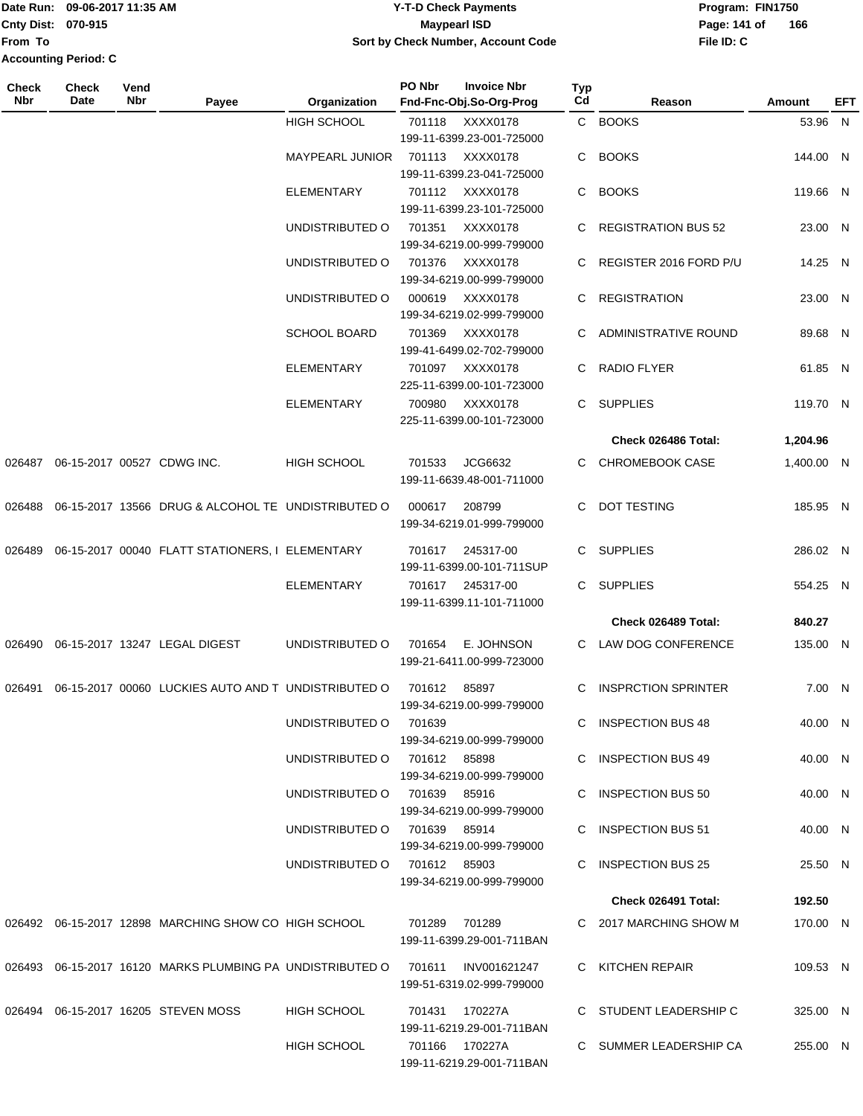|                             | Date Run: 09-06-2017 11:35 AM | <b>Y-T-D Check Payments</b>        | Program: Fl  |
|-----------------------------|-------------------------------|------------------------------------|--------------|
| <b>Cnty Dist: 070-915</b>   |                               | <b>Maypearl ISD</b>                | Page: 141 of |
| <b>From To</b>              |                               | Sort by Check Number, Account Code | File ID: C   |
| <b>Accounting Period: C</b> |                               |                                    |              |

## **Date Run: Program: FIN1750 File ID: C 166**

| Check<br>Nbr | <b>Check</b><br>Date | Vend<br>Nbr | Payee                                                     | Organization                 | PO Nbr             | <b>Invoice Nbr</b><br>Fnd-Fnc-Obj.So-Org-Prog                      | Typ<br>Cd | Reason                     | Amount     | EFT |
|--------------|----------------------|-------------|-----------------------------------------------------------|------------------------------|--------------------|--------------------------------------------------------------------|-----------|----------------------------|------------|-----|
|              |                      |             |                                                           | <b>HIGH SCHOOL</b>           | 701118             | XXXX0178<br>199-11-6399.23-001-725000                              |           | C BOOKS                    | 53.96 N    |     |
|              |                      |             |                                                           | <b>MAYPEARL JUNIOR</b>       | XXXX0178<br>701113 |                                                                    | C.        | <b>BOOKS</b>               | 144.00 N   |     |
|              |                      |             |                                                           | <b>ELEMENTARY</b>            | 701112             | 199-11-6399.23-041-725000<br>XXXX0178<br>199-11-6399.23-101-725000 | C         | <b>BOOKS</b>               | 119.66 N   |     |
|              |                      |             |                                                           | UNDISTRIBUTED O              | 701351             | XXXX0178<br>199-34-6219.00-999-799000                              |           | <b>REGISTRATION BUS 52</b> | 23.00 N    |     |
|              |                      |             |                                                           | UNDISTRIBUTED O              | 701376             | XXXX0178<br>199-34-6219.00-999-799000                              | C         | REGISTER 2016 FORD P/U     | 14.25 N    |     |
|              |                      |             |                                                           | UNDISTRIBUTED O              | 000619             | XXXX0178<br>199-34-6219.02-999-799000                              | C         | <b>REGISTRATION</b>        | 23.00 N    |     |
|              |                      |             |                                                           | <b>SCHOOL BOARD</b>          | 701369             | XXXX0178<br>199-41-6499.02-702-799000                              | C.        | ADMINISTRATIVE ROUND       | 89.68 N    |     |
|              |                      |             |                                                           | <b>ELEMENTARY</b>            | 701097             | XXXX0178<br>225-11-6399.00-101-723000                              | C.        | <b>RADIO FLYER</b>         | 61.85 N    |     |
|              |                      |             |                                                           | <b>ELEMENTARY</b>            | 700980             | XXXX0178<br>225-11-6399.00-101-723000                              | C.        | <b>SUPPLIES</b>            | 119.70 N   |     |
|              |                      |             |                                                           |                              |                    |                                                                    |           | Check 026486 Total:        | 1,204.96   |     |
| 026487       |                      |             | 06-15-2017 00527 CDWG INC.                                | <b>HIGH SCHOOL</b>           | 701533             | JCG6632<br>199-11-6639.48-001-711000                               | C.        | CHROMEBOOK CASE            | 1,400.00 N |     |
| 026488       |                      |             | 06-15-2017 13566 DRUG & ALCOHOL TE UNDISTRIBUTED O        |                              | 000617             | 208799<br>199-34-6219.01-999-799000                                | C         | <b>DOT TESTING</b>         | 185.95 N   |     |
| 026489       |                      |             | 06-15-2017 00040 FLATT STATIONERS, I ELEMENTARY           |                              | 701617             | 245317-00<br>199-11-6399.00-101-711SUP                             | C.        | <b>SUPPLIES</b>            | 286.02 N   |     |
|              |                      |             |                                                           | <b>ELEMENTARY</b>            | 701617             | 245317-00<br>199-11-6399.11-101-711000                             | C.        | <b>SUPPLIES</b>            | 554.25 N   |     |
|              |                      |             |                                                           |                              |                    |                                                                    |           | Check 026489 Total:        | 840.27     |     |
| 026490       |                      |             | 06-15-2017 13247 LEGAL DIGEST                             | UNDISTRIBUTED O              | 701654             | E. JOHNSON<br>199-21-6411.00-999-723000                            |           | LAW DOG CONFERENCE         | 135.00 N   |     |
| 026491       |                      |             | 06-15-2017 00060 LUCKIES AUTO AND TUNDISTRIBUTED O        |                              | 701612             | 85897<br>199-34-6219.00-999-799000                                 | C.        | <b>INSPRCTION SPRINTER</b> | 7.00 N     |     |
|              |                      |             |                                                           | UNDISTRIBUTED O              | 701639             | 199-34-6219.00-999-799000                                          |           | C INSPECTION BUS 48        | 40.00 N    |     |
|              |                      |             |                                                           | UNDISTRIBUTED O              | 701612 85898       | 199-34-6219.00-999-799000                                          |           | C INSPECTION BUS 49        | 40.00 N    |     |
|              |                      |             |                                                           | UNDISTRIBUTED O 701639 85916 |                    | 199-34-6219.00-999-799000                                          |           | C INSPECTION BUS 50        | 40.00 N    |     |
|              |                      |             |                                                           | UNDISTRIBUTED O 701639 85914 |                    | 199-34-6219.00-999-799000                                          |           | C INSPECTION BUS 51        | 40.00 N    |     |
|              |                      |             |                                                           | UNDISTRIBUTED O 701612 85903 |                    | 199-34-6219.00-999-799000                                          |           | C INSPECTION BUS 25        | 25.50 N    |     |
|              |                      |             |                                                           |                              |                    |                                                                    |           | Check 026491 Total:        | 192.50     |     |
|              |                      |             | 026492  06-15-2017  12898  MARCHING SHOW CO   HIGH SCHOOL |                              |                    | 701289 701289<br>199-11-6399.29-001-711BAN                         |           | C 2017 MARCHING SHOW M     | 170.00 N   |     |
|              |                      |             | 026493 06-15-2017 16120 MARKS PLUMBING PA UNDISTRIBUTED O |                              |                    | 701611 INV001621247<br>199-51-6319.02-999-799000                   |           | C KITCHEN REPAIR           | 109.53 N   |     |
|              |                      |             | 026494 06-15-2017 16205 STEVEN MOSS                       | <b>HIGH SCHOOL</b>           |                    | 701431 170227A<br>199-11-6219.29-001-711BAN                        |           | C STUDENT LEADERSHIP C     | 325.00 N   |     |
|              |                      |             |                                                           | HIGH SCHOOL                  |                    | 701166 170227A<br>199-11-6219.29-001-711BAN                        |           | C SUMMER LEADERSHIP CA     | 255.00 N   |     |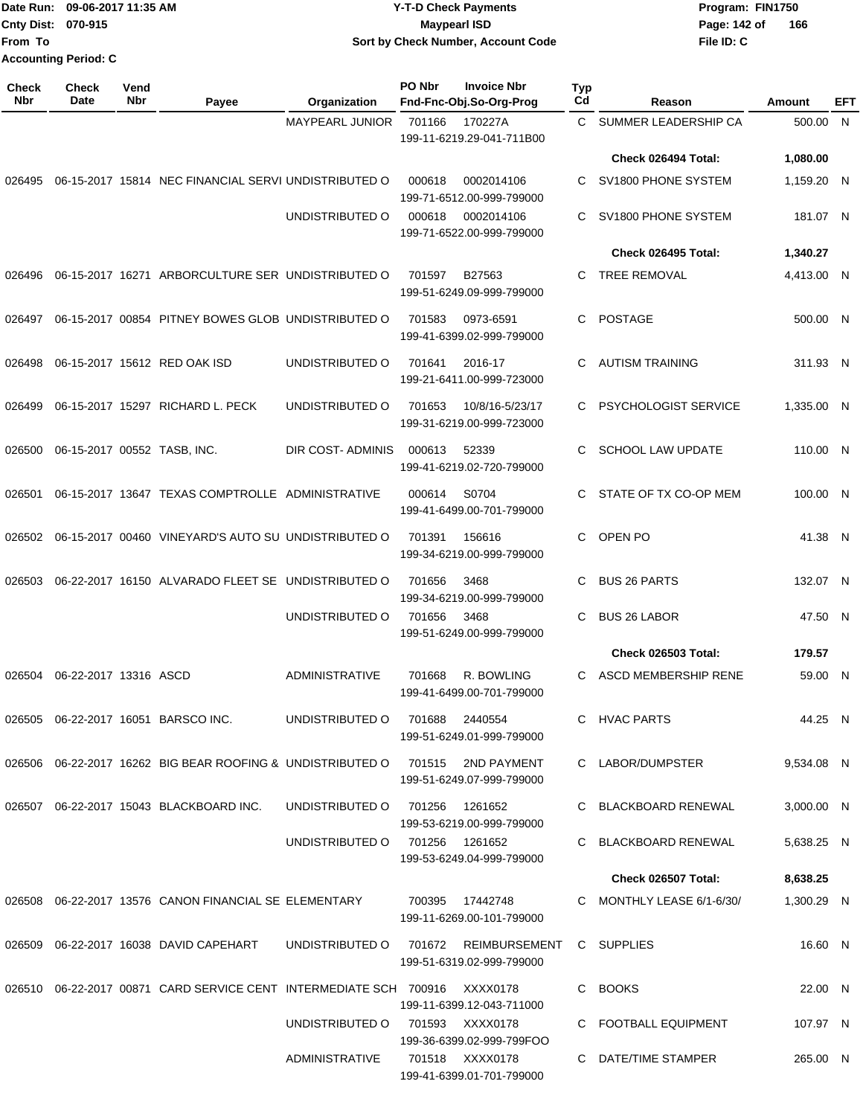|                             | Date Run: 09-06-2017 11:35 AM | <b>Y-T-D Check Payments</b>        | Program: FIN1750               |  |  |
|-----------------------------|-------------------------------|------------------------------------|--------------------------------|--|--|
| <b>Cnty Dist: 070-915</b>   |                               | <b>Mavpearl ISD</b>                | $\overline{1}$<br>Page: 142 of |  |  |
| From To                     |                               | Sort by Check Number, Account Code | File ID: C                     |  |  |
| <b>Accounting Period: C</b> |                               |                                    |                                |  |  |

**166**

| <b>Check</b><br>Nbr | <b>Check</b><br>Date        | Vend<br>Nbr                                                   | Payee                                                                                            | Organization                         | PO Nbr | <b>Invoice Nbr</b><br>Fnd-Fnc-Obj.So-Org-Prog | Typ<br>Cd | Reason                     | Amount     | EFT |
|---------------------|-----------------------------|---------------------------------------------------------------|--------------------------------------------------------------------------------------------------|--------------------------------------|--------|-----------------------------------------------|-----------|----------------------------|------------|-----|
|                     |                             | <b>MAYPEARL JUNIOR</b><br>701166<br>199-11-6219.29-041-711B00 |                                                                                                  | 170227A                              | C      | SUMMER LEADERSHIP CA                          | 500.00    | N                          |            |     |
|                     |                             |                                                               |                                                                                                  |                                      |        |                                               |           | Check 026494 Total:        | 1,080.00   |     |
| 026495              |                             |                                                               | 06-15-2017 15814 NEC FINANCIAL SERVI UNDISTRIBUTED O                                             |                                      | 000618 | 0002014106<br>199-71-6512.00-999-799000       | C         | SV1800 PHONE SYSTEM        | 1,159.20   | - N |
|                     |                             |                                                               |                                                                                                  | UNDISTRIBUTED O                      | 000618 | 0002014106<br>199-71-6522.00-999-799000       | C         | SV1800 PHONE SYSTEM        | 181.07 N   |     |
|                     |                             |                                                               |                                                                                                  |                                      |        |                                               |           | Check 026495 Total:        | 1,340.27   |     |
| 026496              |                             |                                                               | 06-15-2017 16271 ARBORCULTURE SER UNDISTRIBUTED O                                                |                                      | 701597 | B27563<br>199-51-6249.09-999-799000           | C         | <b>TREE REMOVAL</b>        | 4,413.00 N |     |
| 026497              |                             |                                                               | 06-15-2017 00854 PITNEY BOWES GLOB UNDISTRIBUTED O                                               |                                      | 701583 | 0973-6591<br>199-41-6399.02-999-799000        | C         | <b>POSTAGE</b>             | 500.00 N   |     |
| 026498              |                             |                                                               | 06-15-2017 15612 RED OAK ISD                                                                     | UNDISTRIBUTED O                      | 701641 | 2016-17<br>199-21-6411.00-999-723000          | C         | <b>AUTISM TRAINING</b>     | 311.93 N   |     |
| 026499              |                             |                                                               | 06-15-2017 15297 RICHARD L. PECK                                                                 | UNDISTRIBUTED O                      | 701653 | 10/8/16-5/23/17<br>199-31-6219.00-999-723000  | C         | PSYCHOLOGIST SERVICE       | 1,335.00 N |     |
| 026500              | 06-15-2017 00552 TASB, INC. |                                                               |                                                                                                  | DIR COST- ADMINIS                    | 000613 | 52339<br>199-41-6219.02-720-799000            | C         | <b>SCHOOL LAW UPDATE</b>   | 110.00 N   |     |
| 026501              |                             |                                                               | 06-15-2017 13647 TEXAS COMPTROLLE ADMINISTRATIVE                                                 |                                      | 000614 | S0704<br>199-41-6499.00-701-799000            | C         | STATE OF TX CO-OP MEM      | 100.00 N   |     |
|                     |                             |                                                               | 026502 06-15-2017 00460 VINEYARD'S AUTO SU UNDISTRIBUTED O                                       |                                      | 701391 | 156616<br>199-34-6219.00-999-799000           | C         | OPEN PO                    | 41.38 N    |     |
| 026503              |                             |                                                               | 06-22-2017 16150 ALVARADO FLEET SE UNDISTRIBUTED O                                               |                                      | 701656 | 3468<br>199-34-6219.00-999-799000             | C         | <b>BUS 26 PARTS</b>        | 132.07 N   |     |
|                     |                             |                                                               |                                                                                                  | UNDISTRIBUTED O                      | 701656 | 3468<br>199-51-6249.00-999-799000             | C         | <b>BUS 26 LABOR</b>        | 47.50 N    |     |
|                     |                             |                                                               |                                                                                                  |                                      |        |                                               |           | <b>Check 026503 Total:</b> | 179.57     |     |
| 026504              | 06-22-2017 13316 ASCD       |                                                               |                                                                                                  | <b>ADMINISTRATIVE</b>                | 701668 | R. BOWLING<br>199-41-6499.00-701-799000       | C         | ASCD MEMBERSHIP RENE       | 59.00 N    |     |
|                     |                             |                                                               | 026505 06-22-2017 16051 BARSCO INC.                                                              | UNDISTRIBUTED O 701688 2440554       |        | 199-51-6249.01-999-799000                     |           | C HVAC PARTS               | 44.25 N    |     |
|                     |                             |                                                               | 026506 06-22-2017 16262 BIG BEAR ROOFING & UNDISTRIBUTED O 701515 2ND PAYMENT                    |                                      |        | 199-51-6249.07-999-799000                     |           | C LABOR/DUMPSTER           | 9,534.08 N |     |
|                     |                             |                                                               | 026507 06-22-2017 15043 BLACKBOARD INC.                                                          | UNDISTRIBUTED O 701256               |        | 1261652<br>199-53-6219.00-999-799000          |           | C BLACKBOARD RENEWAL       | 3,000.00 N |     |
|                     |                             |                                                               |                                                                                                  | UNDISTRIBUTED O 701256 1261652       |        | 199-53-6249.04-999-799000                     |           | C BLACKBOARD RENEWAL       | 5,638.25 N |     |
|                     |                             |                                                               |                                                                                                  |                                      |        |                                               |           | Check 026507 Total:        | 8,638.25   |     |
|                     |                             |                                                               | 026508  06-22-2017  13576  CANON FINANCIAL SE ELEMENTARY                        700395  17442748 |                                      |        | 199-11-6269.00-101-799000                     |           | C MONTHLY LEASE 6/1-6/30/  | 1,300.29 N |     |
|                     |                             |                                                               | 026509   06-22-2017   16038   DAVID CAPEHART                                                     | UNDISTRIBUTED O 701672 REIMBURSEMENT |        | 199-51-6319.02-999-799000                     |           | C SUPPLIES                 | 16.60 N    |     |
|                     |                             |                                                               | 026510 06-22-2017 00871 CARD SERVICE CENT INTERMEDIATE SCH 700916 XXXX0178                       |                                      |        | 199-11-6399.12-043-711000                     |           | C BOOKS                    | 22.00 N    |     |
|                     |                             |                                                               |                                                                                                  | UNDISTRIBUTED O 701593 XXXX0178      |        | 199-36-6399.02-999-799FOO                     |           | C FOOTBALL EQUIPMENT       | 107.97 N   |     |
|                     |                             |                                                               |                                                                                                  | ADMINISTRATIVE                       |        | 701518 XXXX0178<br>199-41-6399.01-701-799000  |           | C DATE/TIME STAMPER        | 265.00 N   |     |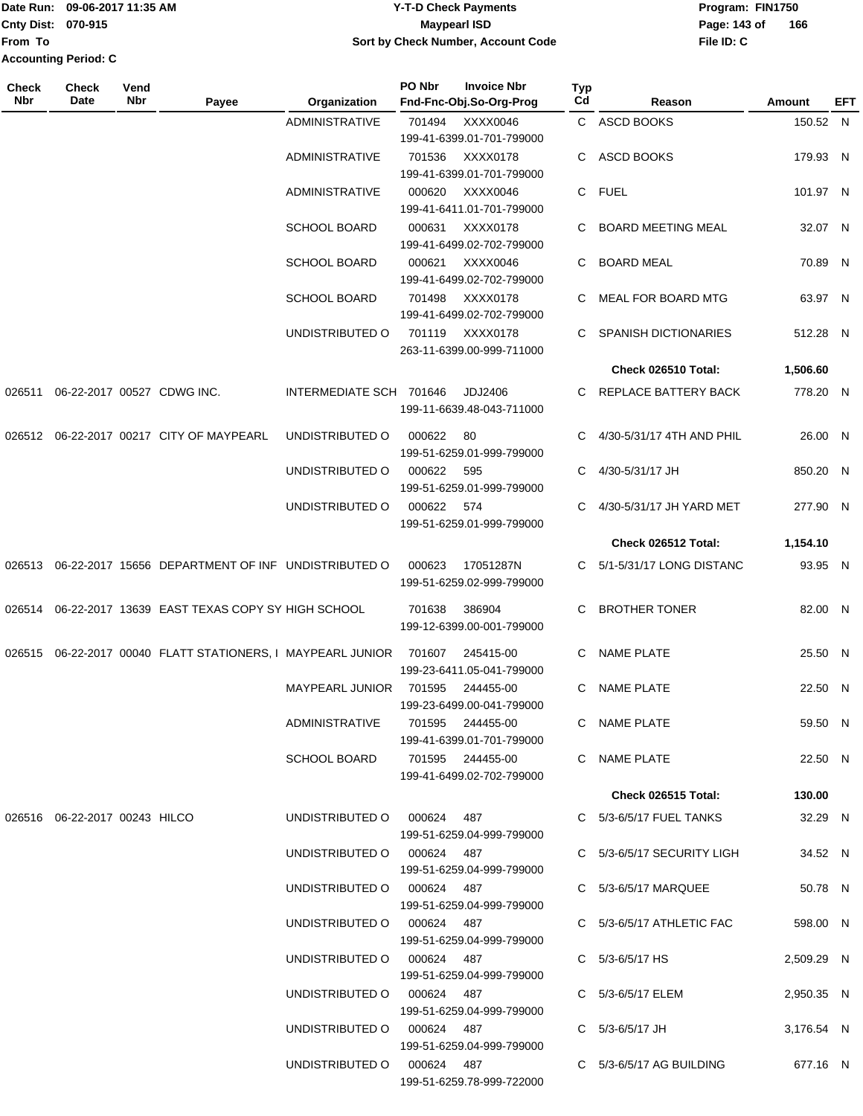| <b>TDate Run:</b>           | 09-06-2017 11:35 AM | <b>Y-T-D Check Payments</b>        | Program: FIN1750    |  |  |  |  |
|-----------------------------|---------------------|------------------------------------|---------------------|--|--|--|--|
| <b>Cnty Dist: 070-915</b>   |                     | Maypearl ISD                       | 166<br>Page: 143 of |  |  |  |  |
| <b>From To</b>              |                     | Sort by Check Number, Account Code | File ID: C          |  |  |  |  |
| <b>Accounting Period: C</b> |                     |                                    |                     |  |  |  |  |

| <b>Check</b><br>Nbr | <b>Check</b><br>Date             | Vend<br>Nbr | Payee                                                          | Organization               | PO Nbr     | <b>Invoice Nbr</b><br>Fnd-Fnc-Obj.So-Org-Prog                      | Typ<br>Cd | Reason                      | Amount     | EFT |
|---------------------|----------------------------------|-------------|----------------------------------------------------------------|----------------------------|------------|--------------------------------------------------------------------|-----------|-----------------------------|------------|-----|
|                     |                                  |             |                                                                | <b>ADMINISTRATIVE</b>      | 701494     | XXXX0046                                                           |           | C ASCD BOOKS                | 150.52 N   |     |
|                     |                                  |             |                                                                |                            |            | 199-41-6399.01-701-799000                                          |           |                             |            |     |
|                     |                                  |             |                                                                | <b>ADMINISTRATIVE</b>      | 701536     | XXXX0178<br>199-41-6399.01-701-799000                              |           | C ASCD BOOKS                | 179.93 N   |     |
|                     |                                  |             |                                                                | ADMINISTRATIVE             | 000620     | XXXX0046<br>199-41-6411.01-701-799000                              |           | C FUEL                      | 101.97 N   |     |
|                     |                                  |             |                                                                | <b>SCHOOL BOARD</b>        | 000631     | XXXX0178<br>199-41-6499.02-702-799000                              |           | <b>BOARD MEETING MEAL</b>   | 32.07 N    |     |
|                     |                                  |             |                                                                | <b>SCHOOL BOARD</b>        | 000621     | XXXX0046                                                           | C         | <b>BOARD MEAL</b>           | 70.89 N    |     |
|                     |                                  |             |                                                                | <b>SCHOOL BOARD</b>        | 701498     | 199-41-6499.02-702-799000<br>XXXX0178                              | C         | MEAL FOR BOARD MTG          | 63.97 N    |     |
|                     |                                  |             |                                                                | UNDISTRIBUTED O            | 701119     | 199-41-6499.02-702-799000<br>XXXX0178<br>263-11-6399.00-999-711000 | C.        | <b>SPANISH DICTIONARIES</b> | 512.28 N   |     |
|                     |                                  |             |                                                                |                            |            |                                                                    |           | Check 026510 Total:         | 1,506.60   |     |
| 026511              | 06-22-2017 00527 CDWG INC.       |             |                                                                | INTERMEDIATE SCH 701646    |            | JDJ2406<br>199-11-6639.48-043-711000                               |           | C REPLACE BATTERY BACK      | 778.20 N   |     |
|                     |                                  |             | 026512 06-22-2017 00217 CITY OF MAYPEARL                       | UNDISTRIBUTED O            | 000622     | 80                                                                 |           | C 4/30-5/31/17 4TH AND PHIL | 26.00 N    |     |
|                     |                                  |             |                                                                | UNDISTRIBUTED O            | 000622     | 199-51-6259.01-999-799000<br>595                                   | C.        | 4/30-5/31/17 JH             | 850.20 N   |     |
|                     |                                  |             |                                                                | UNDISTRIBUTED O            | 000622 574 | 199-51-6259.01-999-799000                                          | C.        | 4/30-5/31/17 JH YARD MET    | 277.90 N   |     |
|                     |                                  |             |                                                                |                            |            | 199-51-6259.01-999-799000                                          |           |                             |            |     |
|                     |                                  |             |                                                                |                            |            |                                                                    |           | Check 026512 Total:         | 1,154.10   |     |
|                     |                                  |             | 026513 06-22-2017 15656 DEPARTMENT OF INF UNDISTRIBUTED O      |                            | 000623     | 17051287N<br>199-51-6259.02-999-799000                             |           | C 5/1-5/31/17 LONG DISTANC  | 93.95 N    |     |
|                     |                                  |             | 026514 06-22-2017 13639 EAST TEXAS COPY SY HIGH SCHOOL         |                            | 701638     | 386904<br>199-12-6399.00-001-799000                                | C.        | <b>BROTHER TONER</b>        | 82.00 N    |     |
|                     |                                  |             | 026515  06-22-2017  00040  FLATT STATIONERS, I MAYPEARL JUNIOR |                            | 701607     | 245415-00<br>199-23-6411.05-041-799000                             | C         | <b>NAME PLATE</b>           | 25.50 N    |     |
|                     |                                  |             |                                                                | MAYPEARL JUNIOR            | 701595     | 244455-00<br>199-23-6499.00-041-799000                             | C         | <b>NAME PLATE</b>           | 22.50 N    |     |
|                     |                                  |             |                                                                | ADMINISTRATIVE             |            | 701595 244455-00<br>199-41-6399.01-701-799000                      |           | C NAME PLATE                | 59.50 N    |     |
|                     |                                  |             |                                                                | <b>SCHOOL BOARD</b>        |            | 701595 244455-00<br>199-41-6499.02-702-799000                      |           | C NAME PLATE                | 22.50 N    |     |
|                     |                                  |             |                                                                |                            |            |                                                                    |           | <b>Check 026515 Total:</b>  | 130.00     |     |
|                     | 026516  06-22-2017  00243  HILCO |             |                                                                | UNDISTRIBUTED O 000624 487 |            | 199-51-6259.04-999-799000                                          |           | C 5/3-6/5/17 FUEL TANKS     | 32.29 N    |     |
|                     |                                  |             |                                                                | UNDISTRIBUTED O 000624 487 |            | 199-51-6259.04-999-799000                                          |           | C 5/3-6/5/17 SECURITY LIGH  | 34.52 N    |     |
|                     |                                  |             |                                                                | UNDISTRIBUTED O 000624 487 |            | 199-51-6259.04-999-799000                                          |           | C 5/3-6/5/17 MARQUEE        | 50.78 N    |     |
|                     |                                  |             |                                                                | UNDISTRIBUTED O 000624 487 |            | 199-51-6259.04-999-799000                                          |           | C 5/3-6/5/17 ATHLETIC FAC   | 598.00 N   |     |
|                     |                                  |             |                                                                | UNDISTRIBUTED O 000624 487 |            | 199-51-6259.04-999-799000                                          |           | C $5/3 - 6/5/17$ HS         | 2,509.29 N |     |
|                     |                                  |             |                                                                | UNDISTRIBUTED O 000624 487 |            | 199-51-6259.04-999-799000                                          |           | C 5/3-6/5/17 ELEM           | 2,950.35 N |     |
|                     |                                  |             |                                                                | UNDISTRIBUTED O 000624 487 |            | 199-51-6259.04-999-799000                                          |           | $C = 5/3 - 6/5/17$ JH       | 3,176.54 N |     |
|                     |                                  |             |                                                                | UNDISTRIBUTED O 000624 487 |            | 199-51-6259.78-999-722000                                          |           | $C$ 5/3-6/5/17 AG BUILDING  | 677.16 N   |     |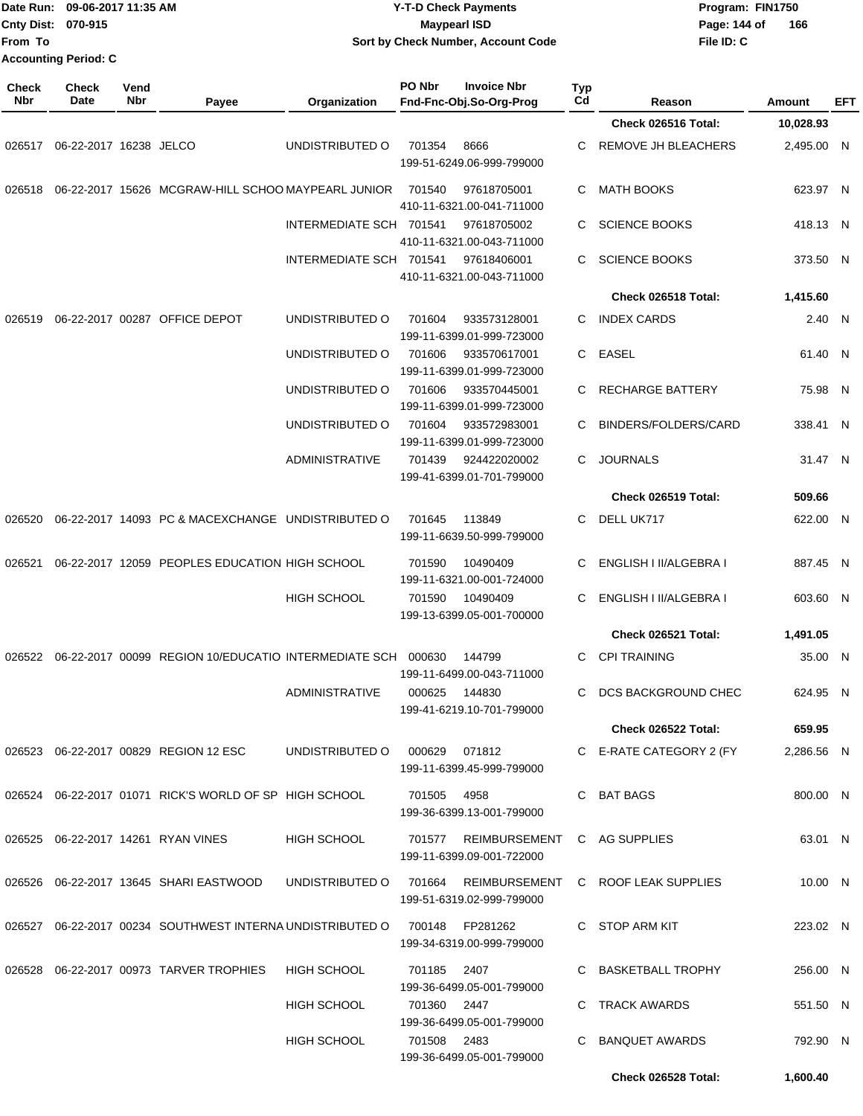| From To             | Cnty Dist: 070-915<br><b>Accounting Period: C</b> | Date Run: 09-06-2017 11:35 AM |                                                                          | <b>Y-T-D Check Payments</b><br><b>Maypearl ISD</b><br>Sort by Check Number, Account Code |               |                                                        |           |                         | Program: FIN1750<br>Page: 144 of<br>File ID: C | 166           |            |
|---------------------|---------------------------------------------------|-------------------------------|--------------------------------------------------------------------------|------------------------------------------------------------------------------------------|---------------|--------------------------------------------------------|-----------|-------------------------|------------------------------------------------|---------------|------------|
| <b>Check</b><br>Nbr | <b>Check</b><br>Date                              | Vend<br><b>Nbr</b>            | Payee                                                                    | Organization                                                                             | PO Nbr        | <b>Invoice Nbr</b><br>Fnd-Fnc-Obj.So-Org-Prog          | Typ<br>Cd | Reason                  |                                                | <b>Amount</b> | <b>EFT</b> |
|                     |                                                   |                               |                                                                          |                                                                                          |               |                                                        |           | Check 026516 Total:     |                                                | 10,028.93     |            |
| 026517              | 06-22-2017 16238 JELCO                            |                               |                                                                          | UNDISTRIBUTED O                                                                          | 701354        | 8666<br>199-51-6249.06-999-799000                      | С         | REMOVE JH BLEACHERS     |                                                | 2,495.00 N    |            |
| 026518              |                                                   |                               | 06-22-2017 15626 MCGRAW-HILL SCHOO MAYPEARL JUNIOR                       |                                                                                          | 701540        | 97618705001<br>410-11-6321.00-041-711000               | С         | <b>MATH BOOKS</b>       |                                                | 623.97 N      |            |
|                     |                                                   |                               |                                                                          | INTERMEDIATE SCH 701541                                                                  |               | 97618705002<br>410-11-6321.00-043-711000               | С         | <b>SCIENCE BOOKS</b>    |                                                | 418.13 N      |            |
|                     |                                                   |                               |                                                                          | INTERMEDIATE SCH 701541                                                                  |               | 97618406001<br>410-11-6321.00-043-711000               | С         | <b>SCIENCE BOOKS</b>    |                                                | 373.50 N      |            |
|                     |                                                   |                               |                                                                          |                                                                                          |               |                                                        |           | Check 026518 Total:     |                                                | 1,415.60      |            |
| 026519              |                                                   |                               | 06-22-2017 00287 OFFICE DEPOT                                            | UNDISTRIBUTED O                                                                          | 701604        | 933573128001<br>199-11-6399.01-999-723000              | С         | <b>INDEX CARDS</b>      |                                                | 2.40 N        |            |
|                     |                                                   |                               |                                                                          | UNDISTRIBUTED O                                                                          | 701606        | 933570617001<br>199-11-6399.01-999-723000              | C         | <b>EASEL</b>            |                                                | 61.40 N       |            |
|                     |                                                   |                               |                                                                          | UNDISTRIBUTED O                                                                          | 701606        | 933570445001<br>199-11-6399.01-999-723000              | С         | <b>RECHARGE BATTERY</b> |                                                | 75.98 N       |            |
|                     |                                                   |                               |                                                                          | UNDISTRIBUTED O                                                                          | 701604        | 933572983001<br>199-11-6399.01-999-723000              | С         | BINDERS/FOLDERS/CARD    |                                                | 338.41 N      |            |
|                     |                                                   |                               |                                                                          | <b>ADMINISTRATIVE</b>                                                                    | 701439        | 924422020002<br>199-41-6399.01-701-799000              | C         | <b>JOURNALS</b>         |                                                | 31.47 N       |            |
|                     |                                                   |                               |                                                                          |                                                                                          |               |                                                        |           | Check 026519 Total:     |                                                | 509.66        |            |
| 026520              |                                                   |                               | 06-22-2017 14093 PC & MACEXCHANGE UNDISTRIBUTED O                        |                                                                                          | 701645        | 113849<br>199-11-6639.50-999-799000                    | С         | DELL UK717              |                                                | 622.00 N      |            |
| 026521              |                                                   |                               | 06-22-2017 12059 PEOPLES EDUCATION HIGH SCHOOL                           |                                                                                          | 701590        | 10490409<br>199-11-6321.00-001-724000                  | С         | ENGLISH I II/ALGEBRA I  |                                                | 887.45 N      |            |
|                     |                                                   |                               |                                                                          | HIGH SCHOOL                                                                              | 701590        | 10490409<br>199-13-6399.05-001-700000                  | С         | ENGLISH I II/ALGEBRA I  |                                                | 603.60 N      |            |
|                     |                                                   |                               |                                                                          |                                                                                          |               |                                                        |           | Check 026521 Total:     |                                                | 1,491.05      |            |
|                     |                                                   |                               | 026522  06-22-2017  00099  REGION  10/EDUCATIO  INTERMEDIATE SCH  000630 |                                                                                          |               | 144799<br>199-11-6499.00-043-711000                    |           | C CPI TRAINING          |                                                | 35.00 N       |            |
|                     |                                                   |                               |                                                                          | <b>ADMINISTRATIVE</b>                                                                    | 000625 144830 | 199-41-6219.10-701-799000                              |           | C DCS BACKGROUND CHEC   |                                                | 624.95 N      |            |
|                     |                                                   |                               |                                                                          |                                                                                          |               |                                                        |           | Check 026522 Total:     |                                                | 659.95        |            |
|                     |                                                   |                               | 026523 06-22-2017 00829 REGION 12 ESC                                    | UNDISTRIBUTED O                                                                          | 000629 071812 | 199-11-6399.45-999-799000                              |           | C E-RATE CATEGORY 2 (FY |                                                | 2,286.56 N    |            |
|                     |                                                   |                               | 026524 06-22-2017 01071 RICK'S WORLD OF SP HIGH SCHOOL                   |                                                                                          | 701505        | 4958<br>199-36-6399.13-001-799000                      |           | C BAT BAGS              |                                                | 800.00 N      |            |
|                     |                                                   |                               | 026525 06-22-2017 14261 RYAN VINES                                       | HIGH SCHOOL                                                                              | 701577        | REIMBURSEMENT<br>199-11-6399.09-001-722000             |           | C AG SUPPLIES           |                                                | 63.01 N       |            |
|                     |                                                   |                               | 026526   06-22-2017   13645   SHARI EASTWOOD                             | UNDISTRIBUTED O                                                                          | 701664        | REIMBURSEMENT<br>199-51-6319.02-999-799000             |           | C ROOF LEAK SUPPLIES    |                                                | 10.00 N       |            |
|                     |                                                   |                               | 026527 06-22-2017 00234 SOUTHWEST INTERNA UNDISTRIBUTED O                |                                                                                          | 700148        | FP281262<br>199-34-6319.00-999-799000                  |           | C STOP ARM KIT          |                                                | 223.02 N      |            |
|                     |                                                   |                               | 026528 06-22-2017 00973 TARVER TROPHIES                                  | HIGH SCHOOL                                                                              | 701185        | 2407                                                   |           | C BASKETBALL TROPHY     |                                                | 256.00 N      |            |
|                     |                                                   |                               |                                                                          | HIGH SCHOOL                                                                              | 701360 2447   | 199-36-6499.05-001-799000                              | C         | TRACK AWARDS            |                                                | 551.50 N      |            |
|                     |                                                   |                               |                                                                          | HIGH SCHOOL                                                                              | 701508 2483   | 199-36-6499.05-001-799000<br>199-36-6499.05-001-799000 | C.        | BANQUET AWARDS          |                                                | 792.90 N      |            |
|                     |                                                   |                               |                                                                          |                                                                                          |               |                                                        |           | Check 026528 Total:     |                                                | 1,600.40      |            |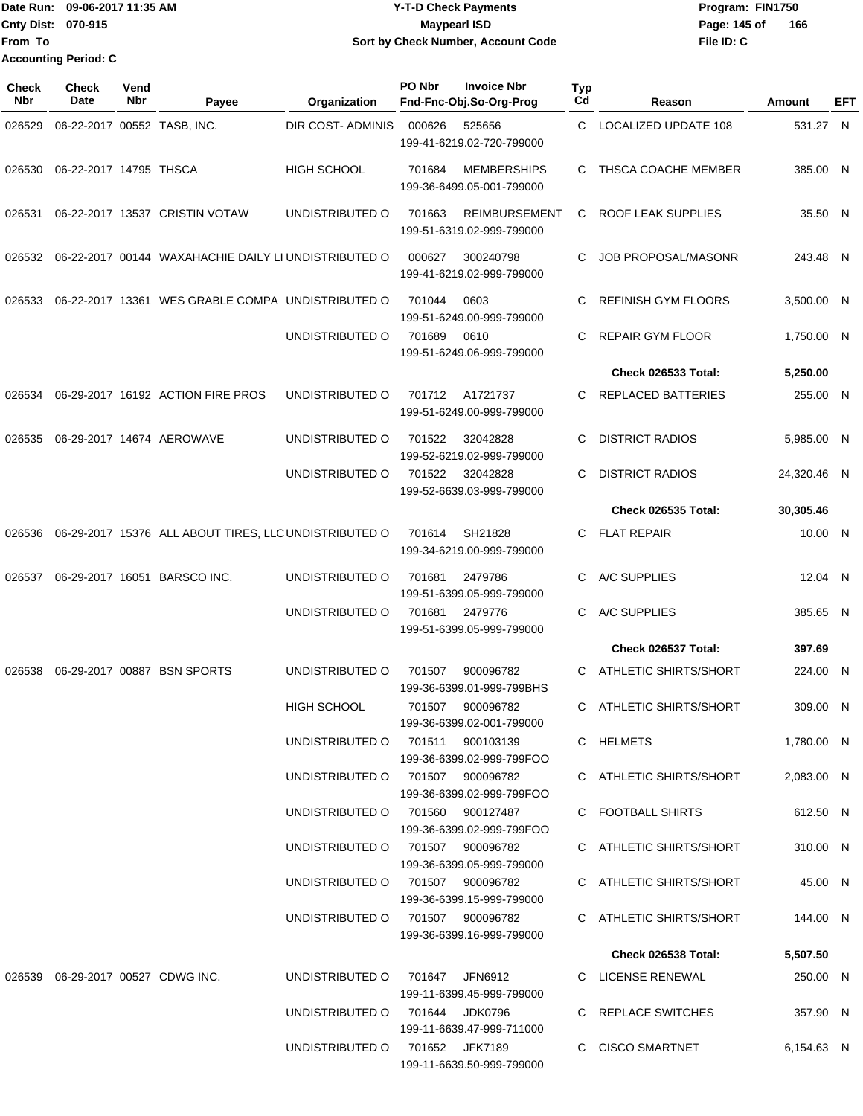Date Run: 09-06-2017 11:35 AM **CONTEX 100 CONTEX 12 T-D** Check Payments **CONTEX 12 T-D Check Payments** Program: FIN1750 **Cnty Dist:** 070-915 **Page:** 145 of **File ID: C From To 09-06-2017 11:35 AM Y-T-D Check Payments 070-915 Maypearl ISD Sort by Check Number, Account Code 166 Accounting Period: C**

| <b>Check</b><br>Nbr | Check<br>Date          | Vend<br>Nbr | Payee                                                 | Organization                                                         | PO Nbr         | <b>Invoice Nbr</b><br>Fnd-Fnc-Obj.So-Org-Prog     | Typ<br>Cd | Reason                                             | Amount              | EFT |
|---------------------|------------------------|-------------|-------------------------------------------------------|----------------------------------------------------------------------|----------------|---------------------------------------------------|-----------|----------------------------------------------------|---------------------|-----|
| 026529              |                        |             | 06-22-2017 00552 TASB, INC.                           | DIR COST- ADMINIS                                                    | 000626         | 525656<br>199-41-6219.02-720-799000               | C         | <b>LOCALIZED UPDATE 108</b>                        | 531.27 N            |     |
| 026530              | 06-22-2017 14795 THSCA |             |                                                       | <b>HIGH SCHOOL</b>                                                   | 701684         | <b>MEMBERSHIPS</b><br>199-36-6499.05-001-799000   | C.        | THSCA COACHE MEMBER                                | 385.00 N            |     |
| 026531              |                        |             | 06-22-2017 13537 CRISTIN VOTAW                        | UNDISTRIBUTED O                                                      | 701663         | <b>REIMBURSEMENT</b><br>199-51-6319.02-999-799000 | C         | ROOF LEAK SUPPLIES                                 | 35.50 N             |     |
| 026532              |                        |             | 06-22-2017 00144 WAXAHACHIE DAILY LI UNDISTRIBUTED O  |                                                                      | 000627         | 300240798<br>199-41-6219.02-999-799000            | C         | <b>JOB PROPOSAL/MASONR</b>                         | 243.48 N            |     |
| 026533              |                        |             | 06-22-2017 13361 WES GRABLE COMPA UNDISTRIBUTED O     |                                                                      | 701044         | 0603<br>199-51-6249.00-999-799000                 | C         | <b>REFINISH GYM FLOORS</b>                         | 3,500.00 N          |     |
|                     |                        |             |                                                       | UNDISTRIBUTED O                                                      | 701689         | 0610<br>199-51-6249.06-999-799000                 | C.        | <b>REPAIR GYM FLOOR</b>                            | 1,750.00 N          |     |
|                     |                        |             |                                                       |                                                                      |                |                                                   |           | Check 026533 Total:                                | 5,250.00            |     |
| 026534              |                        |             | 06-29-2017 16192 ACTION FIRE PROS                     | UNDISTRIBUTED O                                                      | 701712         | A1721737<br>199-51-6249.00-999-799000             | C         | <b>REPLACED BATTERIES</b>                          | 255.00 N            |     |
| 026535              |                        |             | 06-29-2017 14674 AEROWAVE                             | UNDISTRIBUTED O                                                      | 701522         | 32042828<br>199-52-6219.02-999-799000             | C         | <b>DISTRICT RADIOS</b>                             | 5,985.00 N          |     |
|                     |                        |             |                                                       | UNDISTRIBUTED O                                                      | 701522         | 32042828<br>199-52-6639.03-999-799000             | C         | <b>DISTRICT RADIOS</b>                             | 24,320.46 N         |     |
|                     |                        |             |                                                       |                                                                      |                |                                                   |           | Check 026535 Total:                                | 30,305.46           |     |
| 026536              |                        |             | 06-29-2017 15376 ALL ABOUT TIRES, LLC UNDISTRIBUTED O |                                                                      | 701614         | SH21828<br>199-34-6219.00-999-799000              | C.        | <b>FLAT REPAIR</b>                                 | 10.00 N             |     |
| 026537              |                        |             | 06-29-2017 16051 BARSCO INC.                          | UNDISTRIBUTED O                                                      | 701681         | 2479786<br>199-51-6399.05-999-799000              | C         | A/C SUPPLIES                                       | 12.04 N             |     |
|                     |                        |             |                                                       | UNDISTRIBUTED O                                                      | 701681         | 2479776<br>199-51-6399.05-999-799000              | C.        | A/C SUPPLIES                                       | 385.65 N            |     |
|                     |                        |             |                                                       |                                                                      |                |                                                   |           | Check 026537 Total:                                | 397.69              |     |
| 026538              |                        |             | 06-29-2017 00887 BSN SPORTS                           | UNDISTRIBUTED O                                                      | 701507         | 900096782<br>199-36-6399.01-999-799BHS            | C.        | <b>ATHLETIC SHIRTS/SHORT</b>                       | 224.00 N            |     |
|                     |                        |             |                                                       | <b>HIGH SCHOOL</b>                                                   | 701507         | 900096782<br>199-36-6399.02-001-799000            | C         | <b>ATHLETIC SHIRTS/SHORT</b>                       | 309.00 N            |     |
|                     |                        |             |                                                       | UNDISTRIBUTED O                                                      | 701511         | 900103139<br>199-36-6399.02-999-799FOO            |           | C HELMETS                                          | 1,780.00 N          |     |
|                     |                        |             |                                                       | UNDISTRIBUTED O                                                      |                | 701507 900096782<br>199-36-6399.02-999-799FOO     |           | C ATHLETIC SHIRTS/SHORT                            | 2,083.00 N          |     |
|                     |                        |             |                                                       | UNDISTRIBUTED O                                                      |                | 701560 900127487<br>199-36-6399.02-999-799FOO     |           | C FOOTBALL SHIRTS                                  | 612.50 N            |     |
|                     |                        |             |                                                       | UNDISTRIBUTED O 701507 900096782                                     |                | 199-36-6399.05-999-799000                         |           | C ATHLETIC SHIRTS/SHORT<br>C ATHLETIC SHIRTS/SHORT | 310.00 N<br>45.00 N |     |
|                     |                        |             |                                                       | UNDISTRIBUTED O 701507 900096782<br>UNDISTRIBUTED O 701507 900096782 |                | 199-36-6399.15-999-799000                         |           | C ATHLETIC SHIRTS/SHORT                            | 144.00 N            |     |
|                     |                        |             |                                                       |                                                                      |                | 199-36-6399.16-999-799000                         |           | Check 026538 Total:                                | 5,507.50            |     |
|                     |                        |             |                                                       |                                                                      |                |                                                   |           |                                                    |                     |     |
|                     |                        |             | 026539 06-29-2017 00527 CDWG INC.                     | UNDISTRIBUTED O                                                      | 701647 JFN6912 | 199-11-6399.45-999-799000                         |           | C LICENSE RENEWAL                                  | 250.00 N            |     |
|                     |                        |             |                                                       | UNDISTRIBUTED O                                                      | 701644 JDK0796 | 199-11-6639.47-999-711000                         |           | C REPLACE SWITCHES                                 | 357.90 N            |     |
|                     |                        |             |                                                       | UNDISTRIBUTED O                                                      |                | 701652 JFK7189<br>199-11-6639.50-999-799000       |           | C CISCO SMARTNET                                   | 6,154.63 N          |     |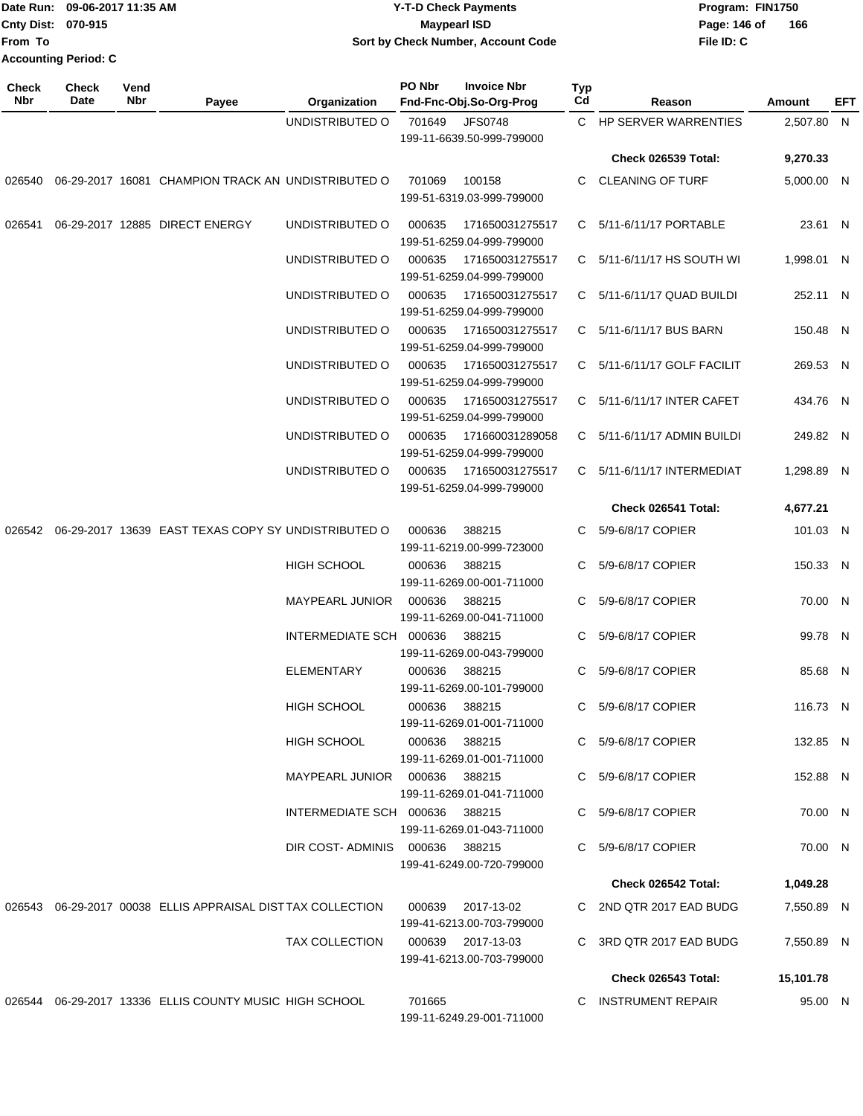|                    | Date Run: 09-06-2017 11:35 AM | <b>Y-T-D Check Payments</b>        | Program: FIN1750    |  |  |  |
|--------------------|-------------------------------|------------------------------------|---------------------|--|--|--|
| Cnty Dist: 070-915 |                               | Maypearl ISD                       | 166<br>Page: 146 of |  |  |  |
| lFrom To           |                               | Sort by Check Number, Account Code | File ID: C          |  |  |  |
|                    | <b>Accounting Period: C</b>   |                                    |                     |  |  |  |

| Check<br>Nbr | <b>Check</b><br>Date | Vend<br>Nbr | Payee                                                      | Organization            | PO Nbr | <b>Invoice Nbr</b><br>Fnd-Fnc-Obj.So-Org-Prog  | <b>Typ</b><br>Cd | Reason                           | Amount     | EFT |
|--------------|----------------------|-------------|------------------------------------------------------------|-------------------------|--------|------------------------------------------------|------------------|----------------------------------|------------|-----|
|              |                      |             |                                                            | UNDISTRIBUTED O         | 701649 | <b>JFS0748</b><br>199-11-6639.50-999-799000    |                  | C HP SERVER WARRENTIES           | 2,507.80 N |     |
|              |                      |             |                                                            |                         |        |                                                |                  | Check 026539 Total:              | 9,270.33   |     |
| 026540       |                      |             | 06-29-2017 16081 CHAMPION TRACK AN UNDISTRIBUTED O         |                         | 701069 | 100158<br>199-51-6319.03-999-799000            | C.               | <b>CLEANING OF TURF</b>          | 5,000.00 N |     |
| 026541       |                      |             | 06-29-2017 12885 DIRECT ENERGY                             | UNDISTRIBUTED O         | 000635 | 171650031275517<br>199-51-6259.04-999-799000   |                  | C 5/11-6/11/17 PORTABLE          | 23.61 N    |     |
|              |                      |             |                                                            | UNDISTRIBUTED O         | 000635 | 171650031275517<br>199-51-6259.04-999-799000   |                  | C $5/11 - 6/11/17$ HS SOUTH WI   | 1,998.01 N |     |
|              |                      |             |                                                            | UNDISTRIBUTED O         | 000635 | 171650031275517<br>199-51-6259.04-999-799000   |                  | $C = 5/11 - 6/11/17$ QUAD BUILDI | 252.11 N   |     |
|              |                      |             |                                                            | UNDISTRIBUTED O         | 000635 | 171650031275517<br>199-51-6259.04-999-799000   |                  | C 5/11-6/11/17 BUS BARN          | 150.48 N   |     |
|              |                      |             |                                                            | UNDISTRIBUTED O         | 000635 | 171650031275517<br>199-51-6259.04-999-799000   |                  | C 5/11-6/11/17 GOLF FACILIT      | 269.53 N   |     |
|              |                      |             |                                                            | UNDISTRIBUTED O         | 000635 | 171650031275517<br>199-51-6259.04-999-799000   |                  | C 5/11-6/11/17 INTER CAFET       | 434.76 N   |     |
|              |                      |             |                                                            | UNDISTRIBUTED O         | 000635 | 171660031289058<br>199-51-6259.04-999-799000   |                  | C 5/11-6/11/17 ADMIN BUILDI      | 249.82 N   |     |
|              |                      |             |                                                            | UNDISTRIBUTED O         | 000635 | 171650031275517<br>199-51-6259.04-999-799000   |                  | C 5/11-6/11/17 INTERMEDIAT       | 1,298.89 N |     |
|              |                      |             |                                                            |                         |        |                                                |                  | Check 026541 Total:              | 4,677.21   |     |
| 026542       |                      |             | 06-29-2017 13639 EAST TEXAS COPY SY UNDISTRIBUTED O        |                         | 000636 | 388215<br>199-11-6219.00-999-723000            | C                | 5/9-6/8/17 COPIER                | 101.03 N   |     |
|              |                      |             |                                                            | <b>HIGH SCHOOL</b>      | 000636 | 388215<br>199-11-6269.00-001-711000            | C                | 5/9-6/8/17 COPIER                | 150.33 N   |     |
|              |                      |             |                                                            | <b>MAYPEARL JUNIOR</b>  | 000636 | 388215<br>199-11-6269.00-041-711000            | C                | 5/9-6/8/17 COPIER                | 70.00 N    |     |
|              |                      |             |                                                            | INTERMEDIATE SCH        | 000636 | 388215<br>199-11-6269.00-043-799000            | C                | 5/9-6/8/17 COPIER                | 99.78 N    |     |
|              |                      |             |                                                            | ELEMENTARY              | 000636 | 388215<br>199-11-6269.00-101-799000            | C                | 5/9-6/8/17 COPIER                | 85.68 N    |     |
|              |                      |             |                                                            | <b>HIGH SCHOOL</b>      | 000636 | 388215<br>199-11-6269.01-001-711000            | C.               | 5/9-6/8/17 COPIER                | 116.73 N   |     |
|              |                      |             |                                                            | HIGH SCHOOL             | 000636 | 388215<br>199-11-6269.01-001-711000            |                  | C 5/9-6/8/17 COPIER              | 132.85 N   |     |
|              |                      |             |                                                            | MAYPEARL JUNIOR 000636  |        | 388215<br>199-11-6269.01-041-711000            |                  | C 5/9-6/8/17 COPIER              | 152.88 N   |     |
|              |                      |             |                                                            | INTERMEDIATE SCH 000636 |        | 388215<br>199-11-6269.01-043-711000            |                  | C 5/9-6/8/17 COPIER              | 70.00 N    |     |
|              |                      |             |                                                            | DIR COST-ADMINIS 000636 |        | 388215<br>199-41-6249.00-720-799000            |                  | C 5/9-6/8/17 COPIER              | 70.00 N    |     |
|              |                      |             |                                                            |                         |        |                                                |                  | Check 026542 Total:              | 1,049.28   |     |
|              |                      |             | 026543 06-29-2017 00038 ELLIS APPRAISAL DISTTAX COLLECTION |                         | 000639 | 2017-13-02                                     |                  | C 2ND QTR 2017 EAD BUDG          | 7,550.89 N |     |
|              |                      |             |                                                            | <b>TAX COLLECTION</b>   |        | 199-41-6213.00-703-799000<br>000639 2017-13-03 |                  | C 3RD QTR 2017 EAD BUDG          | 7,550.89 N |     |
|              |                      |             |                                                            |                         |        | 199-41-6213.00-703-799000                      |                  |                                  | 15,101.78  |     |
|              |                      |             |                                                            |                         |        |                                                |                  | Check 026543 Total:              |            |     |
|              |                      |             | 026544 06-29-2017 13336 ELLIS COUNTY MUSIC HIGH SCHOOL     |                         | 701665 | 199-11-6249.29-001-711000                      |                  | C INSTRUMENT REPAIR              | 95.00 N    |     |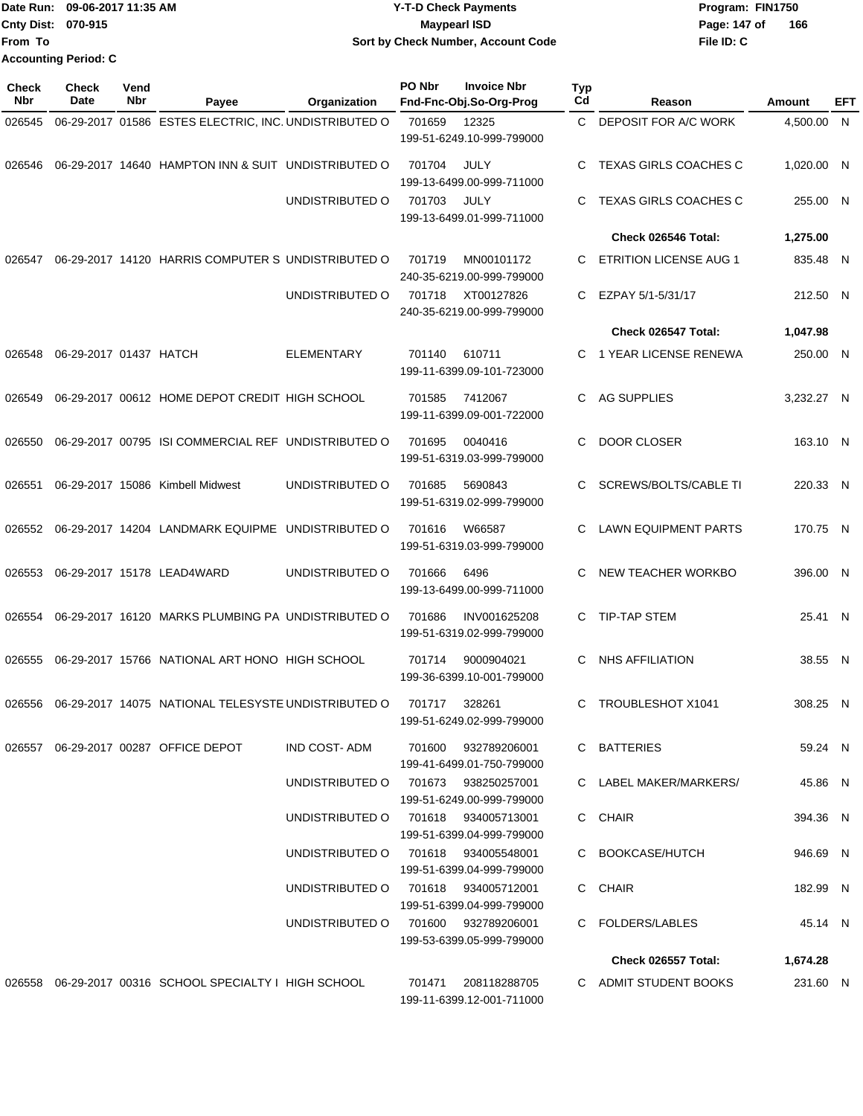|                           | Date Run: 09-06-2017 11:35 AM | <b>Y-T-D Check Payments</b>        | Program: FIN1750 |     |  |  |  |
|---------------------------|-------------------------------|------------------------------------|------------------|-----|--|--|--|
| <b>Cnty Dist: 070-915</b> |                               | <b>Mavpearl ISD</b>                | Page: 147 of     | 166 |  |  |  |
| <b>From To</b>            |                               | Sort by Check Number, Account Code | File ID: C       |     |  |  |  |
|                           | <b>Accounting Period: C</b>   |                                    |                  |     |  |  |  |

| <b>Check</b><br>Nbr | Check<br>Date          | Vend<br><b>Nbr</b> | Payee                                                         | Organization                        | PO Nbr | <b>Invoice Nbr</b><br>Fnd-Fnc-Obj.So-Org-Prog    | <b>Typ</b><br>Cd | Reason                        | Amount     | EFT |
|---------------------|------------------------|--------------------|---------------------------------------------------------------|-------------------------------------|--------|--------------------------------------------------|------------------|-------------------------------|------------|-----|
| 026545              |                        |                    | 06-29-2017 01586 ESTES ELECTRIC, INC. UNDISTRIBUTED O         |                                     | 701659 | 12325<br>199-51-6249.10-999-799000               | C.               | DEPOSIT FOR A/C WORK          | 4,500.00 N |     |
| 026546              |                        |                    | 06-29-2017 14640 HAMPTON INN & SUIT UNDISTRIBUTED O           |                                     | 701704 | JULY<br>199-13-6499.00-999-711000                | C                | <b>TEXAS GIRLS COACHES C</b>  | 1,020.00 N |     |
|                     |                        |                    |                                                               | UNDISTRIBUTED O                     | 701703 | JULY<br>199-13-6499.01-999-711000                | C                | <b>TEXAS GIRLS COACHES C</b>  | 255.00 N   |     |
|                     |                        |                    |                                                               |                                     |        |                                                  |                  | Check 026546 Total:           | 1,275.00   |     |
| 026547              |                        |                    | 06-29-2017 14120 HARRIS COMPUTER S UNDISTRIBUTED O            |                                     | 701719 | MN00101172<br>240-35-6219.00-999-799000          | C                | <b>ETRITION LICENSE AUG 1</b> | 835.48 N   |     |
|                     |                        |                    |                                                               | UNDISTRIBUTED O                     | 701718 | XT00127826<br>240-35-6219.00-999-799000          | C.               | EZPAY 5/1-5/31/17             | 212.50 N   |     |
|                     |                        |                    |                                                               |                                     |        |                                                  |                  | Check 026547 Total:           | 1,047.98   |     |
| 026548              | 06-29-2017 01437 HATCH |                    |                                                               | <b>ELEMENTARY</b>                   | 701140 | 610711<br>199-11-6399.09-101-723000              | C.               | 1 YEAR LICENSE RENEWA         | 250.00 N   |     |
| 026549              |                        |                    | 06-29-2017 00612 HOME DEPOT CREDIT HIGH SCHOOL                |                                     | 701585 | 7412067<br>199-11-6399.09-001-722000             | C                | <b>AG SUPPLIES</b>            | 3,232.27 N |     |
| 026550              |                        |                    | 06-29-2017 00795 ISI COMMERCIAL REF UNDISTRIBUTED O           |                                     | 701695 | 0040416<br>199-51-6319.03-999-799000             | C                | DOOR CLOSER                   | 163.10 N   |     |
| 026551              |                        |                    | 06-29-2017 15086 Kimbell Midwest                              | UNDISTRIBUTED O                     | 701685 | 5690843<br>199-51-6319.02-999-799000             | C                | SCREWS/BOLTS/CABLE TI         | 220.33 N   |     |
| 026552              |                        |                    | 06-29-2017 14204 LANDMARK EQUIPME UNDISTRIBUTED O             |                                     | 701616 | W66587<br>199-51-6319.03-999-799000              | C                | <b>LAWN EQUIPMENT PARTS</b>   | 170.75 N   |     |
| 026553              |                        |                    | 06-29-2017 15178 LEAD4WARD                                    | UNDISTRIBUTED O                     | 701666 | 6496<br>199-13-6499.00-999-711000                | C                | NEW TEACHER WORKBO            | 396.00 N   |     |
| 026554              |                        |                    | 06-29-2017 16120 MARKS PLUMBING PA UNDISTRIBUTED O            |                                     | 701686 | INV001625208<br>199-51-6319.02-999-799000        | C.               | TIP-TAP STEM                  | 25.41 N    |     |
| 026555              |                        |                    | 06-29-2017 15766 NATIONAL ART HONO HIGH SCHOOL                |                                     | 701714 | 9000904021<br>199-36-6399.10-001-799000          | C                | <b>NHS AFFILIATION</b>        | 38.55 N    |     |
|                     |                        |                    | 026556  06-29-2017  14075  NATIONAL TELESYSTE UNDISTRIBUTED O |                                     | 701717 | 328261<br>199-51-6249.02-999-799000              | C                | <b>TROUBLESHOT X1041</b>      | 308.25 N   |     |
|                     |                        |                    | 026557 06-29-2017 00287 OFFICE DEPOT                          | IND COST- ADM                       |        | 701600 932789206001<br>199-41-6499.01-750-799000 |                  | C BATTERIES                   | 59.24 N    |     |
|                     |                        |                    |                                                               | UNDISTRIBUTED O 701673 938250257001 |        | 199-51-6249.00-999-799000                        |                  | C LABEL MAKER/MARKERS/        | 45.86 N    |     |
|                     |                        |                    |                                                               | UNDISTRIBUTED O 701618 934005713001 |        | 199-51-6399.04-999-799000                        |                  | C CHAIR                       | 394.36 N   |     |
|                     |                        |                    |                                                               | UNDISTRIBUTED O 701618 934005548001 |        | 199-51-6399.04-999-799000                        |                  | C BOOKCASE/HUTCH              | 946.69 N   |     |
|                     |                        |                    |                                                               | UNDISTRIBUTED O 701618 934005712001 |        | 199-51-6399.04-999-799000                        |                  | C CHAIR                       | 182.99 N   |     |
|                     |                        |                    |                                                               | UNDISTRIBUTED O 701600 932789206001 |        | 199-53-6399.05-999-799000                        |                  | C FOLDERS/LABLES              | 45.14 N    |     |
|                     |                        |                    |                                                               |                                     |        |                                                  |                  | Check 026557 Total:           | 1,674.28   |     |
|                     |                        |                    | 026558 06-29-2017 00316 SCHOOL SPECIALTY I HIGH SCHOOL        |                                     |        | 701471 208118288705<br>199-11-6399.12-001-711000 |                  | C ADMIT STUDENT BOOKS         | 231.60 N   |     |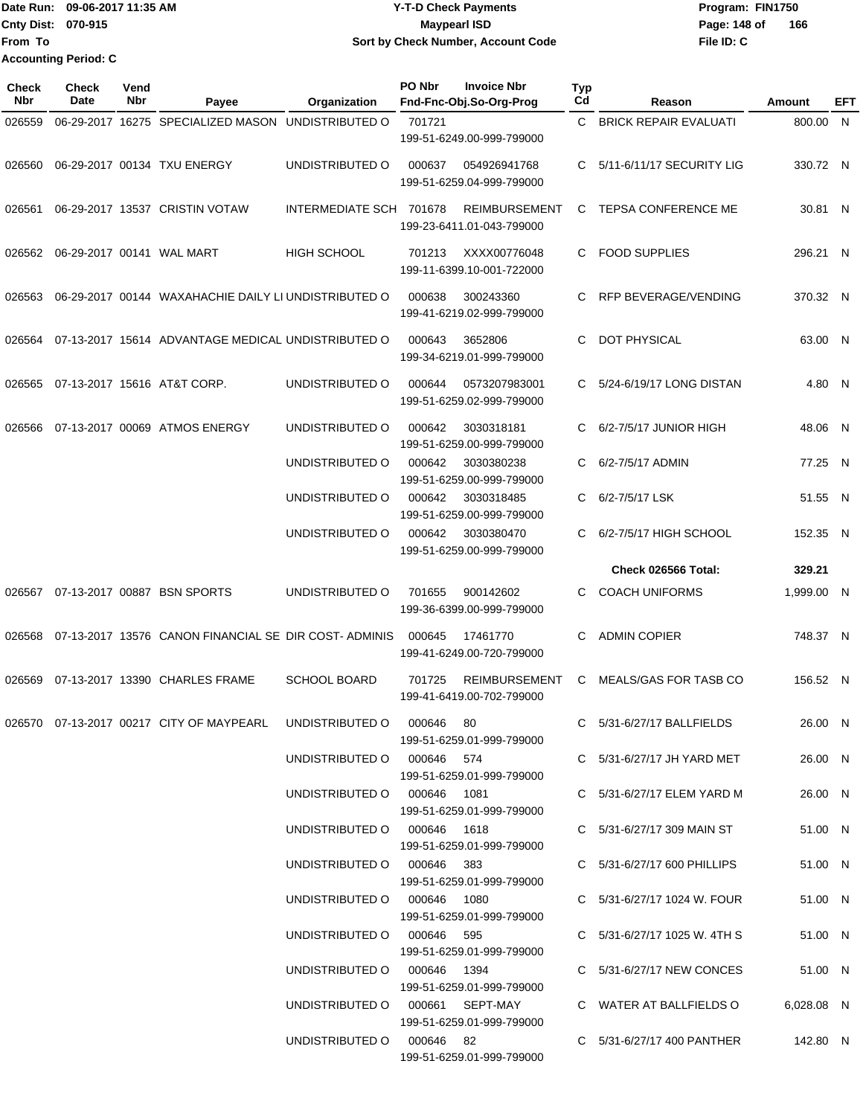Date Run: 09-06-2017 11:35 AM **Date Run:** 09-06-2017 11:35 AM **Cnty Dist: 070-915 File ID: C From To 09-06-2017 11:35 AM Y-T-D Check Payments 070-915 Maypearl ISD Sort by Check Number, Account Code** Page: 148 of 166 **Accounting Period: C**

| Check<br>Nbr | Check<br>Date | Vend<br>Nbr | Payee                                                                    | Organization                    | PO Nbr | <b>Invoice Nbr</b><br>Fnd-Fnc-Obj.So-Org-Prog     | <b>Typ</b><br>Cd | Reason                           | Amount     | EFT      |
|--------------|---------------|-------------|--------------------------------------------------------------------------|---------------------------------|--------|---------------------------------------------------|------------------|----------------------------------|------------|----------|
| 026559       |               |             | 06-29-2017 16275 SPECIALIZED MASON UNDISTRIBUTED O                       |                                 | 701721 | 199-51-6249.00-999-799000                         | C.               | <b>BRICK REPAIR EVALUATI</b>     | 800.00     | <b>N</b> |
| 026560       |               |             | 06-29-2017 00134 TXU ENERGY                                              | UNDISTRIBUTED O                 | 000637 | 054926941768<br>199-51-6259.04-999-799000         | C.               | 5/11-6/11/17 SECURITY LIG        | 330.72 N   |          |
| 026561       |               |             | 06-29-2017 13537 CRISTIN VOTAW                                           | INTERMEDIATE SCH 701678         |        | <b>REIMBURSEMENT</b><br>199-23-6411.01-043-799000 | C                | <b>TEPSA CONFERENCE ME</b>       | 30.81 N    |          |
| 026562       |               |             | 06-29-2017 00141 WAL MART                                                | <b>HIGH SCHOOL</b>              | 701213 | XXXX00776048<br>199-11-6399.10-001-722000         | C.               | <b>FOOD SUPPLIES</b>             | 296.21 N   |          |
| 026563       |               |             | 06-29-2017 00144 WAXAHACHIE DAILY LI UNDISTRIBUTED O                     |                                 | 000638 | 300243360<br>199-41-6219.02-999-799000            | C                | RFP BEVERAGE/VENDING             | 370.32 N   |          |
| 026564       |               |             | 07-13-2017 15614 ADVANTAGE MEDICAL UNDISTRIBUTED O                       |                                 | 000643 | 3652806<br>199-34-6219.01-999-799000              | C                | <b>DOT PHYSICAL</b>              | 63.00 N    |          |
| 026565       |               |             | 07-13-2017 15616 AT&T CORP.                                              | UNDISTRIBUTED O                 | 000644 | 0573207983001<br>199-51-6259.02-999-799000        | C.               | 5/24-6/19/17 LONG DISTAN         | 4.80 N     |          |
| 026566       |               |             | 07-13-2017 00069 ATMOS ENERGY                                            | UNDISTRIBUTED O                 | 000642 | 3030318181<br>199-51-6259.00-999-799000           | C                | 6/2-7/5/17 JUNIOR HIGH           | 48.06 N    |          |
|              |               |             |                                                                          | UNDISTRIBUTED O                 | 000642 | 3030380238<br>199-51-6259.00-999-799000           | C                | 6/2-7/5/17 ADMIN                 | 77.25 N    |          |
|              |               |             |                                                                          | UNDISTRIBUTED O                 | 000642 | 3030318485<br>199-51-6259.00-999-799000           | C                | 6/2-7/5/17 LSK                   | 51.55 N    |          |
|              |               |             |                                                                          | UNDISTRIBUTED O                 | 000642 | 3030380470<br>199-51-6259.00-999-799000           | C.               | 6/2-7/5/17 HIGH SCHOOL           | 152.35 N   |          |
|              |               |             |                                                                          |                                 |        |                                                   |                  | Check 026566 Total:              | 329.21     |          |
| 026567       |               |             | 07-13-2017 00887 BSN SPORTS                                              | UNDISTRIBUTED O                 | 701655 | 900142602<br>199-36-6399.00-999-799000            |                  | <b>COACH UNIFORMS</b>            | 1,999.00 N |          |
| 026568       |               |             | 07-13-2017 13576 CANON FINANCIAL SE DIR COST-ADMINIS                     |                                 | 000645 | 17461770<br>199-41-6249.00-720-799000             | C.               | <b>ADMIN COPIER</b>              | 748.37 N   |          |
| 026569       |               |             | 07-13-2017 13390 CHARLES FRAME                                           | <b>SCHOOL BOARD</b>             | 701725 | <b>REIMBURSEMENT</b><br>199-41-6419.00-702-799000 | С                | <b>MEALS/GAS FOR TASB CO</b>     | 156.52 N   |          |
|              |               |             | 026570  07-13-2017  00217  CITY OF MAYPEARL  UNDISTRIBUTED   000646   80 |                                 |        | 199-51-6259.01-999-799000                         |                  | C 5/31-6/27/17 BALLFIELDS        | 26.00 N    |          |
|              |               |             |                                                                          | UNDISTRIBUTED O 000646 574      |        | 199-51-6259.01-999-799000                         |                  | C 5/31-6/27/17 JH YARD MET       | 26.00 N    |          |
|              |               |             |                                                                          | UNDISTRIBUTED O 000646 1081     |        | 199-51-6259.01-999-799000                         |                  | C 5/31-6/27/17 ELEM YARD M       | 26.00 N    |          |
|              |               |             |                                                                          | UNDISTRIBUTED O 000646 1618     |        | 199-51-6259.01-999-799000                         |                  | C 5/31-6/27/17 309 MAIN ST       | 51.00 N    |          |
|              |               |             |                                                                          | UNDISTRIBUTED O 000646 383      |        | 199-51-6259.01-999-799000                         |                  | C 5/31-6/27/17 600 PHILLIPS      | 51.00 N    |          |
|              |               |             |                                                                          | UNDISTRIBUTED O 000646 1080     |        | 199-51-6259.01-999-799000                         |                  | C 5/31-6/27/17 1024 W. FOUR      | 51.00 N    |          |
|              |               |             |                                                                          | UNDISTRIBUTED O 000646 595      |        | 199-51-6259.01-999-799000                         |                  | C $5/31 - 6/27/17$ 1025 W. 4TH S | 51.00 N    |          |
|              |               |             |                                                                          | UNDISTRIBUTED O 000646 1394     |        | 199-51-6259.01-999-799000                         |                  | C 5/31-6/27/17 NEW CONCES        | 51.00 N    |          |
|              |               |             |                                                                          | UNDISTRIBUTED O 000661 SEPT-MAY |        | 199-51-6259.01-999-799000                         |                  | C WATER AT BALLFIELDS O          | 6,028.08 N |          |
|              |               |             |                                                                          | UNDISTRIBUTED O 000646 82       |        | 199-51-6259.01-999-799000                         |                  | C 5/31-6/27/17 400 PANTHER       | 142.80 N   |          |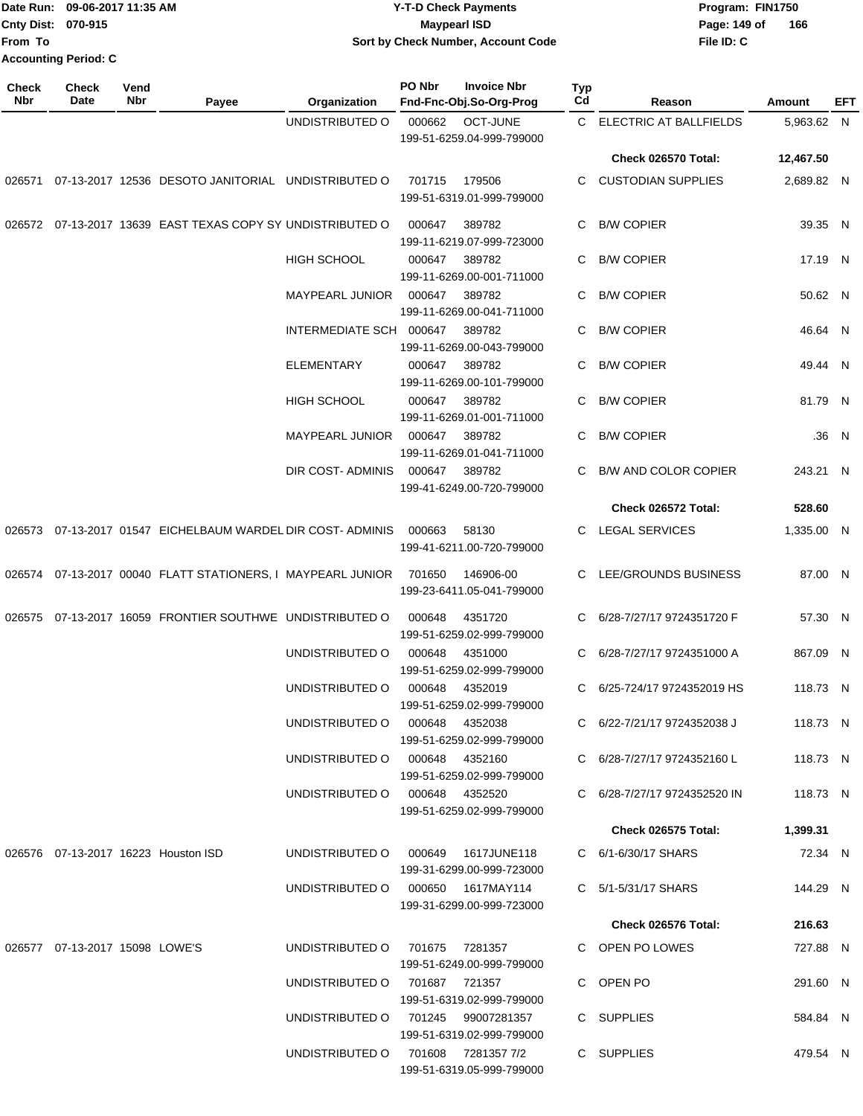|                           | Date Run: 09-06-2017 11:35 AM | <b>Y-T-D Check Payments</b>        | Program: FIN1750    |  |  |  |  |
|---------------------------|-------------------------------|------------------------------------|---------------------|--|--|--|--|
| <b>Cnty Dist: 070-915</b> |                               | <b>Mavpearl ISD</b>                | 166<br>Page: 149 of |  |  |  |  |
| <b>From To</b>            |                               | Sort by Check Number, Account Code | File ID: C          |  |  |  |  |
|                           | <b>Accounting Period: C</b>   |                                    |                     |  |  |  |  |

| <b>Check</b><br>Nbr | Check<br>Date                  | Vend<br>Nbr | Payee                                                       | Organization                       | PO Nbr          | <b>Invoice Nbr</b><br>Fnd-Fnc-Obj.So-Org-Prog      | Typ<br>Cd | Reason                       | Amount     | EFT   |
|---------------------|--------------------------------|-------------|-------------------------------------------------------------|------------------------------------|-----------------|----------------------------------------------------|-----------|------------------------------|------------|-------|
|                     |                                |             |                                                             | UNDISTRIBUTED O                    | 000662          | <b>OCT-JUNE</b><br>199-51-6259.04-999-799000       |           | C ELECTRIC AT BALLFIELDS     | 5,963.62 N |       |
|                     |                                |             |                                                             |                                    |                 |                                                    |           | Check 026570 Total:          | 12,467.50  |       |
| 026571              |                                |             | 07-13-2017 12536 DESOTO JANITORIAL UNDISTRIBUTED O          |                                    | 701715          | 179506<br>199-51-6319.01-999-799000                | C         | <b>CUSTODIAN SUPPLIES</b>    | 2,689.82 N |       |
|                     |                                |             | 026572 07-13-2017 13639 EAST TEXAS COPY SY UNDISTRIBUTED O  |                                    | 000647          | 389782<br>199-11-6219.07-999-723000                | C         | <b>B/W COPIER</b>            | 39.35 N    |       |
|                     |                                |             |                                                             | <b>HIGH SCHOOL</b>                 | 000647          | 389782<br>199-11-6269.00-001-711000                | C         | <b>B/W COPIER</b>            | 17.19 N    |       |
|                     |                                |             |                                                             | <b>MAYPEARL JUNIOR</b>             | 000647          | 389782<br>199-11-6269.00-041-711000                | С         | <b>B/W COPIER</b>            | 50.62 N    |       |
|                     |                                |             |                                                             | INTERMEDIATE SCH 000647            |                 | 389782<br>199-11-6269.00-043-799000                | С         | <b>B/W COPIER</b>            | 46.64 N    |       |
|                     |                                |             |                                                             | <b>ELEMENTARY</b>                  | 000647          | 389782<br>199-11-6269.00-101-799000                | С         | <b>B/W COPIER</b>            | 49.44 N    |       |
|                     |                                |             |                                                             | HIGH SCHOOL                        | 000647          | 389782<br>199-11-6269.01-001-711000                | С         | <b>B/W COPIER</b>            | 81.79 N    |       |
|                     |                                |             |                                                             | MAYPEARL JUNIOR                    | 000647          | 389782<br>199-11-6269.01-041-711000                | С         | <b>B/W COPIER</b>            |            | .36 N |
|                     |                                |             |                                                             | DIR COST- ADMINIS                  | 000647          | 389782<br>199-41-6249.00-720-799000                | С         | <b>B/W AND COLOR COPIER</b>  | 243.21 N   |       |
|                     |                                |             |                                                             |                                    |                 |                                                    |           | Check 026572 Total:          | 528.60     |       |
|                     |                                |             | 026573 07-13-2017 01547 EICHELBAUM WARDEL DIR COST-ADMINIS  |                                    | 000663          | 58130<br>199-41-6211.00-720-799000                 | C.        | LEGAL SERVICES               | 1,335.00 N |       |
|                     |                                |             | 026574 07-13-2017 00040 FLATT STATIONERS, I MAYPEARL JUNIOR |                                    | 701650          | 146906-00<br>199-23-6411.05-041-799000             | C.        | LEE/GROUNDS BUSINESS         | 87.00 N    |       |
|                     |                                |             | 026575 07-13-2017 16059 FRONTIER SOUTHWE UNDISTRIBUTED O    |                                    | 000648          | 4351720<br>199-51-6259.02-999-799000               | С         | 6/28-7/27/17 9724351720 F    | 57.30 N    |       |
|                     |                                |             |                                                             | UNDISTRIBUTED O                    | 000648          | 4351000<br>199-51-6259.02-999-799000               | C.        | 6/28-7/27/17 9724351000 A    | 867.09 N   |       |
|                     |                                |             |                                                             | UNDISTRIBUTED O                    | 000648          | 4352019<br>199-51-6259.02-999-799000               | C.        | 6/25-724/17 9724352019 HS    | 118.73 N   |       |
|                     |                                |             |                                                             | UNDISTRIBUTED O 000648 4352038     |                 | 199-51-6259.02-999-799000                          |           | C 6/22-7/21/17 9724352038 J  | 118.73 N   |       |
|                     |                                |             |                                                             | UNDISTRIBUTED O                    |                 | 000648 4352160<br>199-51-6259.02-999-799000        |           | C 6/28-7/27/17 9724352160 L  | 118.73 N   |       |
|                     |                                |             |                                                             | UNDISTRIBUTED O                    | 000648 4352520  | 199-51-6259.02-999-799000                          |           | C 6/28-7/27/17 9724352520 IN | 118.73 N   |       |
|                     |                                |             |                                                             |                                    |                 |                                                    |           | <b>Check 026575 Total:</b>   | 1,399.31   |       |
|                     |                                |             | 026576 07-13-2017 16223 Houston ISD                         | UNDISTRIBUTED O                    |                 | 000649    1617JUNE118<br>199-31-6299.00-999-723000 |           | C 6/1-6/30/17 SHARS          | 72.34 N    |       |
|                     |                                |             |                                                             | UNDISTRIBUTED O 000650 1617MAY114  |                 | 199-31-6299.00-999-723000                          |           | C 5/1-5/31/17 SHARS          | 144.29 N   |       |
|                     |                                |             |                                                             |                                    |                 |                                                    |           | Check 026576 Total:          | 216.63     |       |
|                     | 026577 07-13-2017 15098 LOWE'S |             |                                                             | UNDISTRIBUTED O                    | 701675  7281357 | 199-51-6249.00-999-799000                          |           | C OPEN PO LOWES              | 727.88 N   |       |
|                     |                                |             |                                                             | UNDISTRIBUTED O                    | 701687  721357  | 199-51-6319.02-999-799000                          |           | C OPEN PO                    | 291.60 N   |       |
|                     |                                |             |                                                             | UNDISTRIBUTED O 701245 99007281357 |                 | 199-51-6319.02-999-799000                          |           | C SUPPLIES                   | 584.84 N   |       |
|                     |                                |             |                                                             | UNDISTRIBUTED 0 701608 7281357 7/2 |                 | 199-51-6319.05-999-799000                          |           | C SUPPLIES                   | 479.54 N   |       |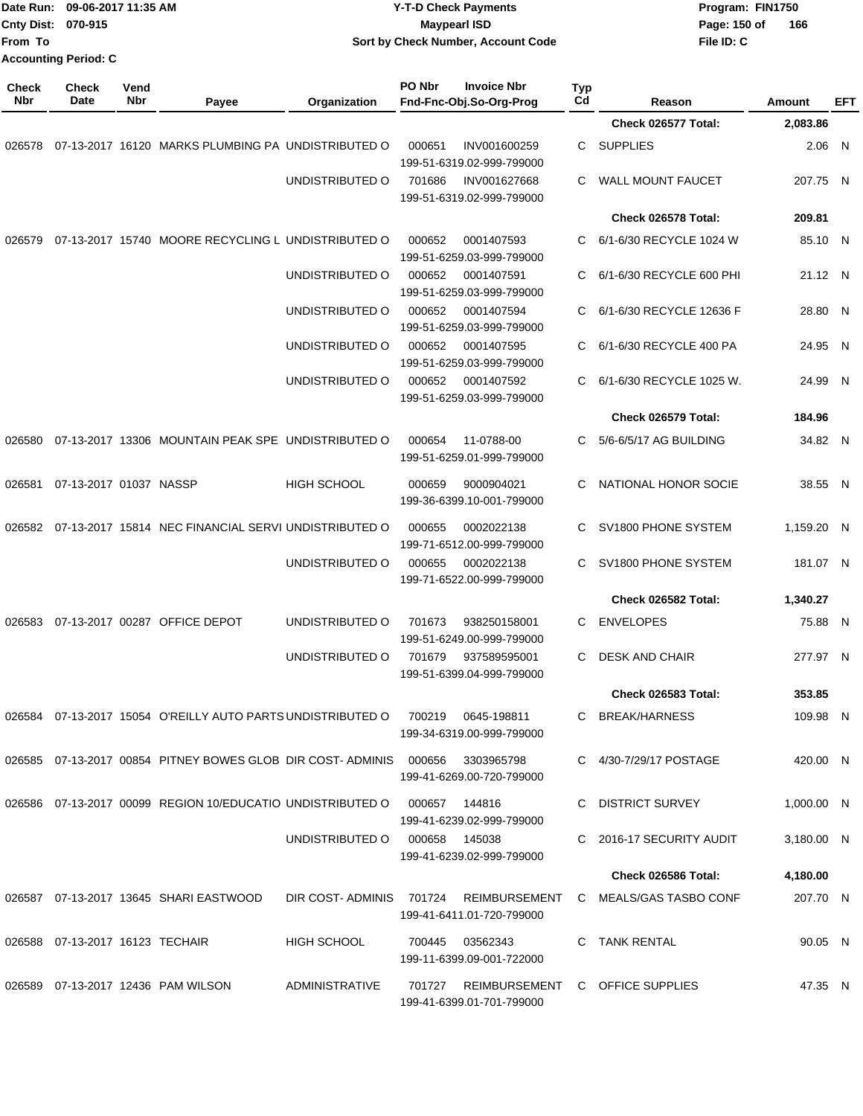| From To             | Date Run: 09-06-2017 11:35 AM<br>Cnty Dist: 070-915<br><b>Accounting Period: C</b> |             |                                                                        |                    | <b>Y-T-D Check Payments</b><br><b>Maypearl ISD</b><br>Sort by Check Number, Account Code |                                                  |           |                            | Program: FIN1750<br>Page: 150 of<br>166<br>File ID: C |               |            |
|---------------------|------------------------------------------------------------------------------------|-------------|------------------------------------------------------------------------|--------------------|------------------------------------------------------------------------------------------|--------------------------------------------------|-----------|----------------------------|-------------------------------------------------------|---------------|------------|
| <b>Check</b><br>Nbr | Check<br>Date                                                                      | Vend<br>Nbr | Payee                                                                  | Organization       | PO Nbr                                                                                   | <b>Invoice Nbr</b><br>Fnd-Fnc-Obj.So-Org-Prog    | Typ<br>Cd | Reason                     |                                                       | <b>Amount</b> | <b>EFT</b> |
|                     |                                                                                    |             |                                                                        |                    |                                                                                          |                                                  |           | Check 026577 Total:        |                                                       | 2,083.86      |            |
| 026578              |                                                                                    |             | 07-13-2017 16120 MARKS PLUMBING PA UNDISTRIBUTED O                     |                    | 000651                                                                                   | INV001600259<br>199-51-6319.02-999-799000        | С         | <b>SUPPLIES</b>            |                                                       | $2.06$ N      |            |
|                     |                                                                                    |             |                                                                        | UNDISTRIBUTED O    | 701686                                                                                   | INV001627668<br>199-51-6319.02-999-799000        | С         | <b>WALL MOUNT FAUCET</b>   |                                                       | 207.75 N      |            |
|                     |                                                                                    |             |                                                                        |                    |                                                                                          |                                                  |           | Check 026578 Total:        |                                                       | 209.81        |            |
| 026579              |                                                                                    |             | 07-13-2017 15740 MOORE RECYCLING L UNDISTRIBUTED O                     |                    | 000652                                                                                   | 0001407593<br>199-51-6259.03-999-799000          | С         | 6/1-6/30 RECYCLE 1024 W    |                                                       | 85.10 N       |            |
|                     |                                                                                    |             |                                                                        | UNDISTRIBUTED O    | 000652                                                                                   | 0001407591<br>199-51-6259.03-999-799000          | C         | 6/1-6/30 RECYCLE 600 PHI   |                                                       | 21.12 N       |            |
|                     |                                                                                    |             |                                                                        | UNDISTRIBUTED O    | 000652                                                                                   | 0001407594<br>199-51-6259.03-999-799000          | С         | 6/1-6/30 RECYCLE 12636 F   |                                                       | 28.80         | - N        |
|                     |                                                                                    |             |                                                                        | UNDISTRIBUTED O    | 000652                                                                                   | 0001407595<br>199-51-6259.03-999-799000          | C         | 6/1-6/30 RECYCLE 400 PA    |                                                       | 24.95 N       |            |
|                     |                                                                                    |             |                                                                        | UNDISTRIBUTED O    | 000652                                                                                   | 0001407592<br>199-51-6259.03-999-799000          | С         | 6/1-6/30 RECYCLE 1025 W.   |                                                       | 24.99 N       |            |
|                     |                                                                                    |             |                                                                        |                    |                                                                                          |                                                  |           | Check 026579 Total:        |                                                       | 184.96        |            |
| 026580              |                                                                                    |             | 07-13-2017 13306 MOUNTAIN PEAK SPE UNDISTRIBUTED O                     |                    | 000654                                                                                   | 11-0788-00<br>199-51-6259.01-999-799000          | С         | 5/6-6/5/17 AG BUILDING     |                                                       | 34.82 N       |            |
| 026581              | 07-13-2017 01037 NASSP                                                             |             |                                                                        | <b>HIGH SCHOOL</b> | 000659                                                                                   | 9000904021<br>199-36-6399.10-001-799000          | C         | NATIONAL HONOR SOCIE       |                                                       | 38.55 N       |            |
|                     |                                                                                    |             | 026582 07-13-2017 15814 NEC FINANCIAL SERVI UNDISTRIBUTED O            |                    | 000655                                                                                   | 0002022138<br>199-71-6512.00-999-799000          | C         | SV1800 PHONE SYSTEM        |                                                       | 1,159.20 N    |            |
|                     |                                                                                    |             |                                                                        | UNDISTRIBUTED O    | 000655                                                                                   | 0002022138<br>199-71-6522.00-999-799000          | C         | SV1800 PHONE SYSTEM        |                                                       | 181.07 N      |            |
|                     |                                                                                    |             |                                                                        |                    |                                                                                          |                                                  |           | Check 026582 Total:        |                                                       | 1,340.27      |            |
|                     |                                                                                    |             | 026583 07-13-2017 00287 OFFICE DEPOT                                   | UNDISTRIBUTED O    | 701673                                                                                   | 938250158001<br>199-51-6249.00-999-799000        | С         | <b>ENVELOPES</b>           |                                                       | 75.88 N       |            |
|                     |                                                                                    |             |                                                                        | UNDISTRIBUTED O    |                                                                                          | 701679 937589595001<br>199-51-6399.04-999-799000 |           | C DESK AND CHAIR           |                                                       | 277.97 N      |            |
|                     |                                                                                    |             |                                                                        |                    |                                                                                          |                                                  |           | <b>Check 026583 Total:</b> |                                                       | 353.85        |            |
|                     |                                                                                    |             | 026584 07-13-2017 15054 O'REILLY AUTO PARTS UNDISTRIBUTED O            |                    | 700219                                                                                   | 0645-198811<br>199-34-6319.00-999-799000         |           | C BREAK/HARNESS            |                                                       | 109.98 N      |            |
|                     |                                                                                    |             | 026585  07-13-2017  00854  PITNEY BOWES GLOB  DIR COST-ADMINIS  000656 |                    |                                                                                          | 3303965798<br>199-41-6269.00-720-799000          |           | C 4/30-7/29/17 POSTAGE     |                                                       | 420.00 N      |            |
|                     |                                                                                    |             | 026586 07-13-2017 00099 REGION 10/EDUCATIO UNDISTRIBUTED O             |                    | 000657                                                                                   | 144816<br>199-41-6239.02-999-799000              |           | C DISTRICT SURVEY          |                                                       | 1,000.00 N    |            |
|                     |                                                                                    |             |                                                                        | UNDISTRIBUTED O    | 000658 145038                                                                            | 199-41-6239.02-999-799000                        |           | C 2016-17 SECURITY AUDIT   |                                                       | 3,180.00 N    |            |
|                     |                                                                                    |             |                                                                        |                    |                                                                                          |                                                  |           | Check 026586 Total:        |                                                       | 4,180.00      |            |
|                     |                                                                                    |             | 026587 07-13-2017 13645 SHARI EASTWOOD                                 | DIR COST-ADMINIS   | 701724                                                                                   | REIMBURSEMENT<br>199-41-6411.01-720-799000       | C.        | MEALS/GAS TASBO CONF       |                                                       | 207.70 N      |            |
|                     | 026588 07-13-2017 16123 TECHAIR                                                    |             |                                                                        | <b>HIGH SCHOOL</b> | 700445                                                                                   | 03562343<br>199-11-6399.09-001-722000            | C         | TANK RENTAL                |                                                       | 90.05 N       |            |
|                     |                                                                                    |             | 026589 07-13-2017 12436 PAM WILSON                                     | ADMINISTRATIVE     | 701727                                                                                   | REIMBURSEMENT<br>199-41-6399.01-701-799000       |           | C OFFICE SUPPLIES          |                                                       | 47.35 N       |            |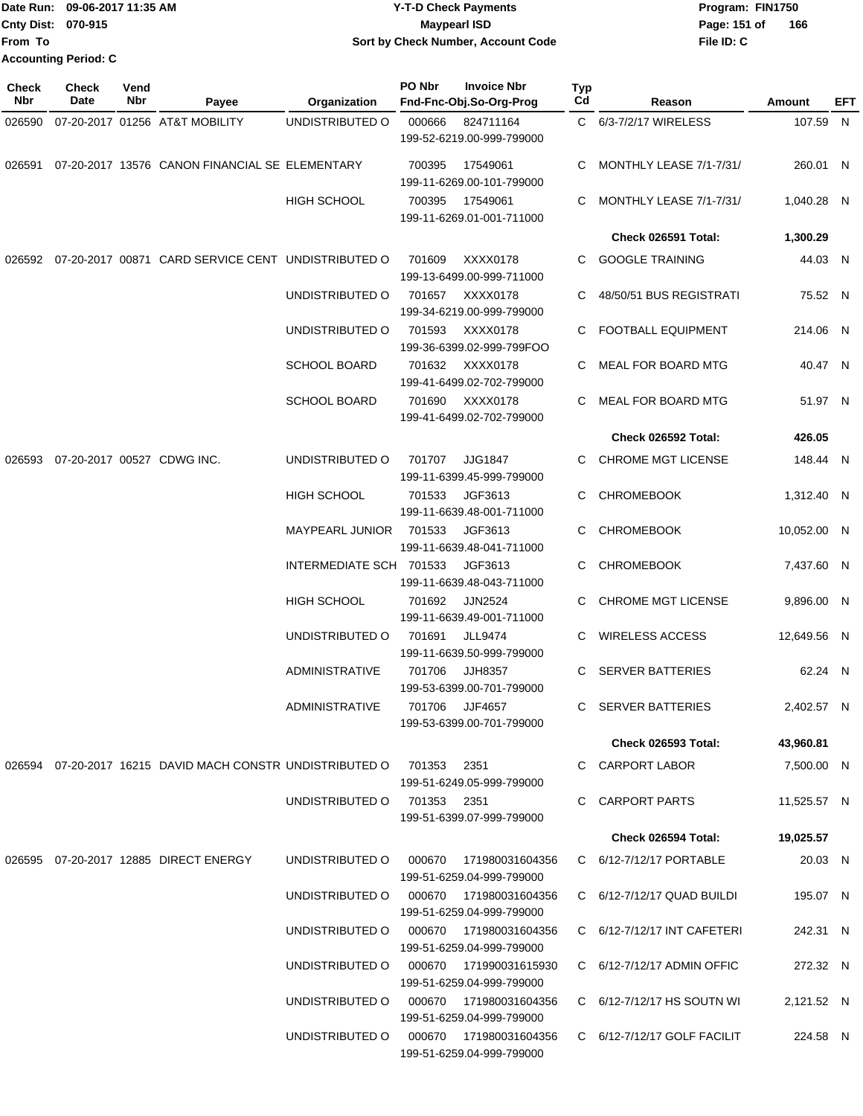Date Run: 09-06-2017 11:35 AM **CONTEX 100 CONTEX 12 T-D** Check Payments **CONTEX 12 T-D Check Payments** Program: FIN1750 **Cnty Dist:** 070-915 **Page: 151 of** Maypearl ISD **CONTEX IS A RESERVE A Page: 151 of File ID: C From To 09-06-2017 11:35 AM Y-T-D Check Payments 070-915 Maypearl ISD Sort by Check Number, Account Code Accounting Period: C**

**166**

| <b>Check</b><br>Nbr | Check<br>Date | Vend<br>Nbr | Payee                                                     | Organization                           | PO Nbr      | <b>Invoice Nbr</b><br>Fnd-Fnc-Obj.So-Org-Prog                            | Typ<br>Cd | Reason                           | <b>Amount</b> | EFT |
|---------------------|---------------|-------------|-----------------------------------------------------------|----------------------------------------|-------------|--------------------------------------------------------------------------|-----------|----------------------------------|---------------|-----|
| 026590              |               |             | 07-20-2017 01256 AT&T MOBILITY                            | UNDISTRIBUTED O                        | 000666      | 824711164<br>199-52-6219.00-999-799000                                   |           | C 6/3-7/2/17 WIRELESS            | 107.59 N      |     |
| 026591              |               |             | 07-20-2017 13576 CANON FINANCIAL SE ELEMENTARY            |                                        | 700395      | 17549061<br>199-11-6269.00-101-799000                                    | C         | MONTHLY LEASE 7/1-7/31/          | 260.01 N      |     |
|                     |               |             |                                                           | <b>HIGH SCHOOL</b>                     | 700395      | 17549061<br>199-11-6269.01-001-711000                                    | C.        | MONTHLY LEASE 7/1-7/31/          | 1,040.28 N    |     |
|                     |               |             |                                                           |                                        |             |                                                                          |           | Check 026591 Total:              | 1,300.29      |     |
|                     |               |             | 026592 07-20-2017 00871 CARD SERVICE CENT UNDISTRIBUTED O |                                        | 701609      | XXXX0178<br>199-13-6499.00-999-711000                                    | C.        | <b>GOOGLE TRAINING</b>           | 44.03 N       |     |
|                     |               |             |                                                           | UNDISTRIBUTED O                        | 701657      | XXXX0178<br>199-34-6219.00-999-799000                                    | C         | 48/50/51 BUS REGISTRATI          | 75.52 N       |     |
|                     |               |             |                                                           | UNDISTRIBUTED O                        | 701593      | XXXX0178<br>199-36-6399.02-999-799FOO                                    | C.        | <b>FOOTBALL EQUIPMENT</b>        | 214.06 N      |     |
|                     |               |             |                                                           | <b>SCHOOL BOARD</b>                    | 701632      | XXXX0178<br>199-41-6499.02-702-799000                                    |           | C MEAL FOR BOARD MTG             | 40.47 N       |     |
|                     |               |             |                                                           | <b>SCHOOL BOARD</b>                    | 701690      | XXXX0178<br>199-41-6499.02-702-799000                                    | C.        | MEAL FOR BOARD MTG               | 51.97 N       |     |
|                     |               |             |                                                           |                                        |             |                                                                          |           | Check 026592 Total:              | 426.05        |     |
| 026593              |               |             | 07-20-2017 00527 CDWG INC.                                | UNDISTRIBUTED O                        | 701707      | <b>JJG1847</b><br>199-11-6399.45-999-799000                              | C.        | <b>CHROME MGT LICENSE</b>        | 148.44 N      |     |
|                     |               |             |                                                           | <b>HIGH SCHOOL</b>                     | 701533      | JGF3613<br>199-11-6639.48-001-711000                                     | C.        | <b>CHROMEBOOK</b>                | 1,312.40 N    |     |
|                     |               |             |                                                           | <b>MAYPEARL JUNIOR</b>                 | 701533      | JGF3613<br>199-11-6639.48-041-711000                                     |           | <b>CHROMEBOOK</b>                | 10,052.00 N   |     |
|                     |               |             |                                                           | INTERMEDIATE SCH 701533                |             | JGF3613                                                                  | C         | <b>CHROMEBOOK</b>                | 7,437.60 N    |     |
|                     |               |             |                                                           | <b>HIGH SCHOOL</b>                     | 701692      | 199-11-6639.48-043-711000<br><b>JJN2524</b>                              | C.        | <b>CHROME MGT LICENSE</b>        | 9,896.00 N    |     |
|                     |               |             |                                                           | UNDISTRIBUTED O                        | 701691      | 199-11-6639.49-001-711000<br><b>JLL9474</b><br>199-11-6639.50-999-799000 |           | <b>WIRELESS ACCESS</b>           | 12,649.56 N   |     |
|                     |               |             |                                                           | ADMINISTRATIVE                         | 701706      | <b>JJH8357</b><br>199-53-6399.00-701-799000                              | C.        | <b>SERVER BATTERIES</b>          | 62.24 N       |     |
|                     |               |             |                                                           | ADMINISTRATIVE                         | 701706      | JJF4657<br>199-53-6399.00-701-799000                                     | C.        | SERVER BATTERIES                 | 2,402.57 N    |     |
|                     |               |             |                                                           |                                        |             |                                                                          |           | Check 026593 Total:              | 43,960.81     |     |
|                     |               |             | 026594 07-20-2017 16215 DAVID MACH CONSTR UNDISTRIBUTED O |                                        | 701353 2351 | 199-51-6249.05-999-799000                                                |           | C CARPORT LABOR                  | 7,500.00 N    |     |
|                     |               |             |                                                           | UNDISTRIBUTED O                        | 701353 2351 | 199-51-6399.07-999-799000                                                |           | C CARPORT PARTS                  | 11,525.57 N   |     |
|                     |               |             |                                                           |                                        |             |                                                                          |           | Check 026594 Total:              | 19,025.57     |     |
|                     |               |             | 026595  07-20-2017  12885  DIRECT ENERGY                  | UNDISTRIBUTED O                        | 000670      | 171980031604356<br>199-51-6259.04-999-799000                             |           | C 6/12-7/12/17 PORTABLE          | 20.03 N       |     |
|                     |               |             |                                                           | UNDISTRIBUTED O                        |             | 000670  171980031604356<br>199-51-6259.04-999-799000                     |           | $C = 6/12 - 7/12/17$ QUAD BUILDI | 195.07 N      |     |
|                     |               |             |                                                           | UNDISTRIBUTED O 000670 171980031604356 |             | 199-51-6259.04-999-799000                                                |           | C 6/12-7/12/17 INT CAFETERI      | 242.31 N      |     |
|                     |               |             |                                                           | UNDISTRIBUTED O 000670 171990031615930 |             | 199-51-6259.04-999-799000                                                |           | C $6/12 - 7/12/17$ ADMIN OFFIC   | 272.32 N      |     |
|                     |               |             |                                                           | UNDISTRIBUTED O                        |             | 199-51-6259.04-999-799000                                                |           | C 6/12-7/12/17 HS SOUTN WI       | 2,121.52 N    |     |
|                     |               |             |                                                           | UNDISTRIBUTED O                        |             | 000670 171980031604356<br>199-51-6259.04-999-799000                      |           | $C$ 6/12-7/12/17 GOLF FACILIT    | 224.58 N      |     |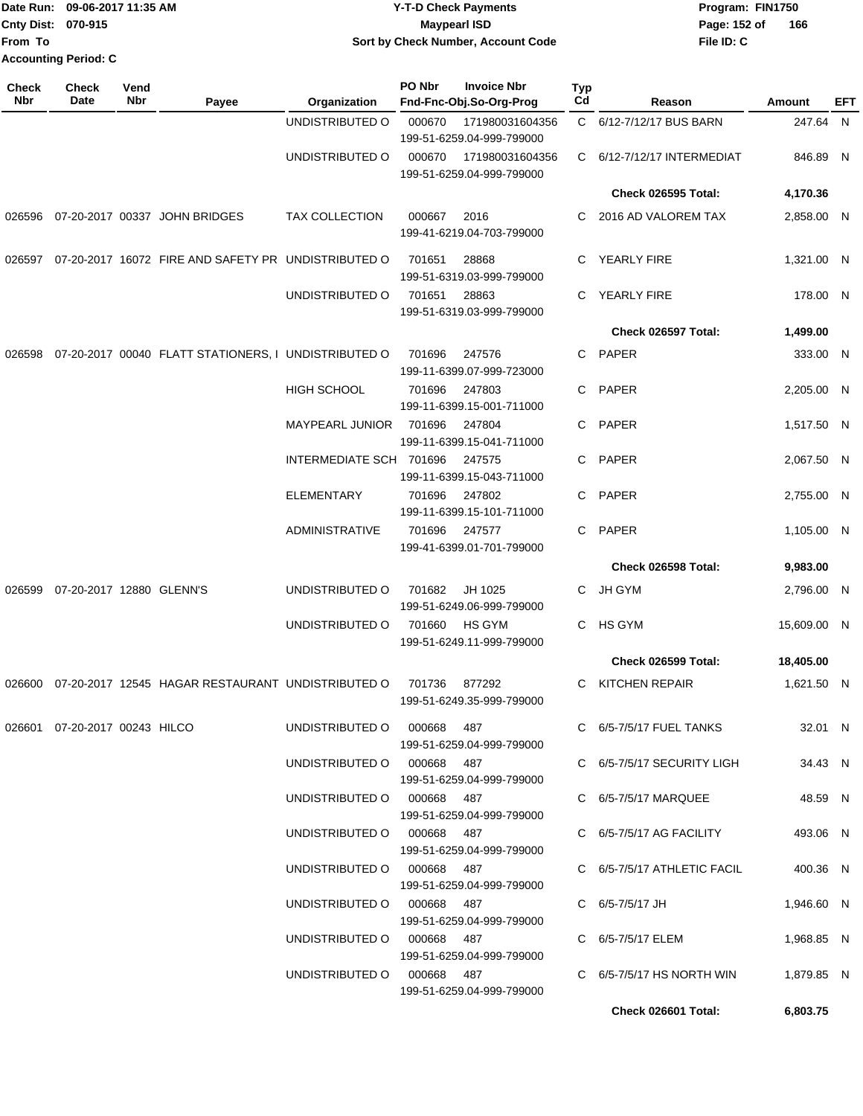|                             | Date Run: 09-06-2017 11:35 AM | <b>Y-T-D Check Payments</b>        | Program: FIN1750    |
|-----------------------------|-------------------------------|------------------------------------|---------------------|
| <b>Cnty Dist: 070-915</b>   |                               | <b>Mavpearl ISD</b>                | 166<br>Page: 152 of |
| <b>From To</b>              |                               | Sort by Check Number, Account Code | File ID: C          |
| <b>Accounting Period: C</b> |                               |                                    |                     |

| <b>Check</b><br>Nbr | Check<br>Date                 | Vend<br>Nbr | Payee                                                | Organization                                             | PO Nbr           | <b>Invoice Nbr</b><br>Fnd-Fnc-Obj.So-Org-Prog  | <b>Typ</b><br>Cd | Reason                                         | Amount                    | EFT |
|---------------------|-------------------------------|-------------|------------------------------------------------------|----------------------------------------------------------|------------------|------------------------------------------------|------------------|------------------------------------------------|---------------------------|-----|
|                     |                               |             |                                                      | UNDISTRIBUTED O                                          | 000670           | 171980031604356<br>199-51-6259.04-999-799000   |                  | C 6/12-7/12/17 BUS BARN                        | 247.64 N                  |     |
|                     |                               |             |                                                      | UNDISTRIBUTED O                                          | 000670           | 171980031604356<br>199-51-6259.04-999-799000   | C.               | 6/12-7/12/17 INTERMEDIAT                       | 846.89 N                  |     |
|                     |                               |             |                                                      |                                                          |                  |                                                |                  | Check 026595 Total:                            | 4,170.36                  |     |
|                     |                               |             | 026596 07-20-2017 00337 JOHN BRIDGES                 | <b>TAX COLLECTION</b>                                    | 000667           | 2016<br>199-41-6219.04-703-799000              | C.               | 2016 AD VALOREM TAX                            | 2,858.00 N                |     |
| 026597              |                               |             | 07-20-2017 16072 FIRE AND SAFETY PR UNDISTRIBUTED O  |                                                          | 701651           | 28868<br>199-51-6319.03-999-799000             | C.               | <b>YEARLY FIRE</b>                             | 1,321.00 N                |     |
|                     |                               |             |                                                      | UNDISTRIBUTED O                                          | 701651           | 28863<br>199-51-6319.03-999-799000             | C.               | YEARLY FIRE                                    | 178.00 N                  |     |
|                     |                               |             |                                                      |                                                          |                  |                                                |                  | Check 026597 Total:                            | 1,499.00                  |     |
| 026598              |                               |             | 07-20-2017 00040 FLATT STATIONERS, I UNDISTRIBUTED O |                                                          | 701696           | 247576<br>199-11-6399.07-999-723000            | C.               | PAPER                                          | 333.00 N                  |     |
|                     |                               |             |                                                      | <b>HIGH SCHOOL</b>                                       | 701696           | 247803<br>199-11-6399.15-001-711000            | C.               | PAPER                                          | 2,205.00 N                |     |
|                     |                               |             |                                                      | <b>MAYPEARL JUNIOR</b>                                   | 701696           | 247804<br>199-11-6399.15-041-711000            |                  | C PAPER                                        | 1,517.50 N                |     |
|                     |                               |             |                                                      | INTERMEDIATE SCH 701696                                  |                  | 247575<br>199-11-6399.15-043-711000            | C.               | PAPER                                          | 2.067.50 N                |     |
|                     |                               |             |                                                      | <b>ELEMENTARY</b>                                        | 701696           | 247802<br>199-11-6399.15-101-711000            | C.               | PAPER                                          | 2,755.00 N                |     |
|                     |                               |             |                                                      | <b>ADMINISTRATIVE</b>                                    | 701696           | 247577<br>199-41-6399.01-701-799000            |                  | C PAPER<br>Check 026598 Total:                 | 1,105.00 N                |     |
|                     |                               |             |                                                      |                                                          |                  |                                                |                  |                                                | 9,983.00                  |     |
| 026599              | 07-20-2017 12880 GLENN'S      |             |                                                      | UNDISTRIBUTED O<br>UNDISTRIBUTED O                       | 701682<br>701660 | JH 1025<br>199-51-6249.06-999-799000<br>HS GYM | C.<br>C.         | JH GYM<br>HS GYM                               | 2,796.00 N<br>15,609.00 N |     |
|                     |                               |             |                                                      |                                                          |                  | 199-51-6249.11-999-799000                      |                  | Check 026599 Total:                            | 18,405.00                 |     |
| 026600              |                               |             | 07-20-2017 12545 HAGAR RESTAURANT UNDISTRIBUTED O    |                                                          |                  |                                                |                  |                                                |                           |     |
|                     |                               |             |                                                      |                                                          | 701736           | 877292<br>199-51-6249.35-999-799000            | C                | KITCHEN REPAIR                                 | 1,621.50 N                |     |
|                     | 026601 07-20-2017 00243 HILCO |             |                                                      | UNDISTRIBUTED O 000668 487                               |                  | 199-51-6259.04-999-799000                      |                  | C 6/5-7/5/17 FUEL TANKS                        | 32.01 N                   |     |
|                     |                               |             |                                                      | UNDISTRIBUTED O 000668 487                               |                  | 199-51-6259.04-999-799000                      |                  | C 6/5-7/5/17 SECURITY LIGH                     | 34.43 N                   |     |
|                     |                               |             |                                                      | UNDISTRIBUTED O 000668 487                               |                  | 199-51-6259.04-999-799000                      |                  | C 6/5-7/5/17 MARQUEE                           | 48.59 N                   |     |
|                     |                               |             |                                                      | UNDISTRIBUTED O 000668 487                               |                  | 199-51-6259.04-999-799000                      |                  | C 6/5-7/5/17 AG FACILITY                       | 493.06 N                  |     |
|                     |                               |             |                                                      | UNDISTRIBUTED O 000668 487<br>UNDISTRIBUTED O 000668 487 |                  | 199-51-6259.04-999-799000                      |                  | C 6/5-7/5/17 ATHLETIC FACIL<br>C 6/5-7/5/17 JH | 400.36 N<br>1,946.60 N    |     |
|                     |                               |             |                                                      | UNDISTRIBUTED O 000668 487                               |                  | 199-51-6259.04-999-799000                      |                  | C 6/5-7/5/17 ELEM                              | 1,968.85 N                |     |
|                     |                               |             |                                                      | UNDISTRIBUTED O 000668 487                               |                  | 199-51-6259.04-999-799000                      |                  | C $6/5-7/5/17$ HS NORTH WIN                    | 1,879.85 N                |     |
|                     |                               |             |                                                      |                                                          |                  | 199-51-6259.04-999-799000                      |                  |                                                |                           |     |
|                     |                               |             |                                                      |                                                          |                  |                                                |                  | Check 026601 Total:                            | 6,803.75                  |     |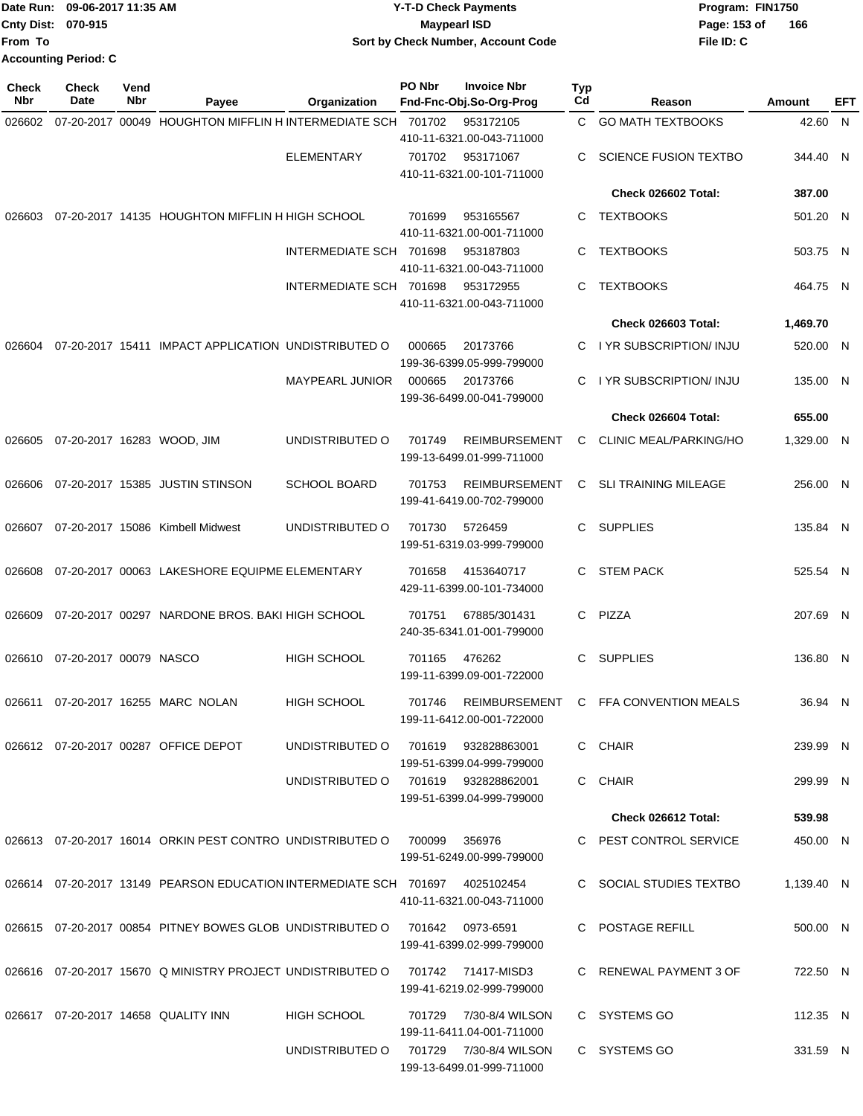|                           | Date Run: 09-06-2017 11:35 AM | <b>Y-T-D Check Payments</b>        | Program: FIN1750    |
|---------------------------|-------------------------------|------------------------------------|---------------------|
| <b>Cnty Dist: 070-915</b> |                               | <b>Mavpearl ISD</b>                | 166<br>Page: 153 of |
| lFrom To                  |                               | Sort by Check Number, Account Code | File ID: C          |
|                           | <b>Accounting Period: C</b>   |                                    |                     |

| Check<br>Nbr | <b>Check</b><br>Date   | Vend<br>Nbr | Payee                                                                        | Organization                        | PO Nbr            | <b>Invoice Nbr</b><br>Fnd-Fnc-Obj.So-Org-Prog       | Typ<br>Cd | Reason                        | Amount     | EFT |
|--------------|------------------------|-------------|------------------------------------------------------------------------------|-------------------------------------|-------------------|-----------------------------------------------------|-----------|-------------------------------|------------|-----|
| 026602       |                        |             | 07-20-2017 00049 HOUGHTON MIFFLIN H INTERMEDIATE SCH 701702                  |                                     |                   | 953172105                                           | C.        | <b>GO MATH TEXTBOOKS</b>      | 42.60 N    |     |
|              |                        |             |                                                                              |                                     |                   | 410-11-6321.00-043-711000                           |           |                               |            |     |
|              |                        |             |                                                                              | <b>ELEMENTARY</b>                   | 701702            | 953171067<br>410-11-6321.00-101-711000              | С         | <b>SCIENCE FUSION TEXTBO</b>  | 344.40 N   |     |
|              |                        |             |                                                                              |                                     |                   |                                                     |           | Check 026602 Total:           | 387.00     |     |
|              |                        |             |                                                                              |                                     |                   |                                                     |           |                               |            |     |
| 026603       |                        |             | 07-20-2017 14135 HOUGHTON MIFFLIN H HIGH SCHOOL                              |                                     | 701699            | 953165567<br>410-11-6321.00-001-711000              | С         | <b>TEXTBOOKS</b>              | 501.20 N   |     |
|              |                        |             |                                                                              | INTERMEDIATE SCH 701698             |                   | 953187803<br>410-11-6321.00-043-711000              | С         | <b>TEXTBOOKS</b>              | 503.75 N   |     |
|              |                        |             |                                                                              | INTERMEDIATE SCH 701698             |                   | 953172955<br>410-11-6321.00-043-711000              | C         | <b>TEXTBOOKS</b>              | 464.75 N   |     |
|              |                        |             |                                                                              |                                     |                   |                                                     |           | Check 026603 Total:           | 1,469.70   |     |
| 026604       |                        |             | 07-20-2017 15411 IMPACT APPLICATION UNDISTRIBUTED O                          |                                     | 000665            | 20173766<br>199-36-6399.05-999-799000               | С         | I YR SUBSCRIPTION/ INJU       | 520.00 N   |     |
|              |                        |             |                                                                              | <b>MAYPEARL JUNIOR</b>              | 000665            | 20173766<br>199-36-6499.00-041-799000               | С         | I YR SUBSCRIPTION/ INJU       | 135.00 N   |     |
|              |                        |             |                                                                              |                                     |                   |                                                     |           | Check 026604 Total:           | 655.00     |     |
| 026605       |                        |             | 07-20-2017 16283 WOOD, JIM                                                   | UNDISTRIBUTED O                     | 701749            | <b>REIMBURSEMENT</b><br>199-13-6499.01-999-711000   | C         | <b>CLINIC MEAL/PARKING/HO</b> | 1,329.00 N |     |
| 026606       |                        |             | 07-20-2017 15385 JUSTIN STINSON                                              | <b>SCHOOL BOARD</b>                 | 701753            | <b>REIMBURSEMENT</b><br>199-41-6419.00-702-799000   | C         | <b>SLI TRAINING MILEAGE</b>   | 256.00 N   |     |
| 026607       |                        |             | 07-20-2017 15086 Kimbell Midwest                                             | UNDISTRIBUTED O                     | 701730            | 5726459                                             | C.        | <b>SUPPLIES</b>               | 135.84 N   |     |
|              |                        |             |                                                                              |                                     |                   | 199-51-6319.03-999-799000                           |           |                               |            |     |
| 026608       |                        |             | 07-20-2017 00063 LAKESHORE EQUIPME ELEMENTARY                                |                                     | 701658            | 4153640717<br>429-11-6399.00-101-734000             | С         | <b>STEM PACK</b>              | 525.54 N   |     |
| 026609       |                        |             | 07-20-2017 00297 NARDONE BROS. BAKI HIGH SCHOOL                              |                                     | 701751            | 67885/301431<br>240-35-6341.01-001-799000           |           | C PIZZA                       | 207.69 N   |     |
| 026610       | 07-20-2017 00079 NASCO |             |                                                                              | <b>HIGH SCHOOL</b>                  | 701165            | 476262<br>199-11-6399.09-001-722000                 | C         | <b>SUPPLIES</b>               | 136.80 N   |     |
| 026611       |                        |             | 07-20-2017 16255 MARC NOLAN                                                  | <b>HIGH SCHOOL</b>                  | 701746            | <b>REIMBURSEMENT</b><br>199-11-6412.00-001-722000   | C         | FFA CONVENTION MEALS          | 36.94 N    |     |
|              |                        |             | 026612  07-20-2017  00287  OFFICE DEPOT                                      | UNDISTRIBUTED O                     |                   | 701619 932828863001<br>199-51-6399.04-999-799000    |           | C CHAIR                       | 239.99 N   |     |
|              |                        |             |                                                                              | UNDISTRIBUTED O 701619 932828862001 |                   | 199-51-6399.04-999-799000                           |           | C CHAIR                       | 299.99 N   |     |
|              |                        |             |                                                                              |                                     |                   |                                                     |           | Check 026612 Total:           | 539.98     |     |
|              |                        |             | 026613  07-20-2017  16014  ORKIN PEST CONTRO  UNDISTRIBUTED  0  700099       |                                     |                   | 356976<br>199-51-6249.00-999-799000                 |           | C PEST CONTROL SERVICE        | 450.00 N   |     |
|              |                        |             | 026614 07-20-2017 13149 PEARSON EDUCATION INTERMEDIATE SCH 701697 4025102454 |                                     |                   | 410-11-6321.00-043-711000                           |           | C SOCIAL STUDIES TEXTBO       | 1,139.40 N |     |
|              |                        |             | 026615  07-20-2017  00854  PITNEY BOWES GLOB    UNDISTRIBUTED    O           |                                     | 701642  0973-6591 | 199-41-6399.02-999-799000                           |           | C POSTAGE REFILL              | 500.00 N   |     |
|              |                        |             | 026616 07-20-2017 15670 Q MINISTRY PROJECT UNDISTRIBUTED O                   |                                     |                   | 701742  71417-MISD3<br>199-41-6219.02-999-799000    |           | C RENEWAL PAYMENT 3 OF        | 722.50 N   |     |
|              |                        |             | 026617  07-20-2017  14658  QUALITY INN                                       | <b>HIGH SCHOOL</b>                  | 701729            | 7/30-8/4 WILSON<br>199-11-6411.04-001-711000        |           | C SYSTEMS GO                  | 112.35 N   |     |
|              |                        |             |                                                                              | UNDISTRIBUTED O                     |                   | 701729 7/30-8/4 WILSON<br>199-13-6499.01-999-711000 |           | C SYSTEMS GO                  | 331.59 N   |     |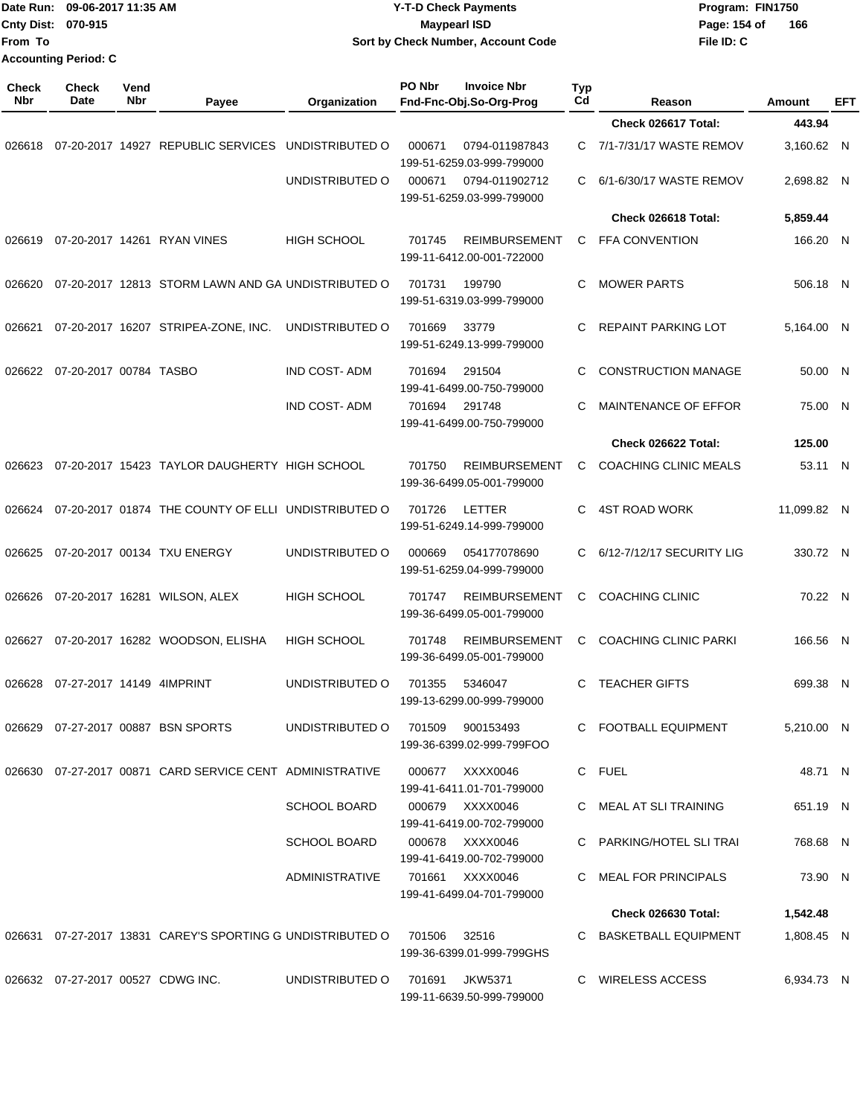| From To             | Date Run: 09-06-2017 11:35 AM<br>Cnty Dist: 070-915<br><b>Accounting Period: C</b> |             | <b>Y-T-D Check Payments</b><br><b>Maypearl ISD</b><br>Sort by Check Number, Account Code |                                  |        |                                                   | File ID: C | Program: FIN1750<br>Page: 154 of<br>166      |               |          |     |
|---------------------|------------------------------------------------------------------------------------|-------------|------------------------------------------------------------------------------------------|----------------------------------|--------|---------------------------------------------------|------------|----------------------------------------------|---------------|----------|-----|
| <b>Check</b><br>Nbr | <b>Check</b><br>Date                                                               | Vend<br>Nbr | Payee                                                                                    | Organization                     | PO Nbr | <b>Invoice Nbr</b><br>Fnd-Fnc-Obj.So-Org-Prog     | Typ<br>Cd  | Reason                                       | <b>Amount</b> |          | EFT |
|                     |                                                                                    |             |                                                                                          |                                  |        |                                                   |            | Check 026617 Total:                          |               | 443.94   |     |
| 026618              |                                                                                    |             | 07-20-2017 14927 REPUBLIC SERVICES                                                       | UNDISTRIBUTED O                  | 000671 | 0794-011987843<br>199-51-6259.03-999-799000       | C          | 7/1-7/31/17 WASTE REMOV                      | 3,160.62 N    |          |     |
|                     |                                                                                    |             |                                                                                          | UNDISTRIBUTED O                  | 000671 | 0794-011902712<br>199-51-6259.03-999-799000       | C          | 6/1-6/30/17 WASTE REMOV                      | 2,698.82 N    |          |     |
|                     |                                                                                    |             |                                                                                          |                                  |        |                                                   |            | Check 026618 Total:                          | 5,859.44      |          |     |
| 026619              |                                                                                    |             | 07-20-2017 14261 RYAN VINES                                                              | <b>HIGH SCHOOL</b>               | 701745 | <b>REIMBURSEMENT</b><br>199-11-6412.00-001-722000 | С          | <b>FFA CONVENTION</b>                        |               | 166.20 N |     |
| 026620              |                                                                                    |             | 07-20-2017 12813 STORM LAWN AND GA UNDISTRIBUTED O                                       |                                  | 701731 | 199790<br>199-51-6319.03-999-799000               | C          | <b>MOWER PARTS</b>                           |               | 506.18 N |     |
| 026621              |                                                                                    |             | 07-20-2017 16207 STRIPEA-ZONE, INC.                                                      | UNDISTRIBUTED O                  | 701669 | 33779<br>199-51-6249.13-999-799000                | C          | REPAINT PARKING LOT                          | 5,164.00 N    |          |     |
|                     | 026622 07-20-2017 00784 TASBO                                                      |             |                                                                                          | <b>IND COST-ADM</b>              | 701694 | 291504<br>199-41-6499.00-750-799000               | C          | <b>CONSTRUCTION MANAGE</b>                   |               | 50.00 N  |     |
|                     |                                                                                    |             |                                                                                          | <b>IND COST-ADM</b>              | 701694 | 291748<br>199-41-6499.00-750-799000               | C          | MAINTENANCE OF EFFOR                         |               | 75.00 N  |     |
|                     |                                                                                    |             |                                                                                          |                                  |        |                                                   |            | Check 026622 Total:                          |               | 125.00   |     |
| 026623              |                                                                                    |             | 07-20-2017 15423 TAYLOR DAUGHERTY HIGH SCHOOL                                            |                                  | 701750 | <b>REIMBURSEMENT</b><br>199-36-6499.05-001-799000 | С          | <b>COACHING CLINIC MEALS</b>                 |               | 53.11 N  |     |
| 026624              |                                                                                    |             | 07-20-2017 01874 THE COUNTY OF ELLI                                                      | UNDISTRIBUTED O                  | 701726 | LETTER<br>199-51-6249.14-999-799000               | C          | <b>4ST ROAD WORK</b>                         | 11,099.82 N   |          |     |
| 026625              |                                                                                    |             | 07-20-2017 00134 TXU ENERGY                                                              | UNDISTRIBUTED O                  | 000669 | 054177078690<br>199-51-6259.04-999-799000         | C          | 6/12-7/12/17 SECURITY LIG                    |               | 330.72 N |     |
| 026626              |                                                                                    |             | 07-20-2017 16281 WILSON, ALEX                                                            | <b>HIGH SCHOOL</b>               | 701747 | <b>REIMBURSEMENT</b><br>199-36-6499.05-001-799000 | C          | <b>COACHING CLINIC</b>                       |               | 70.22 N  |     |
|                     |                                                                                    |             | 026627 07-20-2017 16282 WOODSON, ELISHA HIGH SCHOOL                                      |                                  |        | 199-36-6499.05-001-799000                         |            | 701748 REIMBURSEMENT C COACHING CLINIC PARKI |               | 166.56 N |     |
|                     | 026628  07-27-2017  14149  4IMPRINT                                                |             |                                                                                          | UNDISTRIBUTED O 701355 5346047   |        | 199-13-6299.00-999-799000                         |            | C TEACHER GIFTS                              |               | 699.38 N |     |
|                     |                                                                                    |             | 026629  07-27-2017  00887  BSN SPORTS                                                    | UNDISTRIBUTED 0 701509 900153493 |        | 199-36-6399.02-999-799FOO                         |            | C FOOTBALL EQUIPMENT                         | 5,210.00 N    |          |     |
|                     |                                                                                    |             | 026630 07-27-2017 00871 CARD SERVICE CENT ADMINISTRATIVE                                 |                                  |        | 000677 XXXX0046<br>199-41-6411.01-701-799000      |            | C FUEL                                       |               | 48.71 N  |     |
|                     |                                                                                    |             |                                                                                          | <b>SCHOOL BOARD</b>              |        | 000679 XXXX0046<br>199-41-6419.00-702-799000      |            | C MEAL AT SLITRAINING                        |               | 651.19 N |     |
|                     |                                                                                    |             |                                                                                          | SCHOOL BOARD                     |        | 000678 XXXX0046<br>199-41-6419.00-702-799000      |            | C PARKING/HOTEL SLITRAI                      |               | 768.68 N |     |
|                     |                                                                                    |             |                                                                                          | ADMINISTRATIVE                   |        | 701661 XXXX0046<br>199-41-6499.04-701-799000      |            | C MEAL FOR PRINCIPALS                        |               | 73.90 N  |     |
|                     |                                                                                    |             |                                                                                          |                                  |        |                                                   |            | Check 026630 Total:                          | 1,542.48      |          |     |
|                     |                                                                                    |             | 026631 07-27-2017 13831 CAREY'S SPORTING G UNDISTRIBUTED O 701506 32516                  |                                  |        | 199-36-6399.01-999-799GHS                         |            | C BASKETBALL EQUIPMENT                       | 1,808.45 N    |          |     |
|                     |                                                                                    |             | 026632 07-27-2017 00527 CDWG INC.                                                        | UNDISTRIBUTED O 701691 JKW5371   |        | 199-11-6639.50-999-799000                         |            | C WIRELESS ACCESS                            | 6,934.73 N    |          |     |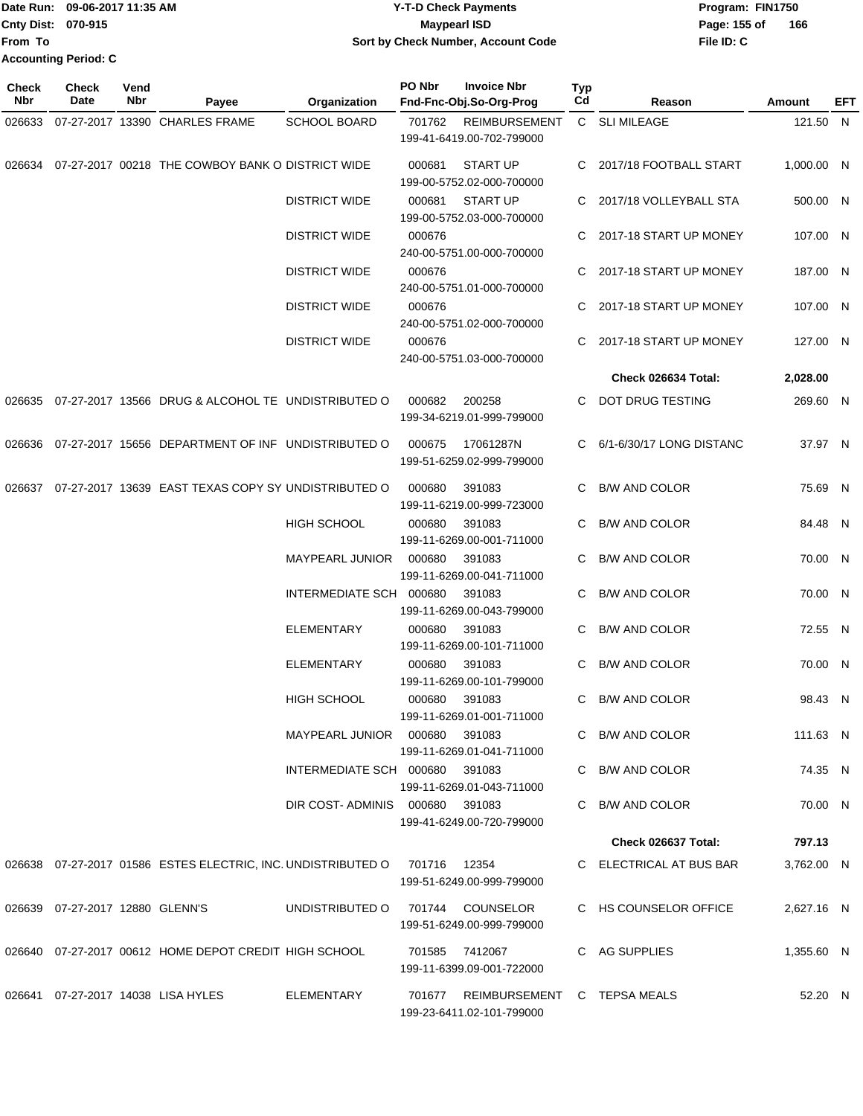|                           | Date Run: 09-06-2017 11:35 AM | <b>Y-T-D Check Payments</b>        | Program: FIN1750    |
|---------------------------|-------------------------------|------------------------------------|---------------------|
| <b>Cnty Dist: 070-915</b> |                               | <b>Mavpearl ISD</b>                | 166<br>Page: 155 of |
| <b>IFrom To</b>           |                               | Sort by Check Number, Account Code | File ID: C          |
|                           | <b>Accounting Period: C</b>   |                                    |                     |

| <b>Check</b><br>Nbr | <b>Check</b><br>Date            | Vend<br>Nbr | Payee                                                                     | Organization                     | PO Nbr | <b>Invoice Nbr</b><br>Fnd-Fnc-Obj.So-Org-Prog                   | <b>Typ</b><br>Cd | Reason                   | Amount     | EFT |
|---------------------|---------------------------------|-------------|---------------------------------------------------------------------------|----------------------------------|--------|-----------------------------------------------------------------|------------------|--------------------------|------------|-----|
|                     |                                 |             | 026633 07-27-2017 13390 CHARLES FRAME                                     | <b>SCHOOL BOARD</b>              | 701762 | <b>REIMBURSEMENT</b>                                            |                  | C SLI MILEAGE            | 121.50 N   |     |
|                     |                                 |             |                                                                           |                                  |        | 199-41-6419.00-702-799000                                       |                  |                          |            |     |
|                     |                                 |             | 026634 07-27-2017 00218 THE COWBOY BANK O DISTRICT WIDE                   |                                  | 000681 | <b>START UP</b><br>199-00-5752.02-000-700000                    |                  | 2017/18 FOOTBALL START   | 1,000.00 N |     |
|                     |                                 |             |                                                                           | <b>DISTRICT WIDE</b>             | 000681 | <b>START UP</b><br>199-00-5752.03-000-700000                    | C.               | 2017/18 VOLLEYBALL STA   | 500.00 N   |     |
|                     |                                 |             |                                                                           | <b>DISTRICT WIDE</b>             | 000676 | 240-00-5751.00-000-700000                                       |                  | C 2017-18 START UP MONEY | 107.00 N   |     |
|                     |                                 |             |                                                                           | <b>DISTRICT WIDE</b>             | 000676 | 240-00-5751.01-000-700000                                       |                  | 2017-18 START UP MONEY   | 187.00 N   |     |
|                     |                                 |             |                                                                           | <b>DISTRICT WIDE</b>             | 000676 | 240-00-5751.02-000-700000                                       |                  | C 2017-18 START UP MONEY | 107.00 N   |     |
|                     |                                 |             |                                                                           | <b>DISTRICT WIDE</b>             | 000676 | 240-00-5751.03-000-700000                                       |                  | 2017-18 START UP MONEY   | 127.00 N   |     |
|                     |                                 |             |                                                                           |                                  |        |                                                                 |                  | Check 026634 Total:      | 2,028.00   |     |
|                     |                                 |             | 026635 07-27-2017 13566 DRUG & ALCOHOL TE UNDISTRIBUTED O                 |                                  | 000682 | 200258<br>199-34-6219.01-999-799000                             | C.               | DOT DRUG TESTING         | 269.60 N   |     |
|                     |                                 |             | 026636 07-27-2017 15656 DEPARTMENT OF INF UNDISTRIBUTED O                 |                                  | 000675 | 17061287N<br>199-51-6259.02-999-799000                          |                  | 6/1-6/30/17 LONG DISTANC | 37.97 N    |     |
|                     |                                 |             | 026637 07-27-2017 13639 EAST TEXAS COPY SY UNDISTRIBUTED O                |                                  | 000680 | 391083<br>199-11-6219.00-999-723000                             | C.               | B/W AND COLOR            | 75.69 N    |     |
|                     |                                 |             |                                                                           | <b>HIGH SCHOOL</b>               | 000680 | 391083<br>199-11-6269.00-001-711000                             |                  | B/W AND COLOR            | 84.48 N    |     |
|                     |                                 |             |                                                                           | <b>MAYPEARL JUNIOR</b>           | 000680 | 391083<br>199-11-6269.00-041-711000                             | C.               | <b>B/W AND COLOR</b>     | 70.00 N    |     |
|                     |                                 |             |                                                                           | INTERMEDIATE SCH 000680          |        | 391083<br>199-11-6269.00-043-799000                             | C.               | <b>B/W AND COLOR</b>     | 70.00 N    |     |
|                     |                                 |             |                                                                           | <b>ELEMENTARY</b>                | 000680 | 391083<br>199-11-6269.00-101-711000                             | C.               | <b>B/W AND COLOR</b>     | 72.55 N    |     |
|                     |                                 |             |                                                                           | <b>ELEMENTARY</b>                | 000680 | 391083<br>199-11-6269.00-101-799000                             |                  | <b>B/W AND COLOR</b>     | 70.00 N    |     |
|                     |                                 |             |                                                                           | <b>HIGH SCHOOL</b>               | 000680 | 391083<br>199-11-6269.01-001-711000                             |                  | C B/W AND COLOR          | 98.43 N    |     |
|                     |                                 |             |                                                                           | MAYPEARL JUNIOR  000680  391083  |        | 199-11-6269.01-041-711000                                       |                  | C B/W AND COLOR          | 111.63 N   |     |
|                     |                                 |             |                                                                           | INTERMEDIATE SCH 000680 391083   |        | 199-11-6269.01-043-711000                                       |                  | C B/W AND COLOR          | 74.35 N    |     |
|                     |                                 |             |                                                                           | DIR COST-ADMINIS 000680 391083   |        | 199-41-6249.00-720-799000                                       |                  | C B/W AND COLOR          | 70.00 N    |     |
|                     |                                 |             |                                                                           |                                  |        |                                                                 |                  | Check 026637 Total:      | 797.13     |     |
|                     |                                 |             | 026638 07-27-2017 01586 ESTES ELECTRIC, INC. UNDISTRIBUTED O 701716 12354 |                                  |        | 199-51-6249.00-999-799000                                       |                  | C ELECTRICAL AT BUS BAR  | 3,762.00 N |     |
|                     | 026639 07-27-2017 12880 GLENN'S |             |                                                                           | UNDISTRIBUTED O 701744 COUNSELOR |        | 199-51-6249.00-999-799000                                       |                  | C HS COUNSELOR OFFICE    | 2,627.16 N |     |
|                     |                                 |             |                                                                           |                                  |        | 701585 7412067<br>199-11-6399.09-001-722000                     |                  | C AG SUPPLIES            | 1,355.60 N |     |
|                     |                                 |             | 026641 07-27-2017 14038 LISA HYLES                                        | ELEMENTARY                       |        | 701677 REIMBURSEMENT C TEPSA MEALS<br>199-23-6411.02-101-799000 |                  |                          | 52.20 N    |     |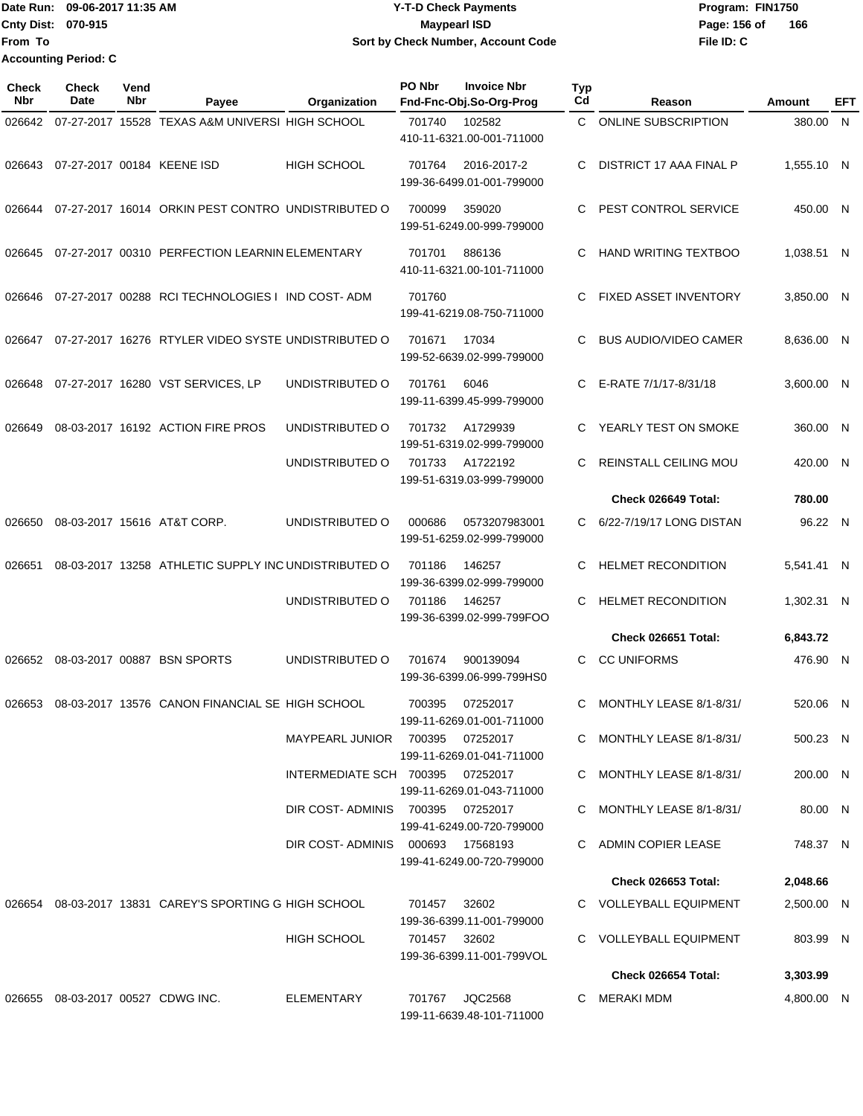Date Run: 09-06-2017 11:35 AM **CONTEX 100 CONTEX 12 T-D** Check Payments **CONTEX 12 T-D Check Payments** Program: FIN1750 **Cnty Dist: 070-915 From To Y-T-D Check Payments 070-915 Maypearl ISD Sort by Check Number, Account Code Accounting Period: C**

**File ID: C** Page: 156 of 166

| <b>Check</b><br><b>Nbr</b> | Check<br>Date                     | Vend<br>Nbr | Payee                                                  | Organization                     | PO Nbr       | <b>Invoice Nbr</b><br>Fnd-Fnc-Obj.So-Org-Prog | Typ<br>Cd | Reason                       | Amount     | EFT |
|----------------------------|-----------------------------------|-------------|--------------------------------------------------------|----------------------------------|--------------|-----------------------------------------------|-----------|------------------------------|------------|-----|
| 026642                     |                                   |             | 07-27-2017 15528 TEXAS A&M UNIVERSI HIGH SCHOOL        |                                  | 701740       | 102582<br>410-11-6321.00-001-711000           | C.        | <b>ONLINE SUBSCRIPTION</b>   | 380.00 N   |     |
| 026643                     |                                   |             | 07-27-2017 00184 KEENE ISD                             | <b>HIGH SCHOOL</b>               | 701764       | 2016-2017-2<br>199-36-6499.01-001-799000      | C         | DISTRICT 17 AAA FINAL P      | 1,555.10 N |     |
| 026644                     |                                   |             | 07-27-2017 16014 ORKIN PEST CONTRO UNDISTRIBUTED O     |                                  | 700099       | 359020<br>199-51-6249.00-999-799000           | C         | PEST CONTROL SERVICE         | 450.00 N   |     |
| 026645                     |                                   |             | 07-27-2017 00310 PERFECTION LEARNIN ELEMENTARY         |                                  | 701701       | 886136<br>410-11-6321.00-101-711000           | C         | HAND WRITING TEXTBOO         | 1,038.51 N |     |
| 026646                     |                                   |             | 07-27-2017 00288 RCI TECHNOLOGIES I IND COST-ADM       |                                  | 701760       | 199-41-6219.08-750-711000                     | C         | <b>FIXED ASSET INVENTORY</b> | 3,850.00 N |     |
| 026647                     |                                   |             | 07-27-2017 16276 RTYLER VIDEO SYSTE UNDISTRIBUTED O    |                                  | 701671       | 17034<br>199-52-6639.02-999-799000            | C         | <b>BUS AUDIO/VIDEO CAMER</b> | 8,636.00 N |     |
| 026648                     |                                   |             | 07-27-2017 16280 VST SERVICES, LP                      | UNDISTRIBUTED O                  | 701761       | 6046<br>199-11-6399.45-999-799000             | C         | E-RATE 7/1/17-8/31/18        | 3.600.00 N |     |
| 026649                     |                                   |             | 08-03-2017 16192 ACTION FIRE PROS                      | UNDISTRIBUTED O                  | 701732       | A1729939<br>199-51-6319.02-999-799000         | C         | YEARLY TEST ON SMOKE         | 360.00 N   |     |
|                            |                                   |             |                                                        | UNDISTRIBUTED O                  | 701733       | A1722192<br>199-51-6319.03-999-799000         | C         | <b>REINSTALL CEILING MOU</b> | 420.00 N   |     |
|                            |                                   |             |                                                        |                                  |              |                                               |           | Check 026649 Total:          | 780.00     |     |
| 026650                     |                                   |             | 08-03-2017 15616 AT&T CORP.                            | UNDISTRIBUTED O                  | 000686       | 0573207983001<br>199-51-6259.02-999-799000    | C.        | 6/22-7/19/17 LONG DISTAN     | 96.22 N    |     |
| 026651                     |                                   |             | 08-03-2017 13258 ATHLETIC SUPPLY INC UNDISTRIBUTED O   |                                  | 701186       | 146257<br>199-36-6399.02-999-799000           | C         | <b>HELMET RECONDITION</b>    | 5,541.41 N |     |
|                            |                                   |             |                                                        | UNDISTRIBUTED O                  | 701186       | 146257<br>199-36-6399.02-999-799FOO           | C         | <b>HELMET RECONDITION</b>    | 1,302.31 N |     |
|                            |                                   |             |                                                        |                                  |              |                                               |           | Check 026651 Total:          | 6,843.72   |     |
|                            |                                   |             | 026652 08-03-2017 00887 BSN SPORTS                     | UNDISTRIBUTED O                  | 701674       | 900139094<br>199-36-6399.06-999-799HS0        | C         | <b>CC UNIFORMS</b>           | 476.90 N   |     |
| 026653                     |                                   |             | 08-03-2017 13576 CANON FINANCIAL SE HIGH SCHOOL        |                                  | 700395       | 07252017<br>199-11-6269.01-001-711000         |           | C MONTHLY LEASE 8/1-8/31/    | 520.06 N   |     |
|                            |                                   |             |                                                        | MAYPEARL JUNIOR 700395 07252017  |              | 199-11-6269.01-041-711000                     |           | C MONTHLY LEASE 8/1-8/31/    | 500.23 N   |     |
|                            |                                   |             |                                                        | INTERMEDIATE SCH 700395 07252017 |              | 199-11-6269.01-043-711000                     |           | C MONTHLY LEASE 8/1-8/31/    | 200.00 N   |     |
|                            |                                   |             |                                                        | DIR COST-ADMINIS 700395 07252017 |              | 199-41-6249.00-720-799000                     |           | C MONTHLY LEASE 8/1-8/31/    | 80.00 N    |     |
|                            |                                   |             |                                                        | DIR COST-ADMINIS 000693 17568193 |              | 199-41-6249.00-720-799000                     |           | C ADMIN COPIER LEASE         | 748.37 N   |     |
|                            |                                   |             |                                                        |                                  |              |                                               |           | Check 026653 Total:          | 2,048.66   |     |
|                            |                                   |             | 026654 08-03-2017 13831 CAREY'S SPORTING G HIGH SCHOOL |                                  | 701457 32602 | 199-36-6399.11-001-799000                     |           | C VOLLEYBALL EQUIPMENT       | 2,500.00 N |     |
|                            |                                   |             |                                                        | <b>HIGH SCHOOL</b>               | 701457 32602 | 199-36-6399.11-001-799VOL                     |           | C VOLLEYBALL EQUIPMENT       | 803.99 N   |     |
|                            |                                   |             |                                                        |                                  |              |                                               |           | Check 026654 Total:          | 3,303.99   |     |
|                            | 026655 08-03-2017 00527 CDWG INC. |             |                                                        | ELEMENTARY                       |              | 701767 JQC2568<br>199-11-6639.48-101-711000   |           | C MERAKI MDM                 | 4,800.00 N |     |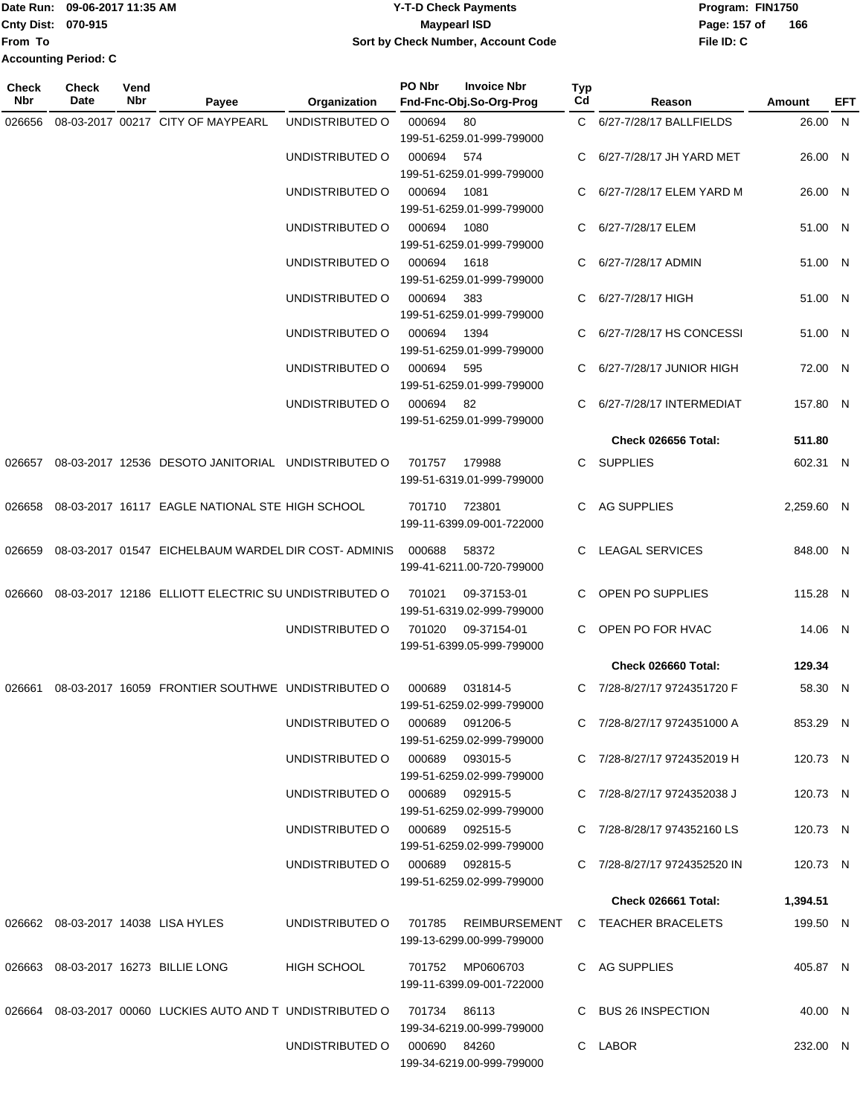|                             | Date Run: 09-06-2017 11:35 AM | <b>Y-T-D Check Payments</b>        | Program: FIN1750    |
|-----------------------------|-------------------------------|------------------------------------|---------------------|
| <b>Cnty Dist: 070-915</b>   |                               | <b>Mavpearl ISD</b>                | 166<br>Page: 157 of |
| <b>From To</b>              |                               | Sort by Check Number, Account Code | File ID: C          |
| <b>Accounting Period: C</b> |                               |                                    |                     |

| Check<br><b>Nbr</b> | <b>Check</b><br>Date | Vend<br>Nbr | Payee                                                                   | Organization                    | PO Nbr | <b>Invoice Nbr</b><br>Fnd-Fnc-Obj.So-Org-Prog | Typ<br>Cd | Reason                                                   | Amount     | EFT |
|---------------------|----------------------|-------------|-------------------------------------------------------------------------|---------------------------------|--------|-----------------------------------------------|-----------|----------------------------------------------------------|------------|-----|
| 026656              |                      |             | 08-03-2017 00217 CITY OF MAYPEARL                                       | UNDISTRIBUTED O                 | 000694 | 80                                            |           | C 6/27-7/28/17 BALLFIELDS                                | 26.00 N    |     |
|                     |                      |             |                                                                         |                                 |        | 199-51-6259.01-999-799000                     |           |                                                          |            |     |
|                     |                      |             |                                                                         | UNDISTRIBUTED O                 | 000694 | 574                                           |           | 6/27-7/28/17 JH YARD MET                                 | 26.00 N    |     |
|                     |                      |             |                                                                         |                                 |        | 199-51-6259.01-999-799000                     |           |                                                          |            |     |
|                     |                      |             |                                                                         | UNDISTRIBUTED O                 | 000694 | 1081                                          |           | 6/27-7/28/17 ELEM YARD M                                 | 26.00 N    |     |
|                     |                      |             |                                                                         |                                 |        | 199-51-6259.01-999-799000                     |           |                                                          |            |     |
|                     |                      |             |                                                                         | UNDISTRIBUTED O                 | 000694 | 1080                                          | C         | 6/27-7/28/17 ELEM                                        | 51.00 N    |     |
|                     |                      |             |                                                                         |                                 |        | 199-51-6259.01-999-799000                     |           |                                                          |            |     |
|                     |                      |             |                                                                         | UNDISTRIBUTED O                 | 000694 | 1618<br>199-51-6259.01-999-799000             |           | 6/27-7/28/17 ADMIN                                       | 51.00 N    |     |
|                     |                      |             |                                                                         | UNDISTRIBUTED O                 | 000694 | 383                                           | C         | 6/27-7/28/17 HIGH                                        | 51.00 N    |     |
|                     |                      |             |                                                                         |                                 |        | 199-51-6259.01-999-799000                     |           |                                                          |            |     |
|                     |                      |             |                                                                         | UNDISTRIBUTED O                 | 000694 | 1394                                          |           | 6/27-7/28/17 HS CONCESSI                                 | 51.00 N    |     |
|                     |                      |             |                                                                         |                                 |        | 199-51-6259.01-999-799000                     |           |                                                          |            |     |
|                     |                      |             |                                                                         | UNDISTRIBUTED O                 | 000694 | 595                                           |           | 6/27-7/28/17 JUNIOR HIGH                                 | 72.00 N    |     |
|                     |                      |             |                                                                         |                                 |        | 199-51-6259.01-999-799000                     |           |                                                          |            |     |
|                     |                      |             |                                                                         | UNDISTRIBUTED O                 | 000694 | -82                                           | C.        | 6/27-7/28/17 INTERMEDIAT                                 | 157.80 N   |     |
|                     |                      |             |                                                                         |                                 |        | 199-51-6259.01-999-799000                     |           |                                                          |            |     |
|                     |                      |             |                                                                         |                                 |        |                                               |           | Check 026656 Total:                                      | 511.80     |     |
| 026657              |                      |             | 08-03-2017 12536 DESOTO JANITORIAL UNDISTRIBUTED O                      |                                 | 701757 | 179988                                        | C.        | <b>SUPPLIES</b>                                          | 602.31 N   |     |
|                     |                      |             |                                                                         |                                 |        | 199-51-6319.01-999-799000                     |           |                                                          |            |     |
| 026658              |                      |             | 08-03-2017 16117 EAGLE NATIONAL STE HIGH SCHOOL                         |                                 | 701710 | 723801                                        | C         | <b>AG SUPPLIES</b>                                       | 2,259.60 N |     |
|                     |                      |             |                                                                         |                                 |        | 199-11-6399.09-001-722000                     |           |                                                          |            |     |
|                     |                      |             |                                                                         |                                 |        |                                               |           |                                                          |            |     |
| 026659              |                      |             | 08-03-2017 01547 EICHELBAUM WARDEL DIR COST-ADMINIS                     |                                 | 000688 | 58372                                         | C.        | <b>LEAGAL SERVICES</b>                                   | 848.00 N   |     |
|                     |                      |             |                                                                         |                                 |        | 199-41-6211.00-720-799000                     |           |                                                          |            |     |
| 026660              |                      |             | 08-03-2017 12186 ELLIOTT ELECTRIC SU UNDISTRIBUTED O                    |                                 | 701021 | 09-37153-01                                   | C         | <b>OPEN PO SUPPLIES</b>                                  | 115.28 N   |     |
|                     |                      |             |                                                                         |                                 |        | 199-51-6319.02-999-799000                     |           |                                                          |            |     |
|                     |                      |             |                                                                         | UNDISTRIBUTED O                 | 701020 | 09-37154-01                                   | C.        | OPEN PO FOR HVAC                                         | 14.06 N    |     |
|                     |                      |             |                                                                         |                                 |        | 199-51-6399.05-999-799000                     |           |                                                          |            |     |
|                     |                      |             |                                                                         |                                 |        |                                               |           | Check 026660 Total:                                      | 129.34     |     |
| 026661              |                      |             | 08-03-2017 16059 FRONTIER SOUTHWE UNDISTRIBUTED O                       |                                 | 000689 | 031814-5                                      | C.        | 7/28-8/27/17 9724351720 F                                | 58.30 N    |     |
|                     |                      |             |                                                                         |                                 |        | 199-51-6259.02-999-799000                     |           |                                                          |            |     |
|                     |                      |             |                                                                         | UNDISTRIBUTED O 000689          |        | 091206-5                                      |           | C 7/28-8/27/17 9724351000 A                              | 853.29 N   |     |
|                     |                      |             |                                                                         |                                 |        | 199-51-6259.02-999-799000                     |           |                                                          |            |     |
|                     |                      |             |                                                                         | UNDISTRIBUTED O 000689 093015-5 |        |                                               |           | C 7/28-8/27/17 9724352019 H                              | 120.73 N   |     |
|                     |                      |             |                                                                         |                                 |        | 199-51-6259.02-999-799000                     |           |                                                          |            |     |
|                     |                      |             |                                                                         | UNDISTRIBUTED O 000689 092915-5 |        | 199-51-6259.02-999-799000                     |           | C 7/28-8/27/17 9724352038 J                              | 120.73 N   |     |
|                     |                      |             |                                                                         | UNDISTRIBUTED O 000689 092515-5 |        |                                               |           | C 7/28-8/28/17 974352160 LS                              | 120.73 N   |     |
|                     |                      |             |                                                                         |                                 |        | 199-51-6259.02-999-799000                     |           |                                                          |            |     |
|                     |                      |             |                                                                         | UNDISTRIBUTED O 000689 092815-5 |        |                                               |           | C 7/28-8/27/17 9724352520 IN                             | 120.73 N   |     |
|                     |                      |             |                                                                         |                                 |        | 199-51-6259.02-999-799000                     |           |                                                          |            |     |
|                     |                      |             |                                                                         |                                 |        |                                               |           | Check 026661 Total:                                      | 1,394.51   |     |
|                     |                      |             | 026662 08-03-2017 14038 LISA HYLES                                      |                                 |        |                                               |           | UNDISTRIBUTED O 701785 REIMBURSEMENT C TEACHER BRACELETS | 199.50 N   |     |
|                     |                      |             |                                                                         |                                 |        | 199-13-6299.00-999-799000                     |           |                                                          |            |     |
|                     |                      |             |                                                                         |                                 |        |                                               |           |                                                          |            |     |
|                     |                      |             | 026663 08-03-2017 16273 BILLIE LONG                                     | HIGH SCHOOL                     |        | 701752 MP0606703                              |           | C AG SUPPLIES                                            | 405.87 N   |     |
|                     |                      |             |                                                                         |                                 |        | 199-11-6399.09-001-722000                     |           |                                                          |            |     |
|                     |                      |             | 026664 08-03-2017 00060 LUCKIES AUTO AND T UNDISTRIBUTED O 701734 86113 |                                 |        |                                               |           | C BUS 26 INSPECTION                                      | 40.00 N    |     |
|                     |                      |             |                                                                         |                                 |        | 199-34-6219.00-999-799000                     |           |                                                          |            |     |
|                     |                      |             |                                                                         | UNDISTRIBUTED O 000690 84260    |        |                                               |           | C LABOR                                                  | 232.00 N   |     |
|                     |                      |             |                                                                         |                                 |        | 199-34-6219.00-999-799000                     |           |                                                          |            |     |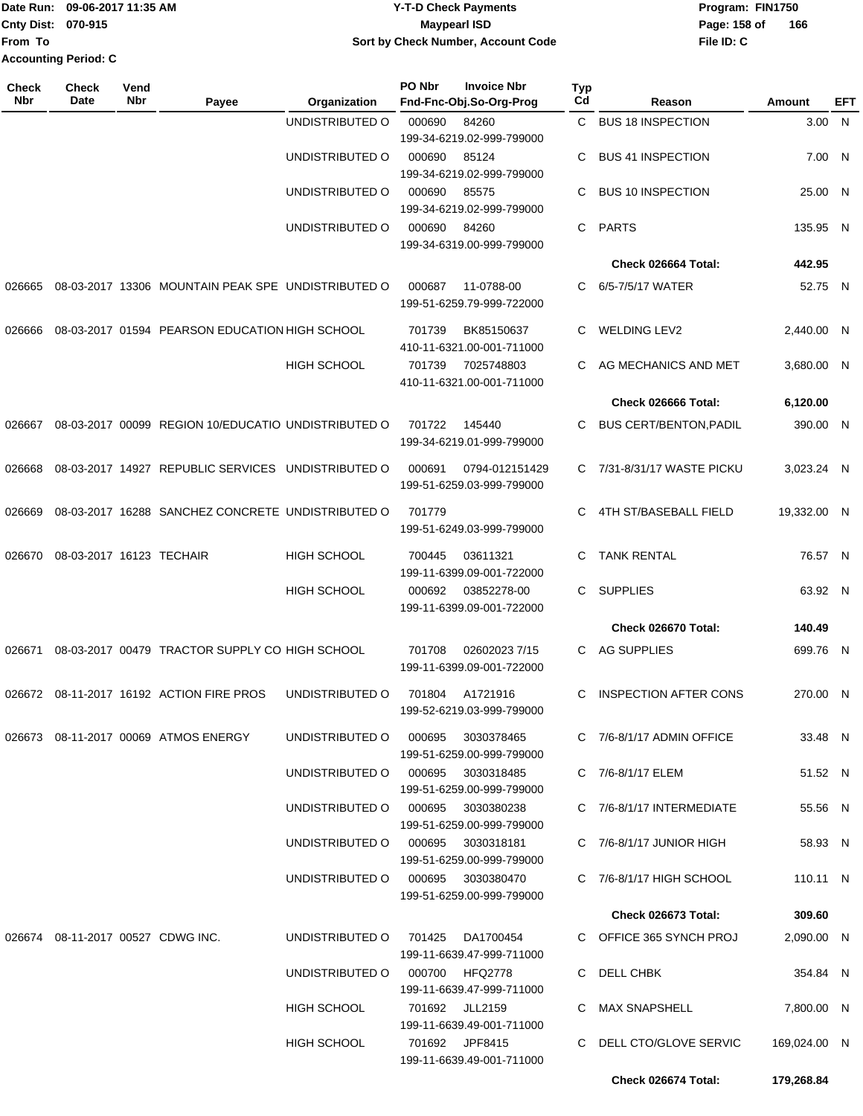|                           | Date Run: 09-06-2017 11:35 AM | <b>Y-T-D Check Payments</b>        | Program: FIN1750 |     |
|---------------------------|-------------------------------|------------------------------------|------------------|-----|
| <b>Cnty Dist: 070-915</b> |                               | <b>Mavpearl ISD</b>                | Page: 158 of     | 166 |
| <b>From To</b>            |                               | Sort by Check Number, Account Code | File ID: C       |     |
|                           | <b>Accounting Period: C</b>   |                                    |                  |     |

| <b>Check</b><br>Nbr | <b>Check</b><br>Date     | Vend<br>Nbr | Payee                                               | Organization                      | PO Nbr | <b>Invoice Nbr</b><br>Fnd-Fnc-Obj.So-Org-Prog | <b>Typ</b><br>Cd | Reason                        | Amount       | EFT |
|---------------------|--------------------------|-------------|-----------------------------------------------------|-----------------------------------|--------|-----------------------------------------------|------------------|-------------------------------|--------------|-----|
|                     |                          |             |                                                     | UNDISTRIBUTED O                   | 000690 | 84260                                         | C.               | <b>BUS 18 INSPECTION</b>      | 3.00 N       |     |
|                     |                          |             |                                                     |                                   |        | 199-34-6219.02-999-799000                     |                  |                               |              |     |
|                     |                          |             |                                                     | UNDISTRIBUTED O                   | 000690 | 85124                                         | C                | <b>BUS 41 INSPECTION</b>      | 7.00 N       |     |
|                     |                          |             |                                                     |                                   |        | 199-34-6219.02-999-799000                     |                  |                               |              |     |
|                     |                          |             |                                                     | UNDISTRIBUTED O                   | 000690 | 85575                                         | C                | <b>BUS 10 INSPECTION</b>      | 25.00 N      |     |
|                     |                          |             |                                                     |                                   |        | 199-34-6219.02-999-799000                     |                  |                               |              |     |
|                     |                          |             |                                                     | UNDISTRIBUTED O                   | 000690 | 84260                                         | C                | <b>PARTS</b>                  | 135.95 N     |     |
|                     |                          |             |                                                     |                                   |        | 199-34-6319.00-999-799000                     |                  |                               |              |     |
|                     |                          |             |                                                     |                                   |        |                                               |                  | Check 026664 Total:           | 442.95       |     |
| 026665              |                          |             | 08-03-2017 13306 MOUNTAIN PEAK SPE UNDISTRIBUTED O  |                                   | 000687 | 11-0788-00<br>199-51-6259.79-999-722000       | C                | 6/5-7/5/17 WATER              | 52.75 N      |     |
| 026666              |                          |             | 08-03-2017 01594 PEARSON EDUCATION HIGH SCHOOL      |                                   | 701739 | BK85150637<br>410-11-6321.00-001-711000       | C                | <b>WELDING LEV2</b>           | 2,440.00 N   |     |
|                     |                          |             |                                                     | <b>HIGH SCHOOL</b>                | 701739 | 7025748803<br>410-11-6321.00-001-711000       | C                | AG MECHANICS AND MET          | 3,680.00 N   |     |
|                     |                          |             |                                                     |                                   |        |                                               |                  | Check 026666 Total:           | 6,120.00     |     |
| 026667              |                          |             | 08-03-2017 00099 REGION 10/EDUCATIO UNDISTRIBUTED O |                                   | 701722 | 145440                                        | C                | <b>BUS CERT/BENTON, PADIL</b> | 390.00 N     |     |
|                     |                          |             |                                                     |                                   |        | 199-34-6219.01-999-799000                     |                  |                               |              |     |
| 026668              |                          |             | 08-03-2017 14927 REPUBLIC SERVICES UNDISTRIBUTED O  |                                   | 000691 | 0794-012151429<br>199-51-6259.03-999-799000   |                  | C 7/31-8/31/17 WASTE PICKU    | 3,023.24 N   |     |
| 026669              |                          |             | 08-03-2017 16288 SANCHEZ CONCRETE UNDISTRIBUTED O   |                                   | 701779 | 199-51-6249.03-999-799000                     | C                | 4TH ST/BASEBALL FIELD         | 19,332.00 N  |     |
| 026670              | 08-03-2017 16123 TECHAIR |             |                                                     | <b>HIGH SCHOOL</b>                | 700445 | 03611321<br>199-11-6399.09-001-722000         | C                | <b>TANK RENTAL</b>            | 76.57 N      |     |
|                     |                          |             |                                                     | <b>HIGH SCHOOL</b>                | 000692 | 03852278-00<br>199-11-6399.09-001-722000      | C                | <b>SUPPLIES</b>               | 63.92 N      |     |
|                     |                          |             |                                                     |                                   |        |                                               |                  | Check 026670 Total:           | 140.49       |     |
| 026671              |                          |             | 08-03-2017 00479 TRACTOR SUPPLY CO HIGH SCHOOL      |                                   | 701708 | 026020237/15                                  | C                | <b>AG SUPPLIES</b>            | 699.76 N     |     |
|                     |                          |             |                                                     |                                   |        | 199-11-6399.09-001-722000                     |                  |                               |              |     |
| 026672              |                          |             | 08-11-2017 16192 ACTION FIRE PROS                   | UNDISTRIBUTED O                   | 701804 | A1721916<br>199-52-6219.03-999-799000         | C                | <b>INSPECTION AFTER CONS</b>  | 270.00 N     |     |
| 026673              |                          |             | 08-11-2017 00069 ATMOS ENERGY                       | UNDISTRIBUTED O                   | 000695 | 3030378465<br>199-51-6259.00-999-799000       |                  | C 7/6-8/1/17 ADMIN OFFICE     | 33.48 N      |     |
|                     |                          |             |                                                     | UNDISTRIBUTED O                   | 000695 | 3030318485<br>199-51-6259.00-999-799000       |                  | C 7/6-8/1/17 ELEM             | 51.52 N      |     |
|                     |                          |             |                                                     | UNDISTRIBUTED O                   | 000695 | 3030380238<br>199-51-6259.00-999-799000       |                  | C 7/6-8/1/17 INTERMEDIATE     | 55.56 N      |     |
|                     |                          |             |                                                     | UNDISTRIBUTED O                   | 000695 | 3030318181<br>199-51-6259.00-999-799000       |                  | $C$ 7/6-8/1/17 JUNIOR HIGH    | 58.93 N      |     |
|                     |                          |             |                                                     | UNDISTRIBUTED O 000695 3030380470 |        | 199-51-6259.00-999-799000                     |                  | C 7/6-8/1/17 HIGH SCHOOL      | 110.11 N     |     |
|                     |                          |             |                                                     |                                   |        |                                               |                  | Check 026673 Total:           | 309.60       |     |
| 026674              |                          |             | 08-11-2017 00527 CDWG INC.                          | UNDISTRIBUTED O                   | 701425 | DA1700454                                     |                  | C OFFICE 365 SYNCH PROJ       | 2,090.00 N   |     |
|                     |                          |             |                                                     |                                   |        | 199-11-6639.47-999-711000                     |                  |                               |              |     |
|                     |                          |             |                                                     | UNDISTRIBUTED O                   |        | 000700 HFQ2778<br>199-11-6639.47-999-711000   |                  | C DELL CHBK                   | 354.84 N     |     |
|                     |                          |             |                                                     | HIGH SCHOOL                       |        | 701692 JLL2159<br>199-11-6639.49-001-711000   |                  | C MAX SNAPSHELL               | 7,800.00 N   |     |
|                     |                          |             |                                                     | HIGH SCHOOL                       |        | 701692 JPF8415<br>199-11-6639.49-001-711000   |                  | C DELL CTO/GLOVE SERVIC       | 169,024.00 N |     |
|                     |                          |             |                                                     |                                   |        |                                               |                  | Check 026674 Total:           | 179,268.84   |     |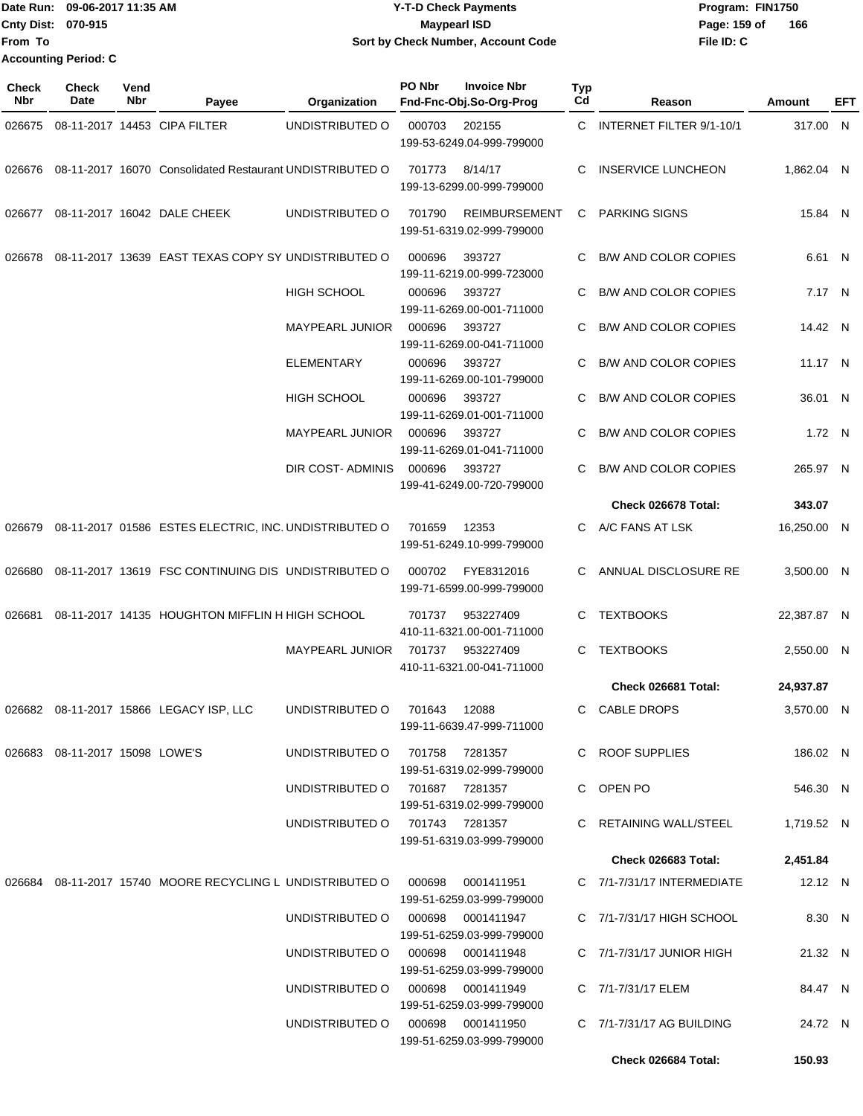|                    | Date Run: 09-06-2017 11:35 AM | <b>Y-T-D Check Payments</b>        | Program: FIN1750    |
|--------------------|-------------------------------|------------------------------------|---------------------|
| Cnty Dist: 070-915 |                               | <b>Mavpearl ISD</b>                | 166<br>Page: 159 of |
| lFrom To           |                               | Sort by Check Number, Account Code | File ID: C          |
|                    | <b>Accounting Period: C</b>   |                                    |                     |

| <b>Check</b><br><b>Nbr</b> | <b>Check</b><br>Date           | Vend<br>Nbr | Payee                                                     | Organization                      | PO Nbr | <b>Invoice Nbr</b><br>Fnd-Fnc-Obj.So-Org-Prog     | Typ<br>Cd | Reason                        | <b>Amount</b> | EFT |
|----------------------------|--------------------------------|-------------|-----------------------------------------------------------|-----------------------------------|--------|---------------------------------------------------|-----------|-------------------------------|---------------|-----|
| 026675                     |                                |             | 08-11-2017 14453 CIPA FILTER                              | UNDISTRIBUTED O                   | 000703 | 202155<br>199-53-6249.04-999-799000               |           | C INTERNET FILTER 9/1-10/1    | 317.00 N      |     |
| 026676                     |                                |             | 08-11-2017 16070 Consolidated Restaurant UNDISTRIBUTED O  |                                   | 701773 | 8/14/17<br>199-13-6299.00-999-799000              | C         | <b>INSERVICE LUNCHEON</b>     | 1,862.04 N    |     |
| 026677                     |                                |             | 08-11-2017 16042 DALE CHEEK                               | UNDISTRIBUTED O                   | 701790 | <b>REIMBURSEMENT</b><br>199-51-6319.02-999-799000 | C.        | <b>PARKING SIGNS</b>          | 15.84 N       |     |
| 026678                     |                                |             | 08-11-2017 13639 EAST TEXAS COPY SY UNDISTRIBUTED O       |                                   | 000696 | 393727<br>199-11-6219.00-999-723000               | C.        | <b>B/W AND COLOR COPIES</b>   | 6.61 N        |     |
|                            |                                |             |                                                           | <b>HIGH SCHOOL</b>                | 000696 | 393727<br>199-11-6269.00-001-711000               | C.        | <b>B/W AND COLOR COPIES</b>   | 7.17 N        |     |
|                            |                                |             |                                                           | MAYPEARL JUNIOR                   | 000696 | 393727<br>199-11-6269.00-041-711000               |           | <b>B/W AND COLOR COPIES</b>   | 14.42 N       |     |
|                            |                                |             |                                                           | <b>ELEMENTARY</b>                 | 000696 | 393727<br>199-11-6269.00-101-799000               | C.        | <b>B/W AND COLOR COPIES</b>   | 11.17 N       |     |
|                            |                                |             |                                                           | HIGH SCHOOL                       | 000696 | 393727<br>199-11-6269.01-001-711000               | C         | <b>B/W AND COLOR COPIES</b>   | 36.01 N       |     |
|                            |                                |             |                                                           | MAYPEARL JUNIOR                   | 000696 | 393727<br>199-11-6269.01-041-711000               | C.        | <b>B/W AND COLOR COPIES</b>   | 1.72 N        |     |
|                            |                                |             |                                                           | DIR COST-ADMINIS                  | 000696 | 393727<br>199-41-6249.00-720-799000               | C         | <b>B/W AND COLOR COPIES</b>   | 265.97 N      |     |
|                            |                                |             |                                                           |                                   |        |                                                   |           | Check 026678 Total:           | 343.07        |     |
| 026679                     |                                |             | 08-11-2017 01586 ESTES ELECTRIC, INC. UNDISTRIBUTED O     |                                   | 701659 | 12353<br>199-51-6249.10-999-799000                |           | C A/C FANS AT LSK             | 16,250.00 N   |     |
| 026680                     |                                |             | 08-11-2017 13619 FSC CONTINUING DIS UNDISTRIBUTED O       |                                   | 000702 | FYE8312016<br>199-71-6599.00-999-799000           | C.        | ANNUAL DISCLOSURE RE          | 3,500.00 N    |     |
| 026681                     |                                |             | 08-11-2017 14135 HOUGHTON MIFFLIN H HIGH SCHOOL           |                                   | 701737 | 953227409<br>410-11-6321.00-001-711000            | C.        | <b>TEXTBOOKS</b>              | 22,387.87 N   |     |
|                            |                                |             |                                                           | <b>MAYPEARL JUNIOR</b>            | 701737 | 953227409<br>410-11-6321.00-041-711000            | C.        | <b>TEXTBOOKS</b>              | 2,550.00 N    |     |
|                            |                                |             |                                                           |                                   |        |                                                   |           | Check 026681 Total:           | 24,937.87     |     |
|                            |                                |             | 026682 08-11-2017 15866 LEGACY ISP, LLC                   | UNDISTRIBUTED 0 701643 12088      |        | 199-11-6639.47-999-711000                         |           | <b>CABLE DROPS</b>            | 3,570.00 N    |     |
|                            | 026683 08-11-2017 15098 LOWE'S |             |                                                           | UNDISTRIBUTED O                   |        | 701758 7281357<br>199-51-6319.02-999-799000       |           | C ROOF SUPPLIES               | 186.02 N      |     |
|                            |                                |             |                                                           | UNDISTRIBUTED O 701687 7281357    |        | 199-51-6319.02-999-799000                         |           | C OPEN PO                     | 546.30 N      |     |
|                            |                                |             |                                                           | UNDISTRIBUTED 0 701743 7281357    |        | 199-51-6319.03-999-799000                         |           | C RETAINING WALL/STEEL        | 1,719.52 N    |     |
|                            |                                |             |                                                           |                                   |        |                                                   |           | Check 026683 Total:           | 2,451.84      |     |
|                            |                                |             | 026684 08-11-2017 15740 MOORE RECYCLING L UNDISTRIBUTED O |                                   | 000698 | 0001411951<br>199-51-6259.03-999-799000           |           | C 7/1-7/31/17 INTERMEDIATE    | 12.12 N       |     |
|                            |                                |             |                                                           | UNDISTRIBUTED O                   |        | 000698 0001411947<br>199-51-6259.03-999-799000    |           | C $7/1 - 7/31/17$ HIGH SCHOOL | 8.30 N        |     |
|                            |                                |             |                                                           | UNDISTRIBUTED O                   | 000698 | 0001411948<br>199-51-6259.03-999-799000           |           | C 7/1-7/31/17 JUNIOR HIGH     | 21.32 N       |     |
|                            |                                |             |                                                           | UNDISTRIBUTED O                   | 000698 | 0001411949<br>199-51-6259.03-999-799000           |           | C 7/1-7/31/17 ELEM            | 84.47 N       |     |
|                            |                                |             |                                                           | UNDISTRIBUTED O 000698 0001411950 |        | 199-51-6259.03-999-799000                         |           | C $7/1 - 7/31/17$ AG BUILDING | 24.72 N       |     |
|                            |                                |             |                                                           |                                   |        |                                                   |           | Check 026684 Total:           | 150.93        |     |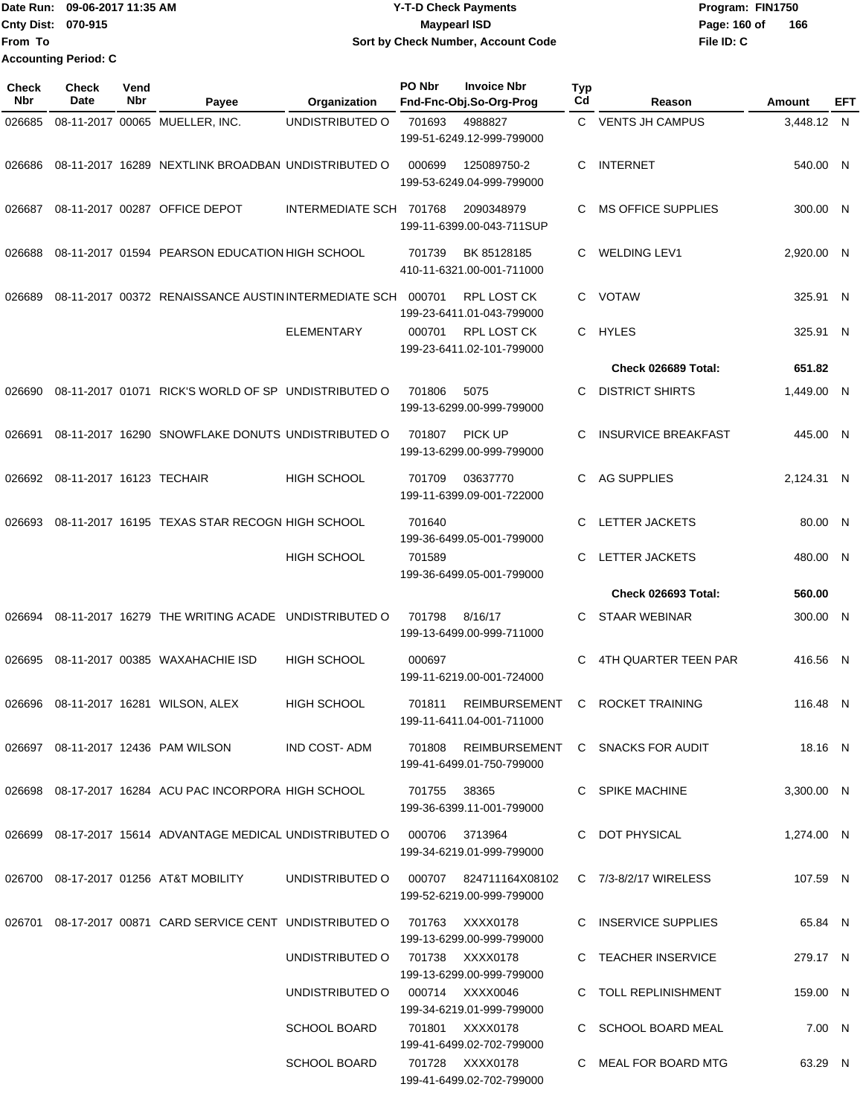|                             | Date Run: 09-06-2017 11:35 AM | <b>Y-T-D Check Payments</b>        | Program: FIN1750    |
|-----------------------------|-------------------------------|------------------------------------|---------------------|
| <b>Cnty Dist: 070-915</b>   |                               | <b>Mavpearl ISD</b>                | 166<br>Page: 160 of |
| From To                     |                               | Sort by Check Number, Account Code | File ID: C          |
| <b>Accounting Period: C</b> |                               |                                    |                     |

| Check<br>Nbr | Check<br>Date            | Vend<br>Nbr | Payee                                                                     | Organization            | PO Nbr       | <b>Invoice Nbr</b><br>Fnd-Fnc-Obj.So-Org-Prog        | Typ<br>Cd | Reason                           | Amount     | EFT          |
|--------------|--------------------------|-------------|---------------------------------------------------------------------------|-------------------------|--------------|------------------------------------------------------|-----------|----------------------------------|------------|--------------|
| 026685       |                          |             | 08-11-2017 00065 MUELLER, INC.                                            | UNDISTRIBUTED O         | 701693       | 4988827<br>199-51-6249.12-999-799000                 | C.        | <b>VENTS JH CAMPUS</b>           | 3,448.12 N |              |
| 026686       |                          |             | 08-11-2017 16289 NEXTLINK BROADBAN UNDISTRIBUTED O                        |                         | 000699       | 125089750-2<br>199-53-6249.04-999-799000             | C         | <b>INTERNET</b>                  | 540.00 N   |              |
| 026687       |                          |             | 08-11-2017 00287 OFFICE DEPOT                                             | INTERMEDIATE SCH 701768 |              | 2090348979<br>199-11-6399.00-043-711SUP              | C         | <b>MS OFFICE SUPPLIES</b>        | 300.00 N   |              |
| 026688       |                          |             | 08-11-2017 01594 PEARSON EDUCATION HIGH SCHOOL                            |                         | 701739       | BK 85128185<br>410-11-6321.00-001-711000             | С         | <b>WELDING LEV1</b>              | 2,920.00 N |              |
| 026689       |                          |             | 08-11-2017 00372 RENAISSANCE AUSTIN INTERMEDIATE SCH                      |                         | 000701       | RPL LOST CK<br>199-23-6411.01-043-799000             | C         | <b>VOTAW</b>                     | 325.91 N   |              |
|              |                          |             |                                                                           | <b>ELEMENTARY</b>       | 000701       | <b>RPL LOST CK</b><br>199-23-6411.02-101-799000      | C.        | HYLES                            | 325.91 N   |              |
|              |                          |             |                                                                           |                         |              |                                                      |           | <b>Check 026689 Total:</b>       | 651.82     |              |
| 026690       |                          |             | 08-11-2017 01071 RICK'S WORLD OF SP UNDISTRIBUTED O                       |                         | 701806       | 5075<br>199-13-6299.00-999-799000                    | C         | <b>DISTRICT SHIRTS</b>           | 1,449.00 N |              |
| 026691       |                          |             | 08-11-2017 16290 SNOWFLAKE DONUTS UNDISTRIBUTED O                         |                         | 701807       | PICK UP<br>199-13-6299.00-999-799000                 | C         | <b>INSURVICE BREAKFAST</b>       | 445.00 N   |              |
| 026692       | 08-11-2017 16123 TECHAIR |             |                                                                           | <b>HIGH SCHOOL</b>      | 701709       | 03637770<br>199-11-6399.09-001-722000                | C         | <b>AG SUPPLIES</b>               | 2,124.31 N |              |
| 026693       |                          |             | 08-11-2017 16195 TEXAS STAR RECOGN HIGH SCHOOL                            |                         | 701640       | 199-36-6499.05-001-799000                            | C         | LETTER JACKETS                   | 80.00 N    |              |
|              |                          |             |                                                                           | HIGH SCHOOL             | 701589       | 199-36-6499.05-001-799000                            | C         | LETTER JACKETS                   | 480.00 N   |              |
|              |                          |             |                                                                           |                         |              |                                                      |           | <b>Check 026693 Total:</b>       | 560.00     |              |
| 026694       |                          |             | 08-11-2017 16279 THE WRITING ACADE                                        | UNDISTRIBUTED O         | 701798       | 8/16/17<br>199-13-6499.00-999-711000                 | C         | <b>STAAR WEBINAR</b>             | 300.00     | N            |
| 026695       |                          |             | 08-11-2017 00385 WAXAHACHIE ISD                                           | HIGH SCHOOL             | 000697       | 199-11-6219.00-001-724000                            | C         | <b>4TH QUARTER TEEN PAR</b>      | 416.56     | $\mathsf{N}$ |
| 026696       |                          |             | 08-11-2017 16281 WILSON, ALEX                                             | <b>HIGH SCHOOL</b>      | 701811       | <b>REIMBURSEMENT</b><br>199-11-6411.04-001-711000    | C         | ROCKET TRAINING                  | 116.48 N   |              |
|              |                          |             | 026697 08-11-2017 12436 PAM WILSON                                        | IND COST- ADM           | 701808       | 199-41-6499.01-750-799000                            |           | REIMBURSEMENT C SNACKS FOR AUDIT | 18.16 N    |              |
|              |                          |             | 026698 08-17-2017 16284 ACU PAC INCORPORA HIGH SCHOOL                     |                         | 701755 38365 | 199-36-6399.11-001-799000                            |           | C SPIKE MACHINE                  | 3,300.00 N |              |
|              |                          |             | 026699 08-17-2017 15614 ADVANTAGE MEDICAL UNDISTRIBUTED O 000706 3713964  |                         |              | 199-34-6219.01-999-799000                            |           | C DOT PHYSICAL                   | 1,274.00 N |              |
|              |                          |             | 026700 08-17-2017 01256 AT&T MOBILITY                                     | UNDISTRIBUTED O         |              | 000707  824711164X08102<br>199-52-6219.00-999-799000 |           | C 7/3-8/2/17 WIRELESS            | 107.59 N   |              |
|              |                          |             | 026701 08-17-2017 00871 CARD SERVICE CENT UNDISTRIBUTED O 701763 XXXX0178 |                         |              | 199-13-6299.00-999-799000                            |           | C INSERVICE SUPPLIES             | 65.84 N    |              |
|              |                          |             |                                                                           | UNDISTRIBUTED O         |              | 701738 XXXX0178<br>199-13-6299.00-999-799000         |           | C TEACHER INSERVICE              | 279.17 N   |              |
|              |                          |             |                                                                           | UNDISTRIBUTED O         |              | 000714 XXXX0046<br>199-34-6219.01-999-799000         |           | C TOLL REPLINISHMENT             | 159.00 N   |              |
|              |                          |             |                                                                           | <b>SCHOOL BOARD</b>     |              | 701801 XXXX0178<br>199-41-6499.02-702-799000         |           | C SCHOOL BOARD MEAL              | 7.00 N     |              |
|              |                          |             |                                                                           | <b>SCHOOL BOARD</b>     |              | 701728 XXXX0178<br>199-41-6499.02-702-799000         |           | C MEAL FOR BOARD MTG             | 63.29 N    |              |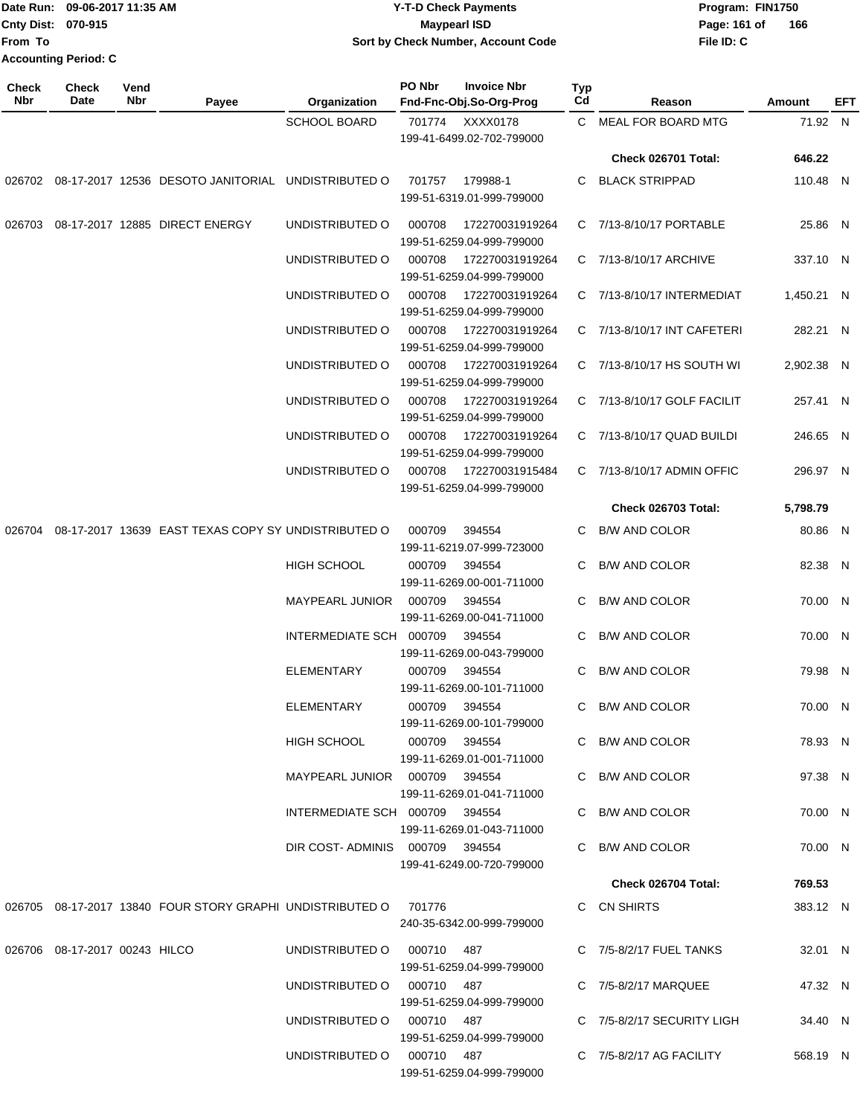|                    | 1Date Run: 09-06-2017 11:35 AM | <b>Y-T-D Check Payments</b>        | Program: FIN1750    |
|--------------------|--------------------------------|------------------------------------|---------------------|
| Cnty Dist: 070-915 |                                | <b>Mavpearl ISD</b>                | 166<br>Page: 161 of |
| lFrom To           |                                | Sort by Check Number, Account Code | File ID: C          |
|                    | <b>Accounting Period: C</b>    |                                    |                     |

| Check<br>Nbr | Check<br>Date                 | Vend<br>Nbr | Payee                                                            | Organization                   | PO Nbr | <b>Invoice Nbr</b><br>Fnd-Fnc-Obj.So-Org-Prog | Typ<br>Cd | Reason                      | Amount     | EFT |
|--------------|-------------------------------|-------------|------------------------------------------------------------------|--------------------------------|--------|-----------------------------------------------|-----------|-----------------------------|------------|-----|
|              |                               |             |                                                                  | <b>SCHOOL BOARD</b>            |        | 701774 XXXX0178<br>199-41-6499.02-702-799000  |           | C MEAL FOR BOARD MTG        | 71.92 N    |     |
|              |                               |             |                                                                  |                                |        |                                               |           | Check 026701 Total:         | 646.22     |     |
|              |                               |             | 026702 08-17-2017 12536 DESOTO JANITORIAL UNDISTRIBUTED O        |                                | 701757 | 179988-1<br>199-51-6319.01-999-799000         | C         | <b>BLACK STRIPPAD</b>       | 110.48 N   |     |
| 026703       |                               |             | 08-17-2017 12885 DIRECT ENERGY                                   | UNDISTRIBUTED O                | 000708 | 172270031919264<br>199-51-6259.04-999-799000  |           | C 7/13-8/10/17 PORTABLE     | 25.86 N    |     |
|              |                               |             |                                                                  | UNDISTRIBUTED O                | 000708 | 172270031919264<br>199-51-6259.04-999-799000  |           | C 7/13-8/10/17 ARCHIVE      | 337.10 N   |     |
|              |                               |             |                                                                  | UNDISTRIBUTED O                | 000708 | 172270031919264<br>199-51-6259.04-999-799000  |           | C 7/13-8/10/17 INTERMEDIAT  | 1,450.21 N |     |
|              |                               |             |                                                                  | UNDISTRIBUTED O                | 000708 | 172270031919264<br>199-51-6259.04-999-799000  |           | C 7/13-8/10/17 INT CAFETERI | 282.21 N   |     |
|              |                               |             |                                                                  | UNDISTRIBUTED O                | 000708 | 172270031919264<br>199-51-6259.04-999-799000  |           | C 7/13-8/10/17 HS SOUTH WI  | 2.902.38 N |     |
|              |                               |             |                                                                  | UNDISTRIBUTED O                | 000708 | 172270031919264<br>199-51-6259.04-999-799000  |           | C 7/13-8/10/17 GOLF FACILIT | 257.41 N   |     |
|              |                               |             |                                                                  | UNDISTRIBUTED O                | 000708 | 172270031919264<br>199-51-6259.04-999-799000  |           | C 7/13-8/10/17 QUAD BUILDI  | 246.65 N   |     |
|              |                               |             |                                                                  | UNDISTRIBUTED O                | 000708 | 172270031915484<br>199-51-6259.04-999-799000  |           | C 7/13-8/10/17 ADMIN OFFIC  | 296.97 N   |     |
|              |                               |             |                                                                  |                                |        |                                               |           | <b>Check 026703 Total:</b>  | 5,798.79   |     |
|              |                               |             | 026704 08-17-2017 13639 EAST TEXAS COPY SY UNDISTRIBUTED O       |                                | 000709 | 394554<br>199-11-6219.07-999-723000           | C         | <b>B/W AND COLOR</b>        | 80.86 N    |     |
|              |                               |             |                                                                  | <b>HIGH SCHOOL</b>             | 000709 | 394554<br>199-11-6269.00-001-711000           | C         | <b>B/W AND COLOR</b>        | 82.38 N    |     |
|              |                               |             |                                                                  | <b>MAYPEARL JUNIOR</b>         | 000709 | 394554<br>199-11-6269.00-041-711000           | С         | <b>B/W AND COLOR</b>        | 70.00 N    |     |
|              |                               |             |                                                                  | INTERMEDIATE SCH 000709        |        | 394554<br>199-11-6269.00-043-799000           | C         | <b>B/W AND COLOR</b>        | 70.00 N    |     |
|              |                               |             |                                                                  | <b>ELEMENTARY</b>              | 000709 | 394554<br>199-11-6269.00-101-711000           | C         | <b>B/W AND COLOR</b>        | 79.98 N    |     |
|              |                               |             |                                                                  | ELEMENTARY                     | 000709 | 394554<br>199-11-6269.00-101-799000           | C         | <b>B/W AND COLOR</b>        | 70.00 N    |     |
|              |                               |             |                                                                  | HIGH SCHOOL                    |        | 000709 394554<br>199-11-6269.01-001-711000    |           | C B/W AND COLOR             | 78.93 N    |     |
|              |                               |             |                                                                  | MAYPEARL JUNIOR 000709 394554  |        | 199-11-6269.01-041-711000                     |           | C B/W AND COLOR             | 97.38 N    |     |
|              |                               |             |                                                                  | INTERMEDIATE SCH 000709 394554 |        | 199-11-6269.01-043-711000                     |           | C B/W AND COLOR             | 70.00 N    |     |
|              |                               |             |                                                                  | DIR COST-ADMINIS 000709 394554 |        | 199-41-6249.00-720-799000                     |           | C B/W AND COLOR             | 70.00 N    |     |
|              |                               |             |                                                                  |                                |        |                                               |           | Check 026704 Total:         | 769.53     |     |
|              |                               |             | 026705 08-17-2017 13840 FOUR STORY GRAPHI UNDISTRIBUTED O 701776 |                                |        | 240-35-6342.00-999-799000                     |           | C CN SHIRTS                 | 383.12 N   |     |
|              | 026706 08-17-2017 00243 HILCO |             |                                                                  | UNDISTRIBUTED O 000710 487     |        | 199-51-6259.04-999-799000                     |           | C 7/5-8/2/17 FUEL TANKS     | 32.01 N    |     |
|              |                               |             |                                                                  | UNDISTRIBUTED O 000710 487     |        | 199-51-6259.04-999-799000                     |           | C 7/5-8/2/17 MARQUEE        | 47.32 N    |     |
|              |                               |             |                                                                  | UNDISTRIBUTED O 000710 487     |        | 199-51-6259.04-999-799000                     |           | C 7/5-8/2/17 SECURITY LIGH  | 34.40 N    |     |
|              |                               |             |                                                                  | UNDISTRIBUTED O 000710 487     |        | 199-51-6259.04-999-799000                     |           | $C$ 7/5-8/2/17 AG FACILITY  | 568.19 N   |     |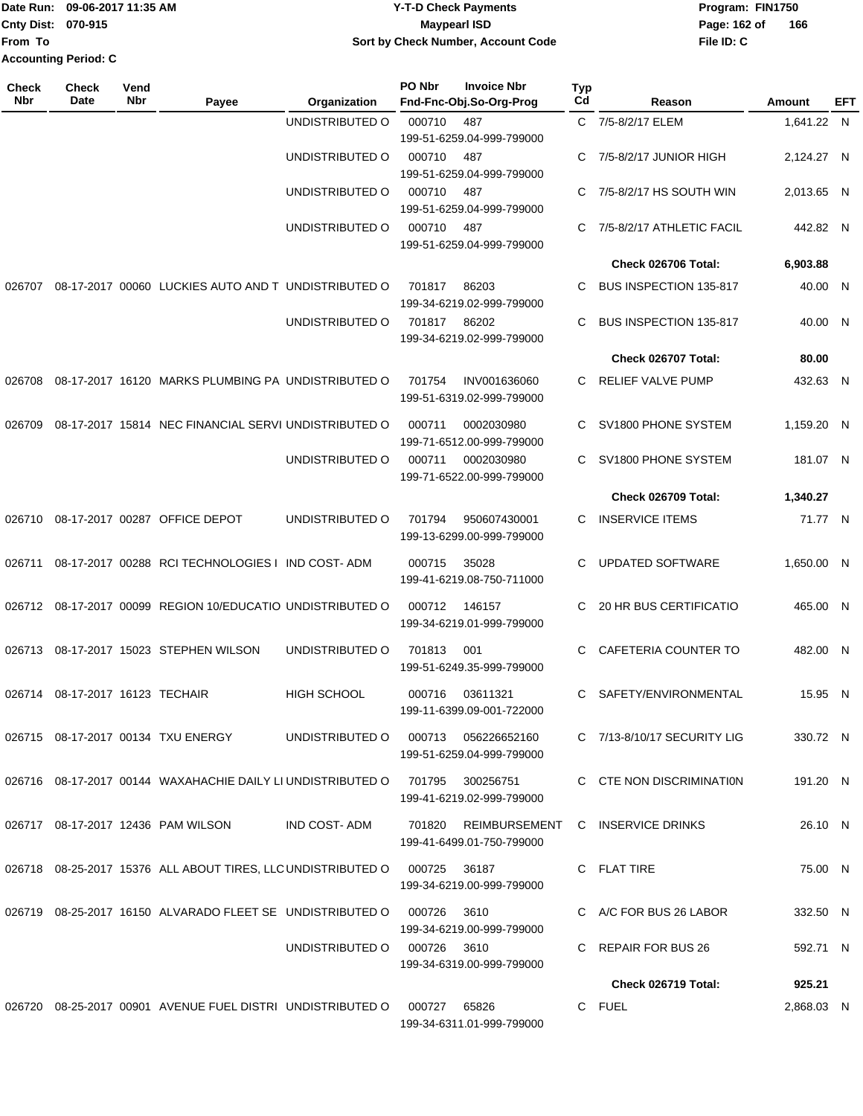|                             | Date Run: 09-06-2017 11:35 AM             | <b>Y-T-D Check Payments</b>        | Program: FIN1750    |
|-----------------------------|-------------------------------------------|------------------------------------|---------------------|
|                             | <b>Cnty Dist: 070-915</b><br>Mavpearl ISD |                                    | 166<br>Page: 162 of |
| lFrom To                    |                                           | Sort by Check Number, Account Code | File ID: C          |
| <b>Accounting Period: C</b> |                                           |                                    |                     |

| <b>Check</b><br><b>Nbr</b> | <b>Check</b><br>Date     | Vend<br>Nbr | Payee                                                        | Organization       | PO Nbr      | <b>Invoice Nbr</b><br>Fnd-Fnc-Obj.So-Org-Prog     | <b>Typ</b><br>Cd | Reason                      | Amount     | EFT |
|----------------------------|--------------------------|-------------|--------------------------------------------------------------|--------------------|-------------|---------------------------------------------------|------------------|-----------------------------|------------|-----|
|                            |                          |             |                                                              | UNDISTRIBUTED O    | 000710      | 487                                               |                  | C 7/5-8/2/17 ELEM           | 1,641.22 N |     |
|                            |                          |             |                                                              |                    |             | 199-51-6259.04-999-799000                         |                  |                             |            |     |
|                            |                          |             |                                                              | UNDISTRIBUTED O    | 000710      | 487                                               | C.               | 7/5-8/2/17 JUNIOR HIGH      | 2,124.27 N |     |
|                            |                          |             |                                                              |                    |             | 199-51-6259.04-999-799000                         |                  |                             |            |     |
|                            |                          |             |                                                              | UNDISTRIBUTED O    | 000710      | 487                                               | C.               | 7/5-8/2/17 HS SOUTH WIN     | 2,013.65 N |     |
|                            |                          |             |                                                              |                    |             | 199-51-6259.04-999-799000                         |                  |                             |            |     |
|                            |                          |             |                                                              | UNDISTRIBUTED O    | 000710      | 487                                               | C.               | 7/5-8/2/17 ATHLETIC FACIL   | 442.82 N   |     |
|                            |                          |             |                                                              |                    |             | 199-51-6259.04-999-799000                         |                  |                             |            |     |
|                            |                          |             |                                                              |                    |             |                                                   |                  | Check 026706 Total:         | 6,903.88   |     |
|                            |                          |             | 08-17-2017 00060 LUCKIES AUTO AND T UNDISTRIBUTED O          |                    |             |                                                   | C                | BUS INSPECTION 135-817      |            |     |
| 026707                     |                          |             |                                                              |                    | 701817      | 86203<br>199-34-6219.02-999-799000                |                  |                             | 40.00 N    |     |
|                            |                          |             |                                                              | UNDISTRIBUTED O    | 701817      | 86202                                             | C                | BUS INSPECTION 135-817      | 40.00 N    |     |
|                            |                          |             |                                                              |                    |             | 199-34-6219.02-999-799000                         |                  |                             |            |     |
|                            |                          |             |                                                              |                    |             |                                                   |                  |                             |            |     |
|                            |                          |             |                                                              |                    |             |                                                   |                  | Check 026707 Total:         | 80.00      |     |
| 026708                     |                          |             | 08-17-2017 16120 MARKS PLUMBING PA UNDISTRIBUTED O           |                    | 701754      | INV001636060                                      | C.               | <b>RELIEF VALVE PUMP</b>    | 432.63 N   |     |
|                            |                          |             |                                                              |                    |             | 199-51-6319.02-999-799000                         |                  |                             |            |     |
| 026709                     |                          |             | 08-17-2017 15814 NEC FINANCIAL SERVI UNDISTRIBUTED O         |                    | 000711      | 0002030980                                        | C                | SV1800 PHONE SYSTEM         | 1,159.20 N |     |
|                            |                          |             |                                                              |                    |             | 199-71-6512.00-999-799000                         |                  |                             |            |     |
|                            |                          |             |                                                              | UNDISTRIBUTED O    | 000711      | 0002030980                                        | C.               | SV1800 PHONE SYSTEM         | 181.07 N   |     |
|                            |                          |             |                                                              |                    |             | 199-71-6522.00-999-799000                         |                  |                             |            |     |
|                            |                          |             |                                                              |                    |             |                                                   |                  | Check 026709 Total:         | 1,340.27   |     |
| 026710                     |                          |             | 08-17-2017 00287 OFFICE DEPOT                                | UNDISTRIBUTED O    | 701794      | 950607430001                                      |                  | <b>INSERVICE ITEMS</b>      | 71.77 N    |     |
|                            |                          |             |                                                              |                    |             | 199-13-6299.00-999-799000                         | C                |                             |            |     |
|                            |                          |             |                                                              |                    |             |                                                   |                  |                             |            |     |
| 026711                     |                          |             | 08-17-2017 00288 RCI TECHNOLOGIES I IND COST-ADM             |                    | 000715      | 35028                                             | C.               | <b>UPDATED SOFTWARE</b>     | 1,650.00 N |     |
|                            |                          |             |                                                              |                    |             | 199-41-6219.08-750-711000                         |                  |                             |            |     |
| 026712                     |                          |             | 08-17-2017 00099 REGION 10/EDUCATIO UNDISTRIBUTED O          |                    | 000712      | 146157                                            | C.               | 20 HR BUS CERTIFICATIO      | 465.00 N   |     |
|                            |                          |             |                                                              |                    |             | 199-34-6219.01-999-799000                         |                  |                             |            |     |
|                            |                          |             |                                                              |                    |             |                                                   |                  |                             |            |     |
| 026713                     |                          |             | 08-17-2017 15023 STEPHEN WILSON                              | UNDISTRIBUTED O    | 701813      | 001                                               | C.               | CAFETERIA COUNTER TO        | 482.00 N   |     |
|                            |                          |             |                                                              |                    |             | 199-51-6249.35-999-799000                         |                  |                             |            |     |
| 026714                     | 08-17-2017 16123 TECHAIR |             |                                                              | <b>HIGH SCHOOL</b> | 000716      | 03611321                                          | C                | SAFETY/ENVIRONMENTAL        | 15.95 N    |     |
|                            |                          |             |                                                              |                    |             | 199-11-6399.09-001-722000                         |                  |                             |            |     |
|                            |                          |             |                                                              |                    |             |                                                   |                  |                             |            |     |
|                            |                          |             | 026715 08-17-2017 00134 TXU ENERGY                           | UNDISTRIBUTED O    | 000713      | 056226652160                                      |                  | C 7/13-8/10/17 SECURITY LIG | 330.72 N   |     |
|                            |                          |             |                                                              |                    |             | 199-51-6259.04-999-799000                         |                  |                             |            |     |
|                            |                          |             | 026716 08-17-2017 00144 WAXAHACHIE DAILY LI UNDISTRIBUTED O  |                    |             | 701795 300256751                                  |                  | C CTE NON DISCRIMINATION    | 191.20 N   |     |
|                            |                          |             |                                                              |                    |             | 199-41-6219.02-999-799000                         |                  |                             |            |     |
|                            |                          |             |                                                              |                    |             |                                                   |                  |                             |            |     |
|                            |                          |             | 026717 08-17-2017 12436 PAM WILSON                           | IND COST-ADM       |             | 701820 REIMBURSEMENT<br>199-41-6499.01-750-799000 |                  | C INSERVICE DRINKS          | 26.10 N    |     |
|                            |                          |             |                                                              |                    |             |                                                   |                  |                             |            |     |
|                            |                          |             | 026718 08-25-2017 15376 ALL ABOUT TIRES, LLC UNDISTRIBUTED O |                    | 000725      | 36187                                             |                  | C FLAT TIRE                 | 75.00 N    |     |
|                            |                          |             |                                                              |                    |             | 199-34-6219.00-999-799000                         |                  |                             |            |     |
|                            |                          |             | 026719 08-25-2017 16150 ALVARADO FLEET SE UNDISTRIBUTED O    |                    | 000726      | 3610                                              |                  | C A/C FOR BUS 26 LABOR      | 332.50 N   |     |
|                            |                          |             |                                                              |                    |             | 199-34-6219.00-999-799000                         |                  |                             |            |     |
|                            |                          |             |                                                              | UNDISTRIBUTED O    | 000726 3610 |                                                   |                  | C REPAIR FOR BUS 26         | 592.71 N   |     |
|                            |                          |             |                                                              |                    |             | 199-34-6319.00-999-799000                         |                  |                             |            |     |
|                            |                          |             |                                                              |                    |             |                                                   |                  | Check 026719 Total:         | 925.21     |     |
|                            |                          |             |                                                              |                    |             |                                                   |                  |                             |            |     |
|                            |                          |             | 026720 08-25-2017 00901 AVENUE FUEL DISTRI UNDISTRIBUTED O   |                    | 000727      | 65826                                             |                  | C FUEL                      | 2,868.03 N |     |
|                            |                          |             |                                                              |                    |             | 199-34-6311.01-999-799000                         |                  |                             |            |     |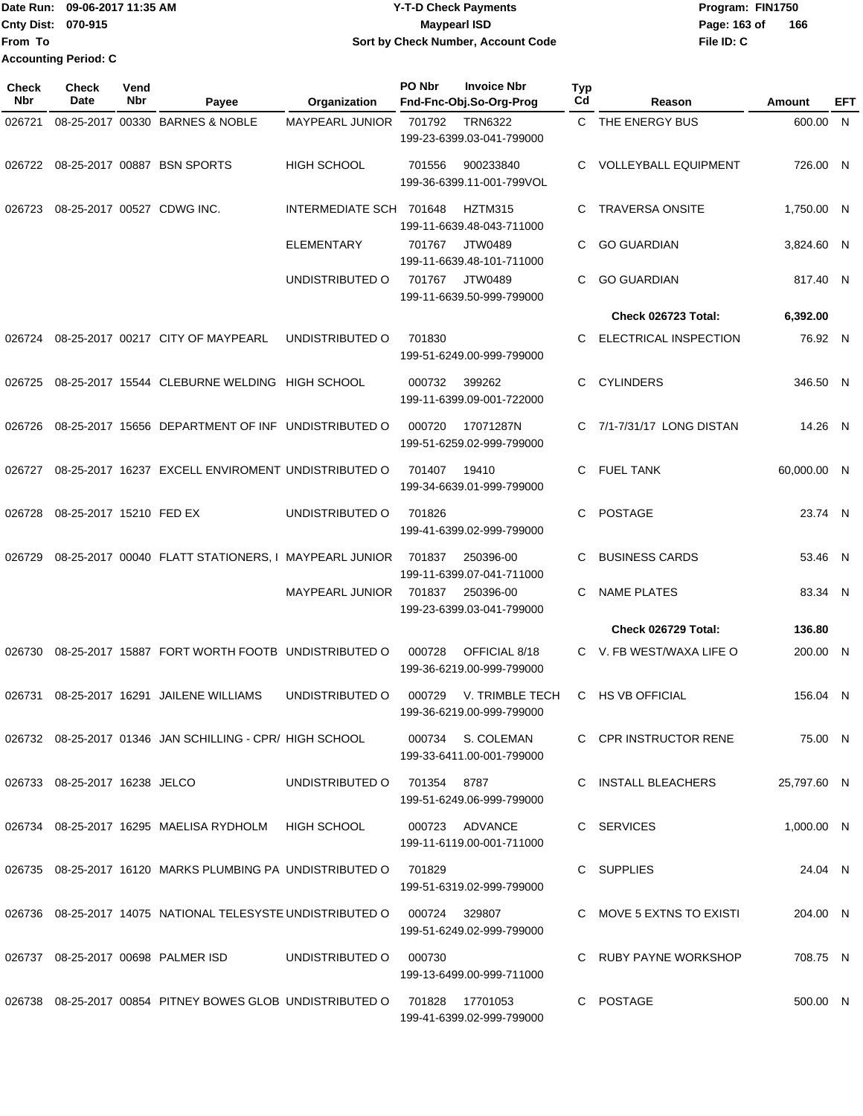**From To Accounting Period: C**

## Date Run: 09-06-2017 11:35 AM **CONTEX 100 CONTEX 12 T-D** Check Payments **CONTEX 12 T-D Check Payments** Program: FIN1750 **Cnty Dist:** 070-915 **Page:** 163 of **09-06-2017 11:35 AM Y-T-D Check Payments 070-915 Maypearl ISD Sort by Check Number, Account Code**

**File ID: C 166**

| Check<br><b>Nbr</b> | Check<br>Date                 | Vend<br>Nbr | Payee                                                                     | Organization            | PO Nbr      | <b>Invoice Nbr</b><br>Fnd-Fnc-Obj.So-Org-Prog  | Typ<br>Cd | Reason                       | <b>Amount</b> | EFT |
|---------------------|-------------------------------|-------------|---------------------------------------------------------------------------|-------------------------|-------------|------------------------------------------------|-----------|------------------------------|---------------|-----|
| 026721              |                               |             | 08-25-2017 00330 BARNES & NOBLE                                           | MAYPEARL JUNIOR         | 701792      | <b>TRN6322</b><br>199-23-6399.03-041-799000    |           | C THE ENERGY BUS             | 600.00 N      |     |
| 026722              |                               |             | 08-25-2017 00887 BSN SPORTS                                               | <b>HIGH SCHOOL</b>      | 701556      | 900233840<br>199-36-6399.11-001-799VOL         | C         | <b>VOLLEYBALL EQUIPMENT</b>  | 726.00 N      |     |
| 026723              |                               |             | 08-25-2017 00527 CDWG INC.                                                | INTERMEDIATE SCH 701648 |             | HZTM315<br>199-11-6639.48-043-711000           | C.        | <b>TRAVERSA ONSITE</b>       | 1,750.00 N    |     |
|                     |                               |             |                                                                           | <b>ELEMENTARY</b>       | 701767      | JTW0489<br>199-11-6639.48-101-711000           | C         | <b>GO GUARDIAN</b>           | 3,824.60 N    |     |
|                     |                               |             |                                                                           | UNDISTRIBUTED O         | 701767      | JTW0489<br>199-11-6639.50-999-799000           | C.        | <b>GO GUARDIAN</b>           | 817.40 N      |     |
|                     |                               |             |                                                                           |                         |             |                                                |           | Check 026723 Total:          | 6,392.00      |     |
| 026724              |                               |             | 08-25-2017 00217 CITY OF MAYPEARL                                         | UNDISTRIBUTED O         | 701830      | 199-51-6249.00-999-799000                      | C         | <b>ELECTRICAL INSPECTION</b> | 76.92 N       |     |
| 026725              |                               |             | 08-25-2017 15544 CLEBURNE WELDING HIGH SCHOOL                             |                         | 000732      | 399262<br>199-11-6399.09-001-722000            | C.        | <b>CYLINDERS</b>             | 346.50 N      |     |
| 026726              |                               |             | 08-25-2017 15656 DEPARTMENT OF INF UNDISTRIBUTED O                        |                         | 000720      | 17071287N<br>199-51-6259.02-999-799000         |           | C 7/1-7/31/17 LONG DISTAN    | 14.26 N       |     |
| 026727              |                               |             | 08-25-2017 16237 EXCELL ENVIROMENT UNDISTRIBUTED O                        |                         | 701407      | 19410<br>199-34-6639.01-999-799000             | C.        | <b>FUEL TANK</b>             | 60,000.00 N   |     |
| 026728              | 08-25-2017 15210 FED EX       |             |                                                                           | UNDISTRIBUTED O         | 701826      | 199-41-6399.02-999-799000                      | C.        | <b>POSTAGE</b>               | 23.74 N       |     |
| 026729              |                               |             | 08-25-2017 00040 FLATT STATIONERS, I MAYPEARL JUNIOR                      |                         | 701837      | 250396-00<br>199-11-6399.07-041-711000         | C         | <b>BUSINESS CARDS</b>        | 53.46 N       |     |
|                     |                               |             |                                                                           | MAYPEARL JUNIOR         | 701837      | 250396-00<br>199-23-6399.03-041-799000         | C         | <b>NAME PLATES</b>           | 83.34 N       |     |
|                     |                               |             |                                                                           |                         |             |                                                |           | Check 026729 Total:          | 136.80        |     |
| 026730              |                               |             | 08-25-2017 15887 FORT WORTH FOOTB UNDISTRIBUTED O                         |                         | 000728      | OFFICIAL 8/18<br>199-36-6219.00-999-799000     |           | C V. FB WEST/WAXA LIFE O     | 200.00 N      |     |
|                     |                               |             | 026731 08-25-2017 16291 JAILENE WILLIAMS                                  | UNDISTRIBUTED O         | 000729      | V. TRIMBLE TECH<br>199-36-6219.00-999-799000   |           | C HS VB OFFICIAL             | 156.04 N      |     |
|                     |                               |             | 026732 08-25-2017 01346 JAN SCHILLING - CPR/ HIGH SCHOOL                  |                         |             | 000734 S. COLEMAN<br>199-33-6411.00-001-799000 |           | C CPR INSTRUCTOR RENE        | 75.00 N       |     |
|                     | 026733 08-25-2017 16238 JELCO |             |                                                                           | UNDISTRIBUTED O         | 701354 8787 | 199-51-6249.06-999-799000                      |           | C INSTALL BLEACHERS          | 25,797.60 N   |     |
|                     |                               |             | 026734 08-25-2017 16295 MAELISA RYDHOLM HIGH SCHOOL                       |                         |             | 000723 ADVANCE<br>199-11-6119.00-001-711000    |           | C SERVICES                   | 1,000.00 N    |     |
|                     |                               |             | 026735 08-25-2017 16120 MARKS PLUMBING PA UNDISTRIBUTED O                 |                         | 701829      | 199-51-6319.02-999-799000                      |           | C SUPPLIES                   | 24.04 N       |     |
|                     |                               |             | 026736 08-25-2017 14075 NATIONAL TELESYSTE UNDISTRIBUTED O 000724 329807  |                         |             | 199-51-6249.02-999-799000                      |           | C MOVE 5 EXTNS TO EXISTI     | 204.00 N      |     |
|                     |                               |             | 026737 08-25-2017 00698 PALMER ISD                                        | UNDISTRIBUTED O         | 000730      | 199-13-6499.00-999-711000                      |           | C RUBY PAYNE WORKSHOP        | 708.75 N      |     |
|                     |                               |             | 026738 08-25-2017 00854 PITNEY BOWES GLOB UNDISTRIBUTED O 701828 17701053 |                         |             | 199-41-6399.02-999-799000                      |           | C POSTAGE                    | 500.00 N      |     |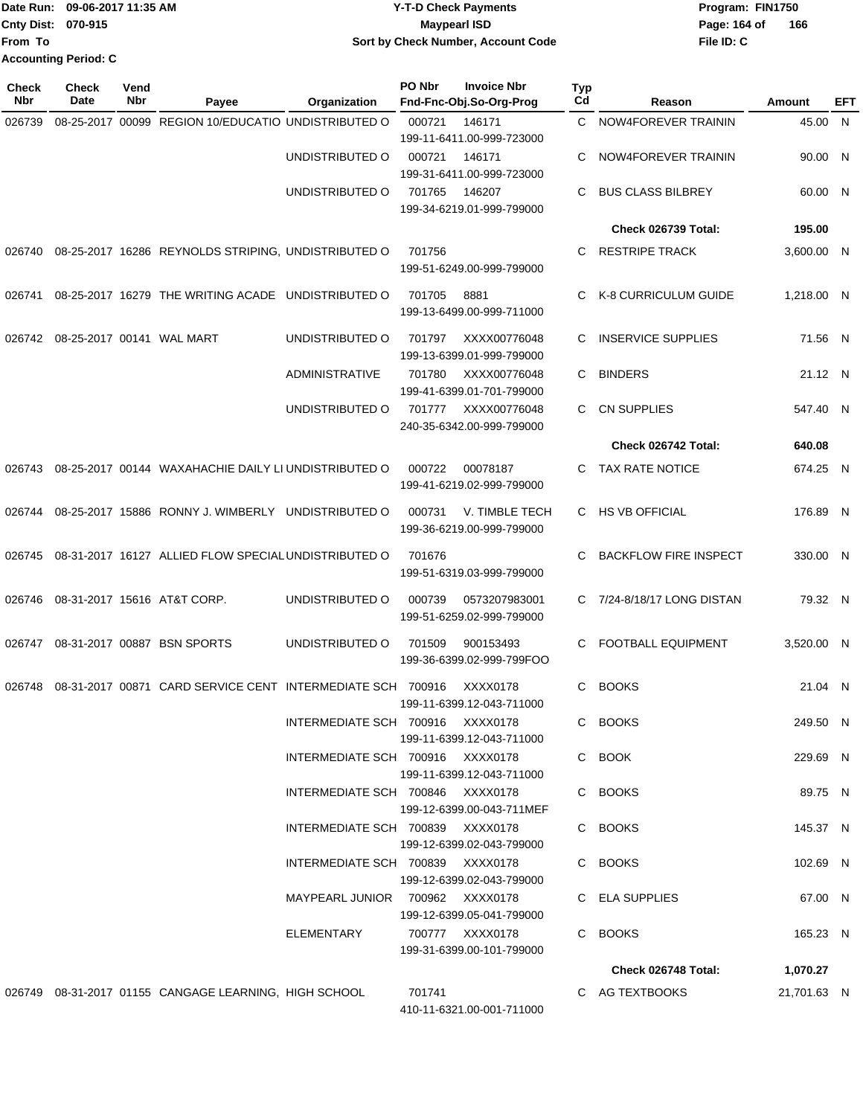| <b>Y-T-D Check Payments</b>        | Program: Fl  |
|------------------------------------|--------------|
| Maypearl ISD                       | Page: 164 of |
| Sort by Check Number, Account Code | File ID: C   |
|                                    |              |
|                                    |              |

**Date Run: Program: FIN1750 File ID: C** Page: 164 of 166

| <b>Check</b><br><b>Nbr</b> | <b>Check</b><br>Date      | Vend<br>Nbr | Payee                                                      | Organization                     | PO Nbr | <b>Invoice Nbr</b><br>Fnd-Fnc-Obj.So-Org-Prog | Typ<br>Cd    | Reason                       | Amount      | EFT |
|----------------------------|---------------------------|-------------|------------------------------------------------------------|----------------------------------|--------|-----------------------------------------------|--------------|------------------------------|-------------|-----|
| 026739                     |                           |             | 08-25-2017 00099 REGION 10/EDUCATIO UNDISTRIBUTED O        |                                  | 000721 | 146171<br>199-11-6411.00-999-723000           | $\mathbf{C}$ | NOW4FOREVER TRAININ          | 45.00 N     |     |
|                            |                           |             |                                                            | UNDISTRIBUTED O                  | 000721 | 146171<br>199-31-6411.00-999-723000           | C            | NOW4FOREVER TRAININ          | 90.00 N     |     |
|                            |                           |             |                                                            | UNDISTRIBUTED O                  | 701765 | 146207<br>199-34-6219.01-999-799000           | C            | <b>BUS CLASS BILBREY</b>     | 60.00 N     |     |
|                            |                           |             |                                                            |                                  |        |                                               |              | Check 026739 Total:          | 195.00      |     |
| 026740                     |                           |             | 08-25-2017 16286 REYNOLDS STRIPING, UNDISTRIBUTED O        |                                  | 701756 | 199-51-6249.00-999-799000                     | C.           | <b>RESTRIPE TRACK</b>        | 3,600.00 N  |     |
| 026741                     |                           |             | 08-25-2017 16279 THE WRITING ACADE UNDISTRIBUTED O         |                                  | 701705 | 8881<br>199-13-6499.00-999-711000             | C            | K-8 CURRICULUM GUIDE         | 1,218.00 N  |     |
| 026742                     | 08-25-2017 00141 WAL MART |             |                                                            | UNDISTRIBUTED O                  | 701797 | XXXX00776048<br>199-13-6399.01-999-799000     | C            | <b>INSERVICE SUPPLIES</b>    | 71.56 N     |     |
|                            |                           |             |                                                            | <b>ADMINISTRATIVE</b>            | 701780 | XXXX00776048<br>199-41-6399.01-701-799000     | C            | <b>BINDERS</b>               | 21.12 N     |     |
|                            |                           |             |                                                            | UNDISTRIBUTED O                  | 701777 | XXXX00776048<br>240-35-6342.00-999-799000     | C.           | <b>CN SUPPLIES</b>           | 547.40 N    |     |
|                            |                           |             |                                                            |                                  |        |                                               |              | Check 026742 Total:          | 640.08      |     |
| 026743                     |                           |             | 08-25-2017 00144 WAXAHACHIE DAILY LI UNDISTRIBUTED O       |                                  | 000722 | 00078187<br>199-41-6219.02-999-799000         | C.           | <b>TAX RATE NOTICE</b>       | 674.25 N    |     |
| 026744                     |                           |             | 08-25-2017 15886 RONNY J. WIMBERLY UNDISTRIBUTED O         |                                  | 000731 | V. TIMBLE TECH<br>199-36-6219.00-999-799000   | C.           | <b>HS VB OFFICIAL</b>        | 176.89 N    |     |
| 026745                     |                           |             | 08-31-2017 16127 ALLIED FLOW SPECIAL UNDISTRIBUTED O       |                                  | 701676 | 199-51-6319.03-999-799000                     | C            | <b>BACKFLOW FIRE INSPECT</b> | 330.00 N    |     |
| 026746                     |                           |             | 08-31-2017 15616 AT&T CORP.                                | UNDISTRIBUTED O                  | 000739 | 0573207983001<br>199-51-6259.02-999-799000    |              | C 7/24-8/18/17 LONG DISTAN   | 79.32 N     |     |
| 026747                     |                           |             | 08-31-2017 00887 BSN SPORTS                                | UNDISTRIBUTED O                  | 701509 | 900153493<br>199-36-6399.02-999-799FOO        | C.           | <b>FOOTBALL EQUIPMENT</b>    | 3.520.00 N  |     |
| 026748                     |                           |             | 08-31-2017 00871 CARD SERVICE CENT INTERMEDIATE SCH 700916 |                                  |        | XXXX0178<br>199-11-6399.12-043-711000         | C.           | <b>BOOKS</b>                 | 21.04 N     |     |
|                            |                           |             |                                                            | INTERMEDIATE SCH 700916 XXXX0178 |        | 199-11-6399.12-043-711000                     |              | C BOOKS                      | 249.50 N    |     |
|                            |                           |             |                                                            | INTERMEDIATE SCH 700916 XXXX0178 |        | 199-11-6399.12-043-711000                     |              | C BOOK                       | 229.69 N    |     |
|                            |                           |             |                                                            | INTERMEDIATE SCH 700846 XXXX0178 |        | 199-12-6399.00-043-711MEF                     |              | C BOOKS                      | 89.75 N     |     |
|                            |                           |             |                                                            | INTERMEDIATE SCH 700839 XXXX0178 |        | 199-12-6399.02-043-799000                     |              | C BOOKS                      | 145.37 N    |     |
|                            |                           |             |                                                            | INTERMEDIATE SCH 700839 XXXX0178 |        | 199-12-6399.02-043-799000                     |              | C BOOKS                      | 102.69 N    |     |
|                            |                           |             |                                                            | MAYPEARL JUNIOR 700962 XXXX0178  |        | 199-12-6399.05-041-799000                     |              | C ELA SUPPLIES               | 67.00 N     |     |
|                            |                           |             |                                                            | ELEMENTARY                       |        | 700777 XXXX0178<br>199-31-6399.00-101-799000  |              | C BOOKS                      | 165.23 N    |     |
|                            |                           |             |                                                            |                                  |        |                                               |              | Check 026748 Total:          | 1,070.27    |     |
|                            |                           |             | 026749 08-31-2017 01155 CANGAGE LEARNING, HIGH SCHOOL      |                                  | 701741 |                                               |              | C AG TEXTBOOKS               | 21,701.63 N |     |
|                            |                           |             |                                                            |                                  |        | 410-11-6321.00-001-711000                     |              |                              |             |     |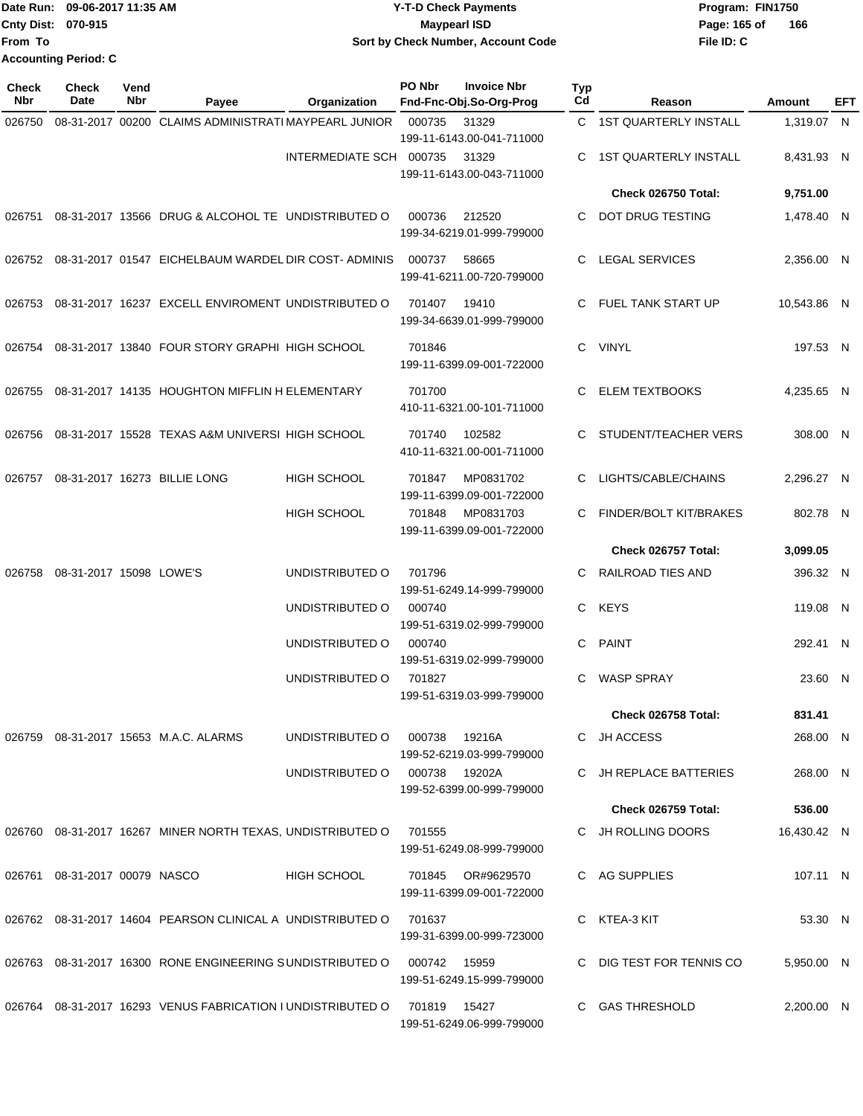|                             | IDate Run: 09-06-2017 11:35 AM | <b>Y-T-D Check Payments</b>        | Program: FIN1750 |     |
|-----------------------------|--------------------------------|------------------------------------|------------------|-----|
| <b>Cnty Dist: 070-915</b>   |                                | <b>Mavpearl ISD</b>                | Page: 165 of     | 166 |
| From To                     |                                | Sort by Check Number, Account Code | File ID: C       |     |
| <b>Accounting Period: C</b> |                                |                                    |                  |     |

| Check<br>Nbr | Check<br>Date                 | Vend<br>Nbr | Payee                                                       | Organization                  | PO Nbr        | <b>Invoice Nbr</b><br>Fnd-Fnc-Obj.So-Org-Prog | Typ<br>Cd | Reason                       | Amount      | EFT |
|--------------|-------------------------------|-------------|-------------------------------------------------------------|-------------------------------|---------------|-----------------------------------------------|-----------|------------------------------|-------------|-----|
| 026750       |                               |             | 08-31-2017 00200 CLAIMS ADMINISTRATI MAYPEARL JUNIOR        |                               | 000735        | 31329                                         |           | C 1ST QUARTERLY INSTALL      | 1,319.07 N  |     |
|              |                               |             |                                                             |                               |               | 199-11-6143.00-041-711000                     |           |                              |             |     |
|              |                               |             |                                                             | INTERMEDIATE SCH 000735       |               | 31329<br>199-11-6143.00-043-711000            | C         | <b>1ST QUARTERLY INSTALL</b> | 8,431.93 N  |     |
|              |                               |             |                                                             |                               |               |                                               |           | Check 026750 Total:          | 9,751.00    |     |
|              |                               |             | 026751 08-31-2017 13566 DRUG & ALCOHOL TE UNDISTRIBUTED O   |                               | 000736        | 212520                                        | C.        | DOT DRUG TESTING             | 1,478.40 N  |     |
|              |                               |             |                                                             |                               |               | 199-34-6219.01-999-799000                     |           |                              |             |     |
| 026752       |                               |             | 08-31-2017 01547 EICHELBAUM WARDEL DIR COST-ADMINIS         |                               | 000737        | 58665                                         | C         | <b>LEGAL SERVICES</b>        | 2,356.00 N  |     |
|              |                               |             |                                                             |                               |               | 199-41-6211.00-720-799000                     |           |                              |             |     |
| 026753       |                               |             | 08-31-2017 16237 EXCELL ENVIROMENT UNDISTRIBUTED O          |                               | 701407        | 19410                                         | C.        | FUEL TANK START UP           | 10,543.86 N |     |
|              |                               |             |                                                             |                               |               | 199-34-6639.01-999-799000                     |           |                              |             |     |
| 026754       |                               |             | 08-31-2017 13840 FOUR STORY GRAPHI HIGH SCHOOL              |                               | 701846        |                                               | C.        | VINYL                        | 197.53 N    |     |
|              |                               |             |                                                             |                               |               | 199-11-6399.09-001-722000                     |           |                              |             |     |
| 026755       |                               |             | 08-31-2017 14135 HOUGHTON MIFFLIN H ELEMENTARY              |                               | 701700        |                                               | C.        | <b>ELEM TEXTBOOKS</b>        | 4,235.65 N  |     |
|              |                               |             |                                                             |                               |               | 410-11-6321.00-101-711000                     |           |                              |             |     |
| 026756       |                               |             | 08-31-2017 15528 TEXAS A&M UNIVERSI HIGH SCHOOL             |                               | 701740        | 102582<br>410-11-6321.00-001-711000           |           | STUDENT/TEACHER VERS         | 308.00 N    |     |
| 026757       |                               |             | 08-31-2017 16273 BILLIE LONG                                | <b>HIGH SCHOOL</b>            | 701847        | MP0831702                                     | C.        | LIGHTS/CABLE/CHAINS          | 2,296.27 N  |     |
|              |                               |             |                                                             |                               |               | 199-11-6399.09-001-722000                     |           |                              |             |     |
|              |                               |             |                                                             | <b>HIGH SCHOOL</b>            | 701848        | MP0831703                                     | C.        | FINDER/BOLT KIT/BRAKES       | 802.78 N    |     |
|              |                               |             |                                                             |                               |               | 199-11-6399.09-001-722000                     |           |                              |             |     |
|              |                               |             |                                                             |                               |               |                                               |           | Check 026757 Total:          | 3,099.05    |     |
| 026758       | 08-31-2017 15098 LOWE'S       |             |                                                             | UNDISTRIBUTED O               | 701796        | 199-51-6249.14-999-799000                     | C         | RAILROAD TIES AND            | 396.32 N    |     |
|              |                               |             |                                                             | UNDISTRIBUTED O               | 000740        |                                               | C.        | <b>KEYS</b>                  | 119.08 N    |     |
|              |                               |             |                                                             |                               |               | 199-51-6319.02-999-799000                     |           |                              |             |     |
|              |                               |             |                                                             | UNDISTRIBUTED O               | 000740        | 199-51-6319.02-999-799000                     | C.        | <b>PAINT</b>                 | 292.41 N    |     |
|              |                               |             |                                                             | UNDISTRIBUTED O               | 701827        |                                               | C         | <b>WASP SPRAY</b>            | 23.60 N     |     |
|              |                               |             |                                                             |                               |               | 199-51-6319.03-999-799000                     |           |                              |             |     |
|              |                               |             |                                                             |                               |               |                                               |           | Check 026758 Total:          | 831.41      |     |
|              |                               |             | 026759 08-31-2017 15653 M.A.C. ALARMS                       | UNDISTRIBUTED O               | 000738        | 19216A<br>199-52-6219.03-999-799000           |           | C JH ACCESS                  | 268.00 N    |     |
|              |                               |             |                                                             | UNDISTRIBUTED O 000738 19202A |               |                                               |           | C JH REPLACE BATTERIES       | 268.00 N    |     |
|              |                               |             |                                                             |                               |               | 199-52-6399.00-999-799000                     |           |                              |             |     |
|              |                               |             |                                                             |                               |               |                                               |           | Check 026759 Total:          | 536.00      |     |
|              |                               |             | 026760 08-31-2017 16267 MINER NORTH TEXAS, UNDISTRIBUTED O  |                               | 701555        | 199-51-6249.08-999-799000                     |           | C JH ROLLING DOORS           | 16,430.42 N |     |
|              | 026761 08-31-2017 00079 NASCO |             |                                                             | HIGH SCHOOL                   |               | 701845 OR#9629570                             |           | C AG SUPPLIES                | 107.11 N    |     |
|              |                               |             |                                                             |                               |               | 199-11-6399.09-001-722000                     |           |                              |             |     |
|              |                               |             | 026762 08-31-2017 14604 PEARSON CLINICAL A UNDISTRIBUTED O  |                               | 701637        |                                               |           | C KTEA-3 KIT                 | 53.30 N     |     |
|              |                               |             |                                                             |                               |               | 199-31-6399.00-999-723000                     |           |                              |             |     |
|              |                               |             | 026763 08-31-2017 16300 RONE ENGINEERING SUNDISTRIBUTED O   |                               | 000742  15959 |                                               |           | C DIG TEST FOR TENNIS CO     | 5,950.00 N  |     |
|              |                               |             |                                                             |                               |               | 199-51-6249.15-999-799000                     |           |                              |             |     |
|              |                               |             | 026764 08-31-2017 16293 VENUS FABRICATION I UNDISTRIBUTED O |                               | 701819 15427  | 199-51-6249.06-999-799000                     |           | C GAS THRESHOLD              | 2,200.00 N  |     |